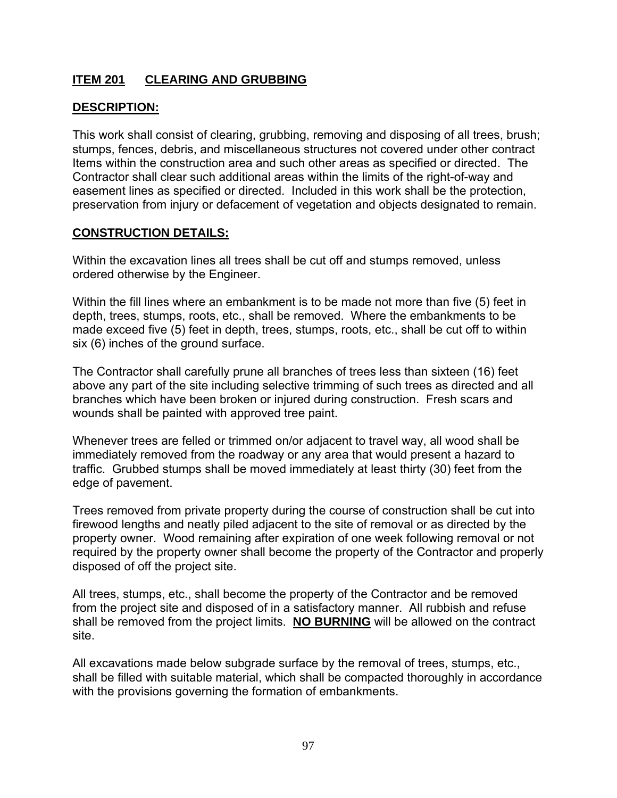# **ITEM 201 CLEARING AND GRUBBING**

## **DESCRIPTION:**

This work shall consist of clearing, grubbing, removing and disposing of all trees, brush; stumps, fences, debris, and miscellaneous structures not covered under other contract Items within the construction area and such other areas as specified or directed. The Contractor shall clear such additional areas within the limits of the right-of-way and easement lines as specified or directed. Included in this work shall be the protection, preservation from injury or defacement of vegetation and objects designated to remain.

#### **CONSTRUCTION DETAILS:**

Within the excavation lines all trees shall be cut off and stumps removed, unless ordered otherwise by the Engineer.

Within the fill lines where an embankment is to be made not more than five (5) feet in depth, trees, stumps, roots, etc., shall be removed. Where the embankments to be made exceed five (5) feet in depth, trees, stumps, roots, etc., shall be cut off to within six (6) inches of the ground surface.

The Contractor shall carefully prune all branches of trees less than sixteen (16) feet above any part of the site including selective trimming of such trees as directed and all branches which have been broken or injured during construction. Fresh scars and wounds shall be painted with approved tree paint.

Whenever trees are felled or trimmed on/or adjacent to travel way, all wood shall be immediately removed from the roadway or any area that would present a hazard to traffic. Grubbed stumps shall be moved immediately at least thirty (30) feet from the edge of pavement.

Trees removed from private property during the course of construction shall be cut into firewood lengths and neatly piled adjacent to the site of removal or as directed by the property owner. Wood remaining after expiration of one week following removal or not required by the property owner shall become the property of the Contractor and properly disposed of off the project site.

All trees, stumps, etc., shall become the property of the Contractor and be removed from the project site and disposed of in a satisfactory manner. All rubbish and refuse shall be removed from the project limits. **NO BURNING** will be allowed on the contract site.

All excavations made below subgrade surface by the removal of trees, stumps, etc., shall be filled with suitable material, which shall be compacted thoroughly in accordance with the provisions governing the formation of embankments.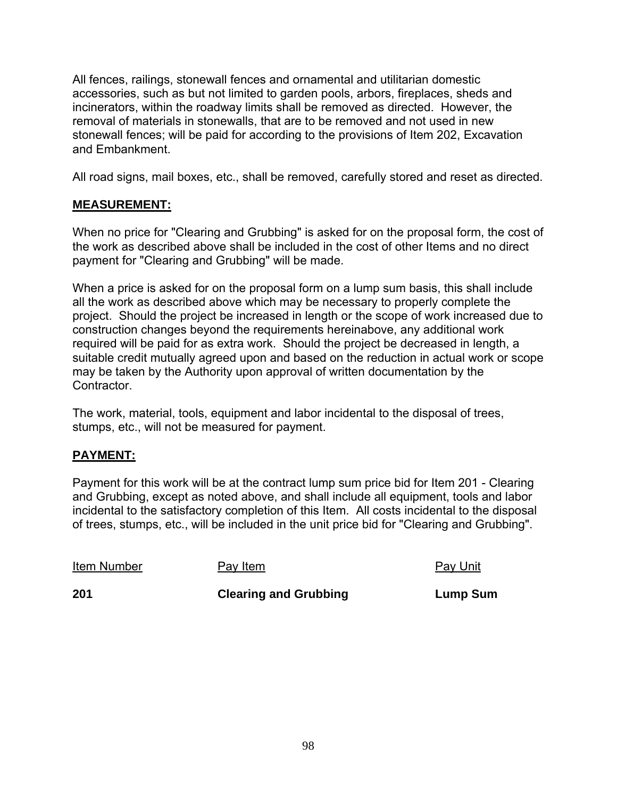All fences, railings, stonewall fences and ornamental and utilitarian domestic accessories, such as but not limited to garden pools, arbors, fireplaces, sheds and incinerators, within the roadway limits shall be removed as directed. However, the removal of materials in stonewalls, that are to be removed and not used in new stonewall fences; will be paid for according to the provisions of Item 202, Excavation and Embankment.

All road signs, mail boxes, etc., shall be removed, carefully stored and reset as directed.

# **MEASUREMENT:**

When no price for "Clearing and Grubbing" is asked for on the proposal form, the cost of the work as described above shall be included in the cost of other Items and no direct payment for "Clearing and Grubbing" will be made.

When a price is asked for on the proposal form on a lump sum basis, this shall include all the work as described above which may be necessary to properly complete the project. Should the project be increased in length or the scope of work increased due to construction changes beyond the requirements hereinabove, any additional work required will be paid for as extra work. Should the project be decreased in length, a suitable credit mutually agreed upon and based on the reduction in actual work or scope may be taken by the Authority upon approval of written documentation by the Contractor.

The work, material, tools, equipment and labor incidental to the disposal of trees, stumps, etc., will not be measured for payment.

## **PAYMENT:**

Payment for this work will be at the contract lump sum price bid for Item 201 - Clearing and Grubbing, except as noted above, and shall include all equipment, tools and labor incidental to the satisfactory completion of this Item. All costs incidental to the disposal of trees, stumps, etc., will be included in the unit price bid for "Clearing and Grubbing".

Item Number Pay Item Pay Unit

**201 Clearing and Grubbing Cump Sum**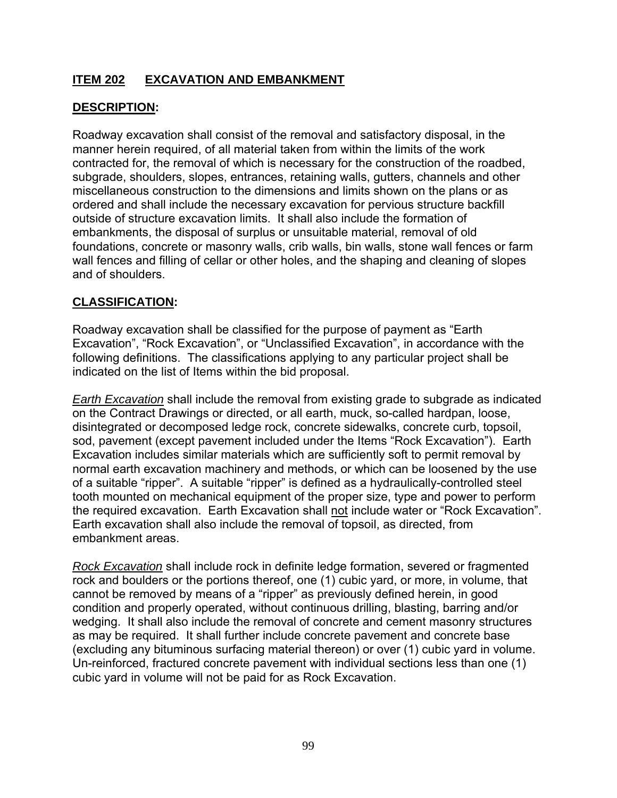# **ITEM 202 EXCAVATION AND EMBANKMENT**

# **DESCRIPTION:**

Roadway excavation shall consist of the removal and satisfactory disposal, in the manner herein required, of all material taken from within the limits of the work contracted for, the removal of which is necessary for the construction of the roadbed, subgrade, shoulders, slopes, entrances, retaining walls, gutters, channels and other miscellaneous construction to the dimensions and limits shown on the plans or as ordered and shall include the necessary excavation for pervious structure backfill outside of structure excavation limits. It shall also include the formation of embankments, the disposal of surplus or unsuitable material, removal of old foundations, concrete or masonry walls, crib walls, bin walls, stone wall fences or farm wall fences and filling of cellar or other holes, and the shaping and cleaning of slopes and of shoulders.

## **CLASSIFICATION:**

Roadway excavation shall be classified for the purpose of payment as "Earth Excavation", "Rock Excavation", or "Unclassified Excavation", in accordance with the following definitions. The classifications applying to any particular project shall be indicated on the list of Items within the bid proposal.

*Earth Excavation* shall include the removal from existing grade to subgrade as indicated on the Contract Drawings or directed, or all earth, muck, so-called hardpan, loose, disintegrated or decomposed ledge rock, concrete sidewalks, concrete curb, topsoil, sod, pavement (except pavement included under the Items "Rock Excavation"). Earth Excavation includes similar materials which are sufficiently soft to permit removal by normal earth excavation machinery and methods, or which can be loosened by the use of a suitable "ripper". A suitable "ripper" is defined as a hydraulically-controlled steel tooth mounted on mechanical equipment of the proper size, type and power to perform the required excavation. Earth Excavation shall not include water or "Rock Excavation". Earth excavation shall also include the removal of topsoil, as directed, from embankment areas.

*Rock Excavation* shall include rock in definite ledge formation, severed or fragmented rock and boulders or the portions thereof, one (1) cubic yard, or more, in volume, that cannot be removed by means of a "ripper" as previously defined herein, in good condition and properly operated, without continuous drilling, blasting, barring and/or wedging. It shall also include the removal of concrete and cement masonry structures as may be required. It shall further include concrete pavement and concrete base (excluding any bituminous surfacing material thereon) or over (1) cubic yard in volume. Un-reinforced, fractured concrete pavement with individual sections less than one (1) cubic yard in volume will not be paid for as Rock Excavation.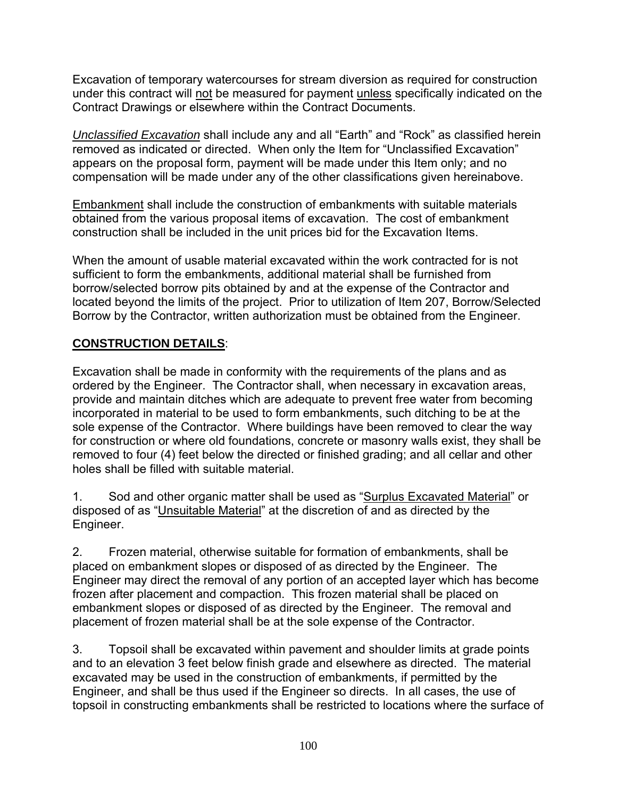Excavation of temporary watercourses for stream diversion as required for construction under this contract will not be measured for payment unless specifically indicated on the Contract Drawings or elsewhere within the Contract Documents.

*Unclassified Excavation* shall include any and all "Earth" and "Rock" as classified herein removed as indicated or directed. When only the Item for "Unclassified Excavation" appears on the proposal form, payment will be made under this Item only; and no compensation will be made under any of the other classifications given hereinabove.

Embankment shall include the construction of embankments with suitable materials obtained from the various proposal items of excavation. The cost of embankment construction shall be included in the unit prices bid for the Excavation Items.

When the amount of usable material excavated within the work contracted for is not sufficient to form the embankments, additional material shall be furnished from borrow/selected borrow pits obtained by and at the expense of the Contractor and located beyond the limits of the project. Prior to utilization of Item 207, Borrow/Selected Borrow by the Contractor, written authorization must be obtained from the Engineer.

# **CONSTRUCTION DETAILS**:

Excavation shall be made in conformity with the requirements of the plans and as ordered by the Engineer. The Contractor shall, when necessary in excavation areas, provide and maintain ditches which are adequate to prevent free water from becoming incorporated in material to be used to form embankments, such ditching to be at the sole expense of the Contractor. Where buildings have been removed to clear the way for construction or where old foundations, concrete or masonry walls exist, they shall be removed to four (4) feet below the directed or finished grading; and all cellar and other holes shall be filled with suitable material.

1. Sod and other organic matter shall be used as "Surplus Excavated Material" or disposed of as "Unsuitable Material" at the discretion of and as directed by the Engineer.

2. Frozen material, otherwise suitable for formation of embankments, shall be placed on embankment slopes or disposed of as directed by the Engineer. The Engineer may direct the removal of any portion of an accepted layer which has become frozen after placement and compaction. This frozen material shall be placed on embankment slopes or disposed of as directed by the Engineer. The removal and placement of frozen material shall be at the sole expense of the Contractor.

3. Topsoil shall be excavated within pavement and shoulder limits at grade points and to an elevation 3 feet below finish grade and elsewhere as directed. The material excavated may be used in the construction of embankments, if permitted by the Engineer, and shall be thus used if the Engineer so directs. In all cases, the use of topsoil in constructing embankments shall be restricted to locations where the surface of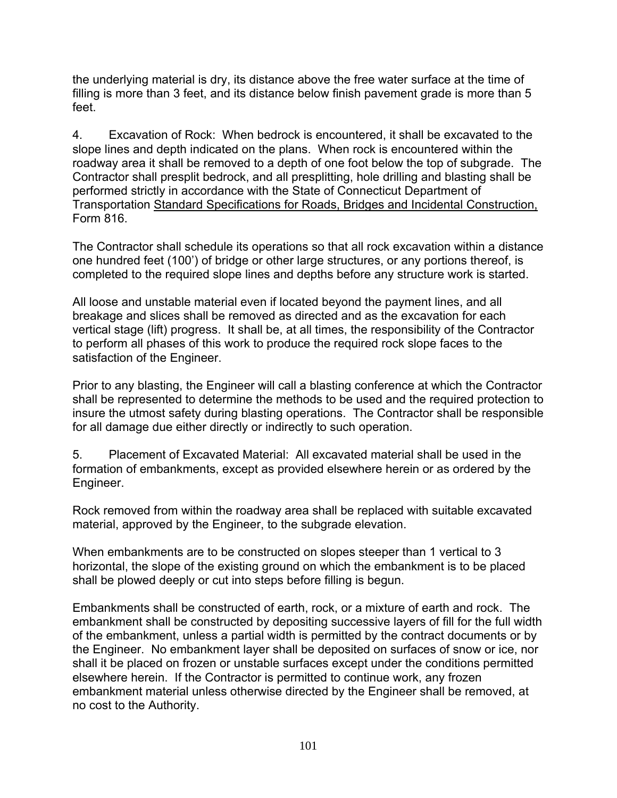the underlying material is dry, its distance above the free water surface at the time of filling is more than 3 feet, and its distance below finish pavement grade is more than 5 feet.

4. Excavation of Rock: When bedrock is encountered, it shall be excavated to the slope lines and depth indicated on the plans. When rock is encountered within the roadway area it shall be removed to a depth of one foot below the top of subgrade. The Contractor shall presplit bedrock, and all presplitting, hole drilling and blasting shall be performed strictly in accordance with the State of Connecticut Department of Transportation Standard Specifications for Roads, Bridges and Incidental Construction, Form 816.

The Contractor shall schedule its operations so that all rock excavation within a distance one hundred feet (100') of bridge or other large structures, or any portions thereof, is completed to the required slope lines and depths before any structure work is started.

All loose and unstable material even if located beyond the payment lines, and all breakage and slices shall be removed as directed and as the excavation for each vertical stage (lift) progress. It shall be, at all times, the responsibility of the Contractor to perform all phases of this work to produce the required rock slope faces to the satisfaction of the Engineer.

Prior to any blasting, the Engineer will call a blasting conference at which the Contractor shall be represented to determine the methods to be used and the required protection to insure the utmost safety during blasting operations. The Contractor shall be responsible for all damage due either directly or indirectly to such operation.

5. Placement of Excavated Material: All excavated material shall be used in the formation of embankments, except as provided elsewhere herein or as ordered by the Engineer.

Rock removed from within the roadway area shall be replaced with suitable excavated material, approved by the Engineer, to the subgrade elevation.

When embankments are to be constructed on slopes steeper than 1 vertical to 3 horizontal, the slope of the existing ground on which the embankment is to be placed shall be plowed deeply or cut into steps before filling is begun.

Embankments shall be constructed of earth, rock, or a mixture of earth and rock. The embankment shall be constructed by depositing successive layers of fill for the full width of the embankment, unless a partial width is permitted by the contract documents or by the Engineer. No embankment layer shall be deposited on surfaces of snow or ice, nor shall it be placed on frozen or unstable surfaces except under the conditions permitted elsewhere herein. If the Contractor is permitted to continue work, any frozen embankment material unless otherwise directed by the Engineer shall be removed, at no cost to the Authority.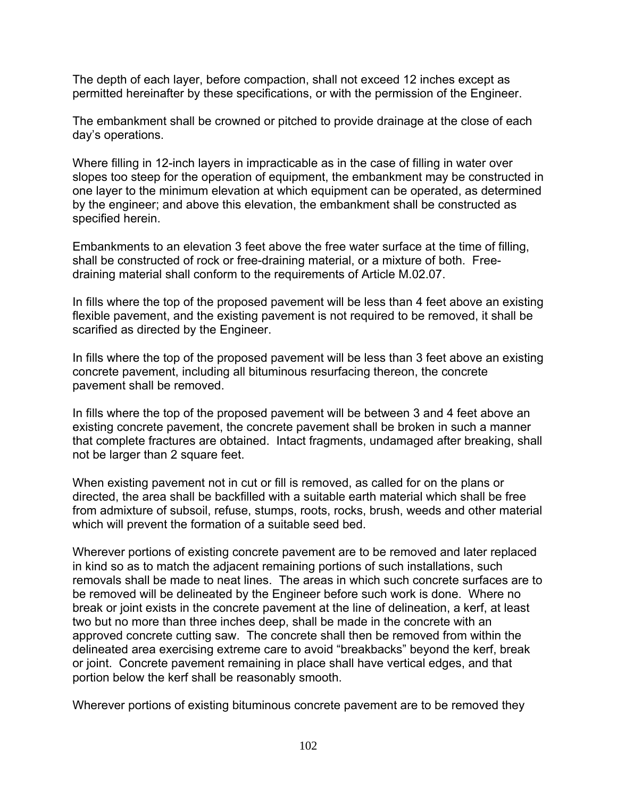The depth of each layer, before compaction, shall not exceed 12 inches except as permitted hereinafter by these specifications, or with the permission of the Engineer.

The embankment shall be crowned or pitched to provide drainage at the close of each day's operations.

Where filling in 12-inch layers in impracticable as in the case of filling in water over slopes too steep for the operation of equipment, the embankment may be constructed in one layer to the minimum elevation at which equipment can be operated, as determined by the engineer; and above this elevation, the embankment shall be constructed as specified herein.

Embankments to an elevation 3 feet above the free water surface at the time of filling, shall be constructed of rock or free-draining material, or a mixture of both. Freedraining material shall conform to the requirements of Article M.02.07.

In fills where the top of the proposed pavement will be less than 4 feet above an existing flexible pavement, and the existing pavement is not required to be removed, it shall be scarified as directed by the Engineer.

In fills where the top of the proposed pavement will be less than 3 feet above an existing concrete pavement, including all bituminous resurfacing thereon, the concrete pavement shall be removed.

In fills where the top of the proposed pavement will be between 3 and 4 feet above an existing concrete pavement, the concrete pavement shall be broken in such a manner that complete fractures are obtained. Intact fragments, undamaged after breaking, shall not be larger than 2 square feet.

When existing pavement not in cut or fill is removed, as called for on the plans or directed, the area shall be backfilled with a suitable earth material which shall be free from admixture of subsoil, refuse, stumps, roots, rocks, brush, weeds and other material which will prevent the formation of a suitable seed bed.

Wherever portions of existing concrete pavement are to be removed and later replaced in kind so as to match the adjacent remaining portions of such installations, such removals shall be made to neat lines. The areas in which such concrete surfaces are to be removed will be delineated by the Engineer before such work is done. Where no break or joint exists in the concrete pavement at the line of delineation, a kerf, at least two but no more than three inches deep, shall be made in the concrete with an approved concrete cutting saw. The concrete shall then be removed from within the delineated area exercising extreme care to avoid "breakbacks" beyond the kerf, break or joint. Concrete pavement remaining in place shall have vertical edges, and that portion below the kerf shall be reasonably smooth.

Wherever portions of existing bituminous concrete pavement are to be removed they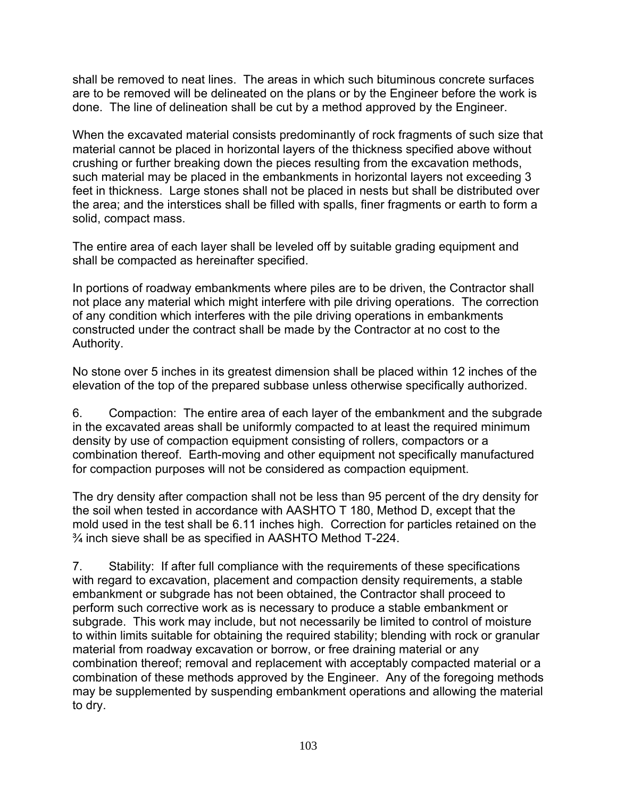shall be removed to neat lines. The areas in which such bituminous concrete surfaces are to be removed will be delineated on the plans or by the Engineer before the work is done. The line of delineation shall be cut by a method approved by the Engineer.

When the excavated material consists predominantly of rock fragments of such size that material cannot be placed in horizontal layers of the thickness specified above without crushing or further breaking down the pieces resulting from the excavation methods, such material may be placed in the embankments in horizontal layers not exceeding 3 feet in thickness. Large stones shall not be placed in nests but shall be distributed over the area; and the interstices shall be filled with spalls, finer fragments or earth to form a solid, compact mass.

The entire area of each layer shall be leveled off by suitable grading equipment and shall be compacted as hereinafter specified.

In portions of roadway embankments where piles are to be driven, the Contractor shall not place any material which might interfere with pile driving operations. The correction of any condition which interferes with the pile driving operations in embankments constructed under the contract shall be made by the Contractor at no cost to the Authority.

No stone over 5 inches in its greatest dimension shall be placed within 12 inches of the elevation of the top of the prepared subbase unless otherwise specifically authorized.

6. Compaction: The entire area of each layer of the embankment and the subgrade in the excavated areas shall be uniformly compacted to at least the required minimum density by use of compaction equipment consisting of rollers, compactors or a combination thereof. Earth-moving and other equipment not specifically manufactured for compaction purposes will not be considered as compaction equipment.

The dry density after compaction shall not be less than 95 percent of the dry density for the soil when tested in accordance with AASHTO T 180, Method D, except that the mold used in the test shall be 6.11 inches high. Correction for particles retained on the ¾ inch sieve shall be as specified in AASHTO Method T-224.

7. Stability: If after full compliance with the requirements of these specifications with regard to excavation, placement and compaction density requirements, a stable embankment or subgrade has not been obtained, the Contractor shall proceed to perform such corrective work as is necessary to produce a stable embankment or subgrade. This work may include, but not necessarily be limited to control of moisture to within limits suitable for obtaining the required stability; blending with rock or granular material from roadway excavation or borrow, or free draining material or any combination thereof; removal and replacement with acceptably compacted material or a combination of these methods approved by the Engineer. Any of the foregoing methods may be supplemented by suspending embankment operations and allowing the material to dry.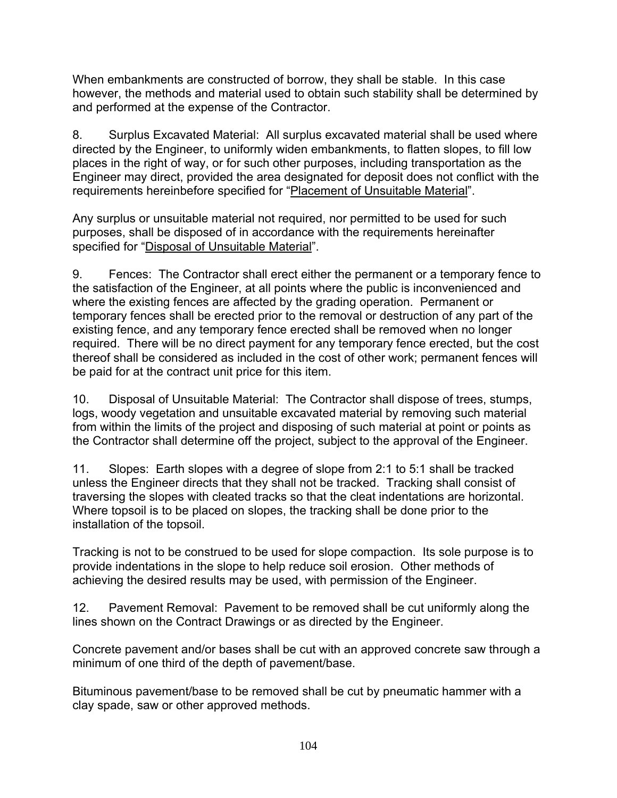When embankments are constructed of borrow, they shall be stable. In this case however, the methods and material used to obtain such stability shall be determined by and performed at the expense of the Contractor.

8. Surplus Excavated Material: All surplus excavated material shall be used where directed by the Engineer, to uniformly widen embankments, to flatten slopes, to fill low places in the right of way, or for such other purposes, including transportation as the Engineer may direct, provided the area designated for deposit does not conflict with the requirements hereinbefore specified for "Placement of Unsuitable Material".

Any surplus or unsuitable material not required, nor permitted to be used for such purposes, shall be disposed of in accordance with the requirements hereinafter specified for "Disposal of Unsuitable Material".

9. Fences: The Contractor shall erect either the permanent or a temporary fence to the satisfaction of the Engineer, at all points where the public is inconvenienced and where the existing fences are affected by the grading operation. Permanent or temporary fences shall be erected prior to the removal or destruction of any part of the existing fence, and any temporary fence erected shall be removed when no longer required. There will be no direct payment for any temporary fence erected, but the cost thereof shall be considered as included in the cost of other work; permanent fences will be paid for at the contract unit price for this item.

10. Disposal of Unsuitable Material: The Contractor shall dispose of trees, stumps, logs, woody vegetation and unsuitable excavated material by removing such material from within the limits of the project and disposing of such material at point or points as the Contractor shall determine off the project, subject to the approval of the Engineer.

11. Slopes: Earth slopes with a degree of slope from 2:1 to 5:1 shall be tracked unless the Engineer directs that they shall not be tracked. Tracking shall consist of traversing the slopes with cleated tracks so that the cleat indentations are horizontal. Where topsoil is to be placed on slopes, the tracking shall be done prior to the installation of the topsoil.

Tracking is not to be construed to be used for slope compaction. Its sole purpose is to provide indentations in the slope to help reduce soil erosion. Other methods of achieving the desired results may be used, with permission of the Engineer.

12. Pavement Removal: Pavement to be removed shall be cut uniformly along the lines shown on the Contract Drawings or as directed by the Engineer.

Concrete pavement and/or bases shall be cut with an approved concrete saw through a minimum of one third of the depth of pavement/base.

Bituminous pavement/base to be removed shall be cut by pneumatic hammer with a clay spade, saw or other approved methods.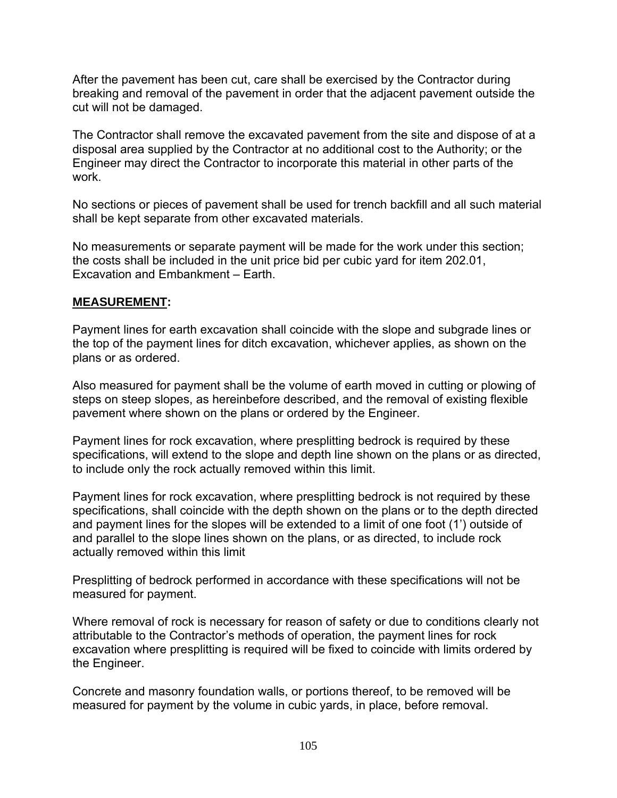After the pavement has been cut, care shall be exercised by the Contractor during breaking and removal of the pavement in order that the adjacent pavement outside the cut will not be damaged.

The Contractor shall remove the excavated pavement from the site and dispose of at a disposal area supplied by the Contractor at no additional cost to the Authority; or the Engineer may direct the Contractor to incorporate this material in other parts of the work.

No sections or pieces of pavement shall be used for trench backfill and all such material shall be kept separate from other excavated materials.

No measurements or separate payment will be made for the work under this section; the costs shall be included in the unit price bid per cubic yard for item 202.01, Excavation and Embankment – Earth.

## **MEASUREMENT:**

Payment lines for earth excavation shall coincide with the slope and subgrade lines or the top of the payment lines for ditch excavation, whichever applies, as shown on the plans or as ordered.

Also measured for payment shall be the volume of earth moved in cutting or plowing of steps on steep slopes, as hereinbefore described, and the removal of existing flexible pavement where shown on the plans or ordered by the Engineer.

Payment lines for rock excavation, where presplitting bedrock is required by these specifications, will extend to the slope and depth line shown on the plans or as directed, to include only the rock actually removed within this limit.

Payment lines for rock excavation, where presplitting bedrock is not required by these specifications, shall coincide with the depth shown on the plans or to the depth directed and payment lines for the slopes will be extended to a limit of one foot (1') outside of and parallel to the slope lines shown on the plans, or as directed, to include rock actually removed within this limit

Presplitting of bedrock performed in accordance with these specifications will not be measured for payment.

Where removal of rock is necessary for reason of safety or due to conditions clearly not attributable to the Contractor's methods of operation, the payment lines for rock excavation where presplitting is required will be fixed to coincide with limits ordered by the Engineer.

Concrete and masonry foundation walls, or portions thereof, to be removed will be measured for payment by the volume in cubic yards, in place, before removal.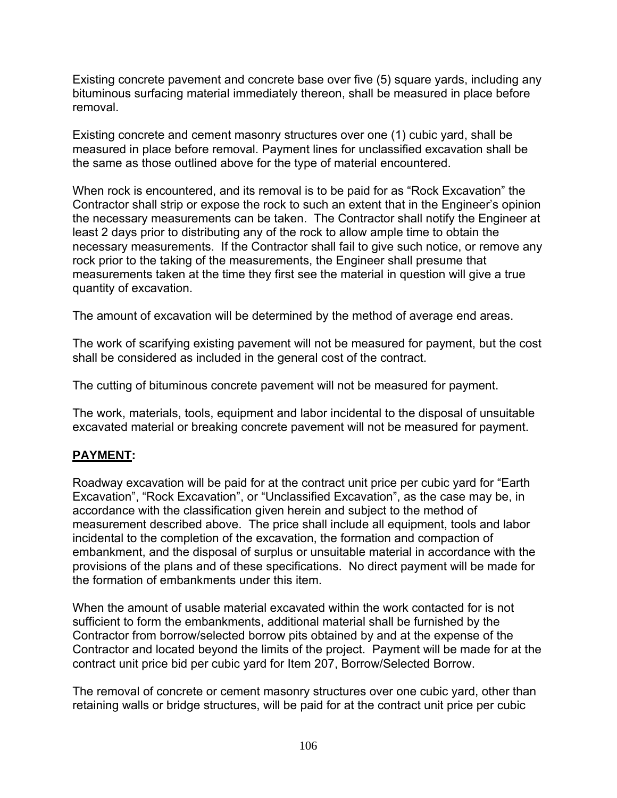Existing concrete pavement and concrete base over five (5) square yards, including any bituminous surfacing material immediately thereon, shall be measured in place before removal.

Existing concrete and cement masonry structures over one (1) cubic yard, shall be measured in place before removal. Payment lines for unclassified excavation shall be the same as those outlined above for the type of material encountered.

When rock is encountered, and its removal is to be paid for as "Rock Excavation" the Contractor shall strip or expose the rock to such an extent that in the Engineer's opinion the necessary measurements can be taken. The Contractor shall notify the Engineer at least 2 days prior to distributing any of the rock to allow ample time to obtain the necessary measurements. If the Contractor shall fail to give such notice, or remove any rock prior to the taking of the measurements, the Engineer shall presume that measurements taken at the time they first see the material in question will give a true quantity of excavation.

The amount of excavation will be determined by the method of average end areas.

The work of scarifying existing pavement will not be measured for payment, but the cost shall be considered as included in the general cost of the contract.

The cutting of bituminous concrete pavement will not be measured for payment.

The work, materials, tools, equipment and labor incidental to the disposal of unsuitable excavated material or breaking concrete pavement will not be measured for payment.

# **PAYMENT:**

Roadway excavation will be paid for at the contract unit price per cubic yard for "Earth Excavation", "Rock Excavation", or "Unclassified Excavation", as the case may be, in accordance with the classification given herein and subject to the method of measurement described above. The price shall include all equipment, tools and labor incidental to the completion of the excavation, the formation and compaction of embankment, and the disposal of surplus or unsuitable material in accordance with the provisions of the plans and of these specifications. No direct payment will be made for the formation of embankments under this item.

When the amount of usable material excavated within the work contacted for is not sufficient to form the embankments, additional material shall be furnished by the Contractor from borrow/selected borrow pits obtained by and at the expense of the Contractor and located beyond the limits of the project. Payment will be made for at the contract unit price bid per cubic yard for Item 207, Borrow/Selected Borrow.

The removal of concrete or cement masonry structures over one cubic yard, other than retaining walls or bridge structures, will be paid for at the contract unit price per cubic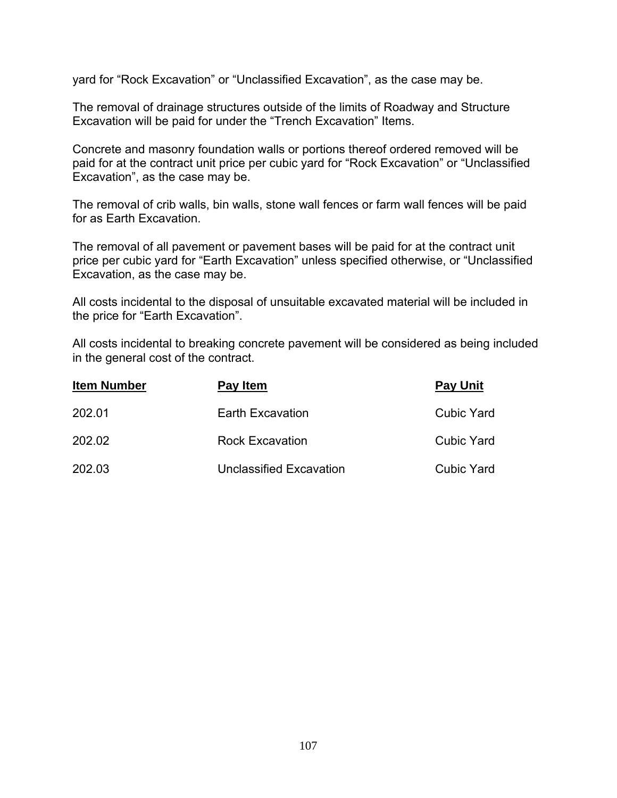yard for "Rock Excavation" or "Unclassified Excavation", as the case may be.

The removal of drainage structures outside of the limits of Roadway and Structure Excavation will be paid for under the "Trench Excavation" Items.

Concrete and masonry foundation walls or portions thereof ordered removed will be paid for at the contract unit price per cubic yard for "Rock Excavation" or "Unclassified Excavation", as the case may be.

The removal of crib walls, bin walls, stone wall fences or farm wall fences will be paid for as Earth Excavation.

The removal of all pavement or pavement bases will be paid for at the contract unit price per cubic yard for "Earth Excavation" unless specified otherwise, or "Unclassified Excavation, as the case may be.

All costs incidental to the disposal of unsuitable excavated material will be included in the price for "Earth Excavation".

All costs incidental to breaking concrete pavement will be considered as being included in the general cost of the contract.

| <b>Item Number</b> | Pay Item                       | <b>Pay Unit</b>   |
|--------------------|--------------------------------|-------------------|
| 202.01             | <b>Earth Excavation</b>        | <b>Cubic Yard</b> |
| 202.02             | <b>Rock Excavation</b>         | <b>Cubic Yard</b> |
| 202.03             | <b>Unclassified Excavation</b> | Cubic Yard        |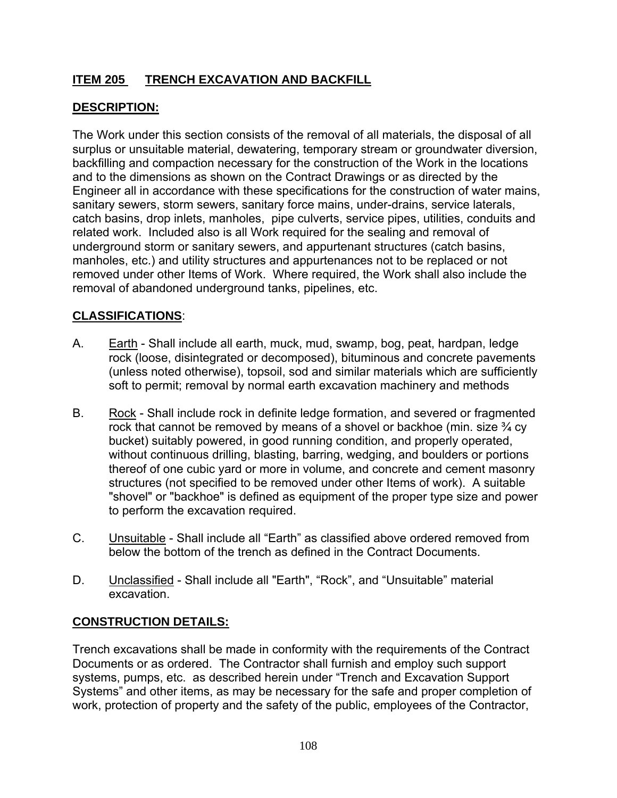# **ITEM 205 TRENCH EXCAVATION AND BACKFILL**

# **DESCRIPTION:**

The Work under this section consists of the removal of all materials, the disposal of all surplus or unsuitable material, dewatering, temporary stream or groundwater diversion, backfilling and compaction necessary for the construction of the Work in the locations and to the dimensions as shown on the Contract Drawings or as directed by the Engineer all in accordance with these specifications for the construction of water mains, sanitary sewers, storm sewers, sanitary force mains, under-drains, service laterals, catch basins, drop inlets, manholes, pipe culverts, service pipes, utilities, conduits and related work. Included also is all Work required for the sealing and removal of underground storm or sanitary sewers, and appurtenant structures (catch basins, manholes, etc.) and utility structures and appurtenances not to be replaced or not removed under other Items of Work. Where required, the Work shall also include the removal of abandoned underground tanks, pipelines, etc.

# **CLASSIFICATIONS**:

- A. Earth Shall include all earth, muck, mud, swamp, bog, peat, hardpan, ledge rock (loose, disintegrated or decomposed), bituminous and concrete pavements (unless noted otherwise), topsoil, sod and similar materials which are sufficiently soft to permit; removal by normal earth excavation machinery and methods
- B. Rock Shall include rock in definite ledge formation, and severed or fragmented rock that cannot be removed by means of a shovel or backhoe (min. size  $\frac{3}{4}$  cy bucket) suitably powered, in good running condition, and properly operated, without continuous drilling, blasting, barring, wedging, and boulders or portions thereof of one cubic yard or more in volume, and concrete and cement masonry structures (not specified to be removed under other Items of work). A suitable "shovel" or "backhoe" is defined as equipment of the proper type size and power to perform the excavation required.
- C. Unsuitable Shall include all "Earth" as classified above ordered removed from below the bottom of the trench as defined in the Contract Documents.
- D. Unclassified Shall include all "Earth", "Rock", and "Unsuitable" material excavation.

# **CONSTRUCTION DETAILS:**

Trench excavations shall be made in conformity with the requirements of the Contract Documents or as ordered. The Contractor shall furnish and employ such support systems, pumps, etc. as described herein under "Trench and Excavation Support Systems" and other items, as may be necessary for the safe and proper completion of work, protection of property and the safety of the public, employees of the Contractor,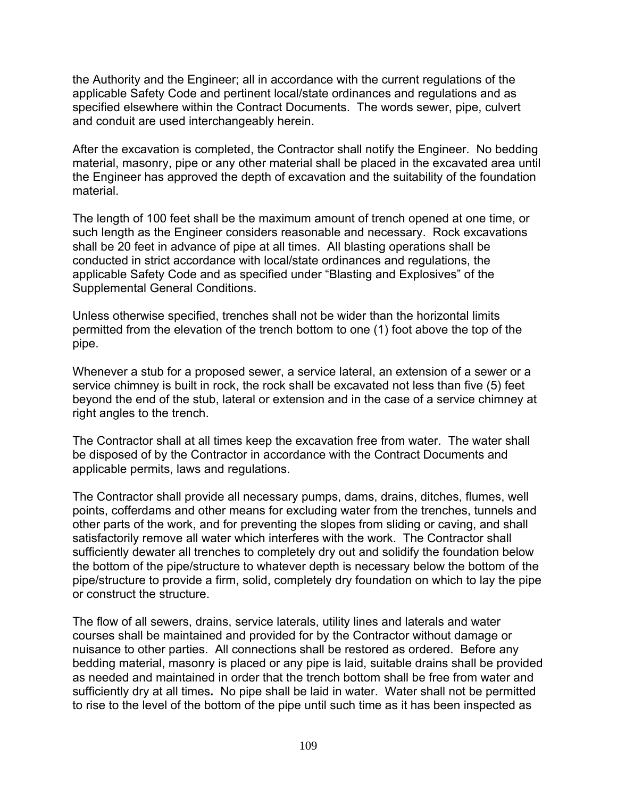the Authority and the Engineer; all in accordance with the current regulations of the applicable Safety Code and pertinent local/state ordinances and regulations and as specified elsewhere within the Contract Documents. The words sewer, pipe, culvert and conduit are used interchangeably herein.

After the excavation is completed, the Contractor shall notify the Engineer. No bedding material, masonry, pipe or any other material shall be placed in the excavated area until the Engineer has approved the depth of excavation and the suitability of the foundation material.

The length of 100 feet shall be the maximum amount of trench opened at one time, or such length as the Engineer considers reasonable and necessary. Rock excavations shall be 20 feet in advance of pipe at all times. All blasting operations shall be conducted in strict accordance with local/state ordinances and regulations, the applicable Safety Code and as specified under "Blasting and Explosives" of the Supplemental General Conditions.

Unless otherwise specified, trenches shall not be wider than the horizontal limits permitted from the elevation of the trench bottom to one (1) foot above the top of the pipe.

Whenever a stub for a proposed sewer, a service lateral, an extension of a sewer or a service chimney is built in rock, the rock shall be excavated not less than five (5) feet beyond the end of the stub, lateral or extension and in the case of a service chimney at right angles to the trench.

The Contractor shall at all times keep the excavation free from water. The water shall be disposed of by the Contractor in accordance with the Contract Documents and applicable permits, laws and regulations.

The Contractor shall provide all necessary pumps, dams, drains, ditches, flumes, well points, cofferdams and other means for excluding water from the trenches, tunnels and other parts of the work, and for preventing the slopes from sliding or caving, and shall satisfactorily remove all water which interferes with the work. The Contractor shall sufficiently dewater all trenches to completely dry out and solidify the foundation below the bottom of the pipe/structure to whatever depth is necessary below the bottom of the pipe/structure to provide a firm, solid, completely dry foundation on which to lay the pipe or construct the structure.

The flow of all sewers, drains, service laterals, utility lines and laterals and water courses shall be maintained and provided for by the Contractor without damage or nuisance to other parties. All connections shall be restored as ordered. Before any bedding material, masonry is placed or any pipe is laid, suitable drains shall be provided as needed and maintained in order that the trench bottom shall be free from water and sufficiently dry at all times**.** No pipe shall be laid in water. Water shall not be permitted to rise to the level of the bottom of the pipe until such time as it has been inspected as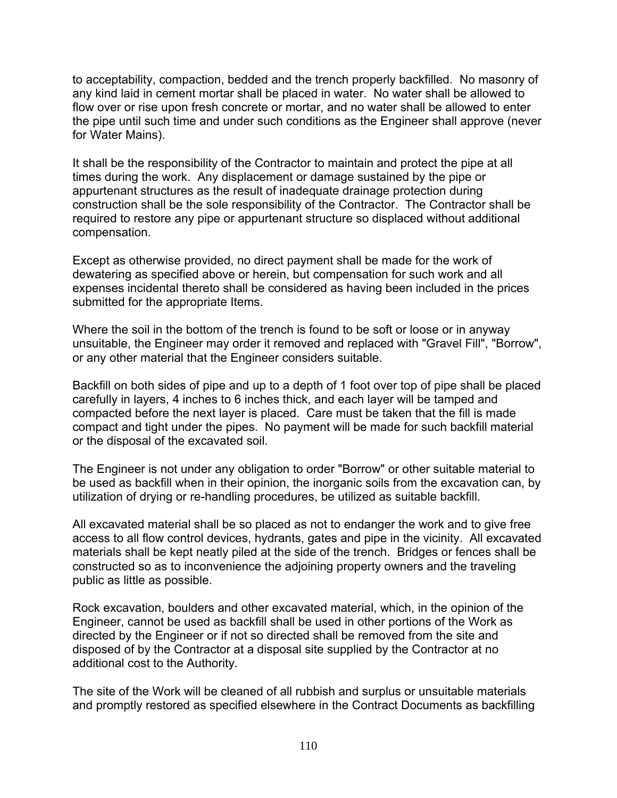to acceptability, compaction, bedded and the trench properly backfilled. No masonry of any kind laid in cement mortar shall be placed in water. No water shall be allowed to flow over or rise upon fresh concrete or mortar, and no water shall be allowed to enter the pipe until such time and under such conditions as the Engineer shall approve (never for Water Mains).

It shall be the responsibility of the Contractor to maintain and protect the pipe at all times during the work. Any displacement or damage sustained by the pipe or appurtenant structures as the result of inadequate drainage protection during construction shall be the sole responsibility of the Contractor. The Contractor shall be required to restore any pipe or appurtenant structure so displaced without additional compensation.

Except as otherwise provided, no direct payment shall be made for the work of dewatering as specified above or herein, but compensation for such work and all expenses incidental thereto shall be considered as having been included in the prices submitted for the appropriate Items.

Where the soil in the bottom of the trench is found to be soft or loose or in anyway unsuitable, the Engineer may order it removed and replaced with "Gravel Fill", "Borrow", or any other material that the Engineer considers suitable.

Backfill on both sides of pipe and up to a depth of 1 foot over top of pipe shall be placed carefully in layers, 4 inches to 6 inches thick, and each layer will be tamped and compacted before the next layer is placed. Care must be taken that the fill is made compact and tight under the pipes. No payment will be made for such backfill material or the disposal of the excavated soil.

The Engineer is not under any obligation to order "Borrow" or other suitable material to be used as backfill when in their opinion, the inorganic soils from the excavation can, by utilization of drying or re-handling procedures, be utilized as suitable backfill.

All excavated material shall be so placed as not to endanger the work and to give free access to all flow control devices, hydrants, gates and pipe in the vicinity. All excavated materials shall be kept neatly piled at the side of the trench. Bridges or fences shall be constructed so as to inconvenience the adjoining property owners and the traveling public as little as possible.

Rock excavation, boulders and other excavated material, which, in the opinion of the Engineer, cannot be used as backfill shall be used in other portions of the Work as directed by the Engineer or if not so directed shall be removed from the site and disposed of by the Contractor at a disposal site supplied by the Contractor at no additional cost to the Authority.

The site of the Work will be cleaned of all rubbish and surplus or unsuitable materials and promptly restored as specified elsewhere in the Contract Documents as backfilling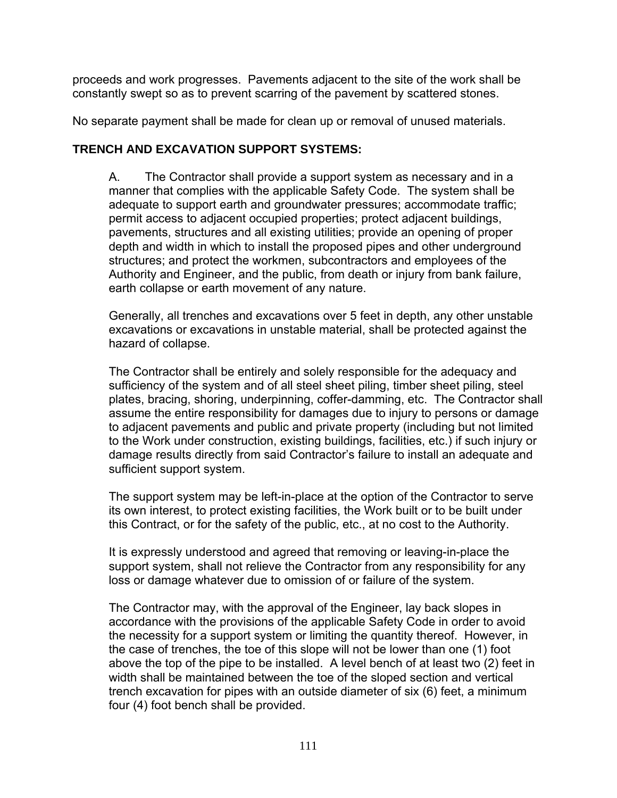proceeds and work progresses. Pavements adjacent to the site of the work shall be constantly swept so as to prevent scarring of the pavement by scattered stones.

No separate payment shall be made for clean up or removal of unused materials.

# **TRENCH AND EXCAVATION SUPPORT SYSTEMS:**

A. The Contractor shall provide a support system as necessary and in a manner that complies with the applicable Safety Code. The system shall be adequate to support earth and groundwater pressures; accommodate traffic; permit access to adjacent occupied properties; protect adjacent buildings, pavements, structures and all existing utilities; provide an opening of proper depth and width in which to install the proposed pipes and other underground structures; and protect the workmen, subcontractors and employees of the Authority and Engineer, and the public, from death or injury from bank failure, earth collapse or earth movement of any nature.

Generally, all trenches and excavations over 5 feet in depth, any other unstable excavations or excavations in unstable material, shall be protected against the hazard of collapse.

The Contractor shall be entirely and solely responsible for the adequacy and sufficiency of the system and of all steel sheet piling, timber sheet piling, steel plates, bracing, shoring, underpinning, coffer-damming, etc. The Contractor shall assume the entire responsibility for damages due to injury to persons or damage to adjacent pavements and public and private property (including but not limited to the Work under construction, existing buildings, facilities, etc.) if such injury or damage results directly from said Contractor's failure to install an adequate and sufficient support system.

The support system may be left-in-place at the option of the Contractor to serve its own interest, to protect existing facilities, the Work built or to be built under this Contract, or for the safety of the public, etc., at no cost to the Authority.

It is expressly understood and agreed that removing or leaving-in-place the support system, shall not relieve the Contractor from any responsibility for any loss or damage whatever due to omission of or failure of the system.

The Contractor may, with the approval of the Engineer, lay back slopes in accordance with the provisions of the applicable Safety Code in order to avoid the necessity for a support system or limiting the quantity thereof. However, in the case of trenches, the toe of this slope will not be lower than one (1) foot above the top of the pipe to be installed. A level bench of at least two (2) feet in width shall be maintained between the toe of the sloped section and vertical trench excavation for pipes with an outside diameter of six (6) feet, a minimum four (4) foot bench shall be provided.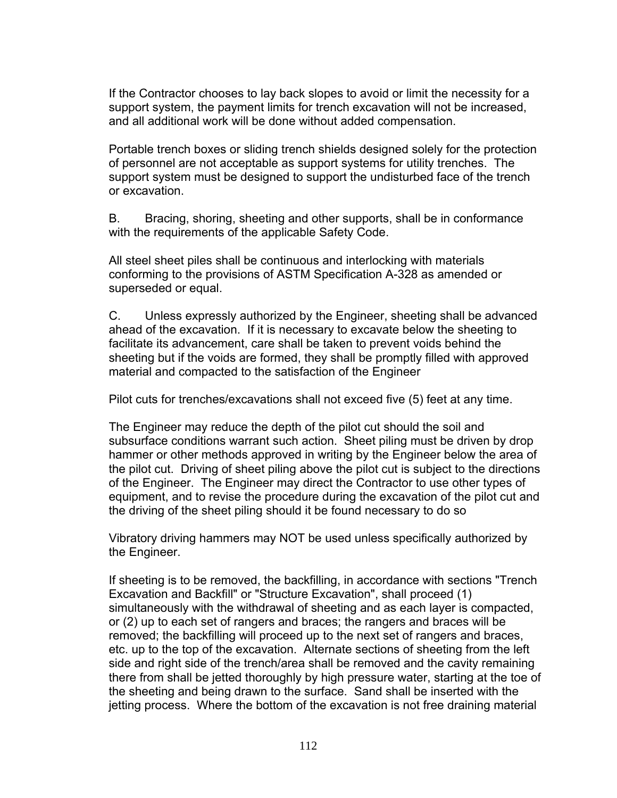If the Contractor chooses to lay back slopes to avoid or limit the necessity for a support system, the payment limits for trench excavation will not be increased, and all additional work will be done without added compensation.

Portable trench boxes or sliding trench shields designed solely for the protection of personnel are not acceptable as support systems for utility trenches. The support system must be designed to support the undisturbed face of the trench or excavation.

B. Bracing, shoring, sheeting and other supports, shall be in conformance with the requirements of the applicable Safety Code.

All steel sheet piles shall be continuous and interlocking with materials conforming to the provisions of ASTM Specification A-328 as amended or superseded or equal.

C. Unless expressly authorized by the Engineer, sheeting shall be advanced ahead of the excavation. If it is necessary to excavate below the sheeting to facilitate its advancement, care shall be taken to prevent voids behind the sheeting but if the voids are formed, they shall be promptly filled with approved material and compacted to the satisfaction of the Engineer

Pilot cuts for trenches/excavations shall not exceed five (5) feet at any time.

The Engineer may reduce the depth of the pilot cut should the soil and subsurface conditions warrant such action. Sheet piling must be driven by drop hammer or other methods approved in writing by the Engineer below the area of the pilot cut. Driving of sheet piling above the pilot cut is subject to the directions of the Engineer. The Engineer may direct the Contractor to use other types of equipment, and to revise the procedure during the excavation of the pilot cut and the driving of the sheet piling should it be found necessary to do so

Vibratory driving hammers may NOT be used unless specifically authorized by the Engineer.

If sheeting is to be removed, the backfilling, in accordance with sections "Trench Excavation and Backfill" or "Structure Excavation", shall proceed (1) simultaneously with the withdrawal of sheeting and as each layer is compacted, or (2) up to each set of rangers and braces; the rangers and braces will be removed; the backfilling will proceed up to the next set of rangers and braces, etc. up to the top of the excavation. Alternate sections of sheeting from the left side and right side of the trench/area shall be removed and the cavity remaining there from shall be jetted thoroughly by high pressure water, starting at the toe of the sheeting and being drawn to the surface. Sand shall be inserted with the jetting process. Where the bottom of the excavation is not free draining material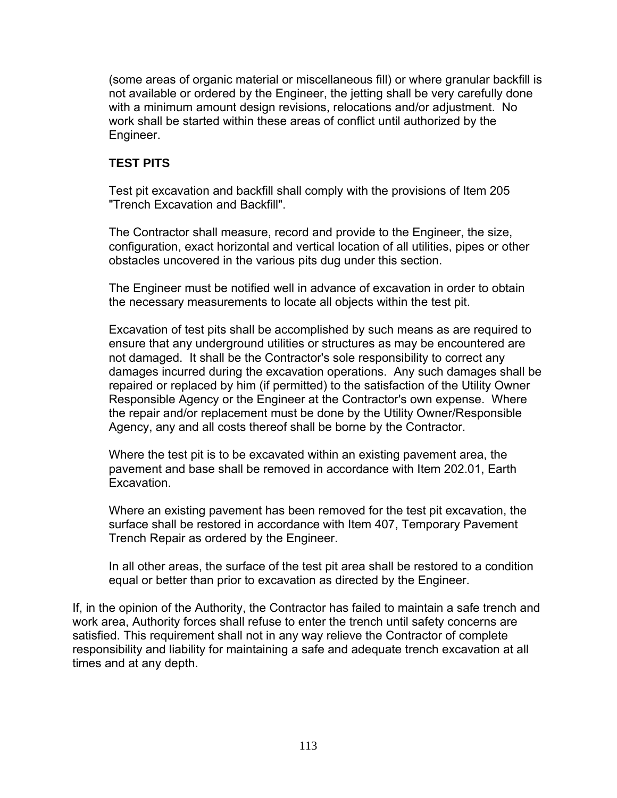(some areas of organic material or miscellaneous fill) or where granular backfill is not available or ordered by the Engineer, the jetting shall be very carefully done with a minimum amount design revisions, relocations and/or adjustment. No work shall be started within these areas of conflict until authorized by the Engineer.

# **TEST PITS**

Test pit excavation and backfill shall comply with the provisions of Item 205 "Trench Excavation and Backfill".

The Contractor shall measure, record and provide to the Engineer, the size, configuration, exact horizontal and vertical location of all utilities, pipes or other obstacles uncovered in the various pits dug under this section.

The Engineer must be notified well in advance of excavation in order to obtain the necessary measurements to locate all objects within the test pit.

Excavation of test pits shall be accomplished by such means as are required to ensure that any underground utilities or structures as may be encountered are not damaged. It shall be the Contractor's sole responsibility to correct any damages incurred during the excavation operations. Any such damages shall be repaired or replaced by him (if permitted) to the satisfaction of the Utility Owner Responsible Agency or the Engineer at the Contractor's own expense. Where the repair and/or replacement must be done by the Utility Owner/Responsible Agency, any and all costs thereof shall be borne by the Contractor.

Where the test pit is to be excavated within an existing pavement area, the pavement and base shall be removed in accordance with Item 202.01, Earth Excavation.

Where an existing pavement has been removed for the test pit excavation, the surface shall be restored in accordance with Item 407, Temporary Pavement Trench Repair as ordered by the Engineer.

In all other areas, the surface of the test pit area shall be restored to a condition equal or better than prior to excavation as directed by the Engineer.

If, in the opinion of the Authority, the Contractor has failed to maintain a safe trench and work area, Authority forces shall refuse to enter the trench until safety concerns are satisfied. This requirement shall not in any way relieve the Contractor of complete responsibility and liability for maintaining a safe and adequate trench excavation at all times and at any depth.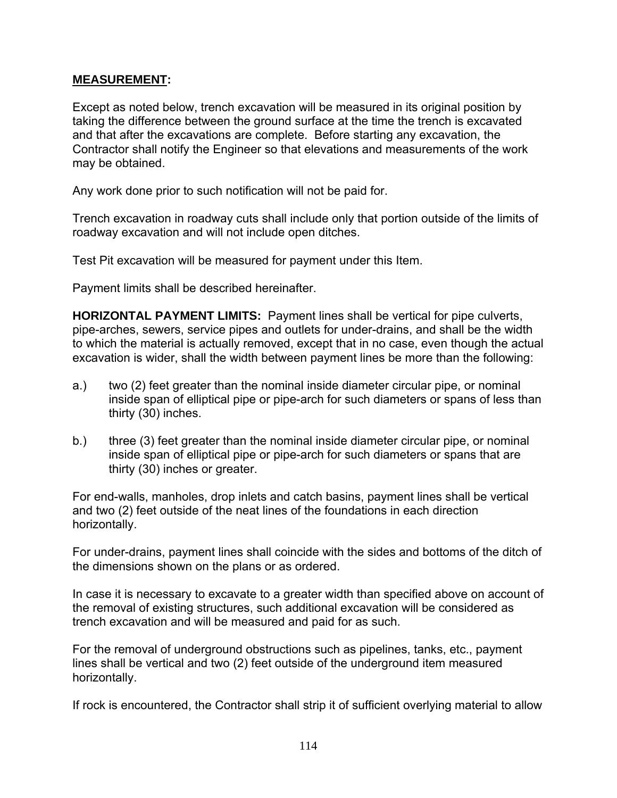#### **MEASUREMENT:**

Except as noted below, trench excavation will be measured in its original position by taking the difference between the ground surface at the time the trench is excavated and that after the excavations are complete. Before starting any excavation, the Contractor shall notify the Engineer so that elevations and measurements of the work may be obtained.

Any work done prior to such notification will not be paid for.

Trench excavation in roadway cuts shall include only that portion outside of the limits of roadway excavation and will not include open ditches.

Test Pit excavation will be measured for payment under this Item.

Payment limits shall be described hereinafter.

**HORIZONTAL PAYMENT LIMITS:** Payment lines shall be vertical for pipe culverts, pipe-arches, sewers, service pipes and outlets for under-drains, and shall be the width to which the material is actually removed, except that in no case, even though the actual excavation is wider, shall the width between payment lines be more than the following:

- a.) two (2) feet greater than the nominal inside diameter circular pipe, or nominal inside span of elliptical pipe or pipe-arch for such diameters or spans of less than thirty (30) inches.
- b.) three (3) feet greater than the nominal inside diameter circular pipe, or nominal inside span of elliptical pipe or pipe-arch for such diameters or spans that are thirty (30) inches or greater.

For end-walls, manholes, drop inlets and catch basins, payment lines shall be vertical and two (2) feet outside of the neat lines of the foundations in each direction horizontally.

For under-drains, payment lines shall coincide with the sides and bottoms of the ditch of the dimensions shown on the plans or as ordered.

In case it is necessary to excavate to a greater width than specified above on account of the removal of existing structures, such additional excavation will be considered as trench excavation and will be measured and paid for as such.

For the removal of underground obstructions such as pipelines, tanks, etc., payment lines shall be vertical and two (2) feet outside of the underground item measured horizontally.

If rock is encountered, the Contractor shall strip it of sufficient overlying material to allow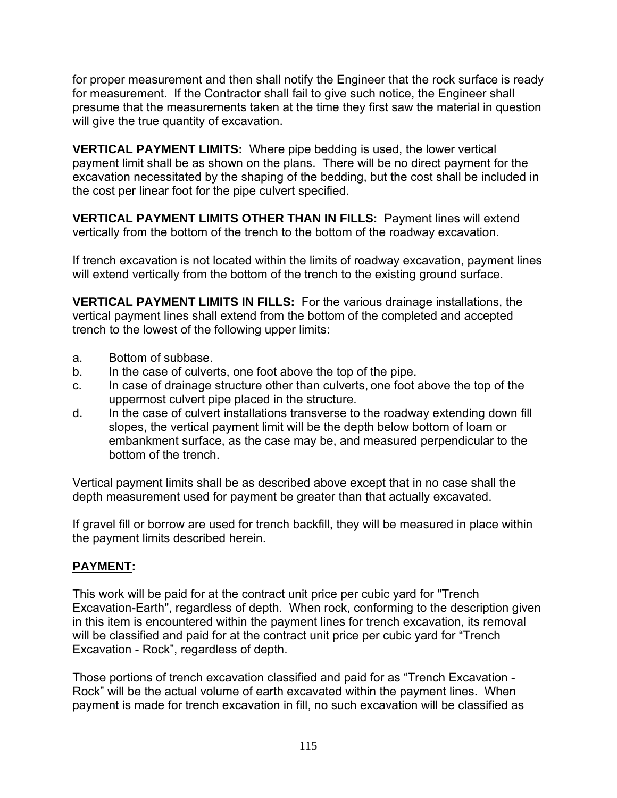for proper measurement and then shall notify the Engineer that the rock surface is ready for measurement. If the Contractor shall fail to give such notice, the Engineer shall presume that the measurements taken at the time they first saw the material in question will give the true quantity of excavation.

**VERTICAL PAYMENT LIMITS:** Where pipe bedding is used, the lower vertical payment limit shall be as shown on the plans. There will be no direct payment for the excavation necessitated by the shaping of the bedding, but the cost shall be included in the cost per linear foot for the pipe culvert specified.

**VERTICAL PAYMENT LIMITS OTHER THAN IN FILLS:** Payment lines will extend vertically from the bottom of the trench to the bottom of the roadway excavation.

If trench excavation is not located within the limits of roadway excavation, payment lines will extend vertically from the bottom of the trench to the existing ground surface.

**VERTICAL PAYMENT LIMITS IN FILLS:** For the various drainage installations, the vertical payment lines shall extend from the bottom of the completed and accepted trench to the lowest of the following upper limits:

- a.Bottom of subbase.
- b. In the case of culverts, one foot above the top of the pipe.
- c. In case of drainage structure other than culverts, one foot above the top of the uppermost culvert pipe placed in the structure.
- d. In the case of culvert installations transverse to the roadway extending down fill slopes, the vertical payment limit will be the depth below bottom of loam or embankment surface, as the case may be, and measured perpendicular to the bottom of the trench.

Vertical payment limits shall be as described above except that in no case shall the depth measurement used for payment be greater than that actually excavated.

If gravel fill or borrow are used for trench backfill, they will be measured in place within the payment limits described herein.

# **PAYMENT:**

This work will be paid for at the contract unit price per cubic yard for "Trench Excavation-Earth", regardless of depth. When rock, conforming to the description given in this item is encountered within the payment lines for trench excavation, its removal will be classified and paid for at the contract unit price per cubic yard for "Trench Excavation - Rock", regardless of depth.

Those portions of trench excavation classified and paid for as "Trench Excavation - Rock" will be the actual volume of earth excavated within the payment lines. When payment is made for trench excavation in fill, no such excavation will be classified as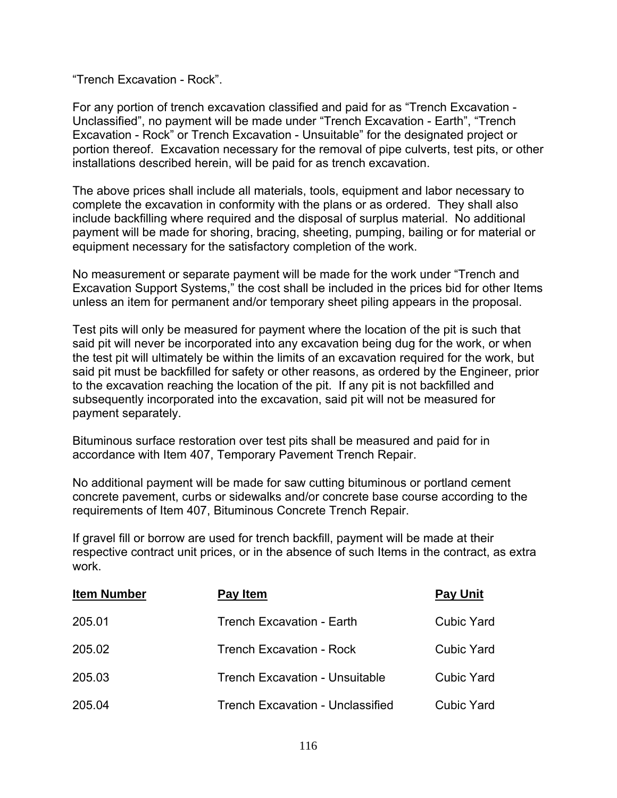"Trench Excavation - Rock".

For any portion of trench excavation classified and paid for as "Trench Excavation - Unclassified", no payment will be made under "Trench Excavation - Earth", "Trench Excavation - Rock" or Trench Excavation - Unsuitable" for the designated project or portion thereof. Excavation necessary for the removal of pipe culverts, test pits, or other installations described herein, will be paid for as trench excavation.

The above prices shall include all materials, tools, equipment and labor necessary to complete the excavation in conformity with the plans or as ordered. They shall also include backfilling where required and the disposal of surplus material. No additional payment will be made for shoring, bracing, sheeting, pumping, bailing or for material or equipment necessary for the satisfactory completion of the work.

No measurement or separate payment will be made for the work under "Trench and Excavation Support Systems," the cost shall be included in the prices bid for other Items unless an item for permanent and/or temporary sheet piling appears in the proposal.

Test pits will only be measured for payment where the location of the pit is such that said pit will never be incorporated into any excavation being dug for the work, or when the test pit will ultimately be within the limits of an excavation required for the work, but said pit must be backfilled for safety or other reasons, as ordered by the Engineer, prior to the excavation reaching the location of the pit. If any pit is not backfilled and subsequently incorporated into the excavation, said pit will not be measured for payment separately.

Bituminous surface restoration over test pits shall be measured and paid for in accordance with Item 407, Temporary Pavement Trench Repair.

No additional payment will be made for saw cutting bituminous or portland cement concrete pavement, curbs or sidewalks and/or concrete base course according to the requirements of Item 407, Bituminous Concrete Trench Repair.

If gravel fill or borrow are used for trench backfill, payment will be made at their respective contract unit prices, or in the absence of such Items in the contract, as extra work.

| <b>Item Number</b> | Pay Item                                | <b>Pay Unit</b>   |
|--------------------|-----------------------------------------|-------------------|
| 205.01             | <b>Trench Excavation - Earth</b>        | <b>Cubic Yard</b> |
| 205.02             | Trench Excavation - Rock                | <b>Cubic Yard</b> |
| 205.03             | <b>Trench Excavation - Unsuitable</b>   | <b>Cubic Yard</b> |
| 205.04             | <b>Trench Excavation - Unclassified</b> | <b>Cubic Yard</b> |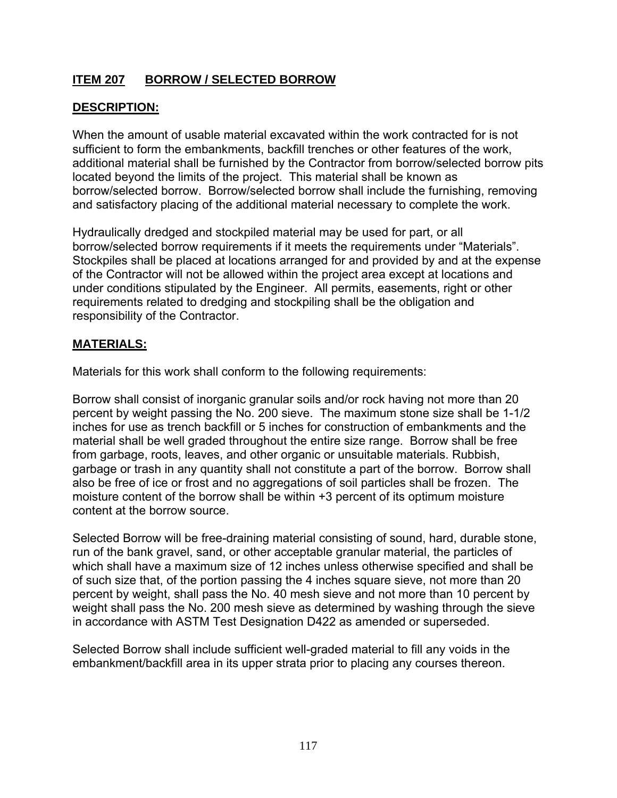# **ITEM 207 BORROW / SELECTED BORROW**

# **DESCRIPTION:**

When the amount of usable material excavated within the work contracted for is not sufficient to form the embankments, backfill trenches or other features of the work, additional material shall be furnished by the Contractor from borrow/selected borrow pits located beyond the limits of the project. This material shall be known as borrow/selected borrow. Borrow/selected borrow shall include the furnishing, removing and satisfactory placing of the additional material necessary to complete the work.

Hydraulically dredged and stockpiled material may be used for part, or all borrow/selected borrow requirements if it meets the requirements under "Materials". Stockpiles shall be placed at locations arranged for and provided by and at the expense of the Contractor will not be allowed within the project area except at locations and under conditions stipulated by the Engineer. All permits, easements, right or other requirements related to dredging and stockpiling shall be the obligation and responsibility of the Contractor.

## **MATERIALS:**

Materials for this work shall conform to the following requirements:

Borrow shall consist of inorganic granular soils and/or rock having not more than 20 percent by weight passing the No. 200 sieve. The maximum stone size shall be 1-1/2 inches for use as trench backfill or 5 inches for construction of embankments and the material shall be well graded throughout the entire size range. Borrow shall be free from garbage, roots, leaves, and other organic or unsuitable materials. Rubbish, garbage or trash in any quantity shall not constitute a part of the borrow. Borrow shall also be free of ice or frost and no aggregations of soil particles shall be frozen. The moisture content of the borrow shall be within +3 percent of its optimum moisture content at the borrow source.

Selected Borrow will be free-draining material consisting of sound, hard, durable stone, run of the bank gravel, sand, or other acceptable granular material, the particles of which shall have a maximum size of 12 inches unless otherwise specified and shall be of such size that, of the portion passing the 4 inches square sieve, not more than 20 percent by weight, shall pass the No. 40 mesh sieve and not more than 10 percent by weight shall pass the No. 200 mesh sieve as determined by washing through the sieve in accordance with ASTM Test Designation D422 as amended or superseded.

Selected Borrow shall include sufficient well-graded material to fill any voids in the embankment/backfill area in its upper strata prior to placing any courses thereon.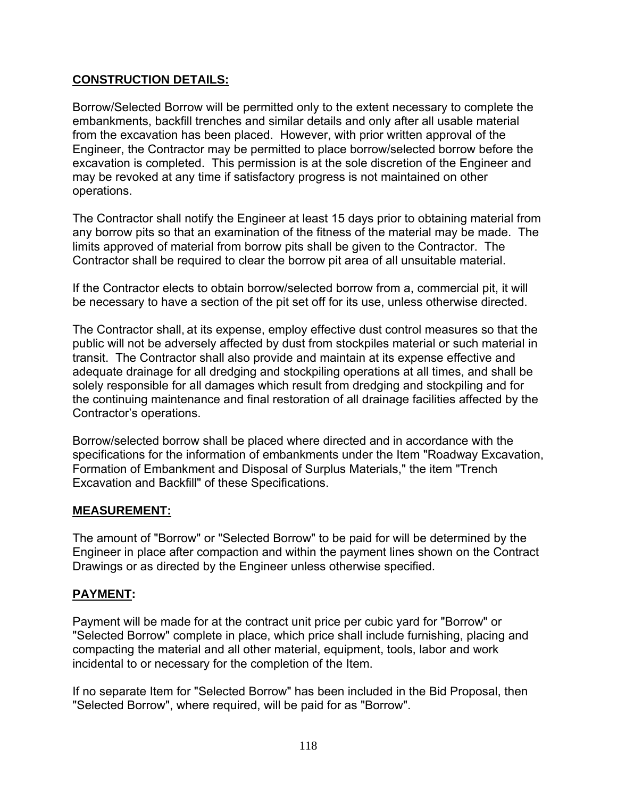# **CONSTRUCTION DETAILS:**

Borrow/Selected Borrow will be permitted only to the extent necessary to complete the embankments, backfill trenches and similar details and only after all usable material from the excavation has been placed. However, with prior written approval of the Engineer, the Contractor may be permitted to place borrow/selected borrow before the excavation is completed. This permission is at the sole discretion of the Engineer and may be revoked at any time if satisfactory progress is not maintained on other operations.

The Contractor shall notify the Engineer at least 15 days prior to obtaining material from any borrow pits so that an examination of the fitness of the material may be made. The limits approved of material from borrow pits shall be given to the Contractor. The Contractor shall be required to clear the borrow pit area of all unsuitable material.

If the Contractor elects to obtain borrow/selected borrow from a, commercial pit, it will be necessary to have a section of the pit set off for its use, unless otherwise directed.

The Contractor shall, at its expense, employ effective dust control measures so that the public will not be adversely affected by dust from stockpiles material or such material in transit. The Contractor shall also provide and maintain at its expense effective and adequate drainage for all dredging and stockpiling operations at all times, and shall be solely responsible for all damages which result from dredging and stockpiling and for the continuing maintenance and final restoration of all drainage facilities affected by the Contractor's operations.

Borrow/selected borrow shall be placed where directed and in accordance with the specifications for the information of embankments under the Item "Roadway Excavation, Formation of Embankment and Disposal of Surplus Materials," the item "Trench Excavation and Backfill" of these Specifications.

## **MEASUREMENT:**

The amount of "Borrow" or "Selected Borrow" to be paid for will be determined by the Engineer in place after compaction and within the payment lines shown on the Contract Drawings or as directed by the Engineer unless otherwise specified.

# **PAYMENT:**

Payment will be made for at the contract unit price per cubic yard for "Borrow" or "Selected Borrow" complete in place, which price shall include furnishing, placing and compacting the material and all other material, equipment, tools, labor and work incidental to or necessary for the completion of the Item.

If no separate Item for "Selected Borrow" has been included in the Bid Proposal, then "Selected Borrow", where required, will be paid for as "Borrow".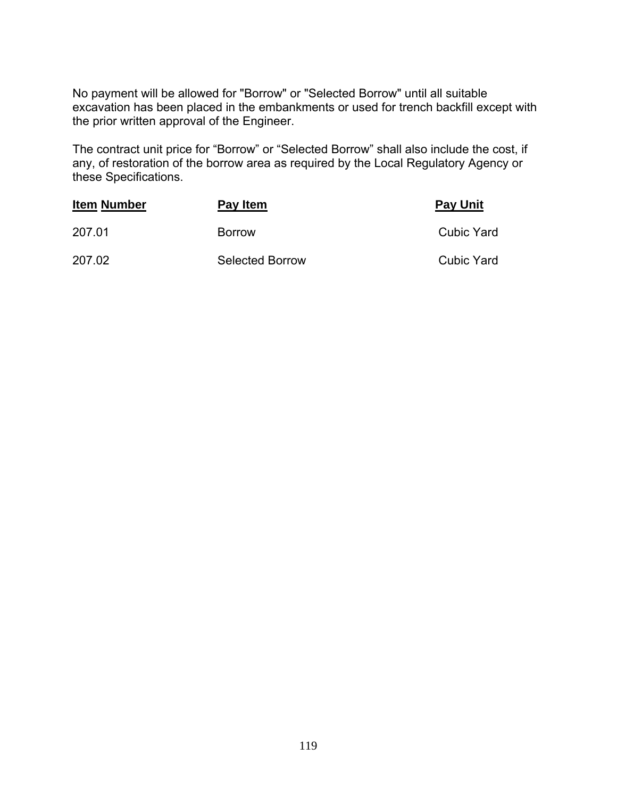No payment will be allowed for "Borrow" or "Selected Borrow" until all suitable excavation has been placed in the embankments or used for trench backfill except with the prior written approval of the Engineer.

The contract unit price for "Borrow" or "Selected Borrow" shall also include the cost, if any, of restoration of the borrow area as required by the Local Regulatory Agency or these Specifications.

| <b>Item Number</b> | Pay Item               | <b>Pay Unit</b> |
|--------------------|------------------------|-----------------|
| 207.01             | <b>Borrow</b>          | Cubic Yard      |
| 207.02             | <b>Selected Borrow</b> | Cubic Yard      |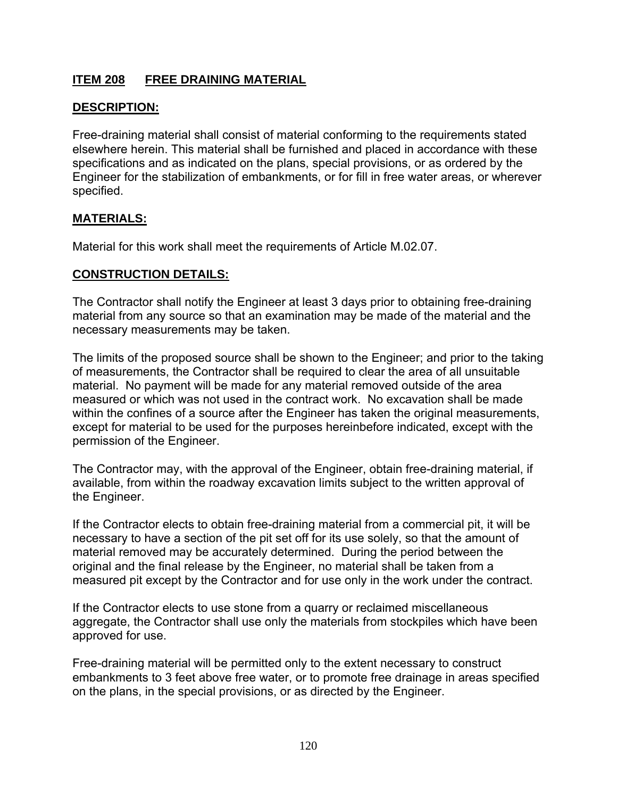# **ITEM 208 FREE DRAINING MATERIAL**

## **DESCRIPTION:**

Free-draining material shall consist of material conforming to the requirements stated elsewhere herein. This material shall be furnished and placed in accordance with these specifications and as indicated on the plans, special provisions, or as ordered by the Engineer for the stabilization of embankments, or for fill in free water areas, or wherever specified.

#### **MATERIALS:**

Material for this work shall meet the requirements of Article M.02.07.

## **CONSTRUCTION DETAILS:**

The Contractor shall notify the Engineer at least 3 days prior to obtaining free-draining material from any source so that an examination may be made of the material and the necessary measurements may be taken.

The limits of the proposed source shall be shown to the Engineer; and prior to the taking of measurements, the Contractor shall be required to clear the area of all unsuitable material. No payment will be made for any material removed outside of the area measured or which was not used in the contract work. No excavation shall be made within the confines of a source after the Engineer has taken the original measurements, except for material to be used for the purposes hereinbefore indicated, except with the permission of the Engineer.

The Contractor may, with the approval of the Engineer, obtain free-draining material, if available, from within the roadway excavation limits subject to the written approval of the Engineer.

If the Contractor elects to obtain free-draining material from a commercial pit, it will be necessary to have a section of the pit set off for its use solely, so that the amount of material removed may be accurately determined. During the period between the original and the final release by the Engineer, no material shall be taken from a measured pit except by the Contractor and for use only in the work under the contract.

If the Contractor elects to use stone from a quarry or reclaimed miscellaneous aggregate, the Contractor shall use only the materials from stockpiles which have been approved for use.

Free-draining material will be permitted only to the extent necessary to construct embankments to 3 feet above free water, or to promote free drainage in areas specified on the plans, in the special provisions, or as directed by the Engineer.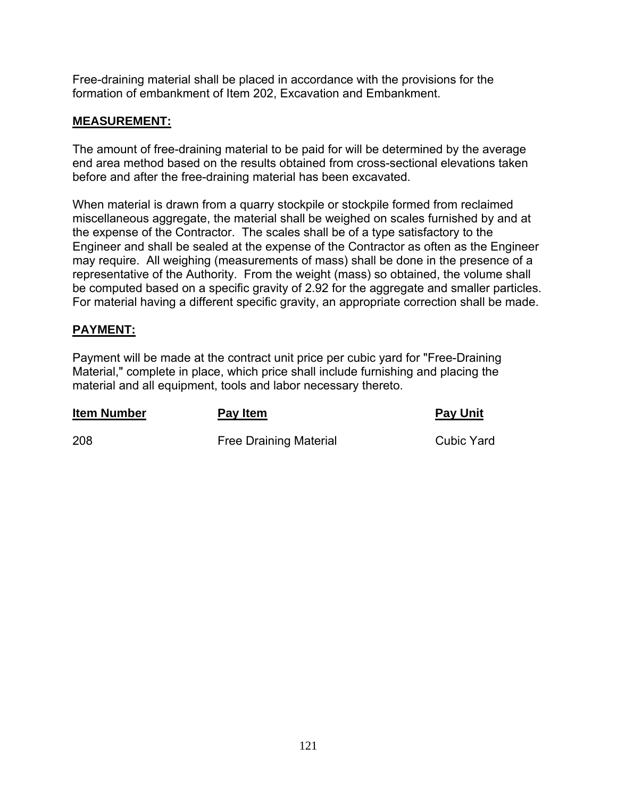Free-draining material shall be placed in accordance with the provisions for the formation of embankment of Item 202, Excavation and Embankment.

## **MEASUREMENT:**

The amount of free-draining material to be paid for will be determined by the average end area method based on the results obtained from cross-sectional elevations taken before and after the free-draining material has been excavated.

When material is drawn from a quarry stockpile or stockpile formed from reclaimed miscellaneous aggregate, the material shall be weighed on scales furnished by and at the expense of the Contractor. The scales shall be of a type satisfactory to the Engineer and shall be sealed at the expense of the Contractor as often as the Engineer may require. All weighing (measurements of mass) shall be done in the presence of a representative of the Authority. From the weight (mass) so obtained, the volume shall be computed based on a specific gravity of 2.92 for the aggregate and smaller particles. For material having a different specific gravity, an appropriate correction shall be made.

#### **PAYMENT:**

Payment will be made at the contract unit price per cubic yard for "Free-Draining Material," complete in place, which price shall include furnishing and placing the material and all equipment, tools and labor necessary thereto.

| <b>Item Number</b> | Pay Item                      | <b>Pay Unit</b> |
|--------------------|-------------------------------|-----------------|
| 208                | <b>Free Draining Material</b> | Cubic Yard      |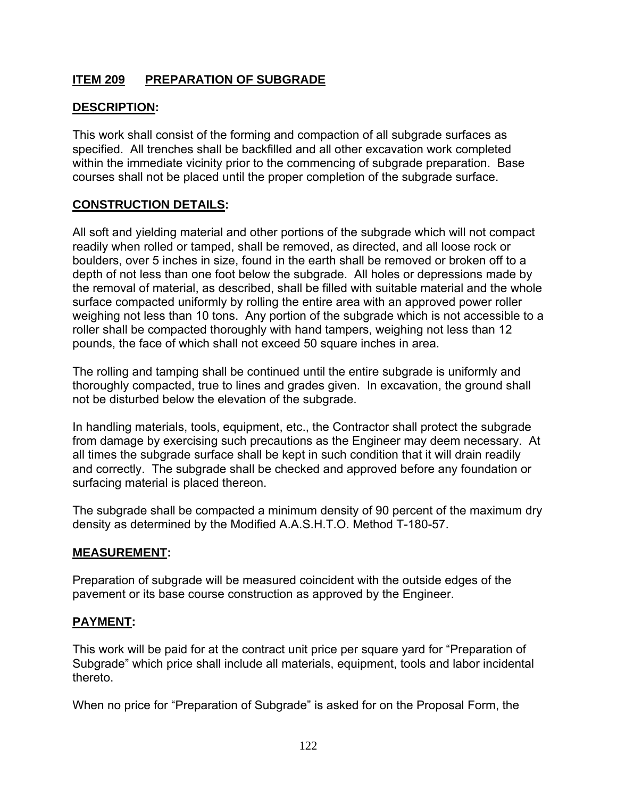# **ITEM 209 PREPARATION OF SUBGRADE**

## **DESCRIPTION:**

This work shall consist of the forming and compaction of all subgrade surfaces as specified. All trenches shall be backfilled and all other excavation work completed within the immediate vicinity prior to the commencing of subgrade preparation. Base courses shall not be placed until the proper completion of the subgrade surface.

## **CONSTRUCTION DETAILS:**

All soft and yielding material and other portions of the subgrade which will not compact readily when rolled or tamped, shall be removed, as directed, and all loose rock or boulders, over 5 inches in size, found in the earth shall be removed or broken off to a depth of not less than one foot below the subgrade. All holes or depressions made by the removal of material, as described, shall be filled with suitable material and the whole surface compacted uniformly by rolling the entire area with an approved power roller weighing not less than 10 tons. Any portion of the subgrade which is not accessible to a roller shall be compacted thoroughly with hand tampers, weighing not less than 12 pounds, the face of which shall not exceed 50 square inches in area.

The rolling and tamping shall be continued until the entire subgrade is uniformly and thoroughly compacted, true to lines and grades given. In excavation, the ground shall not be disturbed below the elevation of the subgrade.

In handling materials, tools, equipment, etc., the Contractor shall protect the subgrade from damage by exercising such precautions as the Engineer may deem necessary. At all times the subgrade surface shall be kept in such condition that it will drain readily and correctly. The subgrade shall be checked and approved before any foundation or surfacing material is placed thereon.

The subgrade shall be compacted a minimum density of 90 percent of the maximum dry density as determined by the Modified A.A.S.H.T.O. Method T-180-57.

#### **MEASUREMENT:**

Preparation of subgrade will be measured coincident with the outside edges of the pavement or its base course construction as approved by the Engineer.

#### **PAYMENT:**

This work will be paid for at the contract unit price per square yard for "Preparation of Subgrade" which price shall include all materials, equipment, tools and labor incidental thereto.

When no price for "Preparation of Subgrade" is asked for on the Proposal Form, the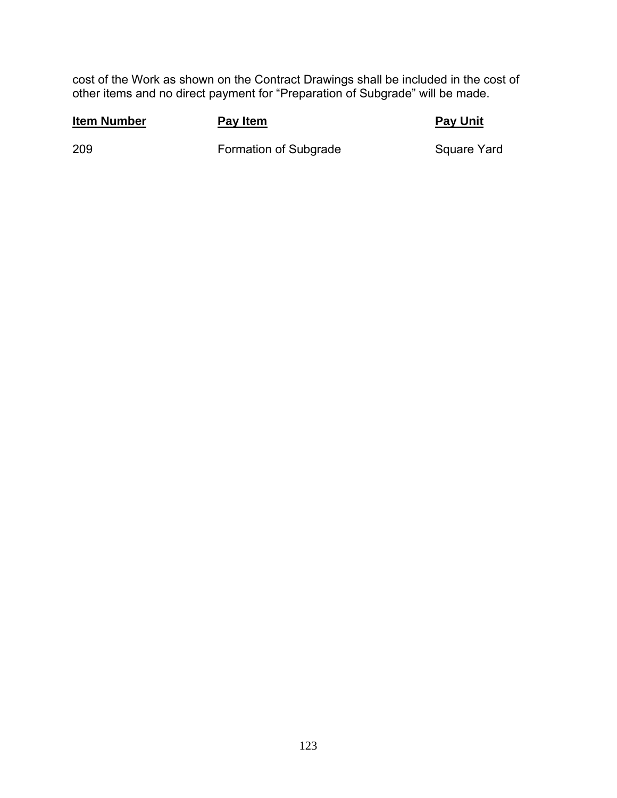cost of the Work as shown on the Contract Drawings shall be included in the cost of other items and no direct payment for "Preparation of Subgrade" will be made.

#### **Item Number Pay Item Pay Item Pay Pay Unit**

209 **Formation of Subgrade** Square Yard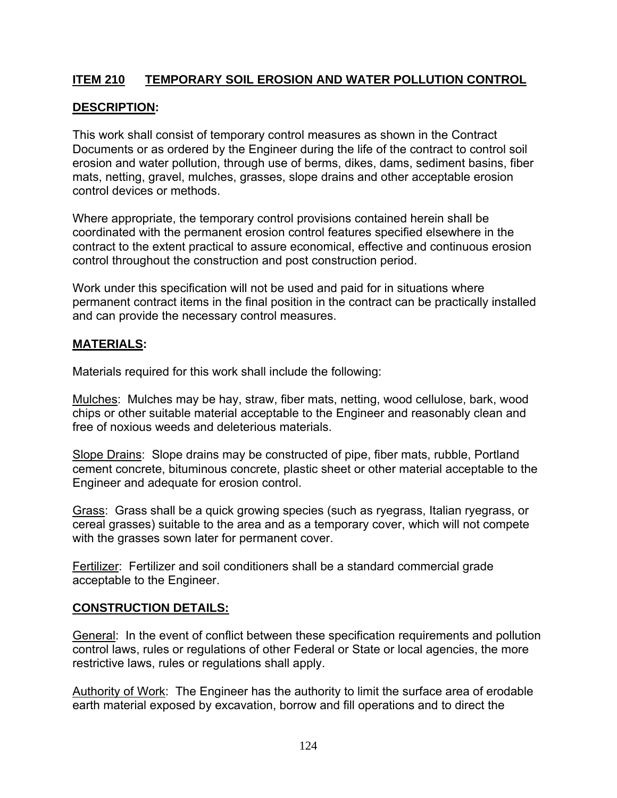# **ITEM 210 TEMPORARY SOIL EROSION AND WATER POLLUTION CONTROL**

# **DESCRIPTION:**

This work shall consist of temporary control measures as shown in the Contract Documents or as ordered by the Engineer during the life of the contract to control soil erosion and water pollution, through use of berms, dikes, dams, sediment basins, fiber mats, netting, gravel, mulches, grasses, slope drains and other acceptable erosion control devices or methods.

Where appropriate, the temporary control provisions contained herein shall be coordinated with the permanent erosion control features specified elsewhere in the contract to the extent practical to assure economical, effective and continuous erosion control throughout the construction and post construction period.

Work under this specification will not be used and paid for in situations where permanent contract items in the final position in the contract can be practically installed and can provide the necessary control measures.

## **MATERIALS:**

Materials required for this work shall include the following:

Mulches: Mulches may be hay, straw, fiber mats, netting, wood cellulose, bark, wood chips or other suitable material acceptable to the Engineer and reasonably clean and free of noxious weeds and deleterious materials.

Slope Drains: Slope drains may be constructed of pipe, fiber mats, rubble, Portland cement concrete, bituminous concrete, plastic sheet or other material acceptable to the Engineer and adequate for erosion control.

Grass: Grass shall be a quick growing species (such as ryegrass, Italian ryegrass, or cereal grasses) suitable to the area and as a temporary cover, which will not compete with the grasses sown later for permanent cover.

Fertilizer: Fertilizer and soil conditioners shall be a standard commercial grade acceptable to the Engineer.

## **CONSTRUCTION DETAILS:**

General: In the event of conflict between these specification requirements and pollution control laws, rules or regulations of other Federal or State or local agencies, the more restrictive laws, rules or regulations shall apply.

Authority of Work: The Engineer has the authority to limit the surface area of erodable earth material exposed by excavation, borrow and fill operations and to direct the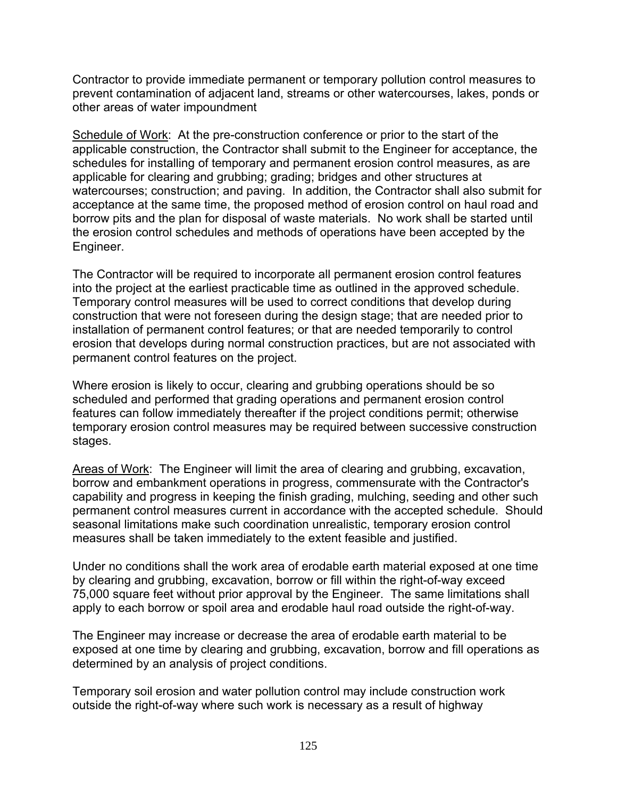Contractor to provide immediate permanent or temporary pollution control measures to prevent contamination of adjacent land, streams or other watercourses, lakes, ponds or other areas of water impoundment

Schedule of Work: At the pre-construction conference or prior to the start of the applicable construction, the Contractor shall submit to the Engineer for acceptance, the schedules for installing of temporary and permanent erosion control measures, as are applicable for clearing and grubbing; grading; bridges and other structures at watercourses; construction; and paving. In addition, the Contractor shall also submit for acceptance at the same time, the proposed method of erosion control on haul road and borrow pits and the plan for disposal of waste materials. No work shall be started until the erosion control schedules and methods of operations have been accepted by the Engineer.

The Contractor will be required to incorporate all permanent erosion control features into the project at the earliest practicable time as outlined in the approved schedule. Temporary control measures will be used to correct conditions that develop during construction that were not foreseen during the design stage; that are needed prior to installation of permanent control features; or that are needed temporarily to control erosion that develops during normal construction practices, but are not associated with permanent control features on the project.

Where erosion is likely to occur, clearing and grubbing operations should be so scheduled and performed that grading operations and permanent erosion control features can follow immediately thereafter if the project conditions permit; otherwise temporary erosion control measures may be required between successive construction stages.

Areas of Work: The Engineer will limit the area of clearing and grubbing, excavation, borrow and embankment operations in progress, commensurate with the Contractor's capability and progress in keeping the finish grading, mulching, seeding and other such permanent control measures current in accordance with the accepted schedule. Should seasonal limitations make such coordination unrealistic, temporary erosion control measures shall be taken immediately to the extent feasible and justified.

Under no conditions shall the work area of erodable earth material exposed at one time by clearing and grubbing, excavation, borrow or fill within the right-of-way exceed 75,000 square feet without prior approval by the Engineer. The same limitations shall apply to each borrow or spoil area and erodable haul road outside the right-of-way.

The Engineer may increase or decrease the area of erodable earth material to be exposed at one time by clearing and grubbing, excavation, borrow and fill operations as determined by an analysis of project conditions.

Temporary soil erosion and water pollution control may include construction work outside the right-of-way where such work is necessary as a result of highway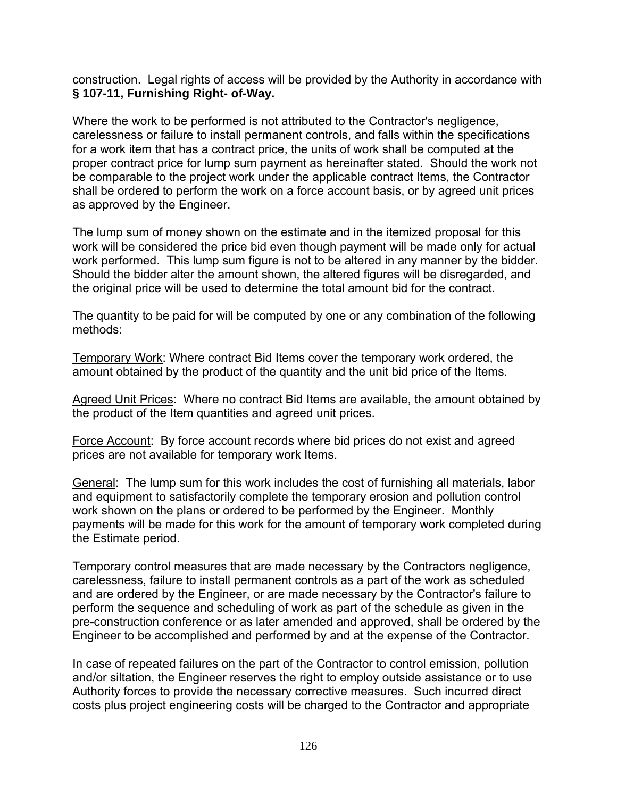construction. Legal rights of access will be provided by the Authority in accordance with **§ 107-11, Furnishing Right- of-Way.**

Where the work to be performed is not attributed to the Contractor's negligence, carelessness or failure to install permanent controls, and falls within the specifications for a work item that has a contract price, the units of work shall be computed at the proper contract price for lump sum payment as hereinafter stated. Should the work not be comparable to the project work under the applicable contract Items, the Contractor shall be ordered to perform the work on a force account basis, or by agreed unit prices as approved by the Engineer.

The lump sum of money shown on the estimate and in the itemized proposal for this work will be considered the price bid even though payment will be made only for actual work performed. This lump sum figure is not to be altered in any manner by the bidder. Should the bidder alter the amount shown, the altered figures will be disregarded, and the original price will be used to determine the total amount bid for the contract.

The quantity to be paid for will be computed by one or any combination of the following methods:

Temporary Work: Where contract Bid Items cover the temporary work ordered, the amount obtained by the product of the quantity and the unit bid price of the Items.

Agreed Unit Prices: Where no contract Bid Items are available, the amount obtained by the product of the Item quantities and agreed unit prices.

Force Account: By force account records where bid prices do not exist and agreed prices are not available for temporary work Items.

General: The lump sum for this work includes the cost of furnishing all materials, labor and equipment to satisfactorily complete the temporary erosion and pollution control work shown on the plans or ordered to be performed by the Engineer. Monthly payments will be made for this work for the amount of temporary work completed during the Estimate period.

Temporary control measures that are made necessary by the Contractors negligence, carelessness, failure to install permanent controls as a part of the work as scheduled and are ordered by the Engineer, or are made necessary by the Contractor's failure to perform the sequence and scheduling of work as part of the schedule as given in the pre-construction conference or as later amended and approved, shall be ordered by the Engineer to be accomplished and performed by and at the expense of the Contractor.

In case of repeated failures on the part of the Contractor to control emission, pollution and/or siltation, the Engineer reserves the right to employ outside assistance or to use Authority forces to provide the necessary corrective measures. Such incurred direct costs plus project engineering costs will be charged to the Contractor and appropriate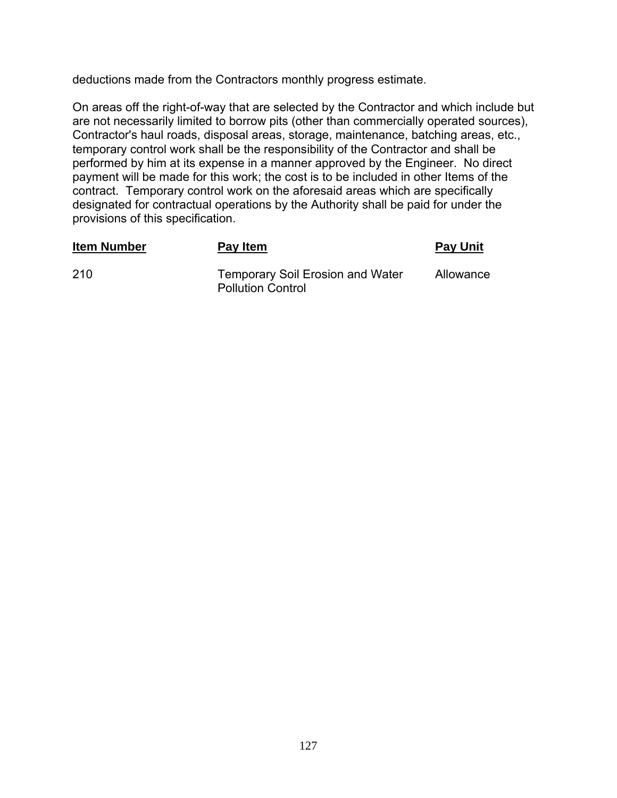deductions made from the Contractors monthly progress estimate.

On areas off the right-of-way that are selected by the Contractor and which include but are not necessarily limited to borrow pits (other than commercially operated sources), Contractor's haul roads, disposal areas, storage, maintenance, batching areas, etc., temporary control work shall be the responsibility of the Contractor and shall be performed by him at its expense in a manner approved by the Engineer. No direct payment will be made for this work; the cost is to be included in other Items of the contract. Temporary control work on the aforesaid areas which are specifically designated for contractual operations by the Authority shall be paid for under the provisions of this specification.

| <b>Item Number</b> | Pay Item                                                            | <b>Pay Unit</b> |
|--------------------|---------------------------------------------------------------------|-----------------|
| -210               | <b>Temporary Soil Erosion and Water</b><br><b>Pollution Control</b> | Allowance       |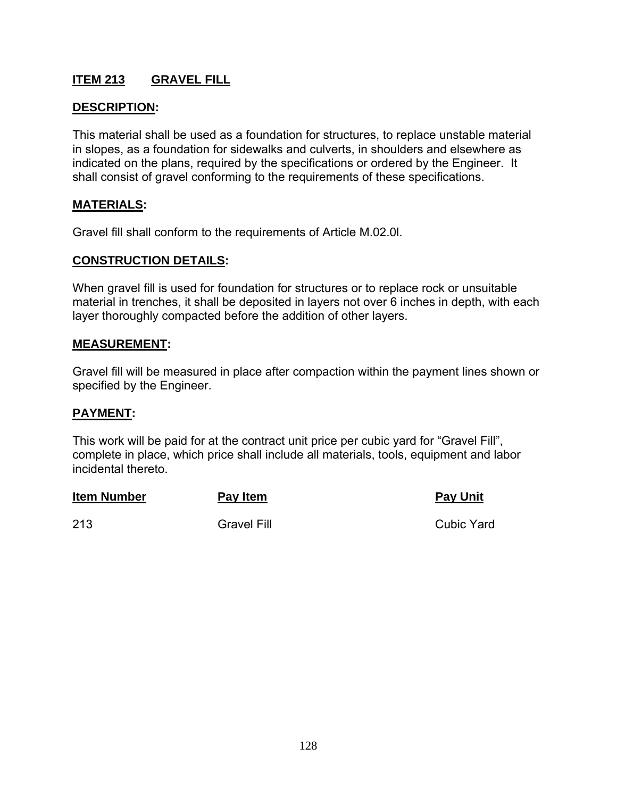# **ITEM 213 GRAVEL FILL**

#### **DESCRIPTION:**

This material shall be used as a foundation for structures, to replace unstable material in slopes, as a foundation for sidewalks and culverts, in shoulders and elsewhere as indicated on the plans, required by the specifications or ordered by the Engineer. It shall consist of gravel conforming to the requirements of these specifications.

#### **MATERIALS:**

Gravel fill shall conform to the requirements of Article M.02.0l.

#### **CONSTRUCTION DETAILS:**

When gravel fill is used for foundation for structures or to replace rock or unsuitable material in trenches, it shall be deposited in layers not over 6 inches in depth, with each layer thoroughly compacted before the addition of other layers.

#### **MEASUREMENT:**

Gravel fill will be measured in place after compaction within the payment lines shown or specified by the Engineer.

#### **PAYMENT:**

This work will be paid for at the contract unit price per cubic yard for "Gravel Fill", complete in place, which price shall include all materials, tools, equipment and labor incidental thereto.

| <b>Item Number</b> | Pay Item           | <b>Pay Unit</b>   |
|--------------------|--------------------|-------------------|
| 213                | <b>Gravel Fill</b> | <b>Cubic Yard</b> |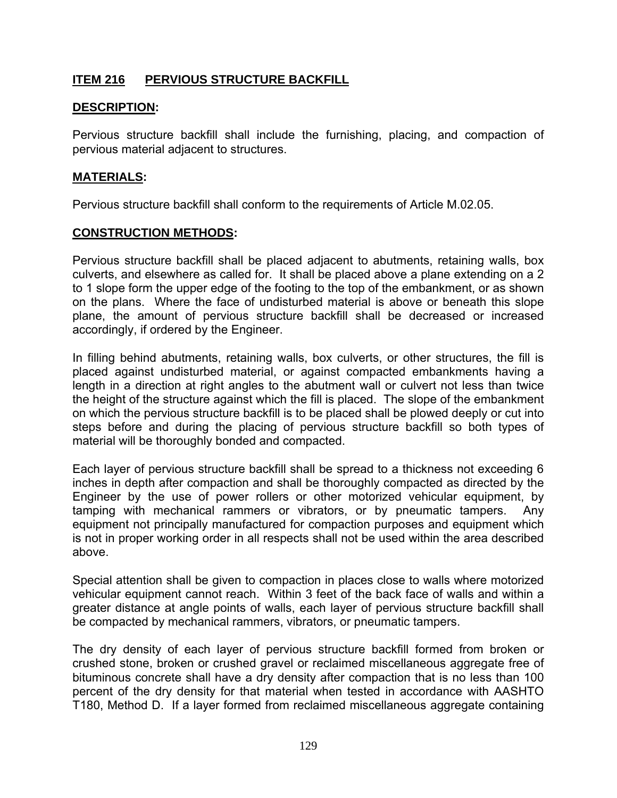# **ITEM 216 PERVIOUS STRUCTURE BACKFILL**

## **DESCRIPTION:**

Pervious structure backfill shall include the furnishing, placing, and compaction of pervious material adjacent to structures.

#### **MATERIALS:**

Pervious structure backfill shall conform to the requirements of Article M.02.05.

#### **CONSTRUCTION METHODS:**

Pervious structure backfill shall be placed adjacent to abutments, retaining walls, box culverts, and elsewhere as called for. It shall be placed above a plane extending on a 2 to 1 slope form the upper edge of the footing to the top of the embankment, or as shown on the plans. Where the face of undisturbed material is above or beneath this slope plane, the amount of pervious structure backfill shall be decreased or increased accordingly, if ordered by the Engineer.

In filling behind abutments, retaining walls, box culverts, or other structures, the fill is placed against undisturbed material, or against compacted embankments having a length in a direction at right angles to the abutment wall or culvert not less than twice the height of the structure against which the fill is placed. The slope of the embankment on which the pervious structure backfill is to be placed shall be plowed deeply or cut into steps before and during the placing of pervious structure backfill so both types of material will be thoroughly bonded and compacted.

Each layer of pervious structure backfill shall be spread to a thickness not exceeding 6 inches in depth after compaction and shall be thoroughly compacted as directed by the Engineer by the use of power rollers or other motorized vehicular equipment, by tamping with mechanical rammers or vibrators, or by pneumatic tampers. Any equipment not principally manufactured for compaction purposes and equipment which is not in proper working order in all respects shall not be used within the area described above.

Special attention shall be given to compaction in places close to walls where motorized vehicular equipment cannot reach. Within 3 feet of the back face of walls and within a greater distance at angle points of walls, each layer of pervious structure backfill shall be compacted by mechanical rammers, vibrators, or pneumatic tampers.

The dry density of each layer of pervious structure backfill formed from broken or crushed stone, broken or crushed gravel or reclaimed miscellaneous aggregate free of bituminous concrete shall have a dry density after compaction that is no less than 100 percent of the dry density for that material when tested in accordance with AASHTO T180, Method D. If a layer formed from reclaimed miscellaneous aggregate containing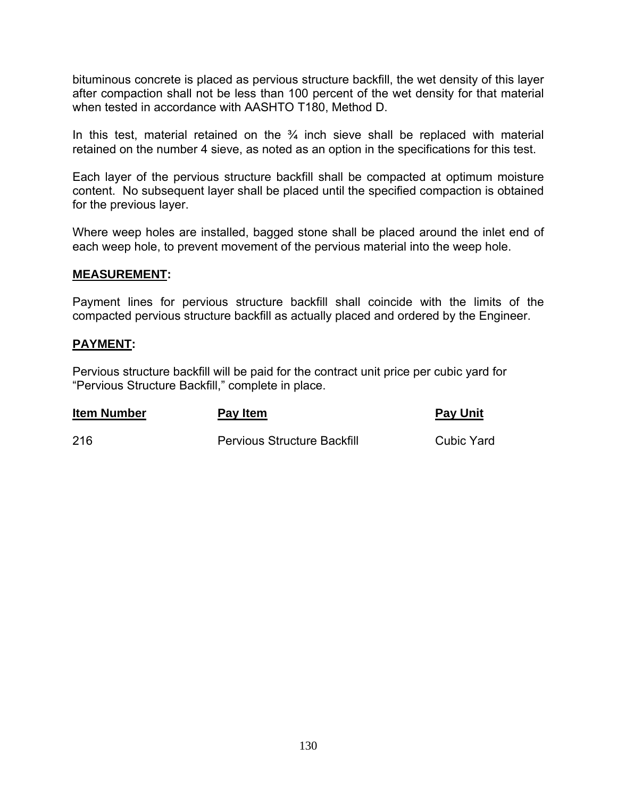bituminous concrete is placed as pervious structure backfill, the wet density of this layer after compaction shall not be less than 100 percent of the wet density for that material when tested in accordance with AASHTO T180, Method D.

In this test, material retained on the  $\frac{3}{4}$  inch sieve shall be replaced with material retained on the number 4 sieve, as noted as an option in the specifications for this test.

Each layer of the pervious structure backfill shall be compacted at optimum moisture content. No subsequent layer shall be placed until the specified compaction is obtained for the previous layer.

Where weep holes are installed, bagged stone shall be placed around the inlet end of each weep hole, to prevent movement of the pervious material into the weep hole.

## **MEASUREMENT:**

Payment lines for pervious structure backfill shall coincide with the limits of the compacted pervious structure backfill as actually placed and ordered by the Engineer.

## **PAYMENT:**

Pervious structure backfill will be paid for the contract unit price per cubic yard for "Pervious Structure Backfill," complete in place.

| <b>Item Number</b> | Pay Item                           | <b>Pay Unit</b> |
|--------------------|------------------------------------|-----------------|
| 216                | <b>Pervious Structure Backfill</b> | Cubic Yard      |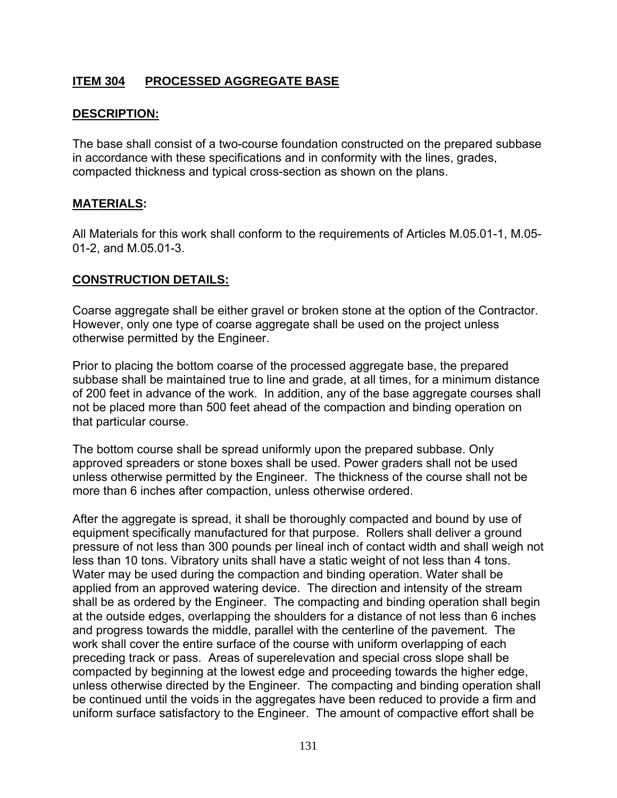# **ITEM 304 PROCESSED AGGREGATE BASE**

#### **DESCRIPTION:**

The base shall consist of a two-course foundation constructed on the prepared subbase in accordance with these specifications and in conformity with the lines, grades, compacted thickness and typical cross-section as shown on the plans.

#### **MATERIALS:**

All Materials for this work shall conform to the requirements of Articles M.05.01-1, M.05- 01-2, and M.05.01-3.

#### **CONSTRUCTION DETAILS:**

Coarse aggregate shall be either gravel or broken stone at the option of the Contractor. However, only one type of coarse aggregate shall be used on the project unless otherwise permitted by the Engineer.

Prior to placing the bottom coarse of the processed aggregate base, the prepared subbase shall be maintained true to line and grade, at all times, for a minimum distance of 200 feet in advance of the work. In addition, any of the base aggregate courses shall not be placed more than 500 feet ahead of the compaction and binding operation on that particular course.

The bottom course shall be spread uniformly upon the prepared subbase. Only approved spreaders or stone boxes shall be used. Power graders shall not be used unless otherwise permitted by the Engineer. The thickness of the course shall not be more than 6 inches after compaction, unless otherwise ordered.

After the aggregate is spread, it shall be thoroughly compacted and bound by use of equipment specifically manufactured for that purpose. Rollers shall deliver a ground pressure of not less than 300 pounds per lineal inch of contact width and shall weigh not less than 10 tons. Vibratory units shall have a static weight of not less than 4 tons. Water may be used during the compaction and binding operation. Water shall be applied from an approved watering device. The direction and intensity of the stream shall be as ordered by the Engineer. The compacting and binding operation shall begin at the outside edges, overlapping the shoulders for a distance of not less than 6 inches and progress towards the middle, parallel with the centerline of the pavement. The work shall cover the entire surface of the course with uniform overlapping of each preceding track or pass. Areas of superelevation and special cross slope shall be compacted by beginning at the lowest edge and proceeding towards the higher edge, unless otherwise directed by the Engineer. The compacting and binding operation shall be continued until the voids in the aggregates have been reduced to provide a firm and uniform surface satisfactory to the Engineer. The amount of compactive effort shall be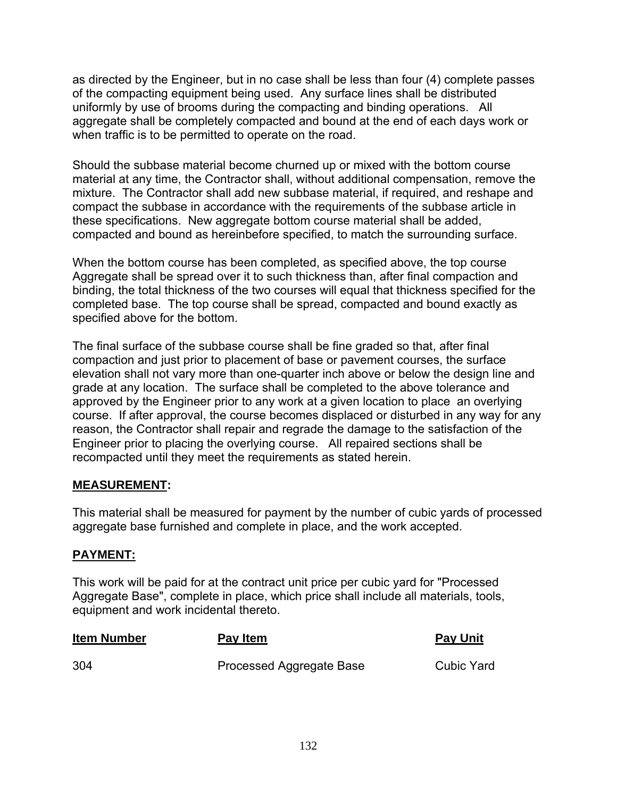as directed by the Engineer, but in no case shall be less than four (4) complete passes of the compacting equipment being used. Any surface lines shall be distributed uniformly by use of brooms during the compacting and binding operations. All aggregate shall be completely compacted and bound at the end of each days work or when traffic is to be permitted to operate on the road.

Should the subbase material become churned up or mixed with the bottom course material at any time, the Contractor shall, without additional compensation, remove the mixture. The Contractor shall add new subbase material, if required, and reshape and compact the subbase in accordance with the requirements of the subbase article in these specifications. New aggregate bottom course material shall be added, compacted and bound as hereinbefore specified, to match the surrounding surface.

When the bottom course has been completed, as specified above, the top course Aggregate shall be spread over it to such thickness than, after final compaction and binding, the total thickness of the two courses will equal that thickness specified for the completed base. The top course shall be spread, compacted and bound exactly as specified above for the bottom.

The final surface of the subbase course shall be fine graded so that, after final compaction and just prior to placement of base or pavement courses, the surface elevation shall not vary more than one-quarter inch above or below the design line and grade at any location. The surface shall be completed to the above tolerance and approved by the Engineer prior to any work at a given location to place an overlying course. If after approval, the course becomes displaced or disturbed in any way for any reason, the Contractor shall repair and regrade the damage to the satisfaction of the Engineer prior to placing the overlying course. All repaired sections shall be recompacted until they meet the requirements as stated herein.

## **MEASUREMENT:**

This material shall be measured for payment by the number of cubic yards of processed aggregate base furnished and complete in place, and the work accepted.

## **PAYMENT:**

This work will be paid for at the contract unit price per cubic yard for "Processed Aggregate Base", complete in place, which price shall include all materials, tools, equipment and work incidental thereto.

| <b>Item Number</b> | <b>Pay Item</b>          | <b>Pay Unit</b> |
|--------------------|--------------------------|-----------------|
| 304                | Processed Aggregate Base | Cubic Yard      |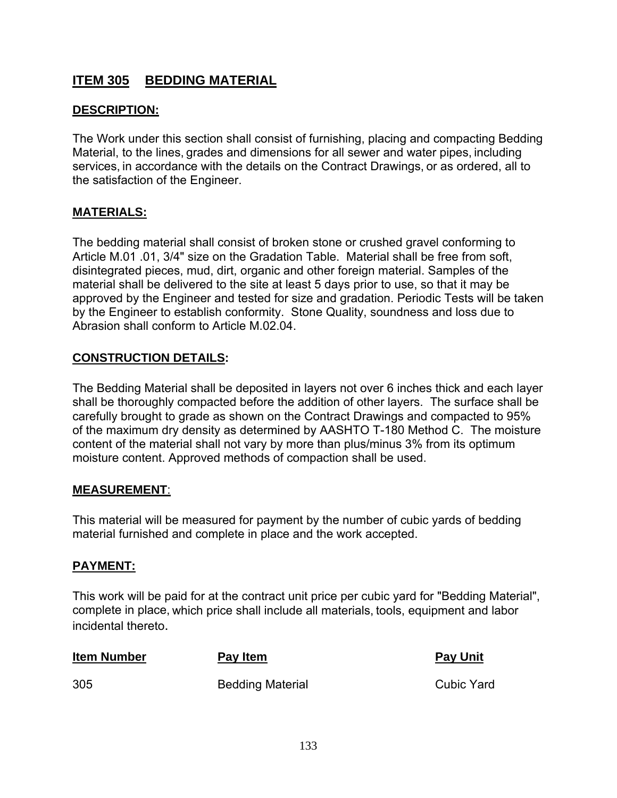# **ITEM 305 BEDDING MATERIAL**

## **DESCRIPTION:**

The Work under this section shall consist of furnishing, placing and compacting Bedding Material, to the lines, grades and dimensions for all sewer and water pipes, including services, in accordance with the details on the Contract Drawings, or as ordered, all to the satisfaction of the Engineer.

#### **MATERIALS:**

The bedding material shall consist of broken stone or crushed gravel conforming to Article M.01 .01, 3/4" size on the Gradation Table. Material shall be free from soft, disintegrated pieces, mud, dirt, organic and other foreign material. Samples of the material shall be delivered to the site at least 5 days prior to use, so that it may be approved by the Engineer and tested for size and gradation. Periodic Tests will be taken by the Engineer to establish conformity. Stone Quality, soundness and loss due to Abrasion shall conform to Article M.02.04.

## **CONSTRUCTION DETAILS:**

The Bedding Material shall be deposited in layers not over 6 inches thick and each layer shall be thoroughly compacted before the addition of other layers. The surface shall be carefully brought to grade as shown on the Contract Drawings and compacted to 95% of the maximum dry density as determined by AASHTO T-180 Method C. The moisture content of the material shall not vary by more than plus/minus 3% from its optimum moisture content. Approved methods of compaction shall be used.

#### **MEASUREMENT**:

This material will be measured for payment by the number of cubic yards of bedding material furnished and complete in place and the work accepted.

## **PAYMENT:**

This work will be paid for at the contract unit price per cubic yard for "Bedding Material", complete in place, which price shall include all materials, tools, equipment and labor incidental thereto.

| <b>Item Number</b> | Pay Item                | <b>Pay Unit</b> |
|--------------------|-------------------------|-----------------|
| 305                | <b>Bedding Material</b> | Cubic Yard      |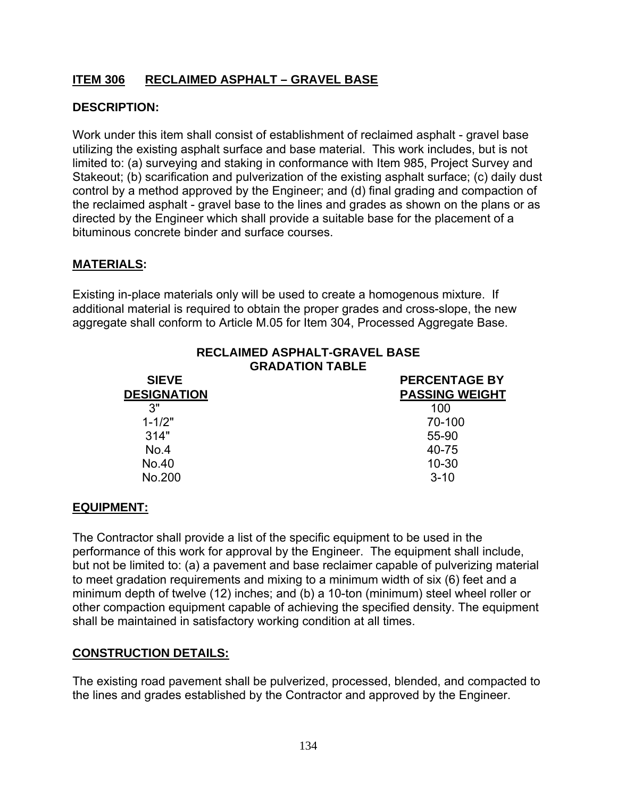# **ITEM 306 RECLAIMED ASPHALT – GRAVEL BASE**

## **DESCRIPTION:**

Work under this item shall consist of establishment of reclaimed asphalt - gravel base utilizing the existing asphalt surface and base material. This work includes, but is not limited to: (a) surveying and staking in conformance with Item 985, Project Survey and Stakeout; (b) scarification and pulverization of the existing asphalt surface; (c) daily dust control by a method approved by the Engineer; and (d) final grading and compaction of the reclaimed asphalt - gravel base to the lines and grades as shown on the plans or as directed by the Engineer which shall provide a suitable base for the placement of a bituminous concrete binder and surface courses.

#### **MATERIALS:**

Existing in-place materials only will be used to create a homogenous mixture. If additional material is required to obtain the proper grades and cross-slope, the new aggregate shall conform to Article M.05 for Item 304, Processed Aggregate Base.

| <b>RECLAIMED ASPHALT-GRAVEL BASE</b> |
|--------------------------------------|
| <b>GRADATION TABLE</b>               |
| <b>PERCENTAGE BY</b>                 |
| <b>PASSING WEIGHT</b>                |
| 100                                  |
| 70-100                               |
| 55-90                                |
| 40-75                                |
| $10 - 30$                            |
| $3 - 10$                             |
|                                      |

## **EQUIPMENT:**

The Contractor shall provide a list of the specific equipment to be used in the performance of this work for approval by the Engineer. The equipment shall include, but not be limited to: (a) a pavement and base reclaimer capable of pulverizing material to meet gradation requirements and mixing to a minimum width of six (6) feet and a minimum depth of twelve (12) inches; and (b) a 10-ton (minimum) steel wheel roller or other compaction equipment capable of achieving the specified density. The equipment shall be maintained in satisfactory working condition at all times.

#### **CONSTRUCTION DETAILS:**

The existing road pavement shall be pulverized, processed, blended, and compacted to the lines and grades established by the Contractor and approved by the Engineer.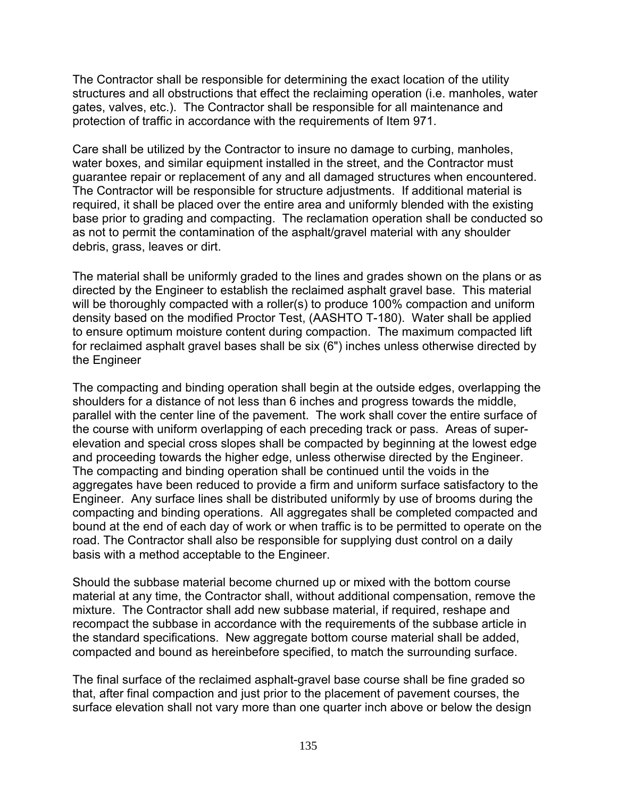The Contractor shall be responsible for determining the exact location of the utility structures and all obstructions that effect the reclaiming operation (i.e. manholes, water gates, valves, etc.). The Contractor shall be responsible for all maintenance and protection of traffic in accordance with the requirements of Item 971.

Care shall be utilized by the Contractor to insure no damage to curbing, manholes, water boxes, and similar equipment installed in the street, and the Contractor must guarantee repair or replacement of any and all damaged structures when encountered. The Contractor will be responsible for structure adjustments. If additional material is required, it shall be placed over the entire area and uniformly blended with the existing base prior to grading and compacting. The reclamation operation shall be conducted so as not to permit the contamination of the asphalt/gravel material with any shoulder debris, grass, leaves or dirt.

The material shall be uniformly graded to the lines and grades shown on the plans or as directed by the Engineer to establish the reclaimed asphalt gravel base. This material will be thoroughly compacted with a roller(s) to produce 100% compaction and uniform density based on the modified Proctor Test, (AASHTO T-180). Water shall be applied to ensure optimum moisture content during compaction. The maximum compacted lift for reclaimed asphalt gravel bases shall be six (6") inches unless otherwise directed by the Engineer

The compacting and binding operation shall begin at the outside edges, overlapping the shoulders for a distance of not less than 6 inches and progress towards the middle, parallel with the center line of the pavement. The work shall cover the entire surface of the course with uniform overlapping of each preceding track or pass. Areas of superelevation and special cross slopes shall be compacted by beginning at the lowest edge and proceeding towards the higher edge, unless otherwise directed by the Engineer. The compacting and binding operation shall be continued until the voids in the aggregates have been reduced to provide a firm and uniform surface satisfactory to the Engineer. Any surface lines shall be distributed uniformly by use of brooms during the compacting and binding operations. All aggregates shall be completed compacted and bound at the end of each day of work or when traffic is to be permitted to operate on the road. The Contractor shall also be responsible for supplying dust control on a daily basis with a method acceptable to the Engineer.

Should the subbase material become churned up or mixed with the bottom course material at any time, the Contractor shall, without additional compensation, remove the mixture. The Contractor shall add new subbase material, if required, reshape and recompact the subbase in accordance with the requirements of the subbase article in the standard specifications. New aggregate bottom course material shall be added, compacted and bound as hereinbefore specified, to match the surrounding surface.

The final surface of the reclaimed asphalt-gravel base course shall be fine graded so that, after final compaction and just prior to the placement of pavement courses, the surface elevation shall not vary more than one quarter inch above or below the design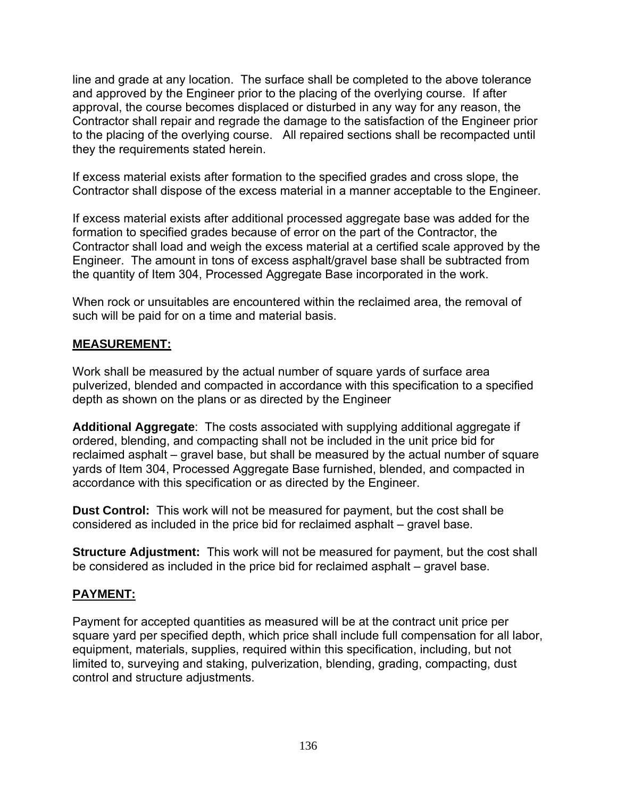line and grade at any location. The surface shall be completed to the above tolerance and approved by the Engineer prior to the placing of the overlying course. If after approval, the course becomes displaced or disturbed in any way for any reason, the Contractor shall repair and regrade the damage to the satisfaction of the Engineer prior to the placing of the overlying course. All repaired sections shall be recompacted until they the requirements stated herein.

If excess material exists after formation to the specified grades and cross slope, the Contractor shall dispose of the excess material in a manner acceptable to the Engineer.

If excess material exists after additional processed aggregate base was added for the formation to specified grades because of error on the part of the Contractor, the Contractor shall load and weigh the excess material at a certified scale approved by the Engineer. The amount in tons of excess asphalt/gravel base shall be subtracted from the quantity of Item 304, Processed Aggregate Base incorporated in the work.

When rock or unsuitables are encountered within the reclaimed area, the removal of such will be paid for on a time and material basis.

## **MEASUREMENT:**

Work shall be measured by the actual number of square yards of surface area pulverized, blended and compacted in accordance with this specification to a specified depth as shown on the plans or as directed by the Engineer

**Additional Aggregate**: The costs associated with supplying additional aggregate if ordered, blending, and compacting shall not be included in the unit price bid for reclaimed asphalt – gravel base, but shall be measured by the actual number of square yards of Item 304, Processed Aggregate Base furnished, blended, and compacted in accordance with this specification or as directed by the Engineer.

**Dust Control:** This work will not be measured for payment, but the cost shall be considered as included in the price bid for reclaimed asphalt – gravel base.

**Structure Adjustment:** This work will not be measured for payment, but the cost shall be considered as included in the price bid for reclaimed asphalt – gravel base.

## **PAYMENT:**

Payment for accepted quantities as measured will be at the contract unit price per square yard per specified depth, which price shall include full compensation for all labor, equipment, materials, supplies, required within this specification, including, but not limited to, surveying and staking, pulverization, blending, grading, compacting, dust control and structure adjustments.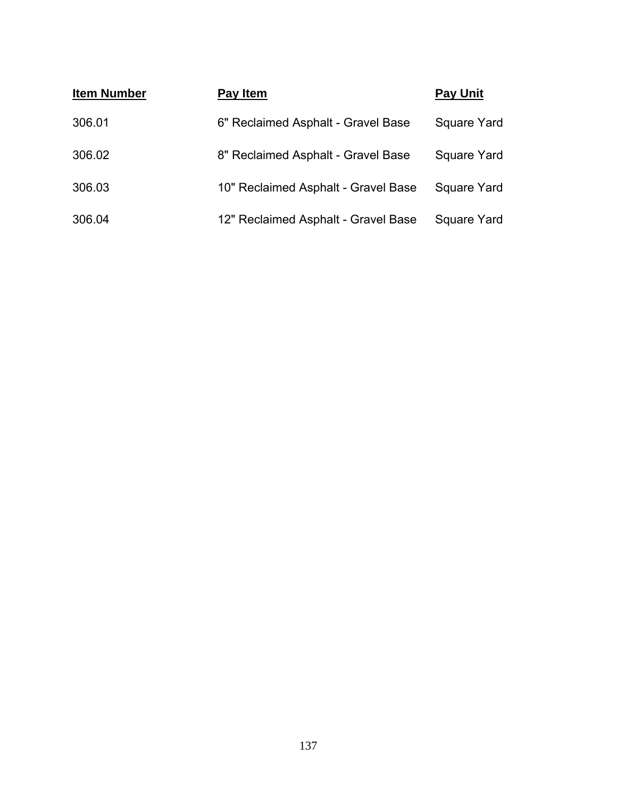| <b>Item Number</b> | Pay Item                            | <b>Pay Unit</b> |
|--------------------|-------------------------------------|-----------------|
| 306.01             | 6" Reclaimed Asphalt - Gravel Base  | Square Yard     |
| 306.02             | 8" Reclaimed Asphalt - Gravel Base  | Square Yard     |
| 306.03             | 10" Reclaimed Asphalt - Gravel Base | Square Yard     |
| 306.04             | 12" Reclaimed Asphalt - Gravel Base | Square Yard     |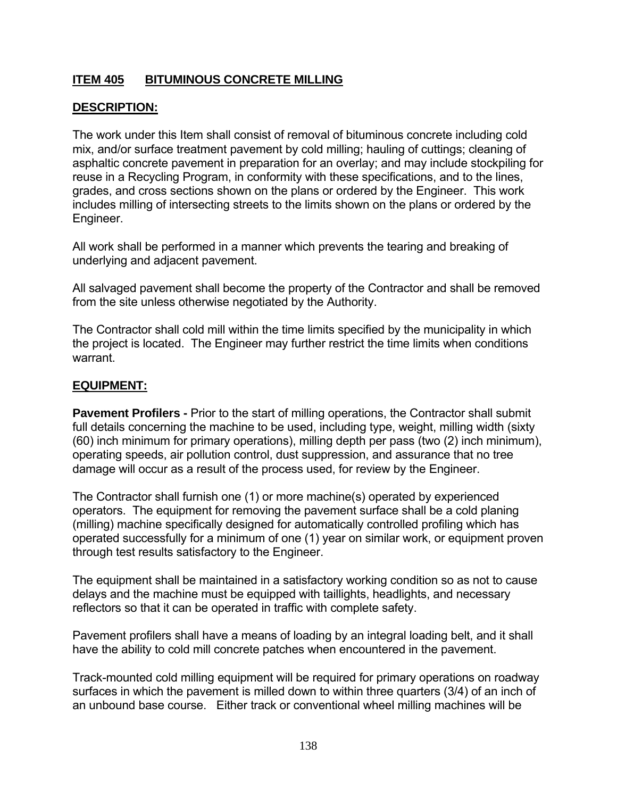# **ITEM 405 BITUMINOUS CONCRETE MILLING**

## **DESCRIPTION:**

The work under this Item shall consist of removal of bituminous concrete including cold mix, and/or surface treatment pavement by cold milling; hauling of cuttings; cleaning of asphaltic concrete pavement in preparation for an overlay; and may include stockpiling for reuse in a Recycling Program, in conformity with these specifications, and to the lines, grades, and cross sections shown on the plans or ordered by the Engineer. This work includes milling of intersecting streets to the limits shown on the plans or ordered by the Engineer.

All work shall be performed in a manner which prevents the tearing and breaking of underlying and adjacent pavement.

All salvaged pavement shall become the property of the Contractor and shall be removed from the site unless otherwise negotiated by the Authority.

The Contractor shall cold mill within the time limits specified by the municipality in which the project is located. The Engineer may further restrict the time limits when conditions warrant.

## **EQUIPMENT:**

**Pavement Profilers - Prior to the start of milling operations, the Contractor shall submit** full details concerning the machine to be used, including type, weight, milling width (sixty (60) inch minimum for primary operations), milling depth per pass (two (2) inch minimum), operating speeds, air pollution control, dust suppression, and assurance that no tree damage will occur as a result of the process used, for review by the Engineer.

The Contractor shall furnish one (1) or more machine(s) operated by experienced operators. The equipment for removing the pavement surface shall be a cold planing (milling) machine specifically designed for automatically controlled profiling which has operated successfully for a minimum of one (1) year on similar work, or equipment proven through test results satisfactory to the Engineer.

The equipment shall be maintained in a satisfactory working condition so as not to cause delays and the machine must be equipped with taillights, headlights, and necessary reflectors so that it can be operated in traffic with complete safety.

Pavement profilers shall have a means of loading by an integral loading belt, and it shall have the ability to cold mill concrete patches when encountered in the pavement.

Track-mounted cold milling equipment will be required for primary operations on roadway surfaces in which the pavement is milled down to within three quarters (3/4) of an inch of an unbound base course. Either track or conventional wheel milling machines will be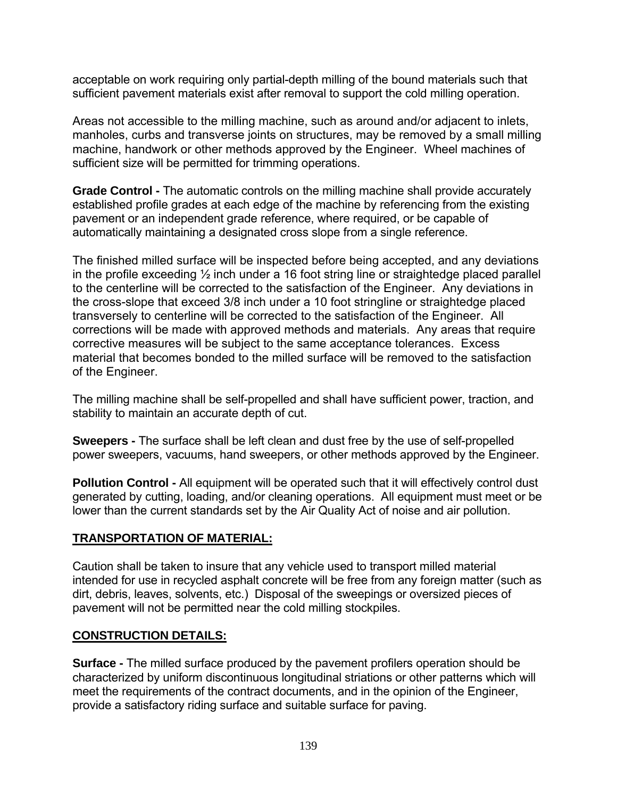acceptable on work requiring only partial-depth milling of the bound materials such that sufficient pavement materials exist after removal to support the cold milling operation.

Areas not accessible to the milling machine, such as around and/or adjacent to inlets, manholes, curbs and transverse joints on structures, may be removed by a small milling machine, handwork or other methods approved by the Engineer. Wheel machines of sufficient size will be permitted for trimming operations.

**Grade Control -** The automatic controls on the milling machine shall provide accurately established profile grades at each edge of the machine by referencing from the existing pavement or an independent grade reference, where required, or be capable of automatically maintaining a designated cross slope from a single reference.

The finished milled surface will be inspected before being accepted, and any deviations in the profile exceeding  $\frac{1}{2}$  inch under a 16 foot string line or straightedge placed parallel to the centerline will be corrected to the satisfaction of the Engineer. Any deviations in the cross-slope that exceed 3/8 inch under a 10 foot stringline or straightedge placed transversely to centerline will be corrected to the satisfaction of the Engineer. All corrections will be made with approved methods and materials. Any areas that require corrective measures will be subject to the same acceptance tolerances. Excess material that becomes bonded to the milled surface will be removed to the satisfaction of the Engineer.

The milling machine shall be self-propelled and shall have sufficient power, traction, and stability to maintain an accurate depth of cut.

**Sweepers -** The surface shall be left clean and dust free by the use of self-propelled power sweepers, vacuums, hand sweepers, or other methods approved by the Engineer.

**Pollution Control - All equipment will be operated such that it will effectively control dust** generated by cutting, loading, and/or cleaning operations. All equipment must meet or be lower than the current standards set by the Air Quality Act of noise and air pollution.

## **TRANSPORTATION OF MATERIAL:**

Caution shall be taken to insure that any vehicle used to transport milled material intended for use in recycled asphalt concrete will be free from any foreign matter (such as dirt, debris, leaves, solvents, etc.) Disposal of the sweepings or oversized pieces of pavement will not be permitted near the cold milling stockpiles.

# **CONSTRUCTION DETAILS:**

**Surface -** The milled surface produced by the pavement profilers operation should be characterized by uniform discontinuous longitudinal striations or other patterns which will meet the requirements of the contract documents, and in the opinion of the Engineer, provide a satisfactory riding surface and suitable surface for paving.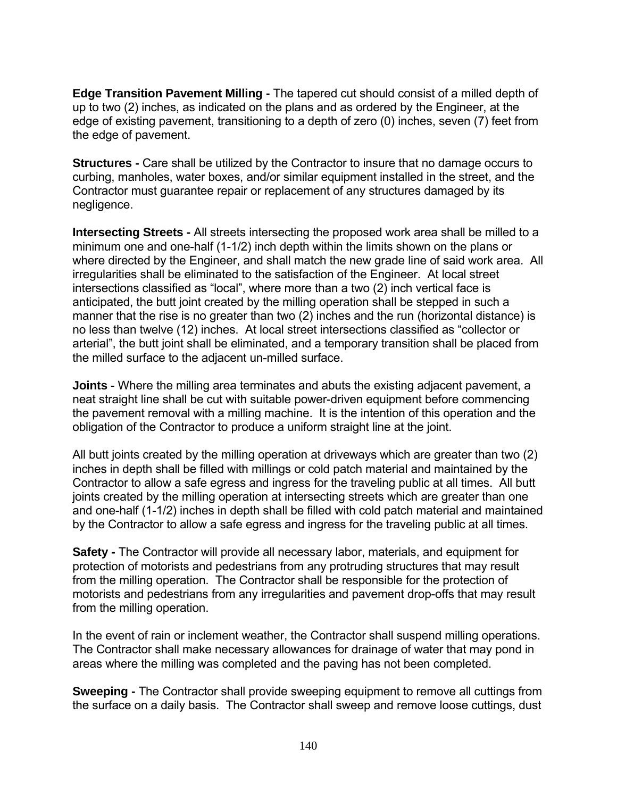**Edge Transition Pavement Milling -** The tapered cut should consist of a milled depth of up to two (2) inches, as indicated on the plans and as ordered by the Engineer, at the edge of existing pavement, transitioning to a depth of zero (0) inches, seven (7) feet from the edge of pavement.

**Structures -** Care shall be utilized by the Contractor to insure that no damage occurs to curbing, manholes, water boxes, and/or similar equipment installed in the street, and the Contractor must guarantee repair or replacement of any structures damaged by its negligence.

**Intersecting Streets -** All streets intersecting the proposed work area shall be milled to a minimum one and one-half (1-1/2) inch depth within the limits shown on the plans or where directed by the Engineer, and shall match the new grade line of said work area. All irregularities shall be eliminated to the satisfaction of the Engineer. At local street intersections classified as "local", where more than a two (2) inch vertical face is anticipated, the butt joint created by the milling operation shall be stepped in such a manner that the rise is no greater than two (2) inches and the run (horizontal distance) is no less than twelve (12) inches. At local street intersections classified as "collector or arterial", the butt joint shall be eliminated, and a temporary transition shall be placed from the milled surface to the adjacent un-milled surface.

**Joints** - Where the milling area terminates and abuts the existing adjacent pavement, a neat straight line shall be cut with suitable power-driven equipment before commencing the pavement removal with a milling machine. It is the intention of this operation and the obligation of the Contractor to produce a uniform straight line at the joint.

All butt joints created by the milling operation at driveways which are greater than two (2) inches in depth shall be filled with millings or cold patch material and maintained by the Contractor to allow a safe egress and ingress for the traveling public at all times. All butt joints created by the milling operation at intersecting streets which are greater than one and one-half (1-1/2) inches in depth shall be filled with cold patch material and maintained by the Contractor to allow a safe egress and ingress for the traveling public at all times.

**Safety -** The Contractor will provide all necessary labor, materials, and equipment for protection of motorists and pedestrians from any protruding structures that may result from the milling operation. The Contractor shall be responsible for the protection of motorists and pedestrians from any irregularities and pavement drop-offs that may result from the milling operation.

In the event of rain or inclement weather, the Contractor shall suspend milling operations. The Contractor shall make necessary allowances for drainage of water that may pond in areas where the milling was completed and the paving has not been completed.

**Sweeping -** The Contractor shall provide sweeping equipment to remove all cuttings from the surface on a daily basis. The Contractor shall sweep and remove loose cuttings, dust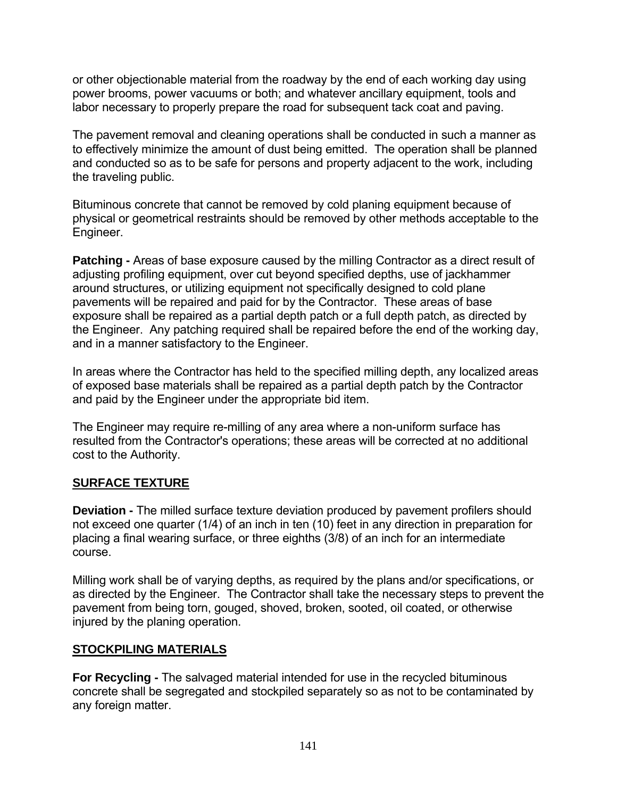or other objectionable material from the roadway by the end of each working day using power brooms, power vacuums or both; and whatever ancillary equipment, tools and labor necessary to properly prepare the road for subsequent tack coat and paving.

The pavement removal and cleaning operations shall be conducted in such a manner as to effectively minimize the amount of dust being emitted. The operation shall be planned and conducted so as to be safe for persons and property adjacent to the work, including the traveling public.

Bituminous concrete that cannot be removed by cold planing equipment because of physical or geometrical restraints should be removed by other methods acceptable to the Engineer.

**Patching -** Areas of base exposure caused by the milling Contractor as a direct result of adjusting profiling equipment, over cut beyond specified depths, use of jackhammer around structures, or utilizing equipment not specifically designed to cold plane pavements will be repaired and paid for by the Contractor. These areas of base exposure shall be repaired as a partial depth patch or a full depth patch, as directed by the Engineer. Any patching required shall be repaired before the end of the working day, and in a manner satisfactory to the Engineer.

In areas where the Contractor has held to the specified milling depth, any localized areas of exposed base materials shall be repaired as a partial depth patch by the Contractor and paid by the Engineer under the appropriate bid item.

The Engineer may require re-milling of any area where a non-uniform surface has resulted from the Contractor's operations; these areas will be corrected at no additional cost to the Authority.

## **SURFACE TEXTURE**

**Deviation -** The milled surface texture deviation produced by pavement profilers should not exceed one quarter (1/4) of an inch in ten (10) feet in any direction in preparation for placing a final wearing surface, or three eighths (3/8) of an inch for an intermediate course.

Milling work shall be of varying depths, as required by the plans and/or specifications, or as directed by the Engineer. The Contractor shall take the necessary steps to prevent the pavement from being torn, gouged, shoved, broken, sooted, oil coated, or otherwise injured by the planing operation.

## **STOCKPILING MATERIALS**

**For Recycling -** The salvaged material intended for use in the recycled bituminous concrete shall be segregated and stockpiled separately so as not to be contaminated by any foreign matter.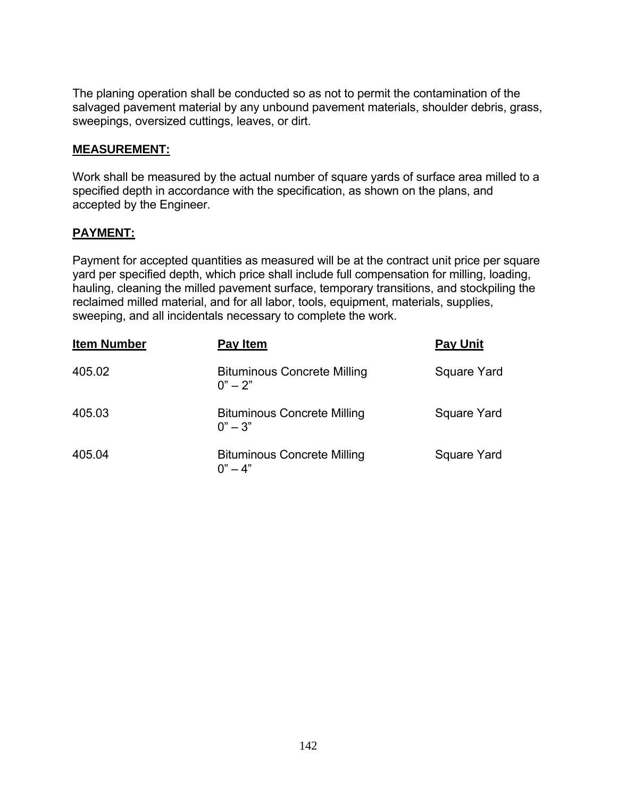The planing operation shall be conducted so as not to permit the contamination of the salvaged pavement material by any unbound pavement materials, shoulder debris, grass, sweepings, oversized cuttings, leaves, or dirt.

#### **MEASUREMENT:**

Work shall be measured by the actual number of square yards of surface area milled to a specified depth in accordance with the specification, as shown on the plans, and accepted by the Engineer.

## **PAYMENT:**

Payment for accepted quantities as measured will be at the contract unit price per square yard per specified depth, which price shall include full compensation for milling, loading, hauling, cleaning the milled pavement surface, temporary transitions, and stockpiling the reclaimed milled material, and for all labor, tools, equipment, materials, supplies, sweeping, and all incidentals necessary to complete the work.

| <b>Item Number</b> | Pay Item                                        | <b>Pay Unit</b> |
|--------------------|-------------------------------------------------|-----------------|
| 405.02             | <b>Bituminous Concrete Milling</b><br>$0" - 2"$ | Square Yard     |
| 405.03             | <b>Bituminous Concrete Milling</b><br>$0" - 3"$ | Square Yard     |
| 405.04             | <b>Bituminous Concrete Milling</b><br>$0" - 4"$ | Square Yard     |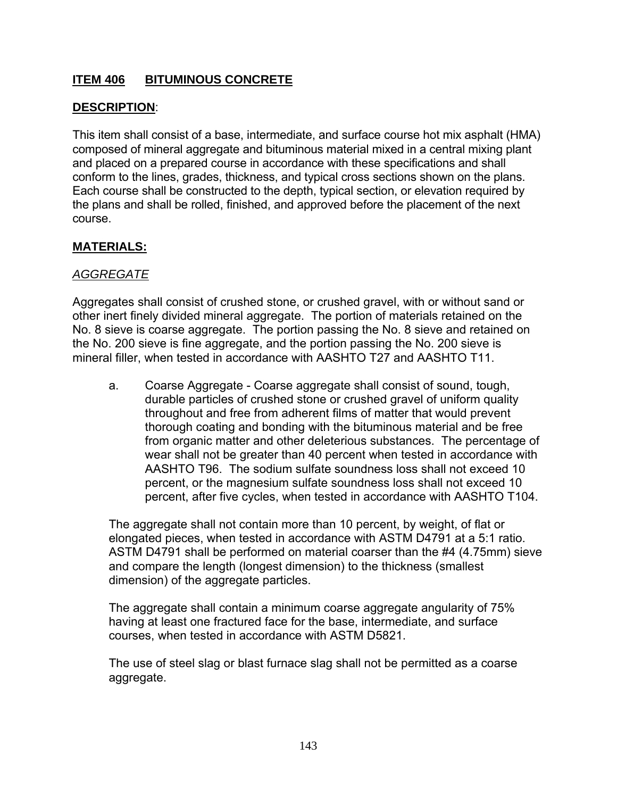# **ITEM 406 BITUMINOUS CONCRETE**

## **DESCRIPTION**:

This item shall consist of a base, intermediate, and surface course hot mix asphalt (HMA) composed of mineral aggregate and bituminous material mixed in a central mixing plant and placed on a prepared course in accordance with these specifications and shall conform to the lines, grades, thickness, and typical cross sections shown on the plans. Each course shall be constructed to the depth, typical section, or elevation required by the plans and shall be rolled, finished, and approved before the placement of the next course.

#### **MATERIALS:**

## *AGGREGATE*

Aggregates shall consist of crushed stone, or crushed gravel, with or without sand or other inert finely divided mineral aggregate. The portion of materials retained on the No. 8 sieve is coarse aggregate. The portion passing the No. 8 sieve and retained on the No. 200 sieve is fine aggregate, and the portion passing the No. 200 sieve is mineral filler, when tested in accordance with AASHTO T27 and AASHTO T11.

a. Coarse Aggregate - Coarse aggregate shall consist of sound, tough, durable particles of crushed stone or crushed gravel of uniform quality throughout and free from adherent films of matter that would prevent thorough coating and bonding with the bituminous material and be free from organic matter and other deleterious substances. The percentage of wear shall not be greater than 40 percent when tested in accordance with AASHTO T96. The sodium sulfate soundness loss shall not exceed 10 percent, or the magnesium sulfate soundness loss shall not exceed 10 percent, after five cycles, when tested in accordance with AASHTO T104.

The aggregate shall not contain more than 10 percent, by weight, of flat or elongated pieces, when tested in accordance with ASTM D4791 at a 5:1 ratio. ASTM D4791 shall be performed on material coarser than the #4 (4.75mm) sieve and compare the length (longest dimension) to the thickness (smallest dimension) of the aggregate particles.

The aggregate shall contain a minimum coarse aggregate angularity of 75% having at least one fractured face for the base, intermediate, and surface courses, when tested in accordance with ASTM D5821.

The use of steel slag or blast furnace slag shall not be permitted as a coarse aggregate.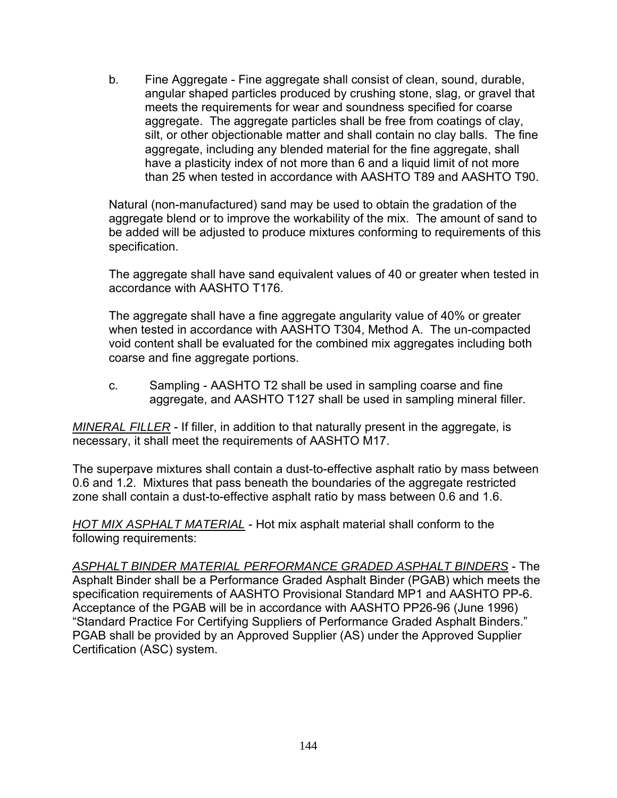b. Fine Aggregate - Fine aggregate shall consist of clean, sound, durable, angular shaped particles produced by crushing stone, slag, or gravel that meets the requirements for wear and soundness specified for coarse aggregate. The aggregate particles shall be free from coatings of clay, silt, or other objectionable matter and shall contain no clay balls. The fine aggregate, including any blended material for the fine aggregate, shall have a plasticity index of not more than 6 and a liquid limit of not more than 25 when tested in accordance with AASHTO T89 and AASHTO T90.

Natural (non-manufactured) sand may be used to obtain the gradation of the aggregate blend or to improve the workability of the mix. The amount of sand to be added will be adjusted to produce mixtures conforming to requirements of this specification.

The aggregate shall have sand equivalent values of 40 or greater when tested in accordance with AASHTO T176.

The aggregate shall have a fine aggregate angularity value of 40% or greater when tested in accordance with AASHTO T304, Method A. The un-compacted void content shall be evaluated for the combined mix aggregates including both coarse and fine aggregate portions.

c. Sampling - AASHTO T2 shall be used in sampling coarse and fine aggregate, and AASHTO T127 shall be used in sampling mineral filler.

*MINERAL FILLER* - If filler, in addition to that naturally present in the aggregate, is necessary, it shall meet the requirements of AASHTO M17.

The superpave mixtures shall contain a dust-to-effective asphalt ratio by mass between 0.6 and 1.2. Mixtures that pass beneath the boundaries of the aggregate restricted zone shall contain a dust-to-effective asphalt ratio by mass between 0.6 and 1.6.

*HOT MIX ASPHALT MATERIAL* - Hot mix asphalt material shall conform to the following requirements:

*ASPHALT BINDER MATERIAL PERFORMANCE GRADED ASPHALT BINDERS* - The Asphalt Binder shall be a Performance Graded Asphalt Binder (PGAB) which meets the specification requirements of AASHTO Provisional Standard MP1 and AASHTO PP-6. Acceptance of the PGAB will be in accordance with AASHTO PP26-96 (June 1996) "Standard Practice For Certifying Suppliers of Performance Graded Asphalt Binders." PGAB shall be provided by an Approved Supplier (AS) under the Approved Supplier Certification (ASC) system.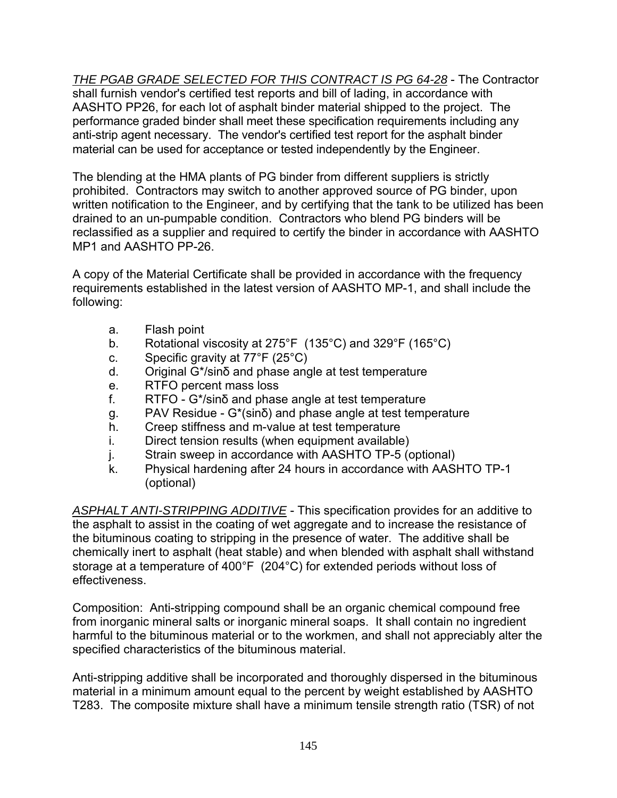*THE PGAB GRADE SELECTED FOR THIS CONTRACT IS PG 64-28* - The Contractor shall furnish vendor's certified test reports and bill of lading, in accordance with AASHTO PP26, for each lot of asphalt binder material shipped to the project. The performance graded binder shall meet these specification requirements including any anti-strip agent necessary. The vendor's certified test report for the asphalt binder material can be used for acceptance or tested independently by the Engineer.

The blending at the HMA plants of PG binder from different suppliers is strictly prohibited. Contractors may switch to another approved source of PG binder, upon written notification to the Engineer, and by certifying that the tank to be utilized has been drained to an un-pumpable condition. Contractors who blend PG binders will be reclassified as a supplier and required to certify the binder in accordance with AASHTO MP1 and AASHTO PP-26.

A copy of the Material Certificate shall be provided in accordance with the frequency requirements established in the latest version of AASHTO MP-1, and shall include the following:

- a. Flash point
- b. Rotational viscosity at 275°F (135°C) and 329°F (165°C)
- c. Specific gravity at 77°F (25°C)
- d. Original G\*/sinδ and phase angle at test temperature
- e. RTFO percent mass loss
- f. RTFO G\*/sinδ and phase angle at test temperature
- g. PAV Residue G\*(sinδ) and phase angle at test temperature
- h. Creep stiffness and m-value at test temperature
- i. Direct tension results (when equipment available)
- j. Strain sweep in accordance with AASHTO TP-5 (optional)
- k. Physical hardening after 24 hours in accordance with AASHTO TP-1 (optional)

*ASPHALT ANTI-STRIPPING ADDITIVE* - This specification provides for an additive to the asphalt to assist in the coating of wet aggregate and to increase the resistance of the bituminous coating to stripping in the presence of water. The additive shall be chemically inert to asphalt (heat stable) and when blended with asphalt shall withstand storage at a temperature of 400°F (204°C) for extended periods without loss of effectiveness.

Composition: Anti-stripping compound shall be an organic chemical compound free from inorganic mineral salts or inorganic mineral soaps. It shall contain no ingredient harmful to the bituminous material or to the workmen, and shall not appreciably alter the specified characteristics of the bituminous material.

Anti-stripping additive shall be incorporated and thoroughly dispersed in the bituminous material in a minimum amount equal to the percent by weight established by AASHTO T283. The composite mixture shall have a minimum tensile strength ratio (TSR) of not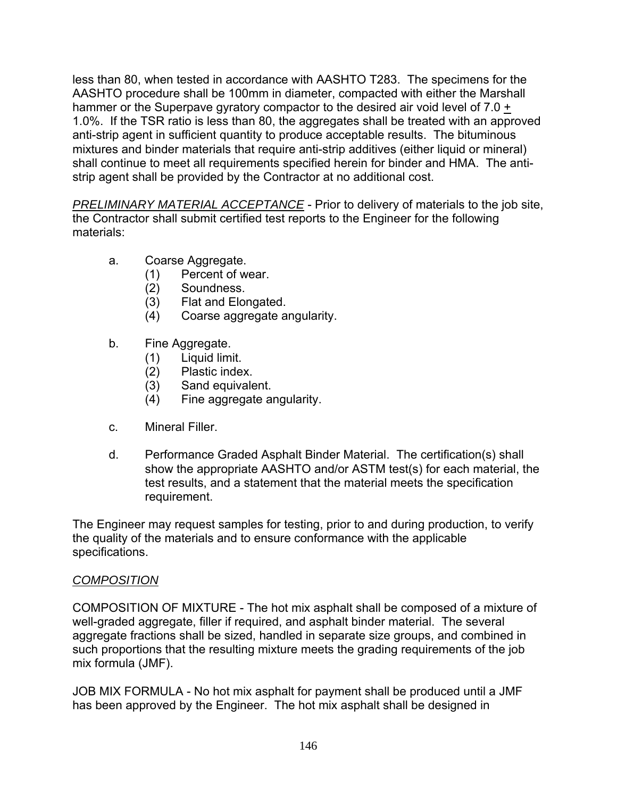less than 80, when tested in accordance with AASHTO T283. The specimens for the AASHTO procedure shall be 100mm in diameter, compacted with either the Marshall hammer or the Superpave gyratory compactor to the desired air void level of 7.0 + 1.0%. If the TSR ratio is less than 80, the aggregates shall be treated with an approved anti-strip agent in sufficient quantity to produce acceptable results. The bituminous mixtures and binder materials that require anti-strip additives (either liquid or mineral) shall continue to meet all requirements specified herein for binder and HMA. The antistrip agent shall be provided by the Contractor at no additional cost.

*PRELIMINARY MATERIAL ACCEPTANCE* - Prior to delivery of materials to the job site, the Contractor shall submit certified test reports to the Engineer for the following materials:

- a. Coarse Aggregate.
	- (1) Percent of wear.
	- (2) Soundness.
	- (3) Flat and Elongated.
	- (4) Coarse aggregate angularity.
- b. Fine Aggregate.
	- (1) Liquid limit.
	- (2) Plastic index.
	- (3) Sand equivalent.
	- (4) Fine aggregate angularity.
- c. Mineral Filler.
- d. Performance Graded Asphalt Binder Material. The certification(s) shall show the appropriate AASHTO and/or ASTM test(s) for each material, the test results, and a statement that the material meets the specification requirement.

The Engineer may request samples for testing, prior to and during production, to verify the quality of the materials and to ensure conformance with the applicable specifications.

## *COMPOSITION*

COMPOSITION OF MIXTURE - The hot mix asphalt shall be composed of a mixture of well-graded aggregate, filler if required, and asphalt binder material. The several aggregate fractions shall be sized, handled in separate size groups, and combined in such proportions that the resulting mixture meets the grading requirements of the job mix formula (JMF).

JOB MIX FORMULA - No hot mix asphalt for payment shall be produced until a JMF has been approved by the Engineer. The hot mix asphalt shall be designed in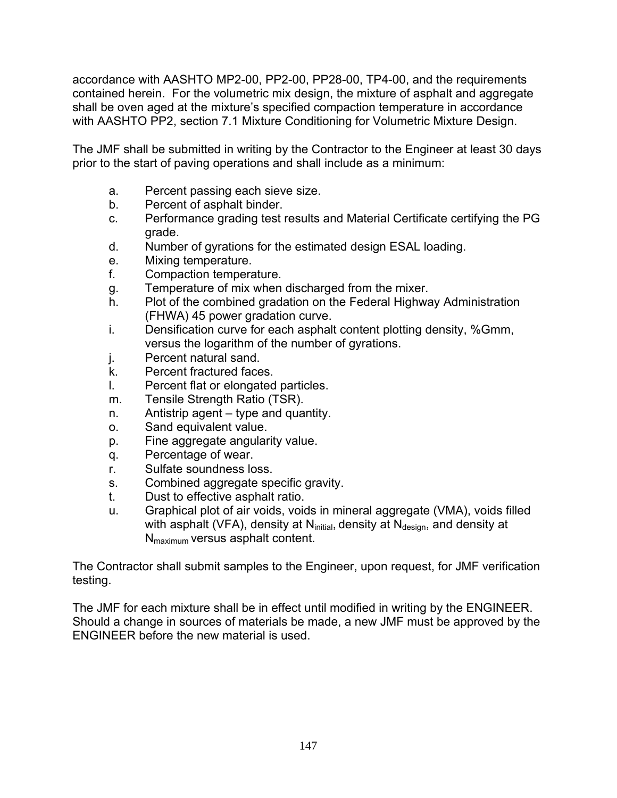accordance with AASHTO MP2-00, PP2-00, PP28-00, TP4-00, and the requirements contained herein. For the volumetric mix design, the mixture of asphalt and aggregate shall be oven aged at the mixture's specified compaction temperature in accordance with AASHTO PP2, section 7.1 Mixture Conditioning for Volumetric Mixture Design.

The JMF shall be submitted in writing by the Contractor to the Engineer at least 30 days prior to the start of paving operations and shall include as a minimum:

- a. Percent passing each sieve size.
- b. Percent of asphalt binder.
- c. Performance grading test results and Material Certificate certifying the PG grade.
- d. Number of gyrations for the estimated design ESAL loading.
- e. Mixing temperature.
- f. Compaction temperature.
- g. Temperature of mix when discharged from the mixer.
- h. Plot of the combined gradation on the Federal Highway Administration (FHWA) 45 power gradation curve.
- i. Densification curve for each asphalt content plotting density, %Gmm, versus the logarithm of the number of gyrations.
- j. Percent natural sand.
- k. Percent fractured faces.
- l. Percent flat or elongated particles.
- m. Tensile Strength Ratio (TSR).
- n. Antistrip agent type and quantity.
- o. Sand equivalent value.
- p. Fine aggregate angularity value.
- q. Percentage of wear.
- r. Sulfate soundness loss.
- s. Combined aggregate specific gravity.
- t. Dust to effective asphalt ratio.
- u. Graphical plot of air voids, voids in mineral aggregate (VMA), voids filled with asphalt (VFA), density at  $N<sub>initial</sub>$ , density at  $N<sub>design</sub>$ , and density at Nmaximum versus asphalt content.

The Contractor shall submit samples to the Engineer, upon request, for JMF verification testing.

The JMF for each mixture shall be in effect until modified in writing by the ENGINEER. Should a change in sources of materials be made, a new JMF must be approved by the ENGINEER before the new material is used.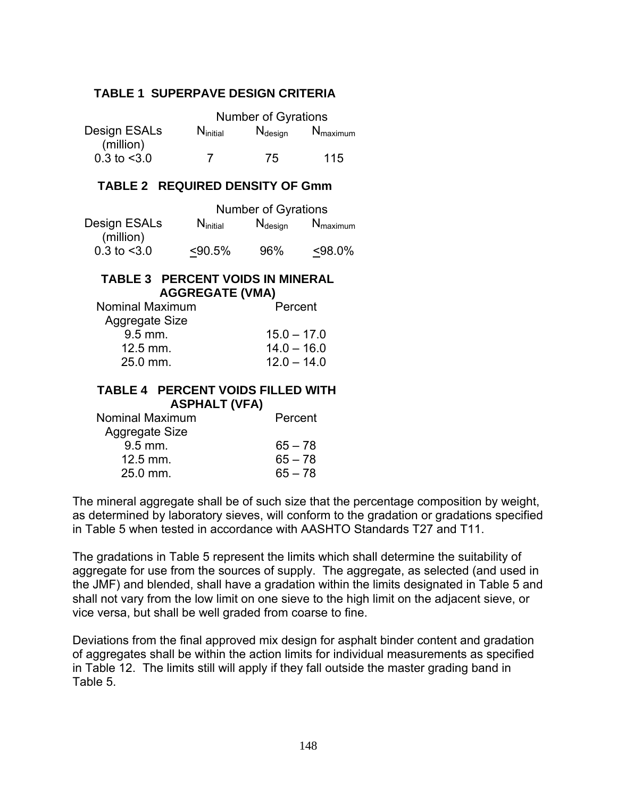#### **TABLE 1 SUPERPAVE DESIGN CRITERIA**

|                           |               | <b>Number of Gyrations</b> |                                 |
|---------------------------|---------------|----------------------------|---------------------------------|
| Design ESALs<br>(million) | $N_{initial}$ | $N_{\text{design}}$        | $\mathsf{N}_{\mathsf{maximum}}$ |
| $0.3$ to $<$ 3.0          |               | 75                         | 115                             |

## **TABLE 2 REQUIRED DENSITY OF Gmm**

|                           |               | <b>Number of Gyrations</b> |                      |
|---------------------------|---------------|----------------------------|----------------------|
| Design ESALs<br>(million) | $N_{initial}$ | $N_{\text{design}}$        | $N_{\text{maximum}}$ |
| $0.3$ to $< 3.0$          | < 90.5%       | 96%                        | $< 98.0\%$           |

#### **TABLE 3 PERCENT VOIDS IN MINERAL AGGREGATE (VMA)**

| Nominal Maximum | Percent       |
|-----------------|---------------|
| Aggregate Size  |               |
| $9.5$ mm.       | $15.0 - 17.0$ |
| $12.5$ mm.      | $14.0 - 16.0$ |
| 25.0 mm.        | $12.0 - 14.0$ |
|                 |               |

#### **TABLE 4 PERCENT VOIDS FILLED WITH ASPHALT (VFA)**

| Nominal Maximum | Percent   |
|-----------------|-----------|
| Aggregate Size  |           |
| $9.5$ mm.       | $65 - 78$ |
| $12.5$ mm.      | $65 - 78$ |
| 25.0 mm.        | $65 - 78$ |
|                 |           |

The mineral aggregate shall be of such size that the percentage composition by weight, as determined by laboratory sieves, will conform to the gradation or gradations specified in Table 5 when tested in accordance with AASHTO Standards T27 and T11.

The gradations in Table 5 represent the limits which shall determine the suitability of aggregate for use from the sources of supply. The aggregate, as selected (and used in the JMF) and blended, shall have a gradation within the limits designated in Table 5 and shall not vary from the low limit on one sieve to the high limit on the adjacent sieve, or vice versa, but shall be well graded from coarse to fine.

Deviations from the final approved mix design for asphalt binder content and gradation of aggregates shall be within the action limits for individual measurements as specified in Table 12. The limits still will apply if they fall outside the master grading band in Table 5.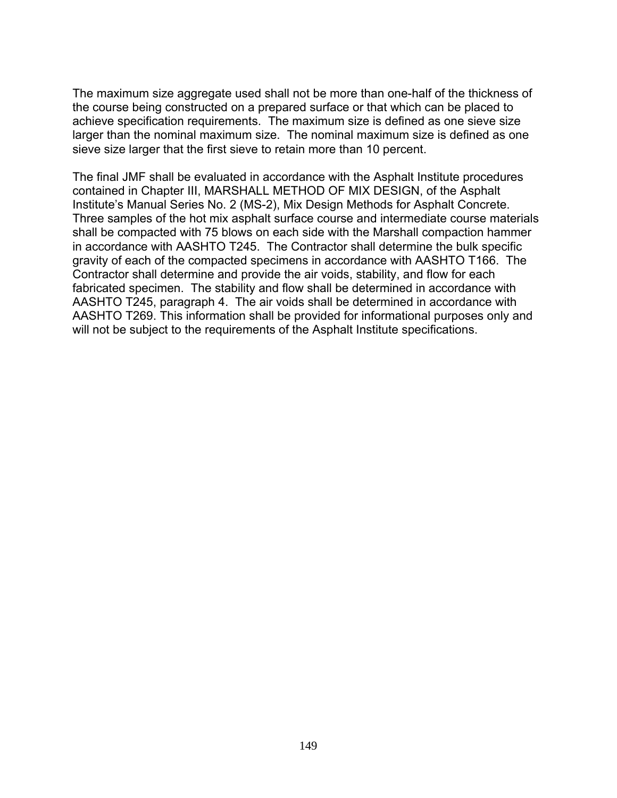The maximum size aggregate used shall not be more than one-half of the thickness of the course being constructed on a prepared surface or that which can be placed to achieve specification requirements. The maximum size is defined as one sieve size larger than the nominal maximum size. The nominal maximum size is defined as one sieve size larger that the first sieve to retain more than 10 percent.

The final JMF shall be evaluated in accordance with the Asphalt Institute procedures contained in Chapter III, MARSHALL METHOD OF MIX DESIGN, of the Asphalt Institute's Manual Series No. 2 (MS-2), Mix Design Methods for Asphalt Concrete. Three samples of the hot mix asphalt surface course and intermediate course materials shall be compacted with 75 blows on each side with the Marshall compaction hammer in accordance with AASHTO T245. The Contractor shall determine the bulk specific gravity of each of the compacted specimens in accordance with AASHTO T166. The Contractor shall determine and provide the air voids, stability, and flow for each fabricated specimen. The stability and flow shall be determined in accordance with AASHTO T245, paragraph 4. The air voids shall be determined in accordance with AASHTO T269. This information shall be provided for informational purposes only and will not be subject to the requirements of the Asphalt Institute specifications.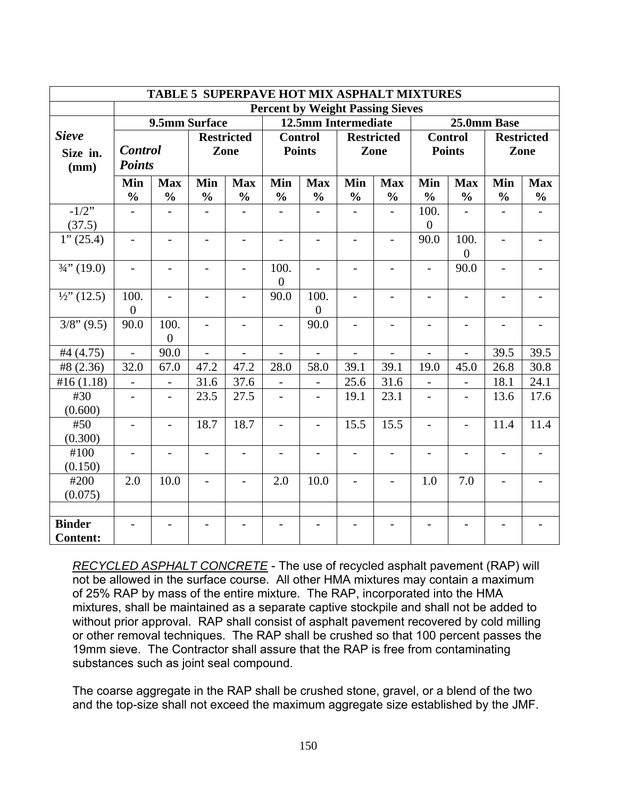| <b>TABLE 5 SUPERPAVE HOT MIX ASPHALT MIXTURES</b> |                                                     |                          |                          |                          |                          |                          |                          |                          |                          |                          |                          |               |
|---------------------------------------------------|-----------------------------------------------------|--------------------------|--------------------------|--------------------------|--------------------------|--------------------------|--------------------------|--------------------------|--------------------------|--------------------------|--------------------------|---------------|
| <b>Percent by Weight Passing Sieves</b>           |                                                     |                          |                          |                          |                          |                          |                          |                          |                          |                          |                          |               |
|                                                   | 9.5mm Surface<br>12.5mm Intermediate<br>25.0mm Base |                          |                          |                          |                          |                          |                          |                          |                          |                          |                          |               |
| <b>Sieve</b>                                      |                                                     |                          |                          | <b>Restricted</b>        |                          | <b>Control</b>           |                          | <b>Restricted</b>        |                          | <b>Control</b>           | <b>Restricted</b>        |               |
| Size in.                                          | <b>Control</b>                                      |                          |                          | Zone                     | <b>Points</b>            |                          |                          | Zone                     |                          | <b>Points</b>            |                          | Zone          |
| (mm)                                              | <b>Points</b>                                       |                          |                          |                          |                          |                          |                          |                          |                          |                          |                          |               |
|                                                   | Min                                                 | <b>Max</b>               | Min                      | <b>Max</b>               | Min                      | <b>Max</b>               | Min                      | <b>Max</b>               | Min                      | <b>Max</b>               | Min                      | <b>Max</b>    |
|                                                   | $\frac{0}{0}$                                       | $\frac{0}{0}$            | $\frac{0}{0}$            | $\frac{0}{0}$            | $\frac{0}{0}$            | $\frac{0}{0}$            | $\frac{0}{0}$            | $\frac{0}{0}$            | $\frac{0}{0}$            | $\frac{0}{0}$            | $\frac{0}{0}$            | $\frac{0}{0}$ |
| $-1/2$ "                                          |                                                     |                          |                          |                          |                          |                          |                          |                          | 100.                     |                          |                          |               |
| (37.5)                                            |                                                     |                          |                          |                          |                          |                          |                          |                          | $\overline{0}$           |                          |                          |               |
| 1''(25.4)                                         | $\overline{\phantom{a}}$                            | $\overline{\phantom{0}}$ | $\overline{a}$           | $\qquad \qquad -$        |                          | $\overline{\phantom{0}}$ | $\blacksquare$           | $\overline{\phantom{0}}$ | 90.0                     | 100.                     | $\overline{a}$           |               |
|                                                   |                                                     |                          |                          |                          |                          |                          |                          |                          |                          | $\overline{0}$           |                          |               |
| $\frac{3}{4}$ , (19.0)                            | $\overline{\phantom{0}}$                            |                          | $\overline{a}$           | $\overline{\phantom{a}}$ | 100.                     | $\overline{\phantom{0}}$ |                          |                          | $\overline{a}$           | 90.0                     | $\blacksquare$           |               |
|                                                   |                                                     |                          |                          |                          | $\overline{0}$           |                          |                          |                          |                          |                          |                          |               |
| $\frac{1}{2}$ (12.5)                              | 100.                                                | $\overline{\phantom{0}}$ | $\overline{\phantom{0}}$ | $\overline{\phantom{a}}$ | 90.0                     | 100.                     | $\overline{\phantom{a}}$ | $\overline{\phantom{0}}$ | $\overline{\phantom{0}}$ | $\overline{\phantom{0}}$ | $\overline{\phantom{0}}$ |               |
|                                                   | $\boldsymbol{0}$                                    |                          |                          |                          |                          | $\overline{0}$           |                          |                          |                          |                          |                          |               |
| $3/8$ " (9.5)                                     | 90.0                                                | 100.                     | $\overline{a}$           | $\overline{\phantom{a}}$ | $\overline{\phantom{a}}$ | 90.0                     | $\overline{a}$           | -                        | $\overline{\phantom{0}}$ | $\overline{\phantom{0}}$ |                          |               |
|                                                   |                                                     | $\overline{0}$           |                          |                          |                          |                          |                          |                          |                          |                          |                          |               |
| #4 (4.75)                                         | $\overline{a}$                                      | 90.0                     | $\overline{a}$           | $\overline{a}$           | $\overline{a}$           | $\overline{a}$           | $\blacksquare$           | $\overline{a}$           | $\overline{a}$           | $\overline{a}$           | 39.5                     | 39.5          |
| #8 (2.36)                                         | 32.0                                                | 67.0                     | 47.2                     | 47.2                     | 28.0                     | 58.0                     | 39.1                     | 39.1                     | 19.0                     | 45.0                     | 26.8                     | 30.8          |
| #16(1.18)                                         | $\overline{a}$                                      | $\overline{\phantom{0}}$ | 31.6                     | 37.6                     | $\overline{a}$           | $\overline{a}$           | 25.6                     | 31.6                     | $\overline{a}$           | $\overline{a}$           | 18.1                     | 24.1          |
| #30                                               | $\overline{\phantom{0}}$                            |                          | 23.5                     | 27.5                     | $\overline{a}$           | $\overline{a}$           | 19.1                     | 23.1                     | $\overline{a}$           |                          | 13.6                     | 17.6          |
| (0.600)                                           |                                                     |                          |                          |                          |                          |                          |                          |                          |                          |                          |                          |               |
| #50                                               | $\overline{\phantom{0}}$                            | $\overline{a}$           | 18.7                     | 18.7                     | $\overline{a}$           | $\overline{a}$           | 15.5                     | 15.5                     | $\overline{a}$           | $\overline{a}$           | 11.4                     | 11.4          |
| (0.300)                                           |                                                     |                          |                          |                          |                          |                          |                          |                          |                          |                          |                          |               |
| #100                                              |                                                     |                          |                          |                          |                          |                          |                          |                          |                          |                          |                          |               |
| (0.150)<br>#200                                   | 2.0                                                 | 10.0                     |                          |                          | $2.0\,$                  | 10.0                     |                          |                          | 1.0                      | 7.0                      |                          |               |
| (0.075)                                           |                                                     |                          | $\overline{a}$           | $\overline{a}$           |                          |                          |                          | $\overline{\phantom{0}}$ |                          |                          |                          |               |
|                                                   |                                                     |                          |                          |                          |                          |                          |                          |                          |                          |                          |                          |               |
| <b>Binder</b>                                     |                                                     |                          |                          |                          |                          |                          |                          |                          |                          |                          |                          |               |
| <b>Content:</b>                                   |                                                     |                          |                          |                          |                          |                          |                          |                          |                          |                          |                          |               |

*RECYCLED ASPHALT CONCRETE* - The use of recycled asphalt pavement (RAP) will not be allowed in the surface course. All other HMA mixtures may contain a maximum of 25% RAP by mass of the entire mixture. The RAP, incorporated into the HMA mixtures, shall be maintained as a separate captive stockpile and shall not be added to without prior approval. RAP shall consist of asphalt pavement recovered by cold milling or other removal techniques. The RAP shall be crushed so that 100 percent passes the 19mm sieve. The Contractor shall assure that the RAP is free from contaminating substances such as joint seal compound.

The coarse aggregate in the RAP shall be crushed stone, gravel, or a blend of the two and the top-size shall not exceed the maximum aggregate size established by the JMF.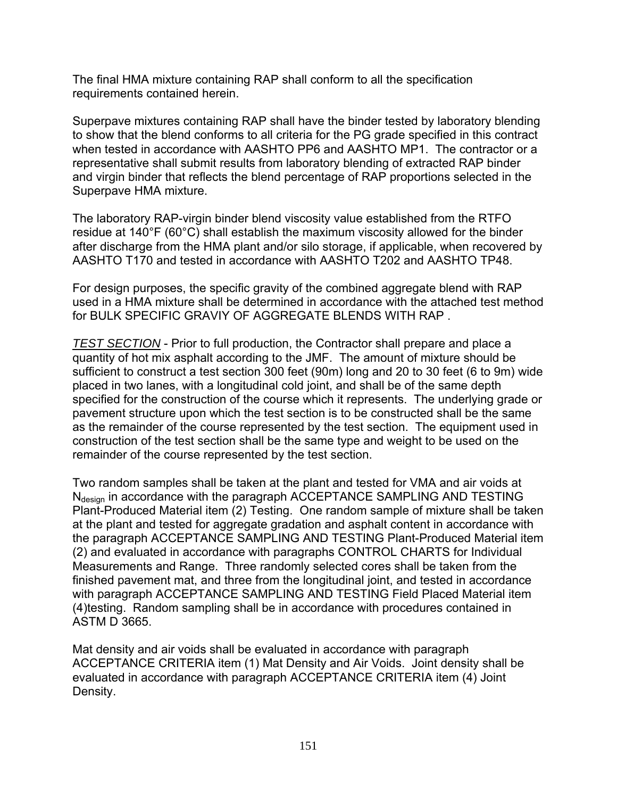The final HMA mixture containing RAP shall conform to all the specification requirements contained herein.

Superpave mixtures containing RAP shall have the binder tested by laboratory blending to show that the blend conforms to all criteria for the PG grade specified in this contract when tested in accordance with AASHTO PP6 and AASHTO MP1. The contractor or a representative shall submit results from laboratory blending of extracted RAP binder and virgin binder that reflects the blend percentage of RAP proportions selected in the Superpave HMA mixture.

The laboratory RAP-virgin binder blend viscosity value established from the RTFO residue at 140°F (60°C) shall establish the maximum viscosity allowed for the binder after discharge from the HMA plant and/or silo storage, if applicable, when recovered by AASHTO T170 and tested in accordance with AASHTO T202 and AASHTO TP48.

For design purposes, the specific gravity of the combined aggregate blend with RAP used in a HMA mixture shall be determined in accordance with the attached test method for BULK SPECIFIC GRAVIY OF AGGREGATE BLENDS WITH RAP .

*TEST SECTION* - Prior to full production, the Contractor shall prepare and place a quantity of hot mix asphalt according to the JMF. The amount of mixture should be sufficient to construct a test section 300 feet (90m) long and 20 to 30 feet (6 to 9m) wide placed in two lanes, with a longitudinal cold joint, and shall be of the same depth specified for the construction of the course which it represents. The underlying grade or pavement structure upon which the test section is to be constructed shall be the same as the remainder of the course represented by the test section. The equipment used in construction of the test section shall be the same type and weight to be used on the remainder of the course represented by the test section.

Two random samples shall be taken at the plant and tested for VMA and air voids at N<sub>design</sub> in accordance with the paragraph ACCEPTANCE SAMPLING AND TESTING Plant-Produced Material item (2) Testing. One random sample of mixture shall be taken at the plant and tested for aggregate gradation and asphalt content in accordance with the paragraph ACCEPTANCE SAMPLING AND TESTING Plant-Produced Material item (2) and evaluated in accordance with paragraphs CONTROL CHARTS for Individual Measurements and Range. Three randomly selected cores shall be taken from the finished pavement mat, and three from the longitudinal joint, and tested in accordance with paragraph ACCEPTANCE SAMPLING AND TESTING Field Placed Material item (4)testing. Random sampling shall be in accordance with procedures contained in ASTM D 3665.

Mat density and air voids shall be evaluated in accordance with paragraph ACCEPTANCE CRITERIA item (1) Mat Density and Air Voids. Joint density shall be evaluated in accordance with paragraph ACCEPTANCE CRITERIA item (4) Joint Density.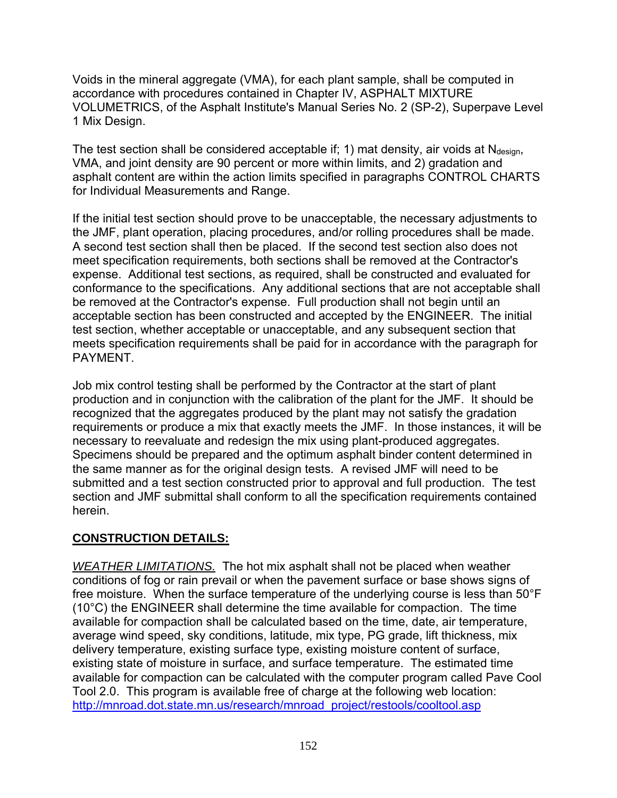Voids in the mineral aggregate (VMA), for each plant sample, shall be computed in accordance with procedures contained in Chapter IV, ASPHALT MIXTURE VOLUMETRICS, of the Asphalt Institute's Manual Series No. 2 (SP-2), Superpave Level 1 Mix Design.

The test section shall be considered acceptable if; 1) mat density, air voids at  $N_{\text{design}}$ , VMA, and joint density are 90 percent or more within limits, and 2) gradation and asphalt content are within the action limits specified in paragraphs CONTROL CHARTS for Individual Measurements and Range.

If the initial test section should prove to be unacceptable, the necessary adjustments to the JMF, plant operation, placing procedures, and/or rolling procedures shall be made. A second test section shall then be placed. If the second test section also does not meet specification requirements, both sections shall be removed at the Contractor's expense. Additional test sections, as required, shall be constructed and evaluated for conformance to the specifications. Any additional sections that are not acceptable shall be removed at the Contractor's expense. Full production shall not begin until an acceptable section has been constructed and accepted by the ENGINEER. The initial test section, whether acceptable or unacceptable, and any subsequent section that meets specification requirements shall be paid for in accordance with the paragraph for PAYMENT.

Job mix control testing shall be performed by the Contractor at the start of plant production and in conjunction with the calibration of the plant for the JMF. It should be recognized that the aggregates produced by the plant may not satisfy the gradation requirements or produce a mix that exactly meets the JMF. In those instances, it will be necessary to reevaluate and redesign the mix using plant-produced aggregates. Specimens should be prepared and the optimum asphalt binder content determined in the same manner as for the original design tests. A revised JMF will need to be submitted and a test section constructed prior to approval and full production. The test section and JMF submittal shall conform to all the specification requirements contained herein.

# **CONSTRUCTION DETAILS:**

*WEATHER LIMITATIONS.* The hot mix asphalt shall not be placed when weather conditions of fog or rain prevail or when the pavement surface or base shows signs of free moisture. When the surface temperature of the underlying course is less than 50°F (10°C) the ENGINEER shall determine the time available for compaction. The time available for compaction shall be calculated based on the time, date, air temperature, average wind speed, sky conditions, latitude, mix type, PG grade, lift thickness, mix delivery temperature, existing surface type, existing moisture content of surface, existing state of moisture in surface, and surface temperature. The estimated time available for compaction can be calculated with the computer program called Pave Cool Tool 2.0. This program is available free of charge at the following web location: [http://mnroad.dot.state.mn.us/research/mnroad\\_project/restools/cooltool.asp](http://mnroad.dot.state.mn.us/research/mnroad_project/restools/cooltool.asp)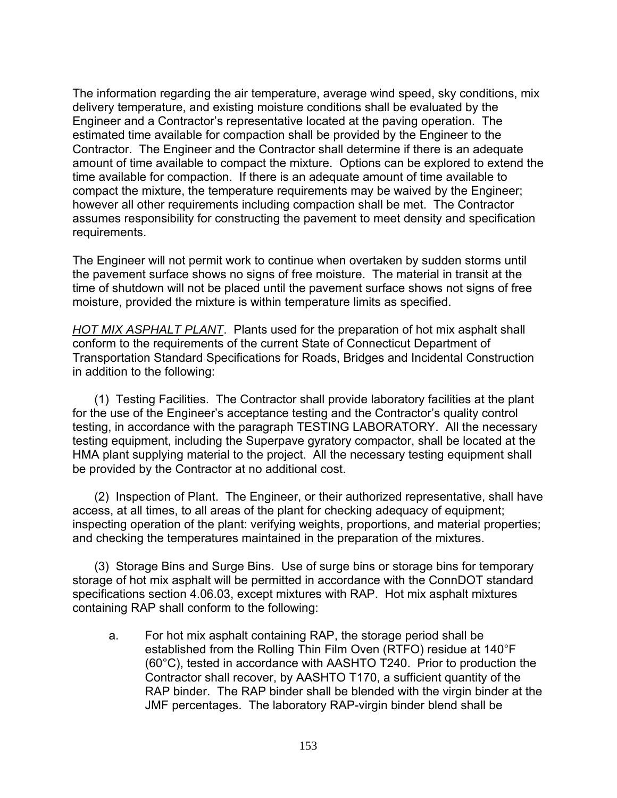The information regarding the air temperature, average wind speed, sky conditions, mix delivery temperature, and existing moisture conditions shall be evaluated by the Engineer and a Contractor's representative located at the paving operation. The estimated time available for compaction shall be provided by the Engineer to the Contractor. The Engineer and the Contractor shall determine if there is an adequate amount of time available to compact the mixture. Options can be explored to extend the time available for compaction. If there is an adequate amount of time available to compact the mixture, the temperature requirements may be waived by the Engineer; however all other requirements including compaction shall be met. The Contractor assumes responsibility for constructing the pavement to meet density and specification requirements.

The Engineer will not permit work to continue when overtaken by sudden storms until the pavement surface shows no signs of free moisture. The material in transit at the time of shutdown will not be placed until the pavement surface shows not signs of free moisture, provided the mixture is within temperature limits as specified.

*HOT MIX ASPHALT PLANT*. Plants used for the preparation of hot mix asphalt shall conform to the requirements of the current State of Connecticut Department of Transportation Standard Specifications for Roads, Bridges and Incidental Construction in addition to the following:

(1) Testing Facilities. The Contractor shall provide laboratory facilities at the plant for the use of the Engineer's acceptance testing and the Contractor's quality control testing, in accordance with the paragraph TESTING LABORATORY. All the necessary testing equipment, including the Superpave gyratory compactor, shall be located at the HMA plant supplying material to the project. All the necessary testing equipment shall be provided by the Contractor at no additional cost.

(2) Inspection of Plant. The Engineer, or their authorized representative, shall have access, at all times, to all areas of the plant for checking adequacy of equipment; inspecting operation of the plant: verifying weights, proportions, and material properties; and checking the temperatures maintained in the preparation of the mixtures.

(3) Storage Bins and Surge Bins. Use of surge bins or storage bins for temporary storage of hot mix asphalt will be permitted in accordance with the ConnDOT standard specifications section 4.06.03, except mixtures with RAP. Hot mix asphalt mixtures containing RAP shall conform to the following:

a. For hot mix asphalt containing RAP, the storage period shall be established from the Rolling Thin Film Oven (RTFO) residue at 140°F (60°C), tested in accordance with AASHTO T240. Prior to production the Contractor shall recover, by AASHTO T170, a sufficient quantity of the RAP binder. The RAP binder shall be blended with the virgin binder at the JMF percentages. The laboratory RAP-virgin binder blend shall be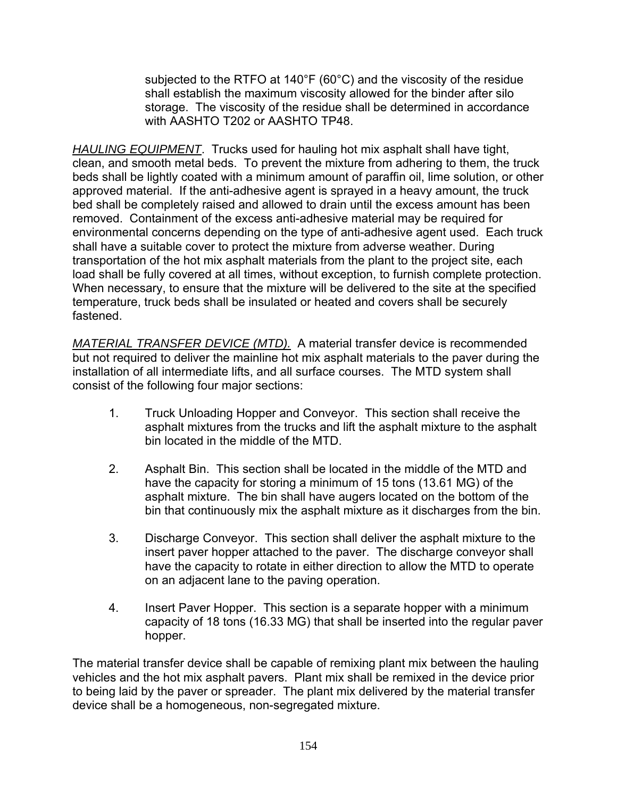subjected to the RTFO at 140°F (60°C) and the viscosity of the residue shall establish the maximum viscosity allowed for the binder after silo storage. The viscosity of the residue shall be determined in accordance with AASHTO T202 or AASHTO TP48.

*HAULING EQUIPMENT*. Trucks used for hauling hot mix asphalt shall have tight, clean, and smooth metal beds. To prevent the mixture from adhering to them, the truck beds shall be lightly coated with a minimum amount of paraffin oil, lime solution, or other approved material. If the anti-adhesive agent is sprayed in a heavy amount, the truck bed shall be completely raised and allowed to drain until the excess amount has been removed. Containment of the excess anti-adhesive material may be required for environmental concerns depending on the type of anti-adhesive agent used. Each truck shall have a suitable cover to protect the mixture from adverse weather. During transportation of the hot mix asphalt materials from the plant to the project site, each load shall be fully covered at all times, without exception, to furnish complete protection. When necessary, to ensure that the mixture will be delivered to the site at the specified temperature, truck beds shall be insulated or heated and covers shall be securely fastened.

*MATERIAL TRANSFER DEVICE (MTD).* A material transfer device is recommended but not required to deliver the mainline hot mix asphalt materials to the paver during the installation of all intermediate lifts, and all surface courses. The MTD system shall consist of the following four major sections:

- 1. Truck Unloading Hopper and Conveyor. This section shall receive the asphalt mixtures from the trucks and lift the asphalt mixture to the asphalt bin located in the middle of the MTD.
- 2. Asphalt Bin. This section shall be located in the middle of the MTD and have the capacity for storing a minimum of 15 tons (13.61 MG) of the asphalt mixture. The bin shall have augers located on the bottom of the bin that continuously mix the asphalt mixture as it discharges from the bin.
- 3. Discharge Conveyor. This section shall deliver the asphalt mixture to the insert paver hopper attached to the paver. The discharge conveyor shall have the capacity to rotate in either direction to allow the MTD to operate on an adjacent lane to the paving operation.
- 4. Insert Paver Hopper. This section is a separate hopper with a minimum capacity of 18 tons (16.33 MG) that shall be inserted into the regular paver hopper.

The material transfer device shall be capable of remixing plant mix between the hauling vehicles and the hot mix asphalt pavers. Plant mix shall be remixed in the device prior to being laid by the paver or spreader. The plant mix delivered by the material transfer device shall be a homogeneous, non-segregated mixture.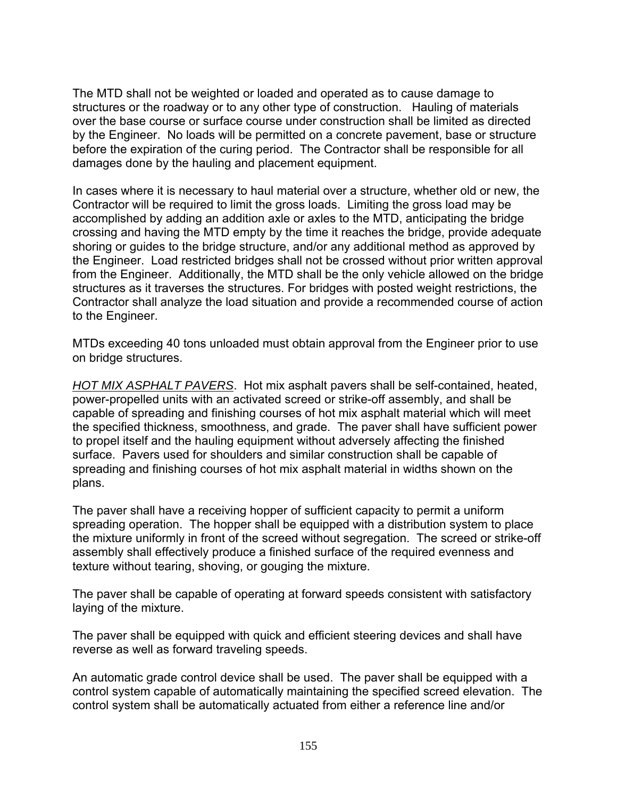The MTD shall not be weighted or loaded and operated as to cause damage to structures or the roadway or to any other type of construction. Hauling of materials over the base course or surface course under construction shall be limited as directed by the Engineer. No loads will be permitted on a concrete pavement, base or structure before the expiration of the curing period. The Contractor shall be responsible for all damages done by the hauling and placement equipment.

In cases where it is necessary to haul material over a structure, whether old or new, the Contractor will be required to limit the gross loads. Limiting the gross load may be accomplished by adding an addition axle or axles to the MTD, anticipating the bridge crossing and having the MTD empty by the time it reaches the bridge, provide adequate shoring or guides to the bridge structure, and/or any additional method as approved by the Engineer. Load restricted bridges shall not be crossed without prior written approval from the Engineer. Additionally, the MTD shall be the only vehicle allowed on the bridge structures as it traverses the structures. For bridges with posted weight restrictions, the Contractor shall analyze the load situation and provide a recommended course of action to the Engineer.

MTDs exceeding 40 tons unloaded must obtain approval from the Engineer prior to use on bridge structures.

*HOT MIX ASPHALT PAVERS*. Hot mix asphalt pavers shall be self-contained, heated, power-propelled units with an activated screed or strike-off assembly, and shall be capable of spreading and finishing courses of hot mix asphalt material which will meet the specified thickness, smoothness, and grade. The paver shall have sufficient power to propel itself and the hauling equipment without adversely affecting the finished surface. Pavers used for shoulders and similar construction shall be capable of spreading and finishing courses of hot mix asphalt material in widths shown on the plans.

The paver shall have a receiving hopper of sufficient capacity to permit a uniform spreading operation. The hopper shall be equipped with a distribution system to place the mixture uniformly in front of the screed without segregation. The screed or strike-off assembly shall effectively produce a finished surface of the required evenness and texture without tearing, shoving, or gouging the mixture.

The paver shall be capable of operating at forward speeds consistent with satisfactory laying of the mixture.

The paver shall be equipped with quick and efficient steering devices and shall have reverse as well as forward traveling speeds.

An automatic grade control device shall be used. The paver shall be equipped with a control system capable of automatically maintaining the specified screed elevation. The control system shall be automatically actuated from either a reference line and/or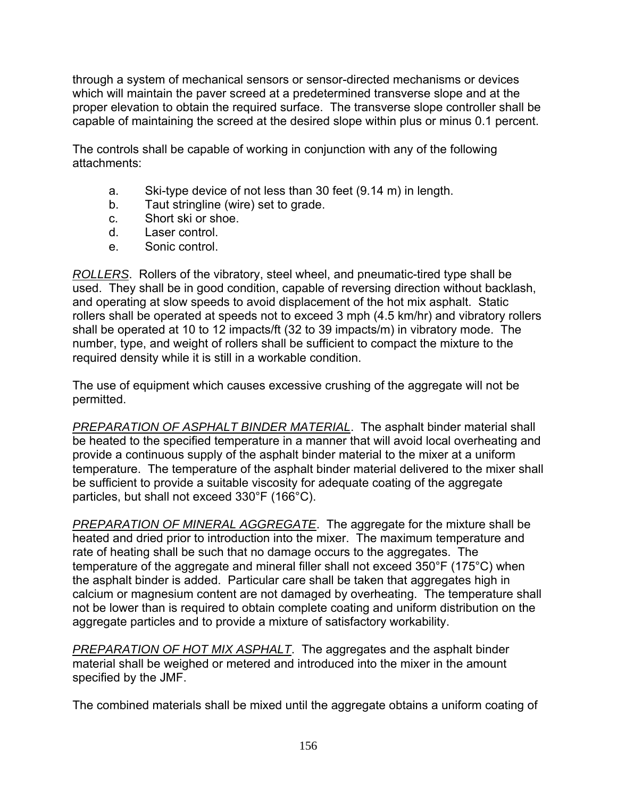through a system of mechanical sensors or sensor-directed mechanisms or devices which will maintain the paver screed at a predetermined transverse slope and at the proper elevation to obtain the required surface. The transverse slope controller shall be capable of maintaining the screed at the desired slope within plus or minus 0.1 percent.

The controls shall be capable of working in conjunction with any of the following attachments:

- a. Ski-type device of not less than 30 feet (9.14 m) in length.
- b. Taut stringline (wire) set to grade.
- c. Short ski or shoe.
- d. Laser control.
- e. Sonic control.

*ROLLERS*. Rollers of the vibratory, steel wheel, and pneumatic-tired type shall be used. They shall be in good condition, capable of reversing direction without backlash, and operating at slow speeds to avoid displacement of the hot mix asphalt. Static rollers shall be operated at speeds not to exceed 3 mph (4.5 km/hr) and vibratory rollers shall be operated at 10 to 12 impacts/ft (32 to 39 impacts/m) in vibratory mode. The number, type, and weight of rollers shall be sufficient to compact the mixture to the required density while it is still in a workable condition.

The use of equipment which causes excessive crushing of the aggregate will not be permitted.

*PREPARATION OF ASPHALT BINDER MATERIAL*. The asphalt binder material shall be heated to the specified temperature in a manner that will avoid local overheating and provide a continuous supply of the asphalt binder material to the mixer at a uniform temperature. The temperature of the asphalt binder material delivered to the mixer shall be sufficient to provide a suitable viscosity for adequate coating of the aggregate particles, but shall not exceed 330°F (166°C).

*PREPARATION OF MINERAL AGGREGATE*. The aggregate for the mixture shall be heated and dried prior to introduction into the mixer. The maximum temperature and rate of heating shall be such that no damage occurs to the aggregates. The temperature of the aggregate and mineral filler shall not exceed 350°F (175°C) when the asphalt binder is added. Particular care shall be taken that aggregates high in calcium or magnesium content are not damaged by overheating. The temperature shall not be lower than is required to obtain complete coating and uniform distribution on the aggregate particles and to provide a mixture of satisfactory workability.

*PREPARATION OF HOT MIX ASPHALT*. The aggregates and the asphalt binder material shall be weighed or metered and introduced into the mixer in the amount specified by the JMF.

The combined materials shall be mixed until the aggregate obtains a uniform coating of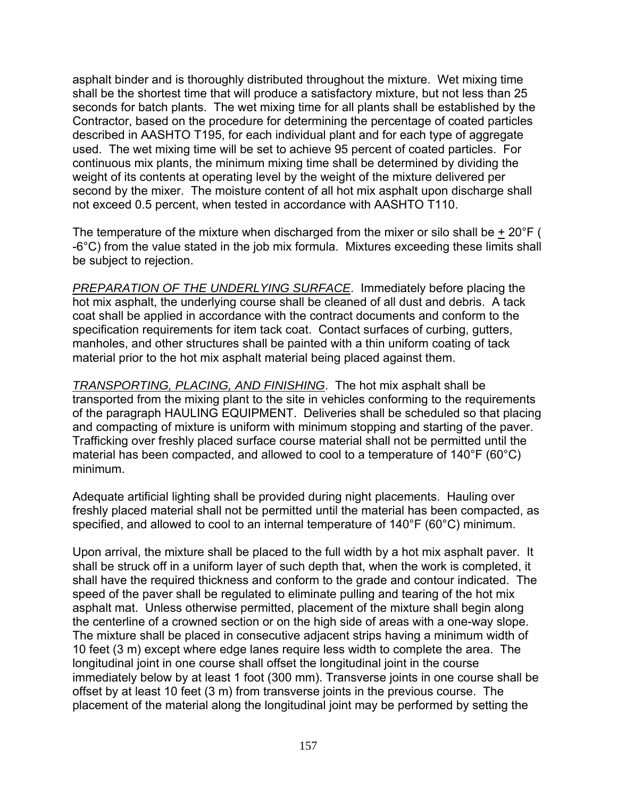asphalt binder and is thoroughly distributed throughout the mixture. Wet mixing time shall be the shortest time that will produce a satisfactory mixture, but not less than 25 seconds for batch plants. The wet mixing time for all plants shall be established by the Contractor, based on the procedure for determining the percentage of coated particles described in AASHTO T195, for each individual plant and for each type of aggregate used. The wet mixing time will be set to achieve 95 percent of coated particles. For continuous mix plants, the minimum mixing time shall be determined by dividing the weight of its contents at operating level by the weight of the mixture delivered per second by the mixer. The moisture content of all hot mix asphalt upon discharge shall not exceed 0.5 percent, when tested in accordance with AASHTO T110.

The temperature of the mixture when discharged from the mixer or silo shall be  $\pm 20^{\circ}$ F ( -6°C) from the value stated in the job mix formula. Mixtures exceeding these limits shall be subject to rejection.

*PREPARATION OF THE UNDERLYING SURFACE*. Immediately before placing the hot mix asphalt, the underlying course shall be cleaned of all dust and debris. A tack coat shall be applied in accordance with the contract documents and conform to the specification requirements for item tack coat. Contact surfaces of curbing, gutters, manholes, and other structures shall be painted with a thin uniform coating of tack material prior to the hot mix asphalt material being placed against them.

*TRANSPORTING, PLACING, AND FINISHING*. The hot mix asphalt shall be transported from the mixing plant to the site in vehicles conforming to the requirements of the paragraph HAULING EQUIPMENT. Deliveries shall be scheduled so that placing and compacting of mixture is uniform with minimum stopping and starting of the paver. Trafficking over freshly placed surface course material shall not be permitted until the material has been compacted, and allowed to cool to a temperature of 140°F (60°C) minimum.

Adequate artificial lighting shall be provided during night placements. Hauling over freshly placed material shall not be permitted until the material has been compacted, as specified, and allowed to cool to an internal temperature of 140°F (60°C) minimum.

Upon arrival, the mixture shall be placed to the full width by a hot mix asphalt paver. It shall be struck off in a uniform layer of such depth that, when the work is completed, it shall have the required thickness and conform to the grade and contour indicated. The speed of the paver shall be regulated to eliminate pulling and tearing of the hot mix asphalt mat. Unless otherwise permitted, placement of the mixture shall begin along the centerline of a crowned section or on the high side of areas with a one-way slope. The mixture shall be placed in consecutive adjacent strips having a minimum width of 10 feet (3 m) except where edge lanes require less width to complete the area. The longitudinal joint in one course shall offset the longitudinal joint in the course immediately below by at least 1 foot (300 mm). Transverse joints in one course shall be offset by at least 10 feet (3 m) from transverse joints in the previous course. The placement of the material along the longitudinal joint may be performed by setting the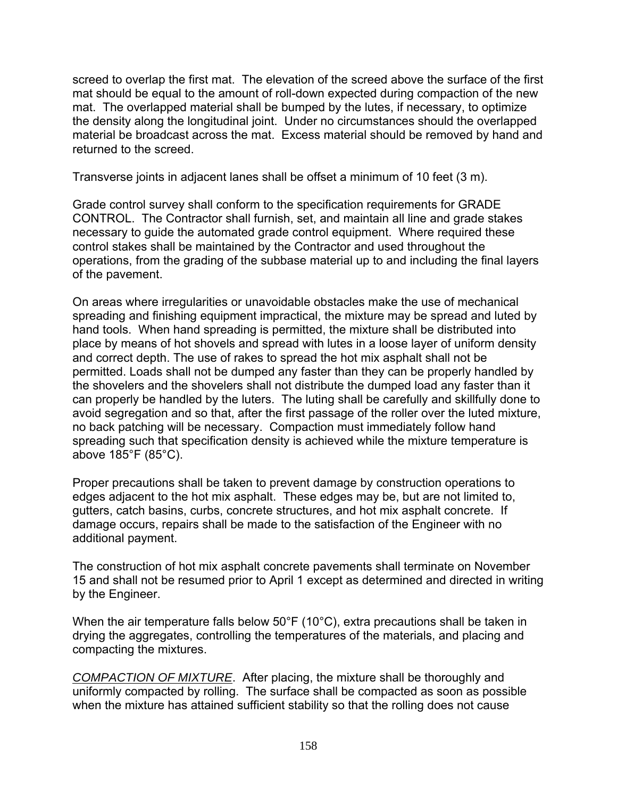screed to overlap the first mat. The elevation of the screed above the surface of the first mat should be equal to the amount of roll-down expected during compaction of the new mat. The overlapped material shall be bumped by the lutes, if necessary, to optimize the density along the longitudinal joint. Under no circumstances should the overlapped material be broadcast across the mat. Excess material should be removed by hand and returned to the screed.

Transverse joints in adjacent lanes shall be offset a minimum of 10 feet (3 m).

Grade control survey shall conform to the specification requirements for GRADE CONTROL. The Contractor shall furnish, set, and maintain all line and grade stakes necessary to guide the automated grade control equipment. Where required these control stakes shall be maintained by the Contractor and used throughout the operations, from the grading of the subbase material up to and including the final layers of the pavement.

On areas where irregularities or unavoidable obstacles make the use of mechanical spreading and finishing equipment impractical, the mixture may be spread and luted by hand tools. When hand spreading is permitted, the mixture shall be distributed into place by means of hot shovels and spread with lutes in a loose layer of uniform density and correct depth. The use of rakes to spread the hot mix asphalt shall not be permitted. Loads shall not be dumped any faster than they can be properly handled by the shovelers and the shovelers shall not distribute the dumped load any faster than it can properly be handled by the luters. The luting shall be carefully and skillfully done to avoid segregation and so that, after the first passage of the roller over the luted mixture, no back patching will be necessary. Compaction must immediately follow hand spreading such that specification density is achieved while the mixture temperature is above 185°F (85°C).

Proper precautions shall be taken to prevent damage by construction operations to edges adjacent to the hot mix asphalt. These edges may be, but are not limited to, gutters, catch basins, curbs, concrete structures, and hot mix asphalt concrete. If damage occurs, repairs shall be made to the satisfaction of the Engineer with no additional payment.

The construction of hot mix asphalt concrete pavements shall terminate on November 15 and shall not be resumed prior to April 1 except as determined and directed in writing by the Engineer.

When the air temperature falls below 50°F (10°C), extra precautions shall be taken in drying the aggregates, controlling the temperatures of the materials, and placing and compacting the mixtures.

*COMPACTION OF MIXTURE*. After placing, the mixture shall be thoroughly and uniformly compacted by rolling. The surface shall be compacted as soon as possible when the mixture has attained sufficient stability so that the rolling does not cause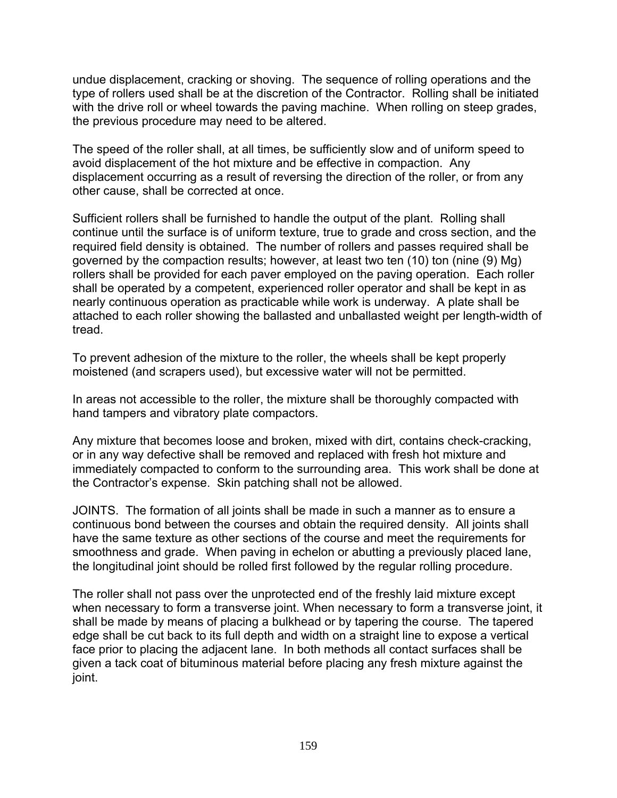undue displacement, cracking or shoving. The sequence of rolling operations and the type of rollers used shall be at the discretion of the Contractor. Rolling shall be initiated with the drive roll or wheel towards the paving machine. When rolling on steep grades, the previous procedure may need to be altered.

The speed of the roller shall, at all times, be sufficiently slow and of uniform speed to avoid displacement of the hot mixture and be effective in compaction. Any displacement occurring as a result of reversing the direction of the roller, or from any other cause, shall be corrected at once.

Sufficient rollers shall be furnished to handle the output of the plant. Rolling shall continue until the surface is of uniform texture, true to grade and cross section, and the required field density is obtained. The number of rollers and passes required shall be governed by the compaction results; however, at least two ten (10) ton (nine (9) Mg) rollers shall be provided for each paver employed on the paving operation. Each roller shall be operated by a competent, experienced roller operator and shall be kept in as nearly continuous operation as practicable while work is underway. A plate shall be attached to each roller showing the ballasted and unballasted weight per length-width of tread.

To prevent adhesion of the mixture to the roller, the wheels shall be kept properly moistened (and scrapers used), but excessive water will not be permitted.

In areas not accessible to the roller, the mixture shall be thoroughly compacted with hand tampers and vibratory plate compactors.

Any mixture that becomes loose and broken, mixed with dirt, contains check-cracking, or in any way defective shall be removed and replaced with fresh hot mixture and immediately compacted to conform to the surrounding area. This work shall be done at the Contractor's expense. Skin patching shall not be allowed.

JOINTS. The formation of all joints shall be made in such a manner as to ensure a continuous bond between the courses and obtain the required density. All joints shall have the same texture as other sections of the course and meet the requirements for smoothness and grade. When paving in echelon or abutting a previously placed lane, the longitudinal joint should be rolled first followed by the regular rolling procedure.

The roller shall not pass over the unprotected end of the freshly laid mixture except when necessary to form a transverse joint. When necessary to form a transverse joint, it shall be made by means of placing a bulkhead or by tapering the course. The tapered edge shall be cut back to its full depth and width on a straight line to expose a vertical face prior to placing the adjacent lane. In both methods all contact surfaces shall be given a tack coat of bituminous material before placing any fresh mixture against the joint.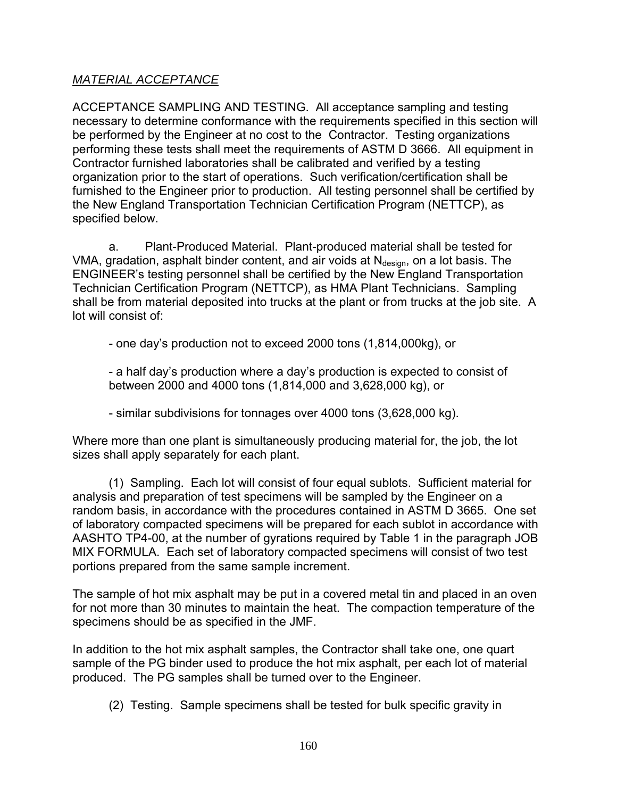## *MATERIAL ACCEPTANCE*

ACCEPTANCE SAMPLING AND TESTING. All acceptance sampling and testing necessary to determine conformance with the requirements specified in this section will be performed by the Engineer at no cost to the Contractor. Testing organizations performing these tests shall meet the requirements of ASTM D 3666. All equipment in Contractor furnished laboratories shall be calibrated and verified by a testing organization prior to the start of operations. Such verification/certification shall be furnished to the Engineer prior to production. All testing personnel shall be certified by the New England Transportation Technician Certification Program (NETTCP), as specified below.

a. Plant-Produced Material. Plant-produced material shall be tested for VMA, gradation, asphalt binder content, and air voids at  $N_{\text{design}}$ , on a lot basis. The ENGINEER's testing personnel shall be certified by the New England Transportation Technician Certification Program (NETTCP), as HMA Plant Technicians. Sampling shall be from material deposited into trucks at the plant or from trucks at the job site. A lot will consist of:

- one day's production not to exceed 2000 tons (1,814,000kg), or

- a half day's production where a day's production is expected to consist of between 2000 and 4000 tons (1,814,000 and 3,628,000 kg), or

- similar subdivisions for tonnages over 4000 tons (3,628,000 kg).

Where more than one plant is simultaneously producing material for, the job, the lot sizes shall apply separately for each plant.

(1) Sampling. Each lot will consist of four equal sublots. Sufficient material for analysis and preparation of test specimens will be sampled by the Engineer on a random basis, in accordance with the procedures contained in ASTM D 3665. One set of laboratory compacted specimens will be prepared for each sublot in accordance with AASHTO TP4-00, at the number of gyrations required by Table 1 in the paragraph JOB MIX FORMULA. Each set of laboratory compacted specimens will consist of two test portions prepared from the same sample increment.

The sample of hot mix asphalt may be put in a covered metal tin and placed in an oven for not more than 30 minutes to maintain the heat. The compaction temperature of the specimens should be as specified in the JMF.

In addition to the hot mix asphalt samples, the Contractor shall take one, one quart sample of the PG binder used to produce the hot mix asphalt, per each lot of material produced. The PG samples shall be turned over to the Engineer.

(2) Testing. Sample specimens shall be tested for bulk specific gravity in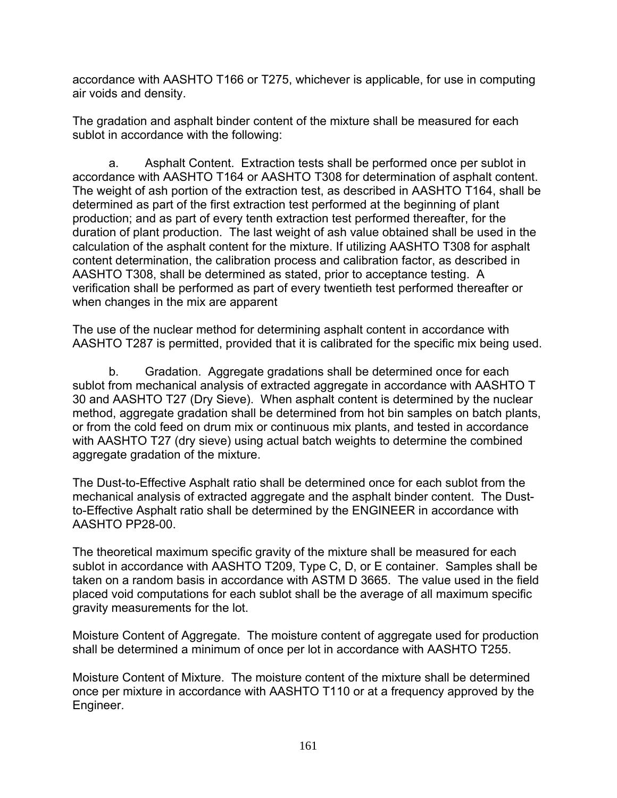accordance with AASHTO T166 or T275, whichever is applicable, for use in computing air voids and density.

The gradation and asphalt binder content of the mixture shall be measured for each sublot in accordance with the following:

a. Asphalt Content. Extraction tests shall be performed once per sublot in accordance with AASHTO T164 or AASHTO T308 for determination of asphalt content. The weight of ash portion of the extraction test, as described in AASHTO T164, shall be determined as part of the first extraction test performed at the beginning of plant production; and as part of every tenth extraction test performed thereafter, for the duration of plant production. The last weight of ash value obtained shall be used in the calculation of the asphalt content for the mixture. If utilizing AASHTO T308 for asphalt content determination, the calibration process and calibration factor, as described in AASHTO T308, shall be determined as stated, prior to acceptance testing. A verification shall be performed as part of every twentieth test performed thereafter or when changes in the mix are apparent

The use of the nuclear method for determining asphalt content in accordance with AASHTO T287 is permitted, provided that it is calibrated for the specific mix being used.

b. Gradation. Aggregate gradations shall be determined once for each sublot from mechanical analysis of extracted aggregate in accordance with AASHTO T 30 and AASHTO T27 (Dry Sieve). When asphalt content is determined by the nuclear method, aggregate gradation shall be determined from hot bin samples on batch plants, or from the cold feed on drum mix or continuous mix plants, and tested in accordance with AASHTO T27 (dry sieve) using actual batch weights to determine the combined aggregate gradation of the mixture.

The Dust-to-Effective Asphalt ratio shall be determined once for each sublot from the mechanical analysis of extracted aggregate and the asphalt binder content. The Dustto-Effective Asphalt ratio shall be determined by the ENGINEER in accordance with AASHTO PP28-00.

The theoretical maximum specific gravity of the mixture shall be measured for each sublot in accordance with AASHTO T209, Type C, D, or E container. Samples shall be taken on a random basis in accordance with ASTM D 3665. The value used in the field placed void computations for each sublot shall be the average of all maximum specific gravity measurements for the lot.

Moisture Content of Aggregate. The moisture content of aggregate used for production shall be determined a minimum of once per lot in accordance with AASHTO T255.

Moisture Content of Mixture. The moisture content of the mixture shall be determined once per mixture in accordance with AASHTO T110 or at a frequency approved by the Engineer.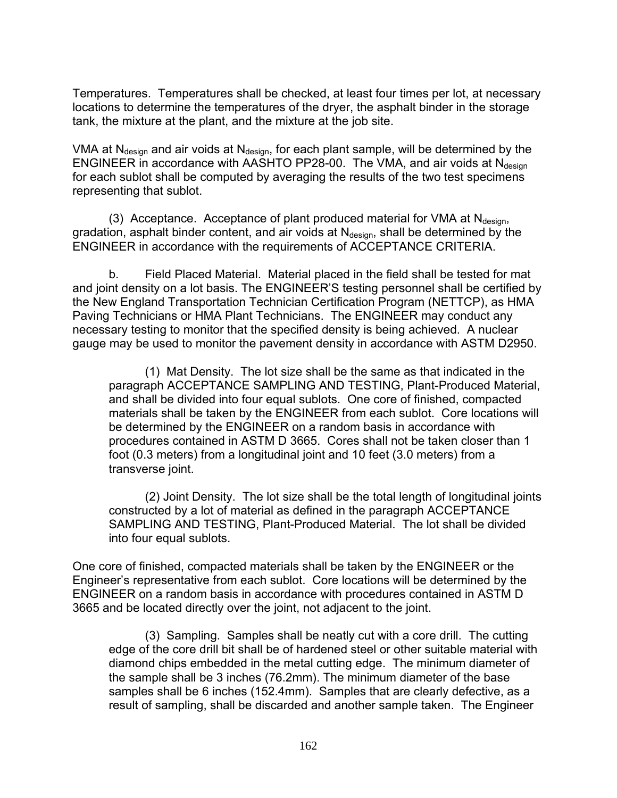Temperatures. Temperatures shall be checked, at least four times per lot, at necessary locations to determine the temperatures of the dryer, the asphalt binder in the storage tank, the mixture at the plant, and the mixture at the job site.

VMA at  $N_{\text{design}}$  and air voids at  $N_{\text{design}}$ , for each plant sample, will be determined by the ENGINEER in accordance with AASHTO PP28-00. The VMA, and air voids at  $N_{\text{design}}$ for each sublot shall be computed by averaging the results of the two test specimens representing that sublot.

(3) Acceptance. Acceptance of plant produced material for VMA at  $N_{\text{design}}$ , gradation, asphalt binder content, and air voids at  $N_{\text{design}}$ , shall be determined by the ENGINEER in accordance with the requirements of ACCEPTANCE CRITERIA.

b. Field Placed Material. Material placed in the field shall be tested for mat and joint density on a lot basis. The ENGINEER'S testing personnel shall be certified by the New England Transportation Technician Certification Program (NETTCP), as HMA Paving Technicians or HMA Plant Technicians. The ENGINEER may conduct any necessary testing to monitor that the specified density is being achieved. A nuclear gauge may be used to monitor the pavement density in accordance with ASTM D2950.

(1) Mat Density. The lot size shall be the same as that indicated in the paragraph ACCEPTANCE SAMPLING AND TESTING, Plant-Produced Material, and shall be divided into four equal sublots. One core of finished, compacted materials shall be taken by the ENGINEER from each sublot. Core locations will be determined by the ENGINEER on a random basis in accordance with procedures contained in ASTM D 3665. Cores shall not be taken closer than 1 foot (0.3 meters) from a longitudinal joint and 10 feet (3.0 meters) from a transverse joint.

(2) Joint Density. The lot size shall be the total length of longitudinal joints constructed by a lot of material as defined in the paragraph ACCEPTANCE SAMPLING AND TESTING, Plant-Produced Material. The lot shall be divided into four equal sublots.

One core of finished, compacted materials shall be taken by the ENGINEER or the Engineer's representative from each sublot. Core locations will be determined by the ENGINEER on a random basis in accordance with procedures contained in ASTM D 3665 and be located directly over the joint, not adjacent to the joint.

(3) Sampling. Samples shall be neatly cut with a core drill. The cutting edge of the core drill bit shall be of hardened steel or other suitable material with diamond chips embedded in the metal cutting edge. The minimum diameter of the sample shall be 3 inches (76.2mm). The minimum diameter of the base samples shall be 6 inches (152.4mm). Samples that are clearly defective, as a result of sampling, shall be discarded and another sample taken. The Engineer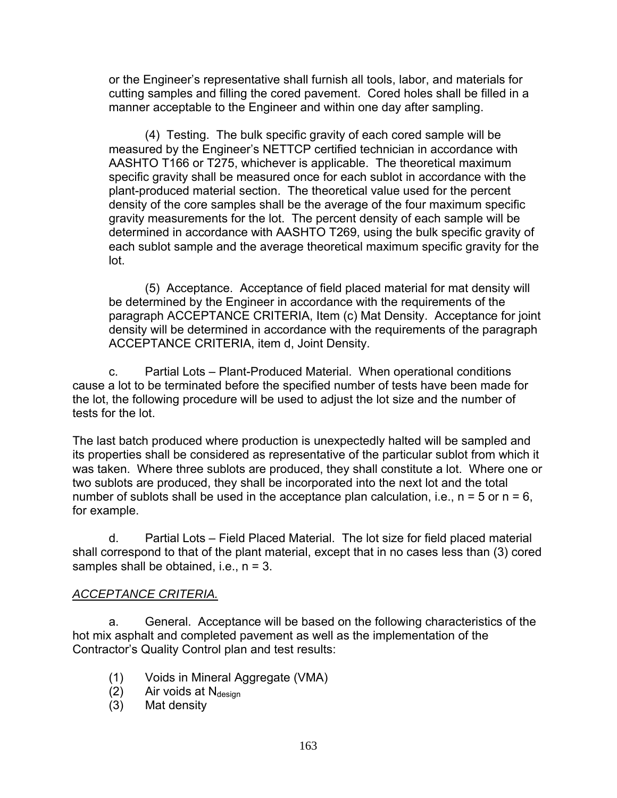or the Engineer's representative shall furnish all tools, labor, and materials for cutting samples and filling the cored pavement. Cored holes shall be filled in a manner acceptable to the Engineer and within one day after sampling.

(4) Testing. The bulk specific gravity of each cored sample will be measured by the Engineer's NETTCP certified technician in accordance with AASHTO T166 or T275, whichever is applicable. The theoretical maximum specific gravity shall be measured once for each sublot in accordance with the plant-produced material section. The theoretical value used for the percent density of the core samples shall be the average of the four maximum specific gravity measurements for the lot. The percent density of each sample will be determined in accordance with AASHTO T269, using the bulk specific gravity of each sublot sample and the average theoretical maximum specific gravity for the lot.

(5) Acceptance. Acceptance of field placed material for mat density will be determined by the Engineer in accordance with the requirements of the paragraph ACCEPTANCE CRITERIA, Item (c) Mat Density. Acceptance for joint density will be determined in accordance with the requirements of the paragraph ACCEPTANCE CRITERIA, item d, Joint Density.

c. Partial Lots – Plant-Produced Material. When operational conditions cause a lot to be terminated before the specified number of tests have been made for the lot, the following procedure will be used to adjust the lot size and the number of tests for the lot.

The last batch produced where production is unexpectedly halted will be sampled and its properties shall be considered as representative of the particular sublot from which it was taken. Where three sublots are produced, they shall constitute a lot. Where one or two sublots are produced, they shall be incorporated into the next lot and the total number of sublots shall be used in the acceptance plan calculation, i.e.,  $n = 5$  or  $n = 6$ , for example.

d. Partial Lots – Field Placed Material. The lot size for field placed material shall correspond to that of the plant material, except that in no cases less than (3) cored samples shall be obtained, i.e.,  $n = 3$ .

## *ACCEPTANCE CRITERIA.*

a. General. Acceptance will be based on the following characteristics of the hot mix asphalt and completed pavement as well as the implementation of the Contractor's Quality Control plan and test results:

- (1) Voids in Mineral Aggregate (VMA)
- (2) Air voids at  $N_{\text{design}}$
- (3) Mat density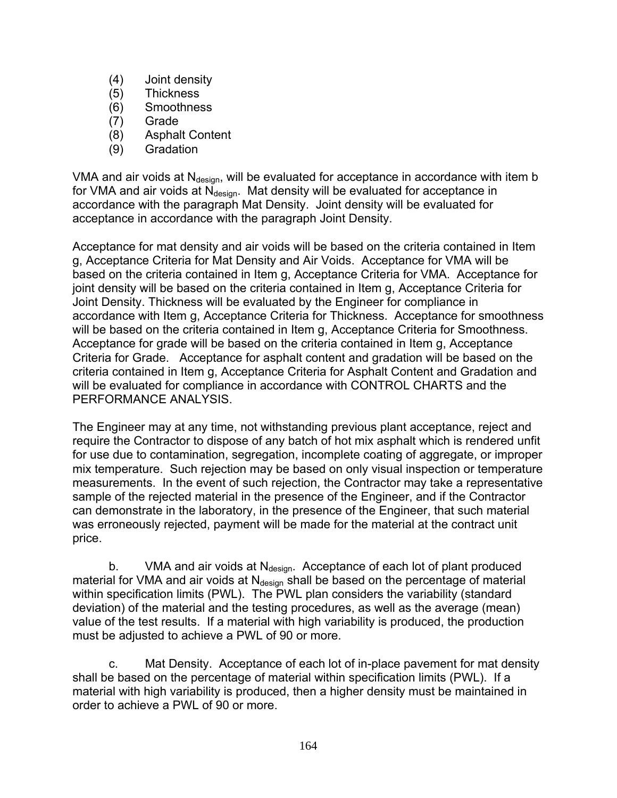- (4) Joint density
- (5) Thickness
- (6) Smoothness
- (7) Grade
- (8) Asphalt Content
- (9) Gradation

VMA and air voids at  $N_{\text{design}}$ , will be evaluated for acceptance in accordance with item b for VMA and air voids at  $N_{\text{design}}$ . Mat density will be evaluated for acceptance in accordance with the paragraph Mat Density. Joint density will be evaluated for acceptance in accordance with the paragraph Joint Density.

Acceptance for mat density and air voids will be based on the criteria contained in Item g, Acceptance Criteria for Mat Density and Air Voids. Acceptance for VMA will be based on the criteria contained in Item g, Acceptance Criteria for VMA. Acceptance for joint density will be based on the criteria contained in Item g, Acceptance Criteria for Joint Density. Thickness will be evaluated by the Engineer for compliance in accordance with Item g, Acceptance Criteria for Thickness. Acceptance for smoothness will be based on the criteria contained in Item g, Acceptance Criteria for Smoothness. Acceptance for grade will be based on the criteria contained in Item g, Acceptance Criteria for Grade. Acceptance for asphalt content and gradation will be based on the criteria contained in Item g, Acceptance Criteria for Asphalt Content and Gradation and will be evaluated for compliance in accordance with CONTROL CHARTS and the PERFORMANCE ANALYSIS.

The Engineer may at any time, not withstanding previous plant acceptance, reject and require the Contractor to dispose of any batch of hot mix asphalt which is rendered unfit for use due to contamination, segregation, incomplete coating of aggregate, or improper mix temperature. Such rejection may be based on only visual inspection or temperature measurements. In the event of such rejection, the Contractor may take a representative sample of the rejected material in the presence of the Engineer, and if the Contractor can demonstrate in the laboratory, in the presence of the Engineer, that such material was erroneously rejected, payment will be made for the material at the contract unit price.

b. VMA and air voids at  $N_{\text{design}}$ . Acceptance of each lot of plant produced material for VMA and air voids at  $N_{\text{design}}$  shall be based on the percentage of material within specification limits (PWL). The PWL plan considers the variability (standard deviation) of the material and the testing procedures, as well as the average (mean) value of the test results. If a material with high variability is produced, the production must be adjusted to achieve a PWL of 90 or more.

c. Mat Density. Acceptance of each lot of in-place pavement for mat density shall be based on the percentage of material within specification limits (PWL). If a material with high variability is produced, then a higher density must be maintained in order to achieve a PWL of 90 or more.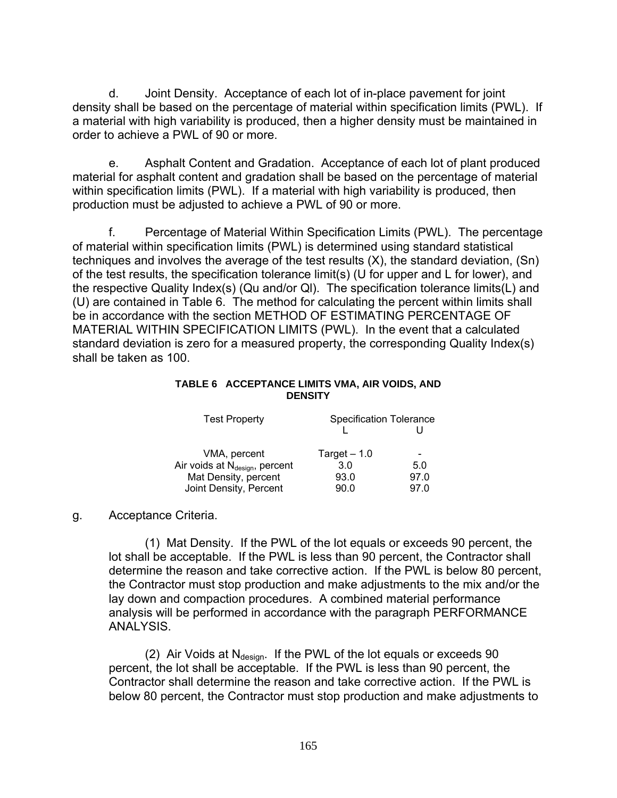d. Joint Density. Acceptance of each lot of in-place pavement for joint density shall be based on the percentage of material within specification limits (PWL). If a material with high variability is produced, then a higher density must be maintained in order to achieve a PWL of 90 or more.

e. Asphalt Content and Gradation. Acceptance of each lot of plant produced material for asphalt content and gradation shall be based on the percentage of material within specification limits (PWL). If a material with high variability is produced, then production must be adjusted to achieve a PWL of 90 or more.

f. Percentage of Material Within Specification Limits (PWL). The percentage of material within specification limits (PWL) is determined using standard statistical techniques and involves the average of the test results (X), the standard deviation, (Sn) of the test results, the specification tolerance limit(s) (U for upper and L for lower), and the respective Quality Index(s) (Qu and/or Ql). The specification tolerance limits(L) and (U) are contained in Table 6. The method for calculating the percent within limits shall be in accordance with the section METHOD OF ESTIMATING PERCENTAGE OF MATERIAL WITHIN SPECIFICATION LIMITS (PWL). In the event that a calculated standard deviation is zero for a measured property, the corresponding Quality Index(s) shall be taken as 100.

#### **TABLE 6 ACCEPTANCE LIMITS VMA, AIR VOIDS, AND DENSITY**

| <b>Test Property</b>                       | <b>Specification Tolerance</b> |      |
|--------------------------------------------|--------------------------------|------|
|                                            |                                |      |
| VMA, percent                               | Target $-1.0$                  |      |
| Air voids at N <sub>design</sub> , percent | 3.0                            | 5.0  |
| Mat Density, percent                       | 93.0                           | 97.0 |
| Joint Density, Percent                     | 90.0                           | 97.0 |

#### g. Acceptance Criteria.

(1) Mat Density. If the PWL of the lot equals or exceeds 90 percent, the lot shall be acceptable. If the PWL is less than 90 percent, the Contractor shall determine the reason and take corrective action. If the PWL is below 80 percent, the Contractor must stop production and make adjustments to the mix and/or the lay down and compaction procedures. A combined material performance analysis will be performed in accordance with the paragraph PERFORMANCE ANALYSIS.

(2) Air Voids at  $N_{\text{design}}$ . If the PWL of the lot equals or exceeds 90 percent, the lot shall be acceptable. If the PWL is less than 90 percent, the Contractor shall determine the reason and take corrective action. If the PWL is below 80 percent, the Contractor must stop production and make adjustments to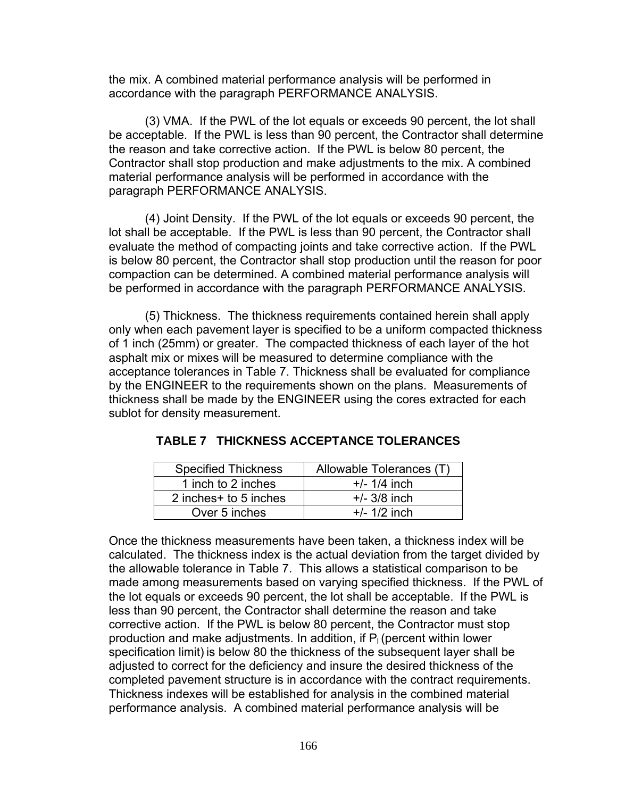the mix. A combined material performance analysis will be performed in accordance with the paragraph PERFORMANCE ANALYSIS.

(3) VMA. If the PWL of the lot equals or exceeds 90 percent, the lot shall be acceptable. If the PWL is less than 90 percent, the Contractor shall determine the reason and take corrective action. If the PWL is below 80 percent, the Contractor shall stop production and make adjustments to the mix. A combined material performance analysis will be performed in accordance with the paragraph PERFORMANCE ANALYSIS.

(4) Joint Density. If the PWL of the lot equals or exceeds 90 percent, the lot shall be acceptable. If the PWL is less than 90 percent, the Contractor shall evaluate the method of compacting joints and take corrective action. If the PWL is below 80 percent, the Contractor shall stop production until the reason for poor compaction can be determined. A combined material performance analysis will be performed in accordance with the paragraph PERFORMANCE ANALYSIS.

(5) Thickness. The thickness requirements contained herein shall apply only when each pavement layer is specified to be a uniform compacted thickness of 1 inch (25mm) or greater. The compacted thickness of each layer of the hot asphalt mix or mixes will be measured to determine compliance with the acceptance tolerances in Table 7. Thickness shall be evaluated for compliance by the ENGINEER to the requirements shown on the plans. Measurements of thickness shall be made by the ENGINEER using the cores extracted for each sublot for density measurement.

| <b>Specified Thickness</b> | Allowable Tolerances (T) |
|----------------------------|--------------------------|
| 1 inch to 2 inches         | $+/- 1/4$ inch           |
| 2 inches + to 5 inches     | $+/- 3/8$ inch           |
| Over 5 inches              | $+/- 1/2$ inch           |

## **TABLE 7 THICKNESS ACCEPTANCE TOLERANCES**

Once the thickness measurements have been taken, a thickness index will be calculated. The thickness index is the actual deviation from the target divided by the allowable tolerance in Table 7. This allows a statistical comparison to be made among measurements based on varying specified thickness. If the PWL of the lot equals or exceeds 90 percent, the lot shall be acceptable. If the PWL is less than 90 percent, the Contractor shall determine the reason and take corrective action. If the PWL is below 80 percent, the Contractor must stop production and make adjustments. In addition, if  $P<sub>l</sub>$  (percent within lower specification limit) is below 80 the thickness of the subsequent layer shall be adjusted to correct for the deficiency and insure the desired thickness of the completed pavement structure is in accordance with the contract requirements. Thickness indexes will be established for analysis in the combined material performance analysis. A combined material performance analysis will be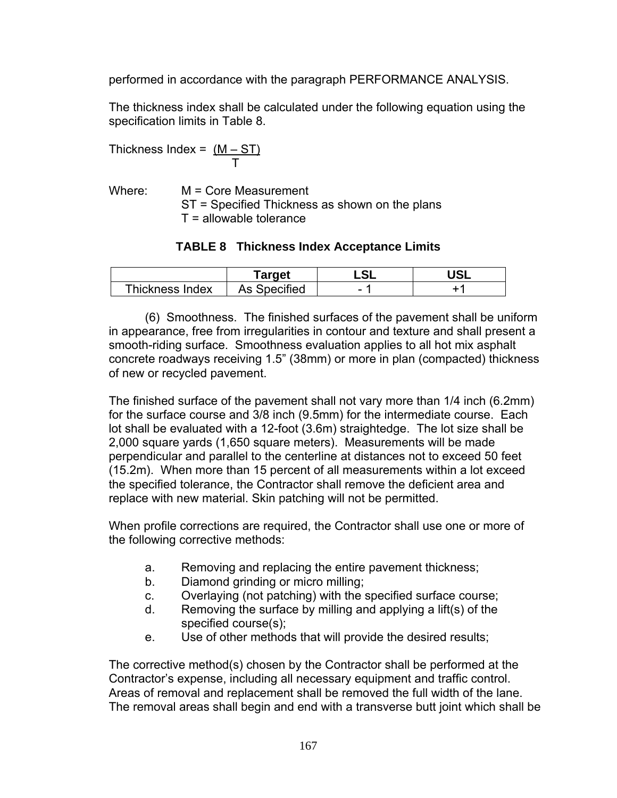performed in accordance with the paragraph PERFORMANCE ANALYSIS.

The thickness index shall be calculated under the following equation using the specification limits in Table 8.

$$
Thichness Index = \frac{(M - ST)}{T}
$$

Where: M = Core Measurement ST = Specified Thickness as shown on the plans T = allowable tolerance

#### **TABLE 8 Thickness Index Acceptance Limits**

|                 | Target              | c۱ | $\sim$ |
|-----------------|---------------------|----|--------|
| Thickness Index | <b>As Specified</b> | -  |        |

(6) Smoothness. The finished surfaces of the pavement shall be uniform in appearance, free from irregularities in contour and texture and shall present a smooth-riding surface. Smoothness evaluation applies to all hot mix asphalt concrete roadways receiving 1.5" (38mm) or more in plan (compacted) thickness of new or recycled pavement.

The finished surface of the pavement shall not vary more than 1/4 inch (6.2mm) for the surface course and 3/8 inch (9.5mm) for the intermediate course. Each lot shall be evaluated with a 12-foot (3.6m) straightedge. The lot size shall be 2,000 square yards (1,650 square meters). Measurements will be made perpendicular and parallel to the centerline at distances not to exceed 50 feet (15.2m). When more than 15 percent of all measurements within a lot exceed the specified tolerance, the Contractor shall remove the deficient area and replace with new material. Skin patching will not be permitted.

When profile corrections are required, the Contractor shall use one or more of the following corrective methods:

- a. Removing and replacing the entire pavement thickness;
- b. Diamond grinding or micro milling;
- c. Overlaying (not patching) with the specified surface course;
- d. Removing the surface by milling and applying a lift(s) of the specified course(s);
- e. Use of other methods that will provide the desired results;

The corrective method(s) chosen by the Contractor shall be performed at the Contractor's expense, including all necessary equipment and traffic control. Areas of removal and replacement shall be removed the full width of the lane. The removal areas shall begin and end with a transverse butt joint which shall be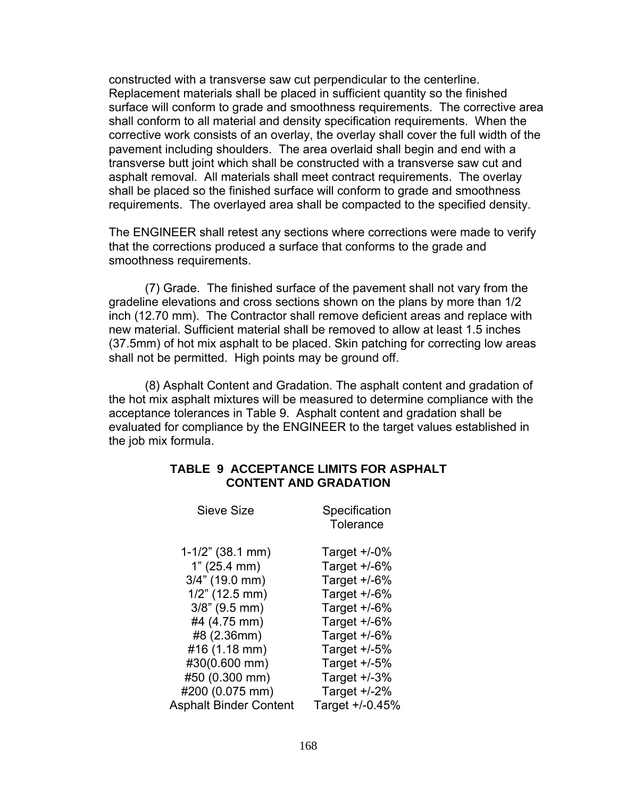constructed with a transverse saw cut perpendicular to the centerline. Replacement materials shall be placed in sufficient quantity so the finished surface will conform to grade and smoothness requirements. The corrective area shall conform to all material and density specification requirements. When the corrective work consists of an overlay, the overlay shall cover the full width of the pavement including shoulders. The area overlaid shall begin and end with a transverse butt joint which shall be constructed with a transverse saw cut and asphalt removal. All materials shall meet contract requirements. The overlay shall be placed so the finished surface will conform to grade and smoothness requirements. The overlayed area shall be compacted to the specified density.

The ENGINEER shall retest any sections where corrections were made to verify that the corrections produced a surface that conforms to the grade and smoothness requirements.

(7) Grade. The finished surface of the pavement shall not vary from the gradeline elevations and cross sections shown on the plans by more than 1/2 inch (12.70 mm). The Contractor shall remove deficient areas and replace with new material. Sufficient material shall be removed to allow at least 1.5 inches (37.5mm) of hot mix asphalt to be placed. Skin patching for correcting low areas shall not be permitted. High points may be ground off.

(8) Asphalt Content and Gradation. The asphalt content and gradation of the hot mix asphalt mixtures will be measured to determine compliance with the acceptance tolerances in Table 9. Asphalt content and gradation shall be evaluated for compliance by the ENGINEER to the target values established in the job mix formula.

#### **TABLE 9 ACCEPTANCE LIMITS FOR ASPHALT CONTENT AND GRADATION**

| Sieve Size                    | Specification<br>Tolerance |
|-------------------------------|----------------------------|
| $1-1/2$ " (38.1 mm)           | Target $+/-0\%$            |
| 1" (25.4 mm)                  | Target $+/-6%$             |
| $3/4$ " (19.0 mm)             | Target $+/-6%$             |
| $1/2$ " (12.5 mm)             | Target $+/-6%$             |
| $3/8$ " (9.5 mm)              | Target $+/-6%$             |
| #4 (4.75 mm)                  | Target +/-6%               |
| #8 (2.36mm)                   | Target $+/-6%$             |
| #16 (1.18 mm)                 | Target $+/-5%$             |
| #30(0.600 mm)                 | Target $+/-5%$             |
| #50 (0.300 mm)                | Target $+/-3%$             |
| #200 (0.075 mm)               | Target $+/-2%$             |
| <b>Asphalt Binder Content</b> | Target +/-0.45%            |
|                               |                            |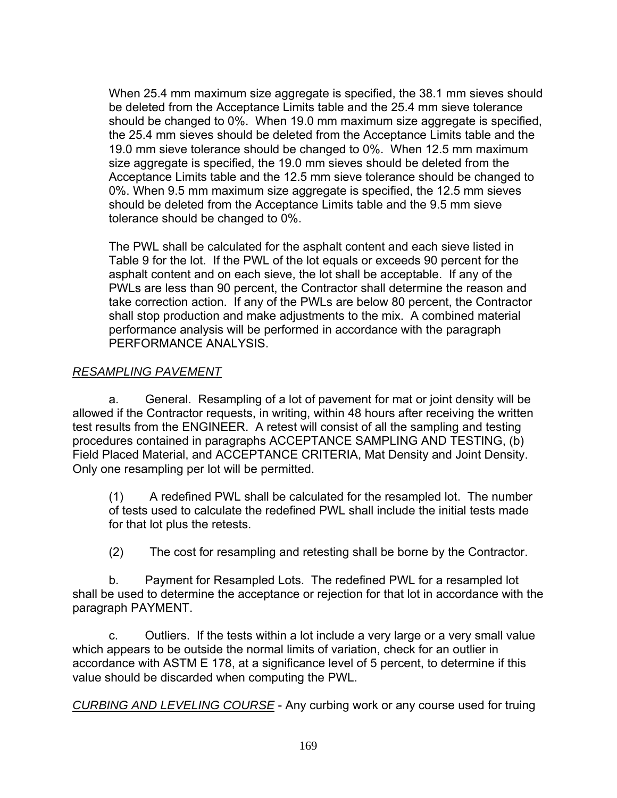When 25.4 mm maximum size aggregate is specified, the 38.1 mm sieves should be deleted from the Acceptance Limits table and the 25.4 mm sieve tolerance should be changed to 0%. When 19.0 mm maximum size aggregate is specified, the 25.4 mm sieves should be deleted from the Acceptance Limits table and the 19.0 mm sieve tolerance should be changed to 0%. When 12.5 mm maximum size aggregate is specified, the 19.0 mm sieves should be deleted from the Acceptance Limits table and the 12.5 mm sieve tolerance should be changed to 0%. When 9.5 mm maximum size aggregate is specified, the 12.5 mm sieves should be deleted from the Acceptance Limits table and the 9.5 mm sieve tolerance should be changed to 0%.

The PWL shall be calculated for the asphalt content and each sieve listed in Table 9 for the lot. If the PWL of the lot equals or exceeds 90 percent for the asphalt content and on each sieve, the lot shall be acceptable. If any of the PWLs are less than 90 percent, the Contractor shall determine the reason and take correction action. If any of the PWLs are below 80 percent, the Contractor shall stop production and make adjustments to the mix. A combined material performance analysis will be performed in accordance with the paragraph PERFORMANCE ANALYSIS.

## *RESAMPLING PAVEMENT*

a. General. Resampling of a lot of pavement for mat or joint density will be allowed if the Contractor requests, in writing, within 48 hours after receiving the written test results from the ENGINEER. A retest will consist of all the sampling and testing procedures contained in paragraphs ACCEPTANCE SAMPLING AND TESTING, (b) Field Placed Material, and ACCEPTANCE CRITERIA, Mat Density and Joint Density. Only one resampling per lot will be permitted.

(1) A redefined PWL shall be calculated for the resampled lot. The number of tests used to calculate the redefined PWL shall include the initial tests made for that lot plus the retests.

(2) The cost for resampling and retesting shall be borne by the Contractor.

b. Payment for Resampled Lots. The redefined PWL for a resampled lot shall be used to determine the acceptance or rejection for that lot in accordance with the paragraph PAYMENT.

c. Outliers. If the tests within a lot include a very large or a very small value which appears to be outside the normal limits of variation, check for an outlier in accordance with ASTM E 178, at a significance level of 5 percent, to determine if this value should be discarded when computing the PWL.

*CURBING AND LEVELING COURSE* - Any curbing work or any course used for truing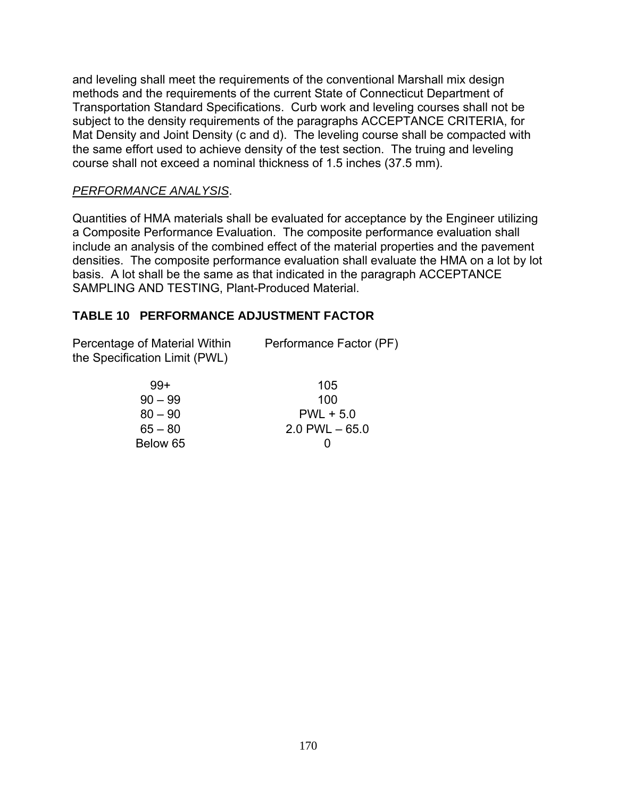and leveling shall meet the requirements of the conventional Marshall mix design methods and the requirements of the current State of Connecticut Department of Transportation Standard Specifications. Curb work and leveling courses shall not be subject to the density requirements of the paragraphs ACCEPTANCE CRITERIA, for Mat Density and Joint Density (c and d). The leveling course shall be compacted with the same effort used to achieve density of the test section. The truing and leveling course shall not exceed a nominal thickness of 1.5 inches (37.5 mm).

## *PERFORMANCE ANALYSIS*.

Quantities of HMA materials shall be evaluated for acceptance by the Engineer utilizing a Composite Performance Evaluation. The composite performance evaluation shall include an analysis of the combined effect of the material properties and the pavement densities. The composite performance evaluation shall evaluate the HMA on a lot by lot basis. A lot shall be the same as that indicated in the paragraph ACCEPTANCE SAMPLING AND TESTING, Plant-Produced Material.

# **TABLE 10 PERFORMANCE ADJUSTMENT FACTOR**

Percentage of Material Within Performance Factor (PF) the Specification Limit (PWL)

| $99+$     | 105               |
|-----------|-------------------|
| $90 - 99$ | 100               |
| $80 - 90$ | $PWL + 5.0$       |
| $65 - 80$ | $2.0$ PWL $-65.0$ |
| Below 65  | $\mathbf{\Omega}$ |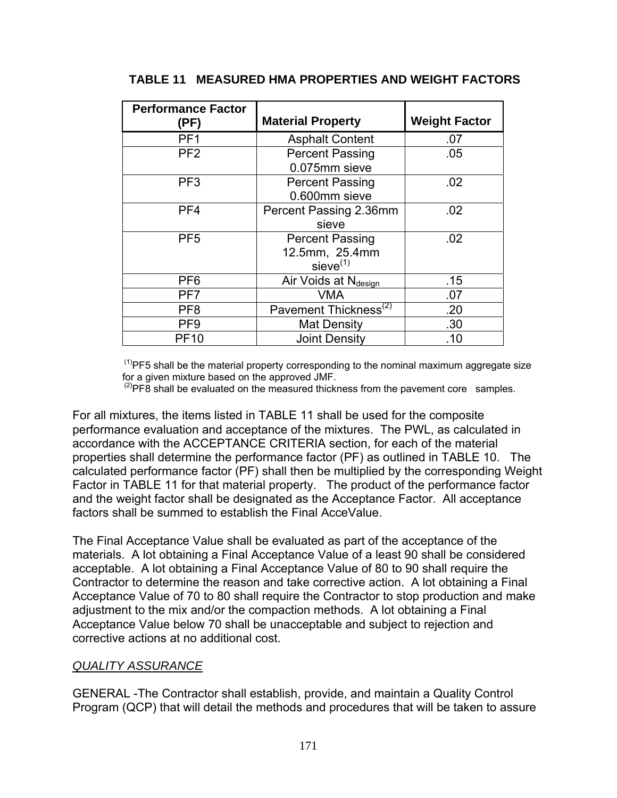| <b>Performance Factor</b><br>(PF) | <b>Material Property</b>                                  | <b>Weight Factor</b> |
|-----------------------------------|-----------------------------------------------------------|----------------------|
| PF <sub>1</sub>                   | <b>Asphalt Content</b>                                    | .07                  |
| PF <sub>2</sub>                   | <b>Percent Passing</b><br>0.075mm sieve                   | .05                  |
| PF <sub>3</sub>                   | <b>Percent Passing</b><br>0.600mm sieve                   | .02                  |
| PF <sub>4</sub>                   | Percent Passing 2.36mm<br>sieve                           | .02                  |
| PF <sub>5</sub>                   | <b>Percent Passing</b><br>12.5mm, 25.4mm<br>$sieve^{(1)}$ | .02                  |
| PF <sub>6</sub>                   | Air Voids at Ndesign                                      | .15                  |
| PF7                               | <b>VMA</b>                                                | .07                  |
| PF <sub>8</sub>                   | Pavement Thickness <sup>(2)</sup>                         | .20                  |
| PF <sub>9</sub>                   | <b>Mat Density</b>                                        | .30                  |
| <b>PF10</b>                       | <b>Joint Density</b>                                      | .10                  |

### **TABLE 11 MEASURED HMA PROPERTIES AND WEIGHT FACTORS**

 $<sup>(1)</sup>$ PF5 shall be the material property corresponding to the nominal maximum aggregate size</sup> for a given mixture based on the approved JMF.

 $^{(2)}$ PF8 shall be evaluated on the measured thickness from the pavement core samples.

For all mixtures, the items listed in TABLE 11 shall be used for the composite performance evaluation and acceptance of the mixtures. The PWL, as calculated in accordance with the ACCEPTANCE CRITERIA section, for each of the material properties shall determine the performance factor (PF) as outlined in TABLE 10. The calculated performance factor (PF) shall then be multiplied by the corresponding Weight Factor in TABLE 11 for that material property. The product of the performance factor and the weight factor shall be designated as the Acceptance Factor. All acceptance factors shall be summed to establish the Final AcceValue.

The Final Acceptance Value shall be evaluated as part of the acceptance of the materials. A lot obtaining a Final Acceptance Value of a least 90 shall be considered acceptable. A lot obtaining a Final Acceptance Value of 80 to 90 shall require the Contractor to determine the reason and take corrective action. A lot obtaining a Final Acceptance Value of 70 to 80 shall require the Contractor to stop production and make adjustment to the mix and/or the compaction methods. A lot obtaining a Final Acceptance Value below 70 shall be unacceptable and subject to rejection and corrective actions at no additional cost.

#### *QUALITY ASSURANCE*

GENERAL -The Contractor shall establish, provide, and maintain a Quality Control Program (QCP) that will detail the methods and procedures that will be taken to assure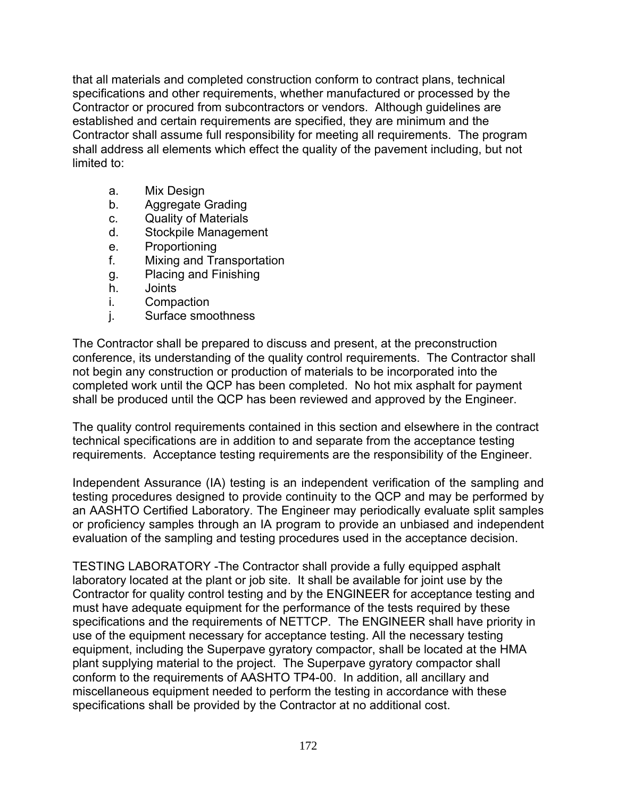that all materials and completed construction conform to contract plans, technical specifications and other requirements, whether manufactured or processed by the Contractor or procured from subcontractors or vendors. Although guidelines are established and certain requirements are specified, they are minimum and the Contractor shall assume full responsibility for meeting all requirements. The program shall address all elements which effect the quality of the pavement including, but not limited to:

- a. Mix Design
- b. Aggregate Grading
- c. Quality of Materials
- d. Stockpile Management
- e. Proportioning
- f. Mixing and Transportation
- g. Placing and Finishing
- h. Joints
- i. Compaction
- j. Surface smoothness

The Contractor shall be prepared to discuss and present, at the preconstruction conference, its understanding of the quality control requirements. The Contractor shall not begin any construction or production of materials to be incorporated into the completed work until the QCP has been completed. No hot mix asphalt for payment shall be produced until the QCP has been reviewed and approved by the Engineer.

The quality control requirements contained in this section and elsewhere in the contract technical specifications are in addition to and separate from the acceptance testing requirements. Acceptance testing requirements are the responsibility of the Engineer.

Independent Assurance (IA) testing is an independent verification of the sampling and testing procedures designed to provide continuity to the QCP and may be performed by an AASHTO Certified Laboratory. The Engineer may periodically evaluate split samples or proficiency samples through an IA program to provide an unbiased and independent evaluation of the sampling and testing procedures used in the acceptance decision.

TESTING LABORATORY -The Contractor shall provide a fully equipped asphalt laboratory located at the plant or job site. It shall be available for joint use by the Contractor for quality control testing and by the ENGINEER for acceptance testing and must have adequate equipment for the performance of the tests required by these specifications and the requirements of NETTCP. The ENGINEER shall have priority in use of the equipment necessary for acceptance testing. All the necessary testing equipment, including the Superpave gyratory compactor, shall be located at the HMA plant supplying material to the project. The Superpave gyratory compactor shall conform to the requirements of AASHTO TP4-00. In addition, all ancillary and miscellaneous equipment needed to perform the testing in accordance with these specifications shall be provided by the Contractor at no additional cost.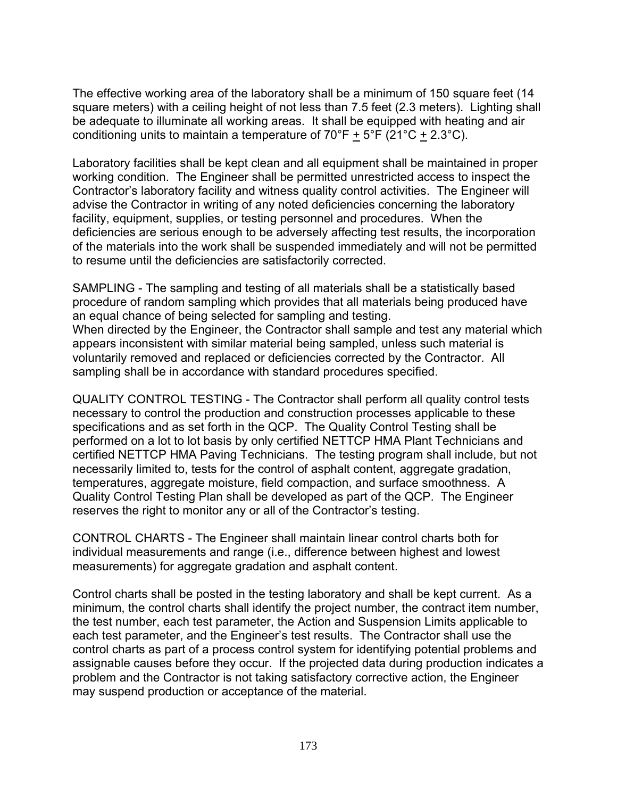The effective working area of the laboratory shall be a minimum of 150 square feet (14 square meters) with a ceiling height of not less than 7.5 feet (2.3 meters). Lighting shall be adequate to illuminate all working areas. It shall be equipped with heating and air conditioning units to maintain a temperature of  $70^{\circ}F + 5^{\circ}F$  (21 $^{\circ}C + 2.3^{\circ}C$ ).

Laboratory facilities shall be kept clean and all equipment shall be maintained in proper working condition. The Engineer shall be permitted unrestricted access to inspect the Contractor's laboratory facility and witness quality control activities. The Engineer will advise the Contractor in writing of any noted deficiencies concerning the laboratory facility, equipment, supplies, or testing personnel and procedures. When the deficiencies are serious enough to be adversely affecting test results, the incorporation of the materials into the work shall be suspended immediately and will not be permitted to resume until the deficiencies are satisfactorily corrected.

SAMPLING - The sampling and testing of all materials shall be a statistically based procedure of random sampling which provides that all materials being produced have an equal chance of being selected for sampling and testing. When directed by the Engineer, the Contractor shall sample and test any material which appears inconsistent with similar material being sampled, unless such material is voluntarily removed and replaced or deficiencies corrected by the Contractor. All sampling shall be in accordance with standard procedures specified.

QUALITY CONTROL TESTING - The Contractor shall perform all quality control tests necessary to control the production and construction processes applicable to these specifications and as set forth in the QCP. The Quality Control Testing shall be performed on a lot to lot basis by only certified NETTCP HMA Plant Technicians and certified NETTCP HMA Paving Technicians. The testing program shall include, but not necessarily limited to, tests for the control of asphalt content, aggregate gradation, temperatures, aggregate moisture, field compaction, and surface smoothness. A Quality Control Testing Plan shall be developed as part of the QCP. The Engineer reserves the right to monitor any or all of the Contractor's testing.

CONTROL CHARTS - The Engineer shall maintain linear control charts both for individual measurements and range (i.e., difference between highest and lowest measurements) for aggregate gradation and asphalt content.

Control charts shall be posted in the testing laboratory and shall be kept current. As a minimum, the control charts shall identify the project number, the contract item number, the test number, each test parameter, the Action and Suspension Limits applicable to each test parameter, and the Engineer's test results. The Contractor shall use the control charts as part of a process control system for identifying potential problems and assignable causes before they occur. If the projected data during production indicates a problem and the Contractor is not taking satisfactory corrective action, the Engineer may suspend production or acceptance of the material.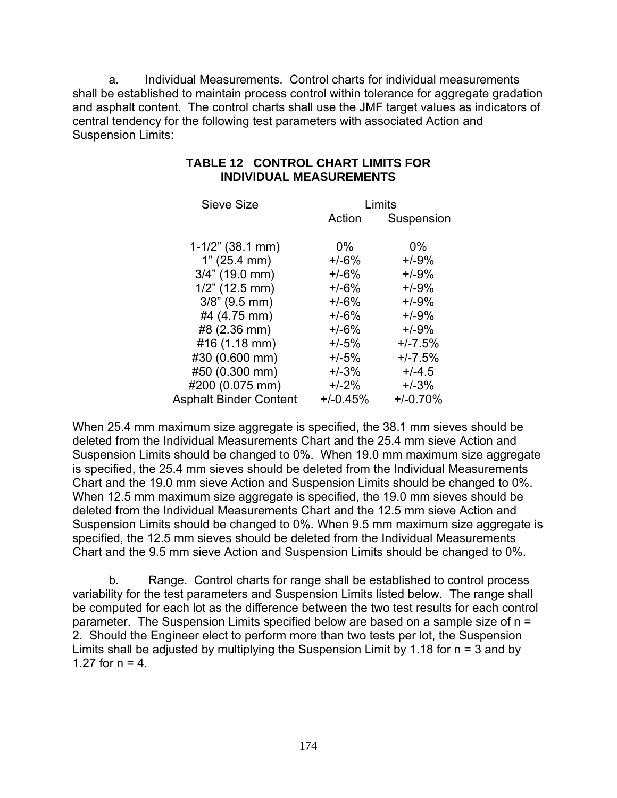a. Individual Measurements. Control charts for individual measurements shall be established to maintain process control within tolerance for aggregate gradation and asphalt content. The control charts shall use the JMF target values as indicators of central tendency for the following test parameters with associated Action and Suspension Limits:

| Sieve Size                    |            | Limits     |
|-------------------------------|------------|------------|
|                               | Action     | Suspension |
| $1-1/2$ " (38.1 mm)           | $0\%$      | $0\%$      |
|                               | $+/-6%$    | $+/-9%$    |
| 1" (25.4 mm)                  |            |            |
| $3/4$ " (19.0 mm)             | $+/-6%$    | $+/-9%$    |
| $1/2$ " (12.5 mm)             | $+/-6%$    | $+/-9%$    |
| $3/8$ " (9.5 mm)              | $+/-6%$    | $+/-9%$    |
| #4 (4.75 mm)                  | $+/-6%$    | $+/-9%$    |
| #8 (2.36 mm)                  | $+/-6%$    | $+/-9%$    |
| #16 (1.18 mm)                 | $+/-5%$    | $+/-7.5%$  |
| #30 (0.600 mm)                | $+/-5%$    | $+/-7.5%$  |
| #50 (0.300 mm)                | $+/-3%$    | $+/-4.5$   |
| #200 (0.075 mm)               | $+/-2%$    | $+/-3%$    |
| <b>Asphalt Binder Content</b> | $+/-0.45%$ | $+/-0.70%$ |

## **TABLE 12 CONTROL CHART LIMITS FOR INDIVIDUAL MEASUREMENTS**

When 25.4 mm maximum size aggregate is specified, the 38.1 mm sieves should be deleted from the Individual Measurements Chart and the 25.4 mm sieve Action and Suspension Limits should be changed to 0%. When 19.0 mm maximum size aggregate is specified, the 25.4 mm sieves should be deleted from the Individual Measurements Chart and the 19.0 mm sieve Action and Suspension Limits should be changed to 0%. When 12.5 mm maximum size aggregate is specified, the 19.0 mm sieves should be deleted from the Individual Measurements Chart and the 12.5 mm sieve Action and Suspension Limits should be changed to 0%. When 9.5 mm maximum size aggregate is specified, the 12.5 mm sieves should be deleted from the Individual Measurements Chart and the 9.5 mm sieve Action and Suspension Limits should be changed to 0%.

b. Range. Control charts for range shall be established to control process variability for the test parameters and Suspension Limits listed below. The range shall be computed for each lot as the difference between the two test results for each control parameter. The Suspension Limits specified below are based on a sample size of n = 2. Should the Engineer elect to perform more than two tests per lot, the Suspension Limits shall be adjusted by multiplying the Suspension Limit by 1.18 for  $n = 3$  and by 1.27 for  $n = 4$ .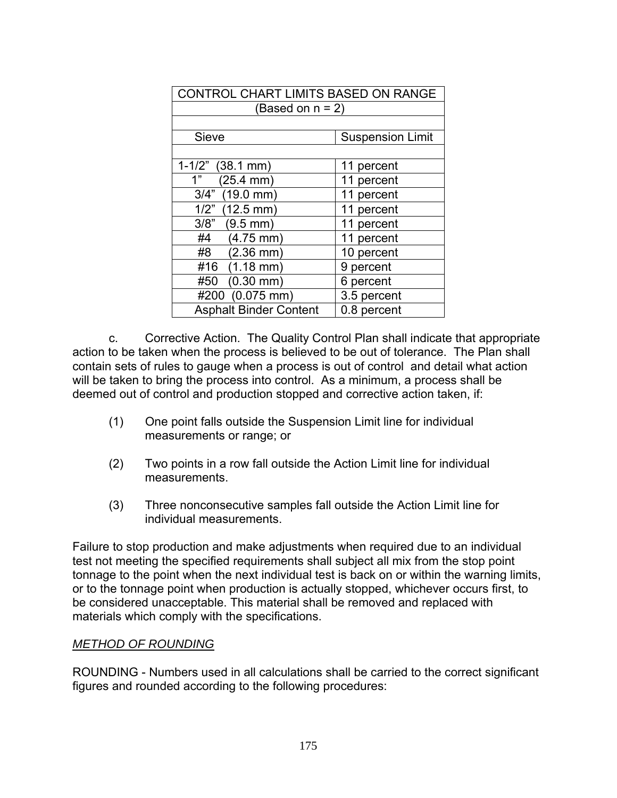| CONTROL CHART LIMITS BASED ON RANGE |                         |  |  |  |  |  |
|-------------------------------------|-------------------------|--|--|--|--|--|
| (Based on $n = 2$ )                 |                         |  |  |  |  |  |
|                                     |                         |  |  |  |  |  |
| Sieve                               | <b>Suspension Limit</b> |  |  |  |  |  |
|                                     |                         |  |  |  |  |  |
| $1-1/2$ " (38.1 mm)                 | 11 percent              |  |  |  |  |  |
| $(25.4 \, \text{mm})$<br>1"         | 11 percent              |  |  |  |  |  |
| 3/4" (19.0 mm)                      | 11 percent              |  |  |  |  |  |
| $1/2$ " (12.5 mm)                   | 11 percent              |  |  |  |  |  |
| 3/8"<br>$(9.5 \, \text{mm})$        | 11 percent              |  |  |  |  |  |
| $(4.75$ mm $)$<br>#4                | 11 percent              |  |  |  |  |  |
| #8<br>$(2.36 \text{ mm})$           | 10 percent              |  |  |  |  |  |
| #16 (1.18 mm)                       | 9 percent               |  |  |  |  |  |
| $(0.30$ mm $)$<br>#50               | 6 percent               |  |  |  |  |  |
| #200 (0.075 mm)                     | 3.5 percent             |  |  |  |  |  |
| <b>Asphalt Binder Content</b>       | 0.8 percent             |  |  |  |  |  |

c. Corrective Action. The Quality Control Plan shall indicate that appropriate action to be taken when the process is believed to be out of tolerance. The Plan shall contain sets of rules to gauge when a process is out of control and detail what action will be taken to bring the process into control. As a minimum, a process shall be deemed out of control and production stopped and corrective action taken, if:

- (1) One point falls outside the Suspension Limit line for individual measurements or range; or
- (2) Two points in a row fall outside the Action Limit line for individual measurements.
- (3) Three nonconsecutive samples fall outside the Action Limit line for individual measurements.

Failure to stop production and make adjustments when required due to an individual test not meeting the specified requirements shall subject all mix from the stop point tonnage to the point when the next individual test is back on or within the warning limits, or to the tonnage point when production is actually stopped, whichever occurs first, to be considered unacceptable. This material shall be removed and replaced with materials which comply with the specifications.

## *METHOD OF ROUNDING*

ROUNDING - Numbers used in all calculations shall be carried to the correct significant figures and rounded according to the following procedures: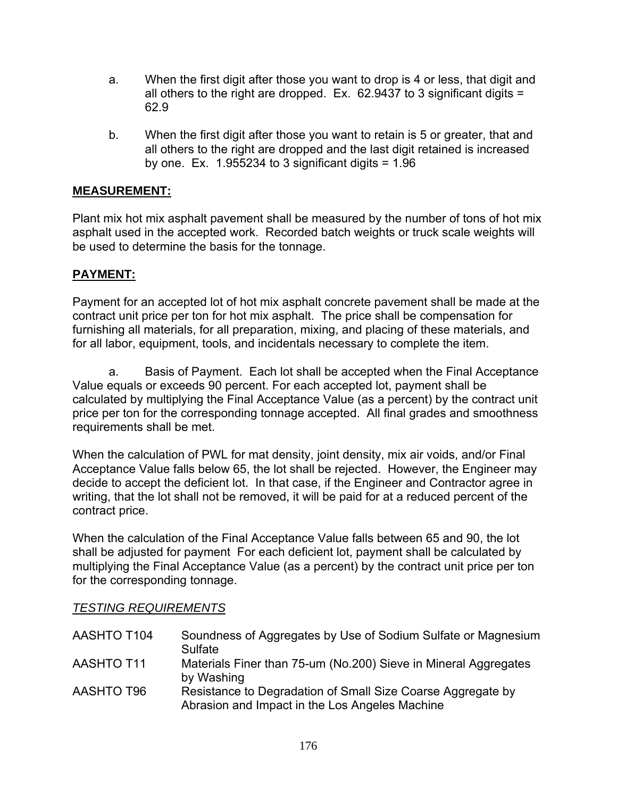- a. When the first digit after those you want to drop is 4 or less, that digit and all others to the right are dropped. Ex. 62.9437 to 3 significant digits = 62.9
- b. When the first digit after those you want to retain is 5 or greater, that and all others to the right are dropped and the last digit retained is increased by one. Ex.  $1.955234$  to 3 significant digits =  $1.96$

# **MEASUREMENT:**

Plant mix hot mix asphalt pavement shall be measured by the number of tons of hot mix asphalt used in the accepted work. Recorded batch weights or truck scale weights will be used to determine the basis for the tonnage.

# **PAYMENT:**

Payment for an accepted lot of hot mix asphalt concrete pavement shall be made at the contract unit price per ton for hot mix asphalt. The price shall be compensation for furnishing all materials, for all preparation, mixing, and placing of these materials, and for all labor, equipment, tools, and incidentals necessary to complete the item.

a. Basis of Payment. Each lot shall be accepted when the Final Acceptance Value equals or exceeds 90 percent. For each accepted lot, payment shall be calculated by multiplying the Final Acceptance Value (as a percent) by the contract unit price per ton for the corresponding tonnage accepted. All final grades and smoothness requirements shall be met.

When the calculation of PWL for mat density, joint density, mix air voids, and/or Final Acceptance Value falls below 65, the lot shall be rejected. However, the Engineer may decide to accept the deficient lot. In that case, if the Engineer and Contractor agree in writing, that the lot shall not be removed, it will be paid for at a reduced percent of the contract price.

When the calculation of the Final Acceptance Value falls between 65 and 90, the lot shall be adjusted for payment For each deficient lot, payment shall be calculated by multiplying the Final Acceptance Value (as a percent) by the contract unit price per ton for the corresponding tonnage.

### *TESTING REQUIREMENTS*

| AASHTO T104       | Soundness of Aggregates by Use of Sodium Sulfate or Magnesium<br>Sulfate                                      |
|-------------------|---------------------------------------------------------------------------------------------------------------|
| <b>AASHTO T11</b> | Materials Finer than 75-um (No.200) Sieve in Mineral Aggregates<br>by Washing                                 |
| AASHTO T96        | Resistance to Degradation of Small Size Coarse Aggregate by<br>Abrasion and Impact in the Los Angeles Machine |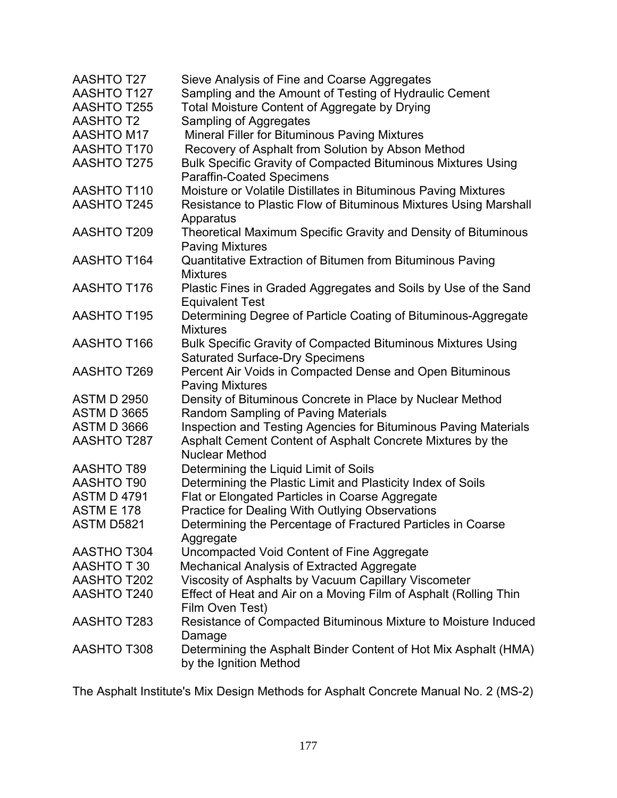| AASHTO T27         | Sieve Analysis of Fine and Coarse Aggregates                                  |
|--------------------|-------------------------------------------------------------------------------|
| AASHTO T127        | Sampling and the Amount of Testing of Hydraulic Cement                        |
| <b>AASHTO T255</b> | Total Moisture Content of Aggregate by Drying                                 |
| <b>AASHTO T2</b>   | Sampling of Aggregates                                                        |
| <b>AASHTO M17</b>  | Mineral Filler for Bituminous Paving Mixtures                                 |
| <b>AASHTO T170</b> | Recovery of Asphalt from Solution by Abson Method                             |
| <b>AASHTO T275</b> | <b>Bulk Specific Gravity of Compacted Bituminous Mixtures Using</b>           |
|                    | <b>Paraffin-Coated Specimens</b>                                              |
| AASHTO T110        | Moisture or Volatile Distillates in Bituminous Paving Mixtures                |
| <b>AASHTO T245</b> | Resistance to Plastic Flow of Bituminous Mixtures Using Marshall<br>Apparatus |
| <b>AASHTO T209</b> | Theoretical Maximum Specific Gravity and Density of Bituminous                |
|                    | <b>Paving Mixtures</b>                                                        |
| <b>AASHTO T164</b> | Quantitative Extraction of Bitumen from Bituminous Paving                     |
|                    | <b>Mixtures</b>                                                               |
| <b>AASHTO T176</b> | Plastic Fines in Graded Aggregates and Soils by Use of the Sand               |
|                    | <b>Equivalent Test</b>                                                        |
| <b>AASHTO T195</b> | Determining Degree of Particle Coating of Bituminous-Aggregate                |
|                    | <b>Mixtures</b>                                                               |
| <b>AASHTO T166</b> | <b>Bulk Specific Gravity of Compacted Bituminous Mixtures Using</b>           |
|                    | <b>Saturated Surface-Dry Specimens</b>                                        |
| <b>AASHTO T269</b> | Percent Air Voids in Compacted Dense and Open Bituminous                      |
|                    | <b>Paving Mixtures</b>                                                        |
| <b>ASTM D 2950</b> | Density of Bituminous Concrete in Place by Nuclear Method                     |
| <b>ASTM D 3665</b> | Random Sampling of Paving Materials                                           |
| <b>ASTM D 3666</b> | Inspection and Testing Agencies for Bituminous Paving Materials               |
| AASHTO T287        | Asphalt Cement Content of Asphalt Concrete Mixtures by the                    |
|                    | <b>Nuclear Method</b>                                                         |
| <b>AASHTO T89</b>  | Determining the Liquid Limit of Soils                                         |
| <b>AASHTO T90</b>  | Determining the Plastic Limit and Plasticity Index of Soils                   |
| <b>ASTM D 4791</b> | Flat or Elongated Particles in Coarse Aggregate                               |
| <b>ASTM E 178</b>  | Practice for Dealing With Outlying Observations                               |
| <b>ASTM D5821</b>  | Determining the Percentage of Fractured Particles in Coarse                   |
|                    | Aggregate                                                                     |
| AASTHO T304        | Uncompacted Void Content of Fine Aggregate                                    |
| AASHTO T 30        | Mechanical Analysis of Extracted Aggregate                                    |
| AASHTO T202        | Viscosity of Asphalts by Vacuum Capillary Viscometer                          |
| <b>AASHTO T240</b> | Effect of Heat and Air on a Moving Film of Asphalt (Rolling Thin              |
|                    | Film Oven Test)                                                               |
| <b>AASHTO T283</b> | Resistance of Compacted Bituminous Mixture to Moisture Induced                |
|                    | Damage                                                                        |
| <b>AASHTO T308</b> | Determining the Asphalt Binder Content of Hot Mix Asphalt (HMA)               |
|                    | by the Ignition Method                                                        |

The Asphalt Institute's Mix Design Methods for Asphalt Concrete Manual No. 2 (MS-2)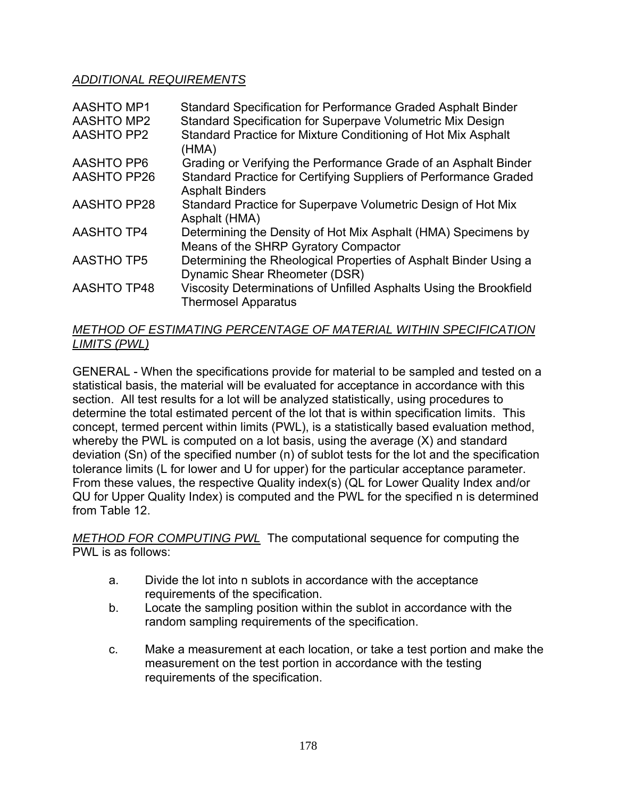## *ADDITIONAL REQUIREMENTS*

| <b>AASHTO MP1</b><br><b>AASHTO MP2</b> | Standard Specification for Performance Graded Asphalt Binder<br>Standard Specification for Superpave Volumetric Mix Design |
|----------------------------------------|----------------------------------------------------------------------------------------------------------------------------|
| <b>AASHTO PP2</b>                      | Standard Practice for Mixture Conditioning of Hot Mix Asphalt<br>(HMA)                                                     |
| <b>AASHTO PP6</b>                      | Grading or Verifying the Performance Grade of an Asphalt Binder                                                            |
| <b>AASHTO PP26</b>                     | Standard Practice for Certifying Suppliers of Performance Graded<br><b>Asphalt Binders</b>                                 |
| <b>AASHTO PP28</b>                     | Standard Practice for Superpave Volumetric Design of Hot Mix<br>Asphalt (HMA)                                              |
| <b>AASHTO TP4</b>                      | Determining the Density of Hot Mix Asphalt (HMA) Specimens by<br>Means of the SHRP Gyratory Compactor                      |
| <b>AASTHO TP5</b>                      | Determining the Rheological Properties of Asphalt Binder Using a<br>Dynamic Shear Rheometer (DSR)                          |
| <b>AASHTO TP48</b>                     | Viscosity Determinations of Unfilled Asphalts Using the Brookfield<br><b>Thermosel Apparatus</b>                           |

# *METHOD OF ESTIMATING PERCENTAGE OF MATERIAL WITHIN SPECIFICATION LIMITS (PWL)*

GENERAL - When the specifications provide for material to be sampled and tested on a statistical basis, the material will be evaluated for acceptance in accordance with this section. All test results for a lot will be analyzed statistically, using procedures to determine the total estimated percent of the lot that is within specification limits. This concept, termed percent within limits (PWL), is a statistically based evaluation method, whereby the PWL is computed on a lot basis, using the average (X) and standard deviation (Sn) of the specified number (n) of sublot tests for the lot and the specification tolerance limits (L for lower and U for upper) for the particular acceptance parameter. From these values, the respective Quality index(s) (QL for Lower Quality Index and/or QU for Upper Quality Index) is computed and the PWL for the specified n is determined from Table 12.

*METHOD FOR COMPUTING PWL* The computational sequence for computing the PWL is as follows:

- a. Divide the lot into n sublots in accordance with the acceptance requirements of the specification.
- b. Locate the sampling position within the sublot in accordance with the random sampling requirements of the specification.
- c. Make a measurement at each location, or take a test portion and make the measurement on the test portion in accordance with the testing requirements of the specification.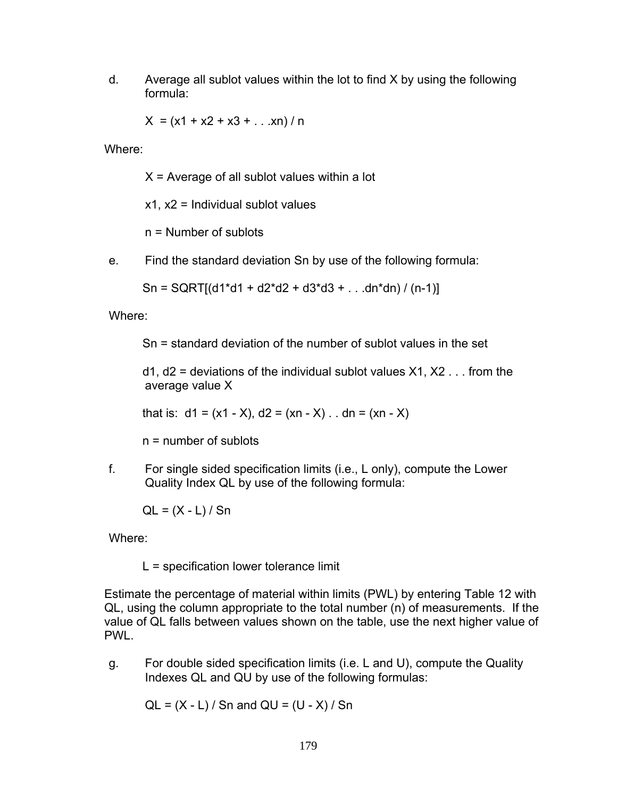d. Average all sublot values within the lot to find X by using the following formula:

 $X = (x1 + x2 + x3 + ... xn) / n$ 

Where:

 $X =$  Average of all sublot values within a lot

 $x1, x2$  = Individual sublot values

n = Number of sublots

e. Find the standard deviation Sn by use of the following formula:

 $Sn = SQRT[(d1*d1 + d2*d2 + d3*d3 + ... dn*dn) / (n-1)]$ 

Where:

Sn = standard deviation of the number of sublot values in the set

 $d1$ ,  $d2$  = deviations of the individual sublot values  $X1$ ,  $X2$ ... from the average value X

that is:  $d1 = (x1 - X), d2 = (xn - X)$ .  $dn = (xn - X)$ 

n = number of sublots

f. For single sided specification limits (i.e., L only), compute the Lower Quality Index QL by use of the following formula:

 $QL = (X - L)/Sn$ 

Where:

L = specification lower tolerance limit

Estimate the percentage of material within limits (PWL) by entering Table 12 with QL, using the column appropriate to the total number (n) of measurements. If the value of QL falls between values shown on the table, use the next higher value of PWL.

g. For double sided specification limits (i.e. L and U), compute the Quality Indexes QL and QU by use of the following formulas:

 $QL = (X - L) / Sn$  and  $QU = (U - X) / Sn$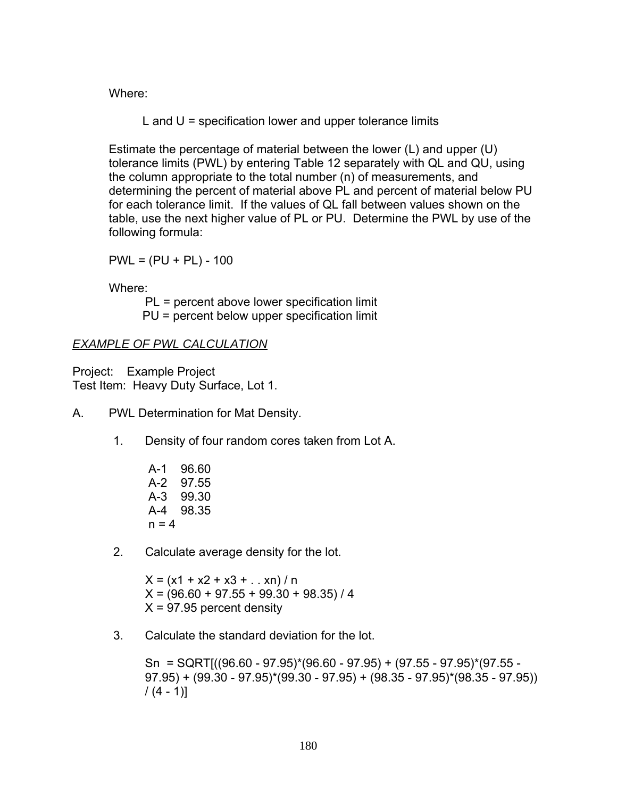Where:

L and  $U =$  specification lower and upper tolerance limits

Estimate the percentage of material between the lower (L) and upper (U) tolerance limits (PWL) by entering Table 12 separately with QL and QU, using the column appropriate to the total number (n) of measurements, and determining the percent of material above PL and percent of material below PU for each tolerance limit. If the values of QL fall between values shown on the table, use the next higher value of PL or PU. Determine the PWL by use of the following formula:

 $PWL = (PU + PL) - 100$ 

Where:

PL = percent above lower specification limit PU = percent below upper specification limit

# *EXAMPLE OF PWL CALCULATION*

Project: Example Project Test Item: Heavy Duty Surface, Lot 1.

- A. PWL Determination for Mat Density.
	- 1. Density of four random cores taken from Lot A.
		- A-1 96.60 A-2 97.55 A-3 99.30 A-4 98.35  $n = 4$
	- 2. Calculate average density for the lot.

 $X = (x1 + x2 + x3 + ... xn) / n$  $X = (96.60 + 97.55 + 99.30 + 98.35)/4$  $X = 97.95$  percent density

3. Calculate the standard deviation for the lot.

Sn = SQRT[((96.60 - 97.95)\*(96.60 - 97.95) + (97.55 - 97.95)\*(97.55 -  $(97.95) + (99.30 - 97.95)^*(99.30 - 97.95) + (98.35 - 97.95)^*(98.35 - 97.95))$  $/(4 - 1)]$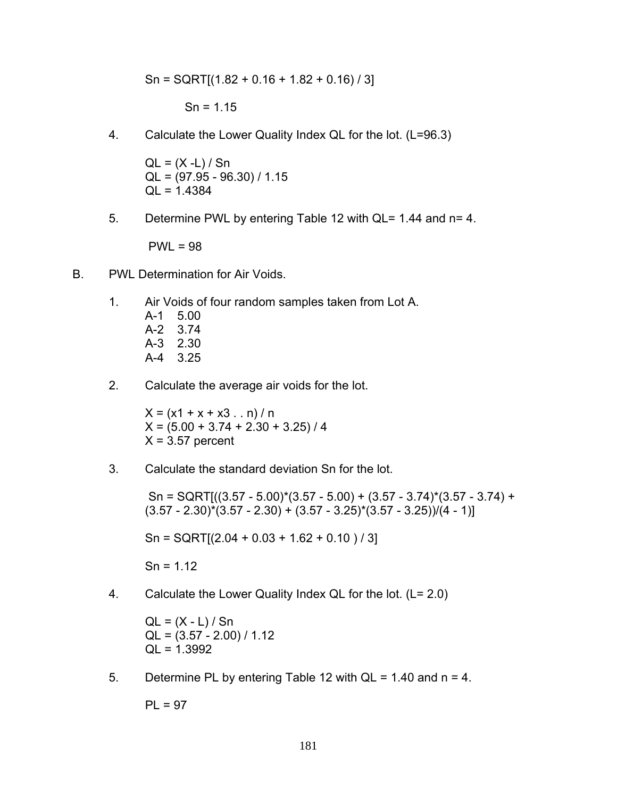$$
Sn = SQRT[(1.82 + 0.16 + 1.82 + 0.16)/3]
$$

 $Sn = 1.15$ 

4. Calculate the Lower Quality Index QL for the lot. (L=96.3)

 $QL = (X - L) / Sn$  $QL = (97.95 - 96.30) / 1.15$ QL = 1.4384

5. Determine PWL by entering Table 12 with QL= 1.44 and n= 4.

PWL = 98

- B. PWL Determination for Air Voids.
	- 1. Air Voids of four random samples taken from Lot A.
		- A-1 5.00 A-2 3.74 A-3 2.30 A-4 3.25
	- 2. Calculate the average air voids for the lot.

 $X = (x1 + x + x3 \dots n)/n$  $X = (5.00 + 3.74 + 2.30 + 3.25) / 4$  $X = 3.57$  percent

3. Calculate the standard deviation Sn for the lot.

Sn = SQRT[ $((3.57 - 5.00)^*(3.57 - 5.00) + (3.57 - 3.74)^*(3.57 - 3.74) +$  $(3.57 - 2.30)^*(3.57 - 2.30) + (3.57 - 3.25)^*(3.57 - 3.25)) / (4 - 1)$ 

 $Sn = \text{SGRT}[(2.04 + 0.03 + 1.62 + 0.10)/3]$ 

 $Sn = 1.12$ 

4. Calculate the Lower Quality Index QL for the lot. (L= 2.0)

 $QL = (X - L)/Sn$  $QL = (3.57 - 2.00) / 1.12$ QL = 1.3992

5. Determine PL by entering Table 12 with  $QL = 1.40$  and  $n = 4$ .

 $PL = 97$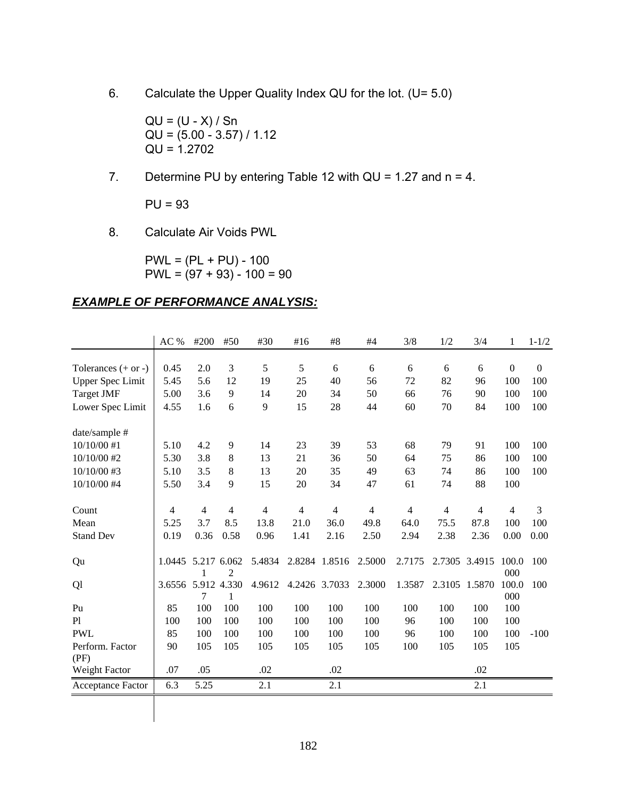6. Calculate the Upper Quality Index QU for the lot. (U= 5.0)

 $QU = (U - X) / Sn$  $QU = (5.00 - 3.57) / 1.12$  $QU = 1.2702$ 

7. Determine PU by entering Table 12 with QU = 1.27 and n = 4.

PU = 93

8. Calculate Air Voids PWL

 $PWL = (PL + PU) - 100$  $PWL = (97 + 93) - 100 = 90$ 

### *EXAMPLE OF PERFORMANCE ANALYSIS:*

|                         | AC %               | #200 | #50  | #30    | #16  | #8            | #4     | 3/8    | 1/2  | 3/4           | 1              | $1 - 1/2$    |
|-------------------------|--------------------|------|------|--------|------|---------------|--------|--------|------|---------------|----------------|--------------|
|                         |                    |      |      |        |      |               |        |        |      |               |                |              |
| Tolerances $(+ or -)$   | 0.45               | 2.0  | 3    | 5      | 5    | 6             | 6      | 6      | 6    | 6             | $\overline{0}$ | $\mathbf{0}$ |
| <b>Upper Spec Limit</b> | 5.45               | 5.6  | 12   | 19     | 25   | 40            | 56     | 72     | 82   | 96            | 100            | 100          |
| <b>Target JMF</b>       | 5.00               | 3.6  | 9    | 14     | 20   | 34            | 50     | 66     | 76   | 90            | 100            | 100          |
| Lower Spec Limit        | 4.55               | 1.6  | 6    | 9      | 15   | 28            | 44     | 60     | 70   | 84            | 100            | 100          |
| date/sample #           |                    |      |      |        |      |               |        |        |      |               |                |              |
| $10/10/00$ #1           | 5.10               | 4.2  | 9    | 14     | 23   | 39            | 53     | 68     | 79   | 91            | 100            | 100          |
| 10/10/00 #2             | 5.30               | 3.8  | 8    | 13     | 21   | 36            | 50     | 64     | 75   | 86            | 100            | 100          |
| 10/10/00 #3             | 5.10               | 3.5  | 8    | 13     | 20   | 35            | 49     | 63     | 74   | 86            | 100            | 100          |
| 10/10/00 #4             | 5.50               | 3.4  | 9    | 15     | 20   | 34            | 47     | 61     | 74   | 88            | 100            |              |
| Count                   | 4                  | 4    | 4    | 4      | 4    | 4             | 4      | 4      | 4    | 4             | 4              | 3            |
| Mean                    | 5.25               | 3.7  | 8.5  | 13.8   | 21.0 | 36.0          | 49.8   | 64.0   | 75.5 | 87.8          | 100            | 100          |
| <b>Stand Dev</b>        | 0.19               | 0.36 | 0.58 | 0.96   | 1.41 | 2.16          | 2.50   | 2.94   | 2.38 | 2.36          | 0.00           | 0.00         |
| Qu                      | 1.0445 5.217 6.062 | 1    | 2    | 5.4834 |      | 2.8284 1.8516 | 2.5000 | 2.7175 |      | 2.7305 3.4915 | 100.0<br>000   | 100          |
| Ql                      | 3.6556 5.912 4.330 | 7    | 1    | 4.9612 |      | 4.2426 3.7033 | 2.3000 | 1.3587 |      | 2.3105 1.5870 | 100.0<br>000   | 100          |
| Pu                      | 85                 | 100  | 100  | 100    | 100  | 100           | 100    | 100    | 100  | 100           | 100            |              |
| P1                      | 100                | 100  | 100  | 100    | 100  | 100           | 100    | 96     | 100  | 100           | 100            |              |
| <b>PWL</b>              | 85                 | 100  | 100  | 100    | 100  | 100           | 100    | 96     | 100  | 100           | 100            | $-100$       |
| Perform. Factor<br>(PF) | 90                 | 105  | 105  | 105    | 105  | 105           | 105    | 100    | 105  | 105           | 105            |              |
| Weight Factor           | .07                | .05  |      | .02    |      | .02           |        |        |      | .02           |                |              |
| Acceptance Factor       | 6.3                | 5.25 |      | 2.1    |      | 2.1           |        |        |      | 2.1           |                |              |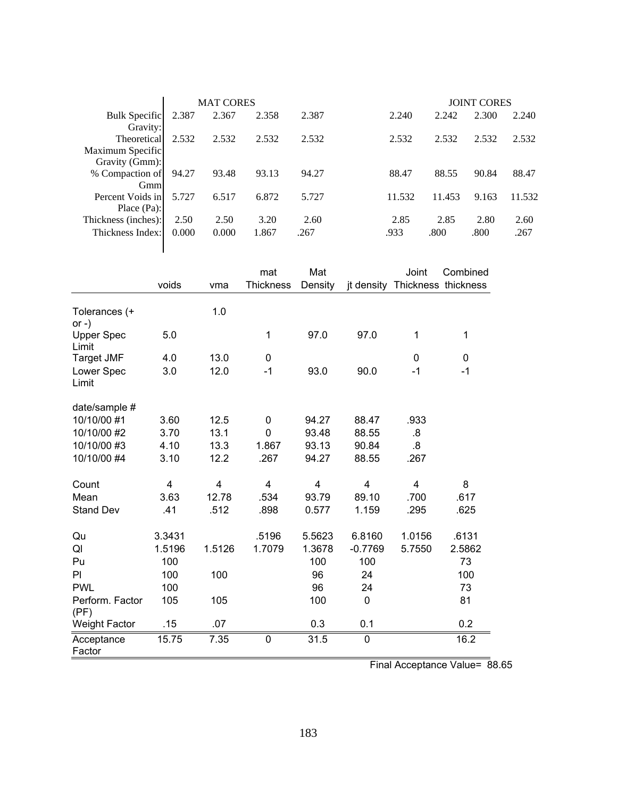|                      |       | <b>MAT CORES</b> |       |       |        |        | <b>JOINT CORES</b> |        |
|----------------------|-------|------------------|-------|-------|--------|--------|--------------------|--------|
| <b>Bulk Specific</b> | 2.387 | 2.367            | 2.358 | 2.387 | 2.240  | 2.242  | 2.300              | 2.240  |
| Gravity:             |       |                  |       |       |        |        |                    |        |
| Theoretical          | 2.532 | 2.532            | 2.532 | 2.532 | 2.532  | 2.532  | 2.532              | 2.532  |
| Maximum Specific     |       |                  |       |       |        |        |                    |        |
| Gravity (Gmm):       |       |                  |       |       |        |        |                    |        |
| % Compaction of      | 94.27 | 93.48            | 93.13 | 94.27 | 88.47  | 88.55  | 90.84              | 88.47  |
| Gmm                  |       |                  |       |       |        |        |                    |        |
| Percent Voids in     | 5.727 | 6.517            | 6.872 | 5.727 | 11.532 | 11.453 | 9.163              | 11.532 |
| Place $(Pa)$ :       |       |                  |       |       |        |        |                    |        |
| Thickness (inches):  | 2.50  | 2.50             | 3.20  | 2.60  | 2.85   | 2.85   | 2.80               | 2.60   |
| Thickness Index:     | 0.000 | 0.000            | 1.867 | .267  | .933   | .800   | .800               | .267   |
|                      |       |                  |       |       |        |        |                    |        |

|                            |        |        | mat              | Mat                     |           | Joint                          | Combined |
|----------------------------|--------|--------|------------------|-------------------------|-----------|--------------------------------|----------|
|                            | voids  | vma    | <b>Thickness</b> | Density                 |           | jt density Thickness thickness |          |
| Tolerances (+<br>or $-$ )  |        | 1.0    |                  |                         |           |                                |          |
| <b>Upper Spec</b><br>Limit | 5.0    |        | 1                | 97.0                    | 97.0      | 1                              | 1        |
| <b>Target JMF</b>          | 4.0    | 13.0   | 0                |                         |           | 0                              | 0        |
| Lower Spec<br>Limit        | 3.0    | 12.0   | $-1$             | 93.0                    | 90.0      | $-1$                           | $-1$     |
| date/sample #              |        |        |                  |                         |           |                                |          |
| 10/10/00 #1                | 3.60   | 12.5   | 0                | 94.27                   | 88.47     | .933                           |          |
| 10/10/00 #2                | 3.70   | 13.1   | 0                | 93.48                   | 88.55     | .8                             |          |
| 10/10/00 #3                | 4.10   | 13.3   | 1.867            | 93.13                   | 90.84     | $\overline{8}$                 |          |
| 10/10/00 #4                | 3.10   | 12.2   | .267             | 94.27                   | 88.55     | .267                           |          |
| Count                      | 4      | 4      | 4                | $\overline{\mathbf{4}}$ | 4         | 4                              | 8        |
| Mean                       | 3.63   | 12.78  | .534             | 93.79                   | 89.10     | .700                           | .617     |
| <b>Stand Dev</b>           | .41    | .512   | .898             | 0.577                   | 1.159     | .295                           | .625     |
| Qu                         | 3.3431 |        | .5196            | 5.5623                  | 6.8160    | 1.0156                         | .6131    |
| QI                         | 1.5196 | 1.5126 | 1.7079           | 1.3678                  | $-0.7769$ | 5.7550                         | 2.5862   |
| Pu                         | 100    |        |                  | 100                     | 100       |                                | 73       |
| PI                         | 100    | 100    |                  | 96                      | 24        |                                | 100      |
| <b>PWL</b>                 | 100    |        |                  | 96                      | 24        |                                | 73       |
| Perform. Factor<br>(PF)    | 105    | 105    |                  | 100                     | 0         |                                | 81       |
| <b>Weight Factor</b>       | .15    | .07    |                  | 0.3                     | 0.1       |                                | 0.2      |
| Acceptance<br>Factor       | 15.75  | 7.35   | 0                | 31.5                    | 0         |                                | 16.2     |

Final Acceptance Value= 88.65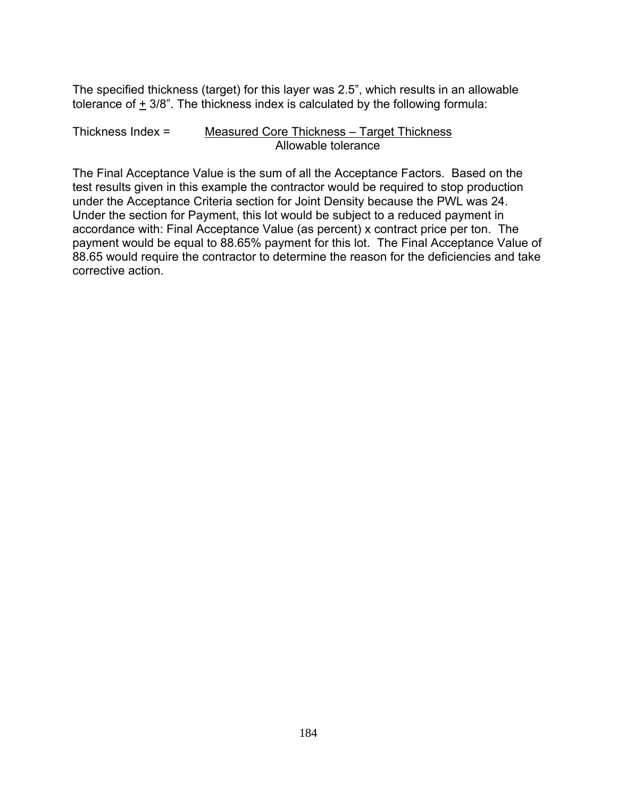The specified thickness (target) for this layer was 2.5", which results in an allowable tolerance of  $\pm$  3/8". The thickness index is calculated by the following formula:

#### Thickness Index = Measured Core Thickness – Target Thickness Allowable tolerance

The Final Acceptance Value is the sum of all the Acceptance Factors. Based on the test results given in this example the contractor would be required to stop production under the Acceptance Criteria section for Joint Density because the PWL was 24. Under the section for Payment, this lot would be subject to a reduced payment in accordance with: Final Acceptance Value (as percent) x contract price per ton. The payment would be equal to 88.65% payment for this lot. The Final Acceptance Value of 88.65 would require the contractor to determine the reason for the deficiencies and take corrective action.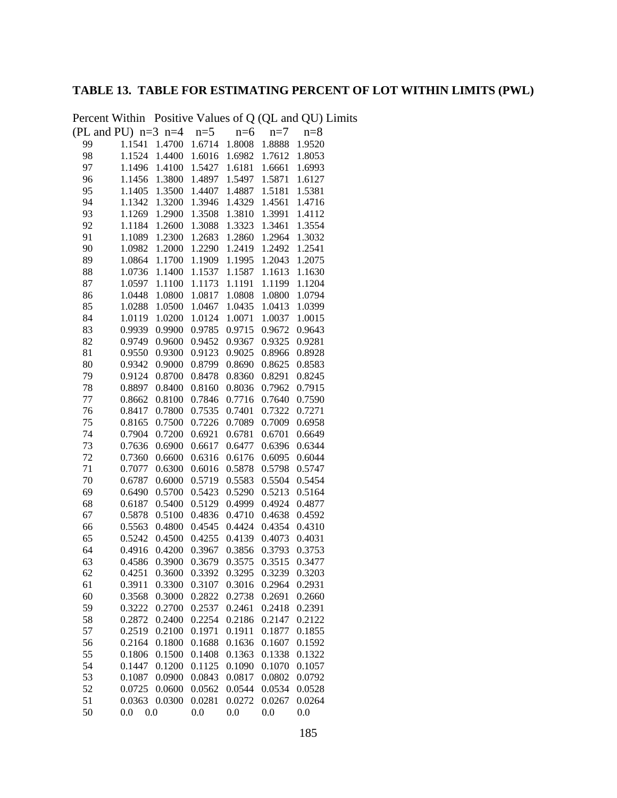# **TABLE 13. TABLE FOR ESTIMATING PERCENT OF LOT WITHIN LIMITS (PWL)**

|                         |                  |                  |                  |                  |                  | I CICCIII WILLIAM TOSHIVE VARIAGES OF QUALITY AND $Q(t)$ Lin |
|-------------------------|------------------|------------------|------------------|------------------|------------------|--------------------------------------------------------------|
| (PL and PU) $n=3$ $n=4$ |                  |                  | $n=5$            | $n=6$            | $n=7$            | $n=8$                                                        |
| 99                      | 1.1541           | 1.4700           | 1.6714           | 1.8008           | 1.8888           | 1.9520                                                       |
| 98                      | 1.1524           | 1.4400           | 1.6016           | 1.6982           | 1.7612           | 1.8053                                                       |
| 97                      | 1.1496           | 1.4100           | 1.5427           | 1.6181           | 1.6661           | 1.6993                                                       |
| 96                      | 1.1456           | 1.3800           | 1.4897           | 1.5497           | 1.5871           | 1.6127                                                       |
| 95                      | 1.1405           | 1.3500           | 1.4407           | 1.4887           | 1.5181           | 1.5381                                                       |
| 94                      | 1.1342           | 1.3200           | 1.3946           | 1.4329           | 1.4561           | 1.4716                                                       |
| 93                      | 1.1269           | 1.2900           | 1.3508           | 1.3810           | 1.3991           | 1.4112                                                       |
| 92                      | 1.1184           | 1.2600           | 1.3088           | 1.3323           | 1.3461           | 1.3554                                                       |
| 91                      | 1.1089           | 1.2300           | 1.2683           | 1.2860           | 1.2964           | 1.3032                                                       |
| 90                      | 1.0982           | 1.2000           | 1.2290           | 1.2419           | 1.2492           | 1.2541                                                       |
| 89                      | 1.0864           | 1.1700           | 1.1909           | 1.1995           | 1.2043           | 1.2075                                                       |
| 88                      | 1.0736           | 1.1400           | 1.1537           | 1.1587           | 1.1613           | 1.1630                                                       |
| 87                      | 1.0597           | 1.1100           | 1.1173           | 1.1191           | 1.1199           | 1.1204                                                       |
| 86                      | 1.0448           | 1.0800           | 1.0817           | 1.0808           | 1.0800           | 1.0794                                                       |
| 85                      | 1.0288           | 1.0500           | 1.0467           | 1.0435           | 1.0413           | 1.0399                                                       |
| 84                      | 1.0119           | 1.0200           | 1.0124           | 1.0071           | 1.0037           | 1.0015                                                       |
| 83                      | 0.9939           | 0.9900           | 0.9785           | 0.9715           | 0.9672           | 0.9643                                                       |
| 82                      | 0.9749           | 0.9600           | 0.9452           | 0.9367           | 0.9325           | 0.9281                                                       |
| 81                      | 0.9550           | 0.9300           | 0.9123           | 0.9025           | 0.8966           | 0.8928                                                       |
| 80                      | 0.9342           | 0.9000           | 0.8799           | 0.8690           | 0.8625           | 0.8583                                                       |
| 79                      | 0.9124           | 0.8700           | 0.8478           | 0.8360           | 0.8291           | 0.8245                                                       |
| 78                      | 0.8897           | 0.8400           | 0.8160           | 0.8036           | 0.7962           | 0.7915                                                       |
| 77                      | 0.8662           | 0.8100           | 0.7846           | 0.7716           | 0.7640           | 0.7590                                                       |
| 76                      | 0.8417           | 0.7800           | 0.7535           | 0.7401           | 0.7322           | 0.7271                                                       |
| 75                      | 0.8165           | 0.7500           | 0.7226           | 0.7089           | 0.7009           | 0.6958                                                       |
| 74                      | 0.7904           | 0.7200           | 0.6921           | 0.6781           | 0.6701           | 0.6649                                                       |
| 73                      | 0.7636           | 0.6900           | 0.6617           | 0.6477           | 0.6396           | 0.6344                                                       |
| 72                      | 0.7360           | 0.6600           | 0.6316           | 0.6176           | 0.6095           | 0.6044                                                       |
| 71                      | 0.7077           | 0.6300           | 0.6016           | 0.5878           | 0.5798           | 0.5747                                                       |
| 70                      | 0.6787           | 0.6000           | 0.5719           | 0.5583           | 0.5504           | 0.5454                                                       |
| 69                      | 0.6490           | 0.5700           | 0.5423           | 0.5290           | 0.5213           | 0.5164                                                       |
| 68                      | 0.6187           | 0.5400           | 0.5129           | 0.4999           | 0.4924           | 0.4877                                                       |
| 67                      | 0.5878           | 0.5100           | 0.4836           | 0.4710           | 0.4638           | 0.4592                                                       |
| 66                      | 0.5563           | 0.4800           | 0.4545           | 0.4424           | 0.4354           | 0.4310                                                       |
| 65                      | 0.5242           | 0.4500           | 0.4255           | 0.4139           | 0.4073           | 0.4031                                                       |
| 64                      | 0.4916<br>0.4586 | 0.4200<br>0.3900 | 0.3967           | 0.3856<br>0.3575 | 0.3793<br>0.3515 | 0.3753                                                       |
| 63                      | 0.4251           | 0.3600           | 0.3679<br>0.3392 | 0.3295           | 0.3239           | 0.3477                                                       |
| 62                      |                  | 0.3300           | 0.3107           |                  |                  | 0.3203<br>0.2931                                             |
| 61<br>60                | 0.3911           | 0.3000           | 0.2822           | 0.3016<br>0.2738 | 0.2964<br>0.2691 | 0.2660                                                       |
| 59                      | 0.3568<br>0.3222 | 0.2700           | 0.2537           | 0.2461           | 0.2418           | 0.2391                                                       |
| 58                      | 0.2872           | 0.2400           | 0.2254           | 0.2186           | 0.2147           | 0.2122                                                       |
| 57                      | 0.2519           | 0.2100           | 0.1971           | 0.1911           | 0.1877           | 0.1855                                                       |
| 56                      | 0.2164           | 0.1800           | 0.1688           | 0.1636           | 0.1607           | 0.1592                                                       |
| 55                      | 0.1806           | 0.1500           | 0.1408           | 0.1363           | 0.1338           | 0.1322                                                       |
| 54                      | 0.1447           | 0.1200           | 0.1125           | 0.1090           | 0.1070           | 0.1057                                                       |
| 53                      | 0.1087           | 0.0900           | 0.0843           | 0.0817           | 0.0802           | 0.0792                                                       |
| 52                      | 0.0725           | 0.0600           | 0.0562           | 0.0544           | 0.0534           | 0.0528                                                       |
| 51                      | 0.0363           | 0.0300           | 0.0281           | 0.0272           | 0.0267           | 0.0264                                                       |
| 50                      | 0.0<br>0.0       |                  | 0.0              | 0.0              | 0.0              | 0.0                                                          |
|                         |                  |                  |                  |                  |                  |                                                              |

Percent Within Positive Values of Q (QL and QU) Limits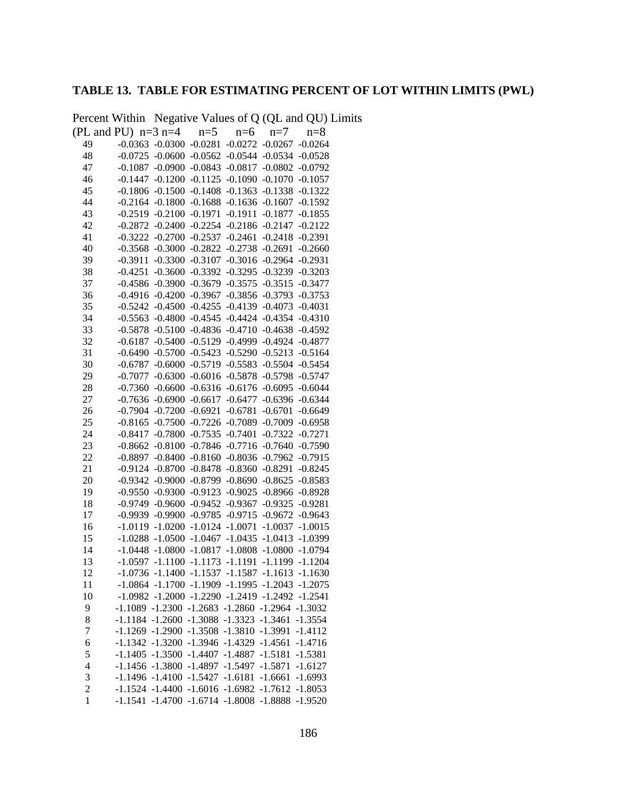# **TABLE 13. TABLE FOR ESTIMATING PERCENT OF LOT WITHIN LIMITS (PWL)**

Percent Within Negative Values of Q (QL and QU) Limits

| (PL and PU) $n=3$ $n=4$ $n=5$ $n=6$ $n=7$ |  |                                         |                                                             |                    | $n=8$     |
|-------------------------------------------|--|-----------------------------------------|-------------------------------------------------------------|--------------------|-----------|
| 49                                        |  |                                         | $-0.0363$ $-0.0300$ $-0.0281$ $-0.0272$ $-0.0267$ $-0.0264$ |                    |           |
| 48                                        |  |                                         | $-0.0725$ $-0.0600$ $-0.0562$ $-0.0544$ $-0.0534$ $-0.0528$ |                    |           |
| 47                                        |  |                                         | $-0.1087 - 0.0900 - 0.0843 - 0.0817 - 0.0802 - 0.0792$      |                    |           |
| 46                                        |  |                                         | $-0.1447$ $-0.1200$ $-0.1125$ $-0.1090$ $-0.1070$ $-0.1057$ |                    |           |
| 45                                        |  |                                         | $-0.1806 -0.1500 -0.1408 -0.1363 -0.1338 -0.1322$           |                    |           |
| 44                                        |  |                                         | $-0.2164$ $-0.1800$ $-0.1688$ $-0.1636$ $-0.1607$ $-0.1592$ |                    |           |
| 43                                        |  | $-0.2519 -0.2100 -0.1971 -0.1911$       |                                                             | $-0.1877 - 0.1855$ |           |
| 42                                        |  |                                         | $-0.2872$ $-0.2400$ $-0.2254$ $-0.2186$ $-0.2147$ $-0.2122$ |                    |           |
| 41                                        |  |                                         | $-0.3222$ $-0.2700$ $-0.2537$ $-0.2461$ $-0.2418$ $-0.2391$ |                    |           |
| 40                                        |  |                                         | $-0.3568$ $-0.3000$ $-0.2822$ $-0.2738$ $-0.2691$ $-0.2660$ |                    |           |
| 39                                        |  |                                         | -0.3911 -0.3300 -0.3107 -0.3016 -0.2964 -0.2931             |                    |           |
| 38                                        |  |                                         | $-0.4251 - 0.3600 - 0.3392 - 0.3295 - 0.3239 - 0.3203$      |                    |           |
| 37                                        |  |                                         | -0.4586 -0.3900 -0.3679 -0.3575 -0.3515 -0.3477             |                    |           |
| 36                                        |  |                                         | -0.4916 -0.4200 -0.3967 -0.3856 -0.3793 -0.3753             |                    |           |
| 35                                        |  |                                         | $-0.5242$ $-0.4500$ $-0.4255$ $-0.4139$ $-0.4073$ $-0.4031$ |                    |           |
| 34                                        |  |                                         | $-0.5563 -0.4800 -0.4545 -0.4424 -0.4354 -0.4310$           |                    |           |
| 33                                        |  |                                         | -0.5878 -0.5100 -0.4836 -0.4710 -0.4638 -0.4592             |                    |           |
| 32                                        |  |                                         | -0.6187 -0.5400 -0.5129 -0.4999 -0.4924 -0.4877             |                    |           |
| 31                                        |  |                                         | -0.6490 -0.5700 -0.5423 -0.5290 -0.5213 -0.5164             |                    |           |
| 30                                        |  |                                         | $-0.6787 - 0.6000 -0.5719 -0.5583 -0.5504 -0.5454$          |                    |           |
| 29                                        |  |                                         | -0.7077 -0.6300 -0.6016 -0.5878 -0.5798 -0.5747             |                    |           |
| 28                                        |  |                                         | $-0.7360$ $-0.6600$ $-0.6316$ $-0.6176$ $-0.6095$ $-0.6044$ |                    |           |
| 27                                        |  |                                         | -0.7636 -0.6900 -0.6617 -0.6477 -0.6396 -0.6344             |                    |           |
| 26                                        |  | $-0.7904$ $-0.7200$ $-0.6921$ $-0.6781$ |                                                             | $-0.6701 - 0.6649$ |           |
| 25                                        |  |                                         | $-0.8165 -0.7500 -0.7226 -0.7089 -0.7009 -0.6958$           |                    |           |
| 24                                        |  | $-0.8417 -0.7800 -0.7535 -0.7401$       |                                                             | $-0.7322 - 0.7271$ |           |
| 23                                        |  |                                         | $-0.8662 -0.8100 -0.7846 -0.7716 -0.7640 -0.7590$           |                    |           |
| 22                                        |  |                                         | -0.8897 -0.8400 -0.8160 -0.8036 -0.7962 -0.7915             |                    |           |
| 21                                        |  |                                         | $-0.9124$ $-0.8700$ $-0.8478$ $-0.8360$ $-0.8291$           |                    | $-0.8245$ |
| 20                                        |  |                                         | -0.9342 -0.9000 -0.8799 -0.8690 -0.8625 -0.8583             |                    |           |
| 19                                        |  |                                         | -0.9550 -0.9300 -0.9123 -0.9025 -0.8966 -0.8928             |                    |           |
| 18                                        |  |                                         | -0.9749 -0.9600 -0.9452 -0.9367 -0.9325 -0.9281             |                    |           |
| 17                                        |  |                                         | -0.9939 -0.9900 -0.9785 -0.9715 -0.9672 -0.9643             |                    |           |
| 16                                        |  |                                         | $-1.0119 - 1.0200 - 1.0124 - 1.0071 - 1.0037 - 1.0015$      |                    |           |
| 15                                        |  |                                         | $-1.0288$ $-1.0500$ $-1.0467$ $-1.0435$ $-1.0413$ $-1.0399$ |                    |           |
| 14                                        |  |                                         | $-1.0448$ $-1.0800$ $-1.0817$ $-1.0808$ $-1.0800$ $-1.0794$ |                    |           |
| 13                                        |  |                                         | $-1.0597 -1.1100 -1.1173 -1.1191 -1.1199 -1.1204$           |                    |           |
| 12                                        |  |                                         | $-1.0736 - 1.1400 - 1.1537 - 1.1587 - 1.1613 - 1.1630$      |                    |           |
| 11                                        |  |                                         | $-1.0864$ $-1.1700$ $-1.1909$ $-1.1995$ $-1.2043$ $-1.2075$ |                    |           |
| 10                                        |  |                                         | $-1.0982$ $-1.2000$ $-1.2290$ $-1.2419$ $-1.2492$ $-1.2541$ |                    |           |
| 9                                         |  |                                         | $-1.1089 - 1.2300 - 1.2683 - 1.2860 - 1.2964 - 1.3032$      |                    |           |
| 8                                         |  |                                         | $-1.1184 - 1.2600 - 1.3088 - 1.3323 - 1.3461 - 1.3554$      |                    |           |
| 7                                         |  |                                         | $-1.1269 - 1.2900 - 1.3508 - 1.3810 - 1.3991 - 1.4112$      |                    |           |
| 6                                         |  |                                         | -1.1342 -1.3200 -1.3946 -1.4329 -1.4561 -1.4716             |                    |           |
| 5                                         |  |                                         | -1.1405 -1.3500 -1.4407 -1.4887 -1.5181 -1.5381             |                    |           |
| 4                                         |  |                                         | -1.1456 -1.3800 -1.4897 -1.5497 -1.5871 -1.6127             |                    |           |
| 3                                         |  |                                         | $-1.1496 - 1.4100 - 1.5427 - 1.6181 - 1.6661 - 1.6993$      |                    |           |
| $\overline{c}$                            |  |                                         | $-1.1524 - 1.4400 - 1.6016 - 1.6982 - 1.7612 - 1.8053$      |                    |           |
| $\mathbf{1}$                              |  |                                         | $-1.1541 - 1.4700 - 1.6714 - 1.8008 - 1.8888 - 1.9520$      |                    |           |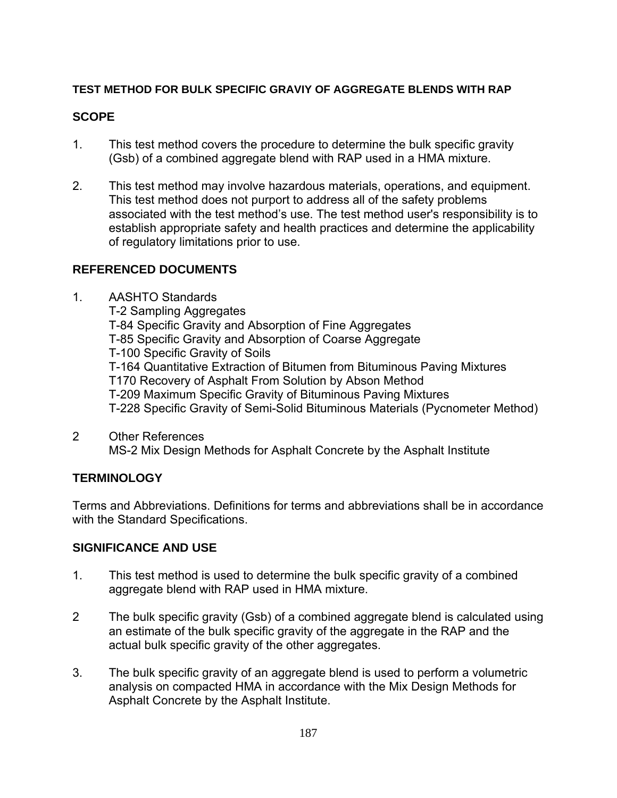### **TEST METHOD FOR BULK SPECIFIC GRAVIY OF AGGREGATE BLENDS WITH RAP**

### **SCOPE**

- 1. This test method covers the procedure to determine the bulk specific gravity (Gsb) of a combined aggregate blend with RAP used in a HMA mixture.
- 2. This test method may involve hazardous materials, operations, and equipment. This test method does not purport to address all of the safety problems associated with the test method's use. The test method user's responsibility is to establish appropriate safety and health practices and determine the applicability of regulatory limitations prior to use.

### **REFERENCED DOCUMENTS**

- 1. AASHTO Standards T-2 Sampling Aggregates T-84 Specific Gravity and Absorption of Fine Aggregates T-85 Specific Gravity and Absorption of Coarse Aggregate T-100 Specific Gravity of Soils T-164 Quantitative Extraction of Bitumen from Bituminous Paving Mixtures T170 Recovery of Asphalt From Solution by Abson Method T-209 Maximum Specific Gravity of Bituminous Paving Mixtures T-228 Specific Gravity of Semi-Solid Bituminous Materials (Pycnometer Method)
- 2 Other References MS-2 Mix Design Methods for Asphalt Concrete by the Asphalt Institute

## **TERMINOLOGY**

Terms and Abbreviations. Definitions for terms and abbreviations shall be in accordance with the Standard Specifications.

### **SIGNIFICANCE AND USE**

- 1. This test method is used to determine the bulk specific gravity of a combined aggregate blend with RAP used in HMA mixture.
- 2 The bulk specific gravity (Gsb) of a combined aggregate blend is calculated using an estimate of the bulk specific gravity of the aggregate in the RAP and the actual bulk specific gravity of the other aggregates.
- 3. The bulk specific gravity of an aggregate blend is used to perform a volumetric analysis on compacted HMA in accordance with the Mix Design Methods for Asphalt Concrete by the Asphalt Institute.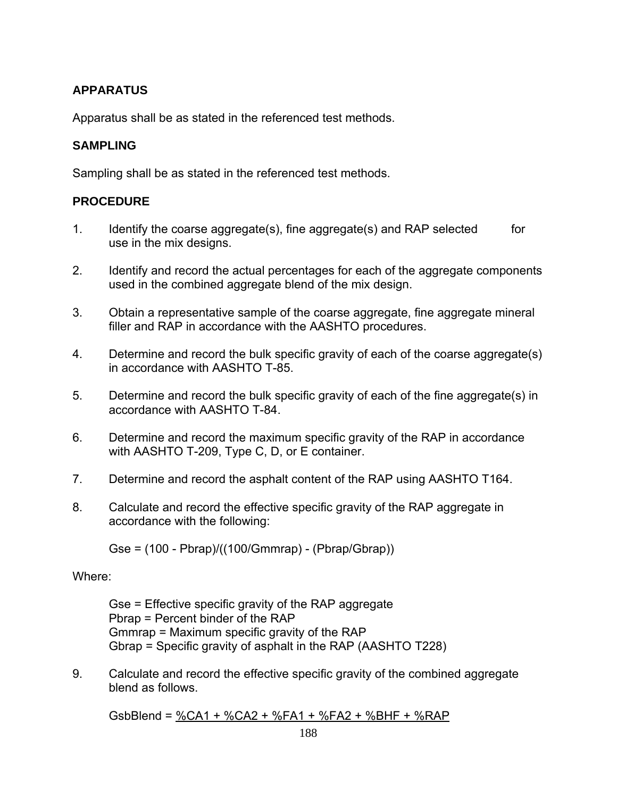## **APPARATUS**

Apparatus shall be as stated in the referenced test methods.

### **SAMPLING**

Sampling shall be as stated in the referenced test methods.

## **PROCEDURE**

- 1. Identify the coarse aggregate(s), fine aggregate(s) and RAP selected for use in the mix designs.
- 2. Identify and record the actual percentages for each of the aggregate components used in the combined aggregate blend of the mix design.
- 3. Obtain a representative sample of the coarse aggregate, fine aggregate mineral filler and RAP in accordance with the AASHTO procedures.
- 4. Determine and record the bulk specific gravity of each of the coarse aggregate(s) in accordance with AASHTO T-85.
- 5. Determine and record the bulk specific gravity of each of the fine aggregate(s) in accordance with AASHTO T-84.
- 6. Determine and record the maximum specific gravity of the RAP in accordance with AASHTO T-209, Type C, D, or E container.
- 7. Determine and record the asphalt content of the RAP using AASHTO T164.
- 8. Calculate and record the effective specific gravity of the RAP aggregate in accordance with the following:

Gse = (100 - Pbrap)/((100/Gmmrap) - (Pbrap/Gbrap))

### Where:

Gse = Effective specific gravity of the RAP aggregate Pbrap = Percent binder of the RAP Gmmrap = Maximum specific gravity of the RAP Gbrap = Specific gravity of asphalt in the RAP (AASHTO T228)

9. Calculate and record the effective specific gravity of the combined aggregate blend as follows.

GsbBlend = %CA1 + %CA2 + %FA1 + %FA2 + %BHF + %RAP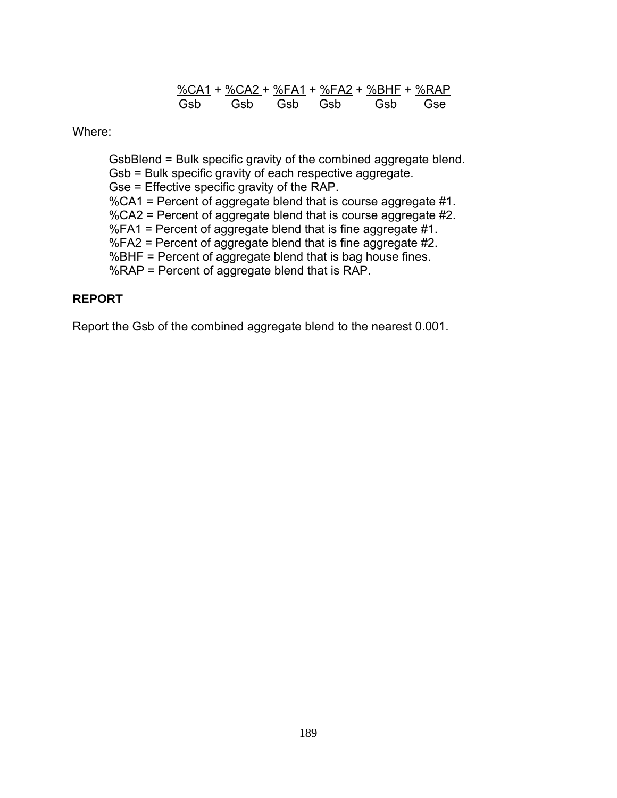%CA1 + %CA2 + %FA1 + %FA2 + %BHF + %RAP Gsb Gsb Gsb Gsb Gsb Gse

Where:

GsbBlend = Bulk specific gravity of the combined aggregate blend. Gsb = Bulk specific gravity of each respective aggregate. Gse = Effective specific gravity of the RAP. %CA1 = Percent of aggregate blend that is course aggregate #1. %CA2 = Percent of aggregate blend that is course aggregate #2. %FA1 = Percent of aggregate blend that is fine aggregate #1. %FA2 = Percent of aggregate blend that is fine aggregate #2. %BHF = Percent of aggregate blend that is bag house fines. %RAP = Percent of aggregate blend that is RAP.

### **REPORT**

Report the Gsb of the combined aggregate blend to the nearest 0.001.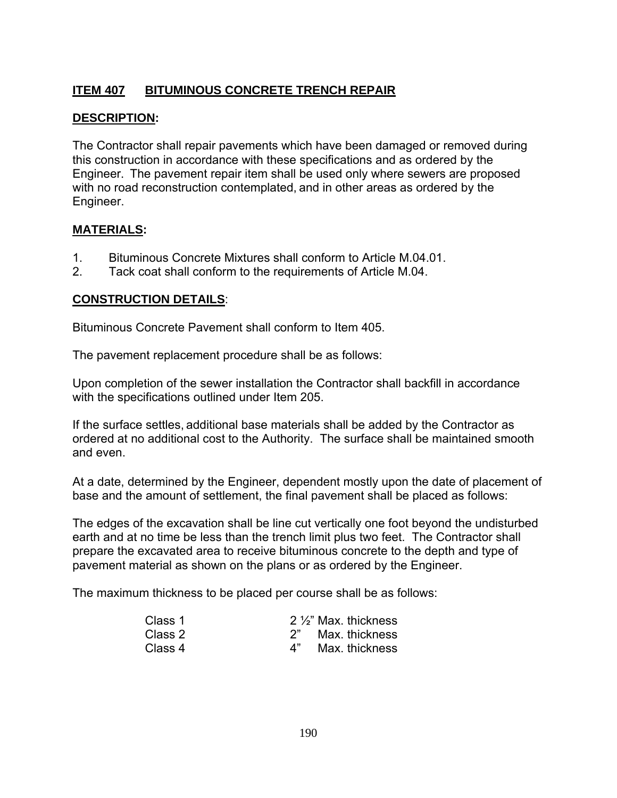# **ITEM 407 BITUMINOUS CONCRETE TRENCH REPAIR**

## **DESCRIPTION:**

The Contractor shall repair pavements which have been damaged or removed during this construction in accordance with these specifications and as ordered by the Engineer. The pavement repair item shall be used only where sewers are proposed with no road reconstruction contemplated, and in other areas as ordered by the Engineer.

### **MATERIALS:**

- 1. Bituminous Concrete Mixtures shall conform to Article M.04.01.
- 2. Tack coat shall conform to the requirements of Article M.04.

### **CONSTRUCTION DETAILS**:

Bituminous Concrete Pavement shall conform to Item 405.

The pavement replacement procedure shall be as follows:

Upon completion of the sewer installation the Contractor shall backfill in accordance with the specifications outlined under Item 205.

If the surface settles, additional base materials shall be added by the Contractor as ordered at no additional cost to the Authority. The surface shall be maintained smooth and even.

At a date, determined by the Engineer, dependent mostly upon the date of placement of base and the amount of settlement, the final pavement shall be placed as follows:

The edges of the excavation shall be line cut vertically one foot beyond the undisturbed earth and at no time be less than the trench limit plus two feet. The Contractor shall prepare the excavated area to receive bituminous concrete to the depth and type of pavement material as shown on the plans or as ordered by the Engineer.

The maximum thickness to be placed per course shall be as follows:

| Class 1 | $2\frac{1}{2}$ Max. thickness |
|---------|-------------------------------|
| Class 2 | Max. thickness                |
| Class 4 | Max. thickness                |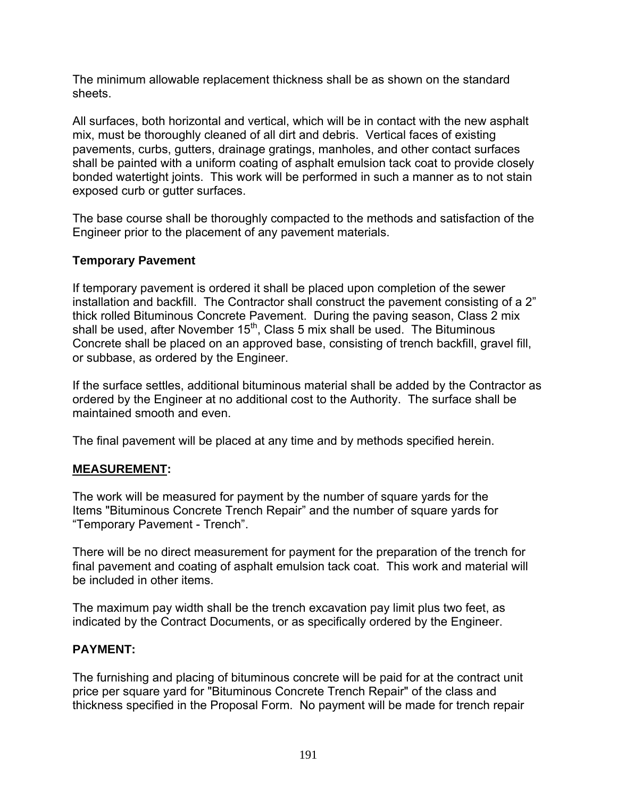The minimum allowable replacement thickness shall be as shown on the standard sheets.

All surfaces, both horizontal and vertical, which will be in contact with the new asphalt mix, must be thoroughly cleaned of all dirt and debris. Vertical faces of existing pavements, curbs, gutters, drainage gratings, manholes, and other contact surfaces shall be painted with a uniform coating of asphalt emulsion tack coat to provide closely bonded watertight joints. This work will be performed in such a manner as to not stain exposed curb or gutter surfaces.

The base course shall be thoroughly compacted to the methods and satisfaction of the Engineer prior to the placement of any pavement materials.

## **Temporary Pavement**

If temporary pavement is ordered it shall be placed upon completion of the sewer installation and backfill. The Contractor shall construct the pavement consisting of a 2" thick rolled Bituminous Concrete Pavement. During the paving season, Class 2 mix shall be used, after November  $15<sup>th</sup>$ , Class 5 mix shall be used. The Bituminous Concrete shall be placed on an approved base, consisting of trench backfill, gravel fill, or subbase, as ordered by the Engineer.

If the surface settles, additional bituminous material shall be added by the Contractor as ordered by the Engineer at no additional cost to the Authority. The surface shall be maintained smooth and even.

The final pavement will be placed at any time and by methods specified herein.

## **MEASUREMENT:**

The work will be measured for payment by the number of square yards for the Items "Bituminous Concrete Trench Repair" and the number of square yards for "Temporary Pavement - Trench".

There will be no direct measurement for payment for the preparation of the trench for final pavement and coating of asphalt emulsion tack coat. This work and material will be included in other items.

The maximum pay width shall be the trench excavation pay limit plus two feet, as indicated by the Contract Documents, or as specifically ordered by the Engineer.

### **PAYMENT:**

The furnishing and placing of bituminous concrete will be paid for at the contract unit price per square yard for "Bituminous Concrete Trench Repair" of the class and thickness specified in the Proposal Form. No payment will be made for trench repair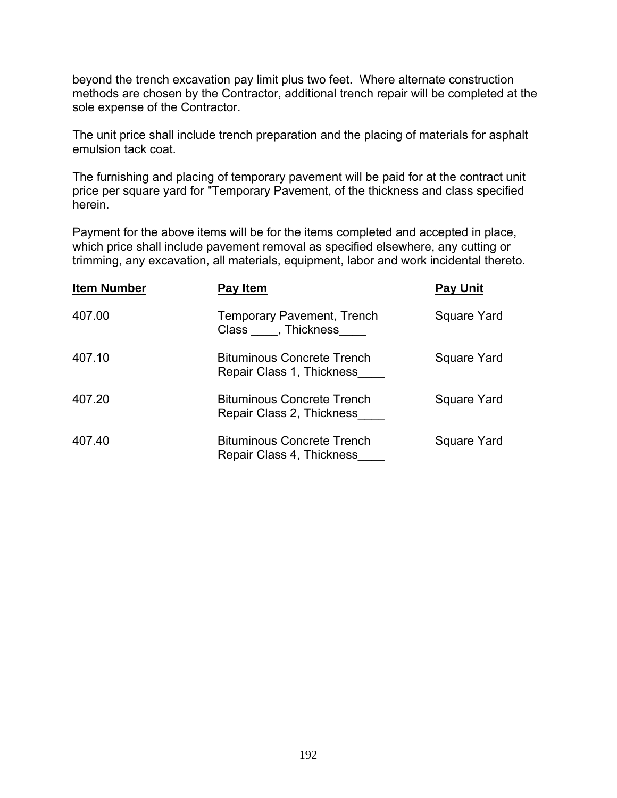beyond the trench excavation pay limit plus two feet. Where alternate construction methods are chosen by the Contractor, additional trench repair will be completed at the sole expense of the Contractor.

The unit price shall include trench preparation and the placing of materials for asphalt emulsion tack coat.

The furnishing and placing of temporary pavement will be paid for at the contract unit price per square yard for "Temporary Pavement, of the thickness and class specified herein.

Payment for the above items will be for the items completed and accepted in place, which price shall include pavement removal as specified elsewhere, any cutting or trimming, any excavation, all materials, equipment, labor and work incidental thereto.

| <b>Item Number</b> | Pay Item                                                       | <b>Pay Unit</b> |
|--------------------|----------------------------------------------------------------|-----------------|
| 407.00             | <b>Temporary Pavement, Trench</b><br>Class, Thickness          | Square Yard     |
| 407.10             | <b>Bituminous Concrete Trench</b><br>Repair Class 1, Thickness | Square Yard     |
| 407.20             | <b>Bituminous Concrete Trench</b><br>Repair Class 2, Thickness | Square Yard     |
| 407.40             | <b>Bituminous Concrete Trench</b><br>Repair Class 4, Thickness | Square Yard     |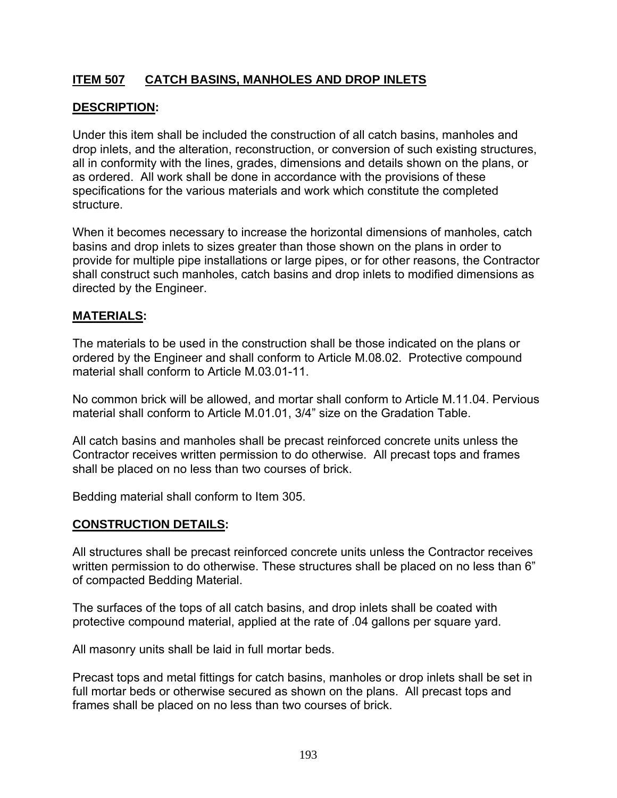# **ITEM 507 CATCH BASINS, MANHOLES AND DROP INLETS**

## **DESCRIPTION:**

Under this item shall be included the construction of all catch basins, manholes and drop inlets, and the alteration, reconstruction, or conversion of such existing structures, all in conformity with the lines, grades, dimensions and details shown on the plans, or as ordered. All work shall be done in accordance with the provisions of these specifications for the various materials and work which constitute the completed structure.

When it becomes necessary to increase the horizontal dimensions of manholes, catch basins and drop inlets to sizes greater than those shown on the plans in order to provide for multiple pipe installations or large pipes, or for other reasons, the Contractor shall construct such manholes, catch basins and drop inlets to modified dimensions as directed by the Engineer.

### **MATERIALS:**

The materials to be used in the construction shall be those indicated on the plans or ordered by the Engineer and shall conform to Article M.08.02. Protective compound material shall conform to Article M.03.01-11.

No common brick will be allowed, and mortar shall conform to Article M.11.04. Pervious material shall conform to Article M.01.01, 3/4" size on the Gradation Table.

All catch basins and manholes shall be precast reinforced concrete units unless the Contractor receives written permission to do otherwise. All precast tops and frames shall be placed on no less than two courses of brick.

Bedding material shall conform to Item 305.

### **CONSTRUCTION DETAILS:**

All structures shall be precast reinforced concrete units unless the Contractor receives written permission to do otherwise. These structures shall be placed on no less than 6" of compacted Bedding Material.

The surfaces of the tops of all catch basins, and drop inlets shall be coated with protective compound material, applied at the rate of .04 gallons per square yard.

All masonry units shall be laid in full mortar beds.

Precast tops and metal fittings for catch basins, manholes or drop inlets shall be set in full mortar beds or otherwise secured as shown on the plans. All precast tops and frames shall be placed on no less than two courses of brick.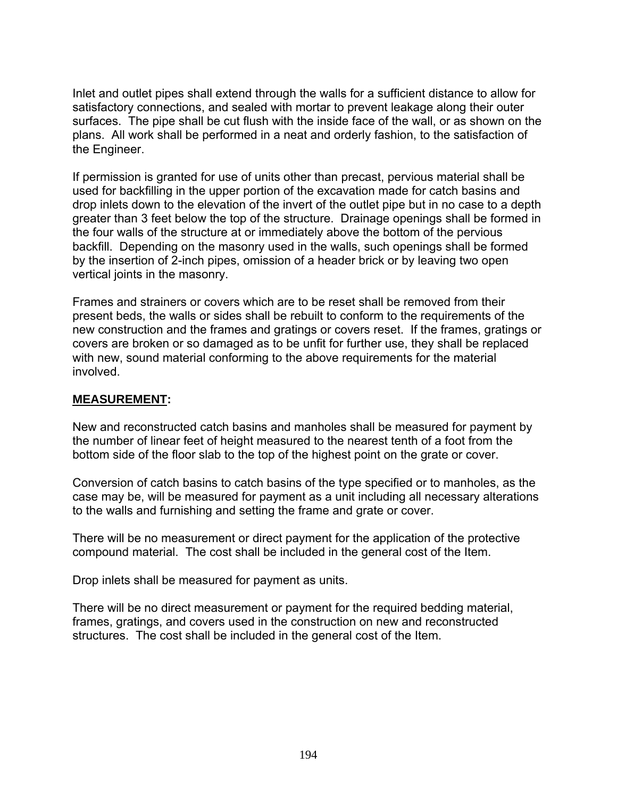Inlet and outlet pipes shall extend through the walls for a sufficient distance to allow for satisfactory connections, and sealed with mortar to prevent leakage along their outer surfaces. The pipe shall be cut flush with the inside face of the wall, or as shown on the plans. All work shall be performed in a neat and orderly fashion, to the satisfaction of the Engineer.

If permission is granted for use of units other than precast, pervious material shall be used for backfilling in the upper portion of the excavation made for catch basins and drop inlets down to the elevation of the invert of the outlet pipe but in no case to a depth greater than 3 feet below the top of the structure. Drainage openings shall be formed in the four walls of the structure at or immediately above the bottom of the pervious backfill. Depending on the masonry used in the walls, such openings shall be formed by the insertion of 2-inch pipes, omission of a header brick or by leaving two open vertical joints in the masonry.

Frames and strainers or covers which are to be reset shall be removed from their present beds, the walls or sides shall be rebuilt to conform to the requirements of the new construction and the frames and gratings or covers reset. If the frames, gratings or covers are broken or so damaged as to be unfit for further use, they shall be replaced with new, sound material conforming to the above requirements for the material involved.

### **MEASUREMENT:**

New and reconstructed catch basins and manholes shall be measured for payment by the number of linear feet of height measured to the nearest tenth of a foot from the bottom side of the floor slab to the top of the highest point on the grate or cover.

Conversion of catch basins to catch basins of the type specified or to manholes, as the case may be, will be measured for payment as a unit including all necessary alterations to the walls and furnishing and setting the frame and grate or cover.

There will be no measurement or direct payment for the application of the protective compound material. The cost shall be included in the general cost of the Item.

Drop inlets shall be measured for payment as units.

There will be no direct measurement or payment for the required bedding material, frames, gratings, and covers used in the construction on new and reconstructed structures. The cost shall be included in the general cost of the Item.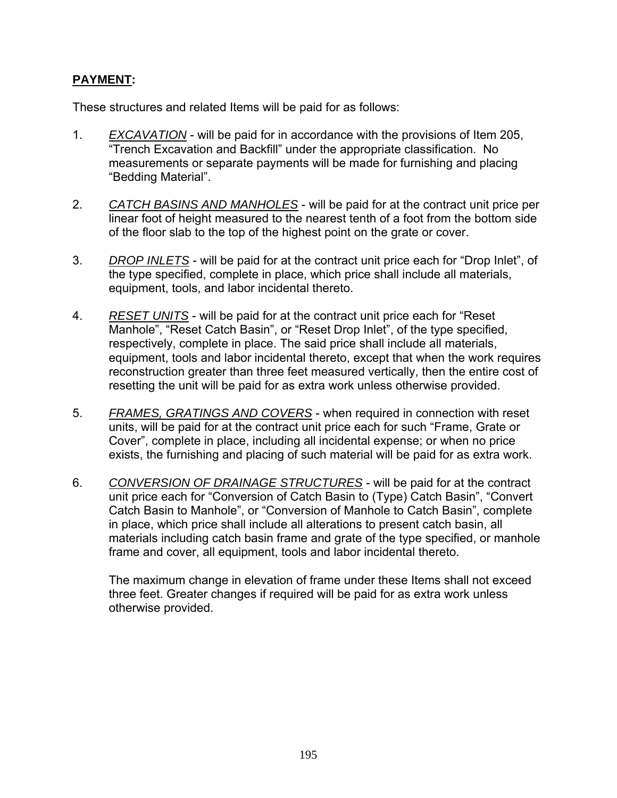# **PAYMENT:**

These structures and related Items will be paid for as follows:

- 1. *EXCAVATION* will be paid for in accordance with the provisions of Item 205, "Trench Excavation and Backfill" under the appropriate classification. No measurements or separate payments will be made for furnishing and placing "Bedding Material".
- 2. *CATCH BASINS AND MANHOLES* will be paid for at the contract unit price per linear foot of height measured to the nearest tenth of a foot from the bottom side of the floor slab to the top of the highest point on the grate or cover.
- 3. *DROP INLETS* will be paid for at the contract unit price each for "Drop Inlet", of the type specified, complete in place, which price shall include all materials, equipment, tools, and labor incidental thereto.
- 4. *RESET UNITS* will be paid for at the contract unit price each for "Reset Manhole", "Reset Catch Basin", or "Reset Drop Inlet", of the type specified, respectively, complete in place. The said price shall include all materials, equipment, tools and labor incidental thereto, except that when the work requires reconstruction greater than three feet measured vertically, then the entire cost of resetting the unit will be paid for as extra work unless otherwise provided.
- 5. *FRAMES, GRATINGS AND COVERS* when required in connection with reset units, will be paid for at the contract unit price each for such "Frame, Grate or Cover", complete in place, including all incidental expense; or when no price exists, the furnishing and placing of such material will be paid for as extra work.
- 6. *CONVERSION OF DRAINAGE STRUCTURES* will be paid for at the contract unit price each for "Conversion of Catch Basin to (Type) Catch Basin", "Convert Catch Basin to Manhole", or "Conversion of Manhole to Catch Basin", complete in place, which price shall include all alterations to present catch basin, all materials including catch basin frame and grate of the type specified, or manhole frame and cover, all equipment, tools and labor incidental thereto.

 The maximum change in elevation of frame under these Items shall not exceed three feet. Greater changes if required will be paid for as extra work unless otherwise provided.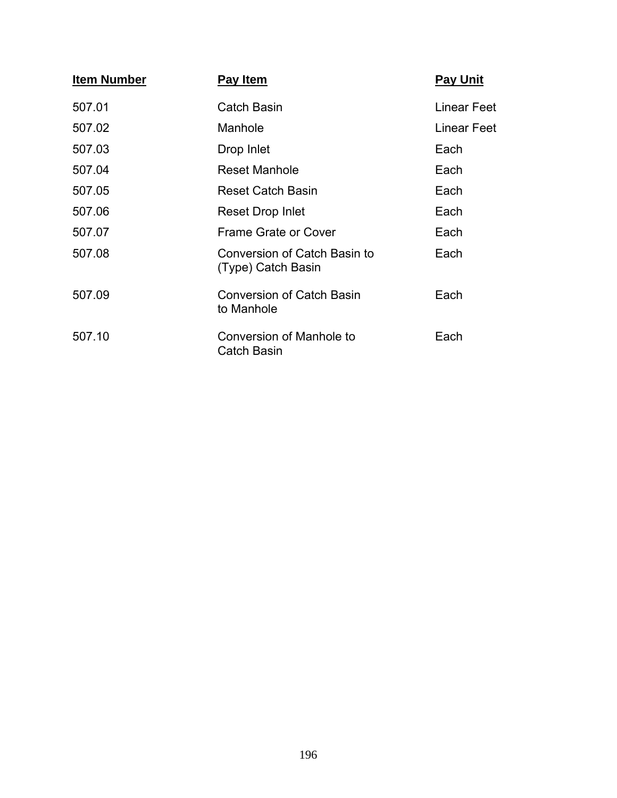| <b>Item Number</b> | <b>Pay Item</b>                                    | <b>Pay Unit</b> |
|--------------------|----------------------------------------------------|-----------------|
| 507.01             | <b>Catch Basin</b>                                 | Linear Feet     |
| 507.02             | Manhole                                            | Linear Feet     |
| 507.03             | Drop Inlet                                         | Each            |
| 507.04             | <b>Reset Manhole</b>                               | Each            |
| 507.05             | <b>Reset Catch Basin</b>                           | Each            |
| 507.06             | Reset Drop Inlet                                   | Each            |
| 507.07             | <b>Frame Grate or Cover</b>                        | Each            |
| 507.08             | Conversion of Catch Basin to<br>(Type) Catch Basin | Each            |
| 507.09             | <b>Conversion of Catch Basin</b><br>to Manhole     | Each            |
| 507.10             | Conversion of Manhole to<br><b>Catch Basin</b>     | Each            |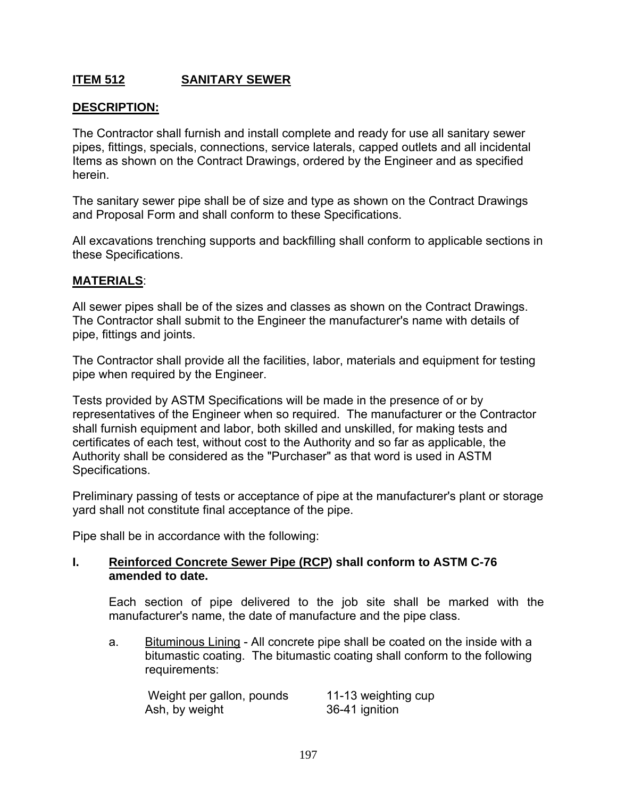## **ITEM 512 SANITARY SEWER**

### **DESCRIPTION:**

The Contractor shall furnish and install complete and ready for use all sanitary sewer pipes, fittings, specials, connections, service laterals, capped outlets and all incidental Items as shown on the Contract Drawings, ordered by the Engineer and as specified herein.

The sanitary sewer pipe shall be of size and type as shown on the Contract Drawings and Proposal Form and shall conform to these Specifications.

All excavations trenching supports and backfilling shall conform to applicable sections in these Specifications.

#### **MATERIALS**:

All sewer pipes shall be of the sizes and classes as shown on the Contract Drawings. The Contractor shall submit to the Engineer the manufacturer's name with details of pipe, fittings and joints.

The Contractor shall provide all the facilities, labor, materials and equipment for testing pipe when required by the Engineer.

Tests provided by ASTM Specifications will be made in the presence of or by representatives of the Engineer when so required. The manufacturer or the Contractor shall furnish equipment and labor, both skilled and unskilled, for making tests and certificates of each test, without cost to the Authority and so far as applicable, the Authority shall be considered as the "Purchaser" as that word is used in ASTM Specifications.

Preliminary passing of tests or acceptance of pipe at the manufacturer's plant or storage yard shall not constitute final acceptance of the pipe.

Pipe shall be in accordance with the following:

#### **I. Reinforced Concrete Sewer Pipe (RCP) shall conform to ASTM C-76 amended to date.**

 Each section of pipe delivered to the job site shall be marked with the manufacturer's name, the date of manufacture and the pipe class.

a. Bituminous Lining - All concrete pipe shall be coated on the inside with a bitumastic coating. The bitumastic coating shall conform to the following requirements:

Weight per gallon, pounds 11-13 weighting cup Ash, by weight 36-41 ignition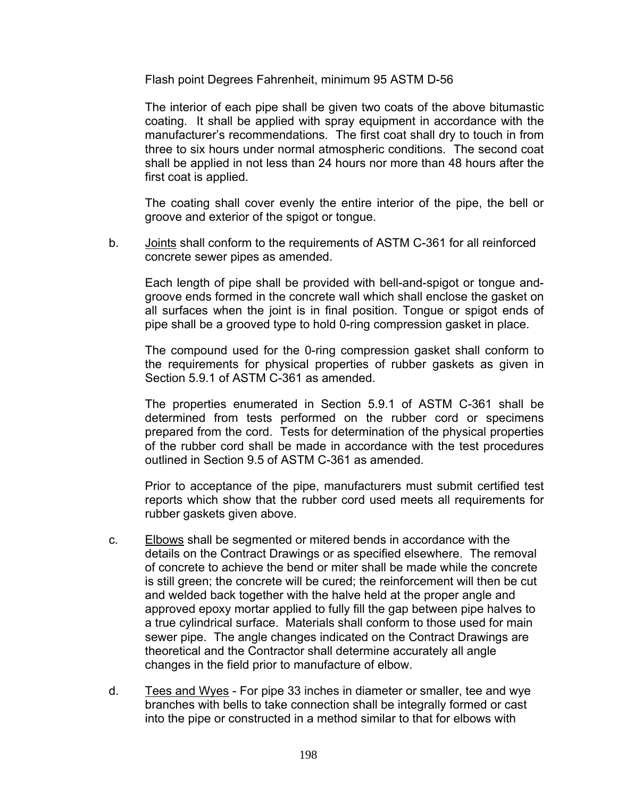Flash point Degrees Fahrenheit, minimum 95 ASTM D-56

 The interior of each pipe shall be given two coats of the above bitumastic coating. It shall be applied with spray equipment in accordance with the manufacturer's recommendations. The first coat shall dry to touch in from three to six hours under normal atmospheric conditions. The second coat shall be applied in not less than 24 hours nor more than 48 hours after the first coat is applied.

 The coating shall cover evenly the entire interior of the pipe, the bell or groove and exterior of the spigot or tongue.

b. Joints shall conform to the requirements of ASTM C-361 for all reinforced concrete sewer pipes as amended.

 Each length of pipe shall be provided with bell-and-spigot or tongue andgroove ends formed in the concrete wall which shall enclose the gasket on all surfaces when the joint is in final position. Tongue or spigot ends of pipe shall be a grooved type to hold 0-ring compression gasket in place.

 The compound used for the 0-ring compression gasket shall conform to the requirements for physical properties of rubber gaskets as given in Section 5.9.1 of ASTM C-361 as amended.

 The properties enumerated in Section 5.9.1 of ASTM C-361 shall be determined from tests performed on the rubber cord or specimens prepared from the cord. Tests for determination of the physical properties of the rubber cord shall be made in accordance with the test procedures outlined in Section 9.5 of ASTM C-361 as amended.

 Prior to acceptance of the pipe, manufacturers must submit certified test reports which show that the rubber cord used meets all requirements for rubber gaskets given above.

- c. Elbows shall be segmented or mitered bends in accordance with the details on the Contract Drawings or as specified elsewhere. The removal of concrete to achieve the bend or miter shall be made while the concrete is still green; the concrete will be cured; the reinforcement will then be cut and welded back together with the halve held at the proper angle and approved epoxy mortar applied to fully fill the gap between pipe halves to a true cylindrical surface. Materials shall conform to those used for main sewer pipe. The angle changes indicated on the Contract Drawings are theoretical and the Contractor shall determine accurately all angle changes in the field prior to manufacture of elbow.
- d. Tees and Wyes For pipe 33 inches in diameter or smaller, tee and wye branches with bells to take connection shall be integrally formed or cast into the pipe or constructed in a method similar to that for elbows with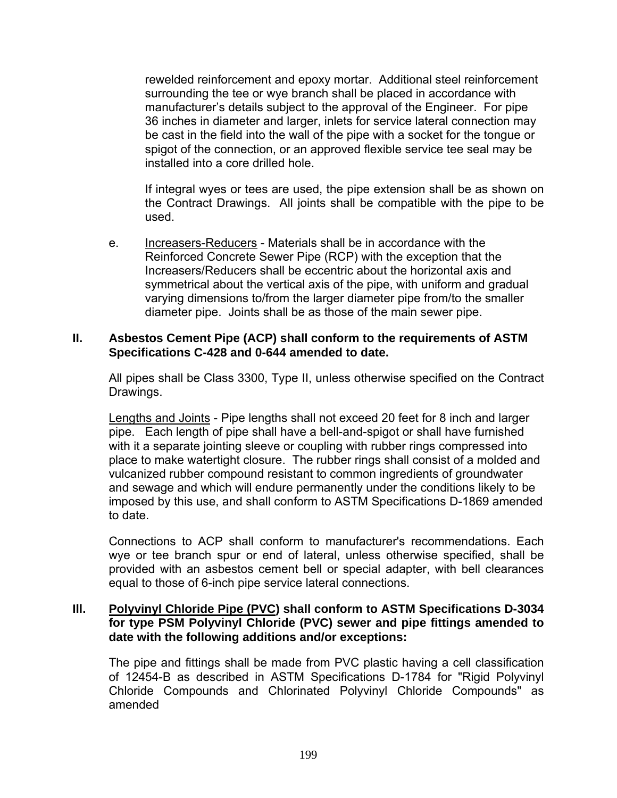rewelded reinforcement and epoxy mortar. Additional steel reinforcement surrounding the tee or wye branch shall be placed in accordance with manufacturer's details subject to the approval of the Engineer. For pipe 36 inches in diameter and larger, inlets for service lateral connection may be cast in the field into the wall of the pipe with a socket for the tongue or spigot of the connection, or an approved flexible service tee seal may be installed into a core drilled hole.

 If integral wyes or tees are used, the pipe extension shall be as shown on the Contract Drawings. All joints shall be compatible with the pipe to be used.

e. Increasers-Reducers - Materials shall be in accordance with the Reinforced Concrete Sewer Pipe (RCP) with the exception that the Increasers/Reducers shall be eccentric about the horizontal axis and symmetrical about the vertical axis of the pipe, with uniform and gradual varying dimensions to/from the larger diameter pipe from/to the smaller diameter pipe. Joints shall be as those of the main sewer pipe.

### **II. Asbestos Cement Pipe (ACP) shall conform to the requirements of ASTM Specifications C-428 and 0-644 amended to date.**

 All pipes shall be Class 3300, Type II, unless otherwise specified on the Contract Drawings.

 Lengths and Joints - Pipe lengths shall not exceed 20 feet for 8 inch and larger pipe. Each length of pipe shall have a bell-and-spigot or shall have furnished with it a separate jointing sleeve or coupling with rubber rings compressed into place to make watertight closure. The rubber rings shall consist of a molded and vulcanized rubber compound resistant to common ingredients of groundwater and sewage and which will endure permanently under the conditions likely to be imposed by this use, and shall conform to ASTM Specifications D-1869 amended to date.

 Connections to ACP shall conform to manufacturer's recommendations. Each wye or tee branch spur or end of lateral, unless otherwise specified, shall be provided with an asbestos cement bell or special adapter, with bell clearances equal to those of 6-inch pipe service lateral connections.

#### **Ill. Polyvinyl Chloride Pipe (PVC) shall conform to ASTM Specifications D-3034 for type PSM Polyvinyl Chloride (PVC) sewer and pipe fittings amended to date with the following additions and/or exceptions:**

 The pipe and fittings shall be made from PVC plastic having a cell classification of 12454-B as described in ASTM Specifications D-1784 for "Rigid Polyvinyl Chloride Compounds and Chlorinated Polyvinyl Chloride Compounds" as amended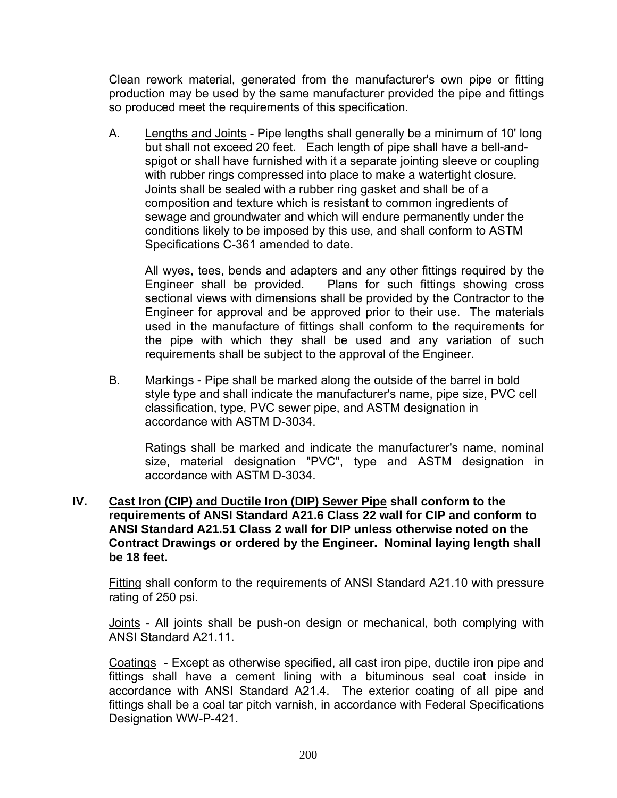Clean rework material, generated from the manufacturer's own pipe or fitting production may be used by the same manufacturer provided the pipe and fittings so produced meet the requirements of this specification.

A. Lengths and Joints - Pipe lengths shall generally be a minimum of 10' long but shall not exceed 20 feet. Each length of pipe shall have a bell-andspigot or shall have furnished with it a separate jointing sleeve or coupling with rubber rings compressed into place to make a watertight closure. Joints shall be sealed with a rubber ring gasket and shall be of a composition and texture which is resistant to common ingredients of sewage and groundwater and which will endure permanently under the conditions likely to be imposed by this use, and shall conform to ASTM Specifications C-361 amended to date.

 All wyes, tees, bends and adapters and any other fittings required by the Engineer shall be provided. Plans for such fittings showing cross sectional views with dimensions shall be provided by the Contractor to the Engineer for approval and be approved prior to their use. The materials used in the manufacture of fittings shall conform to the requirements for the pipe with which they shall be used and any variation of such requirements shall be subject to the approval of the Engineer.

B. Markings - Pipe shall be marked along the outside of the barrel in bold style type and shall indicate the manufacturer's name, pipe size, PVC cell classification, type, PVC sewer pipe, and ASTM designation in accordance with ASTM D-3034.

 Ratings shall be marked and indicate the manufacturer's name, nominal size, material designation "PVC", type and ASTM designation in accordance with ASTM D-3034.

**IV. Cast Iron (CIP) and Ductile Iron (DIP) Sewer Pipe shall conform to the requirements of ANSI Standard A21.6 Class 22 wall for CIP and conform to ANSI Standard A21.51 Class 2 wall for DIP unless otherwise noted on the Contract Drawings or ordered by the Engineer. Nominal laying length shall be 18 feet.** 

 Fitting shall conform to the requirements of ANSI Standard A21.10 with pressure rating of 250 psi.

Joints - All joints shall be push-on design or mechanical, both complying with ANSI Standard A21.11.

 Coatings - Except as otherwise specified, all cast iron pipe, ductile iron pipe and fittings shall have a cement lining with a bituminous seal coat inside in accordance with ANSI Standard A21.4. The exterior coating of all pipe and fittings shall be a coal tar pitch varnish, in accordance with Federal Specifications Designation WW-P-421.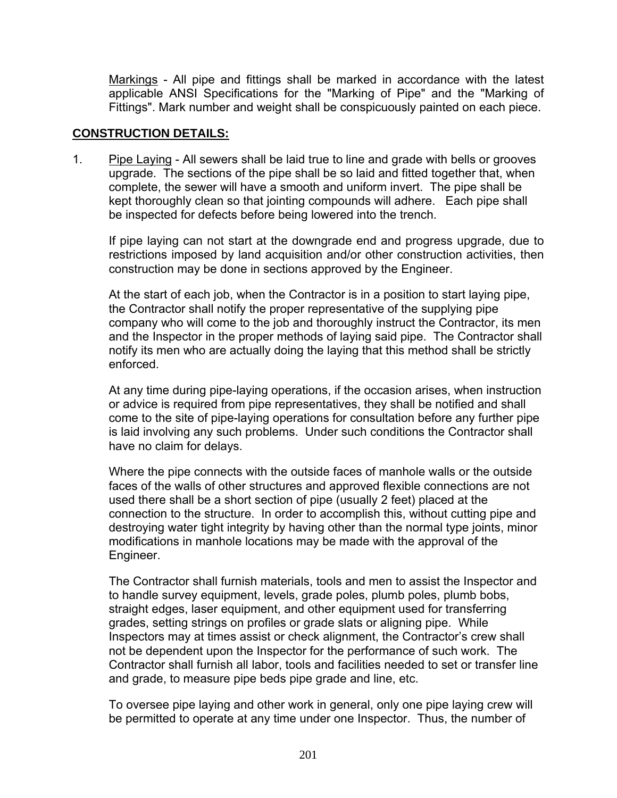Markings - All pipe and fittings shall be marked in accordance with the latest applicable ANSI Specifications for the "Marking of Pipe" and the "Marking of Fittings". Mark number and weight shall be conspicuously painted on each piece.

### **CONSTRUCTION DETAILS:**

1. Pipe Laying - All sewers shall be laid true to line and grade with bells or grooves upgrade. The sections of the pipe shall be so laid and fitted together that, when complete, the sewer will have a smooth and uniform invert. The pipe shall be kept thoroughly clean so that jointing compounds will adhere. Each pipe shall be inspected for defects before being lowered into the trench.

 If pipe laying can not start at the downgrade end and progress upgrade, due to restrictions imposed by land acquisition and/or other construction activities, then construction may be done in sections approved by the Engineer.

 At the start of each job, when the Contractor is in a position to start laying pipe, the Contractor shall notify the proper representative of the supplying pipe company who will come to the job and thoroughly instruct the Contractor, its men and the Inspector in the proper methods of laying said pipe. The Contractor shall notify its men who are actually doing the laying that this method shall be strictly enforced.

 At any time during pipe-laying operations, if the occasion arises, when instruction or advice is required from pipe representatives, they shall be notified and shall come to the site of pipe-laying operations for consultation before any further pipe is laid involving any such problems. Under such conditions the Contractor shall have no claim for delays.

 Where the pipe connects with the outside faces of manhole walls or the outside faces of the walls of other structures and approved flexible connections are not used there shall be a short section of pipe (usually 2 feet) placed at the connection to the structure. In order to accomplish this, without cutting pipe and destroying water tight integrity by having other than the normal type joints, minor modifications in manhole locations may be made with the approval of the Engineer.

 The Contractor shall furnish materials, tools and men to assist the Inspector and to handle survey equipment, levels, grade poles, plumb poles, plumb bobs, straight edges, laser equipment, and other equipment used for transferring grades, setting strings on profiles or grade slats or aligning pipe. While Inspectors may at times assist or check alignment, the Contractor's crew shall not be dependent upon the Inspector for the performance of such work. The Contractor shall furnish all labor, tools and facilities needed to set or transfer line and grade, to measure pipe beds pipe grade and line, etc.

 To oversee pipe laying and other work in general, only one pipe laying crew will be permitted to operate at any time under one Inspector. Thus, the number of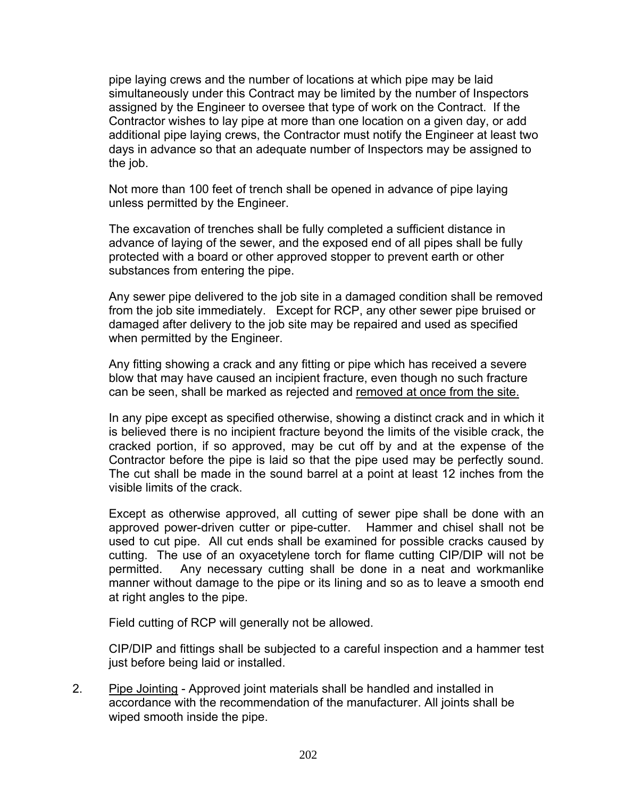pipe laying crews and the number of locations at which pipe may be laid simultaneously under this Contract may be limited by the number of Inspectors assigned by the Engineer to oversee that type of work on the Contract. If the Contractor wishes to lay pipe at more than one location on a given day, or add additional pipe laying crews, the Contractor must notify the Engineer at least two days in advance so that an adequate number of Inspectors may be assigned to the job.

 Not more than 100 feet of trench shall be opened in advance of pipe laying unless permitted by the Engineer.

 The excavation of trenches shall be fully completed a sufficient distance in advance of laying of the sewer, and the exposed end of all pipes shall be fully protected with a board or other approved stopper to prevent earth or other substances from entering the pipe.

 Any sewer pipe delivered to the job site in a damaged condition shall be removed from the job site immediately. Except for RCP, any other sewer pipe bruised or damaged after delivery to the job site may be repaired and used as specified when permitted by the Engineer.

 Any fitting showing a crack and any fitting or pipe which has received a severe blow that may have caused an incipient fracture, even though no such fracture can be seen, shall be marked as rejected and removed at once from the site.

 In any pipe except as specified otherwise, showing a distinct crack and in which it is believed there is no incipient fracture beyond the limits of the visible crack, the cracked portion, if so approved, may be cut off by and at the expense of the Contractor before the pipe is laid so that the pipe used may be perfectly sound. The cut shall be made in the sound barrel at a point at least 12 inches from the visible limits of the crack.

 Except as otherwise approved, all cutting of sewer pipe shall be done with an approved power-driven cutter or pipe-cutter. Hammer and chisel shall not be used to cut pipe. All cut ends shall be examined for possible cracks caused by cutting. The use of an oxyacetylene torch for flame cutting CIP/DIP will not be permitted. Any necessary cutting shall be done in a neat and workmanlike manner without damage to the pipe or its lining and so as to leave a smooth end at right angles to the pipe.

Field cutting of RCP will generally not be allowed.

 CIP/DIP and fittings shall be subjected to a careful inspection and a hammer test just before being laid or installed.

2. Pipe Jointing - Approved joint materials shall be handled and installed in accordance with the recommendation of the manufacturer. All joints shall be wiped smooth inside the pipe.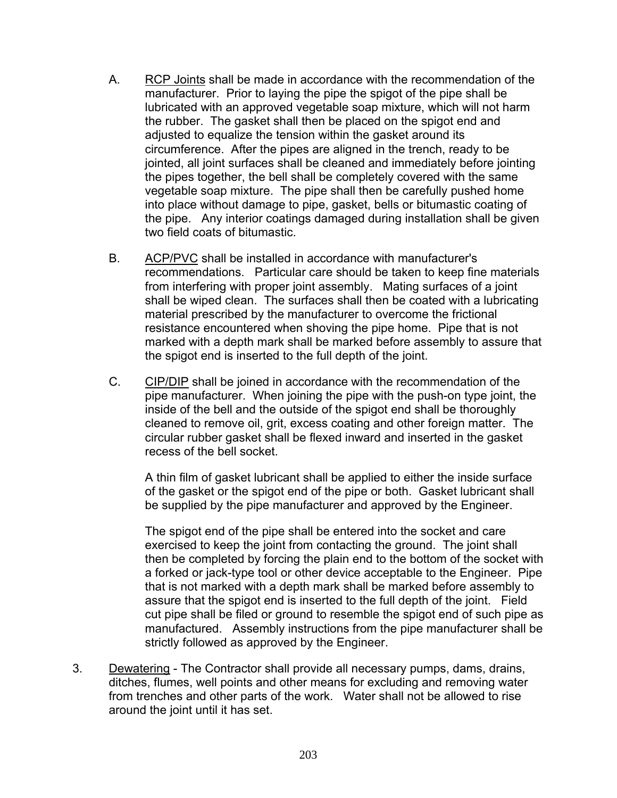- A. RCP Joints shall be made in accordance with the recommendation of the manufacturer. Prior to laying the pipe the spigot of the pipe shall be lubricated with an approved vegetable soap mixture, which will not harm the rubber. The gasket shall then be placed on the spigot end and adjusted to equalize the tension within the gasket around its circumference. After the pipes are aligned in the trench, ready to be jointed, all joint surfaces shall be cleaned and immediately before jointing the pipes together, the bell shall be completely covered with the same vegetable soap mixture. The pipe shall then be carefully pushed home into place without damage to pipe, gasket, bells or bitumastic coating of the pipe. Any interior coatings damaged during installation shall be given two field coats of bitumastic.
- B. ACP/PVC shall be installed in accordance with manufacturer's recommendations. Particular care should be taken to keep fine materials from interfering with proper joint assembly. Mating surfaces of a joint shall be wiped clean. The surfaces shall then be coated with a lubricating material prescribed by the manufacturer to overcome the frictional resistance encountered when shoving the pipe home. Pipe that is not marked with a depth mark shall be marked before assembly to assure that the spigot end is inserted to the full depth of the joint.
- C. CIP/DIP shall be joined in accordance with the recommendation of the pipe manufacturer. When joining the pipe with the push-on type joint, the inside of the bell and the outside of the spigot end shall be thoroughly cleaned to remove oil, grit, excess coating and other foreign matter. The circular rubber gasket shall be flexed inward and inserted in the gasket recess of the bell socket.

 A thin film of gasket lubricant shall be applied to either the inside surface of the gasket or the spigot end of the pipe or both. Gasket lubricant shall be supplied by the pipe manufacturer and approved by the Engineer.

 The spigot end of the pipe shall be entered into the socket and care exercised to keep the joint from contacting the ground. The joint shall then be completed by forcing the plain end to the bottom of the socket with a forked or jack-type tool or other device acceptable to the Engineer. Pipe that is not marked with a depth mark shall be marked before assembly to assure that the spigot end is inserted to the full depth of the joint. Field cut pipe shall be filed or ground to resemble the spigot end of such pipe as manufactured. Assembly instructions from the pipe manufacturer shall be strictly followed as approved by the Engineer.

3. Dewatering - The Contractor shall provide all necessary pumps, dams, drains, ditches, flumes, well points and other means for excluding and removing water from trenches and other parts of the work. Water shall not be allowed to rise around the joint until it has set.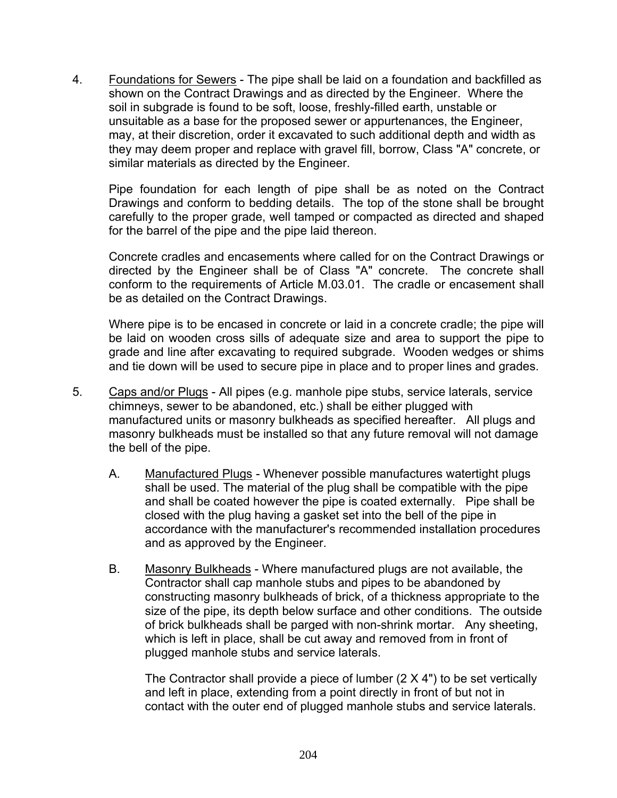4. Foundations for Sewers - The pipe shall be laid on a foundation and backfilled as shown on the Contract Drawings and as directed by the Engineer. Where the soil in subgrade is found to be soft, loose, freshly-filled earth, unstable or unsuitable as a base for the proposed sewer or appurtenances, the Engineer, may, at their discretion, order it excavated to such additional depth and width as they may deem proper and replace with gravel fill, borrow, Class "A" concrete, or similar materials as directed by the Engineer.

 Pipe foundation for each length of pipe shall be as noted on the Contract Drawings and conform to bedding details. The top of the stone shall be brought carefully to the proper grade, well tamped or compacted as directed and shaped for the barrel of the pipe and the pipe laid thereon.

 Concrete cradles and encasements where called for on the Contract Drawings or directed by the Engineer shall be of Class "A" concrete. The concrete shall conform to the requirements of Article M.03.01. The cradle or encasement shall be as detailed on the Contract Drawings.

 Where pipe is to be encased in concrete or laid in a concrete cradle; the pipe will be laid on wooden cross sills of adequate size and area to support the pipe to grade and line after excavating to required subgrade. Wooden wedges or shims and tie down will be used to secure pipe in place and to proper lines and grades.

- 5. Caps and/or Plugs All pipes (e.g. manhole pipe stubs, service laterals, service chimneys, sewer to be abandoned, etc.) shall be either plugged with manufactured units or masonry bulkheads as specified hereafter. All plugs and masonry bulkheads must be installed so that any future removal will not damage the bell of the pipe.
	- A. Manufactured Plugs Whenever possible manufactures watertight plugs shall be used. The material of the plug shall be compatible with the pipe and shall be coated however the pipe is coated externally. Pipe shall be closed with the plug having a gasket set into the bell of the pipe in accordance with the manufacturer's recommended installation procedures and as approved by the Engineer.
	- B. Masonry Bulkheads Where manufactured plugs are not available, the Contractor shall cap manhole stubs and pipes to be abandoned by constructing masonry bulkheads of brick, of a thickness appropriate to the size of the pipe, its depth below surface and other conditions. The outside of brick bulkheads shall be parged with non-shrink mortar. Any sheeting, which is left in place, shall be cut away and removed from in front of plugged manhole stubs and service laterals.

 The Contractor shall provide a piece of lumber (2 X 4") to be set vertically and left in place, extending from a point directly in front of but not in contact with the outer end of plugged manhole stubs and service laterals.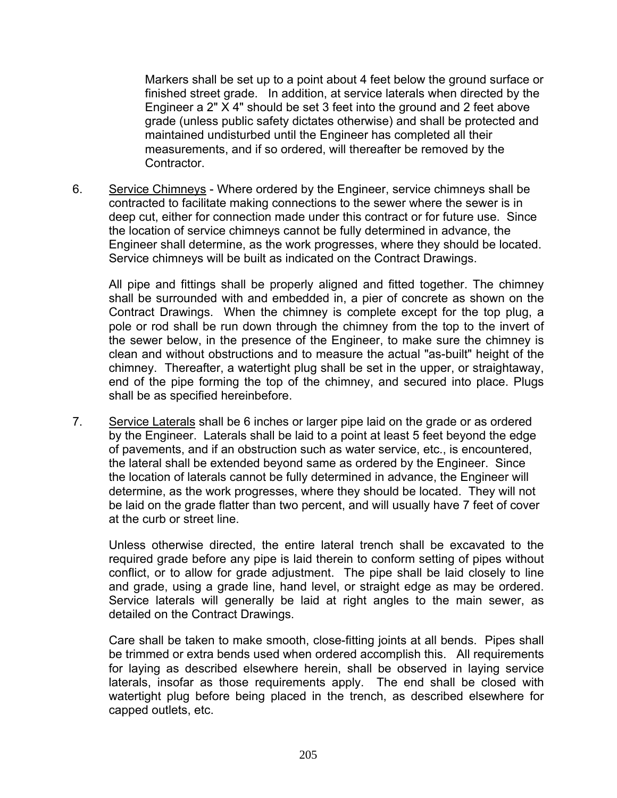Markers shall be set up to a point about 4 feet below the ground surface or finished street grade. In addition, at service laterals when directed by the Engineer a 2" X 4" should be set 3 feet into the ground and 2 feet above grade (unless public safety dictates otherwise) and shall be protected and maintained undisturbed until the Engineer has completed all their measurements, and if so ordered, will thereafter be removed by the Contractor.

6. Service Chimneys - Where ordered by the Engineer, service chimneys shall be contracted to facilitate making connections to the sewer where the sewer is in deep cut, either for connection made under this contract or for future use. Since the location of service chimneys cannot be fully determined in advance, the Engineer shall determine, as the work progresses, where they should be located. Service chimneys will be built as indicated on the Contract Drawings.

 All pipe and fittings shall be properly aligned and fitted together. The chimney shall be surrounded with and embedded in, a pier of concrete as shown on the Contract Drawings. When the chimney is complete except for the top plug, a pole or rod shall be run down through the chimney from the top to the invert of the sewer below, in the presence of the Engineer, to make sure the chimney is clean and without obstructions and to measure the actual "as-built" height of the chimney. Thereafter, a watertight plug shall be set in the upper, or straightaway, end of the pipe forming the top of the chimney, and secured into place. Plugs shall be as specified hereinbefore.

7. Service Laterals shall be 6 inches or larger pipe laid on the grade or as ordered by the Engineer. Laterals shall be laid to a point at least 5 feet beyond the edge of pavements, and if an obstruction such as water service, etc., is encountered, the lateral shall be extended beyond same as ordered by the Engineer. Since the location of laterals cannot be fully determined in advance, the Engineer will determine, as the work progresses, where they should be located. They will not be laid on the grade flatter than two percent, and will usually have 7 feet of cover at the curb or street line.

 Unless otherwise directed, the entire lateral trench shall be excavated to the required grade before any pipe is laid therein to conform setting of pipes without conflict, or to allow for grade adjustment. The pipe shall be laid closely to line and grade, using a grade line, hand level, or straight edge as may be ordered. Service laterals will generally be laid at right angles to the main sewer, as detailed on the Contract Drawings.

 Care shall be taken to make smooth, close-fitting joints at all bends. Pipes shall be trimmed or extra bends used when ordered accomplish this. All requirements for laying as described elsewhere herein, shall be observed in laying service laterals, insofar as those requirements apply. The end shall be closed with watertight plug before being placed in the trench, as described elsewhere for capped outlets, etc.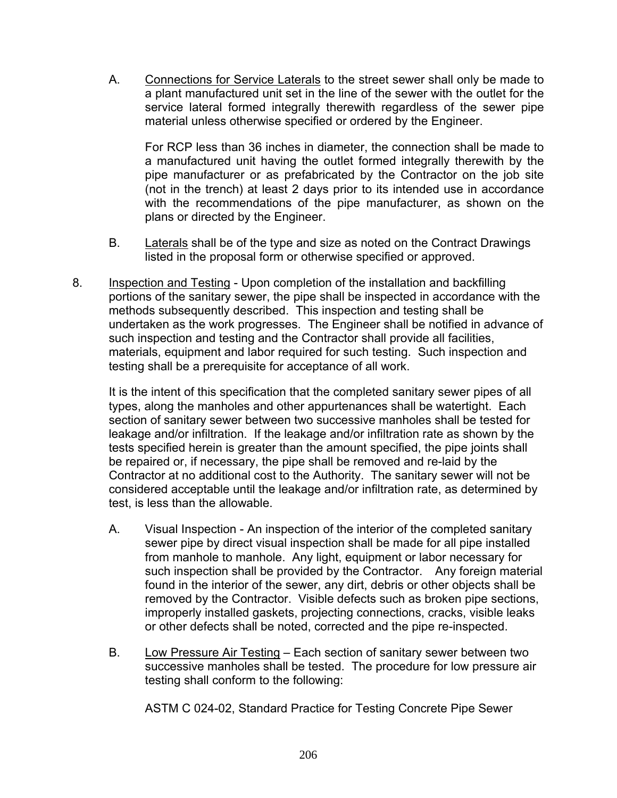A. Connections for Service Laterals to the street sewer shall only be made to a plant manufactured unit set in the line of the sewer with the outlet for the service lateral formed integrally therewith regardless of the sewer pipe material unless otherwise specified or ordered by the Engineer.

 For RCP less than 36 inches in diameter, the connection shall be made to a manufactured unit having the outlet formed integrally therewith by the pipe manufacturer or as prefabricated by the Contractor on the job site (not in the trench) at least 2 days prior to its intended use in accordance with the recommendations of the pipe manufacturer, as shown on the plans or directed by the Engineer.

- B. Laterals shall be of the type and size as noted on the Contract Drawings listed in the proposal form or otherwise specified or approved.
- 8. Inspection and Testing Upon completion of the installation and backfilling portions of the sanitary sewer, the pipe shall be inspected in accordance with the methods subsequently described. This inspection and testing shall be undertaken as the work progresses. The Engineer shall be notified in advance of such inspection and testing and the Contractor shall provide all facilities, materials, equipment and labor required for such testing. Such inspection and testing shall be a prerequisite for acceptance of all work.

 It is the intent of this specification that the completed sanitary sewer pipes of all types, along the manholes and other appurtenances shall be watertight. Each section of sanitary sewer between two successive manholes shall be tested for leakage and/or infiltration. If the leakage and/or infiltration rate as shown by the tests specified herein is greater than the amount specified, the pipe joints shall be repaired or, if necessary, the pipe shall be removed and re-laid by the Contractor at no additional cost to the Authority. The sanitary sewer will not be considered acceptable until the leakage and/or infiltration rate, as determined by test, is less than the allowable.

- A. Visual Inspection An inspection of the interior of the completed sanitary sewer pipe by direct visual inspection shall be made for all pipe installed from manhole to manhole. Any light, equipment or labor necessary for such inspection shall be provided by the Contractor. Any foreign material found in the interior of the sewer, any dirt, debris or other objects shall be removed by the Contractor. Visible defects such as broken pipe sections, improperly installed gaskets, projecting connections, cracks, visible leaks or other defects shall be noted, corrected and the pipe re-inspected.
- B. Low Pressure Air Testing Each section of sanitary sewer between two successive manholes shall be tested. The procedure for low pressure air testing shall conform to the following:

ASTM C 024-02, Standard Practice for Testing Concrete Pipe Sewer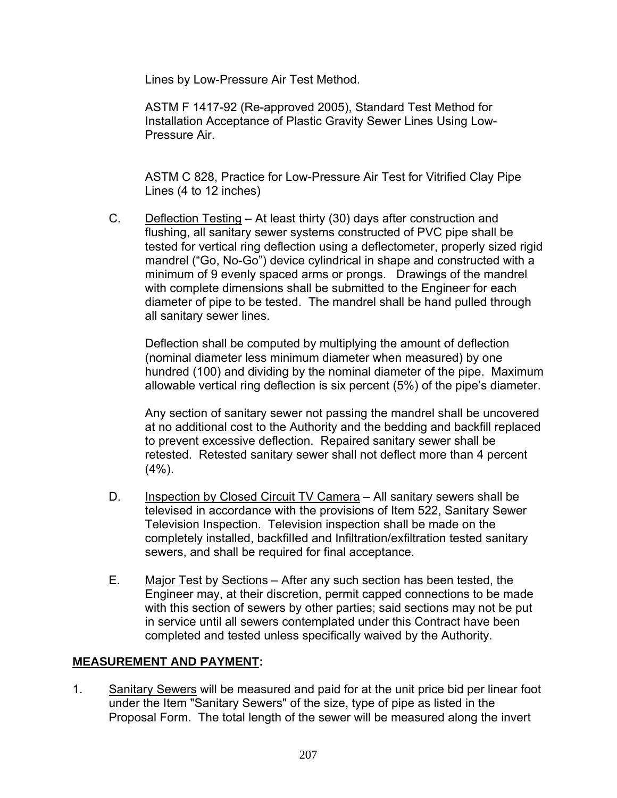Lines by Low-Pressure Air Test Method.

 ASTM F 1417-92 (Re-approved 2005), Standard Test Method for Installation Acceptance of Plastic Gravity Sewer Lines Using Low-Pressure Air.

 ASTM C 828, Practice for Low-Pressure Air Test for Vitrified Clay Pipe Lines (4 to 12 inches)

C. Deflection Testing – At least thirty (30) days after construction and flushing, all sanitary sewer systems constructed of PVC pipe shall be tested for vertical ring deflection using a deflectometer, properly sized rigid mandrel ("Go, No-Go") device cylindrical in shape and constructed with a minimum of 9 evenly spaced arms or prongs. Drawings of the mandrel with complete dimensions shall be submitted to the Engineer for each diameter of pipe to be tested. The mandrel shall be hand pulled through all sanitary sewer lines.

 Deflection shall be computed by multiplying the amount of deflection (nominal diameter less minimum diameter when measured) by one hundred (100) and dividing by the nominal diameter of the pipe. Maximum allowable vertical ring deflection is six percent (5%) of the pipe's diameter.

 Any section of sanitary sewer not passing the mandrel shall be uncovered at no additional cost to the Authority and the bedding and backfill replaced to prevent excessive deflection. Repaired sanitary sewer shall be retested. Retested sanitary sewer shall not deflect more than 4 percent  $(4\%)$ .

- D. Inspection by Closed Circuit TV Camera All sanitary sewers shall be televised in accordance with the provisions of Item 522, Sanitary Sewer Television Inspection. Television inspection shall be made on the completely installed, backfilIed and Infiltration/exfiltration tested sanitary sewers, and shall be required for final acceptance.
- E. Major Test by Sections After any such section has been tested, the Engineer may, at their discretion, permit capped connections to be made with this section of sewers by other parties; said sections may not be put in service until all sewers contemplated under this Contract have been completed and tested unless specifically waived by the Authority.

## **MEASUREMENT AND PAYMENT:**

1. Sanitary Sewers will be measured and paid for at the unit price bid per linear foot under the Item "Sanitary Sewers" of the size, type of pipe as listed in the Proposal Form. The total length of the sewer will be measured along the invert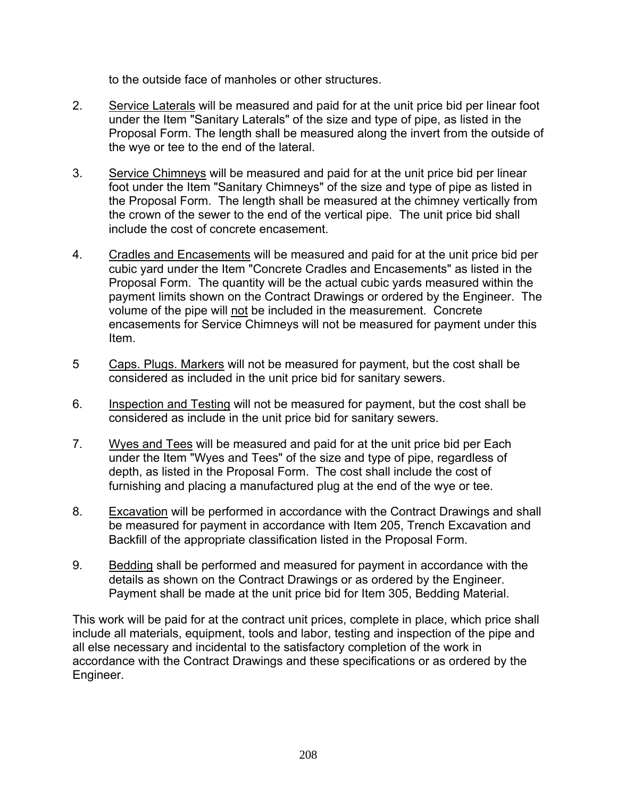to the outside face of manholes or other structures.

- 2. Service Laterals will be measured and paid for at the unit price bid per linear foot under the Item "Sanitary Laterals" of the size and type of pipe, as listed in the Proposal Form. The length shall be measured along the invert from the outside of the wye or tee to the end of the lateral.
- 3. Service Chimneys will be measured and paid for at the unit price bid per linear foot under the Item "Sanitary Chimneys" of the size and type of pipe as listed in the Proposal Form. The length shall be measured at the chimney vertically from the crown of the sewer to the end of the vertical pipe. The unit price bid shall include the cost of concrete encasement.
- 4. Cradles and Encasements will be measured and paid for at the unit price bid per cubic yard under the Item "Concrete Cradles and Encasements" as listed in the Proposal Form. The quantity will be the actual cubic yards measured within the payment limits shown on the Contract Drawings or ordered by the Engineer. The volume of the pipe will not be included in the measurement. Concrete encasements for Service Chimneys will not be measured for payment under this Item.
- 5 Caps. Plugs. Markers will not be measured for payment, but the cost shall be considered as included in the unit price bid for sanitary sewers.
- 6. Inspection and Testing will not be measured for payment, but the cost shall be considered as include in the unit price bid for sanitary sewers.
- 7. Wyes and Tees will be measured and paid for at the unit price bid per Each under the Item "Wyes and Tees" of the size and type of pipe, regardless of depth, as listed in the Proposal Form. The cost shall include the cost of furnishing and placing a manufactured plug at the end of the wye or tee.
- 8. Excavation will be performed in accordance with the Contract Drawings and shall be measured for payment in accordance with Item 205, Trench Excavation and Backfill of the appropriate classification listed in the Proposal Form.
- 9. Bedding shall be performed and measured for payment in accordance with the details as shown on the Contract Drawings or as ordered by the Engineer. Payment shall be made at the unit price bid for Item 305, Bedding Material.

This work will be paid for at the contract unit prices, complete in place, which price shall include all materials, equipment, tools and labor, testing and inspection of the pipe and all else necessary and incidental to the satisfactory completion of the work in accordance with the Contract Drawings and these specifications or as ordered by the Engineer.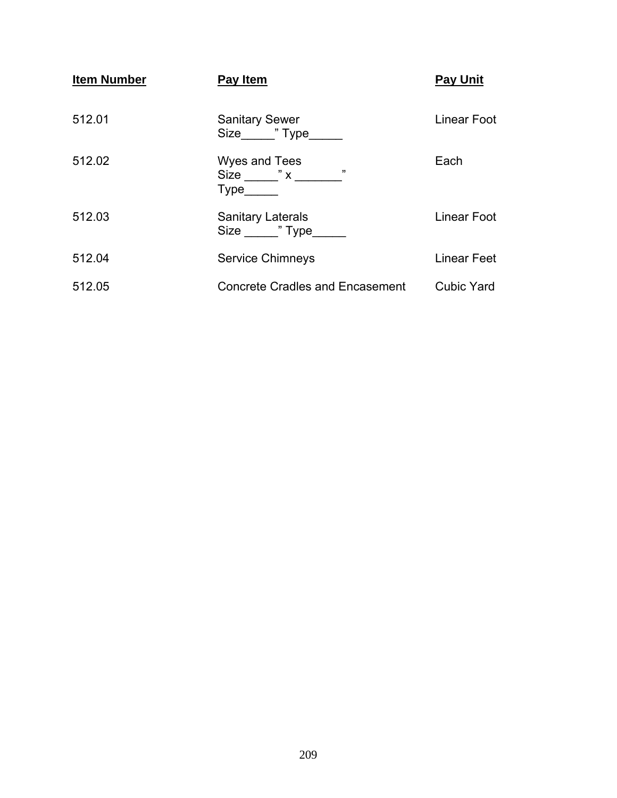| <b>Item Number</b> | Pay Item                                                                                                                                                                                                                                                                                                                            | <b>Pay Unit</b>    |
|--------------------|-------------------------------------------------------------------------------------------------------------------------------------------------------------------------------------------------------------------------------------------------------------------------------------------------------------------------------------|--------------------|
| 512.01             | <b>Sanitary Sewer</b><br>Size "Type                                                                                                                                                                                                                                                                                                 | Linear Foot        |
| 512.02             | Wyes and Tees<br>Size $\frac{1}{2}$ $x$ $\frac{1}{2}$ $\frac{1}{2}$ $\frac{1}{2}$ $\frac{1}{2}$ $\frac{1}{2}$ $\frac{1}{2}$ $\frac{1}{2}$ $\frac{1}{2}$ $\frac{1}{2}$ $\frac{1}{2}$ $\frac{1}{2}$ $\frac{1}{2}$ $\frac{1}{2}$ $\frac{1}{2}$ $\frac{1}{2}$ $\frac{1}{2}$ $\frac{1}{2}$ $\frac{1}{2}$ $\frac{1}{2}$ $\frac{1}{2}$ $\$ | Each               |
| 512.03             | <b>Sanitary Laterals</b><br>Size 7 Type                                                                                                                                                                                                                                                                                             | Linear Foot        |
| 512.04             | <b>Service Chimneys</b>                                                                                                                                                                                                                                                                                                             | <b>Linear Feet</b> |
| 512.05             | <b>Concrete Cradles and Encasement</b>                                                                                                                                                                                                                                                                                              | <b>Cubic Yard</b>  |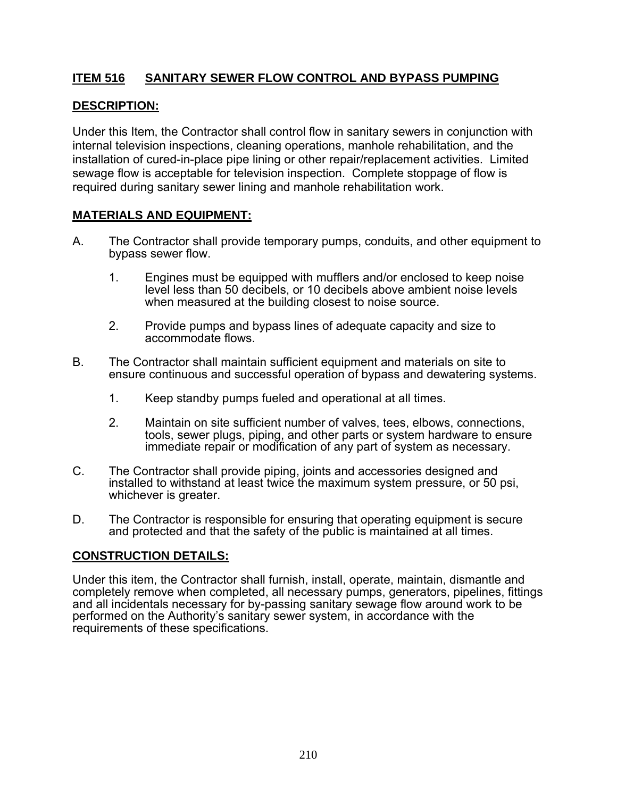## **ITEM 516 SANITARY SEWER FLOW CONTROL AND BYPASS PUMPING**

## **DESCRIPTION:**

Under this Item, the Contractor shall control flow in sanitary sewers in conjunction with internal television inspections, cleaning operations, manhole rehabilitation, and the installation of cured-in-place pipe lining or other repair/replacement activities. Limited sewage flow is acceptable for television inspection. Complete stoppage of flow is required during sanitary sewer lining and manhole rehabilitation work.

#### **MATERIALS AND EQUIPMENT:**

- A. The Contractor shall provide temporary pumps, conduits, and other equipment to bypass sewer flow.
	- 1. Engines must be equipped with mufflers and/or enclosed to keep noise level less than 50 decibels, or 10 decibels above ambient noise levels when measured at the building closest to noise source.
	- 2. Provide pumps and bypass lines of adequate capacity and size to accommodate flows.
- B. The Contractor shall maintain sufficient equipment and materials on site to ensure continuous and successful operation of bypass and dewatering systems.
	- 1. Keep standby pumps fueled and operational at all times.
	- 2. Maintain on site sufficient number of valves, tees, elbows, connections, tools, sewer plugs, piping, and other parts or system hardware to ensure immediate repair or modification of any part of system as necessary.
- C. The Contractor shall provide piping, joints and accessories designed and installed to withstand at least twice the maximum system pressure, or 50 psi, whichever is greater.
- D. The Contractor is responsible for ensuring that operating equipment is secure and protected and that the safety of the public is maintained at all times.

#### **CONSTRUCTION DETAILS:**

Under this item, the Contractor shall furnish, install, operate, maintain, dismantle and completely remove when completed, all necessary pumps, generators, pipelines, fittings and all incidentals necessary for by-passing sanitary sewage flow around work to be performed on the Authority's sanitary sewer system, in accordance with the requirements of these specifications.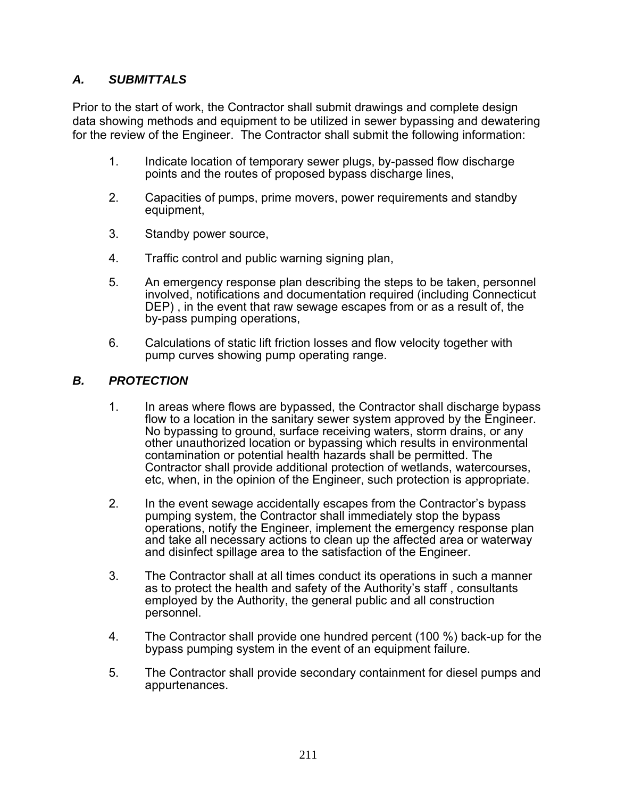## *A. SUBMITTALS*

Prior to the start of work, the Contractor shall submit drawings and complete design data showing methods and equipment to be utilized in sewer bypassing and dewatering for the review of the Engineer. The Contractor shall submit the following information:

- 1. Indicate location of temporary sewer plugs, by-passed flow discharge points and the routes of proposed bypass discharge lines,
- 2. Capacities of pumps, prime movers, power requirements and standby equipment,
- 3. Standby power source,
- 4. Traffic control and public warning signing plan,
- 5. An emergency response plan describing the steps to be taken, personnel involved, notifications and documentation required (including Connecticut DEP) , in the event that raw sewage escapes from or as a result of, the by-pass pumping operations,
- 6. Calculations of static lift friction losses and flow velocity together with pump curves showing pump operating range.

#### *B. PROTECTION*

- 1. In areas where flows are bypassed, the Contractor shall discharge bypass flow to a location in the sanitary sewer system approved by the Engineer. No bypassing to ground, surface receiving waters, storm drains, or any other unauthorized location or bypassing which results in environmental contamination or potential health hazards shall be permitted. The Contractor shall provide additional protection of wetlands, watercourses, etc, when, in the opinion of the Engineer, such protection is appropriate.
- 2. In the event sewage accidentally escapes from the Contractor's bypass pumping system, the Contractor shall immediately stop the bypass operations, notify the Engineer, implement the emergency response plan and take all necessary actions to clean up the affected area or waterway and disinfect spillage area to the satisfaction of the Engineer.
- 3. The Contractor shall at all times conduct its operations in such a manner as to protect the health and safety of the Authority's staff , consultants employed by the Authority, the general public and all construction personnel.
- 4. The Contractor shall provide one hundred percent (100 %) back-up for the bypass pumping system in the event of an equipment failure.
- 5. The Contractor shall provide secondary containment for diesel pumps and appurtenances.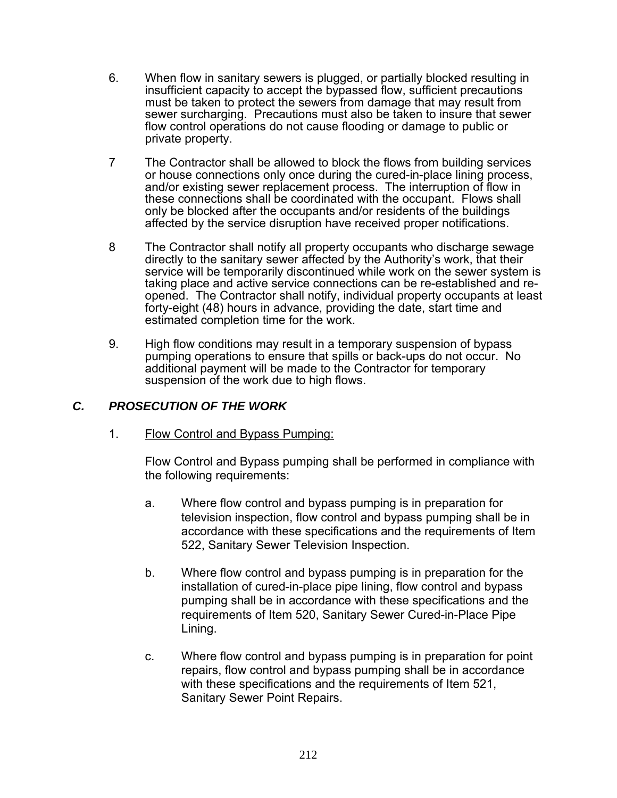- 6. When flow in sanitary sewers is plugged, or partially blocked resulting in insufficient capacity to accept the bypassed flow, sufficient precautions must be taken to protect the sewers from damage that may result from sewer surcharging. Precautions must also be taken to insure that sewer flow control operations do not cause flooding or damage to public or private property.
- 7 The Contractor shall be allowed to block the flows from building services or house connections only once during the cured-in-place lining process, and/or existing sewer replacement process. The interruption of flow in these connections shall be coordinated with the occupant. Flows shall only be blocked after the occupants and/or residents of the buildings affected by the service disruption have received proper notifications.
- 8 The Contractor shall notify all property occupants who discharge sewage directly to the sanitary sewer affected by the Authority's work, that their service will be temporarily discontinued while work on the sewer system is taking place and active service connections can be re-established and reopened. The Contractor shall notify, individual property occupants at least forty-eight (48) hours in advance, providing the date, start time and estimated completion time for the work.
- 9. High flow conditions may result in a temporary suspension of bypass pumping operations to ensure that spills or back-ups do not occur. No additional payment will be made to the Contractor for temporary suspension of the work due to high flows.

## *C. PROSECUTION OF THE WORK*

1. Flow Control and Bypass Pumping:

Flow Control and Bypass pumping shall be performed in compliance with the following requirements:

- a. Where flow control and bypass pumping is in preparation for television inspection, flow control and bypass pumping shall be in accordance with these specifications and the requirements of Item 522, Sanitary Sewer Television Inspection.
- b. Where flow control and bypass pumping is in preparation for the installation of cured-in-place pipe lining, flow control and bypass pumping shall be in accordance with these specifications and the requirements of Item 520, Sanitary Sewer Cured-in-Place Pipe Lining.
- c. Where flow control and bypass pumping is in preparation for point repairs, flow control and bypass pumping shall be in accordance with these specifications and the requirements of Item 521, Sanitary Sewer Point Repairs.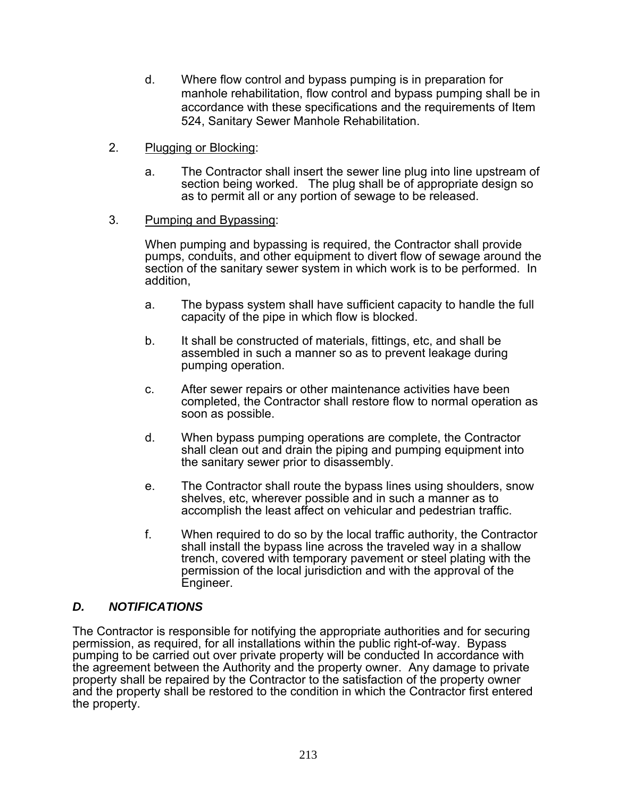- d. Where flow control and bypass pumping is in preparation for manhole rehabilitation, flow control and bypass pumping shall be in accordance with these specifications and the requirements of Item 524, Sanitary Sewer Manhole Rehabilitation.
- 2. Plugging or Blocking:
	- a. The Contractor shall insert the sewer line plug into line upstream of section being worked. The plug shall be of appropriate design so as to permit all or any portion of sewage to be released.
- 3. Pumping and Bypassing:

When pumping and bypassing is required, the Contractor shall provide pumps, conduits, and other equipment to divert flow of sewage around the section of the sanitary sewer system in which work is to be performed. In addition,

- a. The bypass system shall have sufficient capacity to handle the full capacity of the pipe in which flow is blocked.
- b. It shall be constructed of materials, fittings, etc, and shall be assembled in such a manner so as to prevent leakage during pumping operation.
- c. After sewer repairs or other maintenance activities have been completed, the Contractor shall restore flow to normal operation as soon as possible.
- d. When bypass pumping operations are complete, the Contractor shall clean out and drain the piping and pumping equipment into the sanitary sewer prior to disassembly.
- e. The Contractor shall route the bypass lines using shoulders, snow shelves, etc, wherever possible and in such a manner as to accomplish the least affect on vehicular and pedestrian traffic.
- f. When required to do so by the local traffic authority, the Contractor shall install the bypass line across the traveled way in a shallow trench, covered with temporary pavement or steel plating with the permission of the local jurisdiction and with the approval of the Engineer.

## *D. NOTIFICATIONS*

The Contractor is responsible for notifying the appropriate authorities and for securing permission, as required, for all installations within the public right-of-way. Bypass pumping to be carried out over private property will be conducted In accordance with the agreement between the Authority and the property owner. Any damage to private property shall be repaired by the Contractor to the satisfaction of the property owner and the property shall be restored to the condition in which the Contractor first entered the property.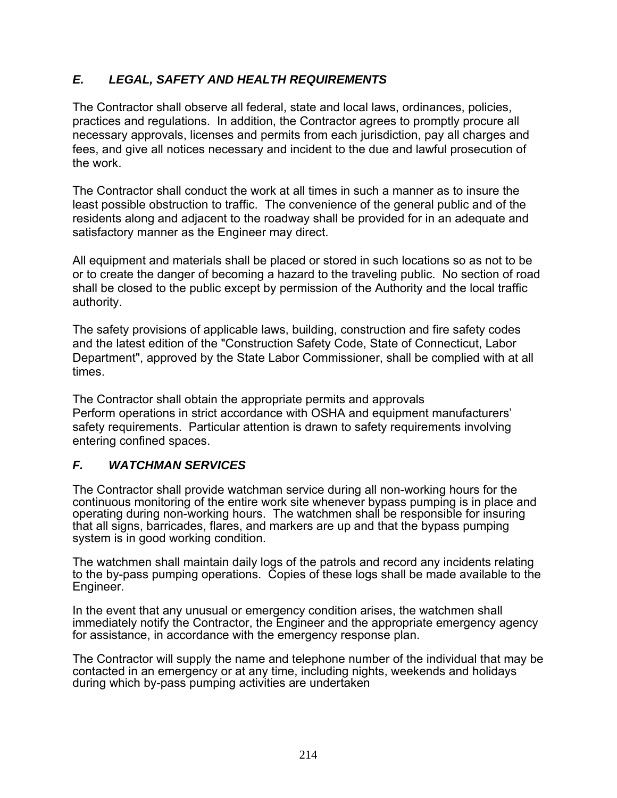# *E. LEGAL, SAFETY AND HEALTH REQUIREMENTS*

The Contractor shall observe all federal, state and local laws, ordinances, policies, practices and regulations. In addition, the Contractor agrees to promptly procure all necessary approvals, licenses and permits from each jurisdiction, pay all charges and fees, and give all notices necessary and incident to the due and lawful prosecution of the work.

The Contractor shall conduct the work at all times in such a manner as to insure the least possible obstruction to traffic. The convenience of the general public and of the residents along and adjacent to the roadway shall be provided for in an adequate and satisfactory manner as the Engineer may direct.

All equipment and materials shall be placed or stored in such locations so as not to be or to create the danger of becoming a hazard to the traveling public. No section of road shall be closed to the public except by permission of the Authority and the local traffic authority.

The safety provisions of applicable laws, building, construction and fire safety codes and the latest edition of the "Construction Safety Code, State of Connecticut, Labor Department", approved by the State Labor Commissioner, shall be complied with at all times.

The Contractor shall obtain the appropriate permits and approvals Perform operations in strict accordance with OSHA and equipment manufacturers' safety requirements. Particular attention is drawn to safety requirements involving entering confined spaces.

# *F. WATCHMAN SERVICES*

The Contractor shall provide watchman service during all non-working hours for the continuous monitoring of the entire work site whenever bypass pumping is in place and operating during non-working hours. The watchmen shall be responsible for insuring that all signs, barricades, flares, and markers are up and that the bypass pumping system is in good working condition.

The watchmen shall maintain daily logs of the patrols and record any incidents relating to the by-pass pumping operations. Copies of these logs shall be made available to the Engineer.

In the event that any unusual or emergency condition arises, the watchmen shall immediately notify the Contractor, the Engineer and the appropriate emergency agency for assistance, in accordance with the emergency response plan.

The Contractor will supply the name and telephone number of the individual that may be contacted in an emergency or at any time, including nights, weekends and holidays during which by-pass pumping activities are undertaken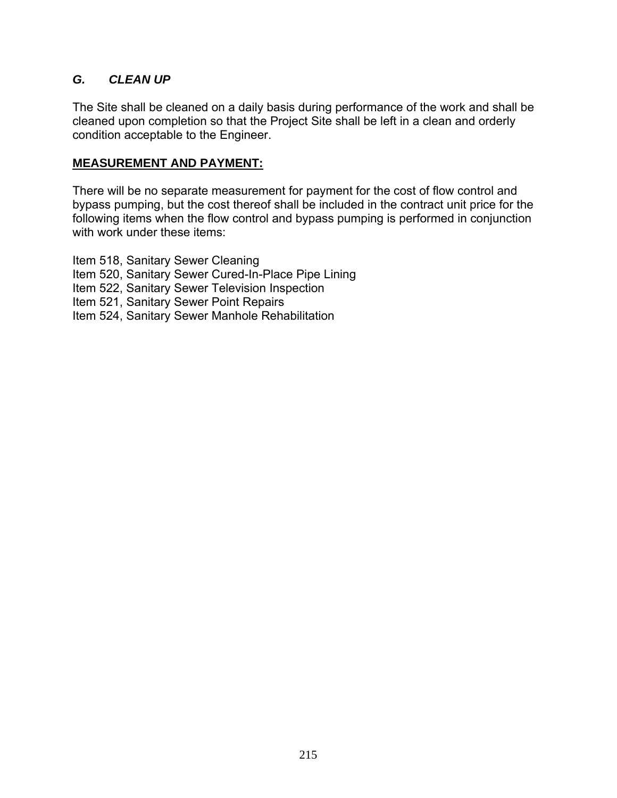## *G. CLEAN UP*

The Site shall be cleaned on a daily basis during performance of the work and shall be cleaned upon completion so that the Project Site shall be left in a clean and orderly condition acceptable to the Engineer.

#### **MEASUREMENT AND PAYMENT:**

There will be no separate measurement for payment for the cost of flow control and bypass pumping, but the cost thereof shall be included in the contract unit price for the following items when the flow control and bypass pumping is performed in conjunction with work under these items:

Item 518, Sanitary Sewer Cleaning Item 520, Sanitary Sewer Cured-In-Place Pipe Lining Item 522, Sanitary Sewer Television Inspection Item 521, Sanitary Sewer Point Repairs Item 524, Sanitary Sewer Manhole Rehabilitation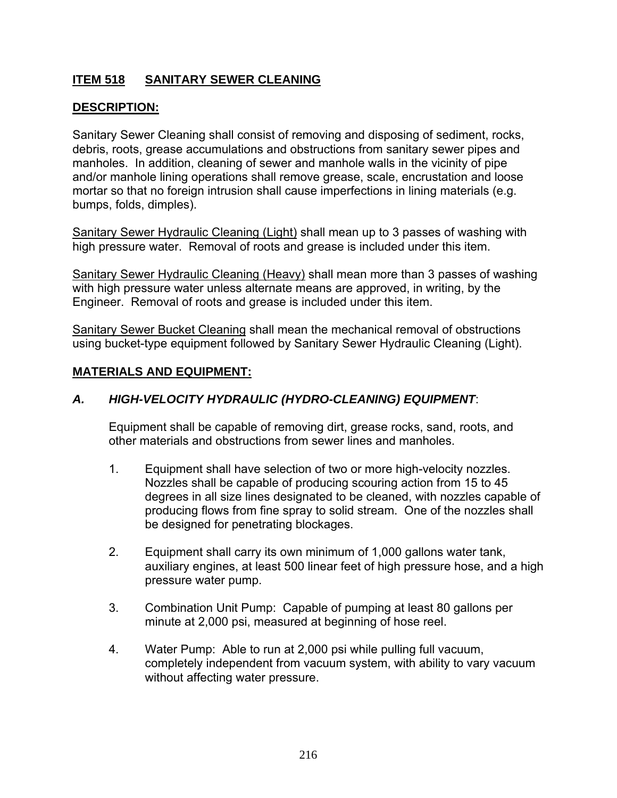# **ITEM 518 SANITARY SEWER CLEANING**

# **DESCRIPTION:**

Sanitary Sewer Cleaning shall consist of removing and disposing of sediment, rocks, debris, roots, grease accumulations and obstructions from sanitary sewer pipes and manholes. In addition, cleaning of sewer and manhole walls in the vicinity of pipe and/or manhole lining operations shall remove grease, scale, encrustation and loose mortar so that no foreign intrusion shall cause imperfections in lining materials (e.g. bumps, folds, dimples).

Sanitary Sewer Hydraulic Cleaning (Light) shall mean up to 3 passes of washing with high pressure water. Removal of roots and grease is included under this item.

Sanitary Sewer Hydraulic Cleaning (Heavy) shall mean more than 3 passes of washing with high pressure water unless alternate means are approved, in writing, by the Engineer. Removal of roots and grease is included under this item.

Sanitary Sewer Bucket Cleaning shall mean the mechanical removal of obstructions using bucket-type equipment followed by Sanitary Sewer Hydraulic Cleaning (Light).

#### **MATERIALS AND EQUIPMENT:**

## *A. HIGH-VELOCITY HYDRAULIC (HYDRO-CLEANING) EQUIPMENT*:

 Equipment shall be capable of removing dirt, grease rocks, sand, roots, and other materials and obstructions from sewer lines and manholes.

- 1. Equipment shall have selection of two or more high-velocity nozzles. Nozzles shall be capable of producing scouring action from 15 to 45 degrees in all size lines designated to be cleaned, with nozzles capable of producing flows from fine spray to solid stream. One of the nozzles shall be designed for penetrating blockages.
- 2. Equipment shall carry its own minimum of 1,000 gallons water tank, auxiliary engines, at least 500 linear feet of high pressure hose, and a high pressure water pump.
- 3. Combination Unit Pump: Capable of pumping at least 80 gallons per minute at 2,000 psi, measured at beginning of hose reel.
- 4. Water Pump: Able to run at 2,000 psi while pulling full vacuum, completely independent from vacuum system, with ability to vary vacuum without affecting water pressure.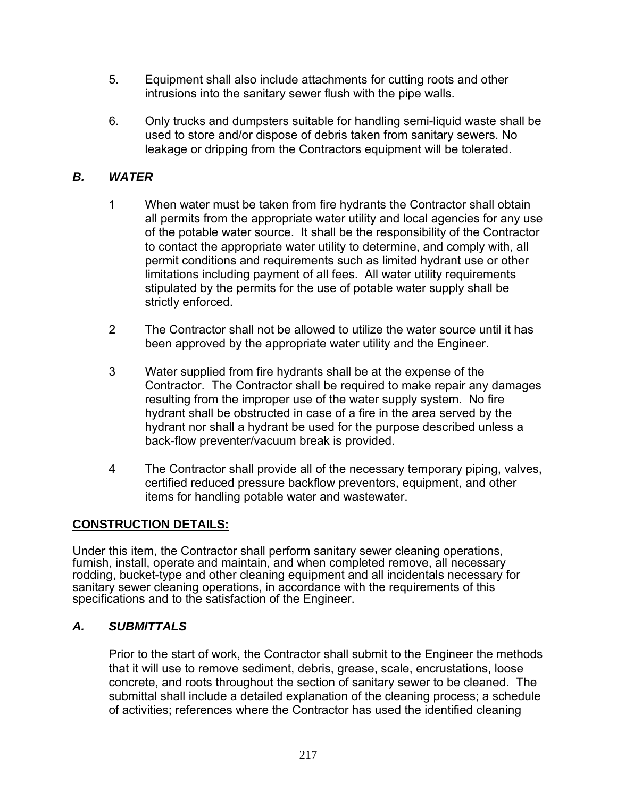- 5. Equipment shall also include attachments for cutting roots and other intrusions into the sanitary sewer flush with the pipe walls.
- 6. Only trucks and dumpsters suitable for handling semi-liquid waste shall be used to store and/or dispose of debris taken from sanitary sewers. No leakage or dripping from the Contractors equipment will be tolerated.

## *B. WATER*

- 1 When water must be taken from fire hydrants the Contractor shall obtain all permits from the appropriate water utility and local agencies for any use of the potable water source. It shall be the responsibility of the Contractor to contact the appropriate water utility to determine, and comply with, all permit conditions and requirements such as limited hydrant use or other limitations including payment of all fees. All water utility requirements stipulated by the permits for the use of potable water supply shall be strictly enforced.
- 2 The Contractor shall not be allowed to utilize the water source until it has been approved by the appropriate water utility and the Engineer.
- 3 Water supplied from fire hydrants shall be at the expense of the Contractor. The Contractor shall be required to make repair any damages resulting from the improper use of the water supply system. No fire hydrant shall be obstructed in case of a fire in the area served by the hydrant nor shall a hydrant be used for the purpose described unless a back-flow preventer/vacuum break is provided.
- 4 The Contractor shall provide all of the necessary temporary piping, valves, certified reduced pressure backflow preventors, equipment, and other items for handling potable water and wastewater.

## **CONSTRUCTION DETAILS:**

Under this item, the Contractor shall perform sanitary sewer cleaning operations, furnish, install, operate and maintain, and when completed remove, all necessary rodding, bucket-type and other cleaning equipment and all incidentals necessary for sanitary sewer cleaning operations, in accordance with the requirements of this specifications and to the satisfaction of the Engineer.

## *A. SUBMITTALS*

Prior to the start of work, the Contractor shall submit to the Engineer the methods that it will use to remove sediment, debris, grease, scale, encrustations, loose concrete, and roots throughout the section of sanitary sewer to be cleaned. The submittal shall include a detailed explanation of the cleaning process; a schedule of activities; references where the Contractor has used the identified cleaning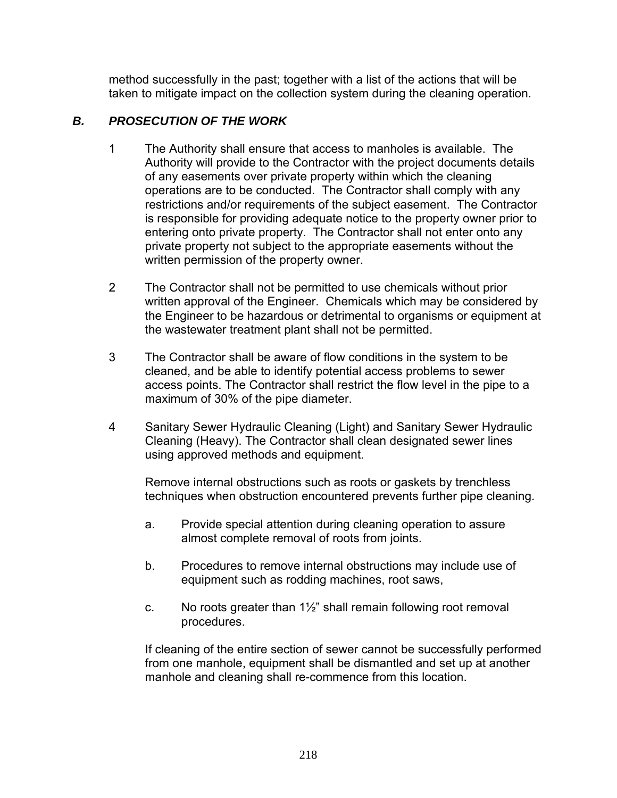method successfully in the past; together with a list of the actions that will be taken to mitigate impact on the collection system during the cleaning operation.

# *B. PROSECUTION OF THE WORK*

- 1 The Authority shall ensure that access to manholes is available. The Authority will provide to the Contractor with the project documents details of any easements over private property within which the cleaning operations are to be conducted. The Contractor shall comply with any restrictions and/or requirements of the subject easement. The Contractor is responsible for providing adequate notice to the property owner prior to entering onto private property. The Contractor shall not enter onto any private property not subject to the appropriate easements without the written permission of the property owner.
- 2 The Contractor shall not be permitted to use chemicals without prior written approval of the Engineer. Chemicals which may be considered by the Engineer to be hazardous or detrimental to organisms or equipment at the wastewater treatment plant shall not be permitted.
- 3 The Contractor shall be aware of flow conditions in the system to be cleaned, and be able to identify potential access problems to sewer access points. The Contractor shall restrict the flow level in the pipe to a maximum of 30% of the pipe diameter.
- 4 Sanitary Sewer Hydraulic Cleaning (Light) and Sanitary Sewer Hydraulic Cleaning (Heavy). The Contractor shall clean designated sewer lines using approved methods and equipment.

Remove internal obstructions such as roots or gaskets by trenchless techniques when obstruction encountered prevents further pipe cleaning.

- a. Provide special attention during cleaning operation to assure almost complete removal of roots from joints.
- b. Procedures to remove internal obstructions may include use of equipment such as rodding machines, root saws,
- c. No roots greater than 1½" shall remain following root removal procedures.

 If cleaning of the entire section of sewer cannot be successfully performed from one manhole, equipment shall be dismantled and set up at another manhole and cleaning shall re-commence from this location.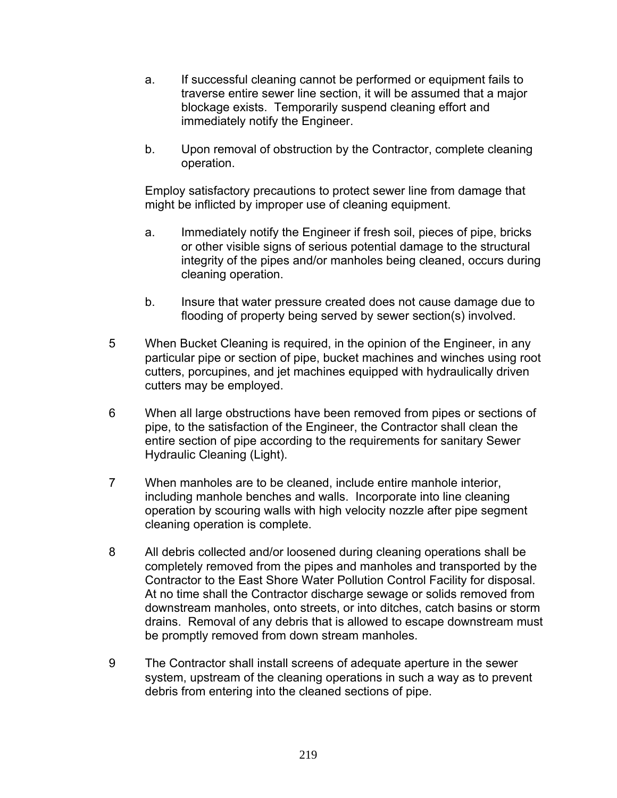- a. If successful cleaning cannot be performed or equipment fails to traverse entire sewer line section, it will be assumed that a major blockage exists. Temporarily suspend cleaning effort and immediately notify the Engineer.
- b. Upon removal of obstruction by the Contractor, complete cleaning operation.

 Employ satisfactory precautions to protect sewer line from damage that might be inflicted by improper use of cleaning equipment.

- a. Immediately notify the Engineer if fresh soil, pieces of pipe, bricks or other visible signs of serious potential damage to the structural integrity of the pipes and/or manholes being cleaned, occurs during cleaning operation.
- b. Insure that water pressure created does not cause damage due to flooding of property being served by sewer section(s) involved.
- 5 When Bucket Cleaning is required, in the opinion of the Engineer, in any particular pipe or section of pipe, bucket machines and winches using root cutters, porcupines, and jet machines equipped with hydraulically driven cutters may be employed.
- 6 When all large obstructions have been removed from pipes or sections of pipe, to the satisfaction of the Engineer, the Contractor shall clean the entire section of pipe according to the requirements for sanitary Sewer Hydraulic Cleaning (Light).
- 7 When manholes are to be cleaned, include entire manhole interior, including manhole benches and walls. Incorporate into line cleaning operation by scouring walls with high velocity nozzle after pipe segment cleaning operation is complete.
- 8 All debris collected and/or loosened during cleaning operations shall be completely removed from the pipes and manholes and transported by the Contractor to the East Shore Water Pollution Control Facility for disposal. At no time shall the Contractor discharge sewage or solids removed from downstream manholes, onto streets, or into ditches, catch basins or storm drains. Removal of any debris that is allowed to escape downstream must be promptly removed from down stream manholes.
- 9 The Contractor shall install screens of adequate aperture in the sewer system, upstream of the cleaning operations in such a way as to prevent debris from entering into the cleaned sections of pipe.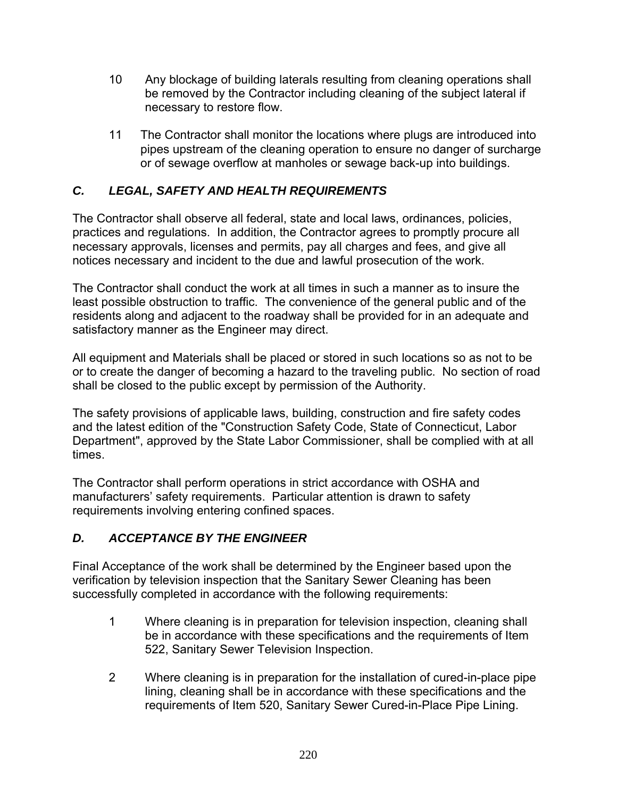- 10 Any blockage of building laterals resulting from cleaning operations shall be removed by the Contractor including cleaning of the subject lateral if necessary to restore flow.
- 11 The Contractor shall monitor the locations where plugs are introduced into pipes upstream of the cleaning operation to ensure no danger of surcharge or of sewage overflow at manholes or sewage back-up into buildings.

# *C. LEGAL, SAFETY AND HEALTH REQUIREMENTS*

The Contractor shall observe all federal, state and local laws, ordinances, policies, practices and regulations. In addition, the Contractor agrees to promptly procure all necessary approvals, licenses and permits, pay all charges and fees, and give all notices necessary and incident to the due and lawful prosecution of the work.

The Contractor shall conduct the work at all times in such a manner as to insure the least possible obstruction to traffic. The convenience of the general public and of the residents along and adjacent to the roadway shall be provided for in an adequate and satisfactory manner as the Engineer may direct.

All equipment and Materials shall be placed or stored in such locations so as not to be or to create the danger of becoming a hazard to the traveling public. No section of road shall be closed to the public except by permission of the Authority.

The safety provisions of applicable laws, building, construction and fire safety codes and the latest edition of the "Construction Safety Code, State of Connecticut, Labor Department", approved by the State Labor Commissioner, shall be complied with at all times.

The Contractor shall perform operations in strict accordance with OSHA and manufacturers' safety requirements. Particular attention is drawn to safety requirements involving entering confined spaces.

# *D. ACCEPTANCE BY THE ENGINEER*

Final Acceptance of the work shall be determined by the Engineer based upon the verification by television inspection that the Sanitary Sewer Cleaning has been successfully completed in accordance with the following requirements:

- 1 Where cleaning is in preparation for television inspection, cleaning shall be in accordance with these specifications and the requirements of Item 522, Sanitary Sewer Television Inspection.
- 2 Where cleaning is in preparation for the installation of cured-in-place pipe lining, cleaning shall be in accordance with these specifications and the requirements of Item 520, Sanitary Sewer Cured-in-Place Pipe Lining.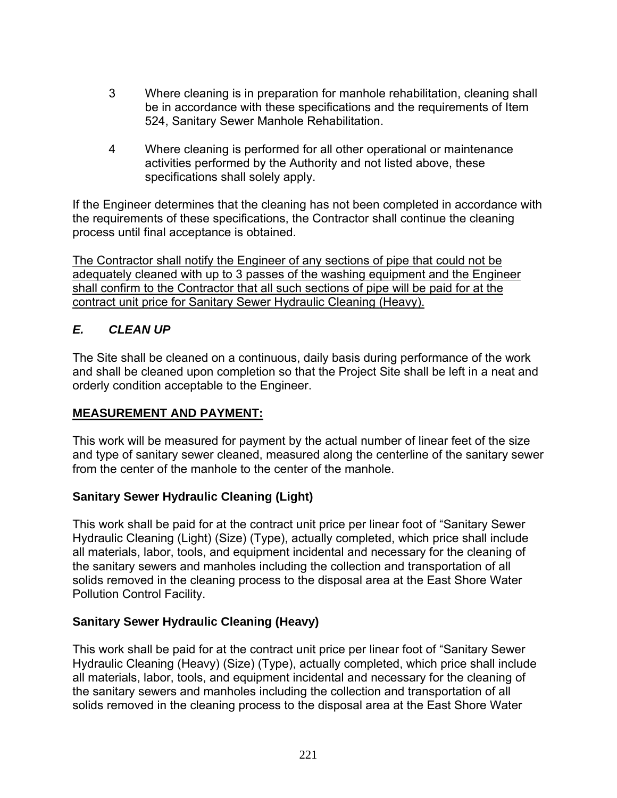- 3 Where cleaning is in preparation for manhole rehabilitation, cleaning shall be in accordance with these specifications and the requirements of Item 524, Sanitary Sewer Manhole Rehabilitation.
- 4 Where cleaning is performed for all other operational or maintenance activities performed by the Authority and not listed above, these specifications shall solely apply.

If the Engineer determines that the cleaning has not been completed in accordance with the requirements of these specifications, the Contractor shall continue the cleaning process until final acceptance is obtained.

The Contractor shall notify the Engineer of any sections of pipe that could not be adequately cleaned with up to 3 passes of the washing equipment and the Engineer shall confirm to the Contractor that all such sections of pipe will be paid for at the contract unit price for Sanitary Sewer Hydraulic Cleaning (Heavy).

# *E. CLEAN UP*

The Site shall be cleaned on a continuous, daily basis during performance of the work and shall be cleaned upon completion so that the Project Site shall be left in a neat and orderly condition acceptable to the Engineer.

## **MEASUREMENT AND PAYMENT:**

This work will be measured for payment by the actual number of linear feet of the size and type of sanitary sewer cleaned, measured along the centerline of the sanitary sewer from the center of the manhole to the center of the manhole.

## **Sanitary Sewer Hydraulic Cleaning (Light)**

This work shall be paid for at the contract unit price per linear foot of "Sanitary Sewer Hydraulic Cleaning (Light) (Size) (Type), actually completed, which price shall include all materials, labor, tools, and equipment incidental and necessary for the cleaning of the sanitary sewers and manholes including the collection and transportation of all solids removed in the cleaning process to the disposal area at the East Shore Water Pollution Control Facility.

## **Sanitary Sewer Hydraulic Cleaning (Heavy)**

This work shall be paid for at the contract unit price per linear foot of "Sanitary Sewer Hydraulic Cleaning (Heavy) (Size) (Type), actually completed, which price shall include all materials, labor, tools, and equipment incidental and necessary for the cleaning of the sanitary sewers and manholes including the collection and transportation of all solids removed in the cleaning process to the disposal area at the East Shore Water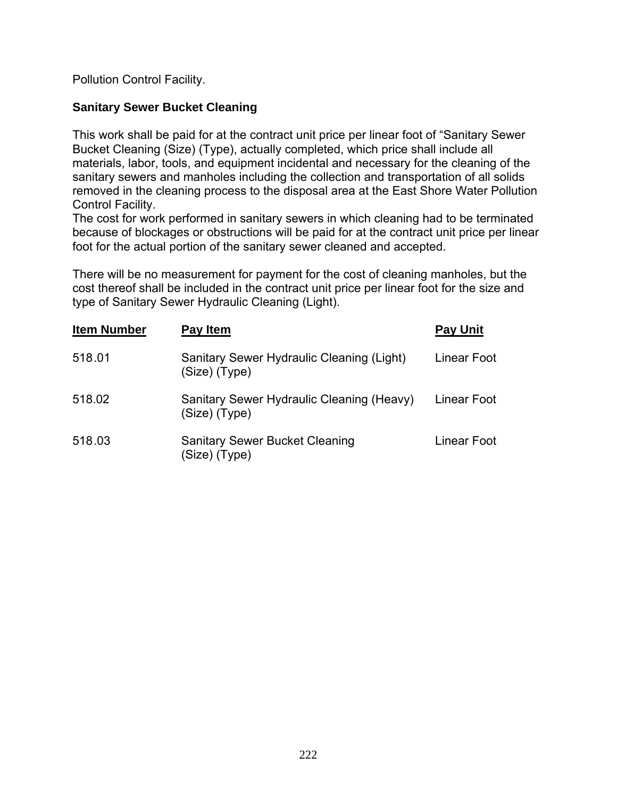Pollution Control Facility.

## **Sanitary Sewer Bucket Cleaning**

This work shall be paid for at the contract unit price per linear foot of "Sanitary Sewer Bucket Cleaning (Size) (Type), actually completed, which price shall include all materials, labor, tools, and equipment incidental and necessary for the cleaning of the sanitary sewers and manholes including the collection and transportation of all solids removed in the cleaning process to the disposal area at the East Shore Water Pollution Control Facility.

The cost for work performed in sanitary sewers in which cleaning had to be terminated because of blockages or obstructions will be paid for at the contract unit price per linear foot for the actual portion of the sanitary sewer cleaned and accepted.

There will be no measurement for payment for the cost of cleaning manholes, but the cost thereof shall be included in the contract unit price per linear foot for the size and type of Sanitary Sewer Hydraulic Cleaning (Light).

| <b>Item Number</b> | Pay Item                                                     | <b>Pay Unit</b> |
|--------------------|--------------------------------------------------------------|-----------------|
| 518.01             | Sanitary Sewer Hydraulic Cleaning (Light)<br>(Size) (Type)   | Linear Foot     |
| 518.02             | Sanitary Sewer Hydraulic Cleaning (Heavy)<br>$(Size)$ (Type) | Linear Foot     |
| 518.03             | <b>Sanitary Sewer Bucket Cleaning</b><br>(Size) (Type)       | Linear Foot     |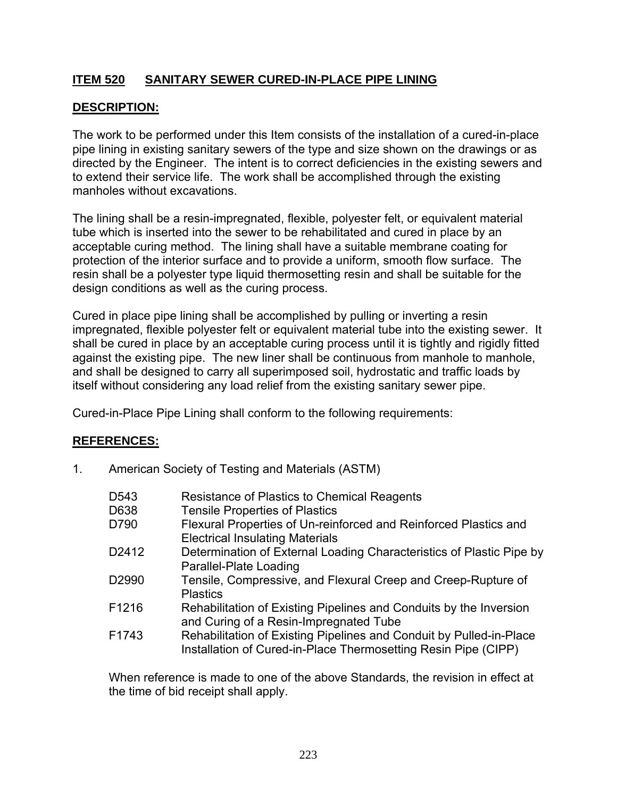## **ITEM 520 SANITARY SEWER CURED-IN-PLACE PIPE LINING**

## **DESCRIPTION:**

The work to be performed under this Item consists of the installation of a cured-in-place pipe lining in existing sanitary sewers of the type and size shown on the drawings or as directed by the Engineer. The intent is to correct deficiencies in the existing sewers and to extend their service life. The work shall be accomplished through the existing manholes without excavations.

 The lining shall be a resin-impregnated, flexible, polyester felt, or equivalent material tube which is inserted into the sewer to be rehabilitated and cured in place by an acceptable curing method. The lining shall have a suitable membrane coating for protection of the interior surface and to provide a uniform, smooth flow surface. The resin shall be a polyester type liquid thermosetting resin and shall be suitable for the design conditions as well as the curing process.

Cured in place pipe lining shall be accomplished by pulling or inverting a resin impregnated, flexible polyester felt or equivalent material tube into the existing sewer. It shall be cured in place by an acceptable curing process until it is tightly and rigidly fitted against the existing pipe. The new liner shall be continuous from manhole to manhole, and shall be designed to carry all superimposed soil, hydrostatic and traffic loads by itself without considering any load relief from the existing sanitary sewer pipe.

Cured-in-Place Pipe Lining shall conform to the following requirements:

## **REFERENCES:**

1. American Society of Testing and Materials (ASTM)

| D <sub>543</sub>  | Resistance of Plastics to Chemical Reagents                                                                                           |
|-------------------|---------------------------------------------------------------------------------------------------------------------------------------|
| D638              | <b>Tensile Properties of Plastics</b>                                                                                                 |
| D790              | Flexural Properties of Un-reinforced and Reinforced Plastics and<br><b>Electrical Insulating Materials</b>                            |
| D2412             | Determination of External Loading Characteristics of Plastic Pipe by<br>Parallel-Plate Loading                                        |
| D <sub>2990</sub> | Tensile, Compressive, and Flexural Creep and Creep-Rupture of<br><b>Plastics</b>                                                      |
| F1216             | Rehabilitation of Existing Pipelines and Conduits by the Inversion<br>and Curing of a Resin-Impregnated Tube                          |
| F1743             | Rehabilitation of Existing Pipelines and Conduit by Pulled-in-Place<br>Installation of Cured-in-Place Thermosetting Resin Pipe (CIPP) |

 When reference is made to one of the above Standards, the revision in effect at the time of bid receipt shall apply.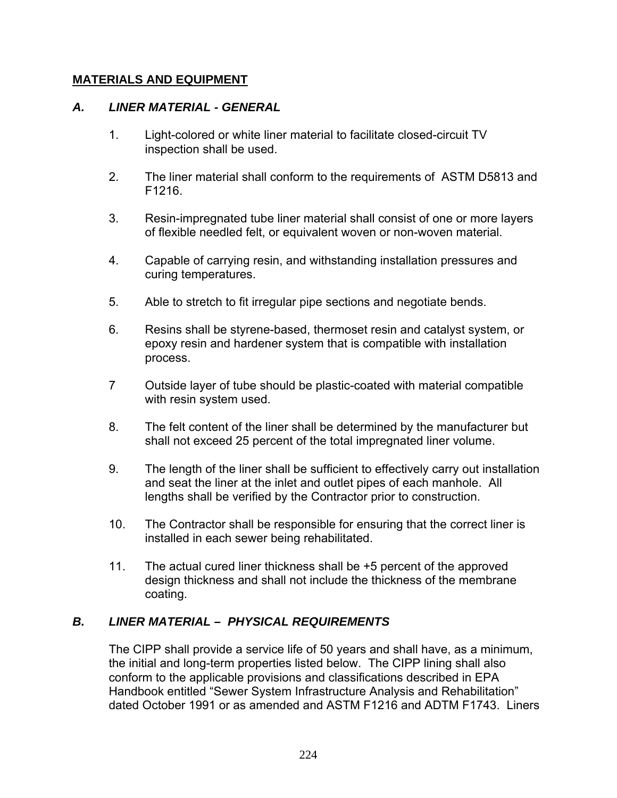#### **MATERIALS AND EQUIPMENT**

#### *A. LINER MATERIAL - GENERAL*

- 1. Light-colored or white liner material to facilitate closed-circuit TV inspection shall be used.
- 2. The liner material shall conform to the requirements of ASTM D5813 and F1216.
- 3. Resin-impregnated tube liner material shall consist of one or more layers of flexible needled felt, or equivalent woven or non-woven material.
- 4. Capable of carrying resin, and withstanding installation pressures and curing temperatures.
- 5. Able to stretch to fit irregular pipe sections and negotiate bends.
- 6. Resins shall be styrene-based, thermoset resin and catalyst system, or epoxy resin and hardener system that is compatible with installation process.
- 7 Outside layer of tube should be plastic-coated with material compatible with resin system used.
- 8. The felt content of the liner shall be determined by the manufacturer but shall not exceed 25 percent of the total impregnated liner volume.
- 9. The length of the liner shall be sufficient to effectively carry out installation and seat the liner at the inlet and outlet pipes of each manhole. All lengths shall be verified by the Contractor prior to construction.
- 10. The Contractor shall be responsible for ensuring that the correct liner is installed in each sewer being rehabilitated.
- 11. The actual cured liner thickness shall be +5 percent of the approved design thickness and shall not include the thickness of the membrane coating.

## *B. LINER MATERIAL – PHYSICAL REQUIREMENTS*

 The CIPP shall provide a service life of 50 years and shall have, as a minimum, the initial and long-term properties listed below. The CIPP lining shall also conform to the applicable provisions and classifications described in EPA Handbook entitled "Sewer System Infrastructure Analysis and Rehabilitation" dated October 1991 or as amended and ASTM F1216 and ADTM F1743. Liners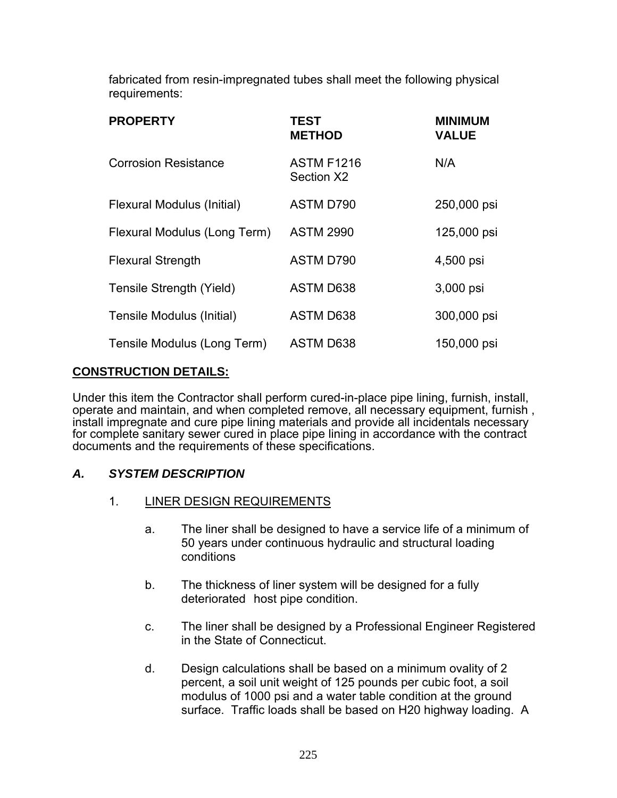fabricated from resin-impregnated tubes shall meet the following physical requirements:

| <b>PROPERTY</b>              | <b>TEST</b><br><b>METHOD</b>    | <b>MINIMUM</b><br><b>VALUE</b> |
|------------------------------|---------------------------------|--------------------------------|
| <b>Corrosion Resistance</b>  | <b>ASTM F1216</b><br>Section X2 | N/A                            |
| Flexural Modulus (Initial)   | ASTM D790                       | 250,000 psi                    |
| Flexural Modulus (Long Term) | <b>ASTM 2990</b>                | 125,000 psi                    |
| <b>Flexural Strength</b>     | ASTM D790                       | 4,500 psi                      |
| Tensile Strength (Yield)     | ASTM D638                       | 3,000 psi                      |
| Tensile Modulus (Initial)    | <b>ASTM D638</b>                | 300,000 psi                    |
| Tensile Modulus (Long Term)  | ASTM D638                       | 150,000 psi                    |

## **CONSTRUCTION DETAILS:**

Under this item the Contractor shall perform cured-in-place pipe lining, furnish, install, operate and maintain, and when completed remove, all necessary equipment, furnish , install impregnate and cure pipe lining materials and provide all incidentals necessary for complete sanitary sewer cured in place pipe lining in accordance with the contract documents and the requirements of these specifications.

## *A. SYSTEM DESCRIPTION*

- 1. LINER DESIGN REQUIREMENTS
	- a. The liner shall be designed to have a service life of a minimum of 50 years under continuous hydraulic and structural loading conditions
	- b. The thickness of liner system will be designed for a fully deteriorated host pipe condition.
	- c. The liner shall be designed by a Professional Engineer Registered in the State of Connecticut.
	- d. Design calculations shall be based on a minimum ovality of 2 percent, a soil unit weight of 125 pounds per cubic foot, a soil modulus of 1000 psi and a water table condition at the ground surface. Traffic loads shall be based on H20 highway loading. A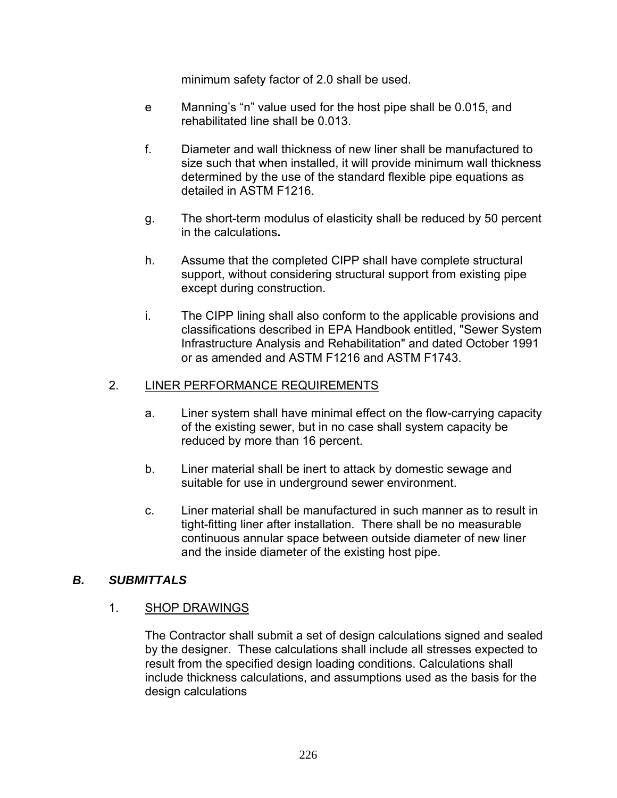minimum safety factor of 2.0 shall be used.

- e Manning's "n" value used for the host pipe shall be 0.015, and rehabilitated line shall be 0.013.
- f. Diameter and wall thickness of new liner shall be manufactured to size such that when installed, it will provide minimum wall thickness determined by the use of the standard flexible pipe equations as detailed in ASTM F1216.
- g. The short-term modulus of elasticity shall be reduced by 50 percent in the calculations**.**
- h. Assume that the completed CIPP shall have complete structural support, without considering structural support from existing pipe except during construction.
- i. The CIPP lining shall also conform to the applicable provisions and classifications described in EPA Handbook entitled, "Sewer System Infrastructure Analysis and Rehabilitation" and dated October 1991 or as amended and ASTM F1216 and ASTM F1743.

## 2. LINER PERFORMANCE REQUIREMENTS

- a. Liner system shall have minimal effect on the flow-carrying capacity of the existing sewer, but in no case shall system capacity be reduced by more than 16 percent.
- b. Liner material shall be inert to attack by domestic sewage and suitable for use in underground sewer environment.
- c. Liner material shall be manufactured in such manner as to result in tight-fitting liner after installation. There shall be no measurable continuous annular space between outside diameter of new liner and the inside diameter of the existing host pipe.

## *B. SUBMITTALS*

## 1. SHOP DRAWINGS

The Contractor shall submit a set of design calculations signed and sealed by the designer. These calculations shall include all stresses expected to result from the specified design loading conditions. Calculations shall include thickness calculations, and assumptions used as the basis for the design calculations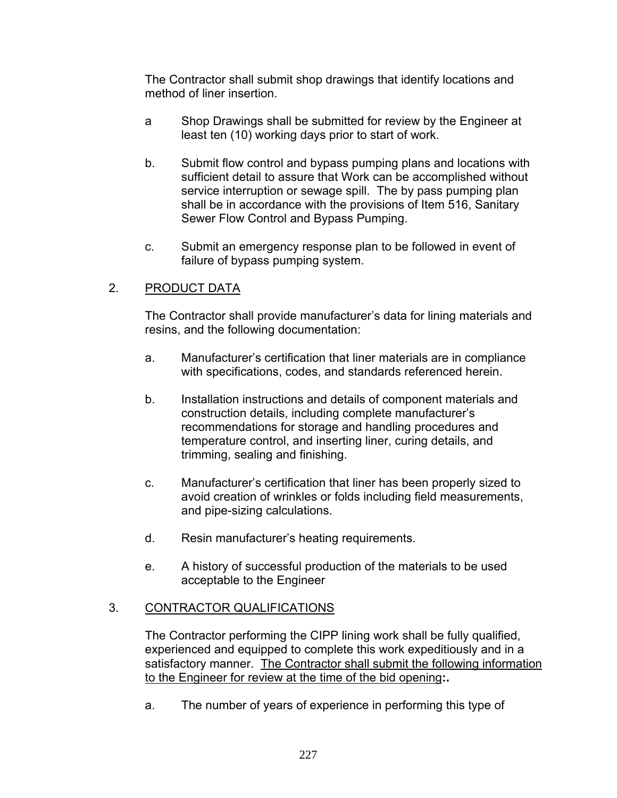The Contractor shall submit shop drawings that identify locations and method of liner insertion.

- a Shop Drawings shall be submitted for review by the Engineer at least ten (10) working days prior to start of work.
- b. Submit flow control and bypass pumping plans and locations with sufficient detail to assure that Work can be accomplished without service interruption or sewage spill. The by pass pumping plan shall be in accordance with the provisions of Item 516, Sanitary Sewer Flow Control and Bypass Pumping.
- c. Submit an emergency response plan to be followed in event of failure of bypass pumping system.

## 2. PRODUCT DATA

The Contractor shall provide manufacturer's data for lining materials and resins, and the following documentation:

- a. Manufacturer's certification that liner materials are in compliance with specifications, codes, and standards referenced herein.
- b. Installation instructions and details of component materials and construction details, including complete manufacturer's recommendations for storage and handling procedures and temperature control, and inserting liner, curing details, and trimming, sealing and finishing.
- c. Manufacturer's certification that liner has been properly sized to avoid creation of wrinkles or folds including field measurements, and pipe-sizing calculations.
- d. Resin manufacturer's heating requirements.
- e. A history of successful production of the materials to be used acceptable to the Engineer

## 3. CONTRACTOR QUALIFICATIONS

The Contractor performing the CIPP lining work shall be fully qualified, experienced and equipped to complete this work expeditiously and in a satisfactory manner. The Contractor shall submit the following information to the Engineer for review at the time of the bid opening**:.** 

a. The number of years of experience in performing this type of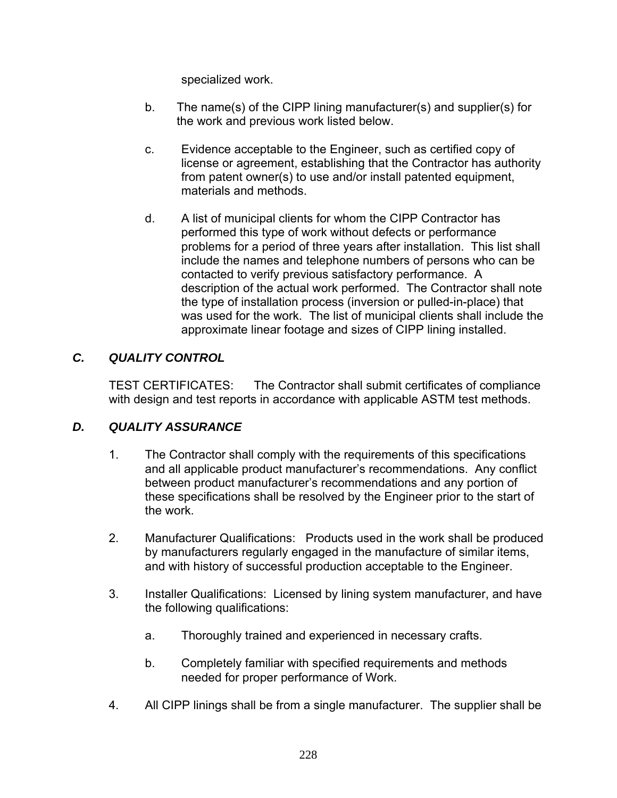specialized work.

- b. The name(s) of the CIPP lining manufacturer(s) and supplier(s) for the work and previous work listed below.
- c. Evidence acceptable to the Engineer, such as certified copy of license or agreement, establishing that the Contractor has authority from patent owner(s) to use and/or install patented equipment, materials and methods.
- d. A list of municipal clients for whom the CIPP Contractor has performed this type of work without defects or performance problems for a period of three years after installation. This list shall include the names and telephone numbers of persons who can be contacted to verify previous satisfactory performance. A description of the actual work performed. The Contractor shall note the type of installation process (inversion or pulled-in-place) that was used for the work. The list of municipal clients shall include the approximate linear footage and sizes of CIPP lining installed.

## *C. QUALITY CONTROL*

TEST CERTIFICATES: The Contractor shall submit certificates of compliance with design and test reports in accordance with applicable ASTM test methods.

## *D. QUALITY ASSURANCE*

- 1. The Contractor shall comply with the requirements of this specifications and all applicable product manufacturer's recommendations. Any conflict between product manufacturer's recommendations and any portion of these specifications shall be resolved by the Engineer prior to the start of the work.
- 2. Manufacturer Qualifications: Products used in the work shall be produced by manufacturers regularly engaged in the manufacture of similar items, and with history of successful production acceptable to the Engineer.
- 3. Installer Qualifications: Licensed by lining system manufacturer, and have the following qualifications:
	- a. Thoroughly trained and experienced in necessary crafts.
	- b. Completely familiar with specified requirements and methods needed for proper performance of Work.
- 4. All CIPP linings shall be from a single manufacturer. The supplier shall be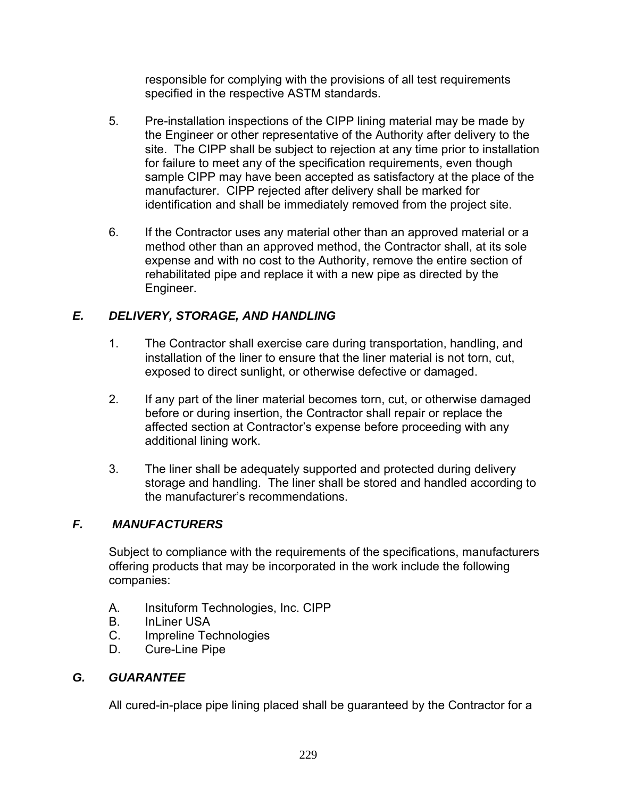responsible for complying with the provisions of all test requirements specified in the respective ASTM standards.

- 5. Pre-installation inspections of the CIPP lining material may be made by the Engineer or other representative of the Authority after delivery to the site. The CIPP shall be subject to rejection at any time prior to installation for failure to meet any of the specification requirements, even though sample CIPP may have been accepted as satisfactory at the place of the manufacturer. CIPP rejected after delivery shall be marked for identification and shall be immediately removed from the project site.
- 6. If the Contractor uses any material other than an approved material or a method other than an approved method, the Contractor shall, at its sole expense and with no cost to the Authority, remove the entire section of rehabilitated pipe and replace it with a new pipe as directed by the Engineer.

# *E. DELIVERY, STORAGE, AND HANDLING*

- 1. The Contractor shall exercise care during transportation, handling, and installation of the liner to ensure that the liner material is not torn, cut, exposed to direct sunlight, or otherwise defective or damaged.
- 2. If any part of the liner material becomes torn, cut, or otherwise damaged before or during insertion, the Contractor shall repair or replace the affected section at Contractor's expense before proceeding with any additional lining work.
- 3. The liner shall be adequately supported and protected during delivery storage and handling. The liner shall be stored and handled according to the manufacturer's recommendations.

# *F. MANUFACTURERS*

Subject to compliance with the requirements of the specifications, manufacturers offering products that may be incorporated in the work include the following companies:

- A. Insituform Technologies, Inc. CIPP
- B. InLiner USA
- C. Impreline Technologies
- D. Cure-Line Pipe

## *G. GUARANTEE*

All cured-in-place pipe lining placed shall be guaranteed by the Contractor for a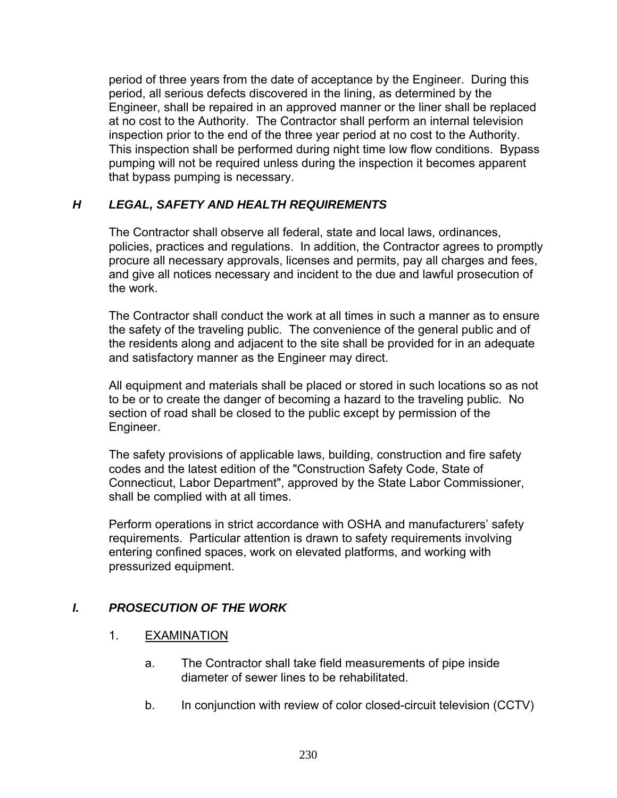period of three years from the date of acceptance by the Engineer. During this period, all serious defects discovered in the lining, as determined by the Engineer, shall be repaired in an approved manner or the liner shall be replaced at no cost to the Authority. The Contractor shall perform an internal television inspection prior to the end of the three year period at no cost to the Authority. This inspection shall be performed during night time low flow conditions. Bypass pumping will not be required unless during the inspection it becomes apparent that bypass pumping is necessary.

## *H LEGAL, SAFETY AND HEALTH REQUIREMENTS*

The Contractor shall observe all federal, state and local laws, ordinances, policies, practices and regulations. In addition, the Contractor agrees to promptly procure all necessary approvals, licenses and permits, pay all charges and fees, and give all notices necessary and incident to the due and lawful prosecution of the work.

The Contractor shall conduct the work at all times in such a manner as to ensure the safety of the traveling public. The convenience of the general public and of the residents along and adjacent to the site shall be provided for in an adequate and satisfactory manner as the Engineer may direct.

All equipment and materials shall be placed or stored in such locations so as not to be or to create the danger of becoming a hazard to the traveling public. No section of road shall be closed to the public except by permission of the Engineer.

The safety provisions of applicable laws, building, construction and fire safety codes and the latest edition of the "Construction Safety Code, State of Connecticut, Labor Department", approved by the State Labor Commissioner, shall be complied with at all times.

Perform operations in strict accordance with OSHA and manufacturers' safety requirements. Particular attention is drawn to safety requirements involving entering confined spaces, work on elevated platforms, and working with pressurized equipment.

## *I. PROSECUTION OF THE WORK*

## 1. **EXAMINATION**

- a. The Contractor shall take field measurements of pipe inside diameter of sewer lines to be rehabilitated.
- b. In conjunction with review of color closed-circuit television (CCTV)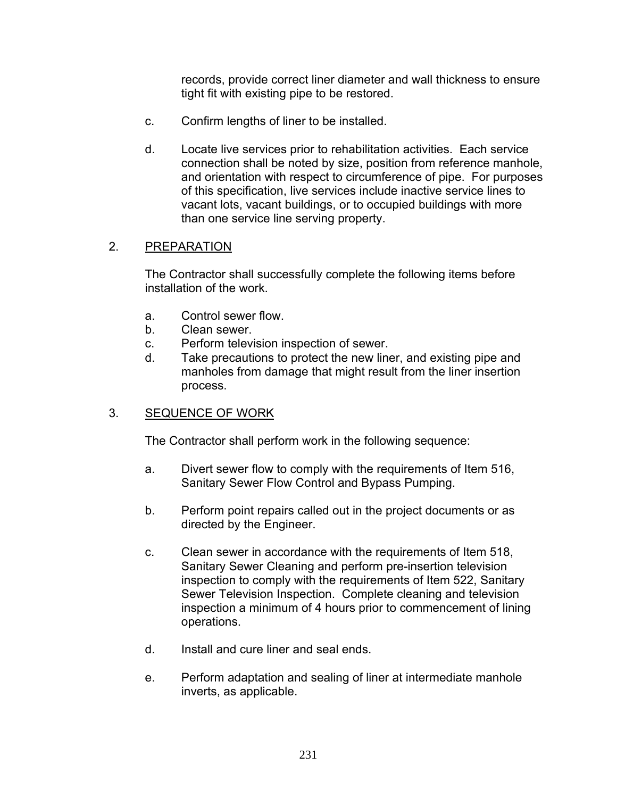records, provide correct liner diameter and wall thickness to ensure tight fit with existing pipe to be restored.

- c. Confirm lengths of liner to be installed.
- d. Locate live services prior to rehabilitation activities. Each service connection shall be noted by size, position from reference manhole, and orientation with respect to circumference of pipe. For purposes of this specification, live services include inactive service lines to vacant lots, vacant buildings, or to occupied buildings with more than one service line serving property.

#### 2. PREPARATION

The Contractor shall successfully complete the following items before installation of the work.

- a. Control sewer flow.
- b. Clean sewer.
- c. Perform television inspection of sewer.
- d. Take precautions to protect the new liner, and existing pipe and manholes from damage that might result from the liner insertion process.

#### 3. SEQUENCE OF WORK

The Contractor shall perform work in the following sequence:

- a. Divert sewer flow to comply with the requirements of Item 516, Sanitary Sewer Flow Control and Bypass Pumping.
- b. Perform point repairs called out in the project documents or as directed by the Engineer.
- c. Clean sewer in accordance with the requirements of Item 518, Sanitary Sewer Cleaning and perform pre-insertion television inspection to comply with the requirements of Item 522, Sanitary Sewer Television Inspection. Complete cleaning and television inspection a minimum of 4 hours prior to commencement of lining operations.
- d. Install and cure liner and seal ends.
- e. Perform adaptation and sealing of liner at intermediate manhole inverts, as applicable.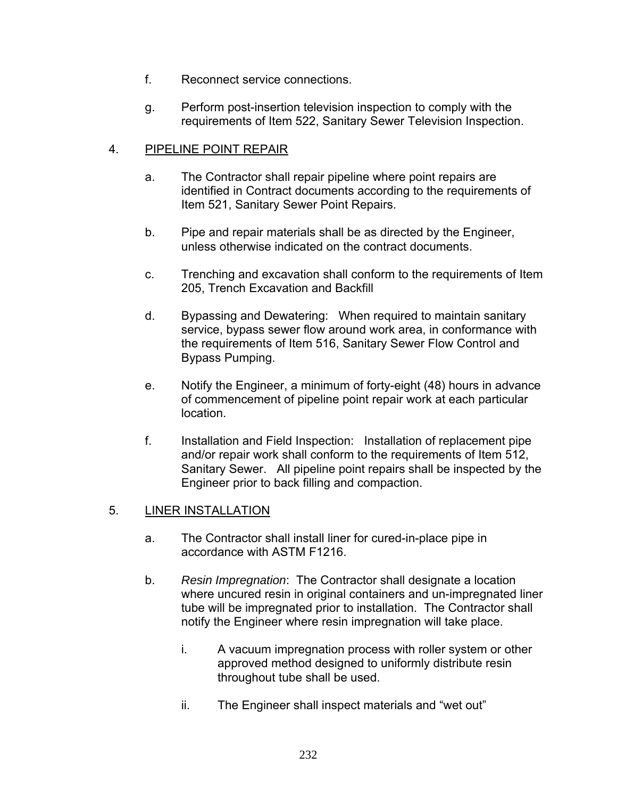- f. Reconnect service connections.
- g. Perform post-insertion television inspection to comply with the requirements of Item 522, Sanitary Sewer Television Inspection.

## 4. PIPELINE POINT REPAIR

- a. The Contractor shall repair pipeline where point repairs are identified in Contract documents according to the requirements of Item 521, Sanitary Sewer Point Repairs.
- b. Pipe and repair materials shall be as directed by the Engineer, unless otherwise indicated on the contract documents.
- c. Trenching and excavation shall conform to the requirements of Item 205, Trench Excavation and Backfill
- d. Bypassing and Dewatering: When required to maintain sanitary service, bypass sewer flow around work area, in conformance with the requirements of Item 516, Sanitary Sewer Flow Control and Bypass Pumping.
- e. Notify the Engineer, a minimum of forty-eight (48) hours in advance of commencement of pipeline point repair work at each particular location.
- f. Installation and Field Inspection: Installation of replacement pipe and/or repair work shall conform to the requirements of Item 512, Sanitary Sewer. All pipeline point repairs shall be inspected by the Engineer prior to back filling and compaction.

## 5. LINER INSTALLATION

- a. The Contractor shall install liner for cured-in-place pipe in accordance with ASTM F1216.
- b. *Resin Impregnation*: The Contractor shall designate a location where uncured resin in original containers and un-impregnated liner tube will be impregnated prior to installation. The Contractor shall notify the Engineer where resin impregnation will take place.
	- i. A vacuum impregnation process with roller system or other approved method designed to uniformly distribute resin throughout tube shall be used.
	- ii. The Engineer shall inspect materials and "wet out"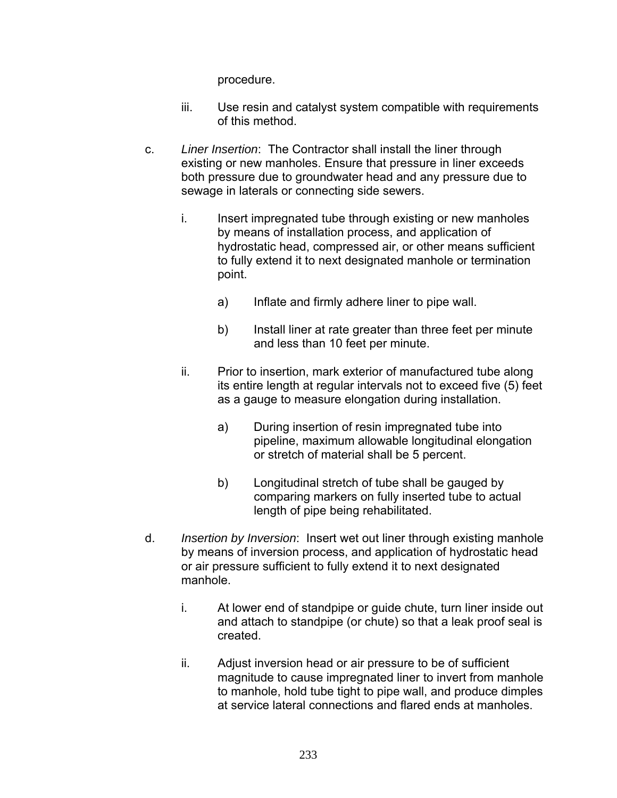procedure.

- iii. Use resin and catalyst system compatible with requirements of this method.
- c. *Liner Insertion*: The Contractor shall install the liner through existing or new manholes. Ensure that pressure in liner exceeds both pressure due to groundwater head and any pressure due to sewage in laterals or connecting side sewers.
	- i. Insert impregnated tube through existing or new manholes by means of installation process, and application of hydrostatic head, compressed air, or other means sufficient to fully extend it to next designated manhole or termination point.
		- a) Inflate and firmly adhere liner to pipe wall.
		- b) Install liner at rate greater than three feet per minute and less than 10 feet per minute.
	- ii. Prior to insertion, mark exterior of manufactured tube along its entire length at regular intervals not to exceed five (5) feet as a gauge to measure elongation during installation.
		- a) During insertion of resin impregnated tube into pipeline, maximum allowable longitudinal elongation or stretch of material shall be 5 percent.
		- b) Longitudinal stretch of tube shall be gauged by comparing markers on fully inserted tube to actual length of pipe being rehabilitated.
- d. *Insertion by Inversion*: Insert wet out liner through existing manhole by means of inversion process, and application of hydrostatic head or air pressure sufficient to fully extend it to next designated manhole.
	- i. At lower end of standpipe or guide chute, turn liner inside out and attach to standpipe (or chute) so that a leak proof seal is created.
	- ii. Adjust inversion head or air pressure to be of sufficient magnitude to cause impregnated liner to invert from manhole to manhole, hold tube tight to pipe wall, and produce dimples at service lateral connections and flared ends at manholes.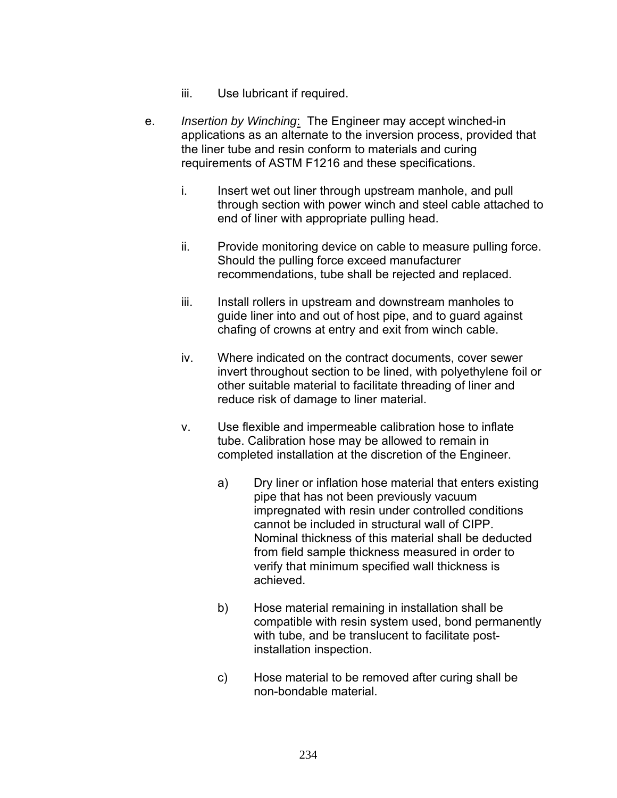- iii. Use lubricant if required.
- e. *Insertion by Winching*: The Engineer may accept winched-in applications as an alternate to the inversion process, provided that the liner tube and resin conform to materials and curing requirements of ASTM F1216 and these specifications.
	- i. Insert wet out liner through upstream manhole, and pull through section with power winch and steel cable attached to end of liner with appropriate pulling head.
	- ii. Provide monitoring device on cable to measure pulling force. Should the pulling force exceed manufacturer recommendations, tube shall be rejected and replaced.
	- iii. Install rollers in upstream and downstream manholes to guide liner into and out of host pipe, and to guard against chafing of crowns at entry and exit from winch cable.
	- iv. Where indicated on the contract documents, cover sewer invert throughout section to be lined, with polyethylene foil or other suitable material to facilitate threading of liner and reduce risk of damage to liner material.
	- v. Use flexible and impermeable calibration hose to inflate tube. Calibration hose may be allowed to remain in completed installation at the discretion of the Engineer.
		- a) Dry liner or inflation hose material that enters existing pipe that has not been previously vacuum impregnated with resin under controlled conditions cannot be included in structural wall of CIPP. Nominal thickness of this material shall be deducted from field sample thickness measured in order to verify that minimum specified wall thickness is achieved.
		- b) Hose material remaining in installation shall be compatible with resin system used, bond permanently with tube, and be translucent to facilitate postinstallation inspection.
		- c) Hose material to be removed after curing shall be non-bondable material.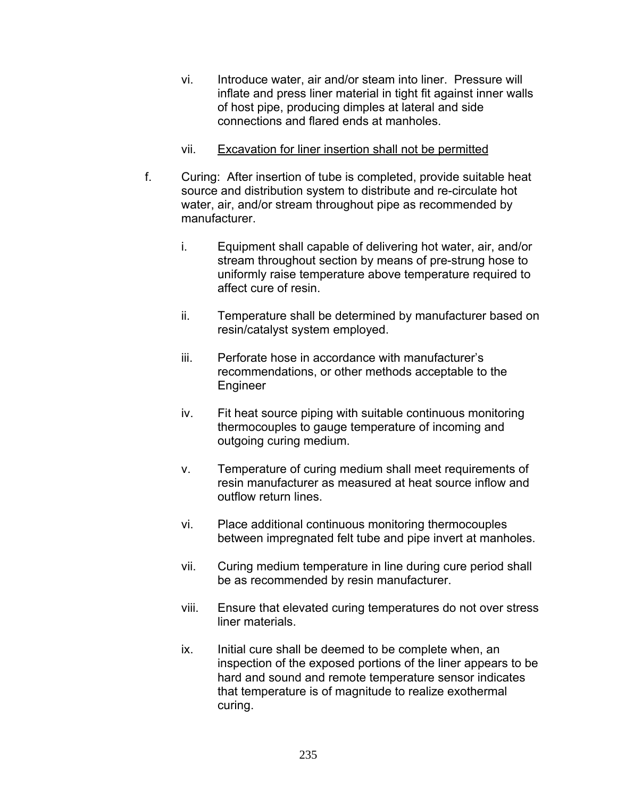- vi. Introduce water, air and/or steam into liner. Pressure will inflate and press liner material in tight fit against inner walls of host pipe, producing dimples at lateral and side connections and flared ends at manholes.
- vii. Excavation for liner insertion shall not be permitted
- f. Curing: After insertion of tube is completed, provide suitable heat source and distribution system to distribute and re-circulate hot water, air, and/or stream throughout pipe as recommended by manufacturer.
	- i. Equipment shall capable of delivering hot water, air, and/or stream throughout section by means of pre-strung hose to uniformly raise temperature above temperature required to affect cure of resin.
	- ii. Temperature shall be determined by manufacturer based on resin/catalyst system employed.
	- iii. Perforate hose in accordance with manufacturer's recommendations, or other methods acceptable to the Engineer
	- iv. Fit heat source piping with suitable continuous monitoring thermocouples to gauge temperature of incoming and outgoing curing medium.
	- v. Temperature of curing medium shall meet requirements of resin manufacturer as measured at heat source inflow and outflow return lines.
	- vi. Place additional continuous monitoring thermocouples between impregnated felt tube and pipe invert at manholes.
	- vii. Curing medium temperature in line during cure period shall be as recommended by resin manufacturer.
	- viii. Ensure that elevated curing temperatures do not over stress liner materials.
	- ix. Initial cure shall be deemed to be complete when, an inspection of the exposed portions of the liner appears to be hard and sound and remote temperature sensor indicates that temperature is of magnitude to realize exothermal curing.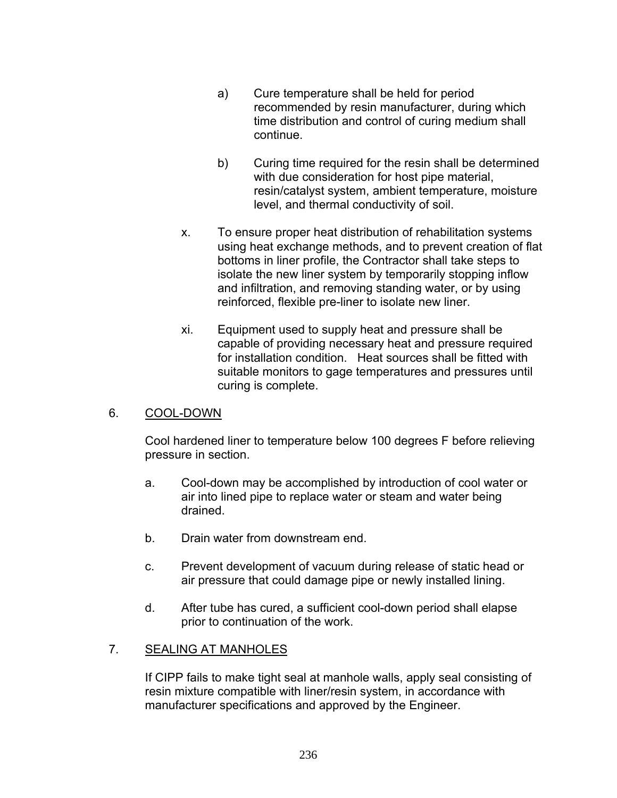- a) Cure temperature shall be held for period recommended by resin manufacturer, during which time distribution and control of curing medium shall continue.
- b) Curing time required for the resin shall be determined with due consideration for host pipe material, resin/catalyst system, ambient temperature, moisture level, and thermal conductivity of soil.
- x. To ensure proper heat distribution of rehabilitation systems using heat exchange methods, and to prevent creation of flat bottoms in liner profile, the Contractor shall take steps to isolate the new liner system by temporarily stopping inflow and infiltration, and removing standing water, or by using reinforced, flexible pre-liner to isolate new liner.
- xi. Equipment used to supply heat and pressure shall be capable of providing necessary heat and pressure required for installation condition. Heat sources shall be fitted with suitable monitors to gage temperatures and pressures until curing is complete.

#### 6. COOL-DOWN

 Cool hardened liner to temperature below 100 degrees F before relieving pressure in section.

- a. Cool-down may be accomplished by introduction of cool water or air into lined pipe to replace water or steam and water being drained.
- b. Drain water from downstream end.
- c. Prevent development of vacuum during release of static head or air pressure that could damage pipe or newly installed lining.
- d. After tube has cured, a sufficient cool-down period shall elapse prior to continuation of the work.

## 7. SEALING AT MANHOLES

If CIPP fails to make tight seal at manhole walls, apply seal consisting of resin mixture compatible with liner/resin system, in accordance with manufacturer specifications and approved by the Engineer.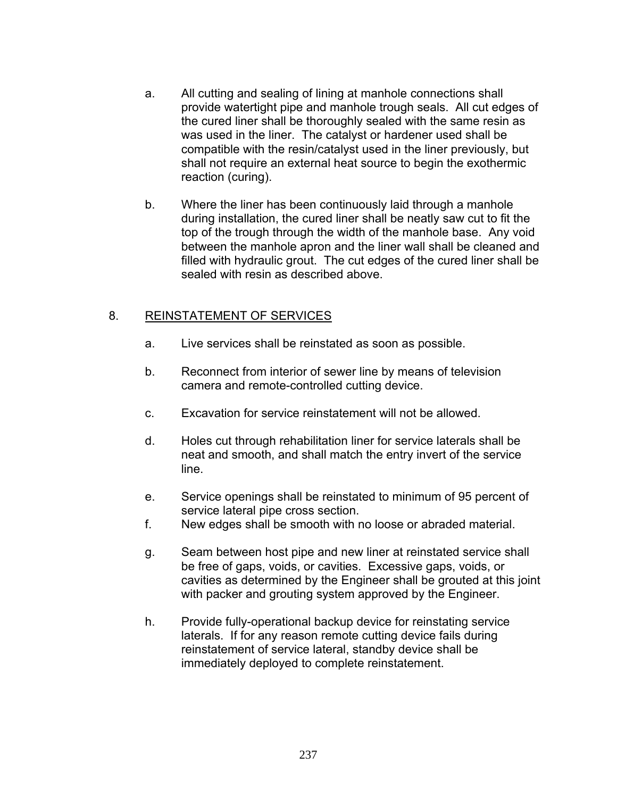- a. All cutting and sealing of lining at manhole connections shall provide watertight pipe and manhole trough seals. All cut edges of the cured liner shall be thoroughly sealed with the same resin as was used in the liner. The catalyst or hardener used shall be compatible with the resin/catalyst used in the liner previously, but shall not require an external heat source to begin the exothermic reaction (curing).
- b. Where the liner has been continuously laid through a manhole during installation, the cured liner shall be neatly saw cut to fit the top of the trough through the width of the manhole base. Any void between the manhole apron and the liner wall shall be cleaned and filled with hydraulic grout. The cut edges of the cured liner shall be sealed with resin as described above.

## 8. REINSTATEMENT OF SERVICES

- a. Live services shall be reinstated as soon as possible.
- b. Reconnect from interior of sewer line by means of television camera and remote-controlled cutting device.
- c. Excavation for service reinstatement will not be allowed.
- d. Holes cut through rehabilitation liner for service laterals shall be neat and smooth, and shall match the entry invert of the service line.
- e. Service openings shall be reinstated to minimum of 95 percent of service lateral pipe cross section.
- f. New edges shall be smooth with no loose or abraded material.
- g. Seam between host pipe and new liner at reinstated service shall be free of gaps, voids, or cavities. Excessive gaps, voids, or cavities as determined by the Engineer shall be grouted at this joint with packer and grouting system approved by the Engineer.
- h. Provide fully-operational backup device for reinstating service laterals. If for any reason remote cutting device fails during reinstatement of service lateral, standby device shall be immediately deployed to complete reinstatement.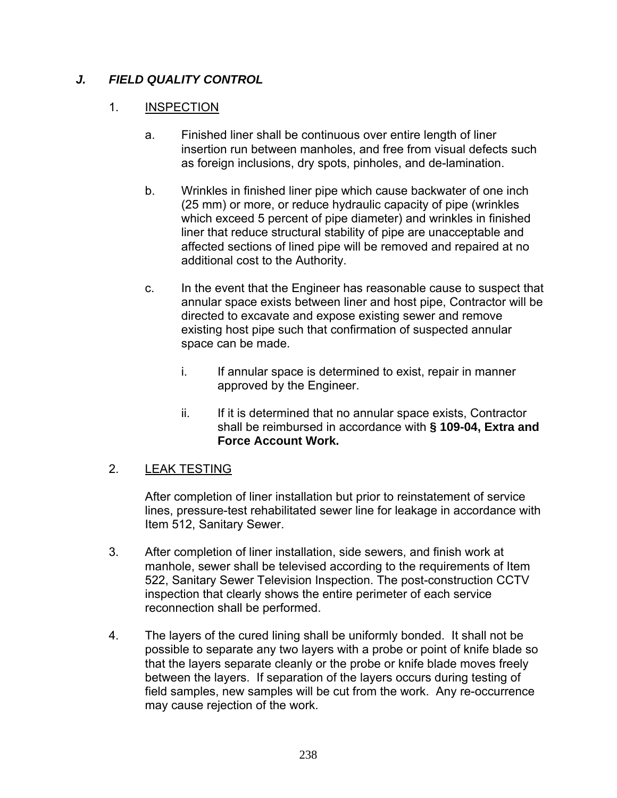# *J. FIELD QUALITY CONTROL*

## 1. INSPECTION

- a. Finished liner shall be continuous over entire length of liner insertion run between manholes, and free from visual defects such as foreign inclusions, dry spots, pinholes, and de-lamination.
- b. Wrinkles in finished liner pipe which cause backwater of one inch (25 mm) or more, or reduce hydraulic capacity of pipe (wrinkles which exceed 5 percent of pipe diameter) and wrinkles in finished liner that reduce structural stability of pipe are unacceptable and affected sections of lined pipe will be removed and repaired at no additional cost to the Authority.
- c. In the event that the Engineer has reasonable cause to suspect that annular space exists between liner and host pipe, Contractor will be directed to excavate and expose existing sewer and remove existing host pipe such that confirmation of suspected annular space can be made.
	- i. If annular space is determined to exist, repair in manner approved by the Engineer.
	- ii. If it is determined that no annular space exists, Contractor shall be reimbursed in accordance with **§ 109-04, Extra and Force Account Work.**

## 2. LEAK TESTING

After completion of liner installation but prior to reinstatement of service lines, pressure-test rehabilitated sewer line for leakage in accordance with Item 512, Sanitary Sewer.

- 3. After completion of liner installation, side sewers, and finish work at manhole, sewer shall be televised according to the requirements of Item 522, Sanitary Sewer Television Inspection. The post-construction CCTV inspection that clearly shows the entire perimeter of each service reconnection shall be performed.
- 4. The layers of the cured lining shall be uniformly bonded. It shall not be possible to separate any two layers with a probe or point of knife blade so that the layers separate cleanly or the probe or knife blade moves freely between the layers. If separation of the layers occurs during testing of field samples, new samples will be cut from the work. Any re-occurrence may cause rejection of the work.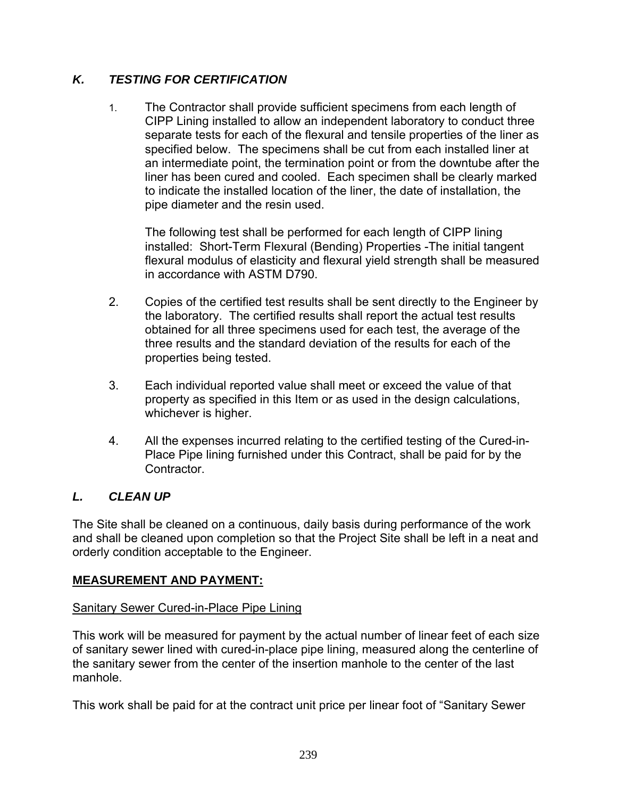# *K. TESTING FOR CERTIFICATION*

1. The Contractor shall provide sufficient specimens from each length of CIPP Lining installed to allow an independent laboratory to conduct three separate tests for each of the flexural and tensile properties of the liner as specified below. The specimens shall be cut from each installed liner at an intermediate point, the termination point or from the downtube after the liner has been cured and cooled. Each specimen shall be clearly marked to indicate the installed location of the liner, the date of installation, the pipe diameter and the resin used.

 The following test shall be performed for each length of CIPP lining installed: Short-Term Flexural (Bending) Properties -The initial tangent flexural modulus of elasticity and flexural yield strength shall be measured in accordance with ASTM D790.

- 2. Copies of the certified test results shall be sent directly to the Engineer by the laboratory. The certified results shall report the actual test results obtained for all three specimens used for each test, the average of the three results and the standard deviation of the results for each of the properties being tested.
- 3. Each individual reported value shall meet or exceed the value of that property as specified in this Item or as used in the design calculations, whichever is higher.
- 4. All the expenses incurred relating to the certified testing of the Cured-in-Place Pipe lining furnished under this Contract, shall be paid for by the **Contractor**

# *L. CLEAN UP*

The Site shall be cleaned on a continuous, daily basis during performance of the work and shall be cleaned upon completion so that the Project Site shall be left in a neat and orderly condition acceptable to the Engineer.

## **MEASUREMENT AND PAYMENT:**

## Sanitary Sewer Cured-in-Place Pipe Lining

This work will be measured for payment by the actual number of linear feet of each size of sanitary sewer lined with cured-in-place pipe lining, measured along the centerline of the sanitary sewer from the center of the insertion manhole to the center of the last manhole.

This work shall be paid for at the contract unit price per linear foot of "Sanitary Sewer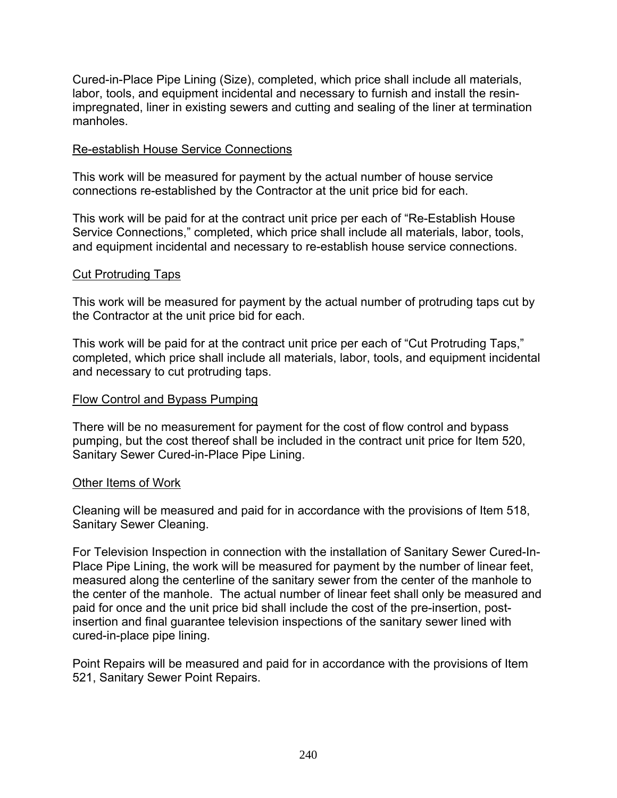Cured-in-Place Pipe Lining (Size), completed, which price shall include all materials, labor, tools, and equipment incidental and necessary to furnish and install the resinimpregnated, liner in existing sewers and cutting and sealing of the liner at termination manholes.

#### Re-establish House Service Connections

This work will be measured for payment by the actual number of house service connections re-established by the Contractor at the unit price bid for each.

This work will be paid for at the contract unit price per each of "Re-Establish House Service Connections," completed, which price shall include all materials, labor, tools, and equipment incidental and necessary to re-establish house service connections.

#### Cut Protruding Taps

This work will be measured for payment by the actual number of protruding taps cut by the Contractor at the unit price bid for each.

This work will be paid for at the contract unit price per each of "Cut Protruding Taps," completed, which price shall include all materials, labor, tools, and equipment incidental and necessary to cut protruding taps.

#### Flow Control and Bypass Pumping

There will be no measurement for payment for the cost of flow control and bypass pumping, but the cost thereof shall be included in the contract unit price for Item 520, Sanitary Sewer Cured-in-Place Pipe Lining.

#### Other Items of Work

Cleaning will be measured and paid for in accordance with the provisions of Item 518, Sanitary Sewer Cleaning.

For Television Inspection in connection with the installation of Sanitary Sewer Cured-In-Place Pipe Lining, the work will be measured for payment by the number of linear feet, measured along the centerline of the sanitary sewer from the center of the manhole to the center of the manhole. The actual number of linear feet shall only be measured and paid for once and the unit price bid shall include the cost of the pre-insertion, postinsertion and final guarantee television inspections of the sanitary sewer lined with cured-in-place pipe lining.

Point Repairs will be measured and paid for in accordance with the provisions of Item 521, Sanitary Sewer Point Repairs.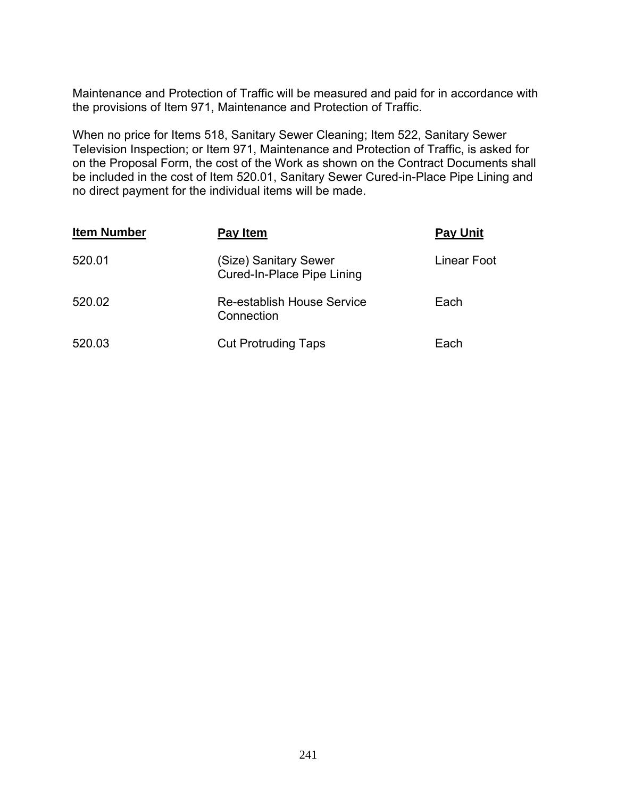Maintenance and Protection of Traffic will be measured and paid for in accordance with the provisions of Item 971, Maintenance and Protection of Traffic.

When no price for Items 518, Sanitary Sewer Cleaning; Item 522, Sanitary Sewer Television Inspection; or Item 971, Maintenance and Protection of Traffic, is asked for on the Proposal Form, the cost of the Work as shown on the Contract Documents shall be included in the cost of Item 520.01, Sanitary Sewer Cured-in-Place Pipe Lining and no direct payment for the individual items will be made.

| <b>Item Number</b> | Pay Item                                            | <b>Pay Unit</b> |
|--------------------|-----------------------------------------------------|-----------------|
| 520.01             | (Size) Sanitary Sewer<br>Cured-In-Place Pipe Lining | Linear Foot     |
| 520.02             | Re-establish House Service<br>Connection            | Each            |
| 520.03             | <b>Cut Protruding Taps</b>                          | Each            |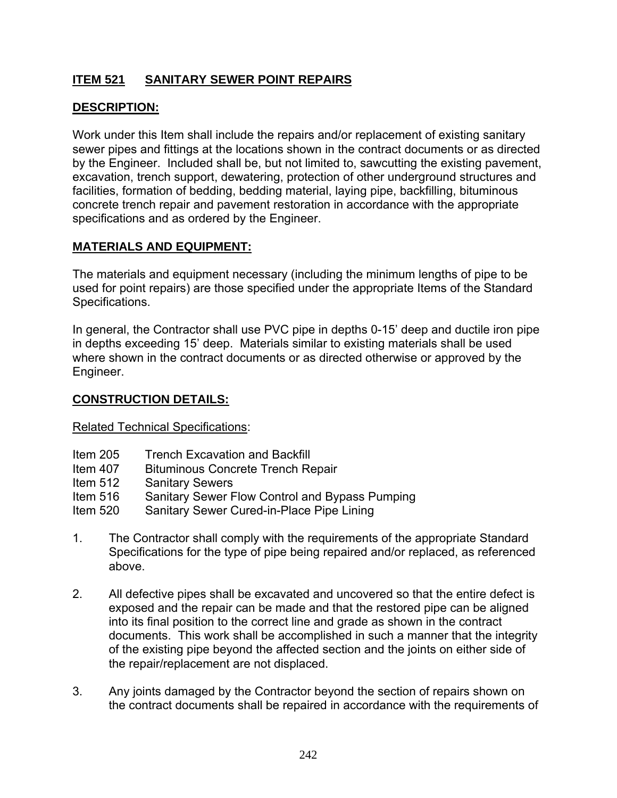## **ITEM 521 SANITARY SEWER POINT REPAIRS**

## **DESCRIPTION:**

Work under this Item shall include the repairs and/or replacement of existing sanitary sewer pipes and fittings at the locations shown in the contract documents or as directed by the Engineer. Included shall be, but not limited to, sawcutting the existing pavement, excavation, trench support, dewatering, protection of other underground structures and facilities, formation of bedding, bedding material, laying pipe, backfilling, bituminous concrete trench repair and pavement restoration in accordance with the appropriate specifications and as ordered by the Engineer.

#### **MATERIALS AND EQUIPMENT:**

The materials and equipment necessary (including the minimum lengths of pipe to be used for point repairs) are those specified under the appropriate Items of the Standard Specifications.

In general, the Contractor shall use PVC pipe in depths 0-15' deep and ductile iron pipe in depths exceeding 15' deep. Materials similar to existing materials shall be used where shown in the contract documents or as directed otherwise or approved by the Engineer.

#### **CONSTRUCTION DETAILS:**

Related Technical Specifications:

- Item 205 Trench Excavation and Backfill
- Item 407 Bituminous Concrete Trench Repair
- Item 512 Sanitary Sewers
- Item 516 Sanitary Sewer Flow Control and Bypass Pumping
- Item 520 Sanitary Sewer Cured-in-Place Pipe Lining
- 1. The Contractor shall comply with the requirements of the appropriate Standard Specifications for the type of pipe being repaired and/or replaced, as referenced above.
- 2. All defective pipes shall be excavated and uncovered so that the entire defect is exposed and the repair can be made and that the restored pipe can be aligned into its final position to the correct line and grade as shown in the contract documents. This work shall be accomplished in such a manner that the integrity of the existing pipe beyond the affected section and the joints on either side of the repair/replacement are not displaced.
- 3. Any joints damaged by the Contractor beyond the section of repairs shown on the contract documents shall be repaired in accordance with the requirements of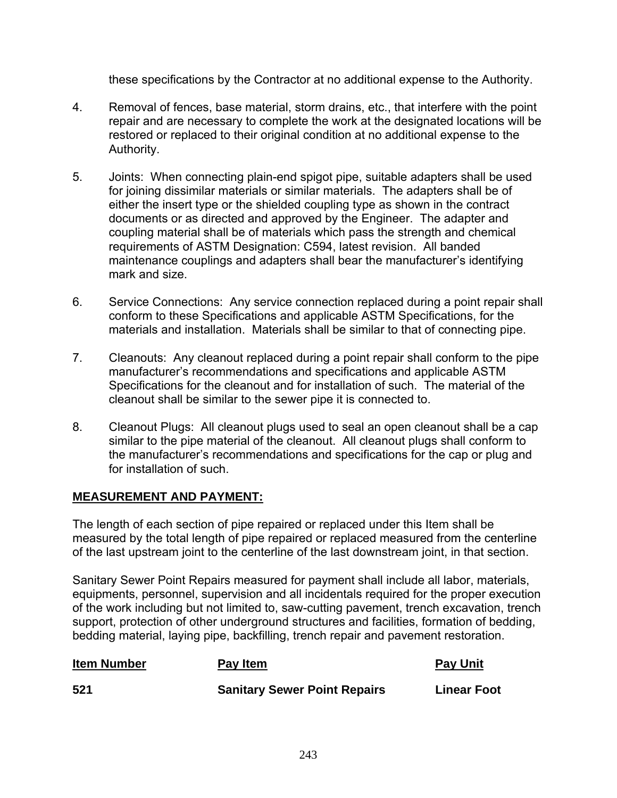these specifications by the Contractor at no additional expense to the Authority.

- 4. Removal of fences, base material, storm drains, etc., that interfere with the point repair and are necessary to complete the work at the designated locations will be restored or replaced to their original condition at no additional expense to the Authority.
- 5. Joints: When connecting plain-end spigot pipe, suitable adapters shall be used for joining dissimilar materials or similar materials. The adapters shall be of either the insert type or the shielded coupling type as shown in the contract documents or as directed and approved by the Engineer. The adapter and coupling material shall be of materials which pass the strength and chemical requirements of ASTM Designation: C594, latest revision. All banded maintenance couplings and adapters shall bear the manufacturer's identifying mark and size.
- 6. Service Connections: Any service connection replaced during a point repair shall conform to these Specifications and applicable ASTM Specifications, for the materials and installation. Materials shall be similar to that of connecting pipe.
- 7. Cleanouts: Any cleanout replaced during a point repair shall conform to the pipe manufacturer's recommendations and specifications and applicable ASTM Specifications for the cleanout and for installation of such. The material of the cleanout shall be similar to the sewer pipe it is connected to.
- 8. Cleanout Plugs: All cleanout plugs used to seal an open cleanout shall be a cap similar to the pipe material of the cleanout. All cleanout plugs shall conform to the manufacturer's recommendations and specifications for the cap or plug and for installation of such.

## **MEASUREMENT AND PAYMENT:**

The length of each section of pipe repaired or replaced under this Item shall be measured by the total length of pipe repaired or replaced measured from the centerline of the last upstream joint to the centerline of the last downstream joint, in that section.

Sanitary Sewer Point Repairs measured for payment shall include all labor, materials, equipments, personnel, supervision and all incidentals required for the proper execution of the work including but not limited to, saw-cutting pavement, trench excavation, trench support, protection of other underground structures and facilities, formation of bedding, bedding material, laying pipe, backfilling, trench repair and pavement restoration.

| <b>Item Number</b> | Pay Item                            | <b>Pay Unit</b>    |
|--------------------|-------------------------------------|--------------------|
| 521                | <b>Sanitary Sewer Point Repairs</b> | <b>Linear Foot</b> |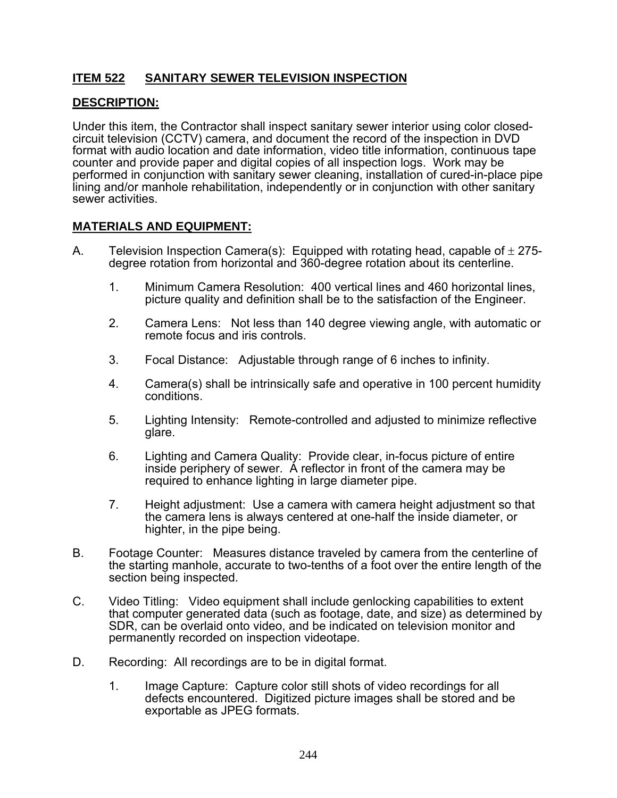## **ITEM 522 SANITARY SEWER TELEVISION INSPECTION**

#### **DESCRIPTION:**

Under this item, the Contractor shall inspect sanitary sewer interior using color closedcircuit television (CCTV) camera, and document the record of the inspection in DVD format with audio location and date information, video title information, continuous tape counter and provide paper and digital copies of all inspection logs. Work may be performed in conjunction with sanitary sewer cleaning, installation of cured-in-place pipe lining and/or manhole rehabilitation, independently or in conjunction with other sanitary sewer activities.

### **MATERIALS AND EQUIPMENT:**

- A. Television Inspection Camera(s): Equipped with rotating head, capable of  $\pm$  275degree rotation from horizontal and 360-degree rotation about its centerline.
	- 1. Minimum Camera Resolution: 400 vertical lines and 460 horizontal lines, picture quality and definition shall be to the satisfaction of the Engineer.
	- 2. Camera Lens: Not less than 140 degree viewing angle, with automatic or remote focus and iris controls.
	- 3. Focal Distance: Adjustable through range of 6 inches to infinity.
	- 4. Camera(s) shall be intrinsically safe and operative in 100 percent humidity conditions.
	- 5. Lighting Intensity: Remote-controlled and adjusted to minimize reflective glare.
	- 6. Lighting and Camera Quality: Provide clear, in-focus picture of entire inside periphery of sewer. A reflector in front of the camera may be required to enhance lighting in large diameter pipe.
	- 7. Height adjustment: Use a camera with camera height adjustment so that the camera lens is always centered at one-half the inside diameter, or highter, in the pipe being.
- B. Footage Counter: Measures distance traveled by camera from the centerline of the starting manhole, accurate to two-tenths of a foot over the entire length of the section being inspected.
- C. Video Titling: Video equipment shall include genlocking capabilities to extent that computer generated data (such as footage, date, and size) as determined by SDR, can be overlaid onto video, and be indicated on television monitor and permanently recorded on inspection videotape.
- D. Recording: All recordings are to be in digital format.
	- 1. Image Capture: Capture color still shots of video recordings for all defects encountered. Digitized picture images shall be stored and be exportable as JPEG formats.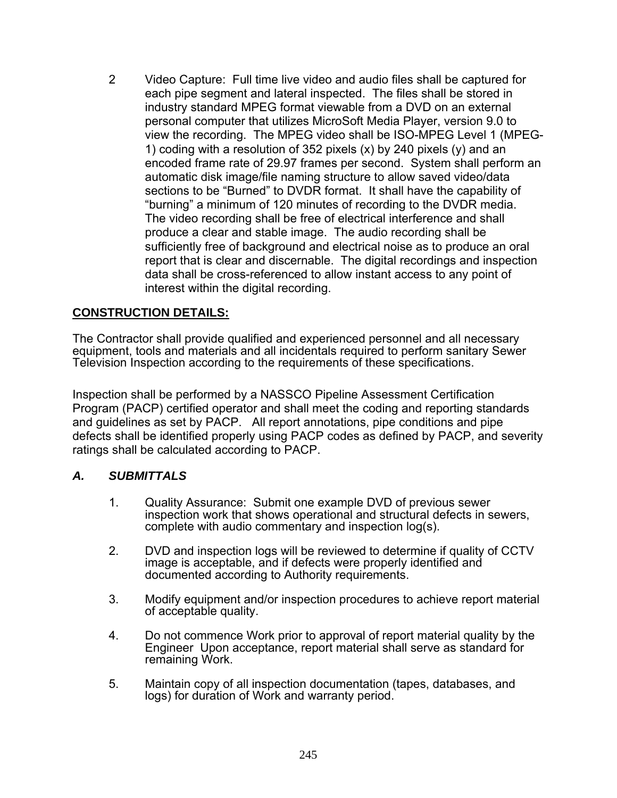2 Video Capture: Full time live video and audio files shall be captured for each pipe segment and lateral inspected. The files shall be stored in industry standard MPEG format viewable from a DVD on an external personal computer that utilizes MicroSoft Media Player, version 9.0 to view the recording. The MPEG video shall be ISO-MPEG Level 1 (MPEG-1) coding with a resolution of 352 pixels (x) by 240 pixels (y) and an encoded frame rate of 29.97 frames per second. System shall perform an automatic disk image/file naming structure to allow saved video/data sections to be "Burned" to DVDR format. It shall have the capability of "burning" a minimum of 120 minutes of recording to the DVDR media. The video recording shall be free of electrical interference and shall produce a clear and stable image. The audio recording shall be sufficiently free of background and electrical noise as to produce an oral report that is clear and discernable. The digital recordings and inspection data shall be cross-referenced to allow instant access to any point of interest within the digital recording.

## **CONSTRUCTION DETAILS:**

The Contractor shall provide qualified and experienced personnel and all necessary equipment, tools and materials and all incidentals required to perform sanitary Sewer Television Inspection according to the requirements of these specifications.

Inspection shall be performed by a NASSCO Pipeline Assessment Certification Program (PACP) certified operator and shall meet the coding and reporting standards and guidelines as set by PACP. All report annotations, pipe conditions and pipe defects shall be identified properly using PACP codes as defined by PACP, and severity ratings shall be calculated according to PACP.

#### *A. SUBMITTALS*

- 1. Quality Assurance: Submit one example DVD of previous sewer inspection work that shows operational and structural defects in sewers, complete with audio commentary and inspection log(s).
- 2. DVD and inspection logs will be reviewed to determine if quality of CCTV image is acceptable, and if defects were properly identified and documented according to Authority requirements.
- 3. Modify equipment and/or inspection procedures to achieve report material of acceptable quality.
- 4. Do not commence Work prior to approval of report material quality by the Engineer Upon acceptance, report material shall serve as standard for remaining Work.
- 5. Maintain copy of all inspection documentation (tapes, databases, and logs) for duration of Work and warranty period.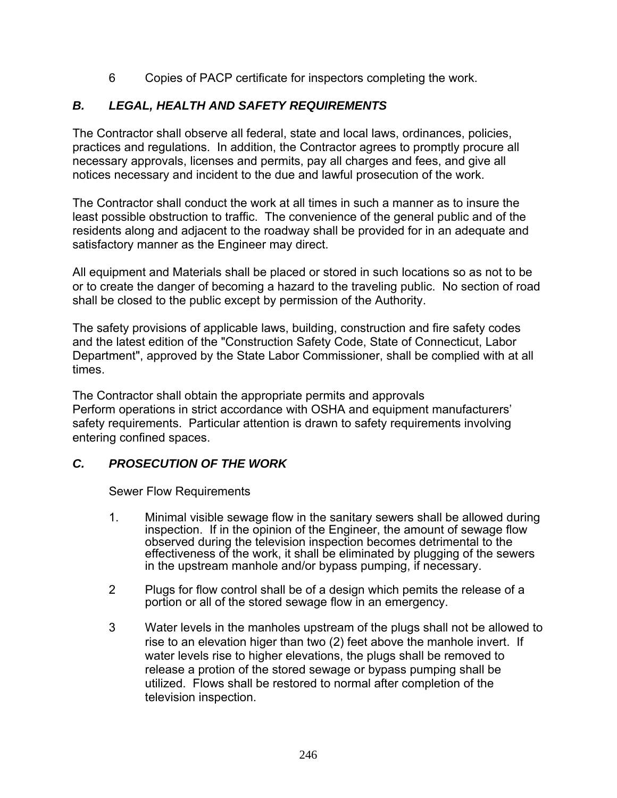6 Copies of PACP certificate for inspectors completing the work.

# *B. LEGAL, HEALTH AND SAFETY REQUIREMENTS*

The Contractor shall observe all federal, state and local laws, ordinances, policies, practices and regulations. In addition, the Contractor agrees to promptly procure all necessary approvals, licenses and permits, pay all charges and fees, and give all notices necessary and incident to the due and lawful prosecution of the work.

The Contractor shall conduct the work at all times in such a manner as to insure the least possible obstruction to traffic. The convenience of the general public and of the residents along and adjacent to the roadway shall be provided for in an adequate and satisfactory manner as the Engineer may direct.

All equipment and Materials shall be placed or stored in such locations so as not to be or to create the danger of becoming a hazard to the traveling public. No section of road shall be closed to the public except by permission of the Authority.

The safety provisions of applicable laws, building, construction and fire safety codes and the latest edition of the "Construction Safety Code, State of Connecticut, Labor Department", approved by the State Labor Commissioner, shall be complied with at all times.

The Contractor shall obtain the appropriate permits and approvals Perform operations in strict accordance with OSHA and equipment manufacturers' safety requirements. Particular attention is drawn to safety requirements involving entering confined spaces.

## *C. PROSECUTION OF THE WORK*

Sewer Flow Requirements

- 1. Minimal visible sewage flow in the sanitary sewers shall be allowed during inspection. If in the opinion of the Engineer, the amount of sewage flow observed during the television inspection becomes detrimental to the effectiveness of the work, it shall be eliminated by plugging of the sewers in the upstream manhole and/or bypass pumping, if necessary.
- 2 Plugs for flow control shall be of a design which pemits the release of a portion or all of the stored sewage flow in an emergency.
- 3 Water levels in the manholes upstream of the plugs shall not be allowed to rise to an elevation higer than two (2) feet above the manhole invert. If water levels rise to higher elevations, the plugs shall be removed to release a protion of the stored sewage or bypass pumping shall be utilized. Flows shall be restored to normal after completion of the television inspection.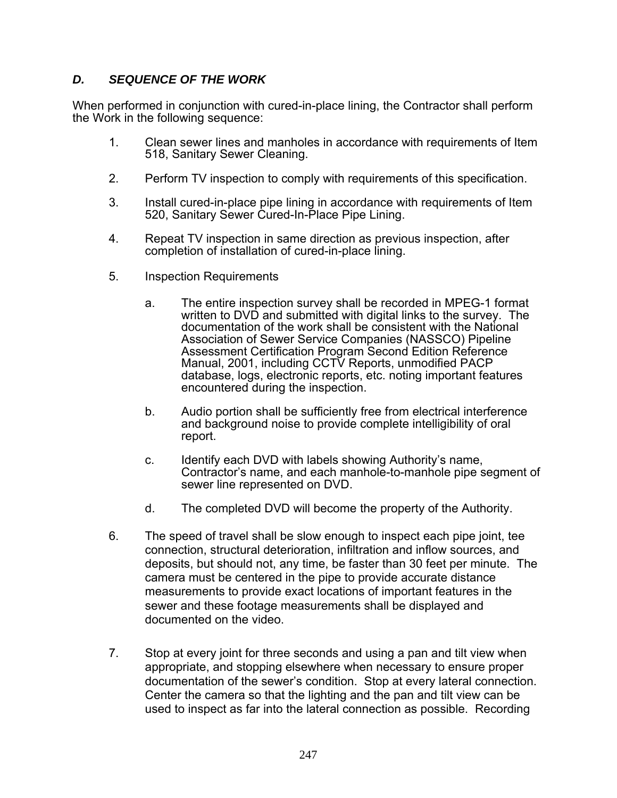## *D. SEQUENCE OF THE WORK*

When performed in conjunction with cured-in-place lining, the Contractor shall perform the Work in the following sequence:

- 1. Clean sewer lines and manholes in accordance with requirements of Item 518, Sanitary Sewer Cleaning.
- 2. Perform TV inspection to comply with requirements of this specification.
- 3. Install cured-in-place pipe lining in accordance with requirements of Item 520, Sanitary Sewer Cured-In-Place Pipe Lining.
- 4. Repeat TV inspection in same direction as previous inspection, after completion of installation of cured-in-place lining.
- 5. Inspection Requirements
	- a. The entire inspection survey shall be recorded in MPEG-1 format written to DVD and submitted with digital links to the survey. The documentation of the work shall be consistent with the National Association of Sewer Service Companies (NASSCO) Pipeline Assessment Certification Program Second Edition Reference Manual, 2001, including CCTV Reports, unmodified PACP database, logs, electronic reports, etc. noting important features encountered during the inspection.
	- b. Audio portion shall be sufficiently free from electrical interference and background noise to provide complete intelligibility of oral report.
	- c. Identify each DVD with labels showing Authority's name, Contractor's name, and each manhole-to-manhole pipe segment of sewer line represented on DVD.
	- d. The completed DVD will become the property of the Authority.
- 6. The speed of travel shall be slow enough to inspect each pipe joint, tee connection, structural deterioration, infiltration and inflow sources, and deposits, but should not, any time, be faster than 30 feet per minute. The camera must be centered in the pipe to provide accurate distance measurements to provide exact locations of important features in the sewer and these footage measurements shall be displayed and documented on the video.
- 7. Stop at every joint for three seconds and using a pan and tilt view when appropriate, and stopping elsewhere when necessary to ensure proper documentation of the sewer's condition. Stop at every lateral connection. Center the camera so that the lighting and the pan and tilt view can be used to inspect as far into the lateral connection as possible. Recording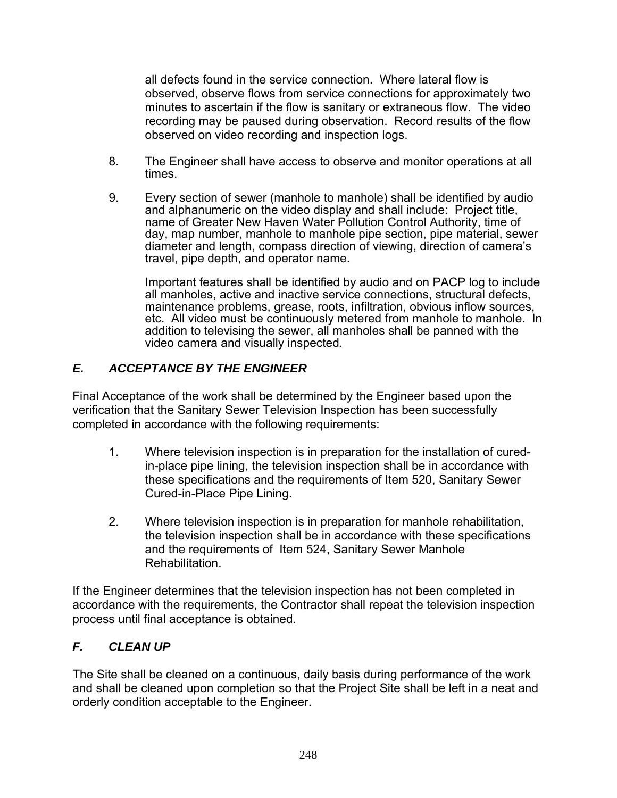all defects found in the service connection. Where lateral flow is observed, observe flows from service connections for approximately two minutes to ascertain if the flow is sanitary or extraneous flow. The video recording may be paused during observation. Record results of the flow observed on video recording and inspection logs.

- 8. The Engineer shall have access to observe and monitor operations at all times.
- 9. Every section of sewer (manhole to manhole) shall be identified by audio and alphanumeric on the video display and shall include: Project title, name of Greater New Haven Water Pollution Control Authority, time of day, map number, manhole to manhole pipe section, pipe material, sewer diameter and length, compass direction of viewing, direction of camera's travel, pipe depth, and operator name.

 Important features shall be identified by audio and on PACP log to include all manholes, active and inactive service connections, structural defects, maintenance problems, grease, roots, infiltration, obvious inflow sources, etc. All video must be continuously metered from manhole to manhole. In addition to televising the sewer, all manholes shall be panned with the video camera and visually inspected.

## *E. ACCEPTANCE BY THE ENGINEER*

Final Acceptance of the work shall be determined by the Engineer based upon the verification that the Sanitary Sewer Television Inspection has been successfully completed in accordance with the following requirements:

- 1. Where television inspection is in preparation for the installation of curedin-place pipe lining, the television inspection shall be in accordance with these specifications and the requirements of Item 520, Sanitary Sewer Cured-in-Place Pipe Lining.
- 2. Where television inspection is in preparation for manhole rehabilitation, the television inspection shall be in accordance with these specifications and the requirements of Item 524, Sanitary Sewer Manhole Rehabilitation.

If the Engineer determines that the television inspection has not been completed in accordance with the requirements, the Contractor shall repeat the television inspection process until final acceptance is obtained.

# *F. CLEAN UP*

The Site shall be cleaned on a continuous, daily basis during performance of the work and shall be cleaned upon completion so that the Project Site shall be left in a neat and orderly condition acceptable to the Engineer.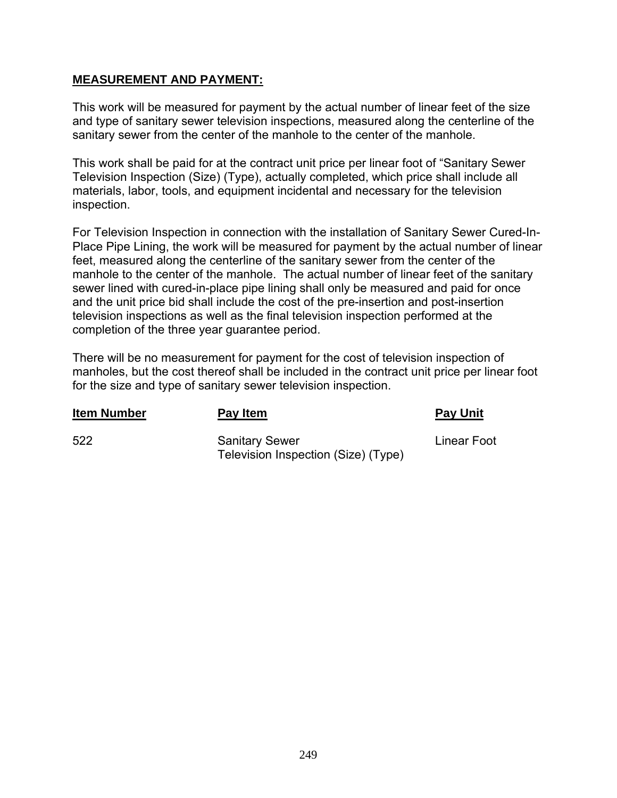#### **MEASUREMENT AND PAYMENT:**

This work will be measured for payment by the actual number of linear feet of the size and type of sanitary sewer television inspections, measured along the centerline of the sanitary sewer from the center of the manhole to the center of the manhole.

This work shall be paid for at the contract unit price per linear foot of "Sanitary Sewer Television Inspection (Size) (Type), actually completed, which price shall include all materials, labor, tools, and equipment incidental and necessary for the television inspection.

For Television Inspection in connection with the installation of Sanitary Sewer Cured-In-Place Pipe Lining, the work will be measured for payment by the actual number of linear feet, measured along the centerline of the sanitary sewer from the center of the manhole to the center of the manhole. The actual number of linear feet of the sanitary sewer lined with cured-in-place pipe lining shall only be measured and paid for once and the unit price bid shall include the cost of the pre-insertion and post-insertion television inspections as well as the final television inspection performed at the completion of the three year guarantee period.

There will be no measurement for payment for the cost of television inspection of manholes, but the cost thereof shall be included in the contract unit price per linear foot for the size and type of sanitary sewer television inspection.

| <b>Item Number</b> | Pay Item                                                     | <b>Pay Unit</b> |
|--------------------|--------------------------------------------------------------|-----------------|
| 522                | <b>Sanitary Sewer</b><br>Television Inspection (Size) (Type) | Linear Foot     |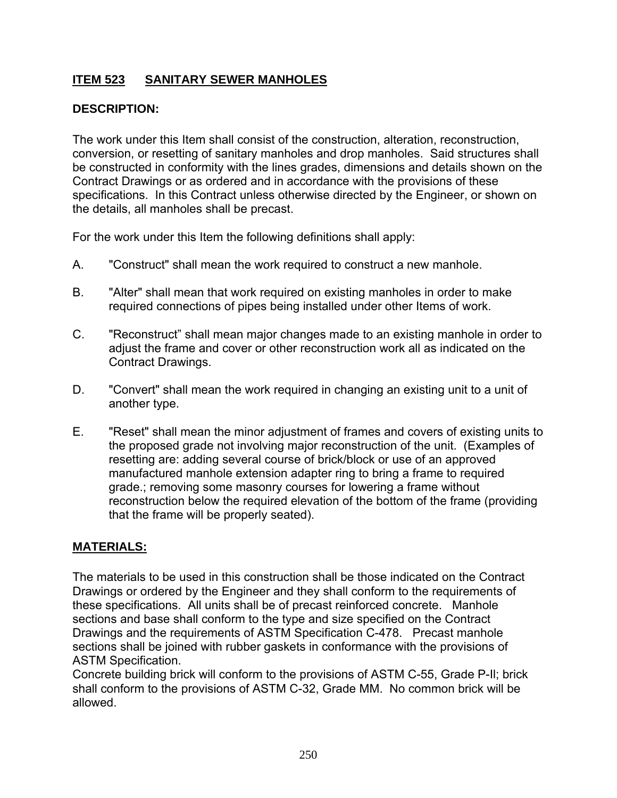# **ITEM 523 SANITARY SEWER MANHOLES**

## **DESCRIPTION:**

The work under this Item shall consist of the construction, alteration, reconstruction, conversion, or resetting of sanitary manholes and drop manholes. Said structures shall be constructed in conformity with the lines grades, dimensions and details shown on the Contract Drawings or as ordered and in accordance with the provisions of these specifications. In this Contract unless otherwise directed by the Engineer, or shown on the details, all manholes shall be precast.

For the work under this Item the following definitions shall apply:

- A. "Construct" shall mean the work required to construct a new manhole.
- B. "Alter" shall mean that work required on existing manholes in order to make required connections of pipes being installed under other Items of work.
- C. "Reconstruct" shall mean major changes made to an existing manhole in order to adjust the frame and cover or other reconstruction work all as indicated on the Contract Drawings.
- D. "Convert" shall mean the work required in changing an existing unit to a unit of another type.
- E. "Reset" shall mean the minor adjustment of frames and covers of existing units to the proposed grade not involving major reconstruction of the unit. (Examples of resetting are: adding several course of brick/block or use of an approved manufactured manhole extension adapter ring to bring a frame to required grade.; removing some masonry courses for lowering a frame without reconstruction below the required elevation of the bottom of the frame (providing that the frame will be properly seated).

## **MATERIALS:**

The materials to be used in this construction shall be those indicated on the Contract Drawings or ordered by the Engineer and they shall conform to the requirements of these specifications. All units shall be of precast reinforced concrete. Manhole sections and base shall conform to the type and size specified on the Contract Drawings and the requirements of ASTM Specification C-478. Precast manhole sections shall be joined with rubber gaskets in conformance with the provisions of ASTM Specification.

Concrete building brick will conform to the provisions of ASTM C-55, Grade P-Il; brick shall conform to the provisions of ASTM C-32, Grade MM. No common brick will be allowed.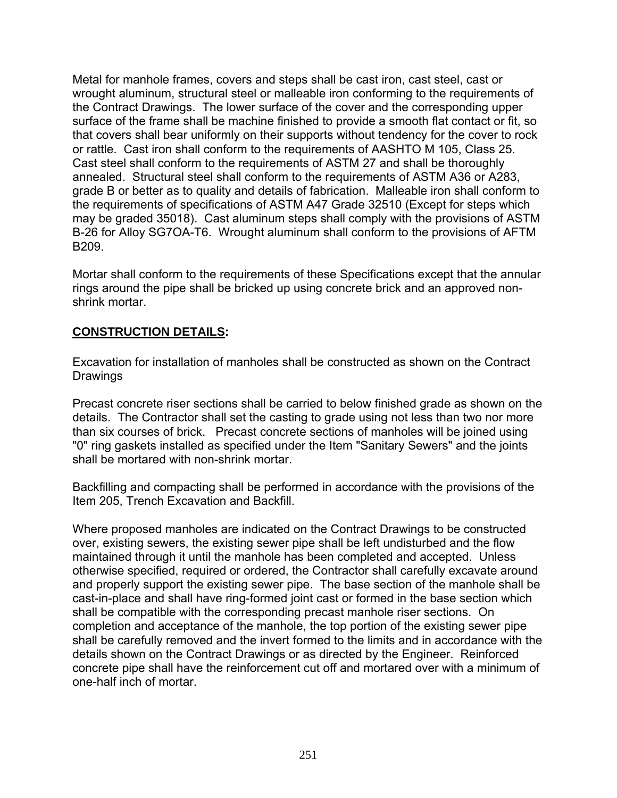Metal for manhole frames, covers and steps shall be cast iron, cast steel, cast or wrought aluminum, structural steel or malleable iron conforming to the requirements of the Contract Drawings. The lower surface of the cover and the corresponding upper surface of the frame shall be machine finished to provide a smooth flat contact or fit, so that covers shall bear uniformly on their supports without tendency for the cover to rock or rattle. Cast iron shall conform to the requirements of AASHTO M 105, Class 25. Cast steel shall conform to the requirements of ASTM 27 and shall be thoroughly annealed. Structural steel shall conform to the requirements of ASTM A36 or A283, grade B or better as to quality and details of fabrication. Malleable iron shall conform to the requirements of specifications of ASTM A47 Grade 32510 (Except for steps which may be graded 35018). Cast aluminum steps shall comply with the provisions of ASTM B-26 for Alloy SG7OA-T6. Wrought aluminum shall conform to the provisions of AFTM B209.

Mortar shall conform to the requirements of these Specifications except that the annular rings around the pipe shall be bricked up using concrete brick and an approved nonshrink mortar.

## **CONSTRUCTION DETAILS:**

Excavation for installation of manholes shall be constructed as shown on the Contract **Drawings** 

Precast concrete riser sections shall be carried to below finished grade as shown on the details. The Contractor shall set the casting to grade using not less than two nor more than six courses of brick. Precast concrete sections of manholes will be joined using "0" ring gaskets installed as specified under the Item "Sanitary Sewers" and the joints shall be mortared with non-shrink mortar.

Backfilling and compacting shall be performed in accordance with the provisions of the Item 205, Trench Excavation and Backfill.

Where proposed manholes are indicated on the Contract Drawings to be constructed over, existing sewers, the existing sewer pipe shall be left undisturbed and the flow maintained through it until the manhole has been completed and accepted. Unless otherwise specified, required or ordered, the Contractor shall carefully excavate around and properly support the existing sewer pipe. The base section of the manhole shall be cast-in-place and shall have ring-formed joint cast or formed in the base section which shall be compatible with the corresponding precast manhole riser sections. On completion and acceptance of the manhole, the top portion of the existing sewer pipe shall be carefully removed and the invert formed to the limits and in accordance with the details shown on the Contract Drawings or as directed by the Engineer. Reinforced concrete pipe shall have the reinforcement cut off and mortared over with a minimum of one-half inch of mortar.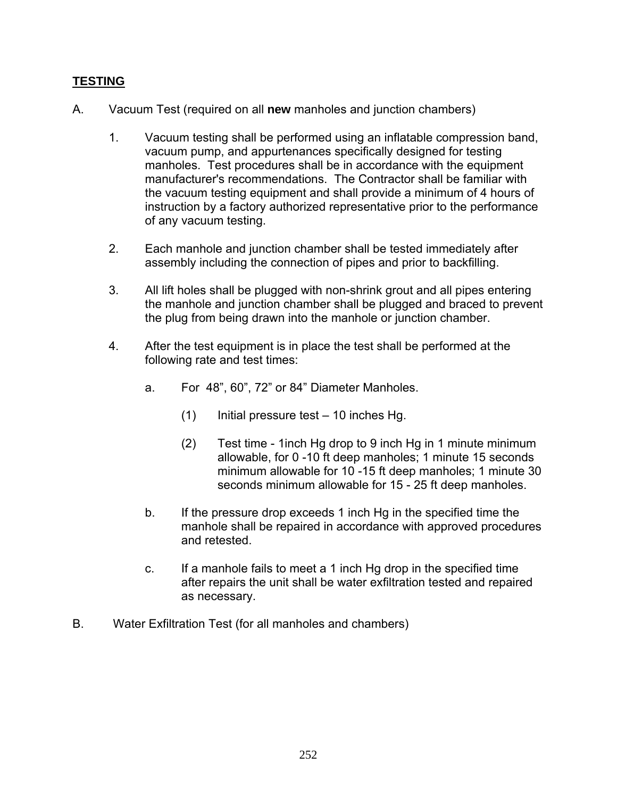## **TESTING**

- A. Vacuum Test (required on all **new** manholes and junction chambers)
	- 1. Vacuum testing shall be performed using an inflatable compression band, vacuum pump, and appurtenances specifically designed for testing manholes. Test procedures shall be in accordance with the equipment manufacturer's recommendations. The Contractor shall be familiar with the vacuum testing equipment and shall provide a minimum of 4 hours of instruction by a factory authorized representative prior to the performance of any vacuum testing.
	- 2. Each manhole and junction chamber shall be tested immediately after assembly including the connection of pipes and prior to backfilling.
	- 3. All lift holes shall be plugged with non-shrink grout and all pipes entering the manhole and junction chamber shall be plugged and braced to prevent the plug from being drawn into the manhole or junction chamber.
	- 4. After the test equipment is in place the test shall be performed at the following rate and test times:
		- a. For 48", 60", 72" or 84" Diameter Manholes.
			- $(1)$  Initial pressure test 10 inches Hg.
			- (2) Test time 1inch Hg drop to 9 inch Hg in 1 minute minimum allowable, for 0 -10 ft deep manholes; 1 minute 15 seconds minimum allowable for 10 -15 ft deep manholes; 1 minute 30 seconds minimum allowable for 15 - 25 ft deep manholes.
		- b. If the pressure drop exceeds 1 inch Hg in the specified time the manhole shall be repaired in accordance with approved procedures and retested.
		- c. If a manhole fails to meet a 1 inch Hg drop in the specified time after repairs the unit shall be water exfiltration tested and repaired as necessary.
- B. Water Exfiltration Test (for all manholes and chambers)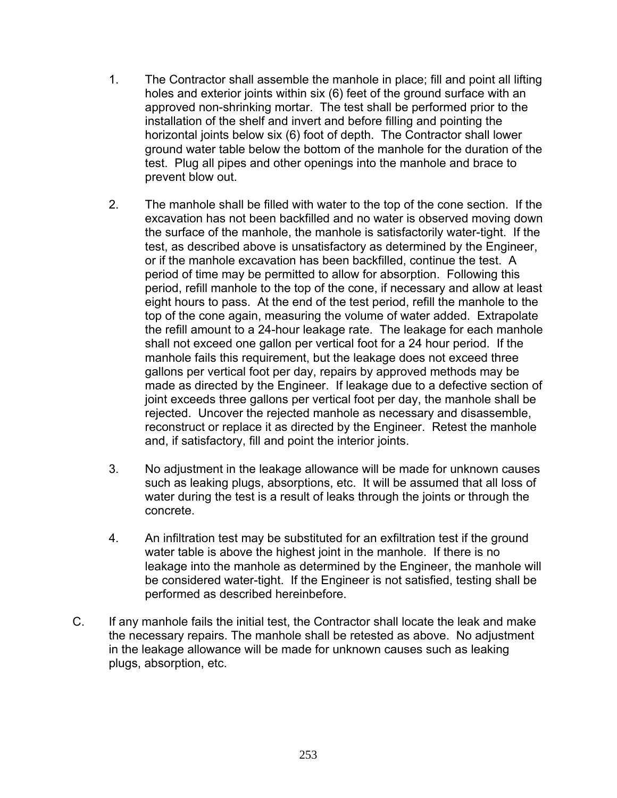- 1. The Contractor shall assemble the manhole in place; fill and point all lifting holes and exterior joints within six (6) feet of the ground surface with an approved non-shrinking mortar. The test shall be performed prior to the installation of the shelf and invert and before filling and pointing the horizontal joints below six (6) foot of depth. The Contractor shall lower ground water table below the bottom of the manhole for the duration of the test. Plug all pipes and other openings into the manhole and brace to prevent blow out.
- 2. The manhole shall be filled with water to the top of the cone section. If the excavation has not been backfilled and no water is observed moving down the surface of the manhole, the manhole is satisfactorily water-tight. If the test, as described above is unsatisfactory as determined by the Engineer, or if the manhole excavation has been backfilled, continue the test. A period of time may be permitted to allow for absorption. Following this period, refill manhole to the top of the cone, if necessary and allow at least eight hours to pass. At the end of the test period, refill the manhole to the top of the cone again, measuring the volume of water added. Extrapolate the refill amount to a 24-hour leakage rate. The leakage for each manhole shall not exceed one gallon per vertical foot for a 24 hour period. If the manhole fails this requirement, but the leakage does not exceed three gallons per vertical foot per day, repairs by approved methods may be made as directed by the Engineer. If leakage due to a defective section of joint exceeds three gallons per vertical foot per day, the manhole shall be rejected. Uncover the rejected manhole as necessary and disassemble, reconstruct or replace it as directed by the Engineer. Retest the manhole and, if satisfactory, fill and point the interior joints.
- 3. No adjustment in the leakage allowance will be made for unknown causes such as leaking plugs, absorptions, etc. It will be assumed that all loss of water during the test is a result of leaks through the joints or through the concrete.
- 4. An infiltration test may be substituted for an exfiltration test if the ground water table is above the highest joint in the manhole. If there is no leakage into the manhole as determined by the Engineer, the manhole will be considered water-tight. If the Engineer is not satisfied, testing shall be performed as described hereinbefore.
- C. If any manhole fails the initial test, the Contractor shall locate the leak and make the necessary repairs. The manhole shall be retested as above. No adjustment in the leakage allowance will be made for unknown causes such as leaking plugs, absorption, etc.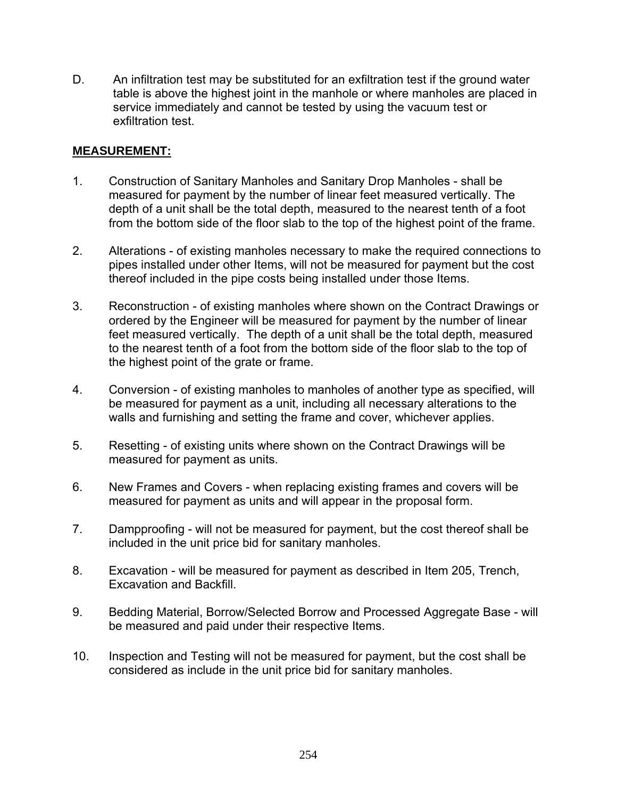D. An infiltration test may be substituted for an exfiltration test if the ground water table is above the highest joint in the manhole or where manholes are placed in service immediately and cannot be tested by using the vacuum test or exfiltration test.

### **MEASUREMENT:**

- 1. Construction of Sanitary Manholes and Sanitary Drop Manholes shall be measured for payment by the number of linear feet measured vertically. The depth of a unit shall be the total depth, measured to the nearest tenth of a foot from the bottom side of the floor slab to the top of the highest point of the frame.
- 2. Alterations of existing manholes necessary to make the required connections to pipes installed under other Items, will not be measured for payment but the cost thereof included in the pipe costs being installed under those Items.
- 3. Reconstruction of existing manholes where shown on the Contract Drawings or ordered by the Engineer will be measured for payment by the number of linear feet measured vertically. The depth of a unit shall be the total depth, measured to the nearest tenth of a foot from the bottom side of the floor slab to the top of the highest point of the grate or frame.
- 4. Conversion of existing manholes to manholes of another type as specified, will be measured for payment as a unit, including all necessary alterations to the walls and furnishing and setting the frame and cover, whichever applies.
- 5. Resetting of existing units where shown on the Contract Drawings will be measured for payment as units.
- 6. New Frames and Covers when replacing existing frames and covers will be measured for payment as units and will appear in the proposal form.
- 7. Dampproofing will not be measured for payment, but the cost thereof shall be included in the unit price bid for sanitary manholes.
- 8. Excavation will be measured for payment as described in Item 205, Trench, Excavation and Backfill.
- 9. Bedding Material, Borrow/Selected Borrow and Processed Aggregate Base will be measured and paid under their respective Items.
- 10. Inspection and Testing will not be measured for payment, but the cost shall be considered as include in the unit price bid for sanitary manholes.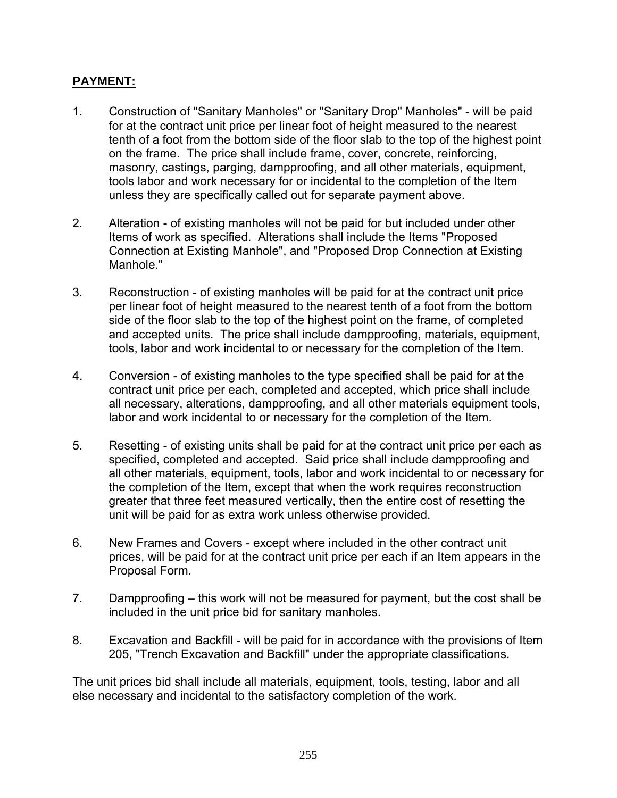## **PAYMENT:**

- 1. Construction of "Sanitary Manholes" or "Sanitary Drop" Manholes" will be paid for at the contract unit price per linear foot of height measured to the nearest tenth of a foot from the bottom side of the floor slab to the top of the highest point on the frame. The price shall include frame, cover, concrete, reinforcing, masonry, castings, parging, dampproofing, and all other materials, equipment, tools labor and work necessary for or incidental to the completion of the Item unless they are specifically called out for separate payment above.
- 2. Alteration of existing manholes will not be paid for but included under other Items of work as specified. Alterations shall include the Items "Proposed Connection at Existing Manhole", and "Proposed Drop Connection at Existing Manhole."
- 3. Reconstruction of existing manholes will be paid for at the contract unit price per linear foot of height measured to the nearest tenth of a foot from the bottom side of the floor slab to the top of the highest point on the frame, of completed and accepted units. The price shall include dampproofing, materials, equipment, tools, labor and work incidental to or necessary for the completion of the Item.
- 4. Conversion of existing manholes to the type specified shall be paid for at the contract unit price per each, completed and accepted, which price shall include all necessary, alterations, dampproofing, and all other materials equipment tools, labor and work incidental to or necessary for the completion of the Item.
- 5. Resetting of existing units shall be paid for at the contract unit price per each as specified, completed and accepted. Said price shall include dampproofing and all other materials, equipment, tools, labor and work incidental to or necessary for the completion of the Item, except that when the work requires reconstruction greater that three feet measured vertically, then the entire cost of resetting the unit will be paid for as extra work unless otherwise provided.
- 6. New Frames and Covers except where included in the other contract unit prices, will be paid for at the contract unit price per each if an Item appears in the Proposal Form.
- 7. Dampproofing this work will not be measured for payment, but the cost shall be included in the unit price bid for sanitary manholes.
- 8. Excavation and Backfill will be paid for in accordance with the provisions of Item 205, "Trench Excavation and Backfill" under the appropriate classifications.

The unit prices bid shall include all materials, equipment, tools, testing, labor and all else necessary and incidental to the satisfactory completion of the work.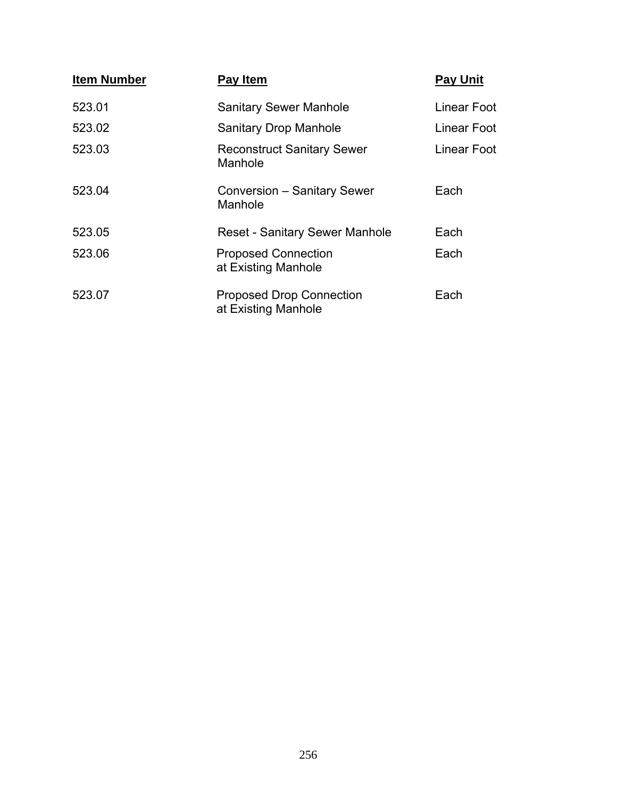| <b>Item Number</b> | Pay Item                                               | <b>Pay Unit</b> |
|--------------------|--------------------------------------------------------|-----------------|
| 523.01             | <b>Sanitary Sewer Manhole</b>                          | Linear Foot     |
| 523.02             | <b>Sanitary Drop Manhole</b>                           | Linear Foot     |
| 523.03             | <b>Reconstruct Sanitary Sewer</b><br>Manhole           | Linear Foot     |
| 523.04             | Conversion - Sanitary Sewer<br>Manhole                 | Each            |
| 523.05             | <b>Reset - Sanitary Sewer Manhole</b>                  | Each            |
| 523.06             | <b>Proposed Connection</b><br>at Existing Manhole      | Each            |
| 523.07             | <b>Proposed Drop Connection</b><br>at Existing Manhole | Each            |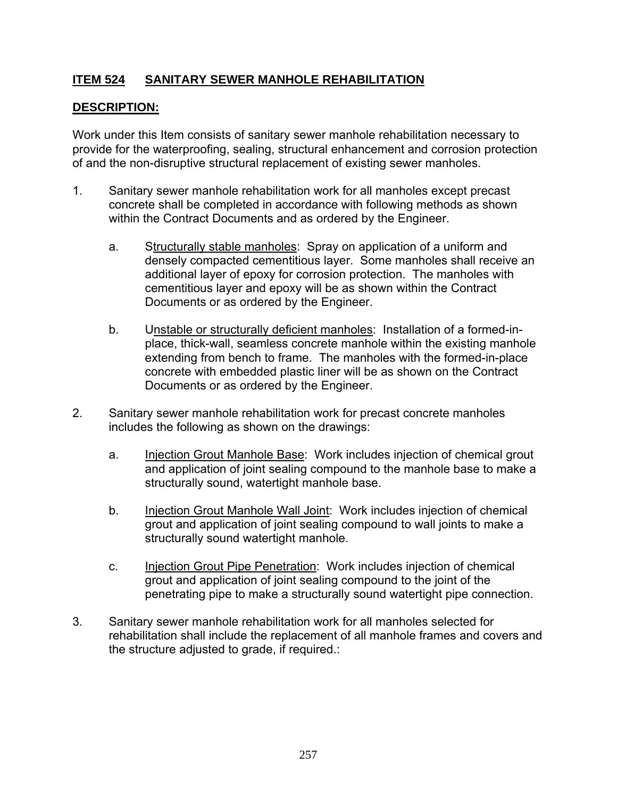## **ITEM 524 SANITARY SEWER MANHOLE REHABILITATION**

## **DESCRIPTION:**

Work under this Item consists of sanitary sewer manhole rehabilitation necessary to provide for the waterproofing, sealing, structural enhancement and corrosion protection of and the non-disruptive structural replacement of existing sewer manholes.

- 1. Sanitary sewer manhole rehabilitation work for all manholes except precast concrete shall be completed in accordance with following methods as shown within the Contract Documents and as ordered by the Engineer.
	- a. Structurally stable manholes: Spray on application of a uniform and densely compacted cementitious layer. Some manholes shall receive an additional layer of epoxy for corrosion protection. The manholes with cementitious layer and epoxy will be as shown within the Contract Documents or as ordered by the Engineer.
	- b. Unstable or structurally deficient manholes: Installation of a formed-inplace, thick-wall, seamless concrete manhole within the existing manhole extending from bench to frame. The manholes with the formed-in-place concrete with embedded plastic liner will be as shown on the Contract Documents or as ordered by the Engineer.
- 2. Sanitary sewer manhole rehabilitation work for precast concrete manholes includes the following as shown on the drawings:
	- a. Injection Grout Manhole Base: Work includes injection of chemical grout and application of joint sealing compound to the manhole base to make a structurally sound, watertight manhole base.
	- b. Injection Grout Manhole Wall Joint: Work includes injection of chemical grout and application of joint sealing compound to wall joints to make a structurally sound watertight manhole.
	- c. Injection Grout Pipe Penetration: Work includes injection of chemical grout and application of joint sealing compound to the joint of the penetrating pipe to make a structurally sound watertight pipe connection.
- 3. Sanitary sewer manhole rehabilitation work for all manholes selected for rehabilitation shall include the replacement of all manhole frames and covers and the structure adjusted to grade, if required.: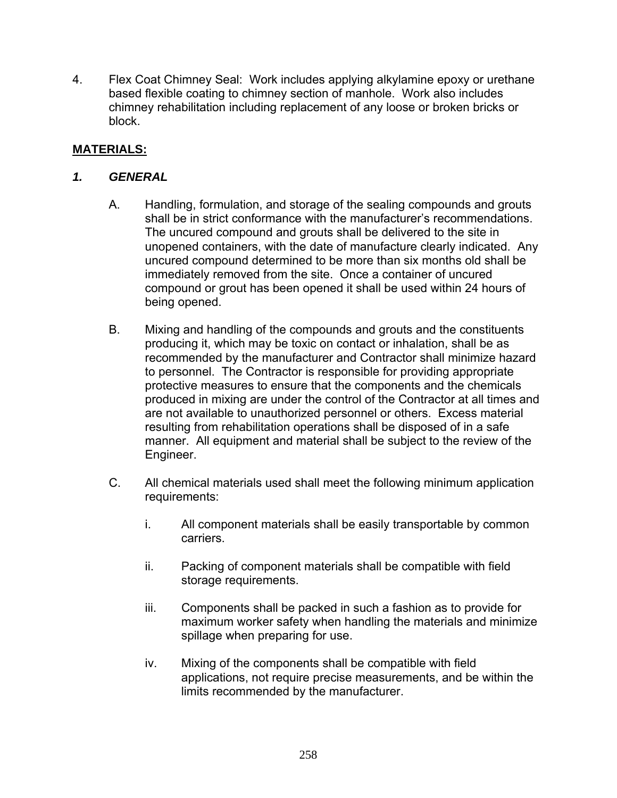4. Flex Coat Chimney Seal: Work includes applying alkylamine epoxy or urethane based flexible coating to chimney section of manhole. Work also includes chimney rehabilitation including replacement of any loose or broken bricks or block.

## **MATERIALS:**

### *1. GENERAL*

- A. Handling, formulation, and storage of the sealing compounds and grouts shall be in strict conformance with the manufacturer's recommendations. The uncured compound and grouts shall be delivered to the site in unopened containers, with the date of manufacture clearly indicated. Any uncured compound determined to be more than six months old shall be immediately removed from the site. Once a container of uncured compound or grout has been opened it shall be used within 24 hours of being opened.
- B. Mixing and handling of the compounds and grouts and the constituents producing it, which may be toxic on contact or inhalation, shall be as recommended by the manufacturer and Contractor shall minimize hazard to personnel. The Contractor is responsible for providing appropriate protective measures to ensure that the components and the chemicals produced in mixing are under the control of the Contractor at all times and are not available to unauthorized personnel or others. Excess material resulting from rehabilitation operations shall be disposed of in a safe manner. All equipment and material shall be subject to the review of the Engineer.
- C. All chemical materials used shall meet the following minimum application requirements:
	- i. All component materials shall be easily transportable by common carriers.
	- ii. Packing of component materials shall be compatible with field storage requirements.
	- iii. Components shall be packed in such a fashion as to provide for maximum worker safety when handling the materials and minimize spillage when preparing for use.
	- iv. Mixing of the components shall be compatible with field applications, not require precise measurements, and be within the limits recommended by the manufacturer.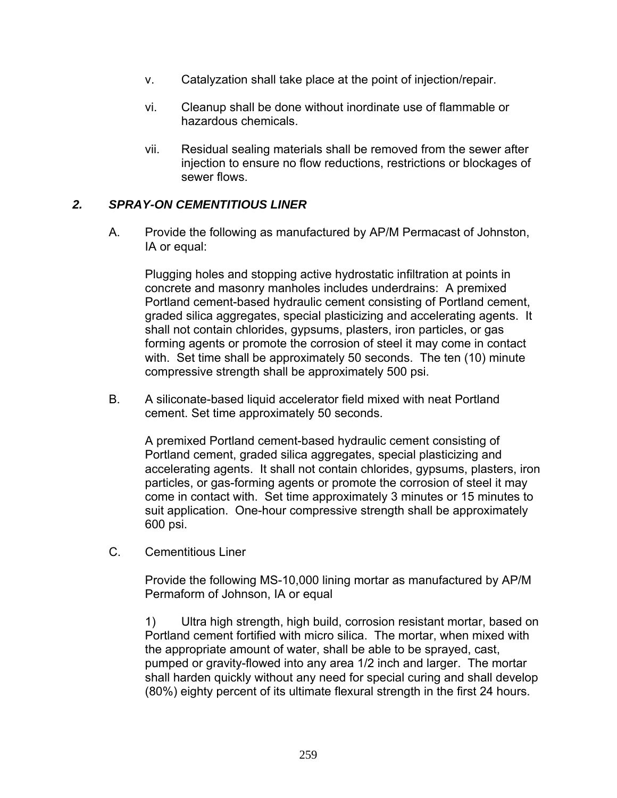- v. Catalyzation shall take place at the point of injection/repair.
- vi. Cleanup shall be done without inordinate use of flammable or hazardous chemicals.
- vii. Residual sealing materials shall be removed from the sewer after injection to ensure no flow reductions, restrictions or blockages of sewer flows.

### *2. SPRAY-ON CEMENTITIOUS LINER*

A. Provide the following as manufactured by AP/M Permacast of Johnston, IA or equal:

Plugging holes and stopping active hydrostatic infiltration at points in concrete and masonry manholes includes underdrains: A premixed Portland cement-based hydraulic cement consisting of Portland cement, graded silica aggregates, special plasticizing and accelerating agents. It shall not contain chlorides, gypsums, plasters, iron particles, or gas forming agents or promote the corrosion of steel it may come in contact with. Set time shall be approximately 50 seconds. The ten (10) minute compressive strength shall be approximately 500 psi.

B. A siliconate-based liquid accelerator field mixed with neat Portland cement. Set time approximately 50 seconds.

A premixed Portland cement-based hydraulic cement consisting of Portland cement, graded silica aggregates, special plasticizing and accelerating agents. It shall not contain chlorides, gypsums, plasters, iron particles, or gas-forming agents or promote the corrosion of steel it may come in contact with. Set time approximately 3 minutes or 15 minutes to suit application. One-hour compressive strength shall be approximately 600 psi.

C. Cementitious Liner

Provide the following MS-10,000 lining mortar as manufactured by AP/M Permaform of Johnson, IA or equal

1) Ultra high strength, high build, corrosion resistant mortar, based on Portland cement fortified with micro silica. The mortar, when mixed with the appropriate amount of water, shall be able to be sprayed, cast, pumped or gravity-flowed into any area 1/2 inch and larger. The mortar shall harden quickly without any need for special curing and shall develop (80%) eighty percent of its ultimate flexural strength in the first 24 hours.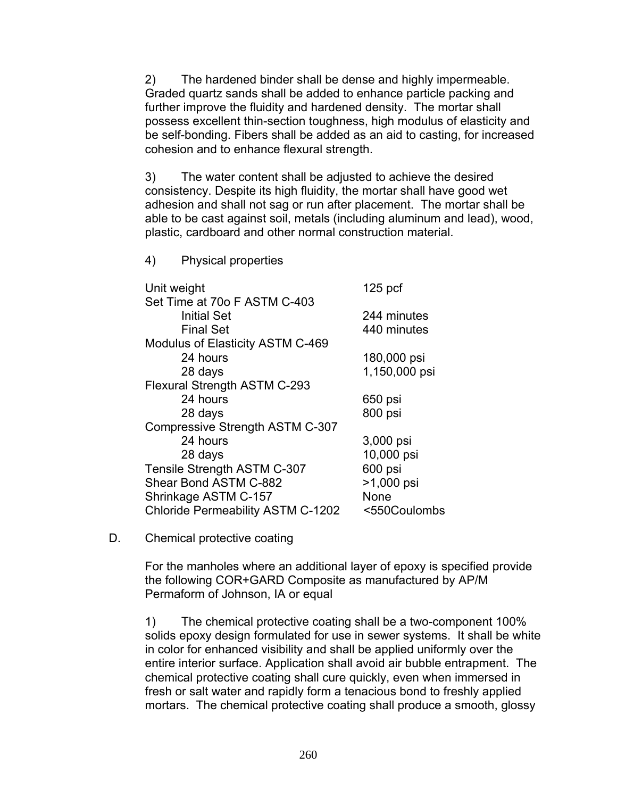2) The hardened binder shall be dense and highly impermeable. Graded quartz sands shall be added to enhance particle packing and further improve the fluidity and hardened density. The mortar shall possess excellent thin-section toughness, high modulus of elasticity and be self-bonding. Fibers shall be added as an aid to casting, for increased cohesion and to enhance flexural strength.

3) The water content shall be adjusted to achieve the desired consistency. Despite its high fluidity, the mortar shall have good wet adhesion and shall not sag or run after placement. The mortar shall be able to be cast against soil, metals (including aluminum and lead), wood, plastic, cardboard and other normal construction material.

4) Physical properties

| Unit weight                              | $125$ pcf     |
|------------------------------------------|---------------|
| Set Time at 70o F ASTM C-403             |               |
| <b>Initial Set</b>                       | 244 minutes   |
| <b>Final Set</b>                         | 440 minutes   |
| Modulus of Elasticity ASTM C-469         |               |
| 24 hours                                 | 180,000 psi   |
| 28 days                                  | 1,150,000 psi |
| Flexural Strength ASTM C-293             |               |
| 24 hours                                 | 650 psi       |
| 28 days                                  | 800 psi       |
| <b>Compressive Strength ASTM C-307</b>   |               |
| 24 hours                                 | 3,000 psi     |
| 28 days                                  | 10,000 psi    |
| Tensile Strength ASTM C-307              | 600 psi       |
| Shear Bond ASTM C-882                    | >1,000 psi    |
| Shrinkage ASTM C-157                     | None          |
| <b>Chloride Permeability ASTM C-1202</b> | <550Coulombs  |

D. Chemical protective coating

For the manholes where an additional layer of epoxy is specified provide the following COR+GARD Composite as manufactured by AP/M Permaform of Johnson, IA or equal

1) The chemical protective coating shall be a two-component 100% solids epoxy design formulated for use in sewer systems. It shall be white in color for enhanced visibility and shall be applied uniformly over the entire interior surface. Application shall avoid air bubble entrapment. The chemical protective coating shall cure quickly, even when immersed in fresh or salt water and rapidly form a tenacious bond to freshly applied mortars. The chemical protective coating shall produce a smooth, glossy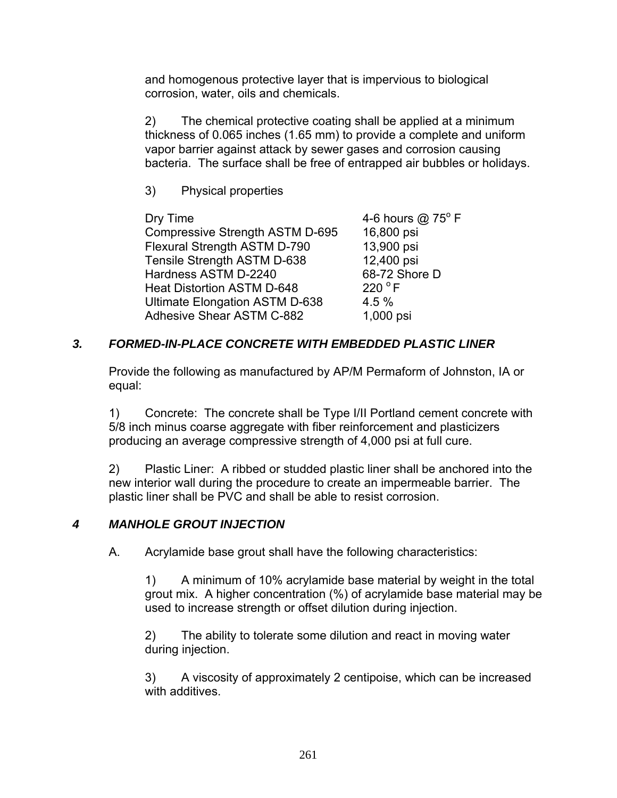and homogenous protective layer that is impervious to biological corrosion, water, oils and chemicals.

2) The chemical protective coating shall be applied at a minimum thickness of 0.065 inches (1.65 mm) to provide a complete and uniform vapor barrier against attack by sewer gases and corrosion causing bacteria. The surface shall be free of entrapped air bubbles or holidays.

3) Physical properties

 $\Gamma$  Dry Time  $\Gamma$  4-6 hours @ 75<sup>o</sup> F Compressive Strength ASTM D-695 16,800 psi Flexural Strength ASTM D-790 13,900 psi Tensile Strength ASTM D-638 12,400 psi Hardness ASTM D-2240 68-72 Shore D<br>Heat Distortion ASTM D-648 220 °F Heat Distortion ASTM D-648 Ultimate Elongation ASTM D-638 4.5 % Adhesive Shear ASTM C-882 1,000 psi

# *3. FORMED-IN-PLACE CONCRETE WITH EMBEDDED PLASTIC LINER*

Provide the following as manufactured by AP/M Permaform of Johnston, IA or equal:

1) Concrete: The concrete shall be Type I/II Portland cement concrete with 5/8 inch minus coarse aggregate with fiber reinforcement and plasticizers producing an average compressive strength of 4,000 psi at full cure.

2) Plastic Liner: A ribbed or studded plastic liner shall be anchored into the new interior wall during the procedure to create an impermeable barrier. The plastic liner shall be PVC and shall be able to resist corrosion.

# *4 MANHOLE GROUT INJECTION*

A. Acrylamide base grout shall have the following characteristics:

1) A minimum of 10% acrylamide base material by weight in the total grout mix. A higher concentration (%) of acrylamide base material may be used to increase strength or offset dilution during injection.

2) The ability to tolerate some dilution and react in moving water during injection.

3) A viscosity of approximately 2 centipoise, which can be increased with additives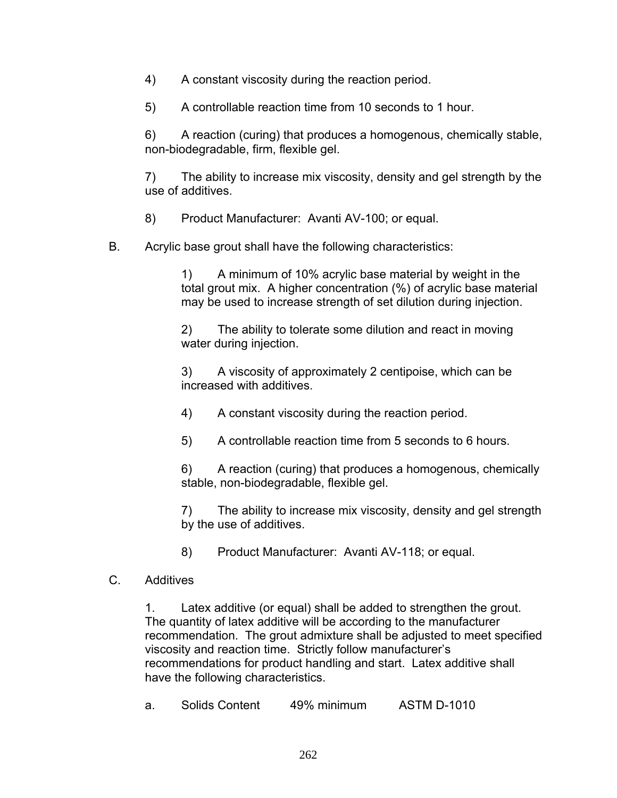- 4) A constant viscosity during the reaction period.
- 5) A controllable reaction time from 10 seconds to 1 hour.

6) A reaction (curing) that produces a homogenous, chemically stable, non-biodegradable, firm, flexible gel.

7) The ability to increase mix viscosity, density and gel strength by the use of additives.

8) Product Manufacturer: Avanti AV-100; or equal.

B. Acrylic base grout shall have the following characteristics:

1) A minimum of 10% acrylic base material by weight in the total grout mix. A higher concentration (%) of acrylic base material may be used to increase strength of set dilution during injection.

2) The ability to tolerate some dilution and react in moving water during injection.

3) A viscosity of approximately 2 centipoise, which can be increased with additives.

4) A constant viscosity during the reaction period.

5) A controllable reaction time from 5 seconds to 6 hours.

6) A reaction (curing) that produces a homogenous, chemically stable, non-biodegradable, flexible gel.

7) The ability to increase mix viscosity, density and gel strength by the use of additives.

8) Product Manufacturer: Avanti AV-118; or equal.

### C. Additives

1. Latex additive (or equal) shall be added to strengthen the grout. The quantity of latex additive will be according to the manufacturer recommendation. The grout admixture shall be adjusted to meet specified viscosity and reaction time. Strictly follow manufacturer's recommendations for product handling and start. Latex additive shall have the following characteristics.

| <b>Solids Content</b> | <b>ASTM D-1010</b> |
|-----------------------|--------------------|
| а.                    | 49% minimum        |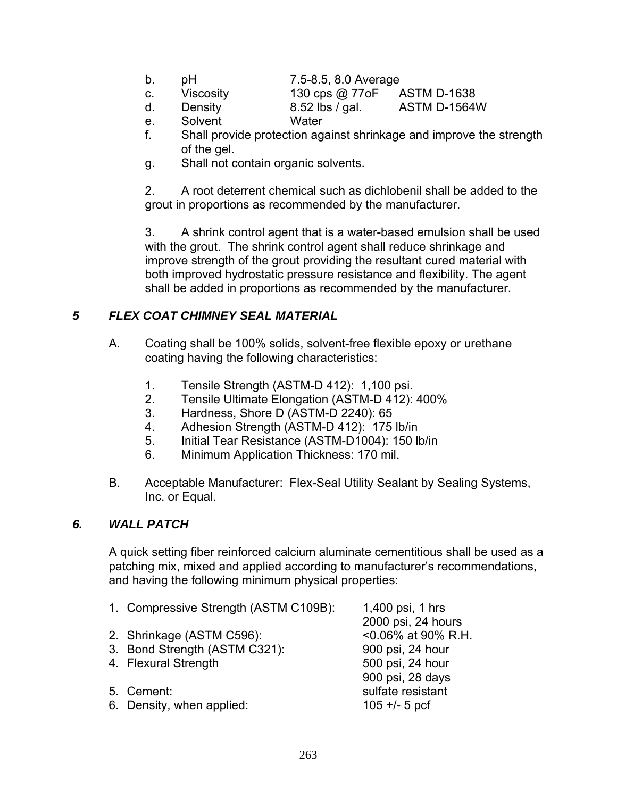- b. pH 7.5-8.5, 8.0 Average
- 

c. Viscosity 130 cps @ 77oF ASTM D-1638

d. Density 8.52 lbs / gal. ASTM D-1564W

- e. Solvent Water
- f. Shall provide protection against shrinkage and improve the strength of the gel.
- g. Shall not contain organic solvents.

2. A root deterrent chemical such as dichlobenil shall be added to the grout in proportions as recommended by the manufacturer.

3. A shrink control agent that is a water-based emulsion shall be used with the grout. The shrink control agent shall reduce shrinkage and improve strength of the grout providing the resultant cured material with both improved hydrostatic pressure resistance and flexibility. The agent shall be added in proportions as recommended by the manufacturer.

## *5 FLEX COAT CHIMNEY SEAL MATERIAL*

- A. Coating shall be 100% solids, solvent-free flexible epoxy or urethane coating having the following characteristics:
	- 1. Tensile Strength (ASTM-D 412): 1,100 psi.
	- 2. Tensile Ultimate Elongation (ASTM-D 412): 400%
	- 3. Hardness, Shore D (ASTM-D 2240): 65
	- 4. Adhesion Strength (ASTM-D 412): 175 lb/in
	- 5. Initial Tear Resistance (ASTM-D1004): 150 lb/in
	- 6. Minimum Application Thickness: 170 mil.
- B. Acceptable Manufacturer: Flex-Seal Utility Sealant by Sealing Systems, Inc. or Equal.

#### *6. WALL PATCH*

A quick setting fiber reinforced calcium aluminate cementitious shall be used as a patching mix, mixed and applied according to manufacturer's recommendations, and having the following minimum physical properties:

1. Compressive Strength (ASTM C109B): 1,400 psi, 1 hrs 2000 psi, 24 hours 2. Shrinkage (ASTM C596): <0.06% at 90% R.H. 3. Bond Strength (ASTM C321): 900 psi, 24 hour 4. Flexural Strength 500 psi, 24 hour 900 psi, 28 days 5. Cement: sulfate resistant 6. Density, when applied:  $105 + 5$  pcf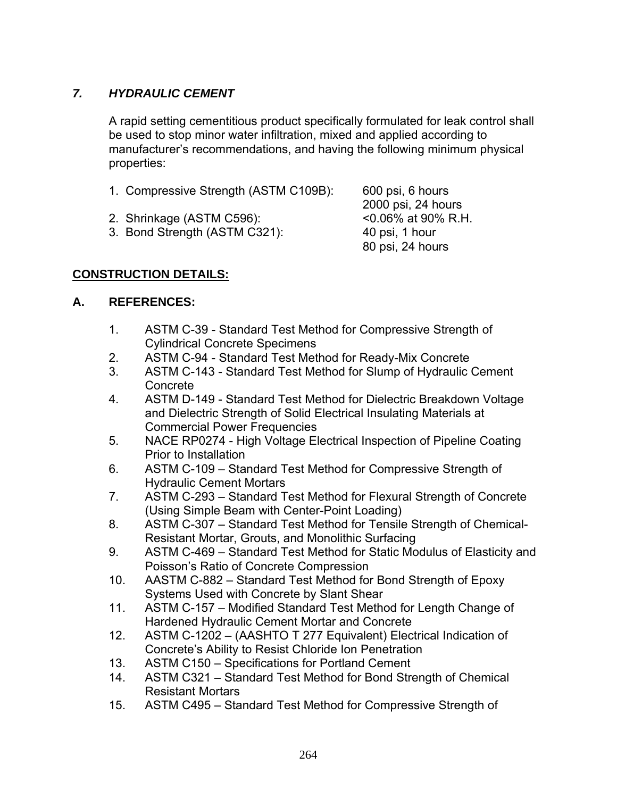# *7. HYDRAULIC CEMENT*

A rapid setting cementitious product specifically formulated for leak control shall be used to stop minor water infiltration, mixed and applied according to manufacturer's recommendations, and having the following minimum physical properties:

- 1. Compressive Strength (ASTM C109B): 600 psi, 6 hours
- 2. Shrinkage (ASTM C596): <0.06% at 90% R.H.
- 3. Bond Strength (ASTM C321): 40 psi, 1 hour

 2000 psi, 24 hours 80 psi, 24 hours

## **CONSTRUCTION DETAILS:**

### **A. REFERENCES:**

- 1. ASTM C-39 Standard Test Method for Compressive Strength of Cylindrical Concrete Specimens
- 2. ASTM C-94 Standard Test Method for Ready-Mix Concrete
- 3. ASTM C-143 Standard Test Method for Slump of Hydraulic Cement Concrete
- 4. ASTM D-149 Standard Test Method for Dielectric Breakdown Voltage and Dielectric Strength of Solid Electrical Insulating Materials at Commercial Power Frequencies
- 5. NACE RP0274 High Voltage Electrical Inspection of Pipeline Coating Prior to Installation
- 6. ASTM C-109 Standard Test Method for Compressive Strength of Hydraulic Cement Mortars
- 7. ASTM C-293 Standard Test Method for Flexural Strength of Concrete (Using Simple Beam with Center-Point Loading)
- 8. ASTM C-307 Standard Test Method for Tensile Strength of Chemical-Resistant Mortar, Grouts, and Monolithic Surfacing
- 9. ASTM C-469 Standard Test Method for Static Modulus of Elasticity and Poisson's Ratio of Concrete Compression
- 10. AASTM C-882 Standard Test Method for Bond Strength of Epoxy Systems Used with Concrete by Slant Shear
- 11. ASTM C-157 Modified Standard Test Method for Length Change of Hardened Hydraulic Cement Mortar and Concrete
- 12. ASTM C-1202 (AASHTO T 277 Equivalent) Electrical Indication of Concrete's Ability to Resist Chloride Ion Penetration
- 13. ASTM C150 Specifications for Portland Cement
- 14. ASTM C321 Standard Test Method for Bond Strength of Chemical Resistant Mortars
- 15. ASTM C495 Standard Test Method for Compressive Strength of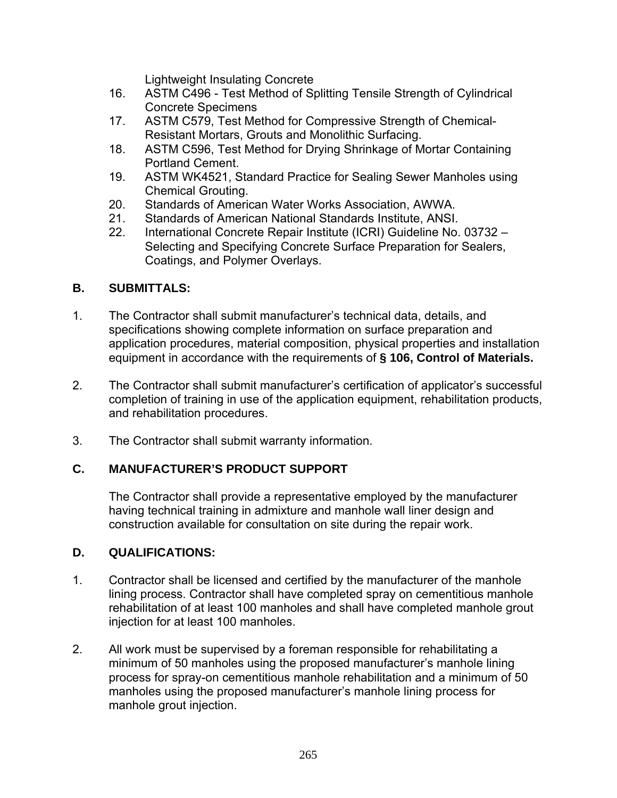Lightweight Insulating Concrete

- 16. ASTM C496 Test Method of Splitting Tensile Strength of Cylindrical Concrete Specimens
- 17. ASTM C579, Test Method for Compressive Strength of Chemical-Resistant Mortars, Grouts and Monolithic Surfacing.
- 18. ASTM C596, Test Method for Drying Shrinkage of Mortar Containing Portland Cement.
- 19. ASTM WK4521, Standard Practice for Sealing Sewer Manholes using Chemical Grouting.
- 20. Standards of American Water Works Association, AWWA.
- 21. Standards of American National Standards Institute, ANSI.
- 22. International Concrete Repair Institute (ICRI) Guideline No. 03732 Selecting and Specifying Concrete Surface Preparation for Sealers, Coatings, and Polymer Overlays.

## **B. SUBMITTALS:**

- 1. The Contractor shall submit manufacturer's technical data, details, and specifications showing complete information on surface preparation and application procedures, material composition, physical properties and installation equipment in accordance with the requirements of **§ 106, Control of Materials.**
- 2. The Contractor shall submit manufacturer's certification of applicator's successful completion of training in use of the application equipment, rehabilitation products, and rehabilitation procedures.
- 3. The Contractor shall submit warranty information.

# **C. MANUFACTURER'S PRODUCT SUPPORT**

The Contractor shall provide a representative employed by the manufacturer having technical training in admixture and manhole wall liner design and construction available for consultation on site during the repair work.

## **D. QUALIFICATIONS:**

- 1. Contractor shall be licensed and certified by the manufacturer of the manhole lining process. Contractor shall have completed spray on cementitious manhole rehabilitation of at least 100 manholes and shall have completed manhole grout injection for at least 100 manholes.
- 2. All work must be supervised by a foreman responsible for rehabilitating a minimum of 50 manholes using the proposed manufacturer's manhole lining process for spray-on cementitious manhole rehabilitation and a minimum of 50 manholes using the proposed manufacturer's manhole lining process for manhole grout injection.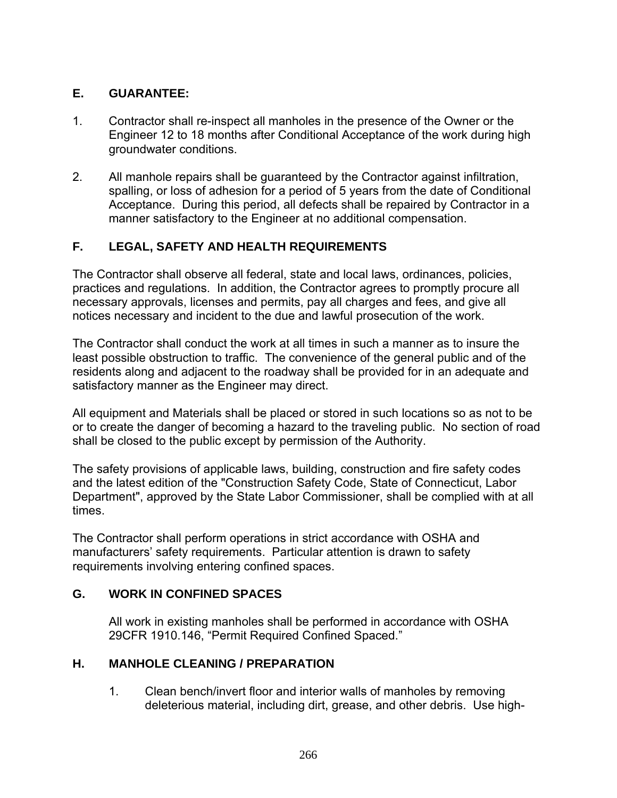# **E. GUARANTEE:**

- 1. Contractor shall re-inspect all manholes in the presence of the Owner or the Engineer 12 to 18 months after Conditional Acceptance of the work during high groundwater conditions.
- 2. All manhole repairs shall be guaranteed by the Contractor against infiltration, spalling, or loss of adhesion for a period of 5 years from the date of Conditional Acceptance. During this period, all defects shall be repaired by Contractor in a manner satisfactory to the Engineer at no additional compensation.

# **F. LEGAL, SAFETY AND HEALTH REQUIREMENTS**

The Contractor shall observe all federal, state and local laws, ordinances, policies, practices and regulations. In addition, the Contractor agrees to promptly procure all necessary approvals, licenses and permits, pay all charges and fees, and give all notices necessary and incident to the due and lawful prosecution of the work.

The Contractor shall conduct the work at all times in such a manner as to insure the least possible obstruction to traffic. The convenience of the general public and of the residents along and adjacent to the roadway shall be provided for in an adequate and satisfactory manner as the Engineer may direct.

All equipment and Materials shall be placed or stored in such locations so as not to be or to create the danger of becoming a hazard to the traveling public. No section of road shall be closed to the public except by permission of the Authority.

The safety provisions of applicable laws, building, construction and fire safety codes and the latest edition of the "Construction Safety Code, State of Connecticut, Labor Department", approved by the State Labor Commissioner, shall be complied with at all times.

The Contractor shall perform operations in strict accordance with OSHA and manufacturers' safety requirements. Particular attention is drawn to safety requirements involving entering confined spaces.

## **G. WORK IN CONFINED SPACES**

All work in existing manholes shall be performed in accordance with OSHA 29CFR 1910.146, "Permit Required Confined Spaced."

## **H. MANHOLE CLEANING / PREPARATION**

1. Clean bench/invert floor and interior walls of manholes by removing deleterious material, including dirt, grease, and other debris. Use high-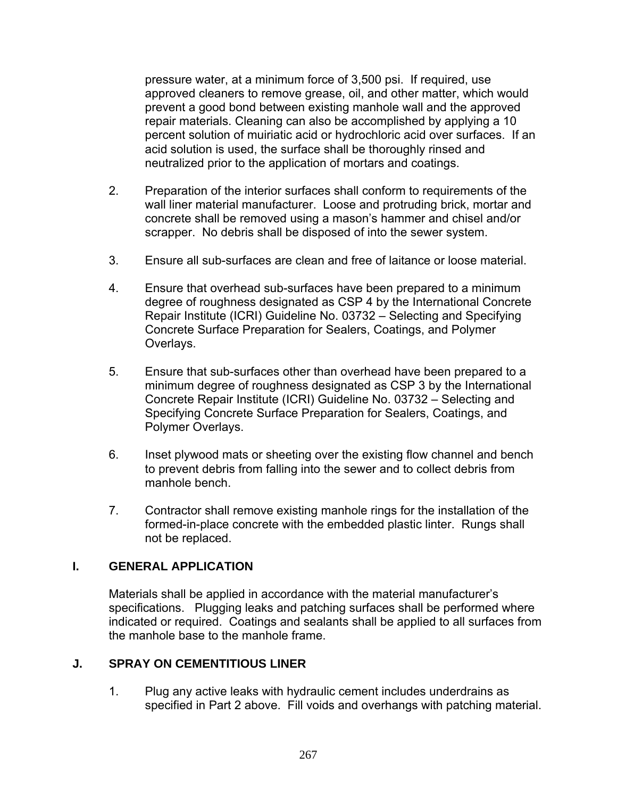pressure water, at a minimum force of 3,500 psi. If required, use approved cleaners to remove grease, oil, and other matter, which would prevent a good bond between existing manhole wall and the approved repair materials. Cleaning can also be accomplished by applying a 10 percent solution of muiriatic acid or hydrochloric acid over surfaces. If an acid solution is used, the surface shall be thoroughly rinsed and neutralized prior to the application of mortars and coatings.

- 2. Preparation of the interior surfaces shall conform to requirements of the wall liner material manufacturer. Loose and protruding brick, mortar and concrete shall be removed using a mason's hammer and chisel and/or scrapper. No debris shall be disposed of into the sewer system.
- 3. Ensure all sub-surfaces are clean and free of laitance or loose material.
- 4. Ensure that overhead sub-surfaces have been prepared to a minimum degree of roughness designated as CSP 4 by the International Concrete Repair Institute (ICRI) Guideline No. 03732 – Selecting and Specifying Concrete Surface Preparation for Sealers, Coatings, and Polymer Overlays.
- 5. Ensure that sub-surfaces other than overhead have been prepared to a minimum degree of roughness designated as CSP 3 by the International Concrete Repair Institute (ICRI) Guideline No. 03732 – Selecting and Specifying Concrete Surface Preparation for Sealers, Coatings, and Polymer Overlays.
- 6. Inset plywood mats or sheeting over the existing flow channel and bench to prevent debris from falling into the sewer and to collect debris from manhole bench.
- 7. Contractor shall remove existing manhole rings for the installation of the formed-in-place concrete with the embedded plastic linter. Rungs shall not be replaced.

#### **I. GENERAL APPLICATION**

Materials shall be applied in accordance with the material manufacturer's specifications. Plugging leaks and patching surfaces shall be performed where indicated or required. Coatings and sealants shall be applied to all surfaces from the manhole base to the manhole frame.

#### **J. SPRAY ON CEMENTITIOUS LINER**

1. Plug any active leaks with hydraulic cement includes underdrains as specified in Part 2 above. Fill voids and overhangs with patching material.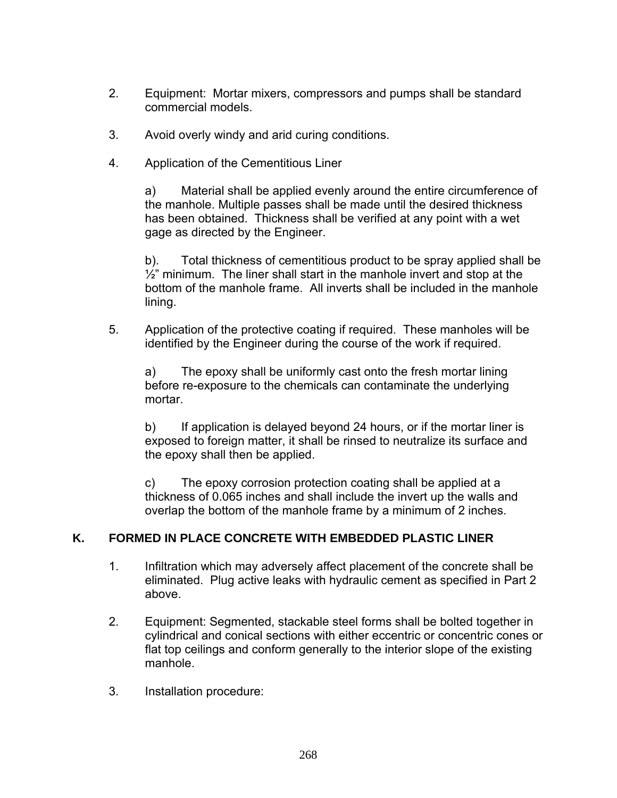- 2. Equipment: Mortar mixers, compressors and pumps shall be standard commercial models.
- 3. Avoid overly windy and arid curing conditions.
- 4. Application of the Cementitious Liner

a) Material shall be applied evenly around the entire circumference of the manhole. Multiple passes shall be made until the desired thickness has been obtained. Thickness shall be verified at any point with a wet gage as directed by the Engineer.

b). Total thickness of cementitious product to be spray applied shall be  $1/2$ " minimum. The liner shall start in the manhole invert and stop at the bottom of the manhole frame. All inverts shall be included in the manhole lining.

5. Application of the protective coating if required. These manholes will be identified by the Engineer during the course of the work if required.

a) The epoxy shall be uniformly cast onto the fresh mortar lining before re-exposure to the chemicals can contaminate the underlying mortar.

b) If application is delayed beyond 24 hours, or if the mortar liner is exposed to foreign matter, it shall be rinsed to neutralize its surface and the epoxy shall then be applied.

c) The epoxy corrosion protection coating shall be applied at a thickness of 0.065 inches and shall include the invert up the walls and overlap the bottom of the manhole frame by a minimum of 2 inches.

## **K. FORMED IN PLACE CONCRETE WITH EMBEDDED PLASTIC LINER**

- 1. Infiltration which may adversely affect placement of the concrete shall be eliminated. Plug active leaks with hydraulic cement as specified in Part 2 above.
- 2. Equipment: Segmented, stackable steel forms shall be bolted together in cylindrical and conical sections with either eccentric or concentric cones or flat top ceilings and conform generally to the interior slope of the existing manhole.
- 3. Installation procedure: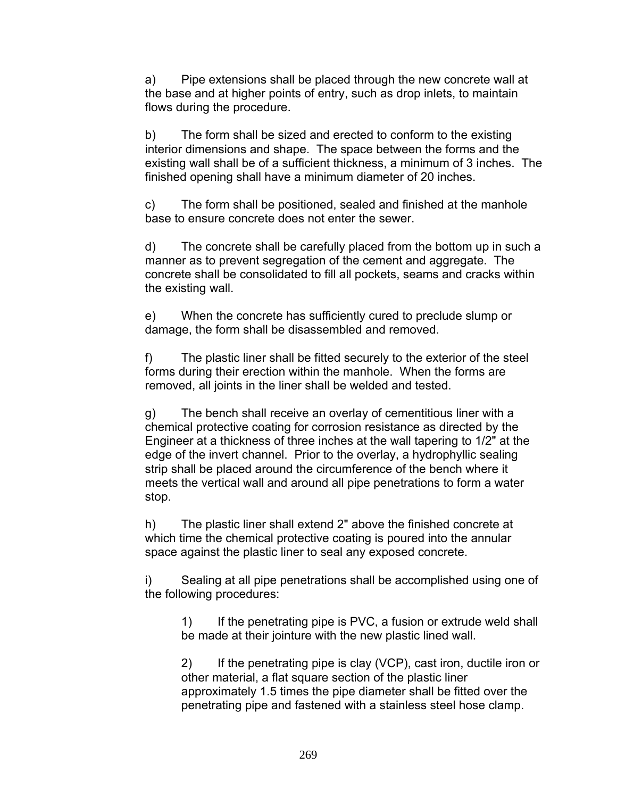a) Pipe extensions shall be placed through the new concrete wall at the base and at higher points of entry, such as drop inlets, to maintain flows during the procedure.

b) The form shall be sized and erected to conform to the existing interior dimensions and shape. The space between the forms and the existing wall shall be of a sufficient thickness, a minimum of 3 inches. The finished opening shall have a minimum diameter of 20 inches.

c) The form shall be positioned, sealed and finished at the manhole base to ensure concrete does not enter the sewer.

d) The concrete shall be carefully placed from the bottom up in such a manner as to prevent segregation of the cement and aggregate. The concrete shall be consolidated to fill all pockets, seams and cracks within the existing wall.

e) When the concrete has sufficiently cured to preclude slump or damage, the form shall be disassembled and removed.

f) The plastic liner shall be fitted securely to the exterior of the steel forms during their erection within the manhole. When the forms are removed, all joints in the liner shall be welded and tested.

g) The bench shall receive an overlay of cementitious liner with a chemical protective coating for corrosion resistance as directed by the Engineer at a thickness of three inches at the wall tapering to 1/2" at the edge of the invert channel. Prior to the overlay, a hydrophyllic sealing strip shall be placed around the circumference of the bench where it meets the vertical wall and around all pipe penetrations to form a water stop.

h) The plastic liner shall extend 2" above the finished concrete at which time the chemical protective coating is poured into the annular space against the plastic liner to seal any exposed concrete.

i) Sealing at all pipe penetrations shall be accomplished using one of the following procedures:

1) If the penetrating pipe is PVC, a fusion or extrude weld shall be made at their jointure with the new plastic lined wall.

2) If the penetrating pipe is clay (VCP), cast iron, ductile iron or other material, a flat square section of the plastic liner approximately 1.5 times the pipe diameter shall be fitted over the penetrating pipe and fastened with a stainless steel hose clamp.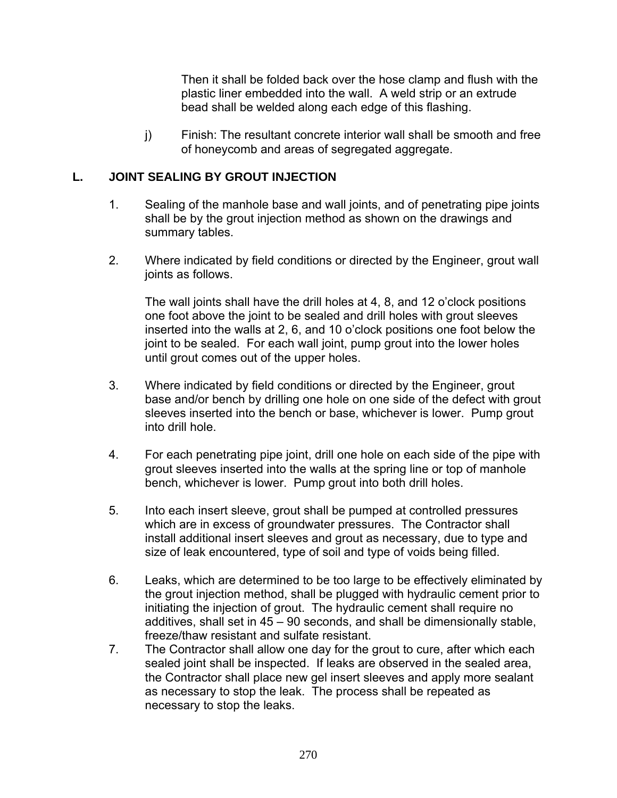Then it shall be folded back over the hose clamp and flush with the plastic liner embedded into the wall. A weld strip or an extrude bead shall be welded along each edge of this flashing.

j) Finish: The resultant concrete interior wall shall be smooth and free of honeycomb and areas of segregated aggregate.

### **L. JOINT SEALING BY GROUT INJECTION**

- 1. Sealing of the manhole base and wall joints, and of penetrating pipe joints shall be by the grout injection method as shown on the drawings and summary tables.
- 2. Where indicated by field conditions or directed by the Engineer, grout wall joints as follows.

The wall joints shall have the drill holes at 4, 8, and 12 o'clock positions one foot above the joint to be sealed and drill holes with grout sleeves inserted into the walls at 2, 6, and 10 o'clock positions one foot below the joint to be sealed. For each wall joint, pump grout into the lower holes until grout comes out of the upper holes.

- 3. Where indicated by field conditions or directed by the Engineer, grout base and/or bench by drilling one hole on one side of the defect with grout sleeves inserted into the bench or base, whichever is lower. Pump grout into drill hole.
- 4. For each penetrating pipe joint, drill one hole on each side of the pipe with grout sleeves inserted into the walls at the spring line or top of manhole bench, whichever is lower. Pump grout into both drill holes.
- 5. Into each insert sleeve, grout shall be pumped at controlled pressures which are in excess of groundwater pressures. The Contractor shall install additional insert sleeves and grout as necessary, due to type and size of leak encountered, type of soil and type of voids being filled.
- 6. Leaks, which are determined to be too large to be effectively eliminated by the grout injection method, shall be plugged with hydraulic cement prior to initiating the injection of grout. The hydraulic cement shall require no additives, shall set in 45 – 90 seconds, and shall be dimensionally stable, freeze/thaw resistant and sulfate resistant.
- 7. The Contractor shall allow one day for the grout to cure, after which each sealed joint shall be inspected. If leaks are observed in the sealed area, the Contractor shall place new gel insert sleeves and apply more sealant as necessary to stop the leak. The process shall be repeated as necessary to stop the leaks.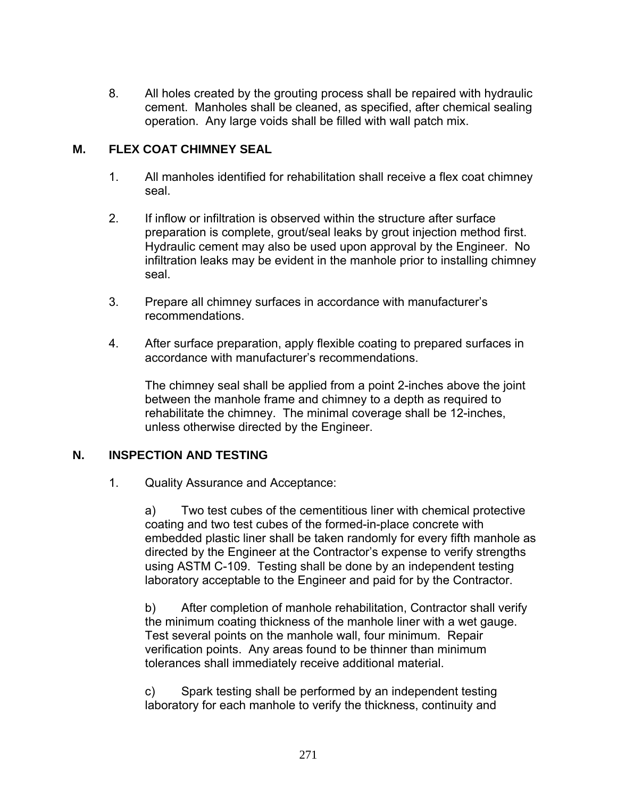8. All holes created by the grouting process shall be repaired with hydraulic cement. Manholes shall be cleaned, as specified, after chemical sealing operation. Any large voids shall be filled with wall patch mix.

## **M. FLEX COAT CHIMNEY SEAL**

- 1. All manholes identified for rehabilitation shall receive a flex coat chimney seal.
- 2. If inflow or infiltration is observed within the structure after surface preparation is complete, grout/seal leaks by grout injection method first. Hydraulic cement may also be used upon approval by the Engineer. No infiltration leaks may be evident in the manhole prior to installing chimney seal.
- 3. Prepare all chimney surfaces in accordance with manufacturer's recommendations.
- 4. After surface preparation, apply flexible coating to prepared surfaces in accordance with manufacturer's recommendations.

The chimney seal shall be applied from a point 2-inches above the joint between the manhole frame and chimney to a depth as required to rehabilitate the chimney. The minimal coverage shall be 12-inches, unless otherwise directed by the Engineer.

#### **N. INSPECTION AND TESTING**

1. Quality Assurance and Acceptance:

a) Two test cubes of the cementitious liner with chemical protective coating and two test cubes of the formed-in-place concrete with embedded plastic liner shall be taken randomly for every fifth manhole as directed by the Engineer at the Contractor's expense to verify strengths using ASTM C-109. Testing shall be done by an independent testing laboratory acceptable to the Engineer and paid for by the Contractor.

b) After completion of manhole rehabilitation, Contractor shall verify the minimum coating thickness of the manhole liner with a wet gauge. Test several points on the manhole wall, four minimum. Repair verification points. Any areas found to be thinner than minimum tolerances shall immediately receive additional material.

c) Spark testing shall be performed by an independent testing laboratory for each manhole to verify the thickness, continuity and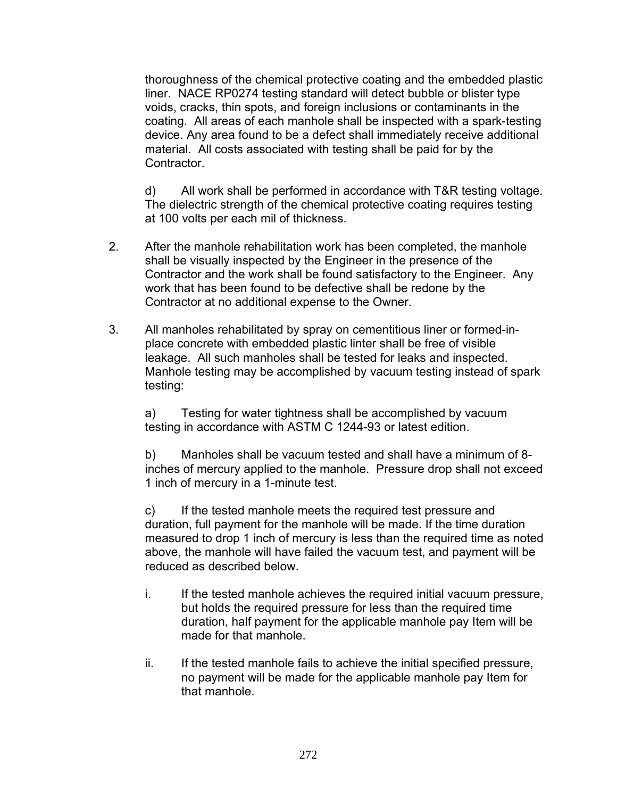thoroughness of the chemical protective coating and the embedded plastic liner. NACE RP0274 testing standard will detect bubble or blister type voids, cracks, thin spots, and foreign inclusions or contaminants in the coating. All areas of each manhole shall be inspected with a spark-testing device. Any area found to be a defect shall immediately receive additional material. All costs associated with testing shall be paid for by the Contractor.

d) All work shall be performed in accordance with T&R testing voltage. The dielectric strength of the chemical protective coating requires testing at 100 volts per each mil of thickness.

- 2. After the manhole rehabilitation work has been completed, the manhole shall be visually inspected by the Engineer in the presence of the Contractor and the work shall be found satisfactory to the Engineer. Any work that has been found to be defective shall be redone by the Contractor at no additional expense to the Owner.
- 3. All manholes rehabilitated by spray on cementitious liner or formed-inplace concrete with embedded plastic linter shall be free of visible leakage. All such manholes shall be tested for leaks and inspected. Manhole testing may be accomplished by vacuum testing instead of spark testing:

a) Testing for water tightness shall be accomplished by vacuum testing in accordance with ASTM C 1244-93 or latest edition.

b) Manholes shall be vacuum tested and shall have a minimum of 8 inches of mercury applied to the manhole. Pressure drop shall not exceed 1 inch of mercury in a 1-minute test.

c) If the tested manhole meets the required test pressure and duration, full payment for the manhole will be made. If the time duration measured to drop 1 inch of mercury is less than the required time as noted above, the manhole will have failed the vacuum test, and payment will be reduced as described below.

- i. If the tested manhole achieves the required initial vacuum pressure, but holds the required pressure for less than the required time duration, half payment for the applicable manhole pay Item will be made for that manhole.
- ii. If the tested manhole fails to achieve the initial specified pressure, no payment will be made for the applicable manhole pay Item for that manhole.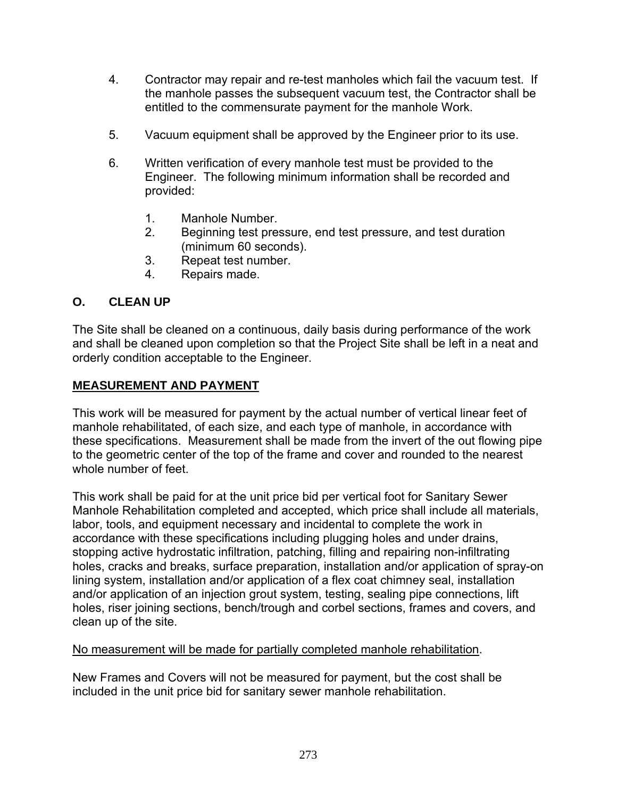- 4. Contractor may repair and re-test manholes which fail the vacuum test. If the manhole passes the subsequent vacuum test, the Contractor shall be entitled to the commensurate payment for the manhole Work.
- 5. Vacuum equipment shall be approved by the Engineer prior to its use.
- 6. Written verification of every manhole test must be provided to the Engineer. The following minimum information shall be recorded and provided:
	- 1. Manhole Number.
	- 2. Beginning test pressure, end test pressure, and test duration (minimum 60 seconds).
	- 3. Repeat test number.
	- 4. Repairs made.

## **O. CLEAN UP**

The Site shall be cleaned on a continuous, daily basis during performance of the work and shall be cleaned upon completion so that the Project Site shall be left in a neat and orderly condition acceptable to the Engineer.

## **MEASUREMENT AND PAYMENT**

This work will be measured for payment by the actual number of vertical linear feet of manhole rehabilitated, of each size, and each type of manhole, in accordance with these specifications. Measurement shall be made from the invert of the out flowing pipe to the geometric center of the top of the frame and cover and rounded to the nearest whole number of feet.

This work shall be paid for at the unit price bid per vertical foot for Sanitary Sewer Manhole Rehabilitation completed and accepted, which price shall include all materials, labor, tools, and equipment necessary and incidental to complete the work in accordance with these specifications including plugging holes and under drains, stopping active hydrostatic infiltration, patching, filling and repairing non-infiltrating holes, cracks and breaks, surface preparation, installation and/or application of spray-on lining system, installation and/or application of a flex coat chimney seal, installation and/or application of an injection grout system, testing, sealing pipe connections, lift holes, riser joining sections, bench/trough and corbel sections, frames and covers, and clean up of the site.

No measurement will be made for partially completed manhole rehabilitation.

New Frames and Covers will not be measured for payment, but the cost shall be included in the unit price bid for sanitary sewer manhole rehabilitation.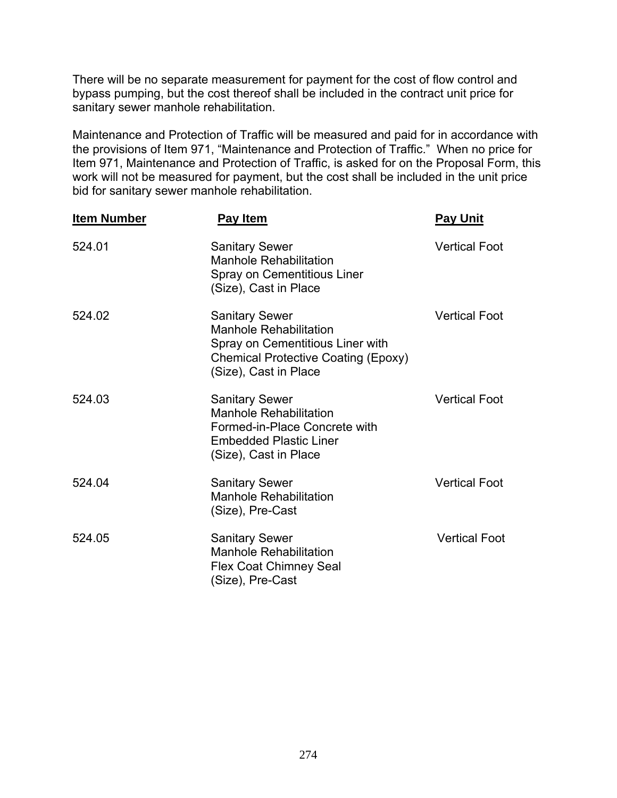There will be no separate measurement for payment for the cost of flow control and bypass pumping, but the cost thereof shall be included in the contract unit price for sanitary sewer manhole rehabilitation.

Maintenance and Protection of Traffic will be measured and paid for in accordance with the provisions of Item 971, "Maintenance and Protection of Traffic." When no price for Item 971, Maintenance and Protection of Traffic, is asked for on the Proposal Form, this work will not be measured for payment, but the cost shall be included in the unit price bid for sanitary sewer manhole rehabilitation.

| <b>Item Number</b> | <b>Pay Item</b>                                                                                                                                                   | <b>Pay Unit</b>      |
|--------------------|-------------------------------------------------------------------------------------------------------------------------------------------------------------------|----------------------|
| 524.01             | <b>Sanitary Sewer</b><br><b>Manhole Rehabilitation</b><br>Spray on Cementitious Liner<br>(Size), Cast in Place                                                    | <b>Vertical Foot</b> |
| 524.02             | <b>Sanitary Sewer</b><br><b>Manhole Rehabilitation</b><br>Spray on Cementitious Liner with<br><b>Chemical Protective Coating (Epoxy)</b><br>(Size), Cast in Place | <b>Vertical Foot</b> |
| 524.03             | <b>Sanitary Sewer</b><br><b>Manhole Rehabilitation</b><br>Formed-in-Place Concrete with<br><b>Embedded Plastic Liner</b><br>(Size), Cast in Place                 | <b>Vertical Foot</b> |
| 524.04             | <b>Sanitary Sewer</b><br><b>Manhole Rehabilitation</b><br>(Size), Pre-Cast                                                                                        | <b>Vertical Foot</b> |
| 524.05             | <b>Sanitary Sewer</b><br><b>Manhole Rehabilitation</b><br><b>Flex Coat Chimney Seal</b><br>(Size), Pre-Cast                                                       | <b>Vertical Foot</b> |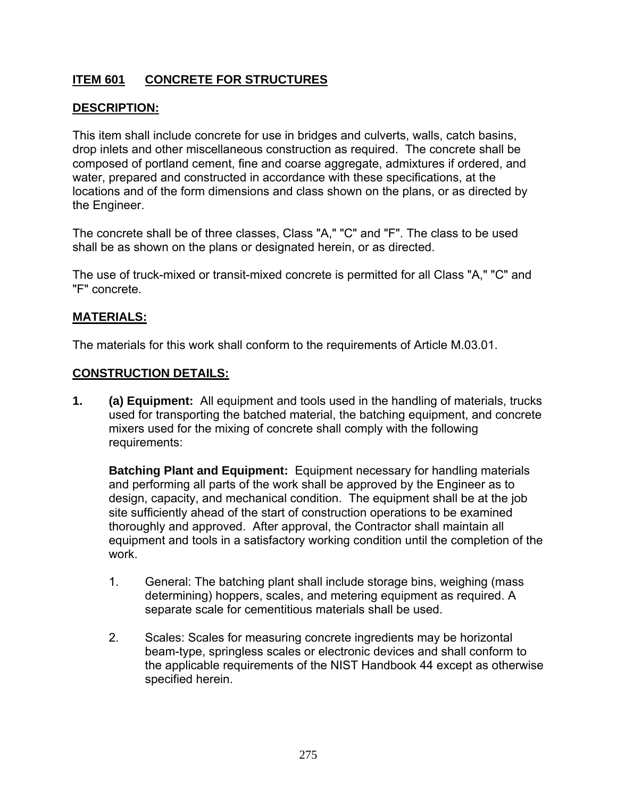# **ITEM 601 CONCRETE FOR STRUCTURES**

## **DESCRIPTION:**

This item shall include concrete for use in bridges and culverts, walls, catch basins, drop inlets and other miscellaneous construction as required. The concrete shall be composed of portland cement, fine and coarse aggregate, admixtures if ordered, and water, prepared and constructed in accordance with these specifications, at the locations and of the form dimensions and class shown on the plans, or as directed by the Engineer.

The concrete shall be of three classes, Class "A," "C" and "F". The class to be used shall be as shown on the plans or designated herein, or as directed.

The use of truck-mixed or transit-mixed concrete is permitted for all Class "A," "C" and "F" concrete.

### **MATERIALS:**

The materials for this work shall conform to the requirements of Article M.03.01.

### **CONSTRUCTION DETAILS:**

**1. (a) Equipment:** All equipment and tools used in the handling of materials, trucks used for transporting the batched material, the batching equipment, and concrete mixers used for the mixing of concrete shall comply with the following requirements:

**Batching Plant and Equipment:** Equipment necessary for handling materials and performing all parts of the work shall be approved by the Engineer as to design, capacity, and mechanical condition. The equipment shall be at the job site sufficiently ahead of the start of construction operations to be examined thoroughly and approved. After approval, the Contractor shall maintain all equipment and tools in a satisfactory working condition until the completion of the work.

- 1. General: The batching plant shall include storage bins, weighing (mass determining) hoppers, scales, and metering equipment as required. A separate scale for cementitious materials shall be used.
- 2. Scales: Scales for measuring concrete ingredients may be horizontal beam-type, springless scales or electronic devices and shall conform to the applicable requirements of the NIST Handbook 44 except as otherwise specified herein.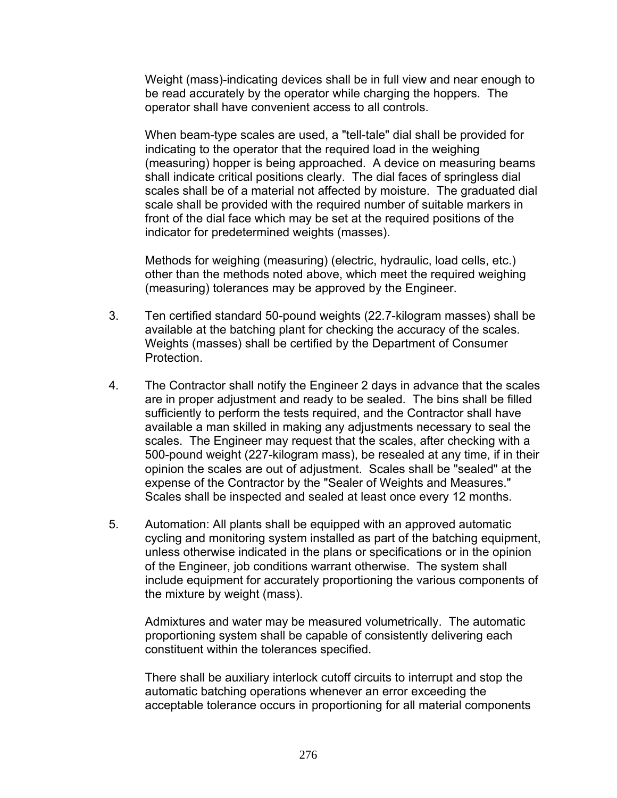Weight (mass)-indicating devices shall be in full view and near enough to be read accurately by the operator while charging the hoppers. The operator shall have convenient access to all controls.

When beam-type scales are used, a "tell-tale" dial shall be provided for indicating to the operator that the required load in the weighing (measuring) hopper is being approached. A device on measuring beams shall indicate critical positions clearly. The dial faces of springless dial scales shall be of a material not affected by moisture. The graduated dial scale shall be provided with the required number of suitable markers in front of the dial face which may be set at the required positions of the indicator for predetermined weights (masses).

Methods for weighing (measuring) (electric, hydraulic, load cells, etc.) other than the methods noted above, which meet the required weighing (measuring) tolerances may be approved by the Engineer.

- 3. Ten certified standard 50-pound weights (22.7-kilogram masses) shall be available at the batching plant for checking the accuracy of the scales. Weights (masses) shall be certified by the Department of Consumer Protection.
- 4. The Contractor shall notify the Engineer 2 days in advance that the scales are in proper adjustment and ready to be sealed. The bins shall be filled sufficiently to perform the tests required, and the Contractor shall have available a man skilled in making any adjustments necessary to seal the scales. The Engineer may request that the scales, after checking with a 500-pound weight (227-kilogram mass), be resealed at any time, if in their opinion the scales are out of adjustment. Scales shall be "sealed" at the expense of the Contractor by the "Sealer of Weights and Measures." Scales shall be inspected and sealed at least once every 12 months.
- 5. Automation: All plants shall be equipped with an approved automatic cycling and monitoring system installed as part of the batching equipment, unless otherwise indicated in the plans or specifications or in the opinion of the Engineer, job conditions warrant otherwise. The system shall include equipment for accurately proportioning the various components of the mixture by weight (mass).

Admixtures and water may be measured volumetrically. The automatic proportioning system shall be capable of consistently delivering each constituent within the tolerances specified.

There shall be auxiliary interlock cutoff circuits to interrupt and stop the automatic batching operations whenever an error exceeding the acceptable tolerance occurs in proportioning for all material components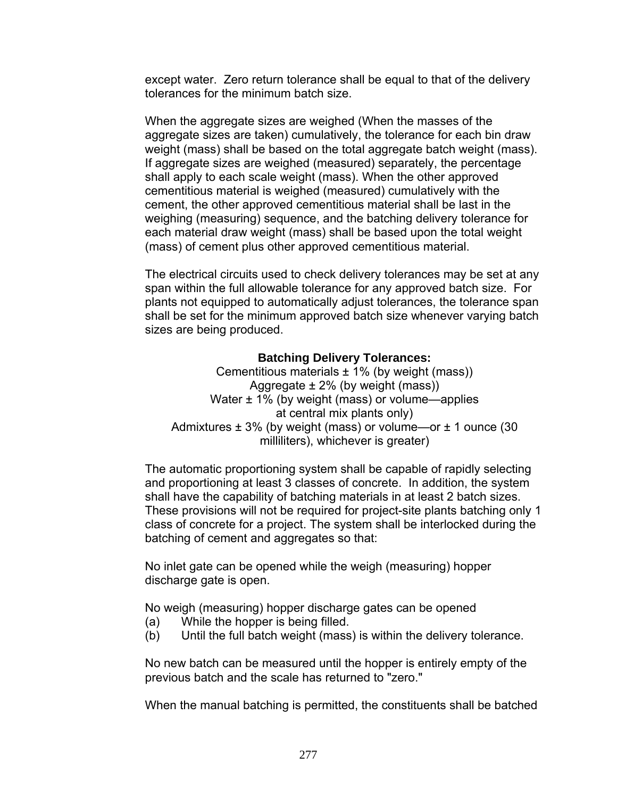except water. Zero return tolerance shall be equal to that of the delivery tolerances for the minimum batch size.

When the aggregate sizes are weighed (When the masses of the aggregate sizes are taken) cumulatively, the tolerance for each bin draw weight (mass) shall be based on the total aggregate batch weight (mass). If aggregate sizes are weighed (measured) separately, the percentage shall apply to each scale weight (mass). When the other approved cementitious material is weighed (measured) cumulatively with the cement, the other approved cementitious material shall be last in the weighing (measuring) sequence, and the batching delivery tolerance for each material draw weight (mass) shall be based upon the total weight (mass) of cement plus other approved cementitious material.

The electrical circuits used to check delivery tolerances may be set at any span within the full allowable tolerance for any approved batch size. For plants not equipped to automatically adjust tolerances, the tolerance span shall be set for the minimum approved batch size whenever varying batch sizes are being produced.

### **Batching Delivery Tolerances:**

Cementitious materials  $\pm$  1% (by weight (mass)) Aggregate  $\pm$  2% (by weight (mass)) Water  $\pm$  1% (by weight (mass) or volume—applies at central mix plants only) Admixtures  $\pm 3$ % (by weight (mass) or volume—or  $\pm 1$  ounce (30 milliliters), whichever is greater)

The automatic proportioning system shall be capable of rapidly selecting and proportioning at least 3 classes of concrete. In addition, the system shall have the capability of batching materials in at least 2 batch sizes. These provisions will not be required for project-site plants batching only 1 class of concrete for a project. The system shall be interlocked during the batching of cement and aggregates so that:

No inlet gate can be opened while the weigh (measuring) hopper discharge gate is open.

No weigh (measuring) hopper discharge gates can be opened

- (a) While the hopper is being filled.
- (b) Until the full batch weight (mass) is within the delivery tolerance.

No new batch can be measured until the hopper is entirely empty of the previous batch and the scale has returned to "zero."

When the manual batching is permitted, the constituents shall be batched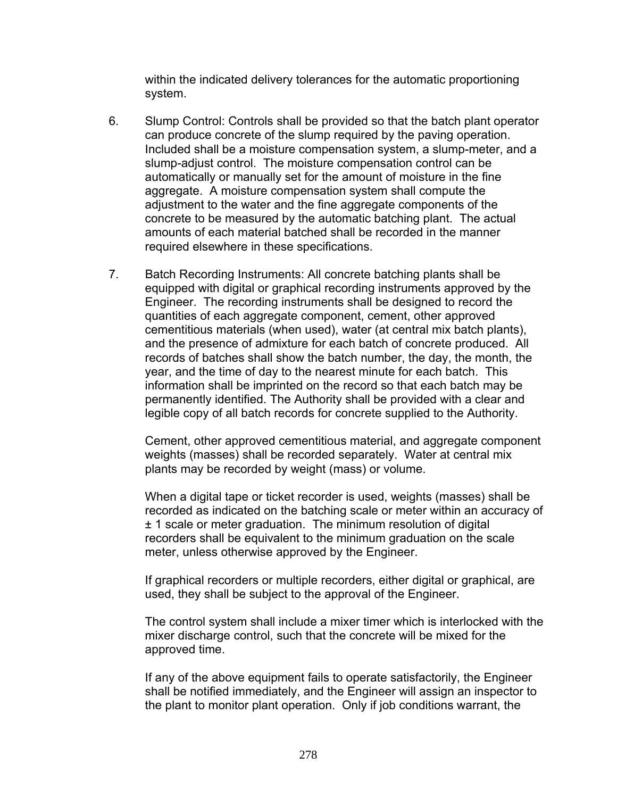within the indicated delivery tolerances for the automatic proportioning system.

- 6. Slump Control: Controls shall be provided so that the batch plant operator can produce concrete of the slump required by the paving operation. Included shall be a moisture compensation system, a slump-meter, and a slump-adjust control. The moisture compensation control can be automatically or manually set for the amount of moisture in the fine aggregate. A moisture compensation system shall compute the adjustment to the water and the fine aggregate components of the concrete to be measured by the automatic batching plant. The actual amounts of each material batched shall be recorded in the manner required elsewhere in these specifications.
- 7. Batch Recording Instruments: All concrete batching plants shall be equipped with digital or graphical recording instruments approved by the Engineer. The recording instruments shall be designed to record the quantities of each aggregate component, cement, other approved cementitious materials (when used), water (at central mix batch plants), and the presence of admixture for each batch of concrete produced. All records of batches shall show the batch number, the day, the month, the year, and the time of day to the nearest minute for each batch. This information shall be imprinted on the record so that each batch may be permanently identified. The Authority shall be provided with a clear and legible copy of all batch records for concrete supplied to the Authority.

Cement, other approved cementitious material, and aggregate component weights (masses) shall be recorded separately. Water at central mix plants may be recorded by weight (mass) or volume.

When a digital tape or ticket recorder is used, weights (masses) shall be recorded as indicated on the batching scale or meter within an accuracy of ± 1 scale or meter graduation. The minimum resolution of digital recorders shall be equivalent to the minimum graduation on the scale meter, unless otherwise approved by the Engineer.

If graphical recorders or multiple recorders, either digital or graphical, are used, they shall be subject to the approval of the Engineer.

The control system shall include a mixer timer which is interlocked with the mixer discharge control, such that the concrete will be mixed for the approved time.

If any of the above equipment fails to operate satisfactorily, the Engineer shall be notified immediately, and the Engineer will assign an inspector to the plant to monitor plant operation. Only if job conditions warrant, the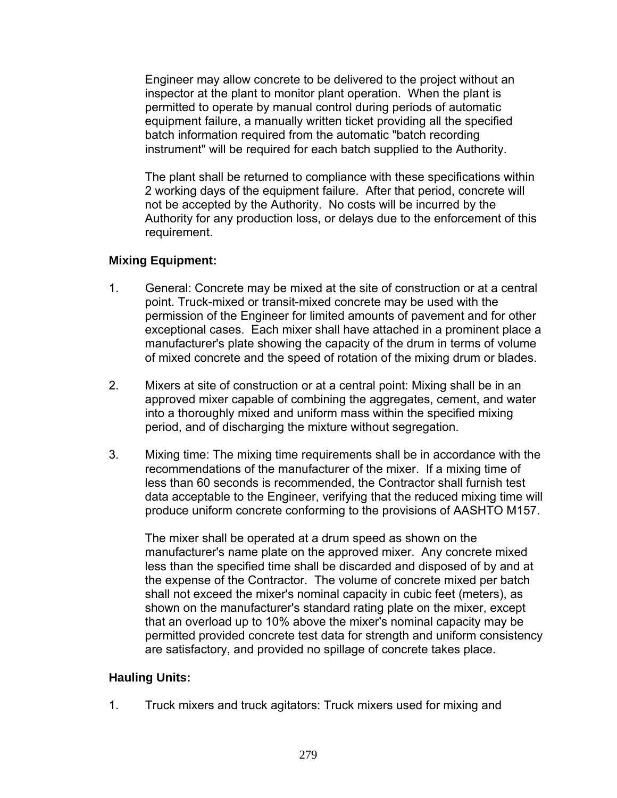Engineer may allow concrete to be delivered to the project without an inspector at the plant to monitor plant operation. When the plant is permitted to operate by manual control during periods of automatic equipment failure, a manually written ticket providing all the specified batch information required from the automatic "batch recording instrument" will be required for each batch supplied to the Authority.

The plant shall be returned to compliance with these specifications within 2 working days of the equipment failure. After that period, concrete will not be accepted by the Authority. No costs will be incurred by the Authority for any production loss, or delays due to the enforcement of this requirement.

# **Mixing Equipment:**

- 1. General: Concrete may be mixed at the site of construction or at a central point. Truck-mixed or transit-mixed concrete may be used with the permission of the Engineer for limited amounts of pavement and for other exceptional cases. Each mixer shall have attached in a prominent place a manufacturer's plate showing the capacity of the drum in terms of volume of mixed concrete and the speed of rotation of the mixing drum or blades.
- 2. Mixers at site of construction or at a central point: Mixing shall be in an approved mixer capable of combining the aggregates, cement, and water into a thoroughly mixed and uniform mass within the specified mixing period, and of discharging the mixture without segregation.
- 3. Mixing time: The mixing time requirements shall be in accordance with the recommendations of the manufacturer of the mixer. If a mixing time of less than 60 seconds is recommended, the Contractor shall furnish test data acceptable to the Engineer, verifying that the reduced mixing time will produce uniform concrete conforming to the provisions of AASHTO M157.

The mixer shall be operated at a drum speed as shown on the manufacturer's name plate on the approved mixer. Any concrete mixed less than the specified time shall be discarded and disposed of by and at the expense of the Contractor. The volume of concrete mixed per batch shall not exceed the mixer's nominal capacity in cubic feet (meters), as shown on the manufacturer's standard rating plate on the mixer, except that an overload up to 10% above the mixer's nominal capacity may be permitted provided concrete test data for strength and uniform consistency are satisfactory, and provided no spillage of concrete takes place.

# **Hauling Units:**

1. Truck mixers and truck agitators: Truck mixers used for mixing and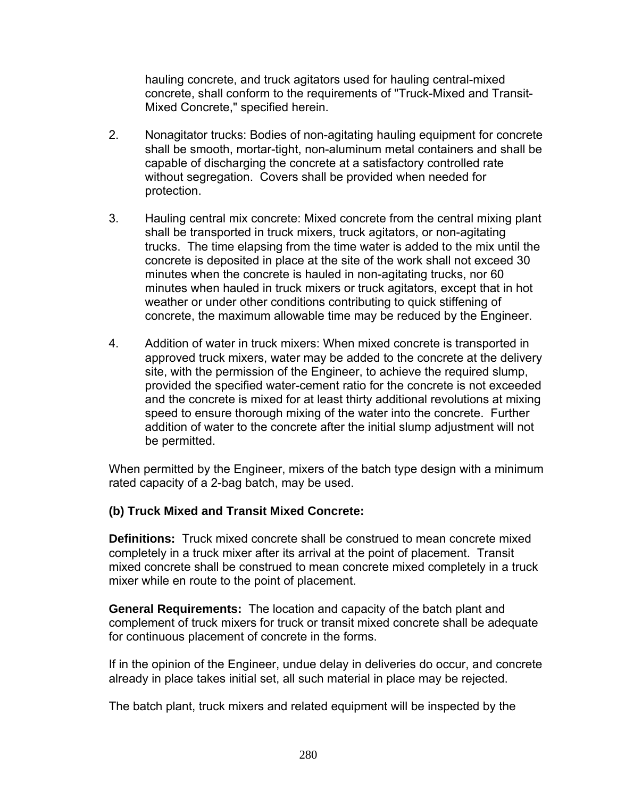hauling concrete, and truck agitators used for hauling central-mixed concrete, shall conform to the requirements of "Truck-Mixed and Transit-Mixed Concrete," specified herein.

- 2. Nonagitator trucks: Bodies of non-agitating hauling equipment for concrete shall be smooth, mortar-tight, non-aluminum metal containers and shall be capable of discharging the concrete at a satisfactory controlled rate without segregation. Covers shall be provided when needed for protection.
- 3. Hauling central mix concrete: Mixed concrete from the central mixing plant shall be transported in truck mixers, truck agitators, or non-agitating trucks. The time elapsing from the time water is added to the mix until the concrete is deposited in place at the site of the work shall not exceed 30 minutes when the concrete is hauled in non-agitating trucks, nor 60 minutes when hauled in truck mixers or truck agitators, except that in hot weather or under other conditions contributing to quick stiffening of concrete, the maximum allowable time may be reduced by the Engineer.
- 4. Addition of water in truck mixers: When mixed concrete is transported in approved truck mixers, water may be added to the concrete at the delivery site, with the permission of the Engineer, to achieve the required slump, provided the specified water-cement ratio for the concrete is not exceeded and the concrete is mixed for at least thirty additional revolutions at mixing speed to ensure thorough mixing of the water into the concrete. Further addition of water to the concrete after the initial slump adjustment will not be permitted.

When permitted by the Engineer, mixers of the batch type design with a minimum rated capacity of a 2-bag batch, may be used.

# **(b) Truck Mixed and Transit Mixed Concrete:**

**Definitions:** Truck mixed concrete shall be construed to mean concrete mixed completely in a truck mixer after its arrival at the point of placement. Transit mixed concrete shall be construed to mean concrete mixed completely in a truck mixer while en route to the point of placement.

**General Requirements:** The location and capacity of the batch plant and complement of truck mixers for truck or transit mixed concrete shall be adequate for continuous placement of concrete in the forms.

If in the opinion of the Engineer, undue delay in deliveries do occur, and concrete already in place takes initial set, all such material in place may be rejected.

The batch plant, truck mixers and related equipment will be inspected by the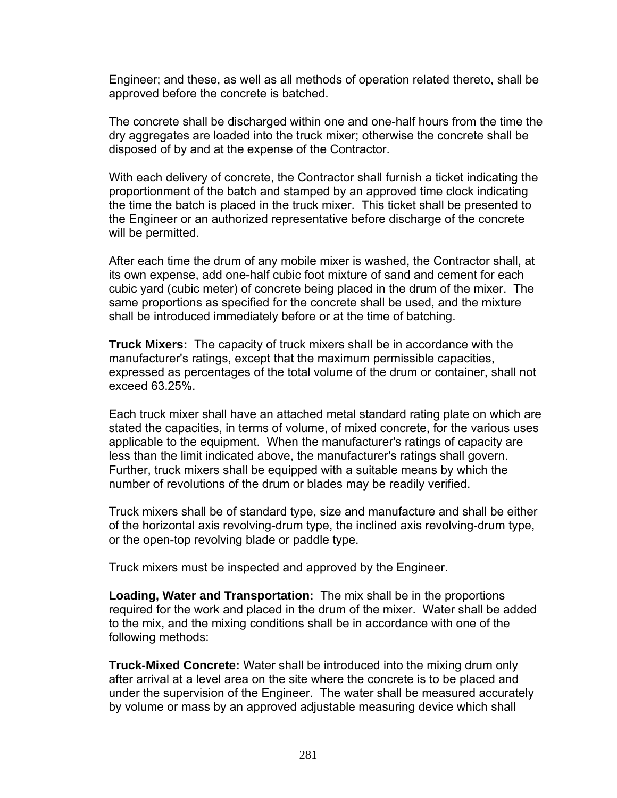Engineer; and these, as well as all methods of operation related thereto, shall be approved before the concrete is batched.

The concrete shall be discharged within one and one-half hours from the time the dry aggregates are loaded into the truck mixer; otherwise the concrete shall be disposed of by and at the expense of the Contractor.

With each delivery of concrete, the Contractor shall furnish a ticket indicating the proportionment of the batch and stamped by an approved time clock indicating the time the batch is placed in the truck mixer. This ticket shall be presented to the Engineer or an authorized representative before discharge of the concrete will be permitted.

After each time the drum of any mobile mixer is washed, the Contractor shall, at its own expense, add one-half cubic foot mixture of sand and cement for each cubic yard (cubic meter) of concrete being placed in the drum of the mixer. The same proportions as specified for the concrete shall be used, and the mixture shall be introduced immediately before or at the time of batching.

**Truck Mixers:** The capacity of truck mixers shall be in accordance with the manufacturer's ratings, except that the maximum permissible capacities, expressed as percentages of the total volume of the drum or container, shall not exceed 63.25%.

Each truck mixer shall have an attached metal standard rating plate on which are stated the capacities, in terms of volume, of mixed concrete, for the various uses applicable to the equipment. When the manufacturer's ratings of capacity are less than the limit indicated above, the manufacturer's ratings shall govern. Further, truck mixers shall be equipped with a suitable means by which the number of revolutions of the drum or blades may be readily verified.

Truck mixers shall be of standard type, size and manufacture and shall be either of the horizontal axis revolving-drum type, the inclined axis revolving-drum type, or the open-top revolving blade or paddle type.

Truck mixers must be inspected and approved by the Engineer.

**Loading, Water and Transportation:** The mix shall be in the proportions required for the work and placed in the drum of the mixer. Water shall be added to the mix, and the mixing conditions shall be in accordance with one of the following methods:

**Truck-Mixed Concrete:** Water shall be introduced into the mixing drum only after arrival at a level area on the site where the concrete is to be placed and under the supervision of the Engineer. The water shall be measured accurately by volume or mass by an approved adjustable measuring device which shall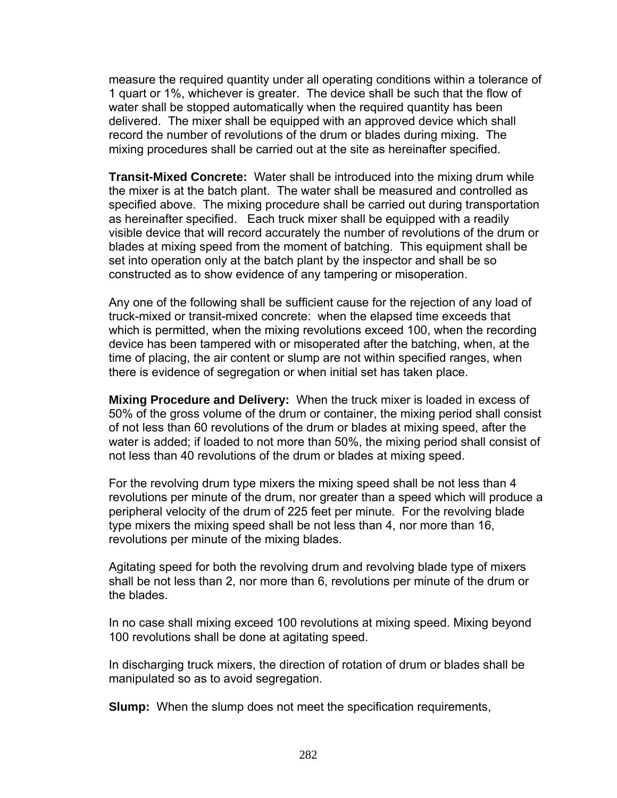measure the required quantity under all operating conditions within a tolerance of 1 quart or 1%, whichever is greater. The device shall be such that the flow of water shall be stopped automatically when the required quantity has been delivered. The mixer shall be equipped with an approved device which shall record the number of revolutions of the drum or blades during mixing. The mixing procedures shall be carried out at the site as hereinafter specified.

**Transit-Mixed Concrete:** Water shall be introduced into the mixing drum while the mixer is at the batch plant. The water shall be measured and controlled as specified above. The mixing procedure shall be carried out during transportation as hereinafter specified. Each truck mixer shall be equipped with a readily visible device that will record accurately the number of revolutions of the drum or blades at mixing speed from the moment of batching. This equipment shall be set into operation only at the batch plant by the inspector and shall be so constructed as to show evidence of any tampering or misoperation.

Any one of the following shall be sufficient cause for the rejection of any load of truck-mixed or transit-mixed concrete: when the elapsed time exceeds that which is permitted, when the mixing revolutions exceed 100, when the recording device has been tampered with or misoperated after the batching, when, at the time of placing, the air content or slump are not within specified ranges, when there is evidence of segregation or when initial set has taken place.

**Mixing Procedure and Delivery:** When the truck mixer is loaded in excess of 50% of the gross volume of the drum or container, the mixing period shall consist of not less than 60 revolutions of the drum or blades at mixing speed, after the water is added; if loaded to not more than 50%, the mixing period shall consist of not less than 40 revolutions of the drum or blades at mixing speed.

For the revolving drum type mixers the mixing speed shall be not less than 4 revolutions per minute of the drum, nor greater than a speed which will produce a peripheral velocity of the drum of 225 feet per minute. For the revolving blade type mixers the mixing speed shall be not less than 4, nor more than 16, revolutions per minute of the mixing blades.

Agitating speed for both the revolving drum and revolving blade type of mixers shall be not less than 2, nor more than 6, revolutions per minute of the drum or the blades.

In no case shall mixing exceed 100 revolutions at mixing speed. Mixing beyond 100 revolutions shall be done at agitating speed.

In discharging truck mixers, the direction of rotation of drum or blades shall be manipulated so as to avoid segregation.

**Slump:** When the slump does not meet the specification requirements,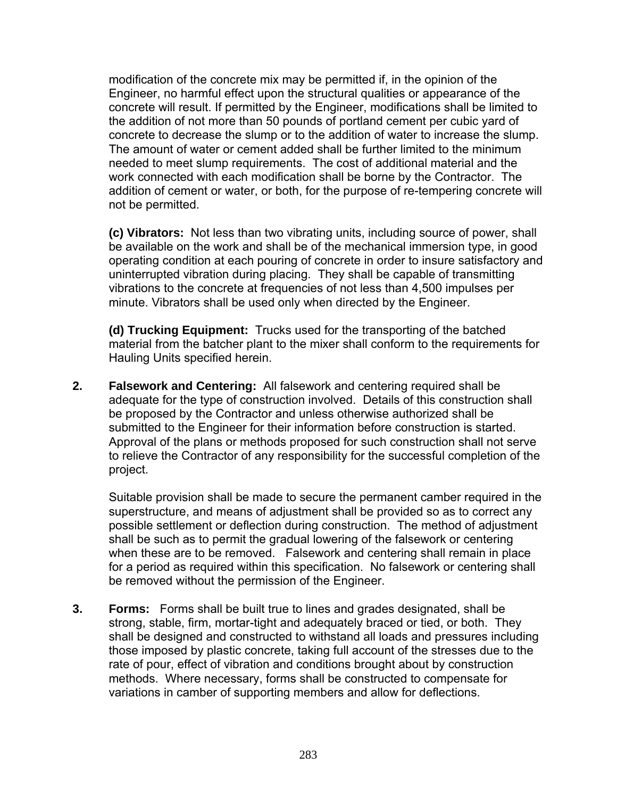modification of the concrete mix may be permitted if, in the opinion of the Engineer, no harmful effect upon the structural qualities or appearance of the concrete will result. If permitted by the Engineer, modifications shall be limited to the addition of not more than 50 pounds of portland cement per cubic yard of concrete to decrease the slump or to the addition of water to increase the slump. The amount of water or cement added shall be further limited to the minimum needed to meet slump requirements. The cost of additional material and the work connected with each modification shall be borne by the Contractor. The addition of cement or water, or both, for the purpose of re-tempering concrete will not be permitted.

**(c) Vibrators:** Not less than two vibrating units, including source of power, shall be available on the work and shall be of the mechanical immersion type, in good operating condition at each pouring of concrete in order to insure satisfactory and uninterrupted vibration during placing. They shall be capable of transmitting vibrations to the concrete at frequencies of not less than 4,500 impulses per minute. Vibrators shall be used only when directed by the Engineer.

**(d) Trucking Equipment:** Trucks used for the transporting of the batched material from the batcher plant to the mixer shall conform to the requirements for Hauling Units specified herein.

**2. Falsework and Centering:** All falsework and centering required shall be adequate for the type of construction involved. Details of this construction shall be proposed by the Contractor and unless otherwise authorized shall be submitted to the Engineer for their information before construction is started. Approval of the plans or methods proposed for such construction shall not serve to relieve the Contractor of any responsibility for the successful completion of the project.

Suitable provision shall be made to secure the permanent camber required in the superstructure, and means of adjustment shall be provided so as to correct any possible settlement or deflection during construction. The method of adjustment shall be such as to permit the gradual lowering of the falsework or centering when these are to be removed. Falsework and centering shall remain in place for a period as required within this specification. No falsework or centering shall be removed without the permission of the Engineer.

**3. Forms:** Forms shall be built true to lines and grades designated, shall be strong, stable, firm, mortar-tight and adequately braced or tied, or both. They shall be designed and constructed to withstand all loads and pressures including those imposed by plastic concrete, taking full account of the stresses due to the rate of pour, effect of vibration and conditions brought about by construction methods. Where necessary, forms shall be constructed to compensate for variations in camber of supporting members and allow for deflections.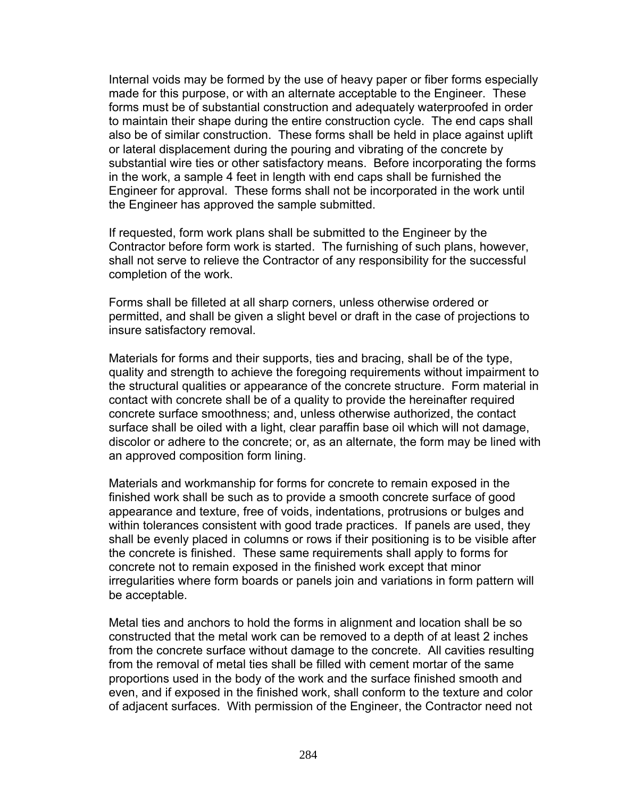Internal voids may be formed by the use of heavy paper or fiber forms especially made for this purpose, or with an alternate acceptable to the Engineer. These forms must be of substantial construction and adequately waterproofed in order to maintain their shape during the entire construction cycle. The end caps shall also be of similar construction. These forms shall be held in place against uplift or lateral displacement during the pouring and vibrating of the concrete by substantial wire ties or other satisfactory means. Before incorporating the forms in the work, a sample 4 feet in length with end caps shall be furnished the Engineer for approval. These forms shall not be incorporated in the work until the Engineer has approved the sample submitted.

If requested, form work plans shall be submitted to the Engineer by the Contractor before form work is started. The furnishing of such plans, however, shall not serve to relieve the Contractor of any responsibility for the successful completion of the work.

Forms shall be filleted at all sharp corners, unless otherwise ordered or permitted, and shall be given a slight bevel or draft in the case of projections to insure satisfactory removal.

Materials for forms and their supports, ties and bracing, shall be of the type, quality and strength to achieve the foregoing requirements without impairment to the structural qualities or appearance of the concrete structure. Form material in contact with concrete shall be of a quality to provide the hereinafter required concrete surface smoothness; and, unless otherwise authorized, the contact surface shall be oiled with a light, clear paraffin base oil which will not damage, discolor or adhere to the concrete; or, as an alternate, the form may be lined with an approved composition form lining.

Materials and workmanship for forms for concrete to remain exposed in the finished work shall be such as to provide a smooth concrete surface of good appearance and texture, free of voids, indentations, protrusions or bulges and within tolerances consistent with good trade practices. If panels are used, they shall be evenly placed in columns or rows if their positioning is to be visible after the concrete is finished. These same requirements shall apply to forms for concrete not to remain exposed in the finished work except that minor irregularities where form boards or panels join and variations in form pattern will be acceptable.

Metal ties and anchors to hold the forms in alignment and location shall be so constructed that the metal work can be removed to a depth of at least 2 inches from the concrete surface without damage to the concrete. All cavities resulting from the removal of metal ties shall be filled with cement mortar of the same proportions used in the body of the work and the surface finished smooth and even, and if exposed in the finished work, shall conform to the texture and color of adjacent surfaces. With permission of the Engineer, the Contractor need not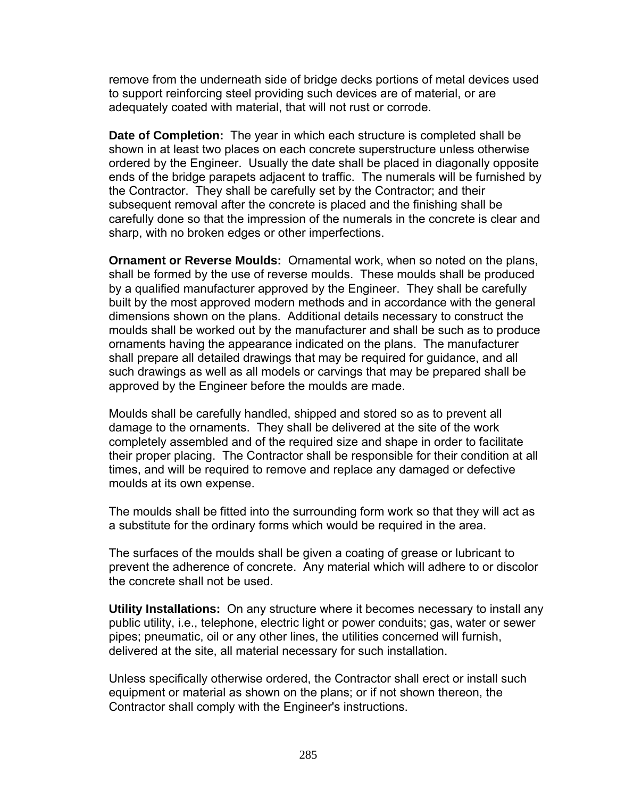remove from the underneath side of bridge decks portions of metal devices used to support reinforcing steel providing such devices are of material, or are adequately coated with material, that will not rust or corrode.

**Date of Completion:** The year in which each structure is completed shall be shown in at least two places on each concrete superstructure unless otherwise ordered by the Engineer. Usually the date shall be placed in diagonally opposite ends of the bridge parapets adjacent to traffic. The numerals will be furnished by the Contractor. They shall be carefully set by the Contractor; and their subsequent removal after the concrete is placed and the finishing shall be carefully done so that the impression of the numerals in the concrete is clear and sharp, with no broken edges or other imperfections.

**Ornament or Reverse Moulds:** Ornamental work, when so noted on the plans, shall be formed by the use of reverse moulds. These moulds shall be produced by a qualified manufacturer approved by the Engineer. They shall be carefully built by the most approved modern methods and in accordance with the general dimensions shown on the plans. Additional details necessary to construct the moulds shall be worked out by the manufacturer and shall be such as to produce ornaments having the appearance indicated on the plans. The manufacturer shall prepare all detailed drawings that may be required for guidance, and all such drawings as well as all models or carvings that may be prepared shall be approved by the Engineer before the moulds are made.

Moulds shall be carefully handled, shipped and stored so as to prevent all damage to the ornaments. They shall be delivered at the site of the work completely assembled and of the required size and shape in order to facilitate their proper placing. The Contractor shall be responsible for their condition at all times, and will be required to remove and replace any damaged or defective moulds at its own expense.

The moulds shall be fitted into the surrounding form work so that they will act as a substitute for the ordinary forms which would be required in the area.

The surfaces of the moulds shall be given a coating of grease or lubricant to prevent the adherence of concrete. Any material which will adhere to or discolor the concrete shall not be used.

**Utility Installations:** On any structure where it becomes necessary to install any public utility, i.e., telephone, electric light or power conduits; gas, water or sewer pipes; pneumatic, oil or any other lines, the utilities concerned will furnish, delivered at the site, all material necessary for such installation.

Unless specifically otherwise ordered, the Contractor shall erect or install such equipment or material as shown on the plans; or if not shown thereon, the Contractor shall comply with the Engineer's instructions.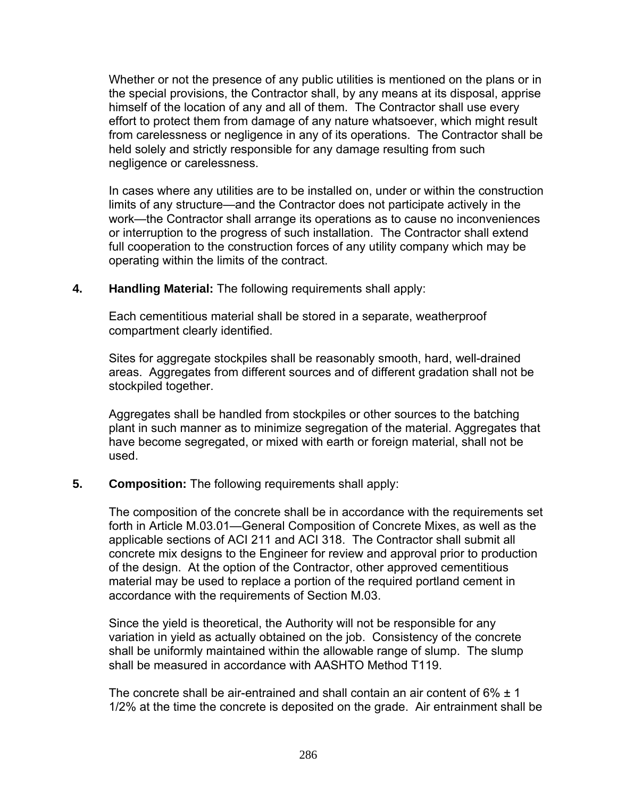Whether or not the presence of any public utilities is mentioned on the plans or in the special provisions, the Contractor shall, by any means at its disposal, apprise himself of the location of any and all of them. The Contractor shall use every effort to protect them from damage of any nature whatsoever, which might result from carelessness or negligence in any of its operations. The Contractor shall be held solely and strictly responsible for any damage resulting from such negligence or carelessness.

In cases where any utilities are to be installed on, under or within the construction limits of any structure—and the Contractor does not participate actively in the work—the Contractor shall arrange its operations as to cause no inconveniences or interruption to the progress of such installation. The Contractor shall extend full cooperation to the construction forces of any utility company which may be operating within the limits of the contract.

### **4. Handling Material:** The following requirements shall apply:

Each cementitious material shall be stored in a separate, weatherproof compartment clearly identified.

Sites for aggregate stockpiles shall be reasonably smooth, hard, well-drained areas. Aggregates from different sources and of different gradation shall not be stockpiled together.

Aggregates shall be handled from stockpiles or other sources to the batching plant in such manner as to minimize segregation of the material. Aggregates that have become segregated, or mixed with earth or foreign material, shall not be used.

### **5. Composition:** The following requirements shall apply:

The composition of the concrete shall be in accordance with the requirements set forth in Article M.03.01—General Composition of Concrete Mixes, as well as the applicable sections of ACI 211 and ACI 318. The Contractor shall submit all concrete mix designs to the Engineer for review and approval prior to production of the design. At the option of the Contractor, other approved cementitious material may be used to replace a portion of the required portland cement in accordance with the requirements of Section M.03.

Since the yield is theoretical, the Authority will not be responsible for any variation in yield as actually obtained on the job. Consistency of the concrete shall be uniformly maintained within the allowable range of slump. The slump shall be measured in accordance with AASHTO Method T119.

The concrete shall be air-entrained and shall contain an air content of  $6\% \pm 1$ 1/2% at the time the concrete is deposited on the grade. Air entrainment shall be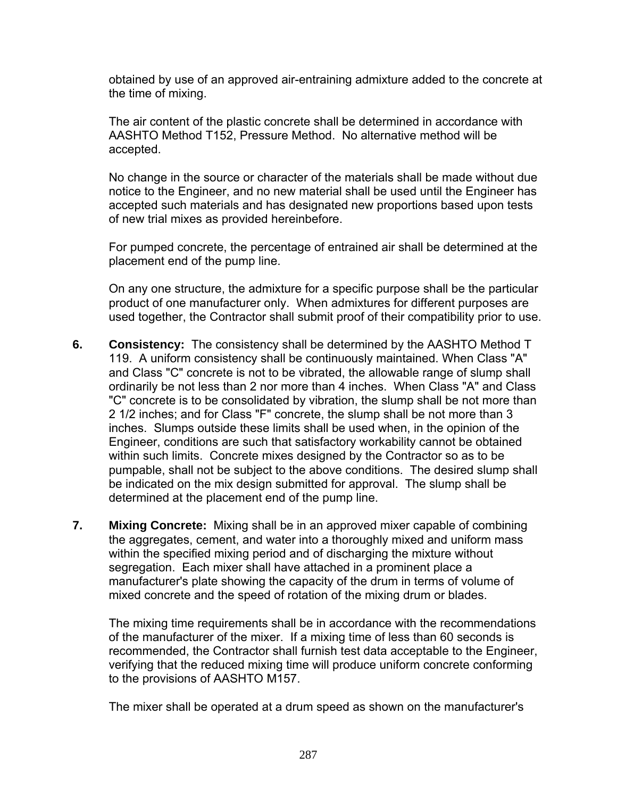obtained by use of an approved air-entraining admixture added to the concrete at the time of mixing.

The air content of the plastic concrete shall be determined in accordance with AASHTO Method T152, Pressure Method. No alternative method will be accepted.

No change in the source or character of the materials shall be made without due notice to the Engineer, and no new material shall be used until the Engineer has accepted such materials and has designated new proportions based upon tests of new trial mixes as provided hereinbefore.

 For pumped concrete, the percentage of entrained air shall be determined at the placement end of the pump line.

On any one structure, the admixture for a specific purpose shall be the particular product of one manufacturer only. When admixtures for different purposes are used together, the Contractor shall submit proof of their compatibility prior to use.

- **6. Consistency:** The consistency shall be determined by the AASHTO Method T 119. A uniform consistency shall be continuously maintained. When Class "A" and Class "C" concrete is not to be vibrated, the allowable range of slump shall ordinarily be not less than 2 nor more than 4 inches. When Class "A" and Class "C" concrete is to be consolidated by vibration, the slump shall be not more than 2 1/2 inches; and for Class "F" concrete, the slump shall be not more than 3 inches. Slumps outside these limits shall be used when, in the opinion of the Engineer, conditions are such that satisfactory workability cannot be obtained within such limits. Concrete mixes designed by the Contractor so as to be pumpable, shall not be subject to the above conditions. The desired slump shall be indicated on the mix design submitted for approval. The slump shall be determined at the placement end of the pump line.
- **7. Mixing Concrete:** Mixing shall be in an approved mixer capable of combining the aggregates, cement, and water into a thoroughly mixed and uniform mass within the specified mixing period and of discharging the mixture without segregation. Each mixer shall have attached in a prominent place a manufacturer's plate showing the capacity of the drum in terms of volume of mixed concrete and the speed of rotation of the mixing drum or blades.

The mixing time requirements shall be in accordance with the recommendations of the manufacturer of the mixer. If a mixing time of less than 60 seconds is recommended, the Contractor shall furnish test data acceptable to the Engineer, verifying that the reduced mixing time will produce uniform concrete conforming to the provisions of AASHTO M157.

The mixer shall be operated at a drum speed as shown on the manufacturer's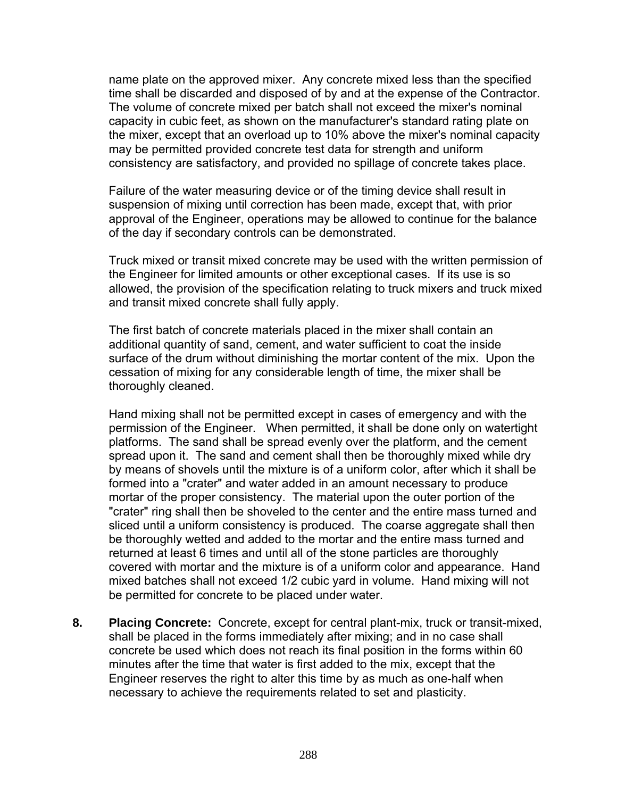name plate on the approved mixer. Any concrete mixed less than the specified time shall be discarded and disposed of by and at the expense of the Contractor. The volume of concrete mixed per batch shall not exceed the mixer's nominal capacity in cubic feet, as shown on the manufacturer's standard rating plate on the mixer, except that an overload up to 10% above the mixer's nominal capacity may be permitted provided concrete test data for strength and uniform consistency are satisfactory, and provided no spillage of concrete takes place.

Failure of the water measuring device or of the timing device shall result in suspension of mixing until correction has been made, except that, with prior approval of the Engineer, operations may be allowed to continue for the balance of the day if secondary controls can be demonstrated.

Truck mixed or transit mixed concrete may be used with the written permission of the Engineer for limited amounts or other exceptional cases. If its use is so allowed, the provision of the specification relating to truck mixers and truck mixed and transit mixed concrete shall fully apply.

The first batch of concrete materials placed in the mixer shall contain an additional quantity of sand, cement, and water sufficient to coat the inside surface of the drum without diminishing the mortar content of the mix. Upon the cessation of mixing for any considerable length of time, the mixer shall be thoroughly cleaned.

Hand mixing shall not be permitted except in cases of emergency and with the permission of the Engineer. When permitted, it shall be done only on watertight platforms. The sand shall be spread evenly over the platform, and the cement spread upon it. The sand and cement shall then be thoroughly mixed while dry by means of shovels until the mixture is of a uniform color, after which it shall be formed into a "crater" and water added in an amount necessary to produce mortar of the proper consistency. The material upon the outer portion of the "crater" ring shall then be shoveled to the center and the entire mass turned and sliced until a uniform consistency is produced. The coarse aggregate shall then be thoroughly wetted and added to the mortar and the entire mass turned and returned at least 6 times and until all of the stone particles are thoroughly covered with mortar and the mixture is of a uniform color and appearance. Hand mixed batches shall not exceed 1/2 cubic yard in volume. Hand mixing will not be permitted for concrete to be placed under water.

**8. Placing Concrete:** Concrete, except for central plant-mix, truck or transit-mixed, shall be placed in the forms immediately after mixing; and in no case shall concrete be used which does not reach its final position in the forms within 60 minutes after the time that water is first added to the mix, except that the Engineer reserves the right to alter this time by as much as one-half when necessary to achieve the requirements related to set and plasticity.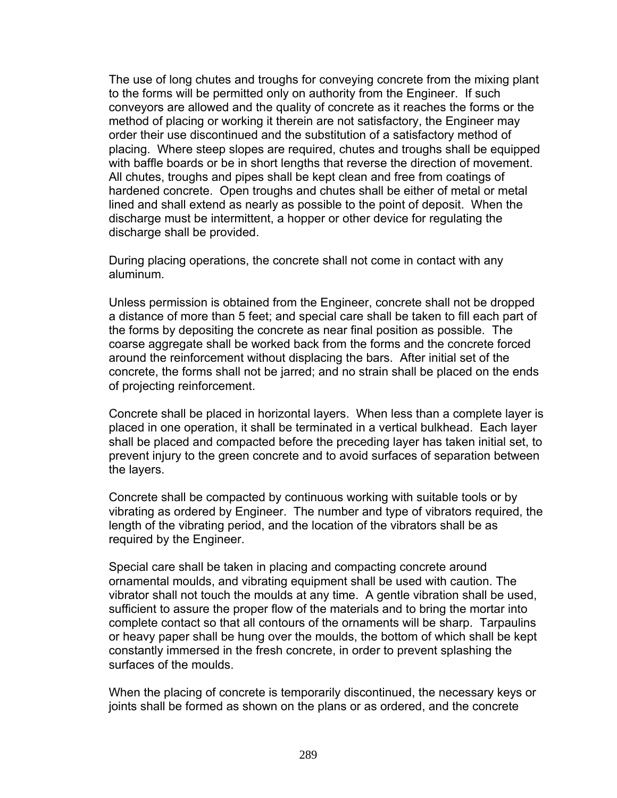The use of long chutes and troughs for conveying concrete from the mixing plant to the forms will be permitted only on authority from the Engineer. If such conveyors are allowed and the quality of concrete as it reaches the forms or the method of placing or working it therein are not satisfactory, the Engineer may order their use discontinued and the substitution of a satisfactory method of placing. Where steep slopes are required, chutes and troughs shall be equipped with baffle boards or be in short lengths that reverse the direction of movement. All chutes, troughs and pipes shall be kept clean and free from coatings of hardened concrete. Open troughs and chutes shall be either of metal or metal lined and shall extend as nearly as possible to the point of deposit. When the discharge must be intermittent, a hopper or other device for regulating the discharge shall be provided.

During placing operations, the concrete shall not come in contact with any aluminum.

Unless permission is obtained from the Engineer, concrete shall not be dropped a distance of more than 5 feet; and special care shall be taken to fill each part of the forms by depositing the concrete as near final position as possible. The coarse aggregate shall be worked back from the forms and the concrete forced around the reinforcement without displacing the bars. After initial set of the concrete, the forms shall not be jarred; and no strain shall be placed on the ends of projecting reinforcement.

Concrete shall be placed in horizontal layers. When less than a complete layer is placed in one operation, it shall be terminated in a vertical bulkhead. Each layer shall be placed and compacted before the preceding layer has taken initial set, to prevent injury to the green concrete and to avoid surfaces of separation between the layers.

Concrete shall be compacted by continuous working with suitable tools or by vibrating as ordered by Engineer. The number and type of vibrators required, the length of the vibrating period, and the location of the vibrators shall be as required by the Engineer.

Special care shall be taken in placing and compacting concrete around ornamental moulds, and vibrating equipment shall be used with caution. The vibrator shall not touch the moulds at any time. A gentle vibration shall be used, sufficient to assure the proper flow of the materials and to bring the mortar into complete contact so that all contours of the ornaments will be sharp. Tarpaulins or heavy paper shall be hung over the moulds, the bottom of which shall be kept constantly immersed in the fresh concrete, in order to prevent splashing the surfaces of the moulds.

When the placing of concrete is temporarily discontinued, the necessary keys or joints shall be formed as shown on the plans or as ordered, and the concrete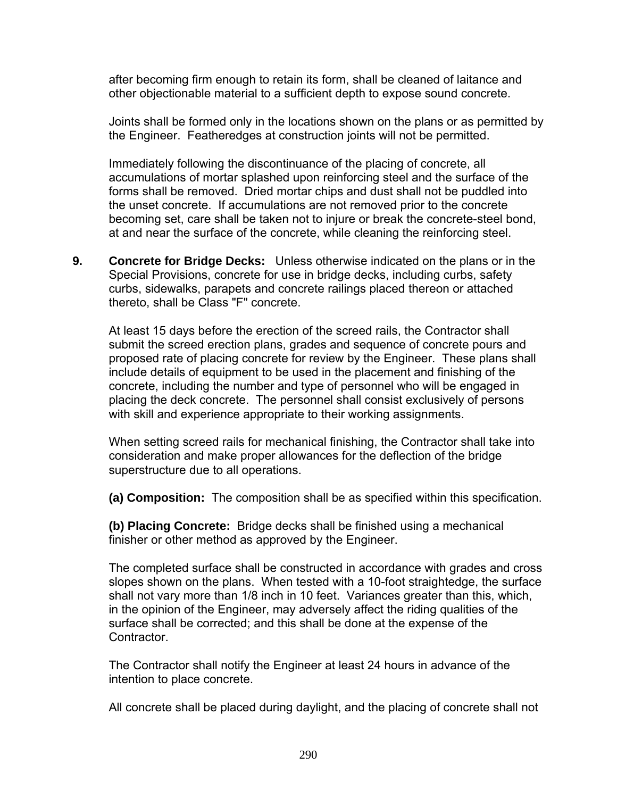after becoming firm enough to retain its form, shall be cleaned of laitance and other objectionable material to a sufficient depth to expose sound concrete.

Joints shall be formed only in the locations shown on the plans or as permitted by the Engineer. Featheredges at construction joints will not be permitted.

Immediately following the discontinuance of the placing of concrete, all accumulations of mortar splashed upon reinforcing steel and the surface of the forms shall be removed. Dried mortar chips and dust shall not be puddled into the unset concrete. If accumulations are not removed prior to the concrete becoming set, care shall be taken not to injure or break the concrete-steel bond, at and near the surface of the concrete, while cleaning the reinforcing steel.

**9. Concrete for Bridge Decks:** Unless otherwise indicated on the plans or in the Special Provisions, concrete for use in bridge decks, including curbs, safety curbs, sidewalks, parapets and concrete railings placed thereon or attached thereto, shall be Class "F" concrete.

At least 15 days before the erection of the screed rails, the Contractor shall submit the screed erection plans, grades and sequence of concrete pours and proposed rate of placing concrete for review by the Engineer. These plans shall include details of equipment to be used in the placement and finishing of the concrete, including the number and type of personnel who will be engaged in placing the deck concrete. The personnel shall consist exclusively of persons with skill and experience appropriate to their working assignments.

When setting screed rails for mechanical finishing, the Contractor shall take into consideration and make proper allowances for the deflection of the bridge superstructure due to all operations.

**(a) Composition:** The composition shall be as specified within this specification.

**(b) Placing Concrete:** Bridge decks shall be finished using a mechanical finisher or other method as approved by the Engineer.

The completed surface shall be constructed in accordance with grades and cross slopes shown on the plans. When tested with a 10-foot straightedge, the surface shall not vary more than 1/8 inch in 10 feet. Variances greater than this, which, in the opinion of the Engineer, may adversely affect the riding qualities of the surface shall be corrected; and this shall be done at the expense of the Contractor.

The Contractor shall notify the Engineer at least 24 hours in advance of the intention to place concrete.

All concrete shall be placed during daylight, and the placing of concrete shall not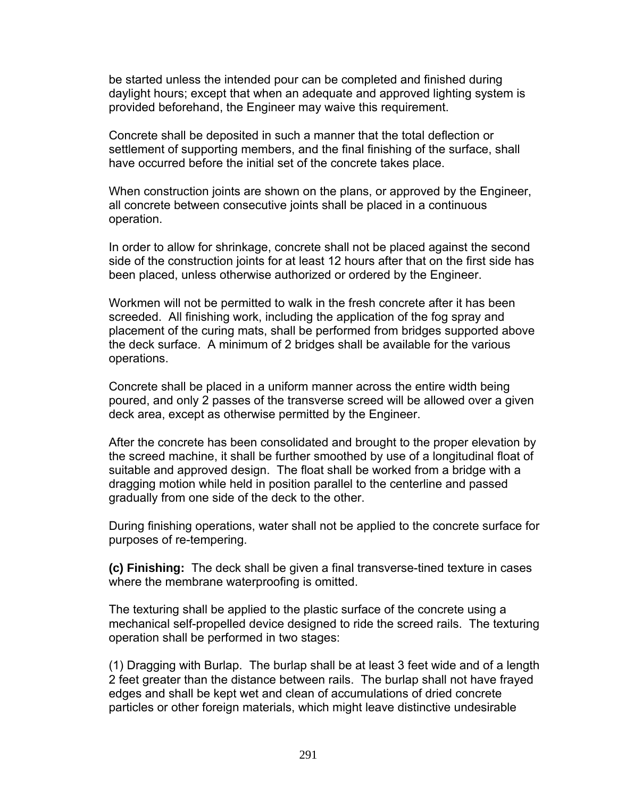be started unless the intended pour can be completed and finished during daylight hours; except that when an adequate and approved lighting system is provided beforehand, the Engineer may waive this requirement.

Concrete shall be deposited in such a manner that the total deflection or settlement of supporting members, and the final finishing of the surface, shall have occurred before the initial set of the concrete takes place.

When construction joints are shown on the plans, or approved by the Engineer, all concrete between consecutive joints shall be placed in a continuous operation.

In order to allow for shrinkage, concrete shall not be placed against the second side of the construction joints for at least 12 hours after that on the first side has been placed, unless otherwise authorized or ordered by the Engineer.

Workmen will not be permitted to walk in the fresh concrete after it has been screeded. All finishing work, including the application of the fog spray and placement of the curing mats, shall be performed from bridges supported above the deck surface. A minimum of 2 bridges shall be available for the various operations.

Concrete shall be placed in a uniform manner across the entire width being poured, and only 2 passes of the transverse screed will be allowed over a given deck area, except as otherwise permitted by the Engineer.

After the concrete has been consolidated and brought to the proper elevation by the screed machine, it shall be further smoothed by use of a longitudinal float of suitable and approved design. The float shall be worked from a bridge with a dragging motion while held in position parallel to the centerline and passed gradually from one side of the deck to the other.

During finishing operations, water shall not be applied to the concrete surface for purposes of re-tempering.

**(c) Finishing:** The deck shall be given a final transverse-tined texture in cases where the membrane waterproofing is omitted.

The texturing shall be applied to the plastic surface of the concrete using a mechanical self-propelled device designed to ride the screed rails. The texturing operation shall be performed in two stages:

(1) Dragging with Burlap. The burlap shall be at least 3 feet wide and of a length 2 feet greater than the distance between rails. The burlap shall not have frayed edges and shall be kept wet and clean of accumulations of dried concrete particles or other foreign materials, which might leave distinctive undesirable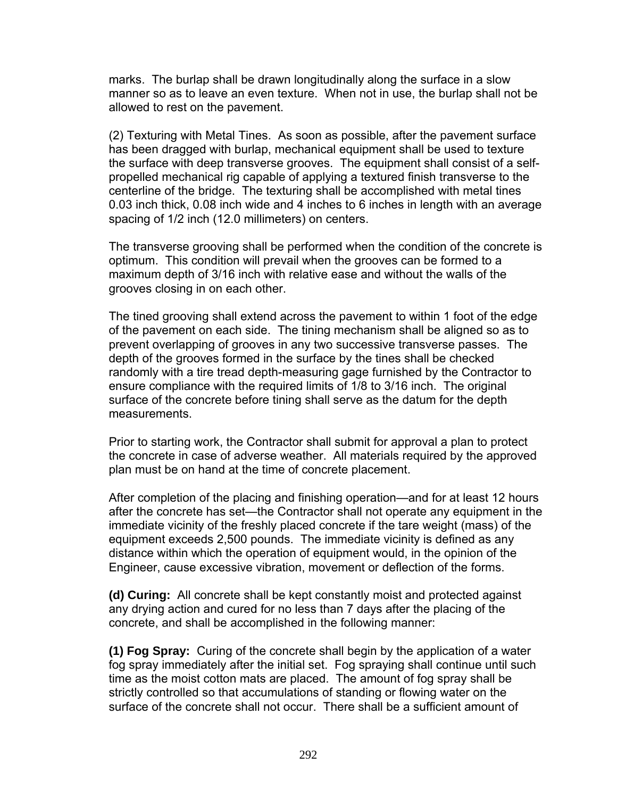marks. The burlap shall be drawn longitudinally along the surface in a slow manner so as to leave an even texture. When not in use, the burlap shall not be allowed to rest on the pavement.

(2) Texturing with Metal Tines. As soon as possible, after the pavement surface has been dragged with burlap, mechanical equipment shall be used to texture the surface with deep transverse grooves. The equipment shall consist of a selfpropelled mechanical rig capable of applying a textured finish transverse to the centerline of the bridge. The texturing shall be accomplished with metal tines 0.03 inch thick, 0.08 inch wide and 4 inches to 6 inches in length with an average spacing of 1/2 inch (12.0 millimeters) on centers.

The transverse grooving shall be performed when the condition of the concrete is optimum. This condition will prevail when the grooves can be formed to a maximum depth of 3/16 inch with relative ease and without the walls of the grooves closing in on each other.

The tined grooving shall extend across the pavement to within 1 foot of the edge of the pavement on each side. The tining mechanism shall be aligned so as to prevent overlapping of grooves in any two successive transverse passes. The depth of the grooves formed in the surface by the tines shall be checked randomly with a tire tread depth-measuring gage furnished by the Contractor to ensure compliance with the required limits of 1/8 to 3/16 inch. The original surface of the concrete before tining shall serve as the datum for the depth measurements.

Prior to starting work, the Contractor shall submit for approval a plan to protect the concrete in case of adverse weather. All materials required by the approved plan must be on hand at the time of concrete placement.

After completion of the placing and finishing operation—and for at least 12 hours after the concrete has set—the Contractor shall not operate any equipment in the immediate vicinity of the freshly placed concrete if the tare weight (mass) of the equipment exceeds 2,500 pounds. The immediate vicinity is defined as any distance within which the operation of equipment would, in the opinion of the Engineer, cause excessive vibration, movement or deflection of the forms.

**(d) Curing:** All concrete shall be kept constantly moist and protected against any drying action and cured for no less than 7 days after the placing of the concrete, and shall be accomplished in the following manner:

**(1) Fog Spray:** Curing of the concrete shall begin by the application of a water fog spray immediately after the initial set. Fog spraying shall continue until such time as the moist cotton mats are placed. The amount of fog spray shall be strictly controlled so that accumulations of standing or flowing water on the surface of the concrete shall not occur. There shall be a sufficient amount of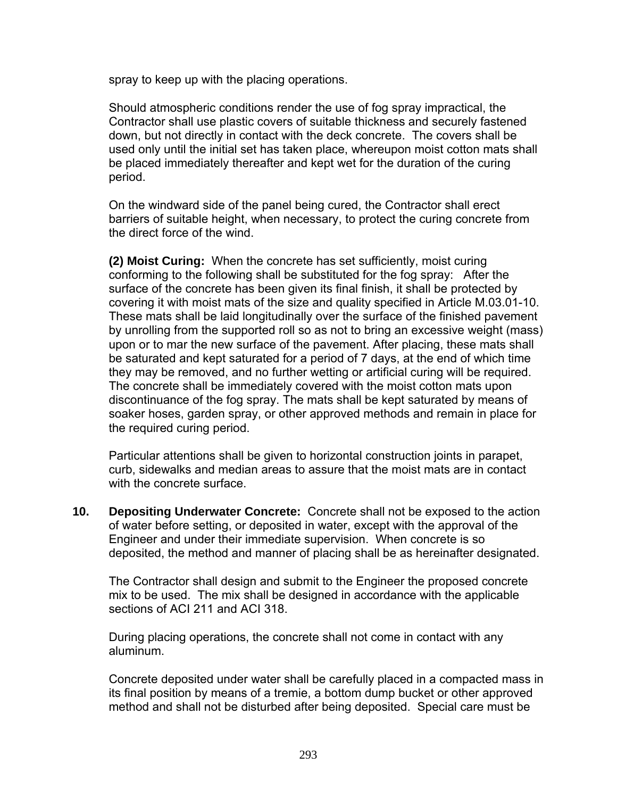spray to keep up with the placing operations.

Should atmospheric conditions render the use of fog spray impractical, the Contractor shall use plastic covers of suitable thickness and securely fastened down, but not directly in contact with the deck concrete. The covers shall be used only until the initial set has taken place, whereupon moist cotton mats shall be placed immediately thereafter and kept wet for the duration of the curing period.

On the windward side of the panel being cured, the Contractor shall erect barriers of suitable height, when necessary, to protect the curing concrete from the direct force of the wind.

**(2) Moist Curing:** When the concrete has set sufficiently, moist curing conforming to the following shall be substituted for the fog spray: After the surface of the concrete has been given its final finish, it shall be protected by covering it with moist mats of the size and quality specified in Article M.03.01-10. These mats shall be laid longitudinally over the surface of the finished pavement by unrolling from the supported roll so as not to bring an excessive weight (mass) upon or to mar the new surface of the pavement. After placing, these mats shall be saturated and kept saturated for a period of 7 days, at the end of which time they may be removed, and no further wetting or artificial curing will be required. The concrete shall be immediately covered with the moist cotton mats upon discontinuance of the fog spray. The mats shall be kept saturated by means of soaker hoses, garden spray, or other approved methods and remain in place for the required curing period.

Particular attentions shall be given to horizontal construction joints in parapet, curb, sidewalks and median areas to assure that the moist mats are in contact with the concrete surface.

**10. Depositing Underwater Concrete:** Concrete shall not be exposed to the action of water before setting, or deposited in water, except with the approval of the Engineer and under their immediate supervision. When concrete is so deposited, the method and manner of placing shall be as hereinafter designated.

The Contractor shall design and submit to the Engineer the proposed concrete mix to be used. The mix shall be designed in accordance with the applicable sections of ACI 211 and ACI 318.

During placing operations, the concrete shall not come in contact with any aluminum.

Concrete deposited under water shall be carefully placed in a compacted mass in its final position by means of a tremie, a bottom dump bucket or other approved method and shall not be disturbed after being deposited. Special care must be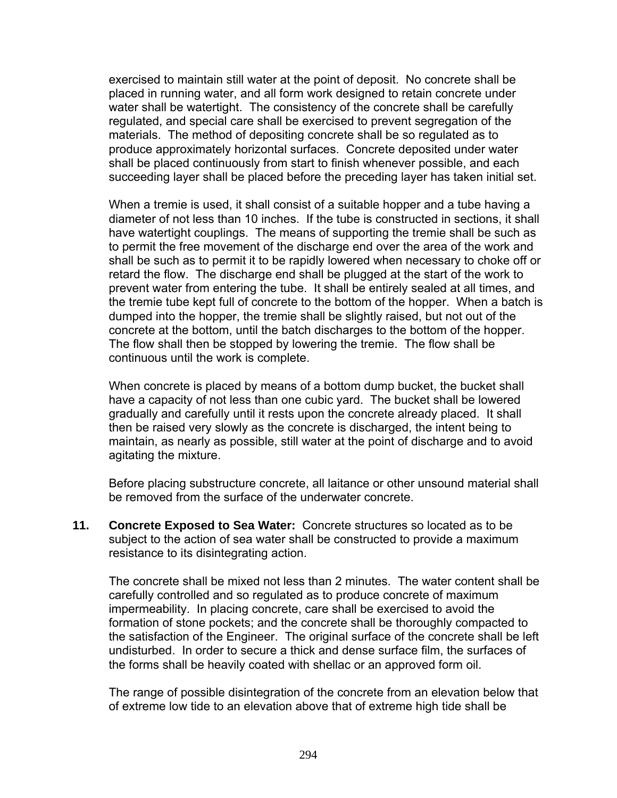exercised to maintain still water at the point of deposit. No concrete shall be placed in running water, and all form work designed to retain concrete under water shall be watertight. The consistency of the concrete shall be carefully regulated, and special care shall be exercised to prevent segregation of the materials. The method of depositing concrete shall be so regulated as to produce approximately horizontal surfaces. Concrete deposited under water shall be placed continuously from start to finish whenever possible, and each succeeding layer shall be placed before the preceding layer has taken initial set.

When a tremie is used, it shall consist of a suitable hopper and a tube having a diameter of not less than 10 inches. If the tube is constructed in sections, it shall have watertight couplings. The means of supporting the tremie shall be such as to permit the free movement of the discharge end over the area of the work and shall be such as to permit it to be rapidly lowered when necessary to choke off or retard the flow. The discharge end shall be plugged at the start of the work to prevent water from entering the tube. It shall be entirely sealed at all times, and the tremie tube kept full of concrete to the bottom of the hopper. When a batch is dumped into the hopper, the tremie shall be slightly raised, but not out of the concrete at the bottom, until the batch discharges to the bottom of the hopper. The flow shall then be stopped by lowering the tremie. The flow shall be continuous until the work is complete.

When concrete is placed by means of a bottom dump bucket, the bucket shall have a capacity of not less than one cubic yard. The bucket shall be lowered gradually and carefully until it rests upon the concrete already placed. It shall then be raised very slowly as the concrete is discharged, the intent being to maintain, as nearly as possible, still water at the point of discharge and to avoid agitating the mixture.

Before placing substructure concrete, all laitance or other unsound material shall be removed from the surface of the underwater concrete.

**11. Concrete Exposed to Sea Water:** Concrete structures so located as to be subject to the action of sea water shall be constructed to provide a maximum resistance to its disintegrating action.

The concrete shall be mixed not less than 2 minutes. The water content shall be carefully controlled and so regulated as to produce concrete of maximum impermeability. In placing concrete, care shall be exercised to avoid the formation of stone pockets; and the concrete shall be thoroughly compacted to the satisfaction of the Engineer. The original surface of the concrete shall be left undisturbed. In order to secure a thick and dense surface film, the surfaces of the forms shall be heavily coated with shellac or an approved form oil.

The range of possible disintegration of the concrete from an elevation below that of extreme low tide to an elevation above that of extreme high tide shall be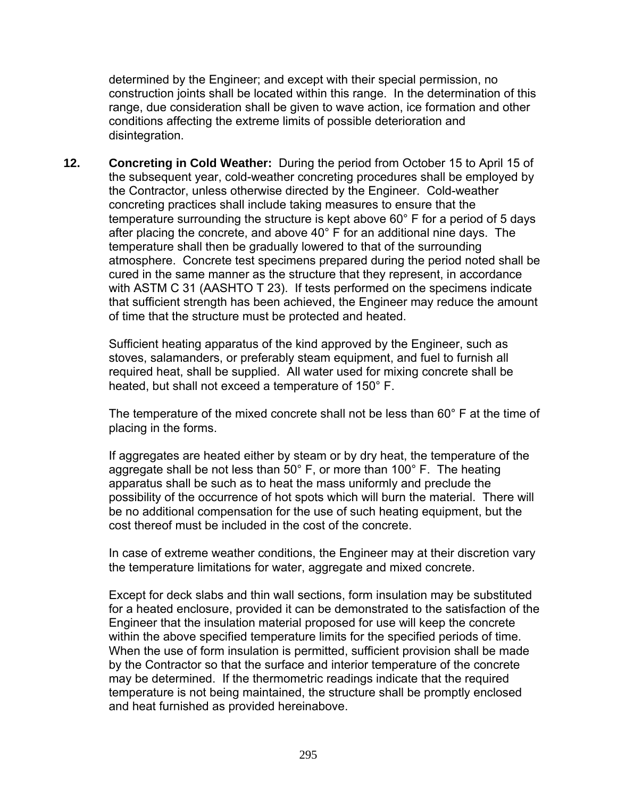determined by the Engineer; and except with their special permission, no construction joints shall be located within this range. In the determination of this range, due consideration shall be given to wave action, ice formation and other conditions affecting the extreme limits of possible deterioration and disintegration.

**12. Concreting in Cold Weather:** During the period from October 15 to April 15 of the subsequent year, cold-weather concreting procedures shall be employed by the Contractor, unless otherwise directed by the Engineer. Cold-weather concreting practices shall include taking measures to ensure that the temperature surrounding the structure is kept above 60° F for a period of 5 days after placing the concrete, and above 40° F for an additional nine days. The temperature shall then be gradually lowered to that of the surrounding atmosphere. Concrete test specimens prepared during the period noted shall be cured in the same manner as the structure that they represent, in accordance with ASTM C 31 (AASHTO T 23). If tests performed on the specimens indicate that sufficient strength has been achieved, the Engineer may reduce the amount of time that the structure must be protected and heated.

Sufficient heating apparatus of the kind approved by the Engineer, such as stoves, salamanders, or preferably steam equipment, and fuel to furnish all required heat, shall be supplied. All water used for mixing concrete shall be heated, but shall not exceed a temperature of 150° F.

The temperature of the mixed concrete shall not be less than 60° F at the time of placing in the forms.

If aggregates are heated either by steam or by dry heat, the temperature of the aggregate shall be not less than  $50^{\circ}$  F, or more than  $100^{\circ}$  F. The heating apparatus shall be such as to heat the mass uniformly and preclude the possibility of the occurrence of hot spots which will burn the material. There will be no additional compensation for the use of such heating equipment, but the cost thereof must be included in the cost of the concrete.

In case of extreme weather conditions, the Engineer may at their discretion vary the temperature limitations for water, aggregate and mixed concrete.

Except for deck slabs and thin wall sections, form insulation may be substituted for a heated enclosure, provided it can be demonstrated to the satisfaction of the Engineer that the insulation material proposed for use will keep the concrete within the above specified temperature limits for the specified periods of time. When the use of form insulation is permitted, sufficient provision shall be made by the Contractor so that the surface and interior temperature of the concrete may be determined. If the thermometric readings indicate that the required temperature is not being maintained, the structure shall be promptly enclosed and heat furnished as provided hereinabove.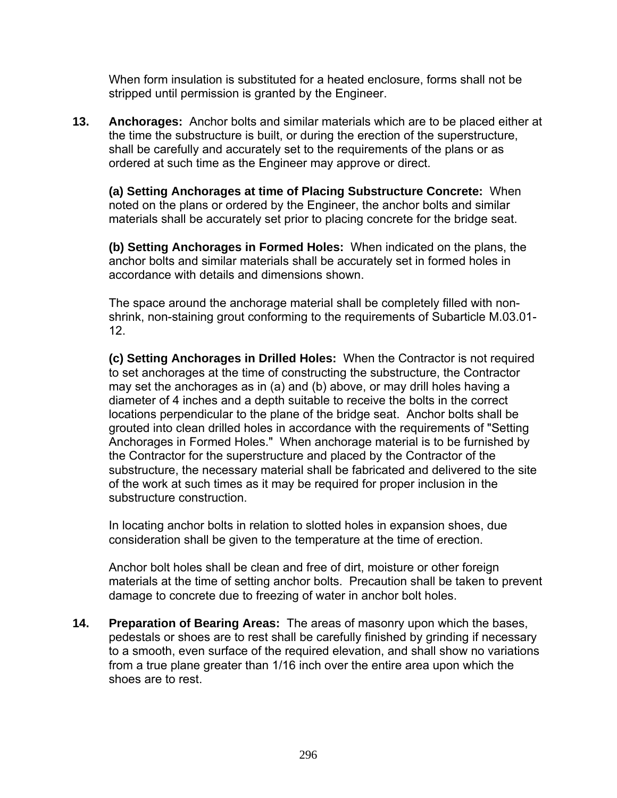When form insulation is substituted for a heated enclosure, forms shall not be stripped until permission is granted by the Engineer.

**13. Anchorages:** Anchor bolts and similar materials which are to be placed either at the time the substructure is built, or during the erection of the superstructure, shall be carefully and accurately set to the requirements of the plans or as ordered at such time as the Engineer may approve or direct.

**(a) Setting Anchorages at time of Placing Substructure Concrete:** When noted on the plans or ordered by the Engineer, the anchor bolts and similar materials shall be accurately set prior to placing concrete for the bridge seat.

**(b) Setting Anchorages in Formed Holes:** When indicated on the plans, the anchor bolts and similar materials shall be accurately set in formed holes in accordance with details and dimensions shown.

The space around the anchorage material shall be completely filled with nonshrink, non-staining grout conforming to the requirements of Subarticle M.03.01- 12.

**(c) Setting Anchorages in Drilled Holes:** When the Contractor is not required to set anchorages at the time of constructing the substructure, the Contractor may set the anchorages as in (a) and (b) above, or may drill holes having a diameter of 4 inches and a depth suitable to receive the bolts in the correct locations perpendicular to the plane of the bridge seat. Anchor bolts shall be grouted into clean drilled holes in accordance with the requirements of "Setting Anchorages in Formed Holes." When anchorage material is to be furnished by the Contractor for the superstructure and placed by the Contractor of the substructure, the necessary material shall be fabricated and delivered to the site of the work at such times as it may be required for proper inclusion in the substructure construction.

In locating anchor bolts in relation to slotted holes in expansion shoes, due consideration shall be given to the temperature at the time of erection.

Anchor bolt holes shall be clean and free of dirt, moisture or other foreign materials at the time of setting anchor bolts. Precaution shall be taken to prevent damage to concrete due to freezing of water in anchor bolt holes.

**14. Preparation of Bearing Areas:** The areas of masonry upon which the bases, pedestals or shoes are to rest shall be carefully finished by grinding if necessary to a smooth, even surface of the required elevation, and shall show no variations from a true plane greater than 1/16 inch over the entire area upon which the shoes are to rest.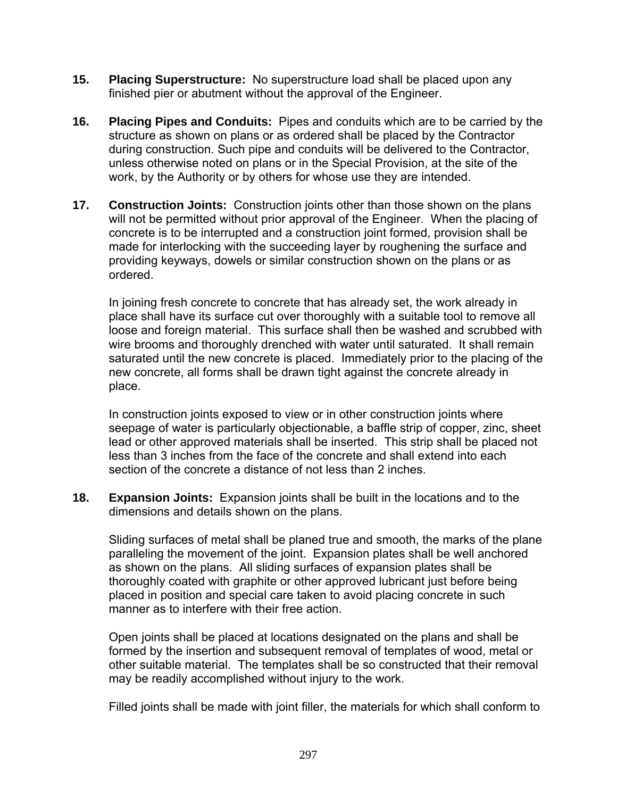- **15. Placing Superstructure:** No superstructure load shall be placed upon any finished pier or abutment without the approval of the Engineer.
- **16. Placing Pipes and Conduits:** Pipes and conduits which are to be carried by the structure as shown on plans or as ordered shall be placed by the Contractor during construction. Such pipe and conduits will be delivered to the Contractor, unless otherwise noted on plans or in the Special Provision, at the site of the work, by the Authority or by others for whose use they are intended.
- **17. Construction Joints:** Construction joints other than those shown on the plans will not be permitted without prior approval of the Engineer. When the placing of concrete is to be interrupted and a construction joint formed, provision shall be made for interlocking with the succeeding layer by roughening the surface and providing keyways, dowels or similar construction shown on the plans or as ordered.

In joining fresh concrete to concrete that has already set, the work already in place shall have its surface cut over thoroughly with a suitable tool to remove all loose and foreign material. This surface shall then be washed and scrubbed with wire brooms and thoroughly drenched with water until saturated. It shall remain saturated until the new concrete is placed. Immediately prior to the placing of the new concrete, all forms shall be drawn tight against the concrete already in place.

In construction joints exposed to view or in other construction joints where seepage of water is particularly objectionable, a baffle strip of copper, zinc, sheet lead or other approved materials shall be inserted. This strip shall be placed not less than 3 inches from the face of the concrete and shall extend into each section of the concrete a distance of not less than 2 inches.

**18. Expansion Joints:** Expansion joints shall be built in the locations and to the dimensions and details shown on the plans.

Sliding surfaces of metal shall be planed true and smooth, the marks of the plane paralleling the movement of the joint. Expansion plates shall be well anchored as shown on the plans. All sliding surfaces of expansion plates shall be thoroughly coated with graphite or other approved lubricant just before being placed in position and special care taken to avoid placing concrete in such manner as to interfere with their free action.

Open joints shall be placed at locations designated on the plans and shall be formed by the insertion and subsequent removal of templates of wood, metal or other suitable material. The templates shall be so constructed that their removal may be readily accomplished without injury to the work.

Filled joints shall be made with joint filler, the materials for which shall conform to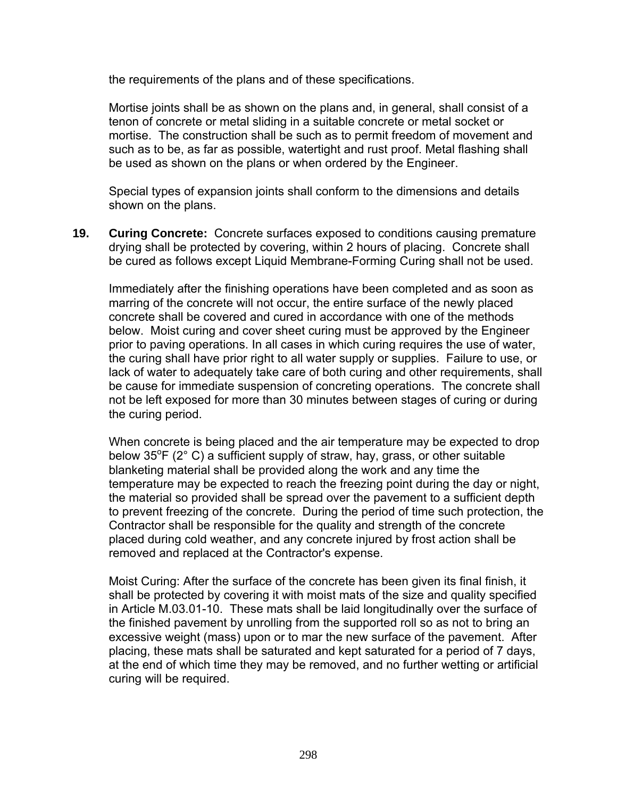the requirements of the plans and of these specifications.

Mortise joints shall be as shown on the plans and, in general, shall consist of a tenon of concrete or metal sliding in a suitable concrete or metal socket or mortise. The construction shall be such as to permit freedom of movement and such as to be, as far as possible, watertight and rust proof. Metal flashing shall be used as shown on the plans or when ordered by the Engineer.

Special types of expansion joints shall conform to the dimensions and details shown on the plans.

**19. Curing Concrete:** Concrete surfaces exposed to conditions causing premature drying shall be protected by covering, within 2 hours of placing. Concrete shall be cured as follows except Liquid Membrane-Forming Curing shall not be used.

Immediately after the finishing operations have been completed and as soon as marring of the concrete will not occur, the entire surface of the newly placed concrete shall be covered and cured in accordance with one of the methods below. Moist curing and cover sheet curing must be approved by the Engineer prior to paving operations. In all cases in which curing requires the use of water, the curing shall have prior right to all water supply or supplies. Failure to use, or lack of water to adequately take care of both curing and other requirements, shall be cause for immediate suspension of concreting operations. The concrete shall not be left exposed for more than 30 minutes between stages of curing or during the curing period.

When concrete is being placed and the air temperature may be expected to drop below  $35^{\circ}$ F (2° C) a sufficient supply of straw, hay, grass, or other suitable blanketing material shall be provided along the work and any time the temperature may be expected to reach the freezing point during the day or night, the material so provided shall be spread over the pavement to a sufficient depth to prevent freezing of the concrete. During the period of time such protection, the Contractor shall be responsible for the quality and strength of the concrete placed during cold weather, and any concrete injured by frost action shall be removed and replaced at the Contractor's expense.

Moist Curing: After the surface of the concrete has been given its final finish, it shall be protected by covering it with moist mats of the size and quality specified in Article M.03.01-10. These mats shall be laid longitudinally over the surface of the finished pavement by unrolling from the supported roll so as not to bring an excessive weight (mass) upon or to mar the new surface of the pavement. After placing, these mats shall be saturated and kept saturated for a period of 7 days, at the end of which time they may be removed, and no further wetting or artificial curing will be required.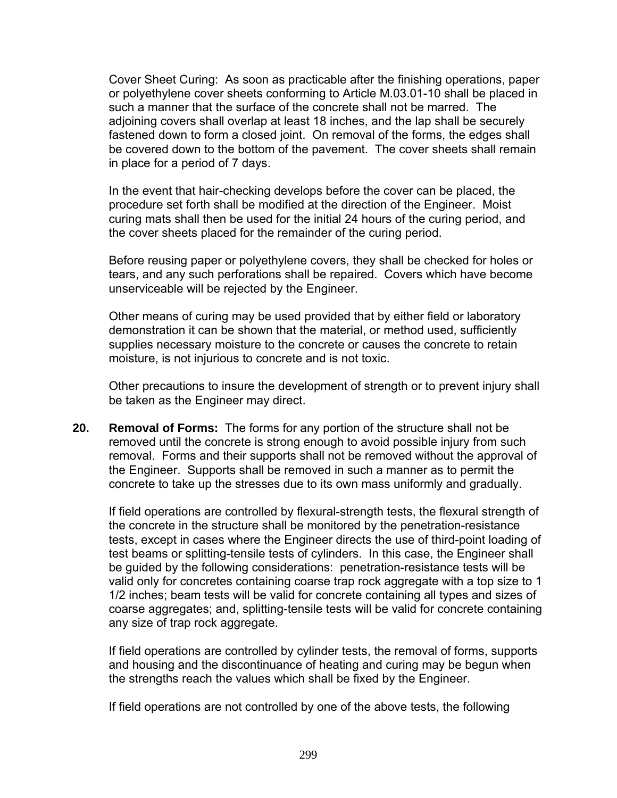Cover Sheet Curing: As soon as practicable after the finishing operations, paper or polyethylene cover sheets conforming to Article M.03.01-10 shall be placed in such a manner that the surface of the concrete shall not be marred. The adjoining covers shall overlap at least 18 inches, and the lap shall be securely fastened down to form a closed joint. On removal of the forms, the edges shall be covered down to the bottom of the pavement. The cover sheets shall remain in place for a period of 7 days.

In the event that hair-checking develops before the cover can be placed, the procedure set forth shall be modified at the direction of the Engineer. Moist curing mats shall then be used for the initial 24 hours of the curing period, and the cover sheets placed for the remainder of the curing period.

Before reusing paper or polyethylene covers, they shall be checked for holes or tears, and any such perforations shall be repaired. Covers which have become unserviceable will be rejected by the Engineer.

Other means of curing may be used provided that by either field or laboratory demonstration it can be shown that the material, or method used, sufficiently supplies necessary moisture to the concrete or causes the concrete to retain moisture, is not injurious to concrete and is not toxic.

Other precautions to insure the development of strength or to prevent injury shall be taken as the Engineer may direct.

**20. Removal of Forms:** The forms for any portion of the structure shall not be removed until the concrete is strong enough to avoid possible injury from such removal. Forms and their supports shall not be removed without the approval of the Engineer. Supports shall be removed in such a manner as to permit the concrete to take up the stresses due to its own mass uniformly and gradually.

If field operations are controlled by flexural-strength tests, the flexural strength of the concrete in the structure shall be monitored by the penetration-resistance tests, except in cases where the Engineer directs the use of third-point loading of test beams or splitting-tensile tests of cylinders. In this case, the Engineer shall be guided by the following considerations: penetration-resistance tests will be valid only for concretes containing coarse trap rock aggregate with a top size to 1 1/2 inches; beam tests will be valid for concrete containing all types and sizes of coarse aggregates; and, splitting-tensile tests will be valid for concrete containing any size of trap rock aggregate.

If field operations are controlled by cylinder tests, the removal of forms, supports and housing and the discontinuance of heating and curing may be begun when the strengths reach the values which shall be fixed by the Engineer.

If field operations are not controlled by one of the above tests, the following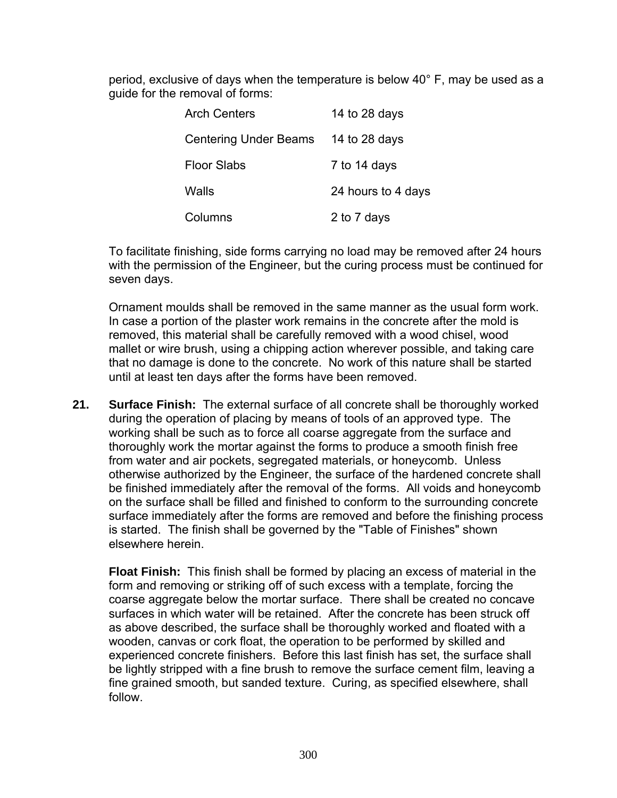period, exclusive of days when the temperature is below 40° F, may be used as a guide for the removal of forms:

| <b>Arch Centers</b>          | 14 to 28 days      |
|------------------------------|--------------------|
| <b>Centering Under Beams</b> | 14 to 28 days      |
| <b>Floor Slabs</b>           | 7 to 14 days       |
| Walls                        | 24 hours to 4 days |
| Columns                      | 2 to 7 days        |

To facilitate finishing, side forms carrying no load may be removed after 24 hours with the permission of the Engineer, but the curing process must be continued for seven days.

Ornament moulds shall be removed in the same manner as the usual form work. In case a portion of the plaster work remains in the concrete after the mold is removed, this material shall be carefully removed with a wood chisel, wood mallet or wire brush, using a chipping action wherever possible, and taking care that no damage is done to the concrete. No work of this nature shall be started until at least ten days after the forms have been removed.

**21. Surface Finish:** The external surface of all concrete shall be thoroughly worked during the operation of placing by means of tools of an approved type. The working shall be such as to force all coarse aggregate from the surface and thoroughly work the mortar against the forms to produce a smooth finish free from water and air pockets, segregated materials, or honeycomb. Unless otherwise authorized by the Engineer, the surface of the hardened concrete shall be finished immediately after the removal of the forms. All voids and honeycomb on the surface shall be filled and finished to conform to the surrounding concrete surface immediately after the forms are removed and before the finishing process is started. The finish shall be governed by the "Table of Finishes" shown elsewhere herein.

**Float Finish:** This finish shall be formed by placing an excess of material in the form and removing or striking off of such excess with a template, forcing the coarse aggregate below the mortar surface. There shall be created no concave surfaces in which water will be retained. After the concrete has been struck off as above described, the surface shall be thoroughly worked and floated with a wooden, canvas or cork float, the operation to be performed by skilled and experienced concrete finishers. Before this last finish has set, the surface shall be lightly stripped with a fine brush to remove the surface cement film, leaving a fine grained smooth, but sanded texture. Curing, as specified elsewhere, shall follow.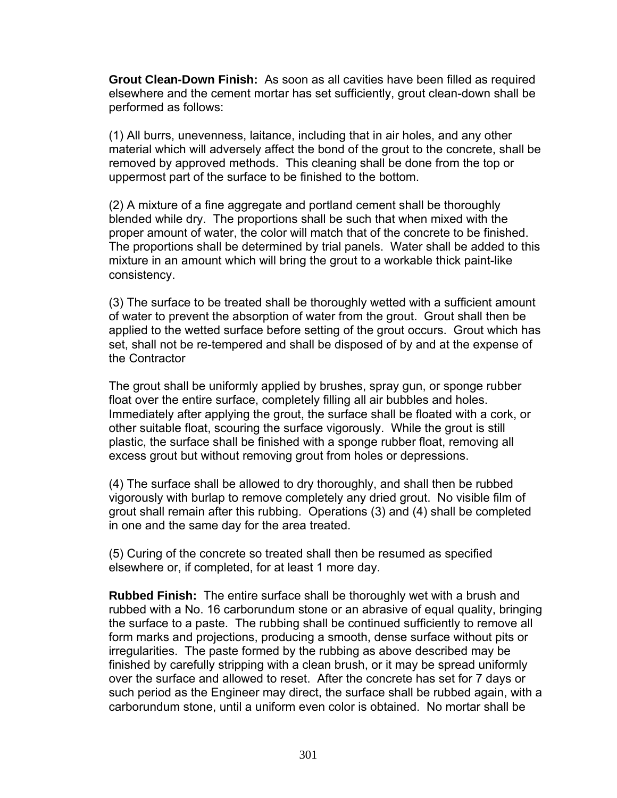**Grout Clean-Down Finish:** As soon as all cavities have been filled as required elsewhere and the cement mortar has set sufficiently, grout clean-down shall be performed as follows:

(1) All burrs, unevenness, laitance, including that in air holes, and any other material which will adversely affect the bond of the grout to the concrete, shall be removed by approved methods. This cleaning shall be done from the top or uppermost part of the surface to be finished to the bottom.

(2) A mixture of a fine aggregate and portland cement shall be thoroughly blended while dry. The proportions shall be such that when mixed with the proper amount of water, the color will match that of the concrete to be finished. The proportions shall be determined by trial panels. Water shall be added to this mixture in an amount which will bring the grout to a workable thick paint-like consistency.

(3) The surface to be treated shall be thoroughly wetted with a sufficient amount of water to prevent the absorption of water from the grout. Grout shall then be applied to the wetted surface before setting of the grout occurs. Grout which has set, shall not be re-tempered and shall be disposed of by and at the expense of the Contractor

The grout shall be uniformly applied by brushes, spray gun, or sponge rubber float over the entire surface, completely filling all air bubbles and holes. Immediately after applying the grout, the surface shall be floated with a cork, or other suitable float, scouring the surface vigorously. While the grout is still plastic, the surface shall be finished with a sponge rubber float, removing all excess grout but without removing grout from holes or depressions.

(4) The surface shall be allowed to dry thoroughly, and shall then be rubbed vigorously with burlap to remove completely any dried grout. No visible film of grout shall remain after this rubbing. Operations (3) and (4) shall be completed in one and the same day for the area treated.

(5) Curing of the concrete so treated shall then be resumed as specified elsewhere or, if completed, for at least 1 more day.

**Rubbed Finish:** The entire surface shall be thoroughly wet with a brush and rubbed with a No. 16 carborundum stone or an abrasive of equal quality, bringing the surface to a paste. The rubbing shall be continued sufficiently to remove all form marks and projections, producing a smooth, dense surface without pits or irregularities. The paste formed by the rubbing as above described may be finished by carefully stripping with a clean brush, or it may be spread uniformly over the surface and allowed to reset. After the concrete has set for 7 days or such period as the Engineer may direct, the surface shall be rubbed again, with a carborundum stone, until a uniform even color is obtained. No mortar shall be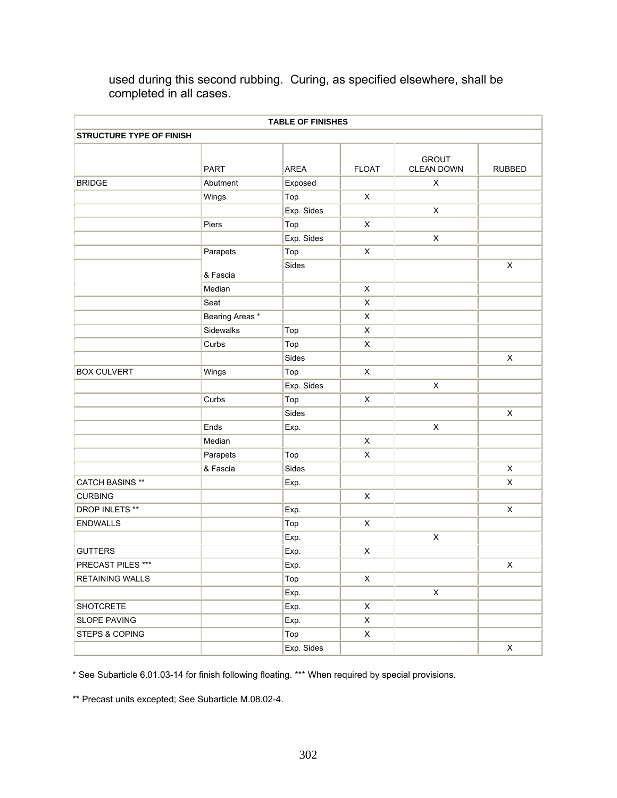| <b>TABLE OF FINISHES</b><br><b>STRUCTURE TYPE OF FINISH</b> |                 |            |                           |                |                           |  |  |
|-------------------------------------------------------------|-----------------|------------|---------------------------|----------------|---------------------------|--|--|
|                                                             |                 |            |                           |                |                           |  |  |
| <b>BRIDGE</b>                                               | Abutment        | Exposed    |                           | $\pmb{\times}$ |                           |  |  |
|                                                             | Wings           | Top        | X                         |                |                           |  |  |
|                                                             |                 | Exp. Sides |                           | $\pmb{\times}$ |                           |  |  |
|                                                             | Piers           | Top        | $\pmb{\times}$            |                |                           |  |  |
|                                                             |                 | Exp. Sides |                           | $\pmb{\times}$ |                           |  |  |
|                                                             | Parapets        | Top        | X                         |                |                           |  |  |
|                                                             | & Fascia        | Sides      |                           |                | $\pmb{\times}$            |  |  |
|                                                             | Median          |            | X                         |                |                           |  |  |
|                                                             | Seat            |            | X                         |                |                           |  |  |
|                                                             | Bearing Areas * |            | X                         |                |                           |  |  |
|                                                             | Sidewalks       | Top        | $\boldsymbol{\mathsf{X}}$ |                |                           |  |  |
|                                                             | Curbs           | Top        | X                         |                |                           |  |  |
|                                                             |                 | Sides      |                           |                | $\boldsymbol{\mathsf{X}}$ |  |  |
| <b>BOX CULVERT</b>                                          | Wings           | Top        | X                         |                |                           |  |  |
|                                                             |                 | Exp. Sides |                           | $\pmb{\times}$ |                           |  |  |
|                                                             | Curbs           | Top        | X                         |                |                           |  |  |
|                                                             |                 | Sides      |                           |                | $\pmb{\times}$            |  |  |
|                                                             | Ends            | Exp.       |                           | $\pmb{\times}$ |                           |  |  |
|                                                             | Median          |            | X                         |                |                           |  |  |
|                                                             | Parapets        | Top        | X                         |                |                           |  |  |
|                                                             | & Fascia        | Sides      |                           |                | $\mathsf X$               |  |  |
| <b>CATCH BASINS **</b>                                      |                 | Exp.       |                           |                | $\boldsymbol{\mathsf{X}}$ |  |  |
| <b>CURBING</b>                                              |                 |            | $\pmb{\times}$            |                |                           |  |  |
| DROP INLETS **                                              |                 | Exp.       |                           |                | $\pmb{\times}$            |  |  |
| <b>ENDWALLS</b>                                             |                 | Top        | X                         |                |                           |  |  |
|                                                             |                 | Exp.       |                           | $\pmb{\times}$ |                           |  |  |
| <b>GUTTERS</b>                                              |                 | Exp.       | $\pmb{\times}$            |                |                           |  |  |
| PRECAST PILES ***                                           |                 | Exp.       |                           |                | $\mathsf X$               |  |  |
| <b>RETAINING WALLS</b>                                      |                 | Top        | $\mathsf{X}$              |                |                           |  |  |
|                                                             |                 | Exp.       |                           | $\mathsf X$    |                           |  |  |
| SHOTCRETE                                                   |                 | Exp.       | $\mathsf X$               |                |                           |  |  |
| SLOPE PAVING                                                |                 | Exp.       | $\mathsf{X}$              |                |                           |  |  |
| <b>STEPS &amp; COPING</b>                                   |                 | Top        | $\mathsf{X}$              |                |                           |  |  |
|                                                             |                 | Exp. Sides |                           |                | $\mathsf X$               |  |  |

used during this second rubbing. Curing, as specified elsewhere, shall be completed in all cases.

\* See Subarticle 6.01.03-14 for finish following floating. \*\*\* When required by special provisions.

\*\* Precast units excepted; See Subarticle M.08.02-4.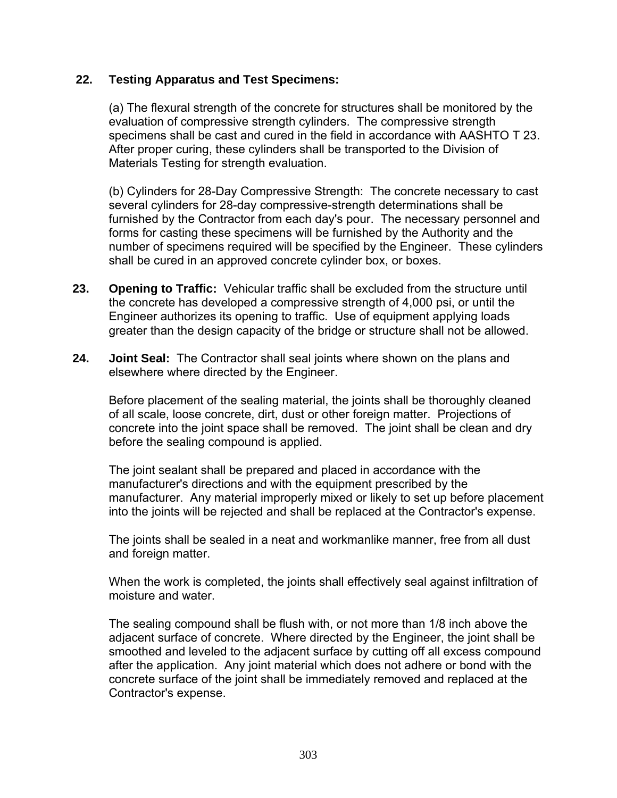### **22. Testing Apparatus and Test Specimens:**

(a) The flexural strength of the concrete for structures shall be monitored by the evaluation of compressive strength cylinders. The compressive strength specimens shall be cast and cured in the field in accordance with AASHTO T 23. After proper curing, these cylinders shall be transported to the Division of Materials Testing for strength evaluation.

(b) Cylinders for 28-Day Compressive Strength: The concrete necessary to cast several cylinders for 28-day compressive-strength determinations shall be furnished by the Contractor from each day's pour. The necessary personnel and forms for casting these specimens will be furnished by the Authority and the number of specimens required will be specified by the Engineer. These cylinders shall be cured in an approved concrete cylinder box, or boxes.

- **23. Opening to Traffic:** Vehicular traffic shall be excluded from the structure until the concrete has developed a compressive strength of 4,000 psi, or until the Engineer authorizes its opening to traffic. Use of equipment applying loads greater than the design capacity of the bridge or structure shall not be allowed.
- **24. Joint Seal:** The Contractor shall seal joints where shown on the plans and elsewhere where directed by the Engineer.

Before placement of the sealing material, the joints shall be thoroughly cleaned of all scale, loose concrete, dirt, dust or other foreign matter. Projections of concrete into the joint space shall be removed. The joint shall be clean and dry before the sealing compound is applied.

The joint sealant shall be prepared and placed in accordance with the manufacturer's directions and with the equipment prescribed by the manufacturer. Any material improperly mixed or likely to set up before placement into the joints will be rejected and shall be replaced at the Contractor's expense.

The joints shall be sealed in a neat and workmanlike manner, free from all dust and foreign matter.

When the work is completed, the joints shall effectively seal against infiltration of moisture and water.

The sealing compound shall be flush with, or not more than 1/8 inch above the adjacent surface of concrete. Where directed by the Engineer, the joint shall be smoothed and leveled to the adjacent surface by cutting off all excess compound after the application. Any joint material which does not adhere or bond with the concrete surface of the joint shall be immediately removed and replaced at the Contractor's expense.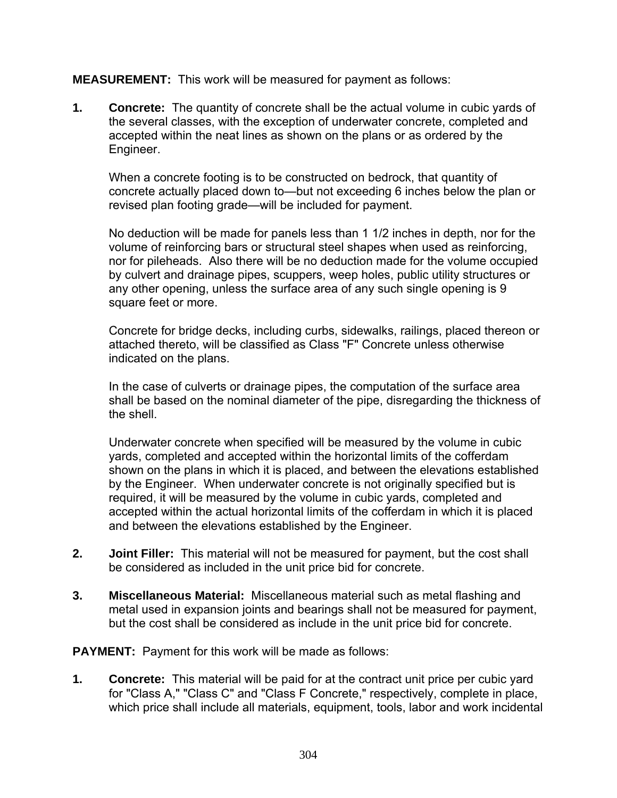### **MEASUREMENT:** This work will be measured for payment as follows:

**1. Concrete:** The quantity of concrete shall be the actual volume in cubic yards of the several classes, with the exception of underwater concrete, completed and accepted within the neat lines as shown on the plans or as ordered by the Engineer.

When a concrete footing is to be constructed on bedrock, that quantity of concrete actually placed down to—but not exceeding 6 inches below the plan or revised plan footing grade—will be included for payment.

No deduction will be made for panels less than 1 1/2 inches in depth, nor for the volume of reinforcing bars or structural steel shapes when used as reinforcing, nor for pileheads. Also there will be no deduction made for the volume occupied by culvert and drainage pipes, scuppers, weep holes, public utility structures or any other opening, unless the surface area of any such single opening is 9 square feet or more.

Concrete for bridge decks, including curbs, sidewalks, railings, placed thereon or attached thereto, will be classified as Class "F" Concrete unless otherwise indicated on the plans.

In the case of culverts or drainage pipes, the computation of the surface area shall be based on the nominal diameter of the pipe, disregarding the thickness of the shell.

Underwater concrete when specified will be measured by the volume in cubic yards, completed and accepted within the horizontal limits of the cofferdam shown on the plans in which it is placed, and between the elevations established by the Engineer. When underwater concrete is not originally specified but is required, it will be measured by the volume in cubic yards, completed and accepted within the actual horizontal limits of the cofferdam in which it is placed and between the elevations established by the Engineer.

- **2. Joint Filler:** This material will not be measured for payment, but the cost shall be considered as included in the unit price bid for concrete.
- **3. Miscellaneous Material:** Miscellaneous material such as metal flashing and metal used in expansion joints and bearings shall not be measured for payment, but the cost shall be considered as include in the unit price bid for concrete.

**PAYMENT:** Payment for this work will be made as follows:

**1. Concrete:** This material will be paid for at the contract unit price per cubic yard for "Class A," "Class C" and "Class F Concrete," respectively, complete in place, which price shall include all materials, equipment, tools, labor and work incidental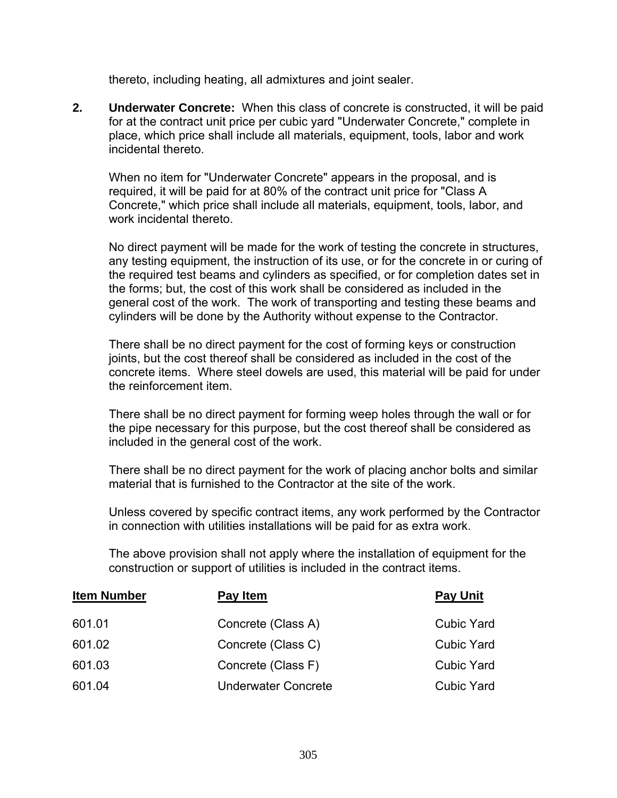thereto, including heating, all admixtures and joint sealer.

**2. Underwater Concrete:** When this class of concrete is constructed, it will be paid for at the contract unit price per cubic yard "Underwater Concrete," complete in place, which price shall include all materials, equipment, tools, labor and work incidental thereto.

When no item for "Underwater Concrete" appears in the proposal, and is required, it will be paid for at 80% of the contract unit price for "Class A Concrete," which price shall include all materials, equipment, tools, labor, and work incidental thereto.

No direct payment will be made for the work of testing the concrete in structures, any testing equipment, the instruction of its use, or for the concrete in or curing of the required test beams and cylinders as specified, or for completion dates set in the forms; but, the cost of this work shall be considered as included in the general cost of the work. The work of transporting and testing these beams and cylinders will be done by the Authority without expense to the Contractor.

There shall be no direct payment for the cost of forming keys or construction joints, but the cost thereof shall be considered as included in the cost of the concrete items. Where steel dowels are used, this material will be paid for under the reinforcement item.

There shall be no direct payment for forming weep holes through the wall or for the pipe necessary for this purpose, but the cost thereof shall be considered as included in the general cost of the work.

There shall be no direct payment for the work of placing anchor bolts and similar material that is furnished to the Contractor at the site of the work.

Unless covered by specific contract items, any work performed by the Contractor in connection with utilities installations will be paid for as extra work.

The above provision shall not apply where the installation of equipment for the construction or support of utilities is included in the contract items.

| <b>Item Number</b> | Pay Item                   | <b>Pay Unit</b>   |
|--------------------|----------------------------|-------------------|
| 601.01             | Concrete (Class A)         | <b>Cubic Yard</b> |
| 601.02             | Concrete (Class C)         | <b>Cubic Yard</b> |
| 601.03             | Concrete (Class F)         | <b>Cubic Yard</b> |
| 601.04             | <b>Underwater Concrete</b> | <b>Cubic Yard</b> |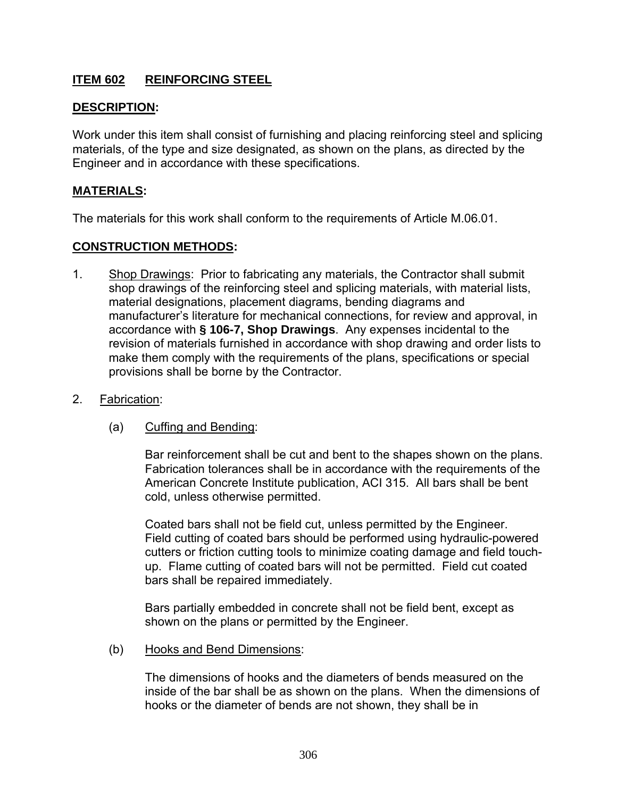# **ITEM 602 REINFORCING STEEL**

### **DESCRIPTION:**

Work under this item shall consist of furnishing and placing reinforcing steel and splicing materials, of the type and size designated, as shown on the plans, as directed by the Engineer and in accordance with these specifications.

### **MATERIALS:**

The materials for this work shall conform to the requirements of Article M.06.01.

### **CONSTRUCTION METHODS:**

- 1. Shop Drawings: Prior to fabricating any materials, the Contractor shall submit shop drawings of the reinforcing steel and splicing materials, with material lists, material designations, placement diagrams, bending diagrams and manufacturer's literature for mechanical connections, for review and approval, in accordance with **§ 106-7, Shop Drawings**. Any expenses incidental to the revision of materials furnished in accordance with shop drawing and order lists to make them comply with the requirements of the plans, specifications or special provisions shall be borne by the Contractor.
- 2.Fabrication:
	- (a) Cuffing and Bending:

 Bar reinforcement shall be cut and bent to the shapes shown on the plans. Fabrication tolerances shall be in accordance with the requirements of the American Concrete Institute publication, ACI 315. All bars shall be bent cold, unless otherwise permitted.

 Coated bars shall not be field cut, unless permitted by the Engineer. Field cutting of coated bars should be performed using hydraulic-powered cutters or friction cutting tools to minimize coating damage and field touchup. Flame cutting of coated bars will not be permitted. Field cut coated bars shall be repaired immediately.

 Bars partially embedded in concrete shall not be field bent, except as shown on the plans or permitted by the Engineer.

(b) Hooks and Bend Dimensions:

 The dimensions of hooks and the diameters of bends measured on the inside of the bar shall be as shown on the plans. When the dimensions of hooks or the diameter of bends are not shown, they shall be in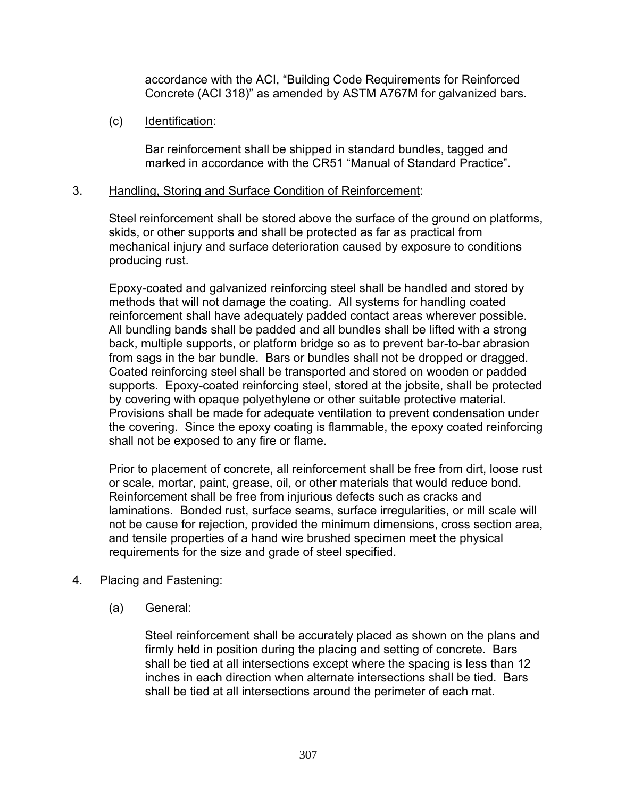accordance with the ACI, "Building Code Requirements for Reinforced Concrete (ACI 318)" as amended by ASTM A767M for galvanized bars.

(c) Identification:

 Bar reinforcement shall be shipped in standard bundles, tagged and marked in accordance with the CR51 "Manual of Standard Practice".

### 3. Handling, Storing and Surface Condition of Reinforcement:

 Steel reinforcement shall be stored above the surface of the ground on platforms, skids, or other supports and shall be protected as far as practical from mechanical injury and surface deterioration caused by exposure to conditions producing rust.

 Epoxy-coated and galvanized reinforcing steel shall be handled and stored by methods that will not damage the coating. All systems for handling coated reinforcement shall have adequately padded contact areas wherever possible. All bundling bands shall be padded and all bundles shall be lifted with a strong back, multiple supports, or platform bridge so as to prevent bar-to-bar abrasion from sags in the bar bundle. Bars or bundles shall not be dropped or dragged. Coated reinforcing steel shall be transported and stored on wooden or padded supports. Epoxy-coated reinforcing steel, stored at the jobsite, shall be protected by covering with opaque polyethylene or other suitable protective material. Provisions shall be made for adequate ventilation to prevent condensation under the covering. Since the epoxy coating is flammable, the epoxy coated reinforcing shall not be exposed to any fire or flame.

 Prior to placement of concrete, all reinforcement shall be free from dirt, loose rust or scale, mortar, paint, grease, oil, or other materials that would reduce bond. Reinforcement shall be free from injurious defects such as cracks and laminations. Bonded rust, surface seams, surface irregularities, or mill scale will not be cause for rejection, provided the minimum dimensions, cross section area, and tensile properties of a hand wire brushed specimen meet the physical requirements for the size and grade of steel specified.

### 4. Placing and Fastening:

(a) General:

 Steel reinforcement shall be accurately placed as shown on the plans and firmly held in position during the placing and setting of concrete. Bars shall be tied at all intersections except where the spacing is less than 12 inches in each direction when alternate intersections shall be tied. Bars shall be tied at all intersections around the perimeter of each mat.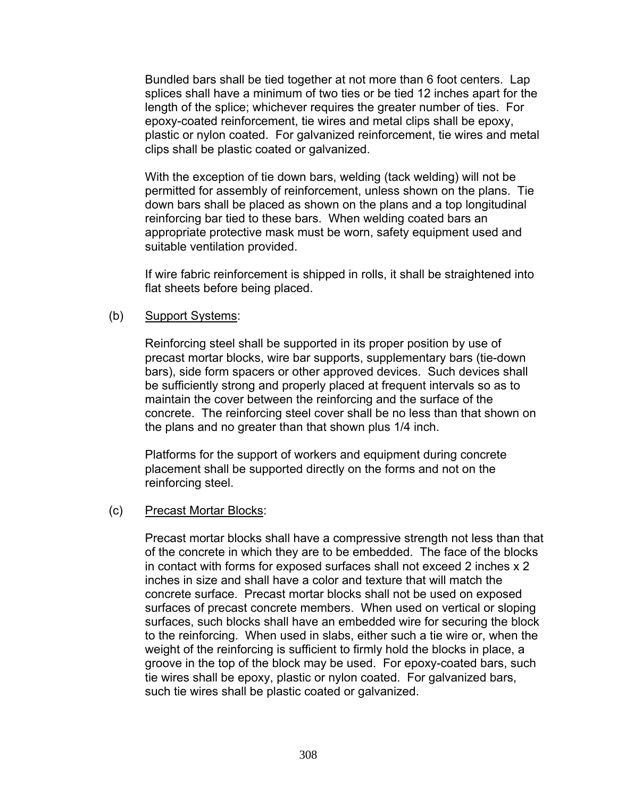Bundled bars shall be tied together at not more than 6 foot centers. Lap splices shall have a minimum of two ties or be tied 12 inches apart for the length of the splice; whichever requires the greater number of ties. For epoxy-coated reinforcement, tie wires and metal clips shall be epoxy, plastic or nylon coated. For galvanized reinforcement, tie wires and metal clips shall be plastic coated or galvanized.

 With the exception of tie down bars, welding (tack welding) will not be permitted for assembly of reinforcement, unless shown on the plans. Tie down bars shall be placed as shown on the plans and a top longitudinal reinforcing bar tied to these bars. When welding coated bars an appropriate protective mask must be worn, safety equipment used and suitable ventilation provided.

 If wire fabric reinforcement is shipped in rolls, it shall be straightened into flat sheets before being placed.

#### (b) Support Systems:

 Reinforcing steel shall be supported in its proper position by use of precast mortar blocks, wire bar supports, supplementary bars (tie-down bars), side form spacers or other approved devices. Such devices shall be sufficiently strong and properly placed at frequent intervals so as to maintain the cover between the reinforcing and the surface of the concrete. The reinforcing steel cover shall be no less than that shown on the plans and no greater than that shown plus 1/4 inch.

 Platforms for the support of workers and equipment during concrete placement shall be supported directly on the forms and not on the reinforcing steel.

#### (c) Precast Mortar Blocks:

 Precast mortar blocks shall have a compressive strength not less than that of the concrete in which they are to be embedded. The face of the blocks in contact with forms for exposed surfaces shall not exceed 2 inches x 2 inches in size and shall have a color and texture that will match the concrete surface. Precast mortar blocks shall not be used on exposed surfaces of precast concrete members. When used on vertical or sloping surfaces, such blocks shall have an embedded wire for securing the block to the reinforcing. When used in slabs, either such a tie wire or, when the weight of the reinforcing is sufficient to firmly hold the blocks in place, a groove in the top of the block may be used. For epoxy-coated bars, such tie wires shall be epoxy, plastic or nylon coated. For galvanized bars, such tie wires shall be plastic coated or galvanized.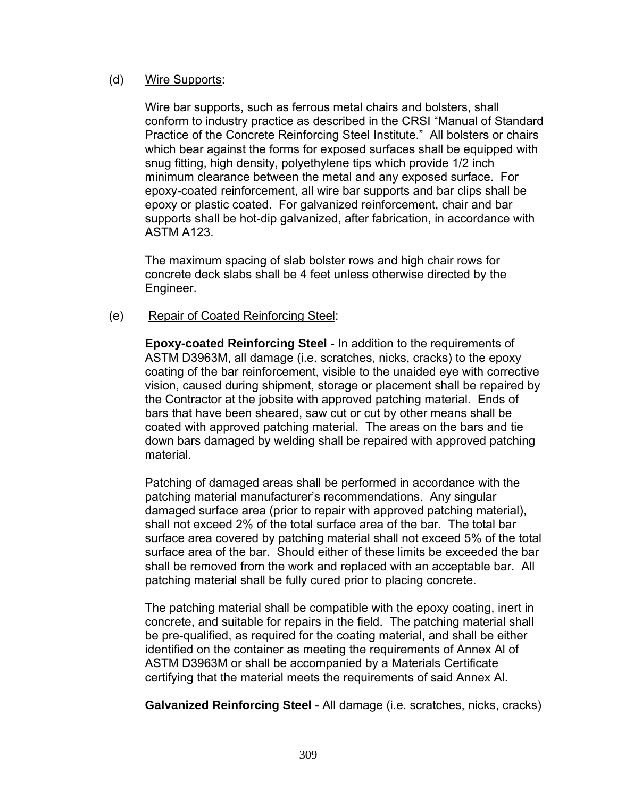#### (d) Wire Supports:

 Wire bar supports, such as ferrous metal chairs and bolsters, shall conform to industry practice as described in the CRSI "Manual of Standard Practice of the Concrete Reinforcing Steel Institute." All bolsters or chairs which bear against the forms for exposed surfaces shall be equipped with snug fitting, high density, polyethylene tips which provide 1/2 inch minimum clearance between the metal and any exposed surface. For epoxy-coated reinforcement, all wire bar supports and bar clips shall be epoxy or plastic coated. For galvanized reinforcement, chair and bar supports shall be hot-dip galvanized, after fabrication, in accordance with ASTM A123.

 The maximum spacing of slab bolster rows and high chair rows for concrete deck slabs shall be 4 feet unless otherwise directed by the Engineer.

### (e) Repair of Coated Reinforcing Steel:

 **Epoxy-coated Reinforcing Steel** - In addition to the requirements of ASTM D3963M, all damage (i.e. scratches, nicks, cracks) to the epoxy coating of the bar reinforcement, visible to the unaided eye with corrective vision, caused during shipment, storage or placement shall be repaired by the Contractor at the jobsite with approved patching material. Ends of bars that have been sheared, saw cut or cut by other means shall be coated with approved patching material. The areas on the bars and tie down bars damaged by welding shall be repaired with approved patching material.

 Patching of damaged areas shall be performed in accordance with the patching material manufacturer's recommendations. Any singular damaged surface area (prior to repair with approved patching material), shall not exceed 2% of the total surface area of the bar. The total bar surface area covered by patching material shall not exceed 5% of the total surface area of the bar. Should either of these limits be exceeded the bar shall be removed from the work and replaced with an acceptable bar. All patching material shall be fully cured prior to placing concrete.

 The patching material shall be compatible with the epoxy coating, inert in concrete, and suitable for repairs in the field. The patching material shall be pre-qualified, as required for the coating material, and shall be either identified on the container as meeting the requirements of Annex Al of ASTM D3963M or shall be accompanied by a Materials Certificate certifying that the material meets the requirements of said Annex Al.

 **Galvanized Reinforcing Steel** - All damage (i.e. scratches, nicks, cracks)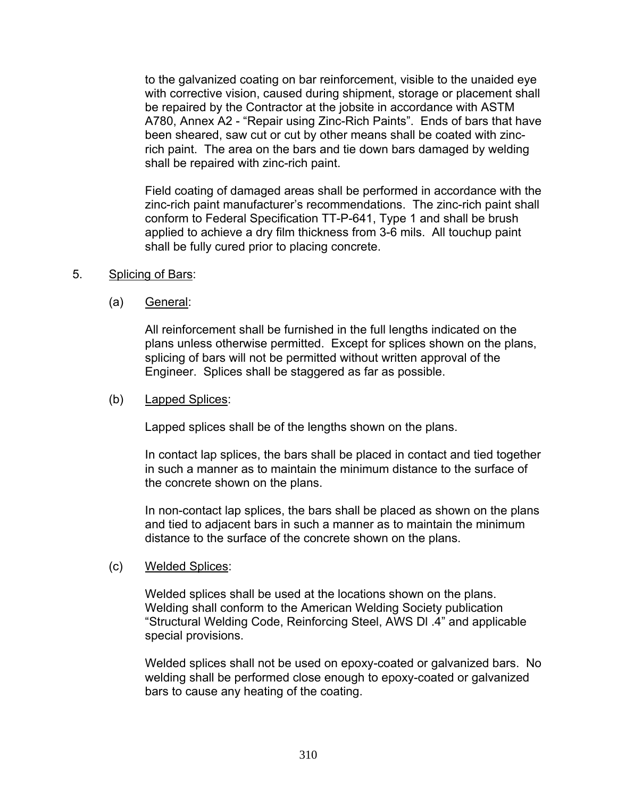to the galvanized coating on bar reinforcement, visible to the unaided eye with corrective vision, caused during shipment, storage or placement shall be repaired by the Contractor at the jobsite in accordance with ASTM A780, Annex A2 - "Repair using Zinc-Rich Paints". Ends of bars that have been sheared, saw cut or cut by other means shall be coated with zincrich paint. The area on the bars and tie down bars damaged by welding shall be repaired with zinc-rich paint.

 Field coating of damaged areas shall be performed in accordance with the zinc-rich paint manufacturer's recommendations. The zinc-rich paint shall conform to Federal Specification TT-P-641, Type 1 and shall be brush applied to achieve a dry film thickness from 3-6 mils. All touchup paint shall be fully cured prior to placing concrete.

- 5. Splicing of Bars:
	- (a) General:

 All reinforcement shall be furnished in the full lengths indicated on the plans unless otherwise permitted. Except for splices shown on the plans, splicing of bars will not be permitted without written approval of the Engineer. Splices shall be staggered as far as possible.

#### (b) Lapped Splices:

Lapped splices shall be of the lengths shown on the plans.

 In contact lap splices, the bars shall be placed in contact and tied together in such a manner as to maintain the minimum distance to the surface of the concrete shown on the plans.

 In non-contact lap splices, the bars shall be placed as shown on the plans and tied to adjacent bars in such a manner as to maintain the minimum distance to the surface of the concrete shown on the plans.

#### (c) Welded Splices:

 Welded splices shall be used at the locations shown on the plans. Welding shall conform to the American Welding Society publication "Structural Welding Code, Reinforcing Steel, AWS Dl .4" and applicable special provisions.

 Welded splices shall not be used on epoxy-coated or galvanized bars. No welding shall be performed close enough to epoxy-coated or galvanized bars to cause any heating of the coating.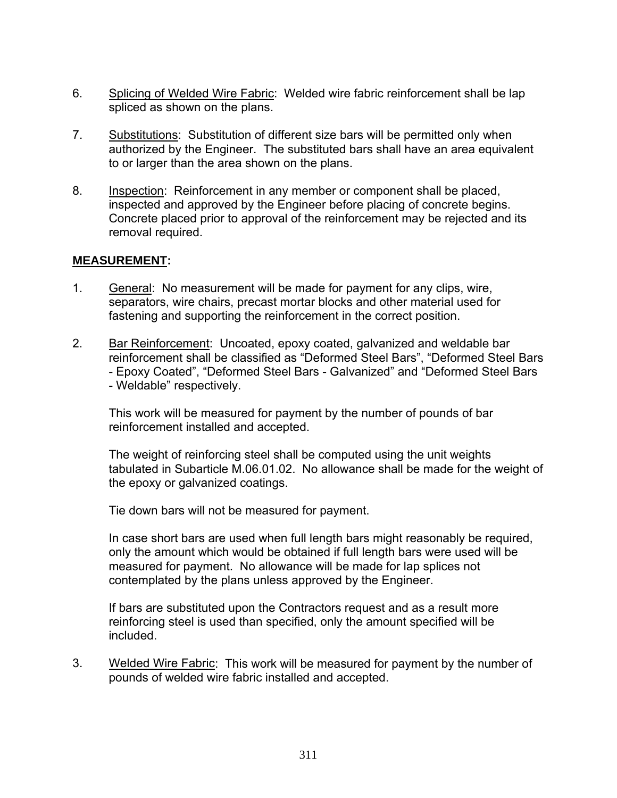- 6. Splicing of Welded Wire Fabric: Welded wire fabric reinforcement shall be lap spliced as shown on the plans.
- 7. Substitutions: Substitution of different size bars will be permitted only when authorized by the Engineer. The substituted bars shall have an area equivalent to or larger than the area shown on the plans.
- 8. Inspection: Reinforcement in any member or component shall be placed, inspected and approved by the Engineer before placing of concrete begins. Concrete placed prior to approval of the reinforcement may be rejected and its removal required.

# **MEASUREMENT:**

- 1. General: No measurement will be made for payment for any clips, wire, separators, wire chairs, precast mortar blocks and other material used for fastening and supporting the reinforcement in the correct position.
- 2. Bar Reinforcement: Uncoated, epoxy coated, galvanized and weldable bar reinforcement shall be classified as "Deformed Steel Bars", "Deformed Steel Bars - Epoxy Coated", "Deformed Steel Bars - Galvanized" and "Deformed Steel Bars - Weldable" respectively.

 This work will be measured for payment by the number of pounds of bar reinforcement installed and accepted.

 The weight of reinforcing steel shall be computed using the unit weights tabulated in Subarticle M.06.01.02. No allowance shall be made for the weight of the epoxy or galvanized coatings.

Tie down bars will not be measured for payment.

 In case short bars are used when full length bars might reasonably be required, only the amount which would be obtained if full length bars were used will be measured for payment. No allowance will be made for lap splices not contemplated by the plans unless approved by the Engineer.

 If bars are substituted upon the Contractors request and as a result more reinforcing steel is used than specified, only the amount specified will be included.

3. Welded Wire Fabric: This work will be measured for payment by the number of pounds of welded wire fabric installed and accepted.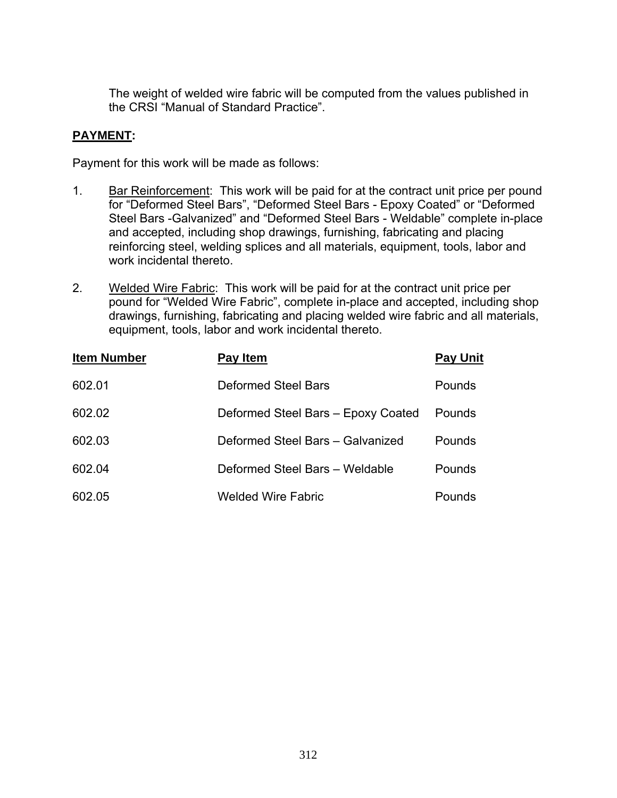The weight of welded wire fabric will be computed from the values published in the CRSI "Manual of Standard Practice".

# **PAYMENT:**

Payment for this work will be made as follows:

- 1. Bar Reinforcement: This work will be paid for at the contract unit price per pound for "Deformed Steel Bars", "Deformed Steel Bars - Epoxy Coated" or "Deformed Steel Bars -Galvanized" and "Deformed Steel Bars - Weldable" complete in-place and accepted, including shop drawings, furnishing, fabricating and placing reinforcing steel, welding splices and all materials, equipment, tools, labor and work incidental thereto.
- 2. Welded Wire Fabric: This work will be paid for at the contract unit price per pound for "Welded Wire Fabric", complete in-place and accepted, including shop drawings, furnishing, fabricating and placing welded wire fabric and all materials, equipment, tools, labor and work incidental thereto.

| <b>Item Number</b> | Pay Item                           | <b>Pay Unit</b> |
|--------------------|------------------------------------|-----------------|
| 602.01             | Deformed Steel Bars                | Pounds          |
| 602.02             | Deformed Steel Bars - Epoxy Coated | Pounds          |
| 602.03             | Deformed Steel Bars - Galvanized   | <b>Pounds</b>   |
| 602.04             | Deformed Steel Bars - Weldable     | <b>Pounds</b>   |
| 602.05             | <b>Welded Wire Fabric</b>          | Pounds          |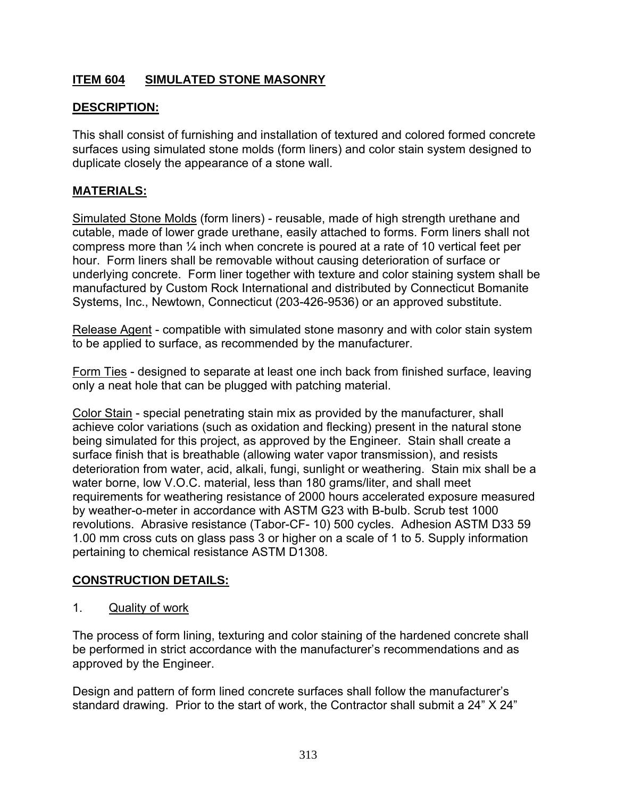# **ITEM 604 SIMULATED STONE MASONRY**

# **DESCRIPTION:**

This shall consist of furnishing and installation of textured and colored formed concrete surfaces using simulated stone molds (form liners) and color stain system designed to duplicate closely the appearance of a stone wall.

## **MATERIALS:**

Simulated Stone Molds (form liners) - reusable, made of high strength urethane and cutable, made of lower grade urethane, easily attached to forms. Form liners shall not compress more than ¼ inch when concrete is poured at a rate of 10 vertical feet per hour. Form liners shall be removable without causing deterioration of surface or underlying concrete. Form liner together with texture and color staining system shall be manufactured by Custom Rock International and distributed by Connecticut Bomanite Systems, Inc., Newtown, Connecticut (203-426-9536) or an approved substitute.

Release Agent - compatible with simulated stone masonry and with color stain system to be applied to surface, as recommended by the manufacturer.

Form Ties - designed to separate at least one inch back from finished surface, leaving only a neat hole that can be plugged with patching material.

Color Stain - special penetrating stain mix as provided by the manufacturer, shall achieve color variations (such as oxidation and flecking) present in the natural stone being simulated for this project, as approved by the Engineer. Stain shall create a surface finish that is breathable (allowing water vapor transmission), and resists deterioration from water, acid, alkali, fungi, sunlight or weathering. Stain mix shall be a water borne, low V.O.C. material, less than 180 grams/liter, and shall meet requirements for weathering resistance of 2000 hours accelerated exposure measured by weather-o-meter in accordance with ASTM G23 with B-bulb. Scrub test 1000 revolutions. Abrasive resistance (Tabor-CF- 10) 500 cycles. Adhesion ASTM D33 59 1.00 mm cross cuts on glass pass 3 or higher on a scale of 1 to 5. Supply information pertaining to chemical resistance ASTM D1308.

## **CONSTRUCTION DETAILS:**

1. Quality of work

The process of form lining, texturing and color staining of the hardened concrete shall be performed in strict accordance with the manufacturer's recommendations and as approved by the Engineer.

Design and pattern of form lined concrete surfaces shall follow the manufacturer's standard drawing. Prior to the start of work, the Contractor shall submit a 24" X 24"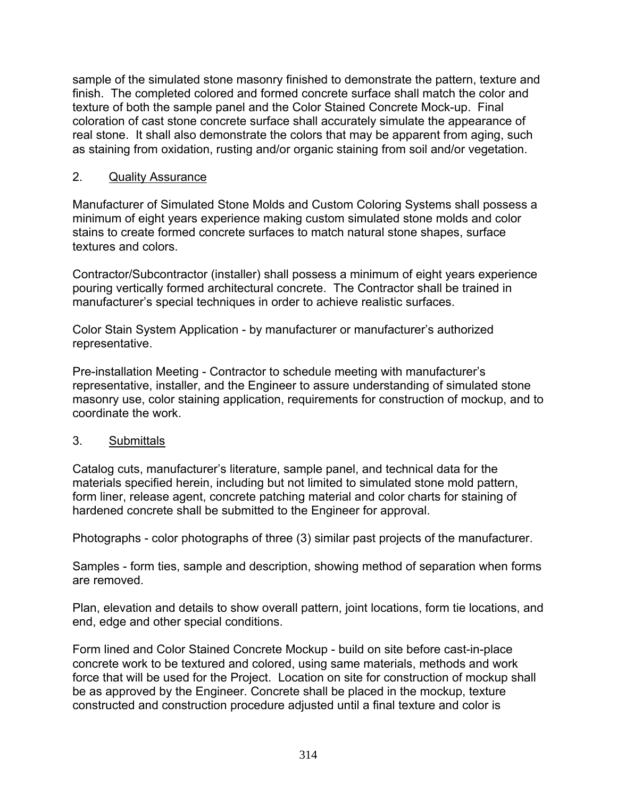sample of the simulated stone masonry finished to demonstrate the pattern, texture and finish. The completed colored and formed concrete surface shall match the color and texture of both the sample panel and the Color Stained Concrete Mock-up. Final coloration of cast stone concrete surface shall accurately simulate the appearance of real stone. It shall also demonstrate the colors that may be apparent from aging, such as staining from oxidation, rusting and/or organic staining from soil and/or vegetation.

## 2. Quality Assurance

Manufacturer of Simulated Stone Molds and Custom Coloring Systems shall possess a minimum of eight years experience making custom simulated stone molds and color stains to create formed concrete surfaces to match natural stone shapes, surface textures and colors.

Contractor/Subcontractor (installer) shall possess a minimum of eight years experience pouring vertically formed architectural concrete. The Contractor shall be trained in manufacturer's special techniques in order to achieve realistic surfaces.

Color Stain System Application - by manufacturer or manufacturer's authorized representative.

Pre-installation Meeting - Contractor to schedule meeting with manufacturer's representative, installer, and the Engineer to assure understanding of simulated stone masonry use, color staining application, requirements for construction of mockup, and to coordinate the work.

#### 3. Submittals

Catalog cuts, manufacturer's literature, sample panel, and technical data for the materials specified herein, including but not limited to simulated stone mold pattern, form liner, release agent, concrete patching material and color charts for staining of hardened concrete shall be submitted to the Engineer for approval.

Photographs - color photographs of three (3) similar past projects of the manufacturer.

Samples - form ties, sample and description, showing method of separation when forms are removed.

Plan, elevation and details to show overall pattern, joint locations, form tie locations, and end, edge and other special conditions.

Form lined and Color Stained Concrete Mockup - build on site before cast-in-place concrete work to be textured and colored, using same materials, methods and work force that will be used for the Project. Location on site for construction of mockup shall be as approved by the Engineer. Concrete shall be placed in the mockup, texture constructed and construction procedure adjusted until a final texture and color is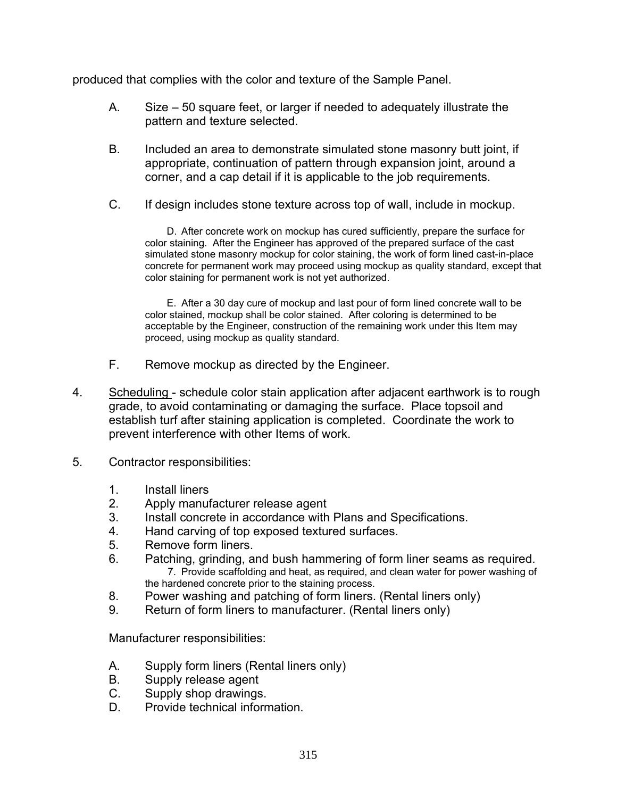produced that complies with the color and texture of the Sample Panel.

- A. Size 50 square feet, or larger if needed to adequately illustrate the pattern and texture selected.
- B. Included an area to demonstrate simulated stone masonry butt joint, if appropriate, continuation of pattern through expansion joint, around a corner, and a cap detail if it is applicable to the job requirements.
- C. If design includes stone texture across top of wall, include in mockup.

D. After concrete work on mockup has cured sufficiently, prepare the surface for color staining. After the Engineer has approved of the prepared surface of the cast simulated stone masonry mockup for color staining, the work of form lined cast-in-place concrete for permanent work may proceed using mockup as quality standard, except that color staining for permanent work is not yet authorized.

E. After a 30 day cure of mockup and last pour of form lined concrete wall to be color stained, mockup shall be color stained. After coloring is determined to be acceptable by the Engineer, construction of the remaining work under this Item may proceed, using mockup as quality standard.

- F. Remove mockup as directed by the Engineer.
- 4. Scheduling schedule color stain application after adjacent earthwork is to rough grade, to avoid contaminating or damaging the surface. Place topsoil and establish turf after staining application is completed. Coordinate the work to prevent interference with other Items of work.
- 5. Contractor responsibilities:
	- 1. Install liners
	- 2. Apply manufacturer release agent
	- 3. Install concrete in accordance with Plans and Specifications.
	- 4. Hand carving of top exposed textured surfaces.
	- 5. Remove form liners.
	- 6. Patching, grinding, and bush hammering of form liner seams as required. 7. Provide scaffolding and heat, as required, and clean water for power washing of the hardened concrete prior to the staining process.
	- 8. Power washing and patching of form liners. (Rental liners only)
	- 9. Return of form liners to manufacturer. (Rental liners only)

Manufacturer responsibilities:

- A. Supply form liners (Rental liners only)
- B. Supply release agent
- C. Supply shop drawings.
- D. Provide technical information.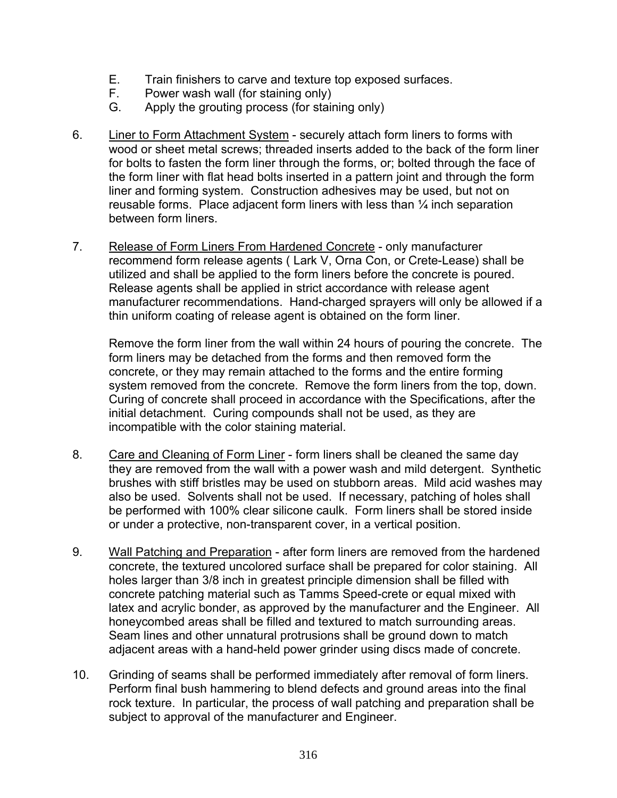- E. Train finishers to carve and texture top exposed surfaces.
- F. Power wash wall (for staining only)
- G. Apply the grouting process (for staining only)
- 6. Liner to Form Attachment System securely attach form liners to forms with wood or sheet metal screws; threaded inserts added to the back of the form liner for bolts to fasten the form liner through the forms, or; bolted through the face of the form liner with flat head bolts inserted in a pattern joint and through the form liner and forming system. Construction adhesives may be used, but not on reusable forms. Place adjacent form liners with less than  $\frac{1}{4}$  inch separation between form liners.
- 7. Release of Form Liners From Hardened Concrete only manufacturer recommend form release agents ( Lark V, Orna Con, or Crete-Lease) shall be utilized and shall be applied to the form liners before the concrete is poured. Release agents shall be applied in strict accordance with release agent manufacturer recommendations. Hand-charged sprayers will only be allowed if a thin uniform coating of release agent is obtained on the form liner.

Remove the form liner from the wall within 24 hours of pouring the concrete. The form liners may be detached from the forms and then removed form the concrete, or they may remain attached to the forms and the entire forming system removed from the concrete. Remove the form liners from the top, down. Curing of concrete shall proceed in accordance with the Specifications, after the initial detachment. Curing compounds shall not be used, as they are incompatible with the color staining material.

- 8. Care and Cleaning of Form Liner form liners shall be cleaned the same day they are removed from the wall with a power wash and mild detergent. Synthetic brushes with stiff bristles may be used on stubborn areas. Mild acid washes may also be used. Solvents shall not be used. If necessary, patching of holes shall be performed with 100% clear silicone caulk. Form liners shall be stored inside or under a protective, non-transparent cover, in a vertical position.
- 9. Wall Patching and Preparation after form liners are removed from the hardened concrete, the textured uncolored surface shall be prepared for color staining. All holes larger than 3/8 inch in greatest principle dimension shall be filled with concrete patching material such as Tamms Speed-crete or equal mixed with latex and acrylic bonder, as approved by the manufacturer and the Engineer. All honeycombed areas shall be filled and textured to match surrounding areas. Seam lines and other unnatural protrusions shall be ground down to match adjacent areas with a hand-held power grinder using discs made of concrete.
- 10. Grinding of seams shall be performed immediately after removal of form liners. Perform final bush hammering to blend defects and ground areas into the final rock texture. In particular, the process of wall patching and preparation shall be subject to approval of the manufacturer and Engineer.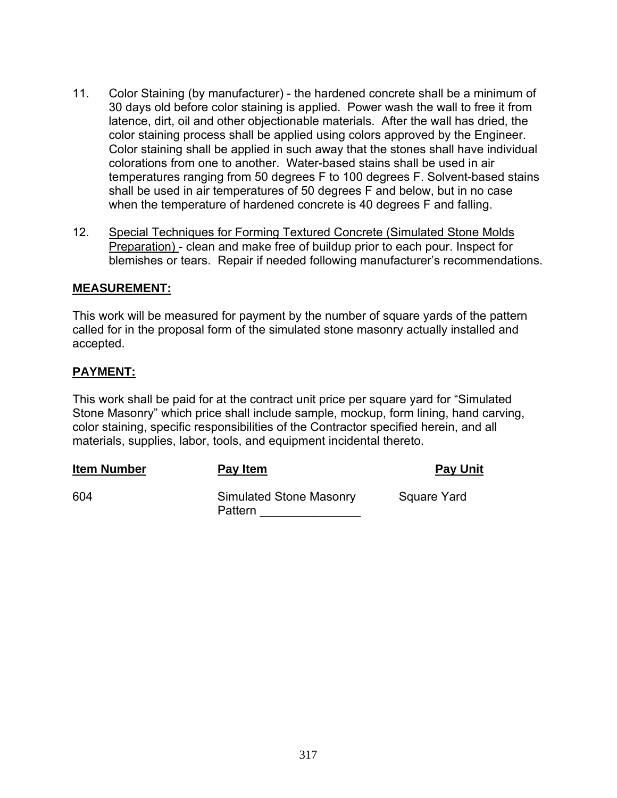- 11. Color Staining (by manufacturer) the hardened concrete shall be a minimum of 30 days old before color staining is applied. Power wash the wall to free it from latence, dirt, oil and other objectionable materials. After the wall has dried, the color staining process shall be applied using colors approved by the Engineer. Color staining shall be applied in such away that the stones shall have individual colorations from one to another. Water-based stains shall be used in air temperatures ranging from 50 degrees F to 100 degrees F. Solvent-based stains shall be used in air temperatures of 50 degrees F and below, but in no case when the temperature of hardened concrete is 40 degrees F and falling.
- 12. Special Techniques for Forming Textured Concrete (Simulated Stone Molds Preparation) - clean and make free of buildup prior to each pour. Inspect for blemishes or tears. Repair if needed following manufacturer's recommendations.

#### **MEASUREMENT:**

This work will be measured for payment by the number of square yards of the pattern called for in the proposal form of the simulated stone masonry actually installed and accepted.

#### **PAYMENT:**

This work shall be paid for at the contract unit price per square yard for "Simulated Stone Masonry" which price shall include sample, mockup, form lining, hand carving, color staining, specific responsibilities of the Contractor specified herein, and all materials, supplies, labor, tools, and equipment incidental thereto.

| <b>Item Number</b> | Pay Item                                  | <b>Pay Unit</b> |
|--------------------|-------------------------------------------|-----------------|
| -604               | <b>Simulated Stone Masonry</b><br>Pattern | Square Yard     |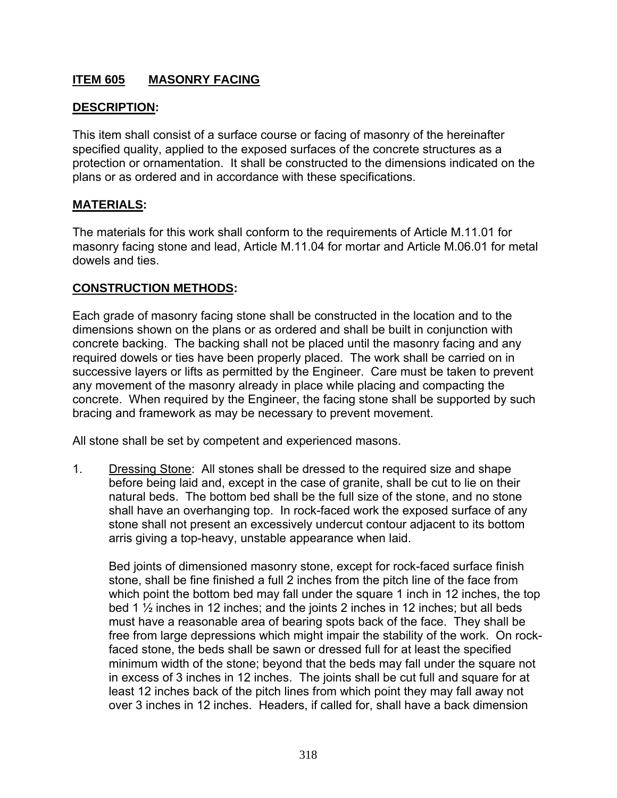# **ITEM 605 MASONRY FACING**

## **DESCRIPTION:**

This item shall consist of a surface course or facing of masonry of the hereinafter specified quality, applied to the exposed surfaces of the concrete structures as a protection or ornamentation. It shall be constructed to the dimensions indicated on the plans or as ordered and in accordance with these specifications.

### **MATERIALS:**

The materials for this work shall conform to the requirements of Article M.11.01 for masonry facing stone and lead, Article M.11.04 for mortar and Article M.06.01 for metal dowels and ties.

#### **CONSTRUCTION METHODS:**

Each grade of masonry facing stone shall be constructed in the location and to the dimensions shown on the plans or as ordered and shall be built in conjunction with concrete backing. The backing shall not be placed until the masonry facing and any required dowels or ties have been properly placed. The work shall be carried on in successive layers or lifts as permitted by the Engineer. Care must be taken to prevent any movement of the masonry already in place while placing and compacting the concrete. When required by the Engineer, the facing stone shall be supported by such bracing and framework as may be necessary to prevent movement.

All stone shall be set by competent and experienced masons.

1. Dressing Stone: All stones shall be dressed to the required size and shape before being laid and, except in the case of granite, shall be cut to lie on their natural beds. The bottom bed shall be the full size of the stone, and no stone shall have an overhanging top. In rock-faced work the exposed surface of any stone shall not present an excessively undercut contour adjacent to its bottom arris giving a top-heavy, unstable appearance when laid.

Bed joints of dimensioned masonry stone, except for rock-faced surface finish stone, shall be fine finished a full 2 inches from the pitch line of the face from which point the bottom bed may fall under the square 1 inch in 12 inches, the top bed 1 ½ inches in 12 inches; and the joints 2 inches in 12 inches; but all beds must have a reasonable area of bearing spots back of the face. They shall be free from large depressions which might impair the stability of the work. On rockfaced stone, the beds shall be sawn or dressed full for at least the specified minimum width of the stone; beyond that the beds may fall under the square not in excess of 3 inches in 12 inches. The joints shall be cut full and square for at least 12 inches back of the pitch lines from which point they may fall away not over 3 inches in 12 inches. Headers, if called for, shall have a back dimension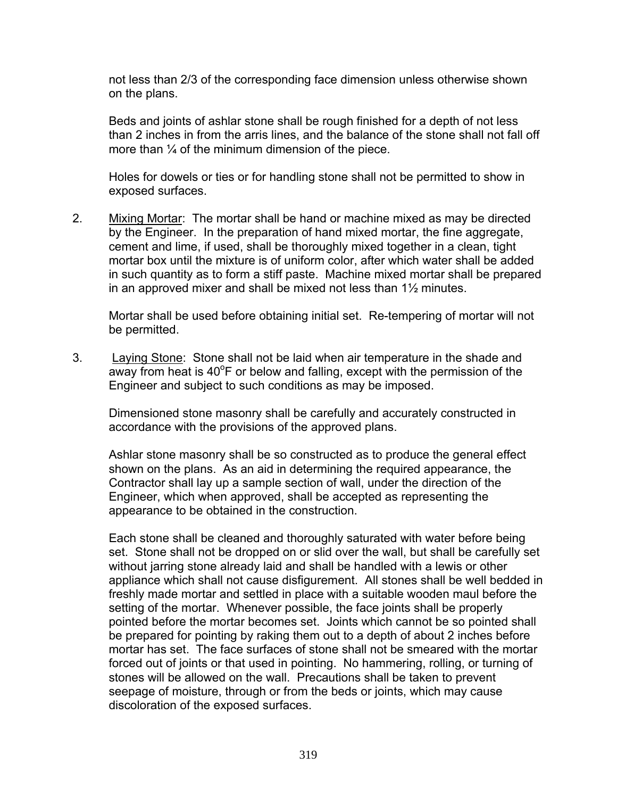not less than 2/3 of the corresponding face dimension unless otherwise shown on the plans.

Beds and joints of ashlar stone shall be rough finished for a depth of not less than 2 inches in from the arris lines, and the balance of the stone shall not fall off more than  $\frac{1}{4}$  of the minimum dimension of the piece.

Holes for dowels or ties or for handling stone shall not be permitted to show in exposed surfaces.

2. Mixing Mortar: The mortar shall be hand or machine mixed as may be directed by the Engineer. In the preparation of hand mixed mortar, the fine aggregate, cement and lime, if used, shall be thoroughly mixed together in a clean, tight mortar box until the mixture is of uniform color, after which water shall be added in such quantity as to form a stiff paste. Machine mixed mortar shall be prepared in an approved mixer and shall be mixed not less than 1½ minutes.

Mortar shall be used before obtaining initial set. Re-tempering of mortar will not be permitted.

3. Laying Stone: Stone shall not be laid when air temperature in the shade and away from heat is  $40^{\circ}$ F or below and falling, except with the permission of the Engineer and subject to such conditions as may be imposed.

Dimensioned stone masonry shall be carefully and accurately constructed in accordance with the provisions of the approved plans.

Ashlar stone masonry shall be so constructed as to produce the general effect shown on the plans. As an aid in determining the required appearance, the Contractor shall lay up a sample section of wall, under the direction of the Engineer, which when approved, shall be accepted as representing the appearance to be obtained in the construction.

Each stone shall be cleaned and thoroughly saturated with water before being set. Stone shall not be dropped on or slid over the wall, but shall be carefully set without jarring stone already laid and shall be handled with a lewis or other appliance which shall not cause disfigurement. All stones shall be well bedded in freshly made mortar and settled in place with a suitable wooden maul before the setting of the mortar. Whenever possible, the face joints shall be properly pointed before the mortar becomes set. Joints which cannot be so pointed shall be prepared for pointing by raking them out to a depth of about 2 inches before mortar has set. The face surfaces of stone shall not be smeared with the mortar forced out of joints or that used in pointing. No hammering, rolling, or turning of stones will be allowed on the wall. Precautions shall be taken to prevent seepage of moisture, through or from the beds or joints, which may cause discoloration of the exposed surfaces.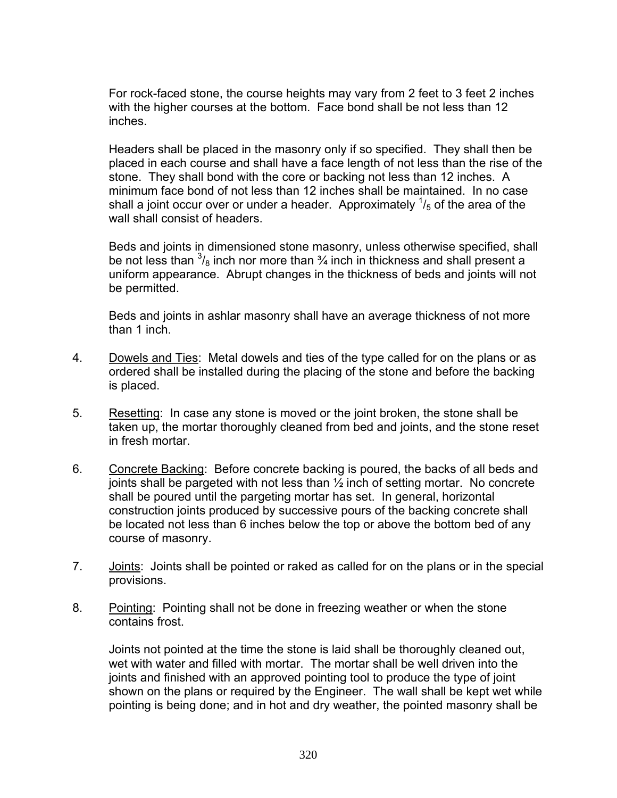For rock-faced stone, the course heights may vary from 2 feet to 3 feet 2 inches with the higher courses at the bottom. Face bond shall be not less than 12 inches.

Headers shall be placed in the masonry only if so specified. They shall then be placed in each course and shall have a face length of not less than the rise of the stone. They shall bond with the core or backing not less than 12 inches. A minimum face bond of not less than 12 inches shall be maintained. In no case shall a joint occur over or under a header. Approximately  $\frac{1}{5}$  of the area of the wall shall consist of headers.

Beds and joints in dimensioned stone masonry, unless otherwise specified, shall be not less than  $\frac{3}{8}$  inch nor more than  $\frac{3}{4}$  inch in thickness and shall present a uniform appearance. Abrupt changes in the thickness of beds and joints will not be permitted.

Beds and joints in ashlar masonry shall have an average thickness of not more than 1 inch.

- 4. Dowels and Ties: Metal dowels and ties of the type called for on the plans or as ordered shall be installed during the placing of the stone and before the backing is placed.
- 5. Resetting: In case any stone is moved or the joint broken, the stone shall be taken up, the mortar thoroughly cleaned from bed and joints, and the stone reset in fresh mortar.
- 6. Concrete Backing: Before concrete backing is poured, the backs of all beds and joints shall be pargeted with not less than ½ inch of setting mortar. No concrete shall be poured until the pargeting mortar has set. In general, horizontal construction joints produced by successive pours of the backing concrete shall be located not less than 6 inches below the top or above the bottom bed of any course of masonry.
- 7. Joints: Joints shall be pointed or raked as called for on the plans or in the special provisions.
- 8. Pointing: Pointing shall not be done in freezing weather or when the stone contains frost.

Joints not pointed at the time the stone is laid shall be thoroughly cleaned out, wet with water and filled with mortar. The mortar shall be well driven into the joints and finished with an approved pointing tool to produce the type of joint shown on the plans or required by the Engineer. The wall shall be kept wet while pointing is being done; and in hot and dry weather, the pointed masonry shall be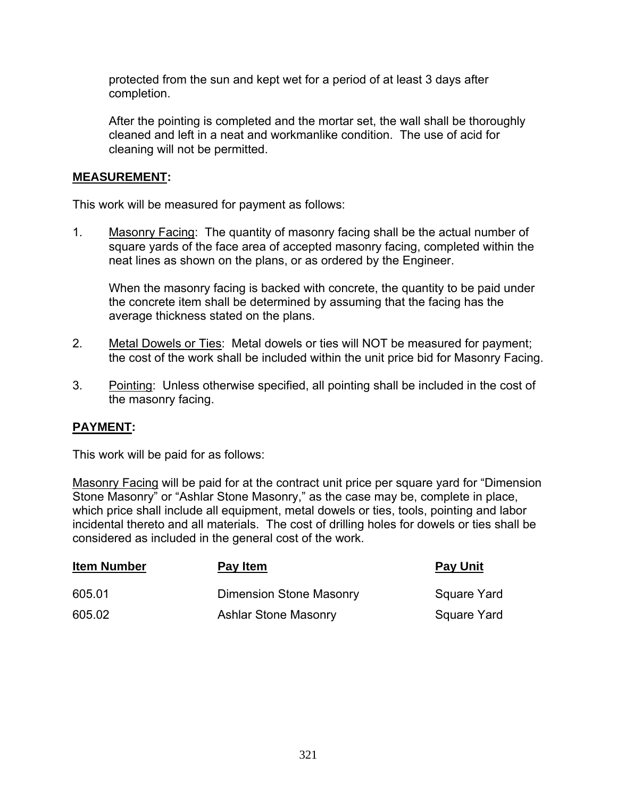protected from the sun and kept wet for a period of at least 3 days after completion.

After the pointing is completed and the mortar set, the wall shall be thoroughly cleaned and left in a neat and workmanlike condition. The use of acid for cleaning will not be permitted.

### **MEASUREMENT:**

This work will be measured for payment as follows:

1. Masonry Facing: The quantity of masonry facing shall be the actual number of square yards of the face area of accepted masonry facing, completed within the neat lines as shown on the plans, or as ordered by the Engineer.

When the masonry facing is backed with concrete, the quantity to be paid under the concrete item shall be determined by assuming that the facing has the average thickness stated on the plans.

- 2. Metal Dowels or Ties: Metal dowels or ties will NOT be measured for payment; the cost of the work shall be included within the unit price bid for Masonry Facing.
- 3. Pointing: Unless otherwise specified, all pointing shall be included in the cost of the masonry facing.

## **PAYMENT:**

This work will be paid for as follows:

Masonry Facing will be paid for at the contract unit price per square yard for "Dimension Stone Masonry" or "Ashlar Stone Masonry," as the case may be, complete in place, which price shall include all equipment, metal dowels or ties, tools, pointing and labor incidental thereto and all materials. The cost of drilling holes for dowels or ties shall be considered as included in the general cost of the work.

| <b>Item Number</b> | Pay Item                    | <b>Pay Unit</b> |
|--------------------|-----------------------------|-----------------|
| 605.01             | Dimension Stone Masonry     | Square Yard     |
| 605.02             | <b>Ashlar Stone Masonry</b> | Square Yard     |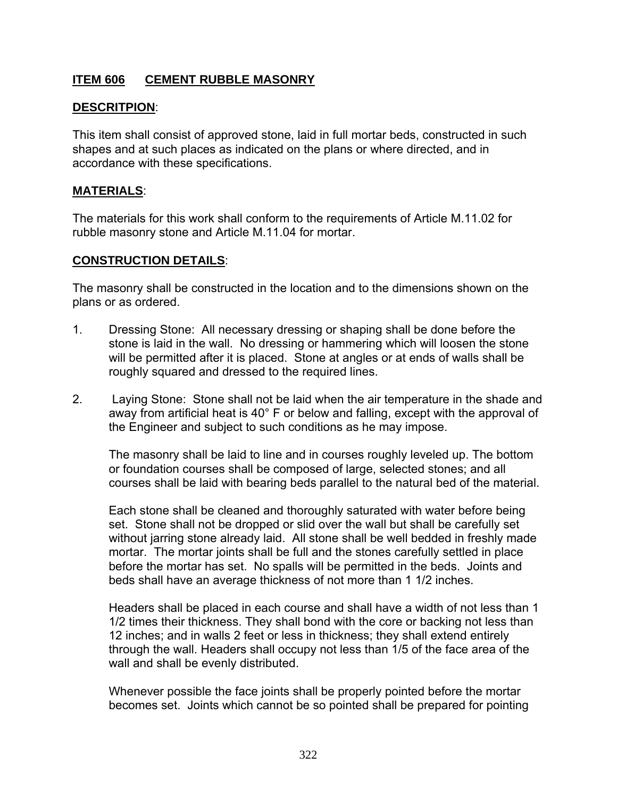## **ITEM 606 CEMENT RUBBLE MASONRY**

## **DESCRITPION**:

This item shall consist of approved stone, laid in full mortar beds, constructed in such shapes and at such places as indicated on the plans or where directed, and in accordance with these specifications.

#### **MATERIALS**:

The materials for this work shall conform to the requirements of Article M.11.02 for rubble masonry stone and Article M.11.04 for mortar.

### **CONSTRUCTION DETAILS**:

The masonry shall be constructed in the location and to the dimensions shown on the plans or as ordered.

- 1. Dressing Stone: All necessary dressing or shaping shall be done before the stone is laid in the wall. No dressing or hammering which will loosen the stone will be permitted after it is placed. Stone at angles or at ends of walls shall be roughly squared and dressed to the required lines.
- 2. Laying Stone: Stone shall not be laid when the air temperature in the shade and away from artificial heat is 40° F or below and falling, except with the approval of the Engineer and subject to such conditions as he may impose.

The masonry shall be laid to line and in courses roughly leveled up. The bottom or foundation courses shall be composed of large, selected stones; and all courses shall be laid with bearing beds parallel to the natural bed of the material.

Each stone shall be cleaned and thoroughly saturated with water before being set. Stone shall not be dropped or slid over the wall but shall be carefully set without jarring stone already laid. All stone shall be well bedded in freshly made mortar. The mortar joints shall be full and the stones carefully settled in place before the mortar has set. No spalls will be permitted in the beds. Joints and beds shall have an average thickness of not more than 1 1/2 inches.

Headers shall be placed in each course and shall have a width of not less than 1 1/2 times their thickness. They shall bond with the core or backing not less than 12 inches; and in walls 2 feet or less in thickness; they shall extend entirely through the wall. Headers shall occupy not less than 1/5 of the face area of the wall and shall be evenly distributed.

Whenever possible the face joints shall be properly pointed before the mortar becomes set. Joints which cannot be so pointed shall be prepared for pointing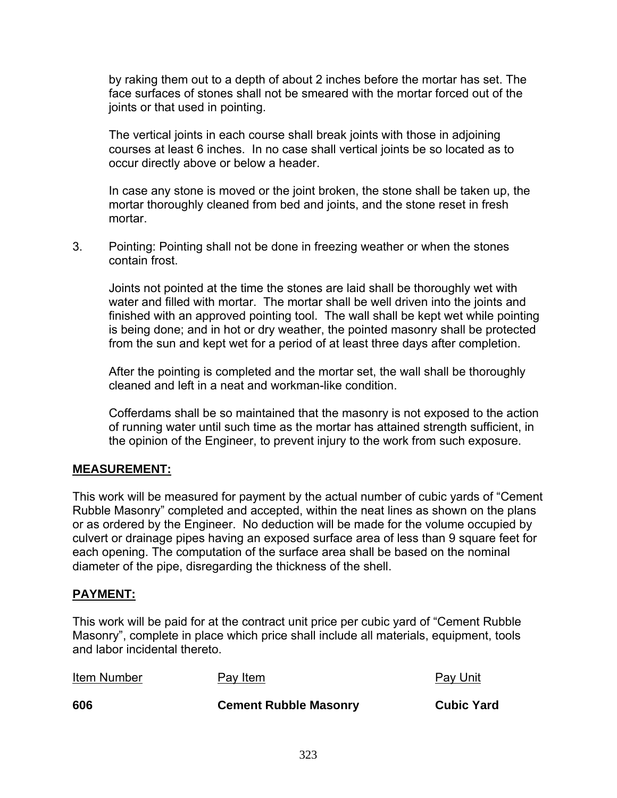by raking them out to a depth of about 2 inches before the mortar has set. The face surfaces of stones shall not be smeared with the mortar forced out of the joints or that used in pointing.

The vertical joints in each course shall break joints with those in adjoining courses at least 6 inches. In no case shall vertical joints be so located as to occur directly above or below a header.

In case any stone is moved or the joint broken, the stone shall be taken up, the mortar thoroughly cleaned from bed and joints, and the stone reset in fresh mortar.

3. Pointing: Pointing shall not be done in freezing weather or when the stones contain frost.

Joints not pointed at the time the stones are laid shall be thoroughly wet with water and filled with mortar. The mortar shall be well driven into the joints and finished with an approved pointing tool. The wall shall be kept wet while pointing is being done; and in hot or dry weather, the pointed masonry shall be protected from the sun and kept wet for a period of at least three days after completion.

After the pointing is completed and the mortar set, the wall shall be thoroughly cleaned and left in a neat and workman-like condition.

Cofferdams shall be so maintained that the masonry is not exposed to the action of running water until such time as the mortar has attained strength sufficient, in the opinion of the Engineer, to prevent injury to the work from such exposure.

## **MEASUREMENT:**

This work will be measured for payment by the actual number of cubic yards of "Cement Rubble Masonry" completed and accepted, within the neat lines as shown on the plans or as ordered by the Engineer. No deduction will be made for the volume occupied by culvert or drainage pipes having an exposed surface area of less than 9 square feet for each opening. The computation of the surface area shall be based on the nominal diameter of the pipe, disregarding the thickness of the shell.

#### **PAYMENT:**

This work will be paid for at the contract unit price per cubic yard of "Cement Rubble Masonry", complete in place which price shall include all materials, equipment, tools and labor incidental thereto.

| Item Number | Pay Item                     | <b>Pay Unit</b>   |
|-------------|------------------------------|-------------------|
| 606         | <b>Cement Rubble Masonry</b> | <b>Cubic Yard</b> |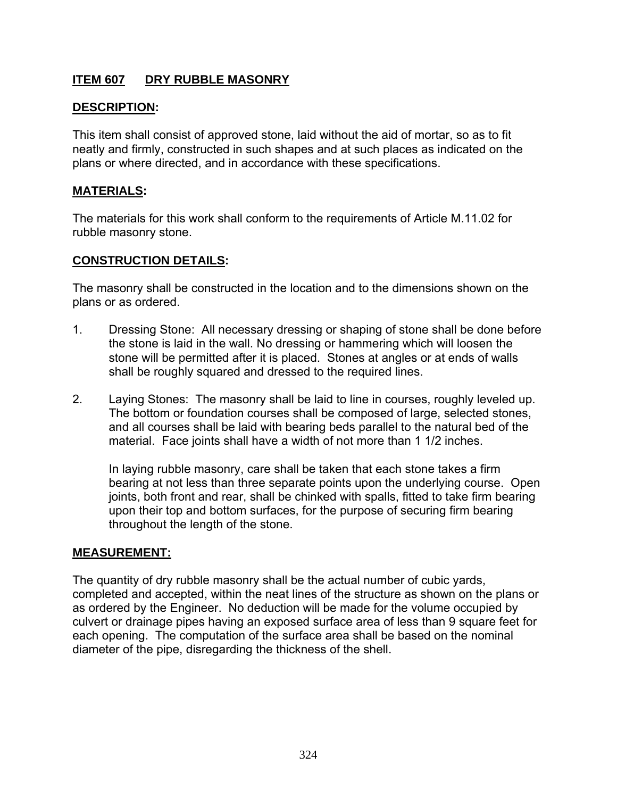# **ITEM 607 DRY RUBBLE MASONRY**

## **DESCRIPTION:**

This item shall consist of approved stone, laid without the aid of mortar, so as to fit neatly and firmly, constructed in such shapes and at such places as indicated on the plans or where directed, and in accordance with these specifications.

## **MATERIALS:**

The materials for this work shall conform to the requirements of Article M.11.02 for rubble masonry stone.

## **CONSTRUCTION DETAILS:**

The masonry shall be constructed in the location and to the dimensions shown on the plans or as ordered.

- 1. Dressing Stone: All necessary dressing or shaping of stone shall be done before the stone is laid in the wall. No dressing or hammering which will loosen the stone will be permitted after it is placed. Stones at angles or at ends of walls shall be roughly squared and dressed to the required lines.
- 2. Laying Stones: The masonry shall be laid to line in courses, roughly leveled up. The bottom or foundation courses shall be composed of large, selected stones, and all courses shall be laid with bearing beds parallel to the natural bed of the material. Face joints shall have a width of not more than 1 1/2 inches.

In laying rubble masonry, care shall be taken that each stone takes a firm bearing at not less than three separate points upon the underlying course. Open joints, both front and rear, shall be chinked with spalls, fitted to take firm bearing upon their top and bottom surfaces, for the purpose of securing firm bearing throughout the length of the stone.

#### **MEASUREMENT:**

The quantity of dry rubble masonry shall be the actual number of cubic yards, completed and accepted, within the neat lines of the structure as shown on the plans or as ordered by the Engineer. No deduction will be made for the volume occupied by culvert or drainage pipes having an exposed surface area of less than 9 square feet for each opening. The computation of the surface area shall be based on the nominal diameter of the pipe, disregarding the thickness of the shell.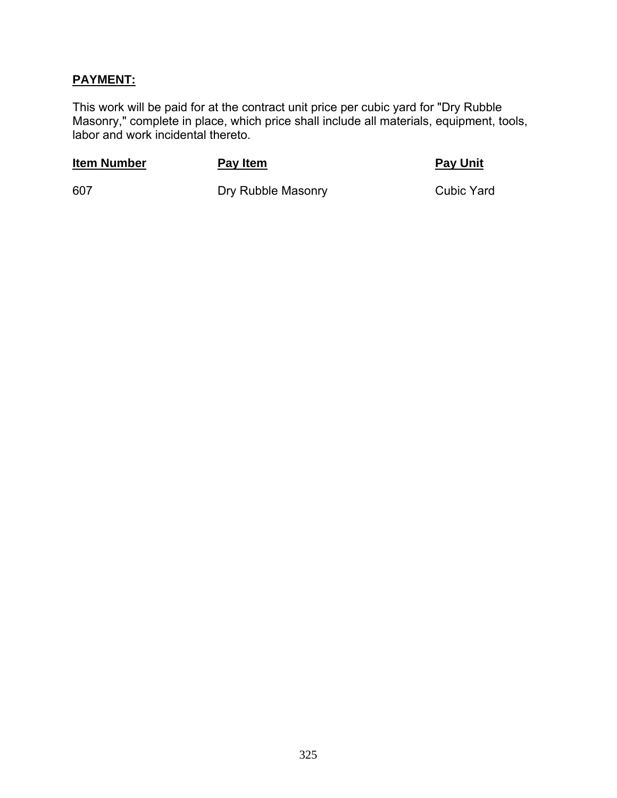## **PAYMENT:**

This work will be paid for at the contract unit price per cubic yard for "Dry Rubble Masonry," complete in place, which price shall include all materials, equipment, tools, labor and work incidental thereto.

### **Item Number Pay Item Pay Item Pay Unit**

607 Dry Rubble Masonry Cubic Yard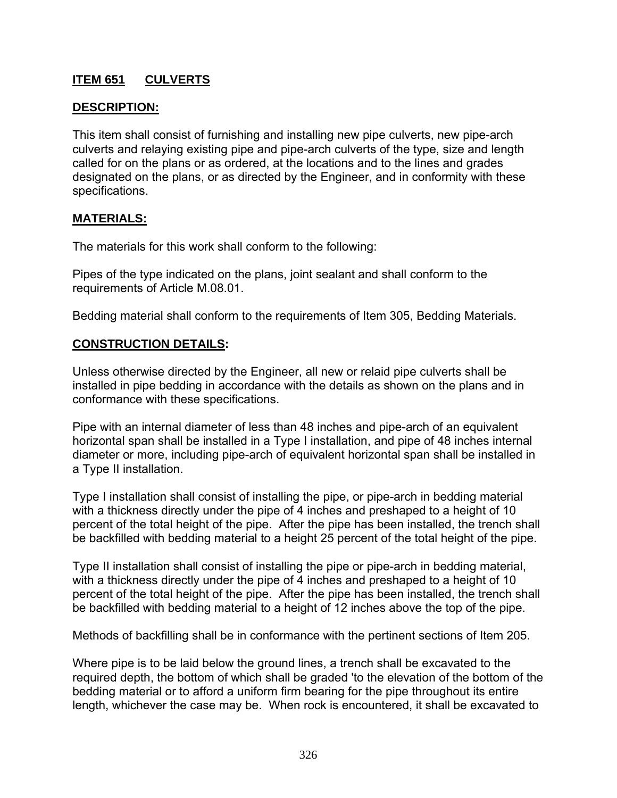# **ITEM 651 CULVERTS**

## **DESCRIPTION:**

This item shall consist of furnishing and installing new pipe culverts, new pipe-arch culverts and relaying existing pipe and pipe-arch culverts of the type, size and length called for on the plans or as ordered, at the locations and to the lines and grades designated on the plans, or as directed by the Engineer, and in conformity with these specifications.

#### **MATERIALS:**

The materials for this work shall conform to the following:

Pipes of the type indicated on the plans, joint sealant and shall conform to the requirements of Article M.08.01.

Bedding material shall conform to the requirements of Item 305, Bedding Materials.

#### **CONSTRUCTION DETAILS:**

Unless otherwise directed by the Engineer, all new or relaid pipe culverts shall be installed in pipe bedding in accordance with the details as shown on the plans and in conformance with these specifications.

Pipe with an internal diameter of less than 48 inches and pipe-arch of an equivalent horizontal span shall be installed in a Type I installation, and pipe of 48 inches internal diameter or more, including pipe-arch of equivalent horizontal span shall be installed in a Type II installation.

Type I installation shall consist of installing the pipe, or pipe-arch in bedding material with a thickness directly under the pipe of 4 inches and preshaped to a height of 10 percent of the total height of the pipe. After the pipe has been installed, the trench shall be backfilled with bedding material to a height 25 percent of the total height of the pipe.

Type II installation shall consist of installing the pipe or pipe-arch in bedding material, with a thickness directly under the pipe of 4 inches and preshaped to a height of 10 percent of the total height of the pipe. After the pipe has been installed, the trench shall be backfilled with bedding material to a height of 12 inches above the top of the pipe.

Methods of backfilling shall be in conformance with the pertinent sections of Item 205.

Where pipe is to be laid below the ground lines, a trench shall be excavated to the required depth, the bottom of which shall be graded 'to the elevation of the bottom of the bedding material or to afford a uniform firm bearing for the pipe throughout its entire length, whichever the case may be. When rock is encountered, it shall be excavated to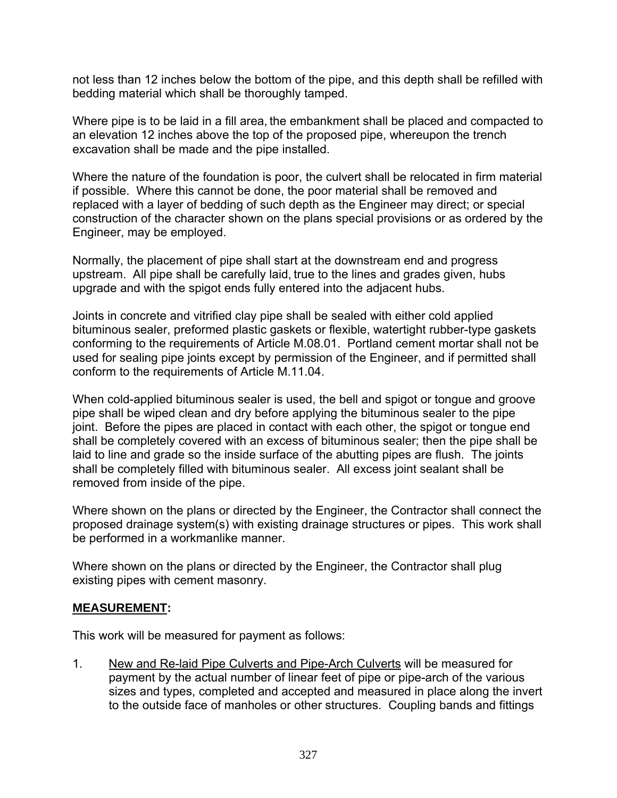not less than 12 inches below the bottom of the pipe, and this depth shall be refilled with bedding material which shall be thoroughly tamped.

Where pipe is to be laid in a fill area, the embankment shall be placed and compacted to an elevation 12 inches above the top of the proposed pipe, whereupon the trench excavation shall be made and the pipe installed.

Where the nature of the foundation is poor, the culvert shall be relocated in firm material if possible. Where this cannot be done, the poor material shall be removed and replaced with a layer of bedding of such depth as the Engineer may direct; or special construction of the character shown on the plans special provisions or as ordered by the Engineer, may be employed.

Normally, the placement of pipe shall start at the downstream end and progress upstream. All pipe shall be carefully laid, true to the lines and grades given, hubs upgrade and with the spigot ends fully entered into the adjacent hubs.

Joints in concrete and vitrified clay pipe shall be sealed with either cold applied bituminous sealer, preformed plastic gaskets or flexible, watertight rubber-type gaskets conforming to the requirements of Article M.08.01. Portland cement mortar shall not be used for sealing pipe joints except by permission of the Engineer, and if permitted shall conform to the requirements of Article M.11.04.

When cold-applied bituminous sealer is used, the bell and spigot or tongue and groove pipe shall be wiped clean and dry before applying the bituminous sealer to the pipe joint. Before the pipes are placed in contact with each other, the spigot or tongue end shall be completely covered with an excess of bituminous sealer; then the pipe shall be laid to line and grade so the inside surface of the abutting pipes are flush. The joints shall be completely filled with bituminous sealer. All excess joint sealant shall be removed from inside of the pipe.

Where shown on the plans or directed by the Engineer, the Contractor shall connect the proposed drainage system(s) with existing drainage structures or pipes. This work shall be performed in a workmanlike manner.

Where shown on the plans or directed by the Engineer, the Contractor shall plug existing pipes with cement masonry.

#### **MEASUREMENT:**

This work will be measured for payment as follows:

1. New and Re-laid Pipe Culverts and Pipe-Arch Culverts will be measured for payment by the actual number of linear feet of pipe or pipe-arch of the various sizes and types, completed and accepted and measured in place along the invert to the outside face of manholes or other structures. Coupling bands and fittings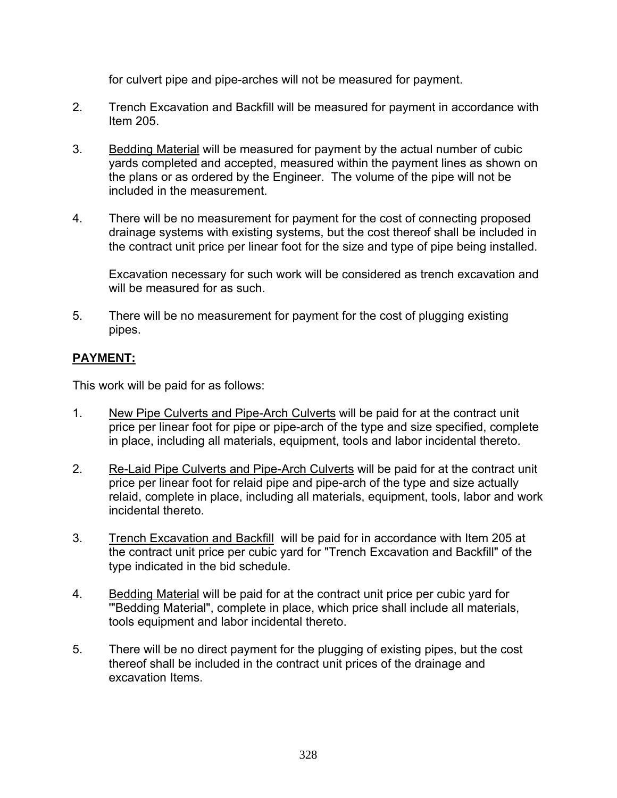for culvert pipe and pipe-arches will not be measured for payment.

- 2. Trench Excavation and Backfill will be measured for payment in accordance with Item 205.
- 3. Bedding Material will be measured for payment by the actual number of cubic yards completed and accepted, measured within the payment lines as shown on the plans or as ordered by the Engineer. The volume of the pipe will not be included in the measurement.
- 4. There will be no measurement for payment for the cost of connecting proposed drainage systems with existing systems, but the cost thereof shall be included in the contract unit price per linear foot for the size and type of pipe being installed.

 Excavation necessary for such work will be considered as trench excavation and will be measured for as such.

5. There will be no measurement for payment for the cost of plugging existing pipes.

# **PAYMENT:**

This work will be paid for as follows:

- 1. New Pipe Culverts and Pipe-Arch Culverts will be paid for at the contract unit price per linear foot for pipe or pipe-arch of the type and size specified, complete in place, including all materials, equipment, tools and labor incidental thereto.
- 2. Re-Laid Pipe Culverts and Pipe-Arch Culverts will be paid for at the contract unit price per linear foot for relaid pipe and pipe-arch of the type and size actually relaid, complete in place, including all materials, equipment, tools, labor and work incidental thereto.
- 3. Trench Excavation and Backfill will be paid for in accordance with Item 205 at the contract unit price per cubic yard for "Trench Excavation and Backfill" of the type indicated in the bid schedule.
- 4. Bedding Material will be paid for at the contract unit price per cubic yard for '"Bedding Material", complete in place, which price shall include all materials, tools equipment and labor incidental thereto.
- 5. There will be no direct payment for the plugging of existing pipes, but the cost thereof shall be included in the contract unit prices of the drainage and excavation Items.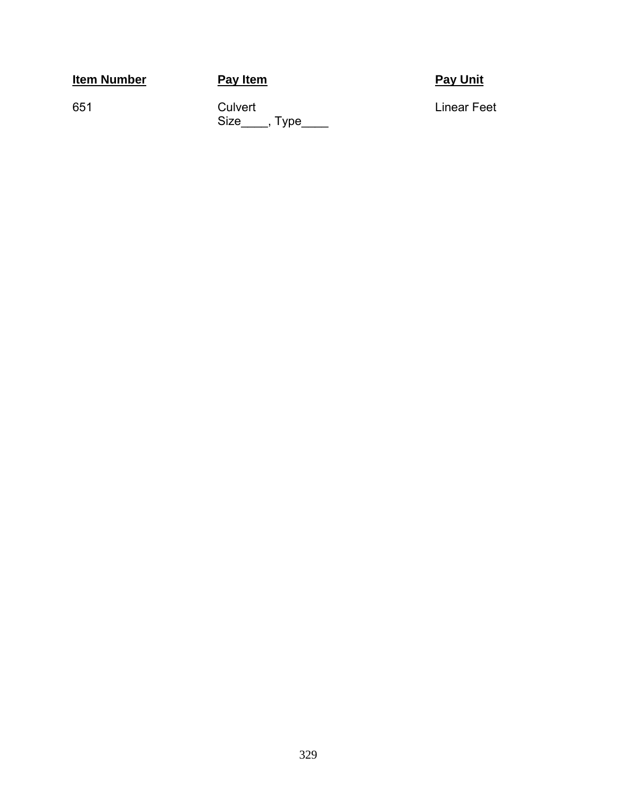**Item Number Pay Item Pay Item Pay Pay Unit** 

651 Culvert Culvert Culvert Einear Feet  $Size$ , Type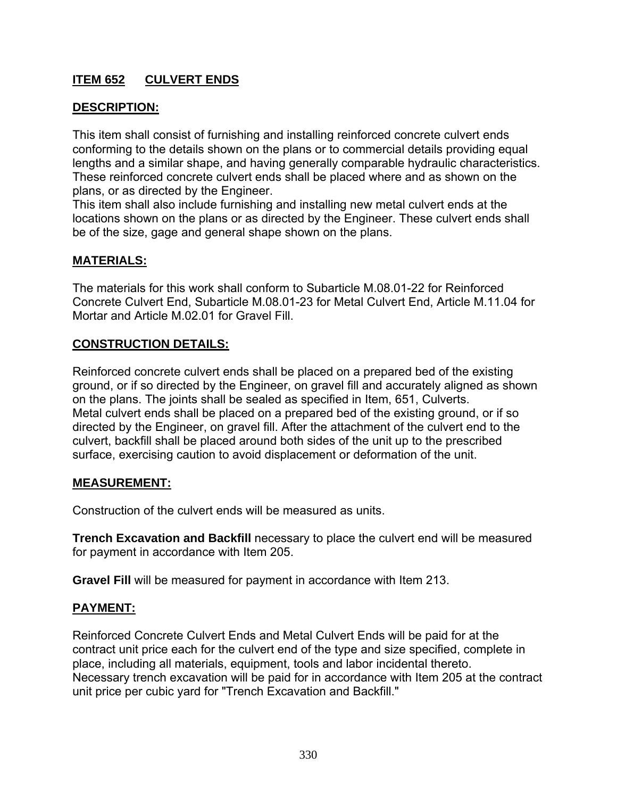# **ITEM 652 CULVERT ENDS**

# **DESCRIPTION:**

This item shall consist of furnishing and installing reinforced concrete culvert ends conforming to the details shown on the plans or to commercial details providing equal lengths and a similar shape, and having generally comparable hydraulic characteristics. These reinforced concrete culvert ends shall be placed where and as shown on the plans, or as directed by the Engineer.

This item shall also include furnishing and installing new metal culvert ends at the locations shown on the plans or as directed by the Engineer. These culvert ends shall be of the size, gage and general shape shown on the plans.

### **MATERIALS:**

The materials for this work shall conform to Subarticle M.08.01-22 for Reinforced Concrete Culvert End, Subarticle M.08.01-23 for Metal Culvert End, Article M.11.04 for Mortar and Article M.02.01 for Gravel Fill.

### **CONSTRUCTION DETAILS:**

Reinforced concrete culvert ends shall be placed on a prepared bed of the existing ground, or if so directed by the Engineer, on gravel fill and accurately aligned as shown on the plans. The joints shall be sealed as specified in Item, 651, Culverts. Metal culvert ends shall be placed on a prepared bed of the existing ground, or if so directed by the Engineer, on gravel fill. After the attachment of the culvert end to the culvert, backfill shall be placed around both sides of the unit up to the prescribed surface, exercising caution to avoid displacement or deformation of the unit.

#### **MEASUREMENT:**

Construction of the culvert ends will be measured as units.

**Trench Excavation and Backfill** necessary to place the culvert end will be measured for payment in accordance with Item 205.

**Gravel Fill** will be measured for payment in accordance with Item 213.

#### **PAYMENT:**

Reinforced Concrete Culvert Ends and Metal Culvert Ends will be paid for at the contract unit price each for the culvert end of the type and size specified, complete in place, including all materials, equipment, tools and labor incidental thereto. Necessary trench excavation will be paid for in accordance with Item 205 at the contract unit price per cubic yard for "Trench Excavation and Backfill."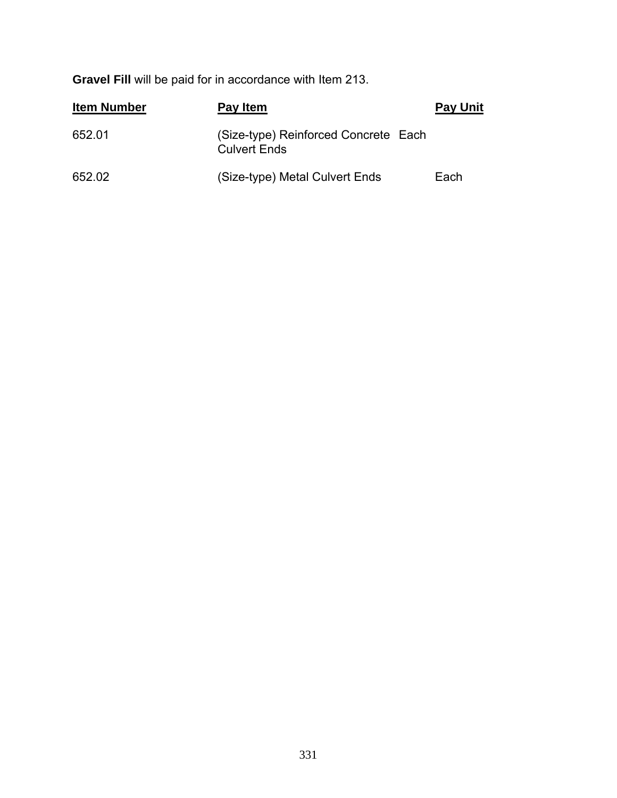**Gravel Fill** will be paid for in accordance with Item 213.

| <b>Item Number</b> | Pay Item                                                    | <b>Pay Unit</b> |
|--------------------|-------------------------------------------------------------|-----------------|
| 652.01             | (Size-type) Reinforced Concrete Each<br><b>Culvert Ends</b> |                 |
| 652.02             | (Size-type) Metal Culvert Ends                              | Each            |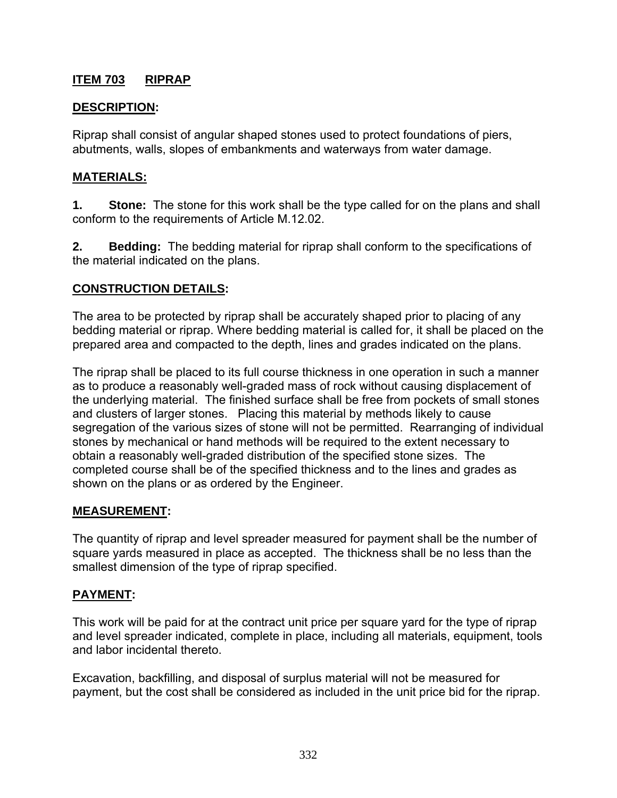## **ITEM 703 RIPRAP**

## **DESCRIPTION:**

Riprap shall consist of angular shaped stones used to protect foundations of piers, abutments, walls, slopes of embankments and waterways from water damage.

### **MATERIALS:**

**1. Stone:** The stone for this work shall be the type called for on the plans and shall conform to the requirements of Article M.12.02.

**2. Bedding:** The bedding material for riprap shall conform to the specifications of the material indicated on the plans.

### **CONSTRUCTION DETAILS:**

The area to be protected by riprap shall be accurately shaped prior to placing of any bedding material or riprap. Where bedding material is called for, it shall be placed on the prepared area and compacted to the depth, lines and grades indicated on the plans.

The riprap shall be placed to its full course thickness in one operation in such a manner as to produce a reasonably well-graded mass of rock without causing displacement of the underlying material. The finished surface shall be free from pockets of small stones and clusters of larger stones. Placing this material by methods likely to cause segregation of the various sizes of stone will not be permitted. Rearranging of individual stones by mechanical or hand methods will be required to the extent necessary to obtain a reasonably well-graded distribution of the specified stone sizes. The completed course shall be of the specified thickness and to the lines and grades as shown on the plans or as ordered by the Engineer.

#### **MEASUREMENT:**

The quantity of riprap and level spreader measured for payment shall be the number of square yards measured in place as accepted. The thickness shall be no less than the smallest dimension of the type of riprap specified.

## **PAYMENT:**

This work will be paid for at the contract unit price per square yard for the type of riprap and level spreader indicated, complete in place, including all materials, equipment, tools and labor incidental thereto.

Excavation, backfilling, and disposal of surplus material will not be measured for payment, but the cost shall be considered as included in the unit price bid for the riprap.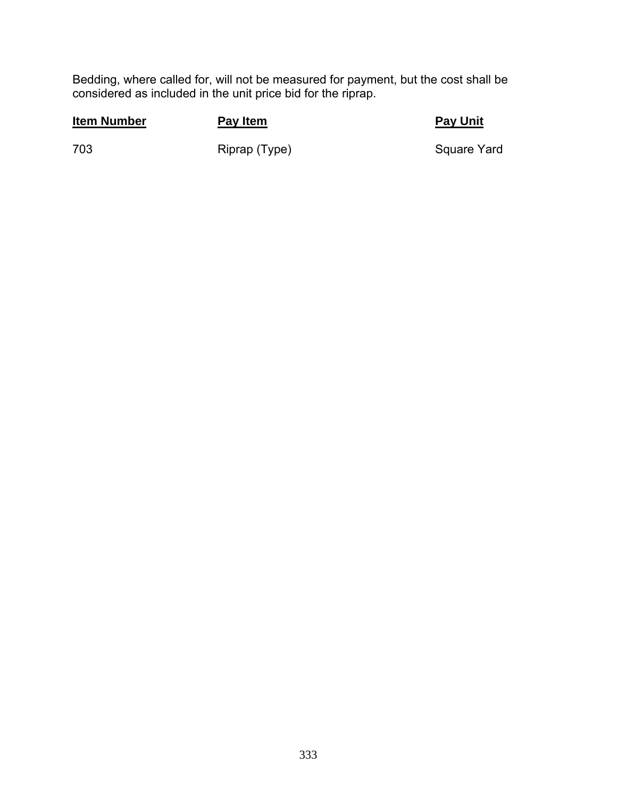Bedding, where called for, will not be measured for payment, but the cost shall be considered as included in the unit price bid for the riprap.

## **Item Number Pay Item Pay Item Pay Pay Unit**

703 Riprap (Type) Riprap (Type) Square Yard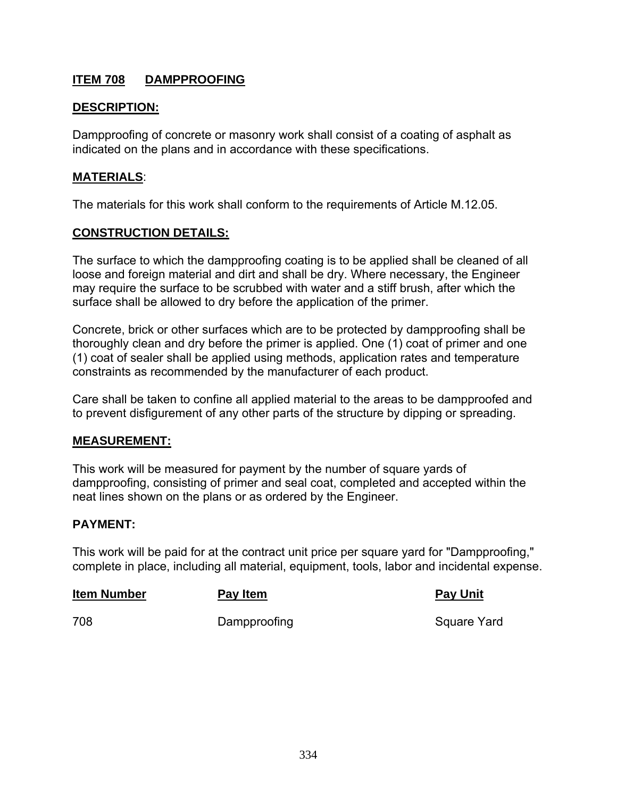## **ITEM 708 DAMPPROOFING**

## **DESCRIPTION:**

Dampproofing of concrete or masonry work shall consist of a coating of asphalt as indicated on the plans and in accordance with these specifications.

#### **MATERIALS**:

The materials for this work shall conform to the requirements of Article M.12.05.

#### **CONSTRUCTION DETAILS:**

The surface to which the dampproofing coating is to be applied shall be cleaned of all loose and foreign material and dirt and shall be dry. Where necessary, the Engineer may require the surface to be scrubbed with water and a stiff brush, after which the surface shall be allowed to dry before the application of the primer.

Concrete, brick or other surfaces which are to be protected by dampproofing shall be thoroughly clean and dry before the primer is applied. One (1) coat of primer and one (1) coat of sealer shall be applied using methods, application rates and temperature constraints as recommended by the manufacturer of each product.

Care shall be taken to confine all applied material to the areas to be dampproofed and to prevent disfigurement of any other parts of the structure by dipping or spreading.

#### **MEASUREMENT:**

This work will be measured for payment by the number of square yards of dampproofing, consisting of primer and seal coat, completed and accepted within the neat lines shown on the plans or as ordered by the Engineer.

#### **PAYMENT:**

This work will be paid for at the contract unit price per square yard for "Dampproofing," complete in place, including all material, equipment, tools, labor and incidental expense.

| <b>Item Number</b> | Pay Item     | <b>Pay Unit</b> |
|--------------------|--------------|-----------------|
| 708                | Dampproofing | Square Yard     |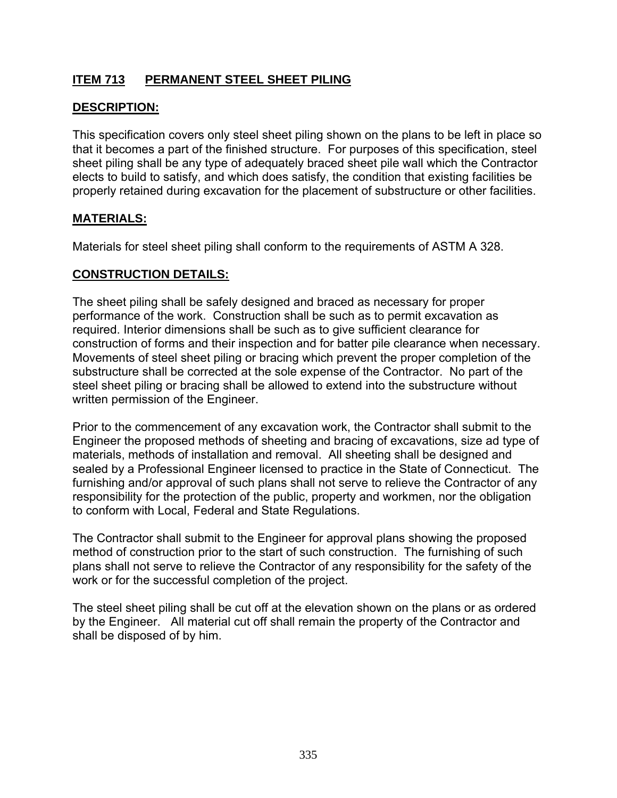# **ITEM 713 PERMANENT STEEL SHEET PILING**

## **DESCRIPTION:**

This specification covers only steel sheet piling shown on the plans to be left in place so that it becomes a part of the finished structure. For purposes of this specification, steel sheet piling shall be any type of adequately braced sheet pile wall which the Contractor elects to build to satisfy, and which does satisfy, the condition that existing facilities be properly retained during excavation for the placement of substructure or other facilities.

### **MATERIALS:**

Materials for steel sheet piling shall conform to the requirements of ASTM A 328.

## **CONSTRUCTION DETAILS:**

The sheet piling shall be safely designed and braced as necessary for proper performance of the work. Construction shall be such as to permit excavation as required. Interior dimensions shall be such as to give sufficient clearance for construction of forms and their inspection and for batter pile clearance when necessary. Movements of steel sheet piling or bracing which prevent the proper completion of the substructure shall be corrected at the sole expense of the Contractor. No part of the steel sheet piling or bracing shall be allowed to extend into the substructure without written permission of the Engineer.

Prior to the commencement of any excavation work, the Contractor shall submit to the Engineer the proposed methods of sheeting and bracing of excavations, size ad type of materials, methods of installation and removal. All sheeting shall be designed and sealed by a Professional Engineer licensed to practice in the State of Connecticut. The furnishing and/or approval of such plans shall not serve to relieve the Contractor of any responsibility for the protection of the public, property and workmen, nor the obligation to conform with Local, Federal and State Regulations.

The Contractor shall submit to the Engineer for approval plans showing the proposed method of construction prior to the start of such construction. The furnishing of such plans shall not serve to relieve the Contractor of any responsibility for the safety of the work or for the successful completion of the project.

The steel sheet piling shall be cut off at the elevation shown on the plans or as ordered by the Engineer. All material cut off shall remain the property of the Contractor and shall be disposed of by him.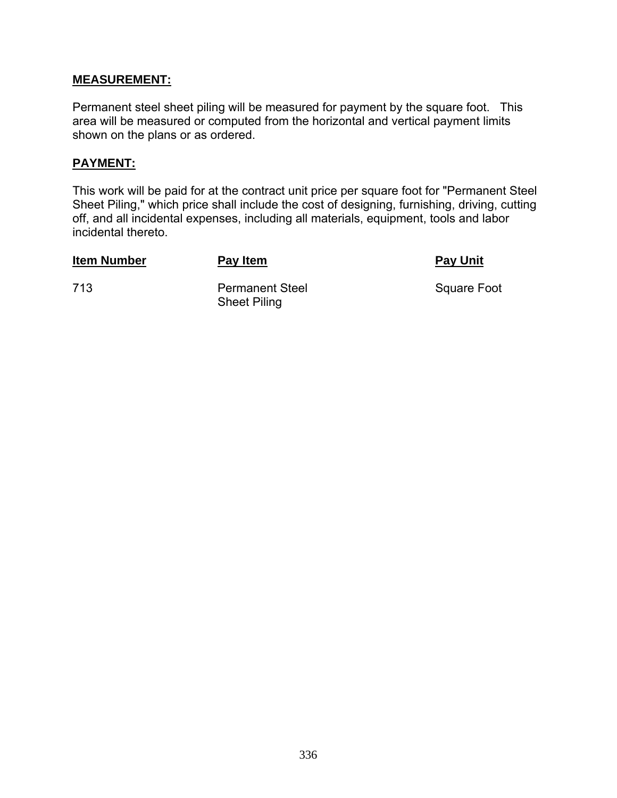#### **MEASUREMENT:**

Permanent steel sheet piling will be measured for payment by the square foot. This area will be measured or computed from the horizontal and vertical payment limits shown on the plans or as ordered.

#### **PAYMENT:**

This work will be paid for at the contract unit price per square foot for "Permanent Steel Sheet Piling," which price shall include the cost of designing, furnishing, driving, cutting off, and all incidental expenses, including all materials, equipment, tools and labor incidental thereto.

**Item Number Pay Item Pay Item Pay Item Pay Unit** 

**713** Permanent Steel Square Foot Sheet Piling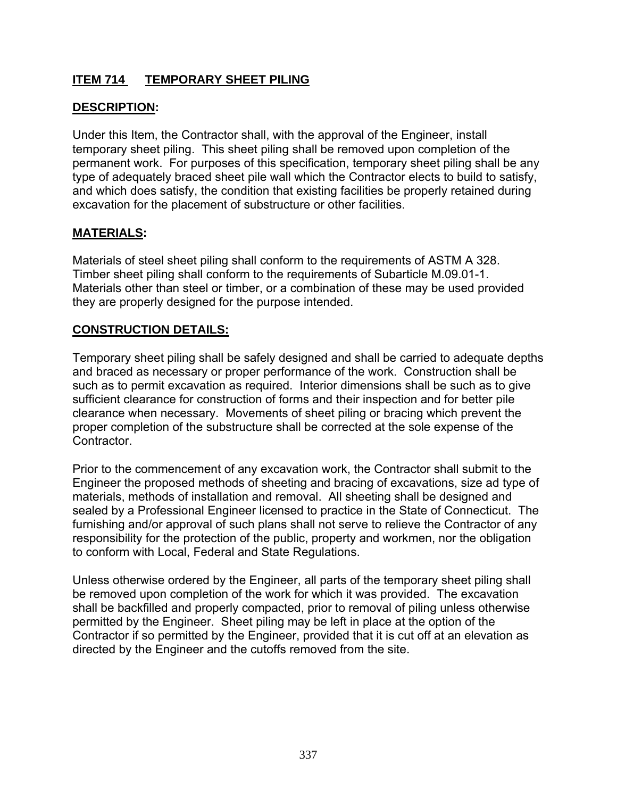# **ITEM 714 TEMPORARY SHEET PILING**

# **DESCRIPTION:**

Under this Item, the Contractor shall, with the approval of the Engineer, install temporary sheet piling. This sheet piling shall be removed upon completion of the permanent work. For purposes of this specification, temporary sheet piling shall be any type of adequately braced sheet pile wall which the Contractor elects to build to satisfy, and which does satisfy, the condition that existing facilities be properly retained during excavation for the placement of substructure or other facilities.

# **MATERIALS:**

Materials of steel sheet piling shall conform to the requirements of ASTM A 328. Timber sheet piling shall conform to the requirements of Subarticle M.09.01-1. Materials other than steel or timber, or a combination of these may be used provided they are properly designed for the purpose intended.

## **CONSTRUCTION DETAILS:**

Temporary sheet piling shall be safely designed and shall be carried to adequate depths and braced as necessary or proper performance of the work. Construction shall be such as to permit excavation as required. Interior dimensions shall be such as to give sufficient clearance for construction of forms and their inspection and for better pile clearance when necessary. Movements of sheet piling or bracing which prevent the proper completion of the substructure shall be corrected at the sole expense of the Contractor.

Prior to the commencement of any excavation work, the Contractor shall submit to the Engineer the proposed methods of sheeting and bracing of excavations, size ad type of materials, methods of installation and removal. All sheeting shall be designed and sealed by a Professional Engineer licensed to practice in the State of Connecticut. The furnishing and/or approval of such plans shall not serve to relieve the Contractor of any responsibility for the protection of the public, property and workmen, nor the obligation to conform with Local, Federal and State Regulations.

Unless otherwise ordered by the Engineer, all parts of the temporary sheet piling shall be removed upon completion of the work for which it was provided. The excavation shall be backfilled and properly compacted, prior to removal of piling unless otherwise permitted by the Engineer. Sheet piling may be left in place at the option of the Contractor if so permitted by the Engineer, provided that it is cut off at an elevation as directed by the Engineer and the cutoffs removed from the site.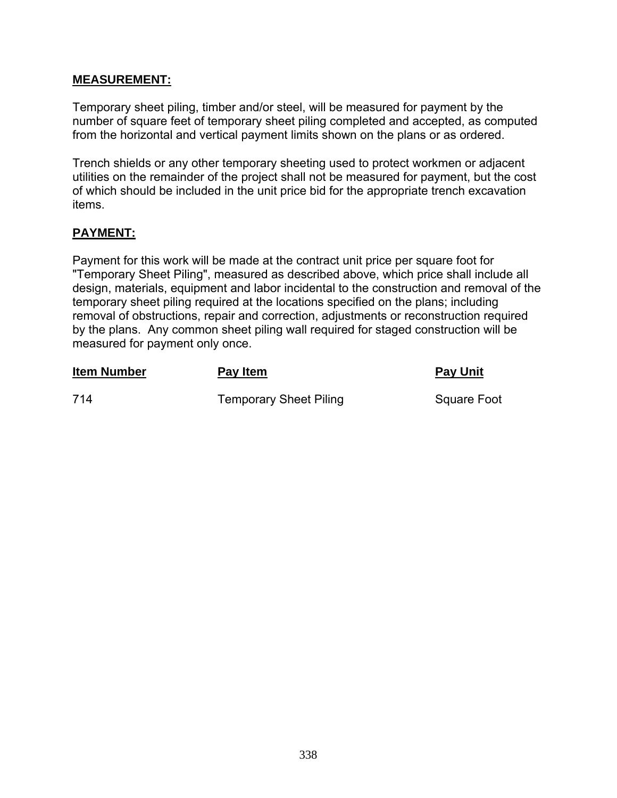#### **MEASUREMENT:**

Temporary sheet piling, timber and/or steel, will be measured for payment by the number of square feet of temporary sheet piling completed and accepted, as computed from the horizontal and vertical payment limits shown on the plans or as ordered.

Trench shields or any other temporary sheeting used to protect workmen or adjacent utilities on the remainder of the project shall not be measured for payment, but the cost of which should be included in the unit price bid for the appropriate trench excavation items.

## **PAYMENT:**

measured for payment only once.

**Item Number Pay Item Pay Item Pay Pay Unit** 

714 **Temporary Sheet Piling Square Foot** 

Payment for this work will be made at the contract unit price per square foot for

temporary sheet piling required at the locations specified on the plans; including

"Temporary Sheet Piling", measured as described above, which price shall include all design, materials, equipment and labor incidental to the construction and removal of the

removal of obstructions, repair and correction, adjustments or reconstruction required by the plans. Any common sheet piling wall required for staged construction will be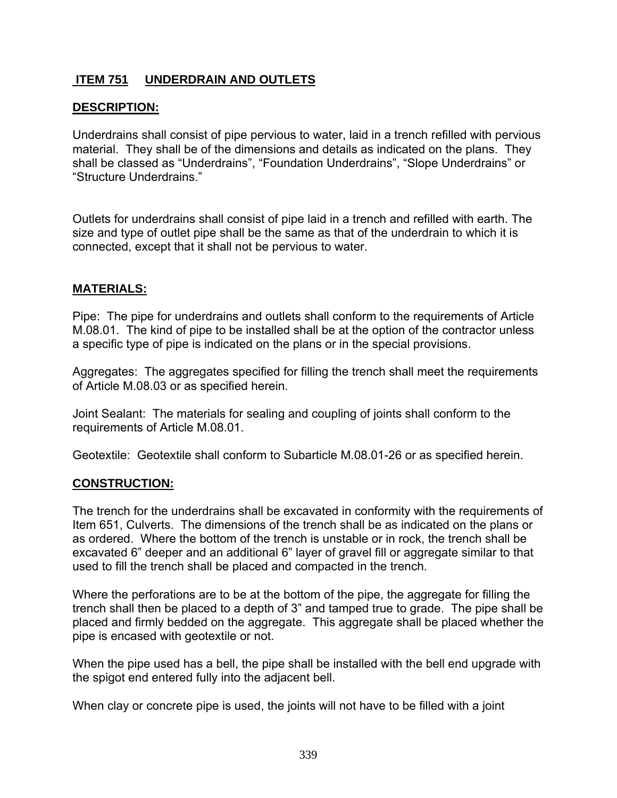# **ITEM 751 UNDERDRAIN AND OUTLETS**

## **DESCRIPTION:**

Underdrains shall consist of pipe pervious to water, laid in a trench refilled with pervious material. They shall be of the dimensions and details as indicated on the plans. They shall be classed as "Underdrains", "Foundation Underdrains", "Slope Underdrains" or "Structure Underdrains."

Outlets for underdrains shall consist of pipe laid in a trench and refilled with earth. The size and type of outlet pipe shall be the same as that of the underdrain to which it is connected, except that it shall not be pervious to water.

### **MATERIALS:**

Pipe: The pipe for underdrains and outlets shall conform to the requirements of Article M.08.01. The kind of pipe to be installed shall be at the option of the contractor unless a specific type of pipe is indicated on the plans or in the special provisions.

Aggregates: The aggregates specified for filling the trench shall meet the requirements of Article M.08.03 or as specified herein.

Joint Sealant: The materials for sealing and coupling of joints shall conform to the requirements of Article M.08.01.

Geotextile: Geotextile shall conform to Subarticle M.08.01-26 or as specified herein.

#### **CONSTRUCTION:**

The trench for the underdrains shall be excavated in conformity with the requirements of Item 651, Culverts. The dimensions of the trench shall be as indicated on the plans or as ordered. Where the bottom of the trench is unstable or in rock, the trench shall be excavated 6" deeper and an additional 6" layer of gravel fill or aggregate similar to that used to fill the trench shall be placed and compacted in the trench.

Where the perforations are to be at the bottom of the pipe, the aggregate for filling the trench shall then be placed to a depth of 3" and tamped true to grade. The pipe shall be placed and firmly bedded on the aggregate. This aggregate shall be placed whether the pipe is encased with geotextile or not.

When the pipe used has a bell, the pipe shall be installed with the bell end upgrade with the spigot end entered fully into the adjacent bell.

When clay or concrete pipe is used, the joints will not have to be filled with a joint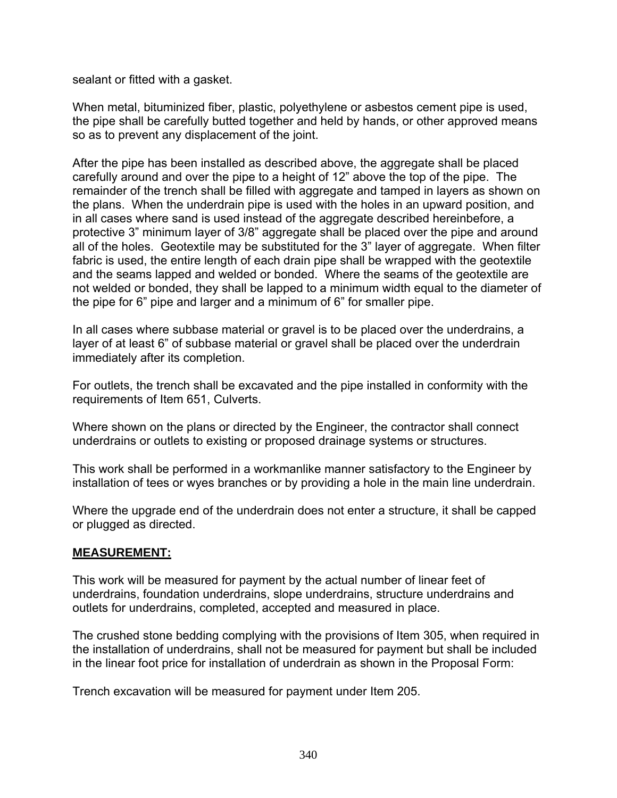sealant or fitted with a gasket.

When metal, bituminized fiber, plastic, polyethylene or asbestos cement pipe is used, the pipe shall be carefully butted together and held by hands, or other approved means so as to prevent any displacement of the joint.

After the pipe has been installed as described above, the aggregate shall be placed carefully around and over the pipe to a height of 12" above the top of the pipe. The remainder of the trench shall be filled with aggregate and tamped in layers as shown on the plans. When the underdrain pipe is used with the holes in an upward position, and in all cases where sand is used instead of the aggregate described hereinbefore, a protective 3" minimum layer of 3/8" aggregate shall be placed over the pipe and around all of the holes. Geotextile may be substituted for the 3" layer of aggregate. When filter fabric is used, the entire length of each drain pipe shall be wrapped with the geotextile and the seams lapped and welded or bonded. Where the seams of the geotextile are not welded or bonded, they shall be lapped to a minimum width equal to the diameter of the pipe for 6" pipe and larger and a minimum of 6" for smaller pipe.

In all cases where subbase material or gravel is to be placed over the underdrains, a layer of at least 6" of subbase material or gravel shall be placed over the underdrain immediately after its completion.

For outlets, the trench shall be excavated and the pipe installed in conformity with the requirements of Item 651, Culverts.

Where shown on the plans or directed by the Engineer, the contractor shall connect underdrains or outlets to existing or proposed drainage systems or structures.

This work shall be performed in a workmanlike manner satisfactory to the Engineer by installation of tees or wyes branches or by providing a hole in the main line underdrain.

Where the upgrade end of the underdrain does not enter a structure, it shall be capped or plugged as directed.

#### **MEASUREMENT:**

This work will be measured for payment by the actual number of linear feet of underdrains, foundation underdrains, slope underdrains, structure underdrains and outlets for underdrains, completed, accepted and measured in place.

The crushed stone bedding complying with the provisions of Item 305, when required in the installation of underdrains, shall not be measured for payment but shall be included in the linear foot price for installation of underdrain as shown in the Proposal Form:

Trench excavation will be measured for payment under Item 205.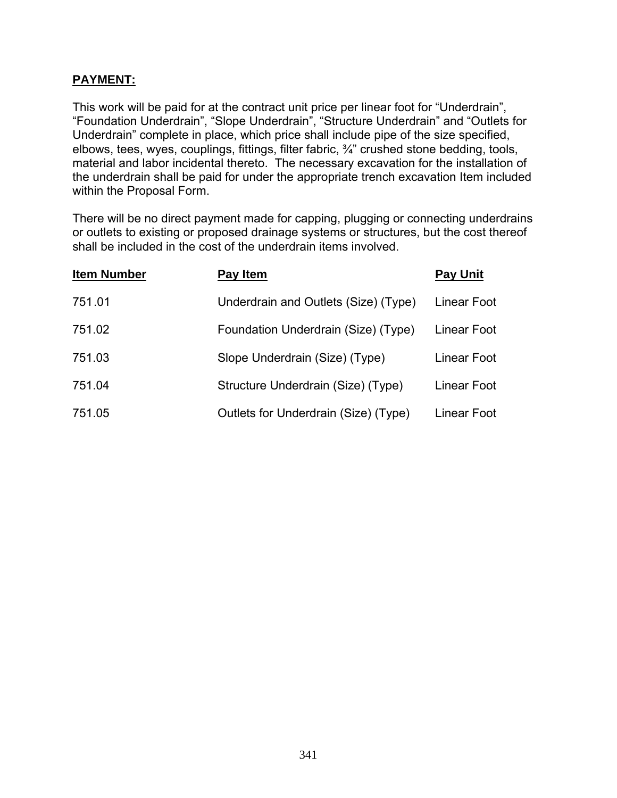## **PAYMENT:**

This work will be paid for at the contract unit price per linear foot for "Underdrain", "Foundation Underdrain", "Slope Underdrain", "Structure Underdrain" and "Outlets for Underdrain" complete in place, which price shall include pipe of the size specified, elbows, tees, wyes, couplings, fittings, filter fabric, ¾" crushed stone bedding, tools, material and labor incidental thereto. The necessary excavation for the installation of the underdrain shall be paid for under the appropriate trench excavation Item included within the Proposal Form.

There will be no direct payment made for capping, plugging or connecting underdrains or outlets to existing or proposed drainage systems or structures, but the cost thereof shall be included in the cost of the underdrain items involved.

| <b>Item Number</b> | Pay Item                             | <b>Pay Unit</b> |
|--------------------|--------------------------------------|-----------------|
| 751.01             | Underdrain and Outlets (Size) (Type) | Linear Foot     |
| 751.02             | Foundation Underdrain (Size) (Type)  | Linear Foot     |
| 751.03             | Slope Underdrain (Size) (Type)       | Linear Foot     |
| 751.04             | Structure Underdrain (Size) (Type)   | Linear Foot     |
| 751.05             | Outlets for Underdrain (Size) (Type) | Linear Foot     |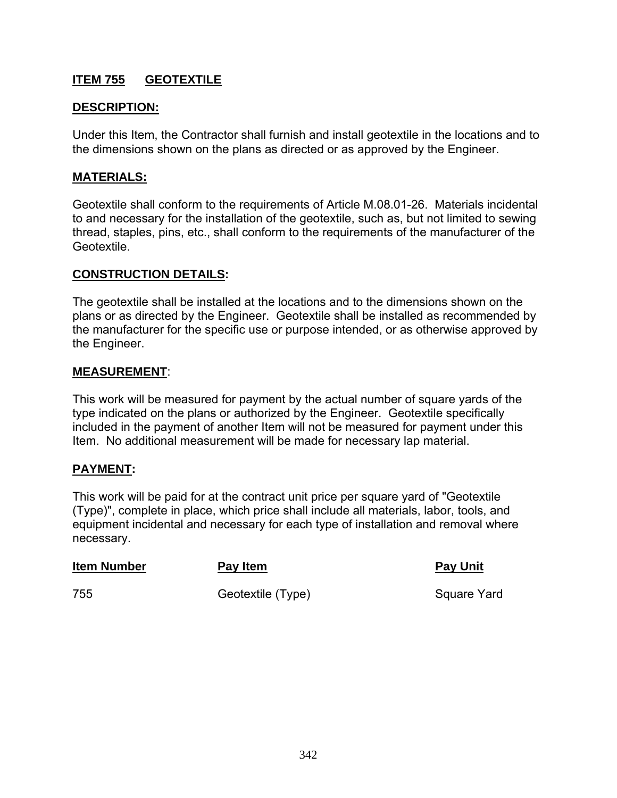# **ITEM 755 GEOTEXTILE**

### **DESCRIPTION:**

Under this Item, the Contractor shall furnish and install geotextile in the locations and to the dimensions shown on the plans as directed or as approved by the Engineer.

#### **MATERIALS:**

Geotextile shall conform to the requirements of Article M.08.01-26. Materials incidental to and necessary for the installation of the geotextile, such as, but not limited to sewing thread, staples, pins, etc., shall conform to the requirements of the manufacturer of the Geotextile.

#### **CONSTRUCTION DETAILS:**

The geotextile shall be installed at the locations and to the dimensions shown on the plans or as directed by the Engineer. Geotextile shall be installed as recommended by the manufacturer for the specific use or purpose intended, or as otherwise approved by the Engineer.

#### **MEASUREMENT**:

This work will be measured for payment by the actual number of square yards of the type indicated on the plans or authorized by the Engineer. Geotextile specifically included in the payment of another Item will not be measured for payment under this Item. No additional measurement will be made for necessary lap material.

#### **PAYMENT:**

This work will be paid for at the contract unit price per square yard of "Geotextile (Type)", complete in place, which price shall include all materials, labor, tools, and equipment incidental and necessary for each type of installation and removal where necessary.

| <b>Item Number</b> | Pay Item          | <b>Pay Unit</b> |
|--------------------|-------------------|-----------------|
| 755                | Geotextile (Type) | Square Yard     |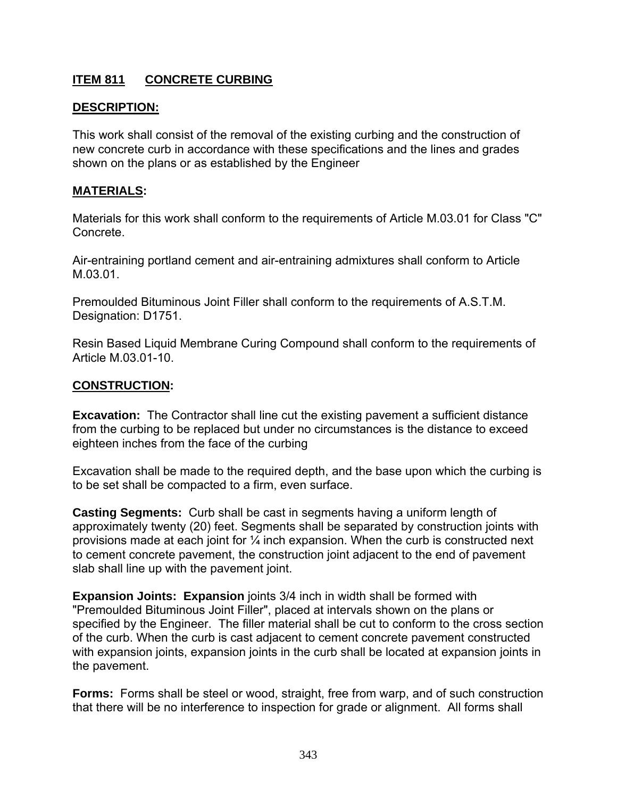# **ITEM 811 CONCRETE CURBING**

## **DESCRIPTION:**

This work shall consist of the removal of the existing curbing and the construction of new concrete curb in accordance with these specifications and the lines and grades shown on the plans or as established by the Engineer

#### **MATERIALS:**

Materials for this work shall conform to the requirements of Article M.03.01 for Class "C" Concrete.

Air-entraining portland cement and air-entraining admixtures shall conform to Article M.03.01.

Premoulded Bituminous Joint Filler shall conform to the requirements of A.S.T.M. Designation: D1751.

Resin Based Liquid Membrane Curing Compound shall conform to the requirements of Article M.03.01-10.

#### **CONSTRUCTION:**

**Excavation:** The Contractor shall line cut the existing pavement a sufficient distance from the curbing to be replaced but under no circumstances is the distance to exceed eighteen inches from the face of the curbing

Excavation shall be made to the required depth, and the base upon which the curbing is to be set shall be compacted to a firm, even surface.

**Casting Segments:** Curb shall be cast in segments having a uniform length of approximately twenty (20) feet. Segments shall be separated by construction joints with provisions made at each joint for  $\frac{1}{4}$  inch expansion. When the curb is constructed next to cement concrete pavement, the construction joint adjacent to the end of pavement slab shall line up with the pavement joint.

**Expansion Joints: Expansion** joints 3/4 inch in width shall be formed with "Premoulded Bituminous Joint Filler", placed at intervals shown on the plans or specified by the Engineer. The filler material shall be cut to conform to the cross section of the curb. When the curb is cast adjacent to cement concrete pavement constructed with expansion joints, expansion joints in the curb shall be located at expansion joints in the pavement.

**Forms:** Forms shall be steel or wood, straight, free from warp, and of such construction that there will be no interference to inspection for grade or alignment. All forms shall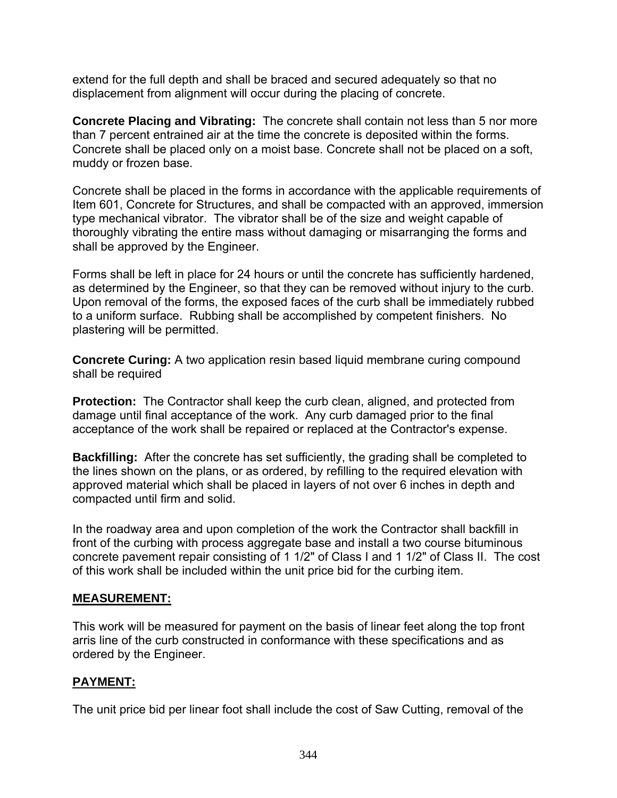extend for the full depth and shall be braced and secured adequately so that no displacement from alignment will occur during the placing of concrete.

**Concrete Placing and Vibrating:** The concrete shall contain not less than 5 nor more than 7 percent entrained air at the time the concrete is deposited within the forms. Concrete shall be placed only on a moist base. Concrete shall not be placed on a soft, muddy or frozen base.

Concrete shall be placed in the forms in accordance with the applicable requirements of Item 601, Concrete for Structures, and shall be compacted with an approved, immersion type mechanical vibrator. The vibrator shall be of the size and weight capable of thoroughly vibrating the entire mass without damaging or misarranging the forms and shall be approved by the Engineer.

Forms shall be left in place for 24 hours or until the concrete has sufficiently hardened, as determined by the Engineer, so that they can be removed without injury to the curb. Upon removal of the forms, the exposed faces of the curb shall be immediately rubbed to a uniform surface. Rubbing shall be accomplished by competent finishers. No plastering will be permitted.

**Concrete Curing:** A two application resin based liquid membrane curing compound shall be required

**Protection:** The Contractor shall keep the curb clean, aligned, and protected from damage until final acceptance of the work. Any curb damaged prior to the final acceptance of the work shall be repaired or replaced at the Contractor's expense.

**Backfilling:** After the concrete has set sufficiently, the grading shall be completed to the lines shown on the plans, or as ordered, by refilling to the required elevation with approved material which shall be placed in layers of not over 6 inches in depth and compacted until firm and solid.

In the roadway area and upon completion of the work the Contractor shall backfill in front of the curbing with process aggregate base and install a two course bituminous concrete pavement repair consisting of 1 1/2" of Class I and 1 1/2" of Class II. The cost of this work shall be included within the unit price bid for the curbing item.

#### **MEASUREMENT:**

This work will be measured for payment on the basis of linear feet along the top front arris line of the curb constructed in conformance with these specifications and as ordered by the Engineer.

## **PAYMENT:**

The unit price bid per linear foot shall include the cost of Saw Cutting, removal of the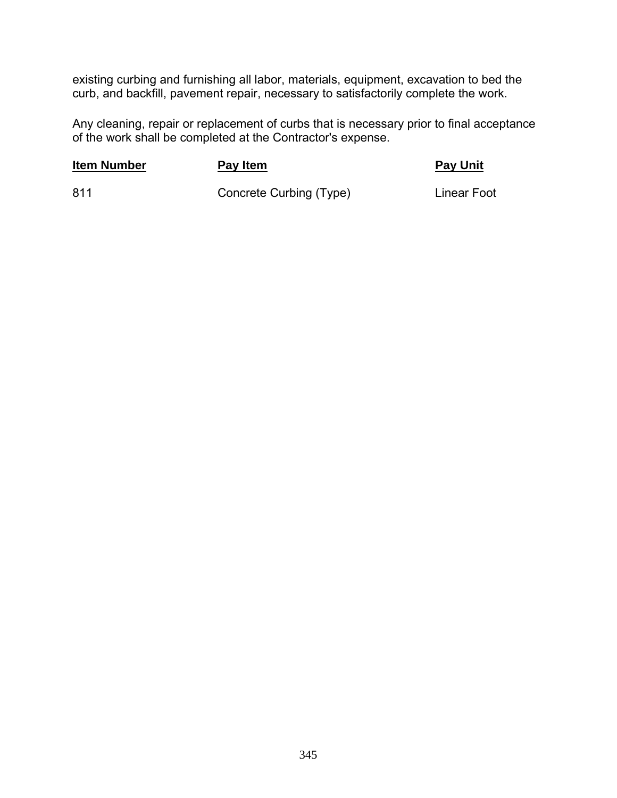existing curbing and furnishing all labor, materials, equipment, excavation to bed the curb, and backfill, pavement repair, necessary to satisfactorily complete the work.

Any cleaning, repair or replacement of curbs that is necessary prior to final acceptance of the work shall be completed at the Contractor's expense.

## **Item Number Pay Item Pay Item Pay Item Pay Unit**

811 Concrete Curbing (Type) Linear Foot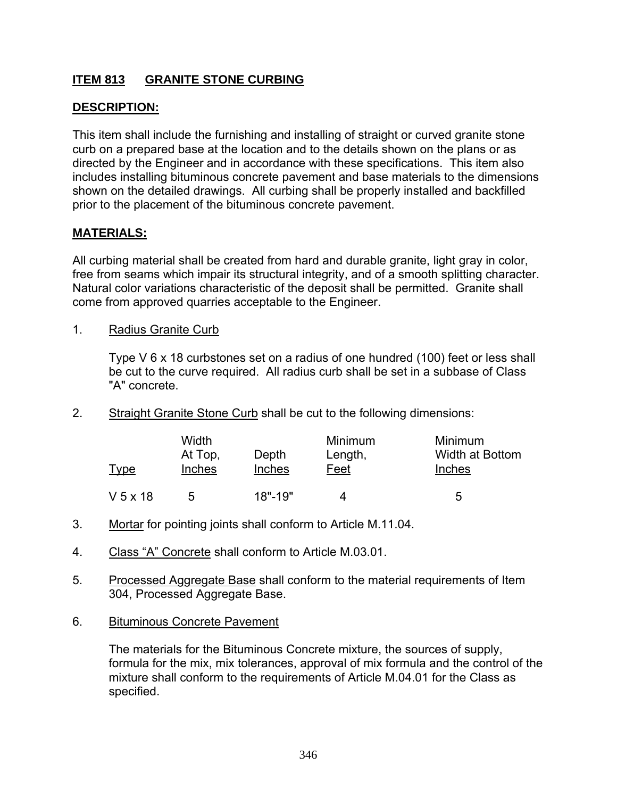# **ITEM 813 GRANITE STONE CURBING**

## **DESCRIPTION:**

This item shall include the furnishing and installing of straight or curved granite stone curb on a prepared base at the location and to the details shown on the plans or as directed by the Engineer and in accordance with these specifications. This item also includes installing bituminous concrete pavement and base materials to the dimensions shown on the detailed drawings. All curbing shall be properly installed and backfilled prior to the placement of the bituminous concrete pavement.

## **MATERIALS:**

All curbing material shall be created from hard and durable granite, light gray in color, free from seams which impair its structural integrity, and of a smooth splitting character. Natural color variations characteristic of the deposit shall be permitted. Granite shall come from approved quarries acceptable to the Engineer.

1. Radius Granite Curb

Type V 6 x 18 curbstones set on a radius of one hundred (100) feet or less shall be cut to the curve required. All radius curb shall be set in a subbase of Class "A" concrete.

2. Straight Granite Stone Curb shall be cut to the following dimensions:

| Type       | Width<br>At Top,<br><b>Inches</b> | Depth<br>Inches | Minimum<br>Length,<br>Feet | Minimum<br>Width at Bottom<br>Inches |
|------------|-----------------------------------|-----------------|----------------------------|--------------------------------------|
| $V$ 5 x 18 | 5                                 | $18" - 19"$     | 4                          | 5                                    |

- 3. Mortar for pointing joints shall conform to Article M.11.04.
- 4. Class "A" Concrete shall conform to Article M.03.01.
- 5. Processed Aggregate Base shall conform to the material requirements of Item 304, Processed Aggregate Base.
- 6. Bituminous Concrete Pavement

The materials for the Bituminous Concrete mixture, the sources of supply, formula for the mix, mix tolerances, approval of mix formula and the control of the mixture shall conform to the requirements of Article M.04.01 for the Class as specified.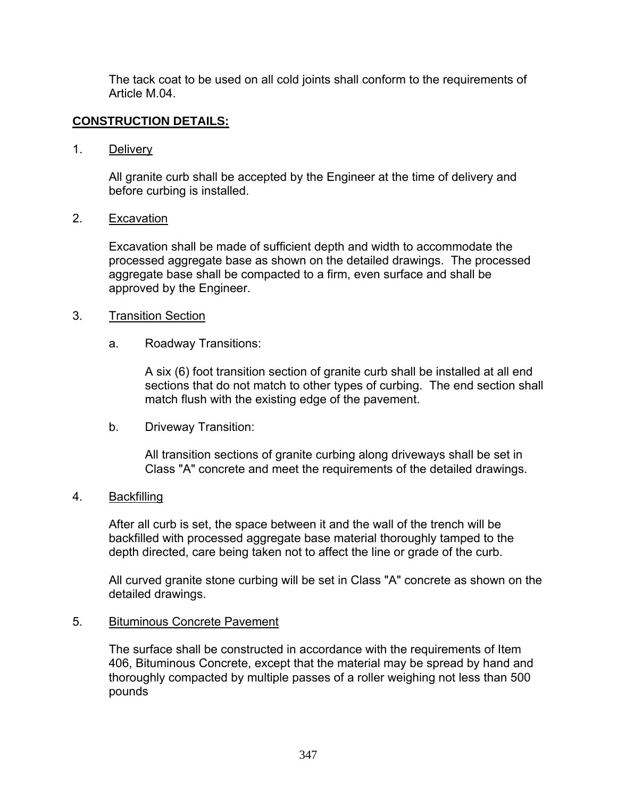The tack coat to be used on all cold joints shall conform to the requirements of Article M.04.

## **CONSTRUCTION DETAILS:**

1. Delivery

All granite curb shall be accepted by the Engineer at the time of delivery and before curbing is installed.

### 2. Excavation

Excavation shall be made of sufficient depth and width to accommodate the processed aggregate base as shown on the detailed drawings. The processed aggregate base shall be compacted to a firm, even surface and shall be approved by the Engineer.

### 3. Transition Section

a. Roadway Transitions:

A six (6) foot transition section of granite curb shall be installed at all end sections that do not match to other types of curbing. The end section shall match flush with the existing edge of the pavement.

b. Driveway Transition:

All transition sections of granite curbing along driveways shall be set in Class "A" concrete and meet the requirements of the detailed drawings.

#### 4. Backfilling

After all curb is set, the space between it and the wall of the trench will be backfilled with processed aggregate base material thoroughly tamped to the depth directed, care being taken not to affect the line or grade of the curb.

All curved granite stone curbing will be set in Class "A" concrete as shown on the detailed drawings.

#### 5. Bituminous Concrete Pavement

The surface shall be constructed in accordance with the requirements of Item 406, Bituminous Concrete, except that the material may be spread by hand and thoroughly compacted by multiple passes of a roller weighing not less than 500 pounds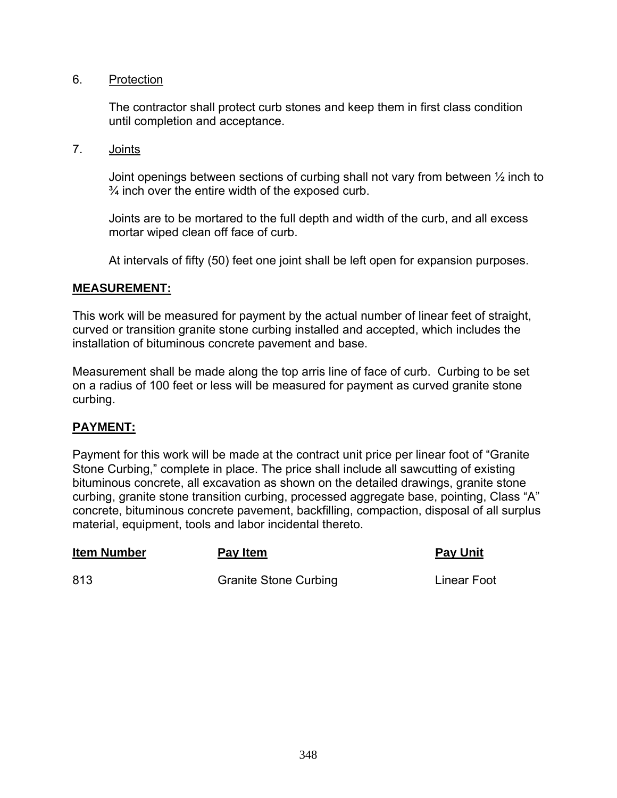### 6. Protection

The contractor shall protect curb stones and keep them in first class condition until completion and acceptance.

7. Joints

Joint openings between sections of curbing shall not vary from between ½ inch to  $\frac{3}{4}$  inch over the entire width of the exposed curb.

Joints are to be mortared to the full depth and width of the curb, and all excess mortar wiped clean off face of curb.

At intervals of fifty (50) feet one joint shall be left open for expansion purposes.

### **MEASUREMENT:**

This work will be measured for payment by the actual number of linear feet of straight, curved or transition granite stone curbing installed and accepted, which includes the installation of bituminous concrete pavement and base.

Measurement shall be made along the top arris line of face of curb. Curbing to be set on a radius of 100 feet or less will be measured for payment as curved granite stone curbing.

## **PAYMENT:**

Payment for this work will be made at the contract unit price per linear foot of "Granite Stone Curbing," complete in place. The price shall include all sawcutting of existing bituminous concrete, all excavation as shown on the detailed drawings, granite stone curbing, granite stone transition curbing, processed aggregate base, pointing, Class "A" concrete, bituminous concrete pavement, backfilling, compaction, disposal of all surplus material, equipment, tools and labor incidental thereto.

| <b>Item Number</b> | Pay Item                     | <b>Pay Unit</b>    |
|--------------------|------------------------------|--------------------|
| 813                | <b>Granite Stone Curbing</b> | <b>Linear Foot</b> |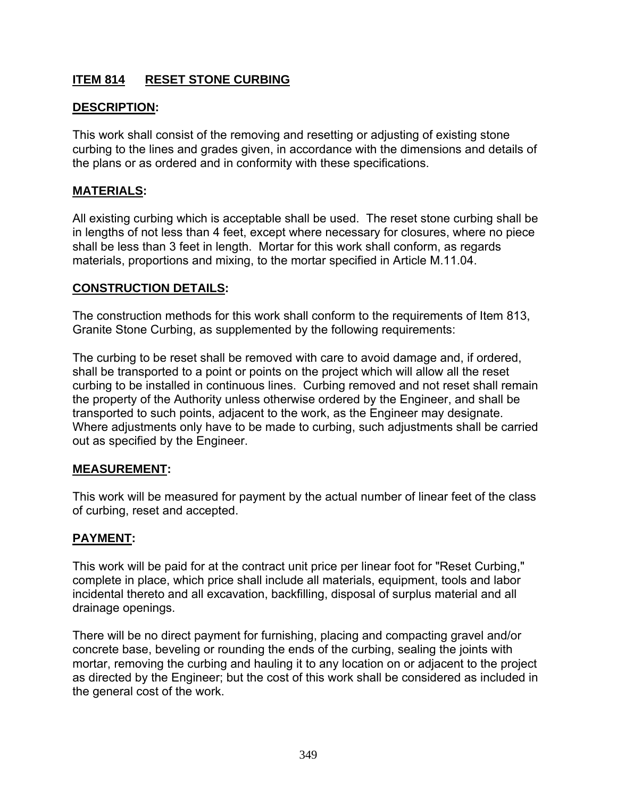# **ITEM 814 RESET STONE CURBING**

# **DESCRIPTION:**

This work shall consist of the removing and resetting or adjusting of existing stone curbing to the lines and grades given, in accordance with the dimensions and details of the plans or as ordered and in conformity with these specifications.

# **MATERIALS:**

All existing curbing which is acceptable shall be used. The reset stone curbing shall be in lengths of not less than 4 feet, except where necessary for closures, where no piece shall be less than 3 feet in length. Mortar for this work shall conform, as regards materials, proportions and mixing, to the mortar specified in Article M.11.04.

### **CONSTRUCTION DETAILS:**

The construction methods for this work shall conform to the requirements of Item 813, Granite Stone Curbing, as supplemented by the following requirements:

The curbing to be reset shall be removed with care to avoid damage and, if ordered, shall be transported to a point or points on the project which will allow all the reset curbing to be installed in continuous lines. Curbing removed and not reset shall remain the property of the Authority unless otherwise ordered by the Engineer, and shall be transported to such points, adjacent to the work, as the Engineer may designate. Where adjustments only have to be made to curbing, such adjustments shall be carried out as specified by the Engineer.

## **MEASUREMENT:**

This work will be measured for payment by the actual number of linear feet of the class of curbing, reset and accepted.

## **PAYMENT:**

This work will be paid for at the contract unit price per linear foot for "Reset Curbing," complete in place, which price shall include all materials, equipment, tools and labor incidental thereto and all excavation, backfilling, disposal of surplus material and all drainage openings.

There will be no direct payment for furnishing, placing and compacting gravel and/or concrete base, beveling or rounding the ends of the curbing, sealing the joints with mortar, removing the curbing and hauling it to any location on or adjacent to the project as directed by the Engineer; but the cost of this work shall be considered as included in the general cost of the work.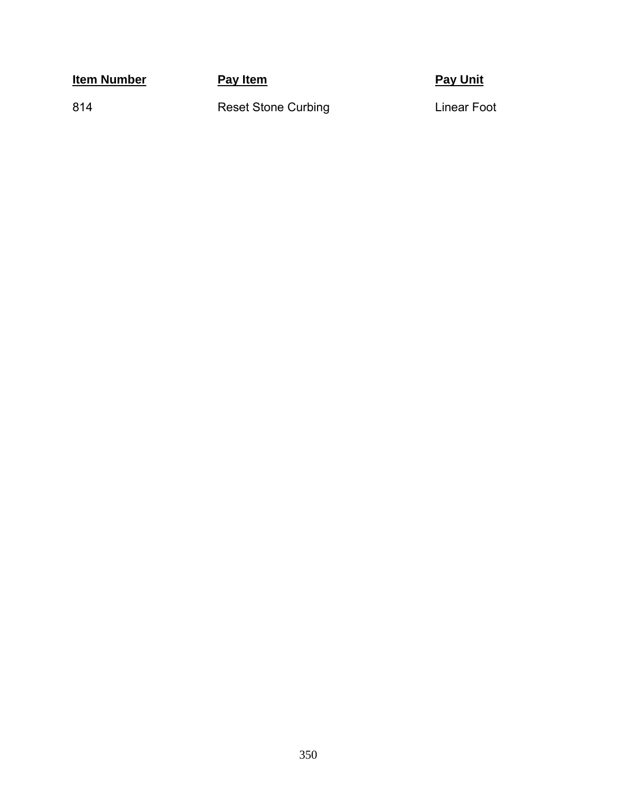**Item Number Pay Item Pay Item Pay Item Pay Unit** 

814

Reset Stone Curbing **Calculary Curbing** Linear Foot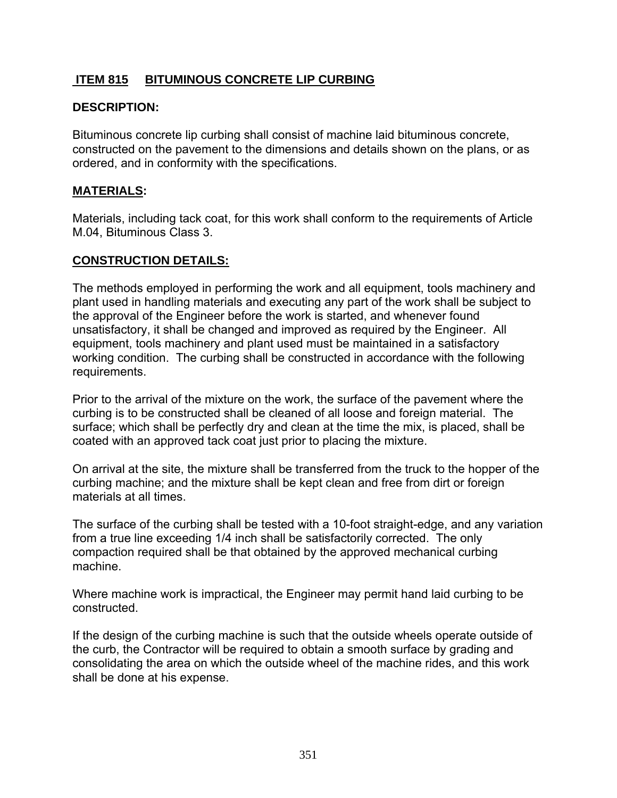# **ITEM 815 BITUMINOUS CONCRETE LIP CURBING**

### **DESCRIPTION:**

Bituminous concrete lip curbing shall consist of machine laid bituminous concrete, constructed on the pavement to the dimensions and details shown on the plans, or as ordered, and in conformity with the specifications.

### **MATERIALS:**

Materials, including tack coat, for this work shall conform to the requirements of Article M.04, Bituminous Class 3.

### **CONSTRUCTION DETAILS:**

The methods employed in performing the work and all equipment, tools machinery and plant used in handling materials and executing any part of the work shall be subject to the approval of the Engineer before the work is started, and whenever found unsatisfactory, it shall be changed and improved as required by the Engineer. All equipment, tools machinery and plant used must be maintained in a satisfactory working condition. The curbing shall be constructed in accordance with the following requirements.

Prior to the arrival of the mixture on the work, the surface of the pavement where the curbing is to be constructed shall be cleaned of all loose and foreign material. The surface; which shall be perfectly dry and clean at the time the mix, is placed, shall be coated with an approved tack coat just prior to placing the mixture.

On arrival at the site, the mixture shall be transferred from the truck to the hopper of the curbing machine; and the mixture shall be kept clean and free from dirt or foreign materials at all times.

The surface of the curbing shall be tested with a 10-foot straight-edge, and any variation from a true line exceeding 1/4 inch shall be satisfactorily corrected. The only compaction required shall be that obtained by the approved mechanical curbing machine.

Where machine work is impractical, the Engineer may permit hand laid curbing to be constructed.

If the design of the curbing machine is such that the outside wheels operate outside of the curb, the Contractor will be required to obtain a smooth surface by grading and consolidating the area on which the outside wheel of the machine rides, and this work shall be done at his expense.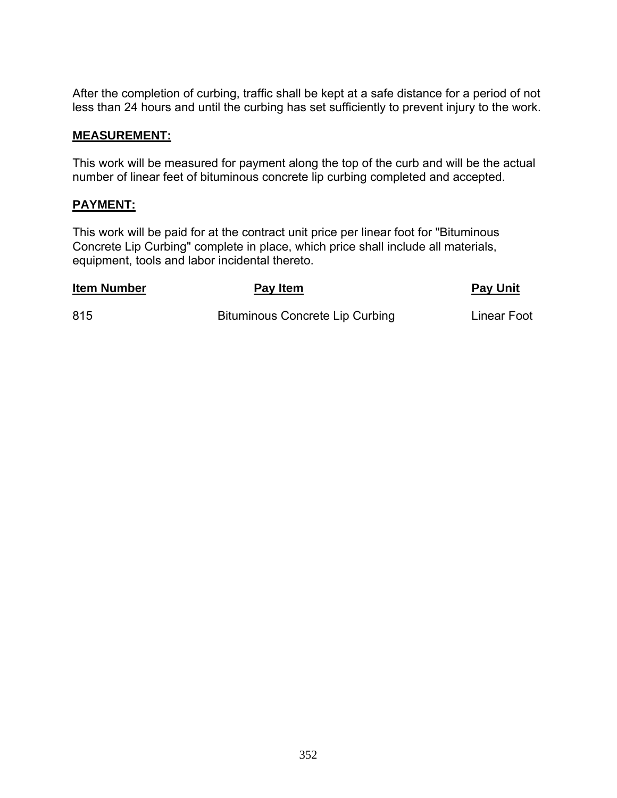After the completion of curbing, traffic shall be kept at a safe distance for a period of not less than 24 hours and until the curbing has set sufficiently to prevent injury to the work.

#### **MEASUREMENT:**

This work will be measured for payment along the top of the curb and will be the actual number of linear feet of bituminous concrete lip curbing completed and accepted.

## **PAYMENT:**

This work will be paid for at the contract unit price per linear foot for "Bituminous Concrete Lip Curbing" complete in place, which price shall include all materials, equipment, tools and labor incidental thereto.

#### **Item Number Contract Pay Item Pay Item Pay Item Pay Unit**

815 Bituminous Concrete Lip Curbing Linear Foot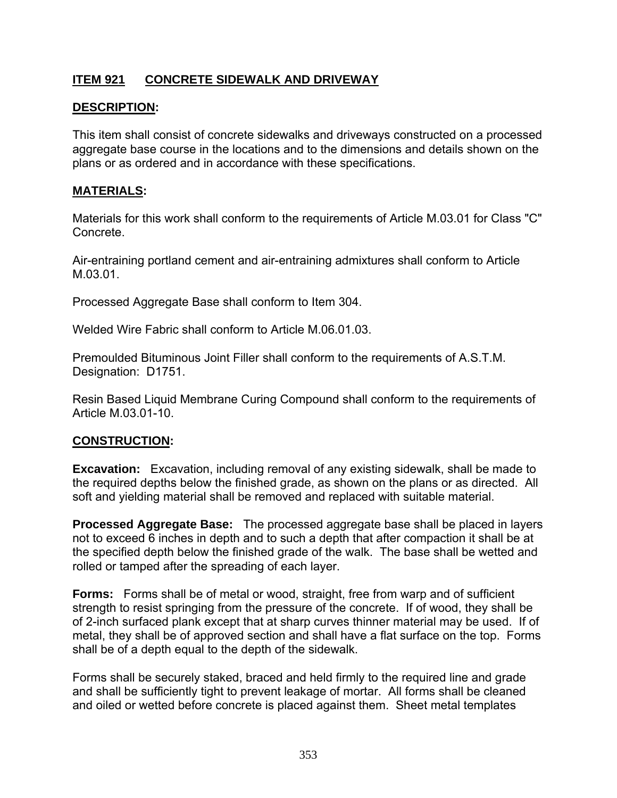# **ITEM 921 CONCRETE SIDEWALK AND DRIVEWAY**

### **DESCRIPTION:**

This item shall consist of concrete sidewalks and driveways constructed on a processed aggregate base course in the locations and to the dimensions and details shown on the plans or as ordered and in accordance with these specifications.

#### **MATERIALS:**

Materials for this work shall conform to the requirements of Article M.03.01 for Class "C" Concrete.

Air-entraining portland cement and air-entraining admixtures shall conform to Article M.03.01.

Processed Aggregate Base shall conform to Item 304.

Welded Wire Fabric shall conform to Article M.06.01.03.

Premoulded Bituminous Joint Filler shall conform to the requirements of A.S.T.M. Designation: D1751.

Resin Based Liquid Membrane Curing Compound shall conform to the requirements of Article M.03.01-10.

#### **CONSTRUCTION:**

**Excavation:** Excavation, including removal of any existing sidewalk, shall be made to the required depths below the finished grade, as shown on the plans or as directed. All soft and yielding material shall be removed and replaced with suitable material.

**Processed Aggregate Base:** The processed aggregate base shall be placed in layers not to exceed 6 inches in depth and to such a depth that after compaction it shall be at the specified depth below the finished grade of the walk. The base shall be wetted and rolled or tamped after the spreading of each layer.

**Forms:** Forms shall be of metal or wood, straight, free from warp and of sufficient strength to resist springing from the pressure of the concrete. If of wood, they shall be of 2-inch surfaced plank except that at sharp curves thinner material may be used. If of metal, they shall be of approved section and shall have a flat surface on the top. Forms shall be of a depth equal to the depth of the sidewalk.

Forms shall be securely staked, braced and held firmly to the required line and grade and shall be sufficiently tight to prevent leakage of mortar. All forms shall be cleaned and oiled or wetted before concrete is placed against them. Sheet metal templates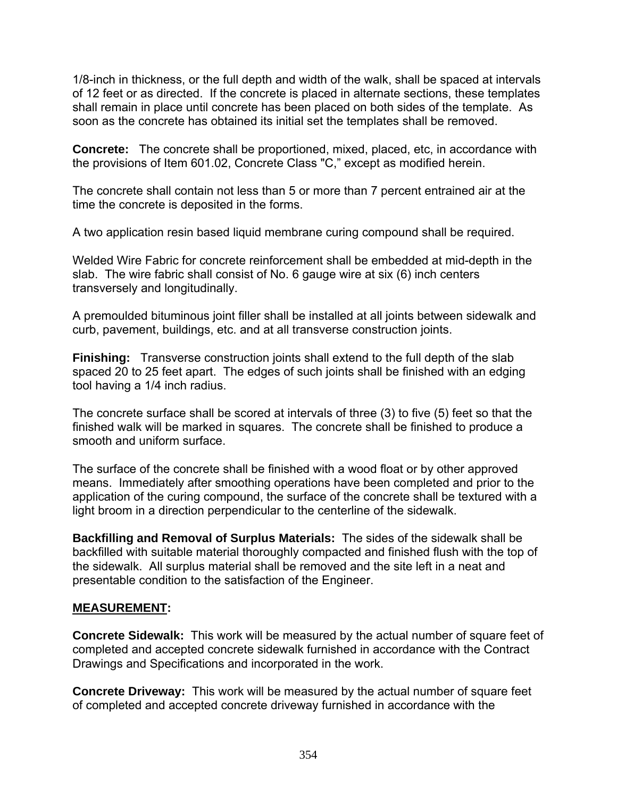1/8-inch in thickness, or the full depth and width of the walk, shall be spaced at intervals of 12 feet or as directed. If the concrete is placed in alternate sections, these templates shall remain in place until concrete has been placed on both sides of the template. As soon as the concrete has obtained its initial set the templates shall be removed.

**Concrete:** The concrete shall be proportioned, mixed, placed, etc, in accordance with the provisions of Item 601.02, Concrete Class "C," except as modified herein.

The concrete shall contain not less than 5 or more than 7 percent entrained air at the time the concrete is deposited in the forms.

A two application resin based liquid membrane curing compound shall be required.

Welded Wire Fabric for concrete reinforcement shall be embedded at mid-depth in the slab. The wire fabric shall consist of No. 6 gauge wire at six (6) inch centers transversely and longitudinally.

A premoulded bituminous joint filler shall be installed at all joints between sidewalk and curb, pavement, buildings, etc. and at all transverse construction joints.

**Finishing:** Transverse construction joints shall extend to the full depth of the slab spaced 20 to 25 feet apart. The edges of such joints shall be finished with an edging tool having a 1/4 inch radius.

The concrete surface shall be scored at intervals of three (3) to five (5) feet so that the finished walk will be marked in squares. The concrete shall be finished to produce a smooth and uniform surface.

The surface of the concrete shall be finished with a wood float or by other approved means. Immediately after smoothing operations have been completed and prior to the application of the curing compound, the surface of the concrete shall be textured with a light broom in a direction perpendicular to the centerline of the sidewalk.

**Backfilling and Removal of Surplus Materials:** The sides of the sidewalk shall be backfilled with suitable material thoroughly compacted and finished flush with the top of the sidewalk. All surplus material shall be removed and the site left in a neat and presentable condition to the satisfaction of the Engineer.

## **MEASUREMENT:**

**Concrete Sidewalk:** This work will be measured by the actual number of square feet of completed and accepted concrete sidewalk furnished in accordance with the Contract Drawings and Specifications and incorporated in the work.

**Concrete Driveway:** This work will be measured by the actual number of square feet of completed and accepted concrete driveway furnished in accordance with the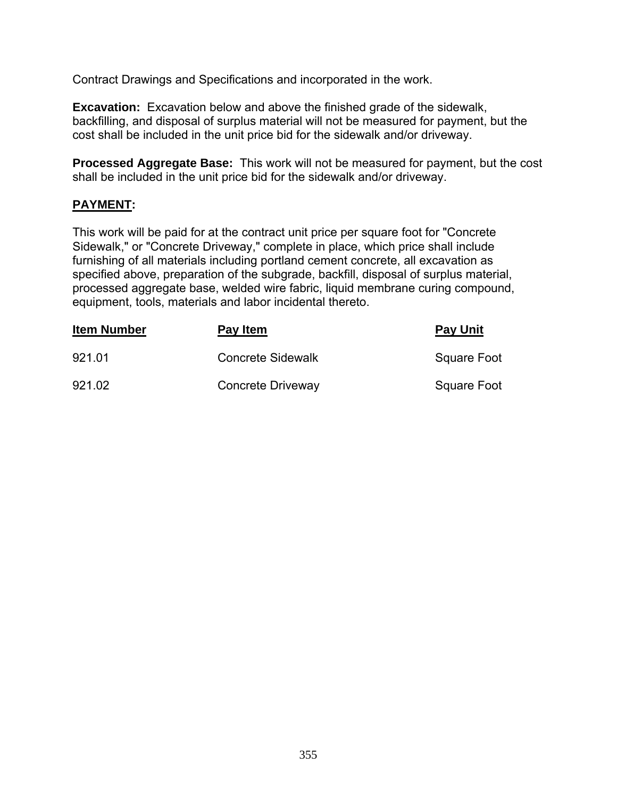Contract Drawings and Specifications and incorporated in the work.

**Excavation:** Excavation below and above the finished grade of the sidewalk, backfilling, and disposal of surplus material will not be measured for payment, but the cost shall be included in the unit price bid for the sidewalk and/or driveway.

**Processed Aggregate Base:** This work will not be measured for payment, but the cost shall be included in the unit price bid for the sidewalk and/or driveway.

# **PAYMENT:**

This work will be paid for at the contract unit price per square foot for "Concrete Sidewalk," or "Concrete Driveway," complete in place, which price shall include furnishing of all materials including portland cement concrete, all excavation as specified above, preparation of the subgrade, backfill, disposal of surplus material, processed aggregate base, welded wire fabric, liquid membrane curing compound, equipment, tools, materials and labor incidental thereto.

| <b>Item Number</b> | Pay Item                 | <b>Pay Unit</b> |
|--------------------|--------------------------|-----------------|
| 921.01             | <b>Concrete Sidewalk</b> | Square Foot     |
| 921.02             | Concrete Driveway        | Square Foot     |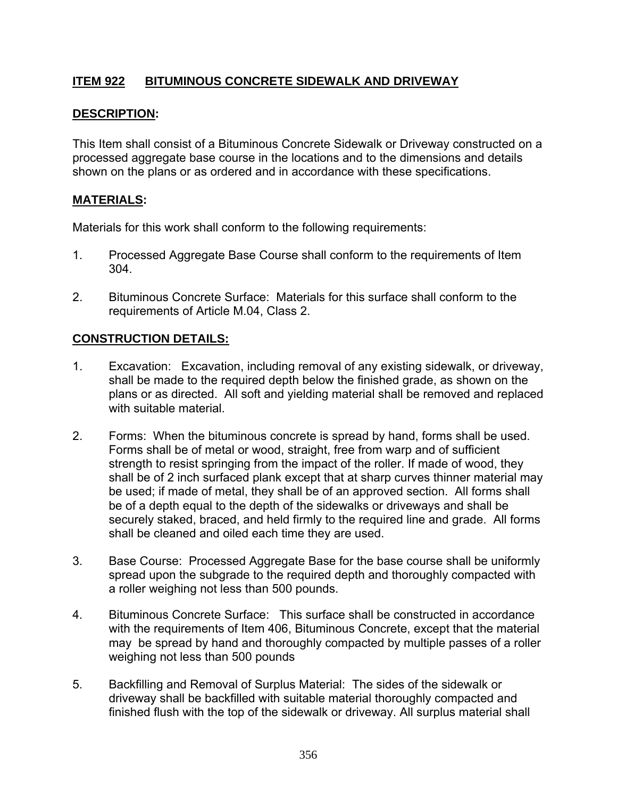# **ITEM 922 BITUMINOUS CONCRETE SIDEWALK AND DRIVEWAY**

#### **DESCRIPTION:**

This Item shall consist of a Bituminous Concrete Sidewalk or Driveway constructed on a processed aggregate base course in the locations and to the dimensions and details shown on the plans or as ordered and in accordance with these specifications.

### **MATERIALS:**

Materials for this work shall conform to the following requirements:

- 1. Processed Aggregate Base Course shall conform to the requirements of Item 304.
- 2. Bituminous Concrete Surface: Materials for this surface shall conform to the requirements of Article M.04, Class 2.

## **CONSTRUCTION DETAILS:**

- 1. Excavation: Excavation, including removal of any existing sidewalk, or driveway, shall be made to the required depth below the finished grade, as shown on the plans or as directed. All soft and yielding material shall be removed and replaced with suitable material.
- 2. Forms: When the bituminous concrete is spread by hand, forms shall be used. Forms shall be of metal or wood, straight, free from warp and of sufficient strength to resist springing from the impact of the roller. If made of wood, they shall be of 2 inch surfaced plank except that at sharp curves thinner material may be used; if made of metal, they shall be of an approved section. All forms shall be of a depth equal to the depth of the sidewalks or driveways and shall be securely staked, braced, and held firmly to the required line and grade. All forms shall be cleaned and oiled each time they are used.
- 3. Base Course: Processed Aggregate Base for the base course shall be uniformly spread upon the subgrade to the required depth and thoroughly compacted with a roller weighing not less than 500 pounds.
- 4. Bituminous Concrete Surface: This surface shall be constructed in accordance with the requirements of Item 406, Bituminous Concrete, except that the material may be spread by hand and thoroughly compacted by multiple passes of a roller weighing not less than 500 pounds
- 5. Backfilling and Removal of Surplus Material: The sides of the sidewalk or driveway shall be backfilled with suitable material thoroughly compacted and finished flush with the top of the sidewalk or driveway. All surplus material shall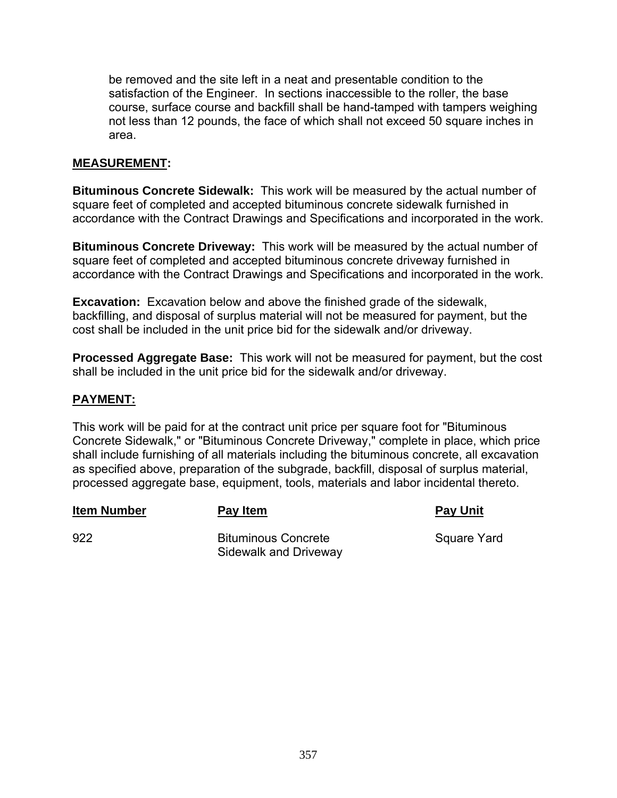be removed and the site left in a neat and presentable condition to the satisfaction of the Engineer. In sections inaccessible to the roller, the base course, surface course and backfill shall be hand-tamped with tampers weighing not less than 12 pounds, the face of which shall not exceed 50 square inches in area.

### **MEASUREMENT:**

**Bituminous Concrete Sidewalk:** This work will be measured by the actual number of square feet of completed and accepted bituminous concrete sidewalk furnished in accordance with the Contract Drawings and Specifications and incorporated in the work.

**Bituminous Concrete Driveway:** This work will be measured by the actual number of square feet of completed and accepted bituminous concrete driveway furnished in accordance with the Contract Drawings and Specifications and incorporated in the work.

**Excavation:** Excavation below and above the finished grade of the sidewalk, backfilling, and disposal of surplus material will not be measured for payment, but the cost shall be included in the unit price bid for the sidewalk and/or driveway.

**Processed Aggregate Base:** This work will not be measured for payment, but the cost shall be included in the unit price bid for the sidewalk and/or driveway.

## **PAYMENT:**

This work will be paid for at the contract unit price per square foot for "Bituminous Concrete Sidewalk," or "Bituminous Concrete Driveway," complete in place, which price shall include furnishing of all materials including the bituminous concrete, all excavation as specified above, preparation of the subgrade, backfill, disposal of surplus material, processed aggregate base, equipment, tools, materials and labor incidental thereto.

**Item Number Pay Item Pay Unit**

922 Bituminous Concrete Square Yard Sidewalk and Driveway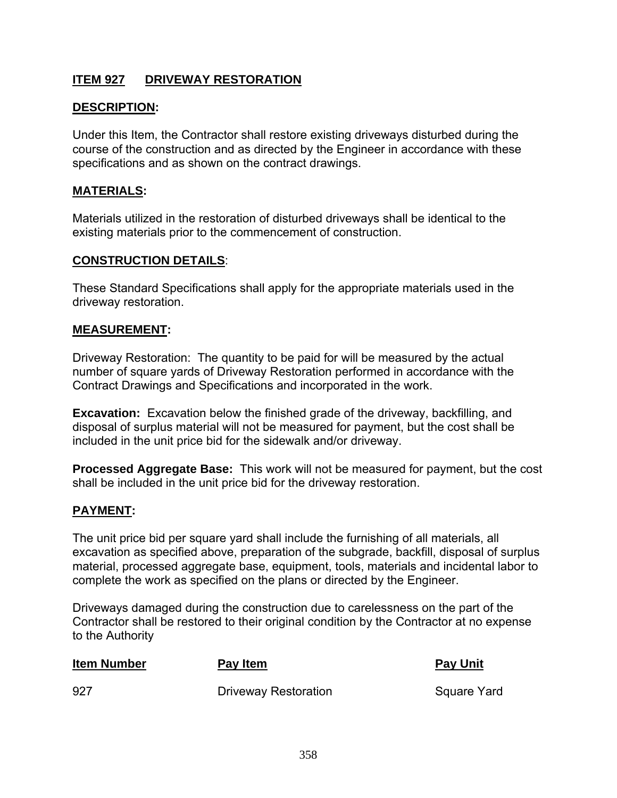# **ITEM 927 DRIVEWAY RESTORATION**

### **DESCRIPTION:**

Under this Item, the Contractor shall restore existing driveways disturbed during the course of the construction and as directed by the Engineer in accordance with these specifications and as shown on the contract drawings.

#### **MATERIALS:**

Materials utilized in the restoration of disturbed driveways shall be identical to the existing materials prior to the commencement of construction.

#### **CONSTRUCTION DETAILS**:

These Standard Specifications shall apply for the appropriate materials used in the driveway restoration.

#### **MEASUREMENT:**

Driveway Restoration: The quantity to be paid for will be measured by the actual number of square yards of Driveway Restoration performed in accordance with the Contract Drawings and Specifications and incorporated in the work.

**Excavation:** Excavation below the finished grade of the driveway, backfilling, and disposal of surplus material will not be measured for payment, but the cost shall be included in the unit price bid for the sidewalk and/or driveway.

**Processed Aggregate Base:** This work will not be measured for payment, but the cost shall be included in the unit price bid for the driveway restoration.

#### **PAYMENT:**

The unit price bid per square yard shall include the furnishing of all materials, all excavation as specified above, preparation of the subgrade, backfill, disposal of surplus material, processed aggregate base, equipment, tools, materials and incidental labor to complete the work as specified on the plans or directed by the Engineer.

Driveways damaged during the construction due to carelessness on the part of the Contractor shall be restored to their original condition by the Contractor at no expense to the Authority

| <b>Item Number</b> | Pay Item             | <b>Pay Unit</b> |
|--------------------|----------------------|-----------------|
| 927                | Driveway Restoration | Square Yard     |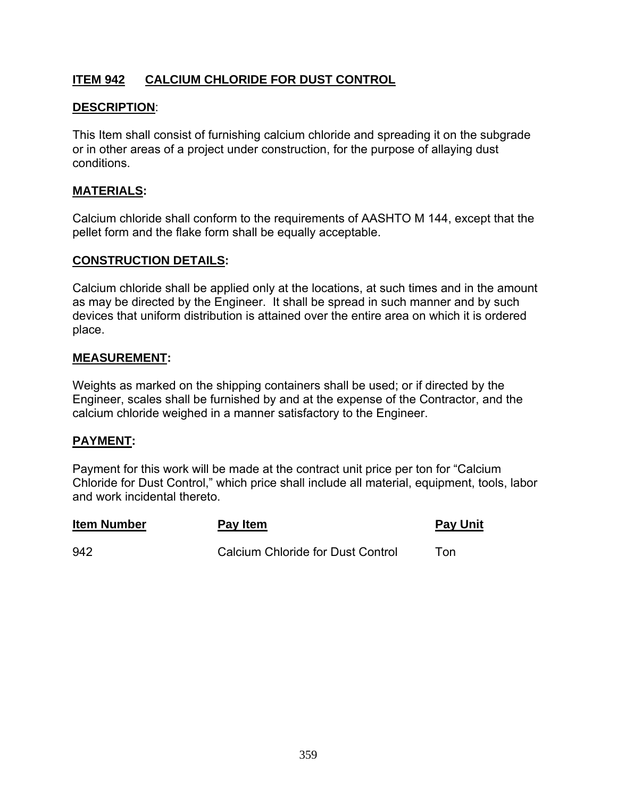# **ITEM 942 CALCIUM CHLORIDE FOR DUST CONTROL**

### **DESCRIPTION**:

This Item shall consist of furnishing calcium chloride and spreading it on the subgrade or in other areas of a project under construction, for the purpose of allaying dust conditions.

#### **MATERIALS:**

Calcium chloride shall conform to the requirements of AASHTO M 144, except that the pellet form and the flake form shall be equally acceptable.

#### **CONSTRUCTION DETAILS:**

Calcium chloride shall be applied only at the locations, at such times and in the amount as may be directed by the Engineer. It shall be spread in such manner and by such devices that uniform distribution is attained over the entire area on which it is ordered place.

#### **MEASUREMENT:**

Weights as marked on the shipping containers shall be used; or if directed by the Engineer, scales shall be furnished by and at the expense of the Contractor, and the calcium chloride weighed in a manner satisfactory to the Engineer.

#### **PAYMENT:**

Payment for this work will be made at the contract unit price per ton for "Calcium Chloride for Dust Control," which price shall include all material, equipment, tools, labor and work incidental thereto.

| <b>Item Number</b> | Pay Item                                 | <b>Pay Unit</b> |
|--------------------|------------------------------------------|-----------------|
| 942                | <b>Calcium Chloride for Dust Control</b> | Ton             |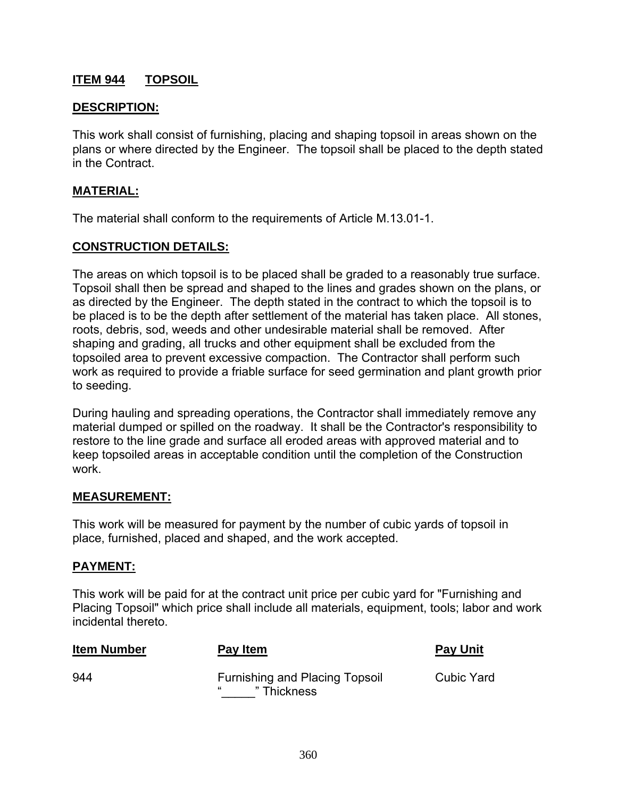# **ITEM 944 TOPSOIL**

### **DESCRIPTION:**

This work shall consist of furnishing, placing and shaping topsoil in areas shown on the plans or where directed by the Engineer. The topsoil shall be placed to the depth stated in the Contract.

#### **MATERIAL:**

The material shall conform to the requirements of Article M.13.01-1.

#### **CONSTRUCTION DETAILS:**

The areas on which topsoil is to be placed shall be graded to a reasonably true surface. Topsoil shall then be spread and shaped to the lines and grades shown on the plans, or as directed by the Engineer. The depth stated in the contract to which the topsoil is to be placed is to be the depth after settlement of the material has taken place. All stones, roots, debris, sod, weeds and other undesirable material shall be removed. After shaping and grading, all trucks and other equipment shall be excluded from the topsoiled area to prevent excessive compaction. The Contractor shall perform such work as required to provide a friable surface for seed germination and plant growth prior to seeding.

During hauling and spreading operations, the Contractor shall immediately remove any material dumped or spilled on the roadway. It shall be the Contractor's responsibility to restore to the line grade and surface all eroded areas with approved material and to keep topsoiled areas in acceptable condition until the completion of the Construction work.

#### **MEASUREMENT:**

This work will be measured for payment by the number of cubic yards of topsoil in place, furnished, placed and shaped, and the work accepted.

#### **PAYMENT:**

This work will be paid for at the contract unit price per cubic yard for "Furnishing and Placing Topsoil" which price shall include all materials, equipment, tools; labor and work incidental thereto.

| <b>Item Number</b> | Pay Item                                             | <b>Pay Unit</b>   |
|--------------------|------------------------------------------------------|-------------------|
| 944                | <b>Furnishing and Placing Topsoil</b><br>" Thickness | <b>Cubic Yard</b> |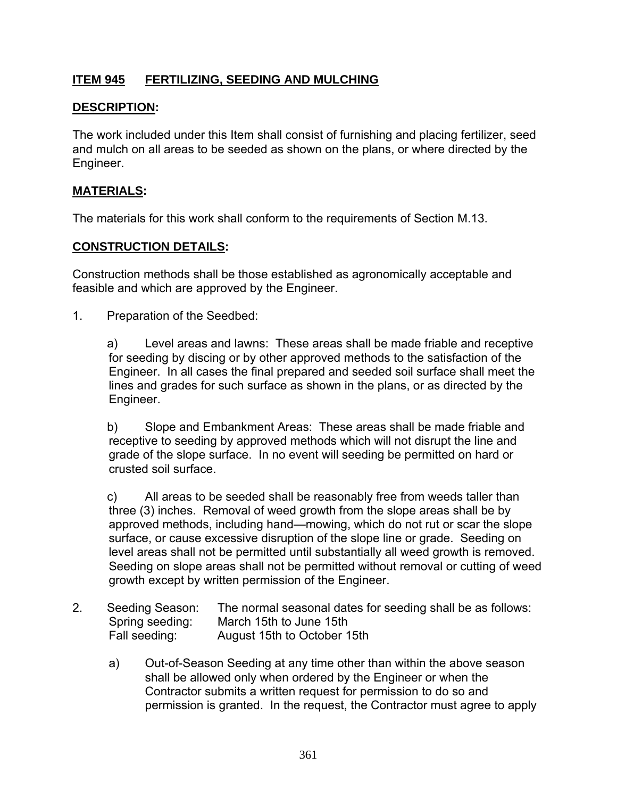# **ITEM 945 FERTILIZING, SEEDING AND MULCHING**

## **DESCRIPTION:**

The work included under this Item shall consist of furnishing and placing fertilizer, seed and mulch on all areas to be seeded as shown on the plans, or where directed by the Engineer.

#### **MATERIALS:**

The materials for this work shall conform to the requirements of Section M.13.

#### **CONSTRUCTION DETAILS:**

Construction methods shall be those established as agronomically acceptable and feasible and which are approved by the Engineer.

1. Preparation of the Seedbed:

 a) Level areas and lawns: These areas shall be made friable and receptive for seeding by discing or by other approved methods to the satisfaction of the Engineer. In all cases the final prepared and seeded soil surface shall meet the lines and grades for such surface as shown in the plans, or as directed by the Engineer.

 b) Slope and Embankment Areas: These areas shall be made friable and receptive to seeding by approved methods which will not disrupt the line and grade of the slope surface. In no event will seeding be permitted on hard or crusted soil surface.

 c) All areas to be seeded shall be reasonably free from weeds taller than three (3) inches. Removal of weed growth from the slope areas shall be by approved methods, including hand—mowing, which do not rut or scar the slope surface, or cause excessive disruption of the slope line or grade. Seeding on level areas shall not be permitted until substantially all weed growth is removed. Seeding on slope areas shall not be permitted without removal or cutting of weed growth except by written permission of the Engineer.

- 2. Seeding Season: The normal seasonal dates for seeding shall be as follows: Spring seeding: March 15th to June 15th Fall seeding: August 15th to October 15th
	- a) Out-of-Season Seeding at any time other than within the above season shall be allowed only when ordered by the Engineer or when the Contractor submits a written request for permission to do so and permission is granted. In the request, the Contractor must agree to apply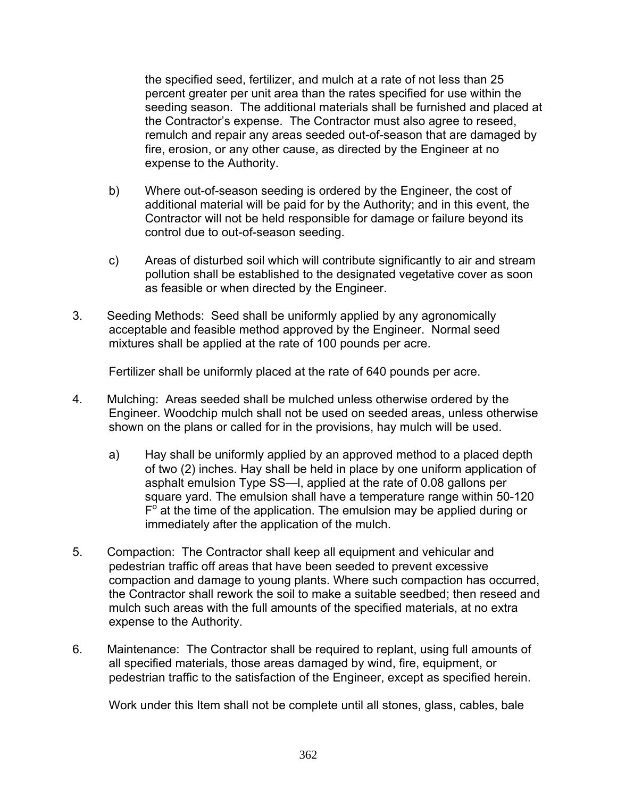the specified seed, fertilizer, and mulch at a rate of not less than 25 percent greater per unit area than the rates specified for use within the seeding season. The additional materials shall be furnished and placed at the Contractor's expense. The Contractor must also agree to reseed, remulch and repair any areas seeded out-of-season that are damaged by fire, erosion, or any other cause, as directed by the Engineer at no expense to the Authority.

- b) Where out-of-season seeding is ordered by the Engineer, the cost of additional material will be paid for by the Authority; and in this event, the Contractor will not be held responsible for damage or failure beyond its control due to out-of-season seeding.
- c) Areas of disturbed soil which will contribute significantly to air and stream pollution shall be established to the designated vegetative cover as soon as feasible or when directed by the Engineer.
- 3. Seeding Methods: Seed shall be uniformly applied by any agronomically acceptable and feasible method approved by the Engineer. Normal seed mixtures shall be applied at the rate of 100 pounds per acre.

Fertilizer shall be uniformly placed at the rate of 640 pounds per acre.

- 4. Mulching: Areas seeded shall be mulched unless otherwise ordered by the Engineer. Woodchip mulch shall not be used on seeded areas, unless otherwise shown on the plans or called for in the provisions, hay mulch will be used.
	- a) Hay shall be uniformly applied by an approved method to a placed depth of two (2) inches. Hay shall be held in place by one uniform application of asphalt emulsion Type SS—l, applied at the rate of 0.08 gallons per square yard. The emulsion shall have a temperature range within 50-120  $F^{\circ}$  at the time of the application. The emulsion may be applied during or immediately after the application of the mulch.
- 5. Compaction: The Contractor shall keep all equipment and vehicular and pedestrian traffic off areas that have been seeded to prevent excessive compaction and damage to young plants. Where such compaction has occurred, the Contractor shall rework the soil to make a suitable seedbed; then reseed and mulch such areas with the full amounts of the specified materials, at no extra expense to the Authority.
- 6. Maintenance: The Contractor shall be required to replant, using full amounts of all specified materials, those areas damaged by wind, fire, equipment, or pedestrian traffic to the satisfaction of the Engineer, except as specified herein.

Work under this Item shall not be complete until all stones, glass, cables, bale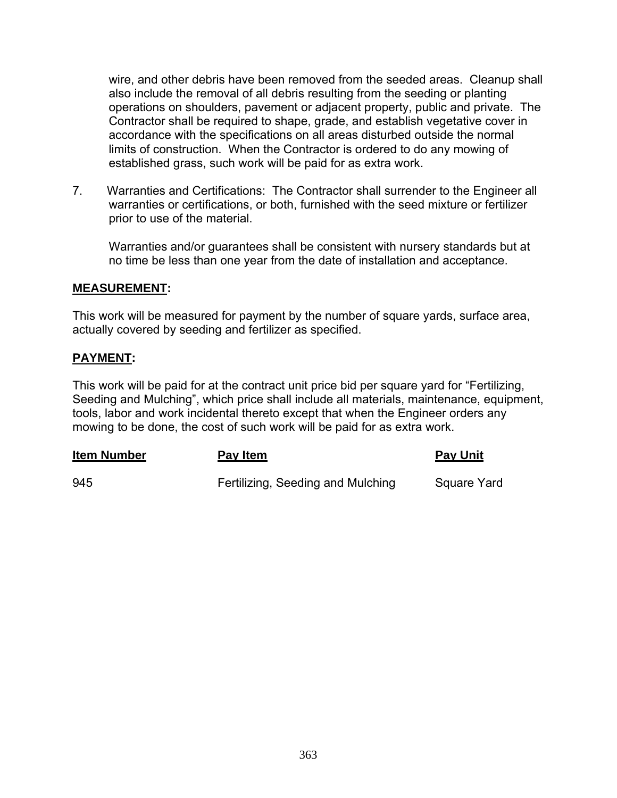wire, and other debris have been removed from the seeded areas. Cleanup shall also include the removal of all debris resulting from the seeding or planting operations on shoulders, pavement or adjacent property, public and private. The Contractor shall be required to shape, grade, and establish vegetative cover in accordance with the specifications on all areas disturbed outside the normal limits of construction. When the Contractor is ordered to do any mowing of established grass, such work will be paid for as extra work.

7. Warranties and Certifications: The Contractor shall surrender to the Engineer all warranties or certifications, or both, furnished with the seed mixture or fertilizer prior to use of the material.

 Warranties and/or guarantees shall be consistent with nursery standards but at no time be less than one year from the date of installation and acceptance.

#### **MEASUREMENT:**

This work will be measured for payment by the number of square yards, surface area, actually covered by seeding and fertilizer as specified.

## **PAYMENT:**

This work will be paid for at the contract unit price bid per square yard for "Fertilizing, Seeding and Mulching", which price shall include all materials, maintenance, equipment, tools, labor and work incidental thereto except that when the Engineer orders any mowing to be done, the cost of such work will be paid for as extra work.

| <b>Item Number</b> | <u>Pay Item</u>                   | <b>Pay Unit</b>    |
|--------------------|-----------------------------------|--------------------|
| 945                | Fertilizing, Seeding and Mulching | <b>Square Yard</b> |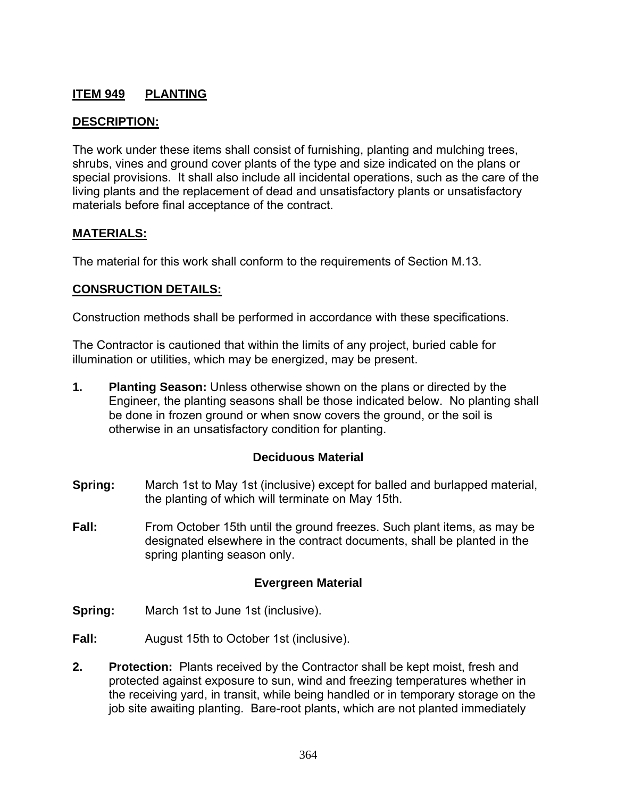# **ITEM 949 PLANTING**

### **DESCRIPTION:**

The work under these items shall consist of furnishing, planting and mulching trees, shrubs, vines and ground cover plants of the type and size indicated on the plans or special provisions. It shall also include all incidental operations, such as the care of the living plants and the replacement of dead and unsatisfactory plants or unsatisfactory materials before final acceptance of the contract.

### **MATERIALS:**

The material for this work shall conform to the requirements of Section M.13.

### **CONSRUCTION DETAILS:**

Construction methods shall be performed in accordance with these specifications.

The Contractor is cautioned that within the limits of any project, buried cable for illumination or utilities, which may be energized, may be present.

**1. Planting Season:** Unless otherwise shown on the plans or directed by the Engineer, the planting seasons shall be those indicated below. No planting shall be done in frozen ground or when snow covers the ground, or the soil is otherwise in an unsatisfactory condition for planting.

#### **Deciduous Material**

- **Spring:** March 1st to May 1st (inclusive) except for balled and burlapped material, the planting of which will terminate on May 15th.
- **Fall:** From October 15th until the ground freezes. Such plant items, as may be designated elsewhere in the contract documents, shall be planted in the spring planting season only.

#### **Evergreen Material**

- **Spring:** March 1st to June 1st (inclusive).
- **Fall:** August 15th to October 1st (inclusive).
- **2. Protection:** Plants received by the Contractor shall be kept moist, fresh and protected against exposure to sun, wind and freezing temperatures whether in the receiving yard, in transit, while being handled or in temporary storage on the job site awaiting planting. Bare-root plants, which are not planted immediately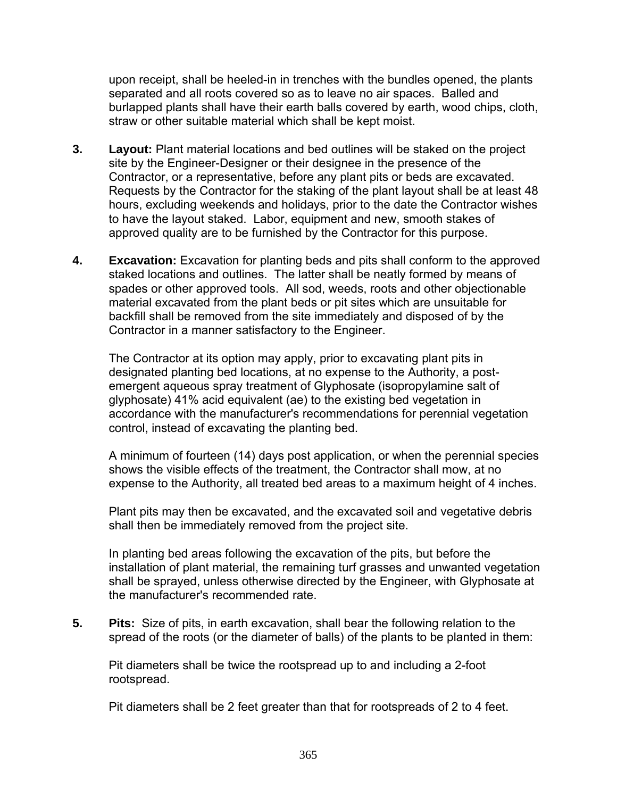upon receipt, shall be heeled-in in trenches with the bundles opened, the plants separated and all roots covered so as to leave no air spaces. Balled and burlapped plants shall have their earth balls covered by earth, wood chips, cloth, straw or other suitable material which shall be kept moist.

- **3. Layout:** Plant material locations and bed outlines will be staked on the project site by the Engineer-Designer or their designee in the presence of the Contractor, or a representative, before any plant pits or beds are excavated. Requests by the Contractor for the staking of the plant layout shall be at least 48 hours, excluding weekends and holidays, prior to the date the Contractor wishes to have the layout staked. Labor, equipment and new, smooth stakes of approved quality are to be furnished by the Contractor for this purpose.
- **4. Excavation:** Excavation for planting beds and pits shall conform to the approved staked locations and outlines. The latter shall be neatly formed by means of spades or other approved tools. All sod, weeds, roots and other objectionable material excavated from the plant beds or pit sites which are unsuitable for backfill shall be removed from the site immediately and disposed of by the Contractor in a manner satisfactory to the Engineer.

The Contractor at its option may apply, prior to excavating plant pits in designated planting bed locations, at no expense to the Authority, a postemergent aqueous spray treatment of Glyphosate (isopropylamine salt of glyphosate) 41% acid equivalent (ae) to the existing bed vegetation in accordance with the manufacturer's recommendations for perennial vegetation control, instead of excavating the planting bed.

A minimum of fourteen (14) days post application, or when the perennial species shows the visible effects of the treatment, the Contractor shall mow, at no expense to the Authority, all treated bed areas to a maximum height of 4 inches.

Plant pits may then be excavated, and the excavated soil and vegetative debris shall then be immediately removed from the project site.

In planting bed areas following the excavation of the pits, but before the installation of plant material, the remaining turf grasses and unwanted vegetation shall be sprayed, unless otherwise directed by the Engineer, with Glyphosate at the manufacturer's recommended rate.

**5. Pits:** Size of pits, in earth excavation, shall bear the following relation to the spread of the roots (or the diameter of balls) of the plants to be planted in them:

Pit diameters shall be twice the rootspread up to and including a 2-foot rootspread.

Pit diameters shall be 2 feet greater than that for rootspreads of 2 to 4 feet.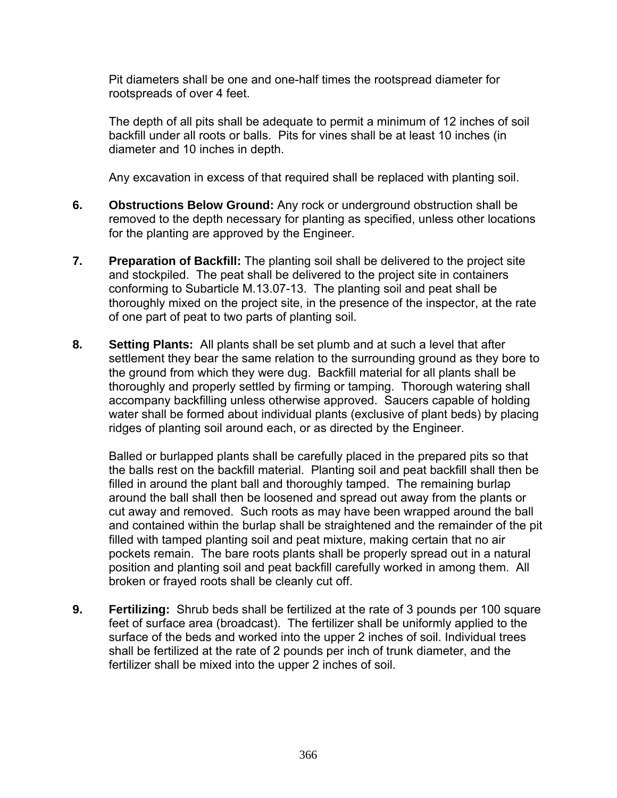Pit diameters shall be one and one-half times the rootspread diameter for rootspreads of over 4 feet.

The depth of all pits shall be adequate to permit a minimum of 12 inches of soil backfill under all roots or balls. Pits for vines shall be at least 10 inches (in diameter and 10 inches in depth.

Any excavation in excess of that required shall be replaced with planting soil.

- **6. Obstructions Below Ground:** Any rock or underground obstruction shall be removed to the depth necessary for planting as specified, unless other locations for the planting are approved by the Engineer.
- **7. Preparation of Backfill:** The planting soil shall be delivered to the project site and stockpiled. The peat shall be delivered to the project site in containers conforming to Subarticle M.13.07-13. The planting soil and peat shall be thoroughly mixed on the project site, in the presence of the inspector, at the rate of one part of peat to two parts of planting soil.
- **8. Setting Plants:** All plants shall be set plumb and at such a level that after settlement they bear the same relation to the surrounding ground as they bore to the ground from which they were dug. Backfill material for all plants shall be thoroughly and properly settled by firming or tamping. Thorough watering shall accompany backfilling unless otherwise approved. Saucers capable of holding water shall be formed about individual plants (exclusive of plant beds) by placing ridges of planting soil around each, or as directed by the Engineer.

Balled or burlapped plants shall be carefully placed in the prepared pits so that the balls rest on the backfill material. Planting soil and peat backfill shall then be filled in around the plant ball and thoroughly tamped. The remaining burlap around the ball shall then be loosened and spread out away from the plants or cut away and removed. Such roots as may have been wrapped around the ball and contained within the burlap shall be straightened and the remainder of the pit filled with tamped planting soil and peat mixture, making certain that no air pockets remain. The bare roots plants shall be properly spread out in a natural position and planting soil and peat backfill carefully worked in among them. All broken or frayed roots shall be cleanly cut off.

**9. Fertilizing:** Shrub beds shall be fertilized at the rate of 3 pounds per 100 square feet of surface area (broadcast). The fertilizer shall be uniformly applied to the surface of the beds and worked into the upper 2 inches of soil. Individual trees shall be fertilized at the rate of 2 pounds per inch of trunk diameter, and the fertilizer shall be mixed into the upper 2 inches of soil.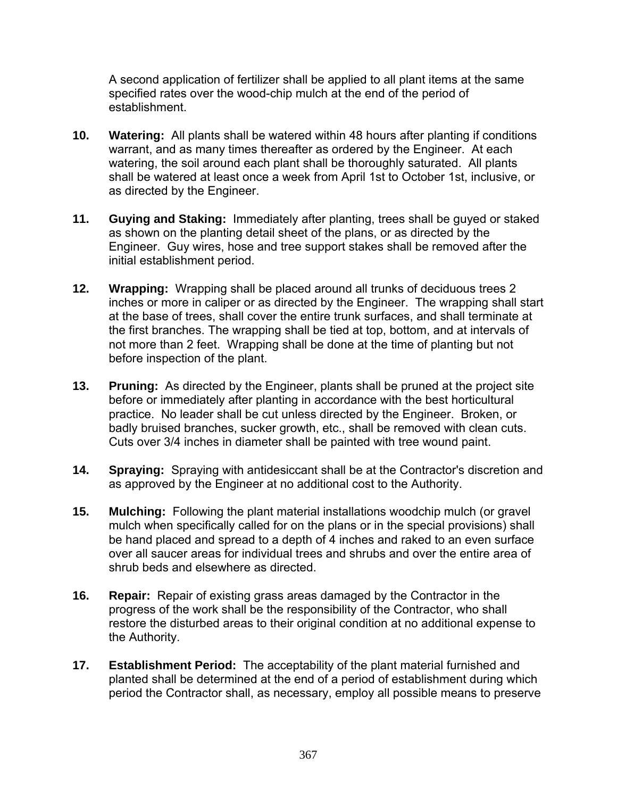A second application of fertilizer shall be applied to all plant items at the same specified rates over the wood-chip mulch at the end of the period of establishment.

- **10. Watering:** All plants shall be watered within 48 hours after planting if conditions warrant, and as many times thereafter as ordered by the Engineer. At each watering, the soil around each plant shall be thoroughly saturated. All plants shall be watered at least once a week from April 1st to October 1st, inclusive, or as directed by the Engineer.
- **11. Guying and Staking:** Immediately after planting, trees shall be guyed or staked as shown on the planting detail sheet of the plans, or as directed by the Engineer. Guy wires, hose and tree support stakes shall be removed after the initial establishment period.
- **12. Wrapping:** Wrapping shall be placed around all trunks of deciduous trees 2 inches or more in caliper or as directed by the Engineer. The wrapping shall start at the base of trees, shall cover the entire trunk surfaces, and shall terminate at the first branches. The wrapping shall be tied at top, bottom, and at intervals of not more than 2 feet. Wrapping shall be done at the time of planting but not before inspection of the plant.
- **13. Pruning:** As directed by the Engineer, plants shall be pruned at the project site before or immediately after planting in accordance with the best horticultural practice. No leader shall be cut unless directed by the Engineer. Broken, or badly bruised branches, sucker growth, etc., shall be removed with clean cuts. Cuts over 3/4 inches in diameter shall be painted with tree wound paint.
- **14. Spraying:** Spraying with antidesiccant shall be at the Contractor's discretion and as approved by the Engineer at no additional cost to the Authority.
- **15. Mulching:** Following the plant material installations woodchip mulch (or gravel mulch when specifically called for on the plans or in the special provisions) shall be hand placed and spread to a depth of 4 inches and raked to an even surface over all saucer areas for individual trees and shrubs and over the entire area of shrub beds and elsewhere as directed.
- **16. Repair:** Repair of existing grass areas damaged by the Contractor in the progress of the work shall be the responsibility of the Contractor, who shall restore the disturbed areas to their original condition at no additional expense to the Authority.
- **17. Establishment Period:** The acceptability of the plant material furnished and planted shall be determined at the end of a period of establishment during which period the Contractor shall, as necessary, employ all possible means to preserve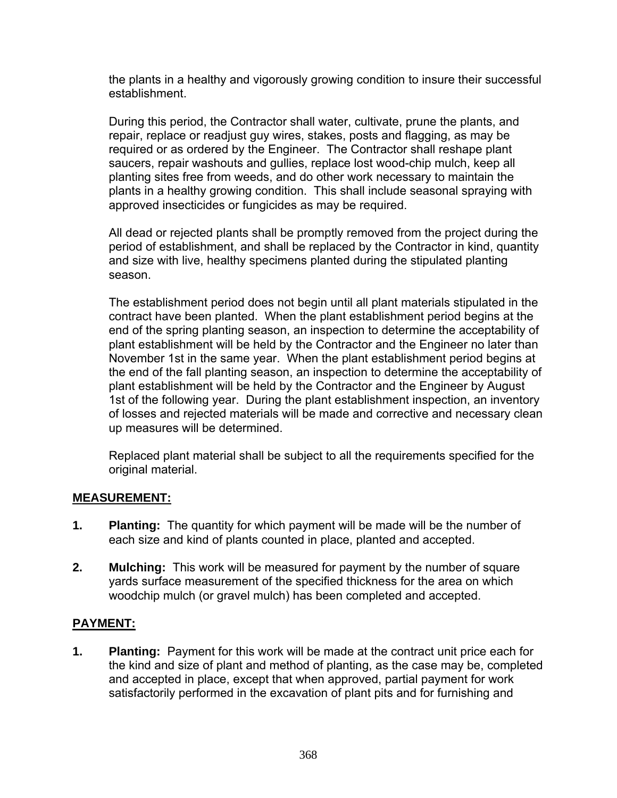the plants in a healthy and vigorously growing condition to insure their successful establishment.

During this period, the Contractor shall water, cultivate, prune the plants, and repair, replace or readjust guy wires, stakes, posts and flagging, as may be required or as ordered by the Engineer. The Contractor shall reshape plant saucers, repair washouts and gullies, replace lost wood-chip mulch, keep all planting sites free from weeds, and do other work necessary to maintain the plants in a healthy growing condition. This shall include seasonal spraying with approved insecticides or fungicides as may be required.

All dead or rejected plants shall be promptly removed from the project during the period of establishment, and shall be replaced by the Contractor in kind, quantity and size with live, healthy specimens planted during the stipulated planting season.

The establishment period does not begin until all plant materials stipulated in the contract have been planted. When the plant establishment period begins at the end of the spring planting season, an inspection to determine the acceptability of plant establishment will be held by the Contractor and the Engineer no later than November 1st in the same year. When the plant establishment period begins at the end of the fall planting season, an inspection to determine the acceptability of plant establishment will be held by the Contractor and the Engineer by August 1st of the following year. During the plant establishment inspection, an inventory of losses and rejected materials will be made and corrective and necessary clean up measures will be determined.

Replaced plant material shall be subject to all the requirements specified for the original material.

## **MEASUREMENT:**

- **1. Planting:** The quantity for which payment will be made will be the number of each size and kind of plants counted in place, planted and accepted.
- **2. Mulching:** This work will be measured for payment by the number of square yards surface measurement of the specified thickness for the area on which woodchip mulch (or gravel mulch) has been completed and accepted.

# **PAYMENT:**

**1. Planting:** Payment for this work will be made at the contract unit price each for the kind and size of plant and method of planting, as the case may be, completed and accepted in place, except that when approved, partial payment for work satisfactorily performed in the excavation of plant pits and for furnishing and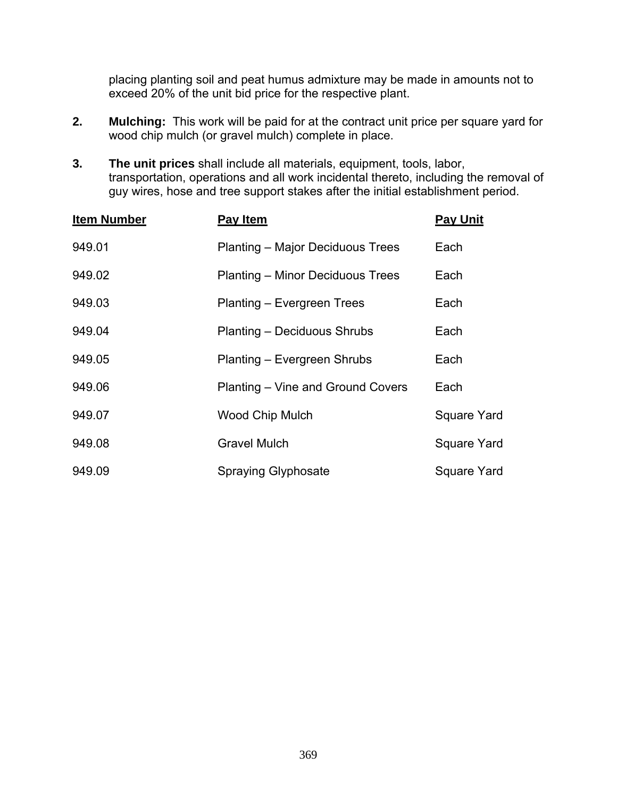placing planting soil and peat humus admixture may be made in amounts not to exceed 20% of the unit bid price for the respective plant.

- **2. Mulching:** This work will be paid for at the contract unit price per square yard for wood chip mulch (or gravel mulch) complete in place.
- **3. The unit prices** shall include all materials, equipment, tools, labor, transportation, operations and all work incidental thereto, including the removal of guy wires, hose and tree support stakes after the initial establishment period.

| <b>Item Number</b> | Pay Item                                | <b>Pay Unit</b>    |
|--------------------|-----------------------------------------|--------------------|
| 949.01             | Planting - Major Deciduous Trees        | Each               |
| 949.02             | <b>Planting – Minor Deciduous Trees</b> | Each               |
| 949.03             | Planting – Evergreen Trees              | Each               |
| 949.04             | Planting - Deciduous Shrubs             | Each               |
| 949.05             | Planting – Evergreen Shrubs             | Each               |
| 949.06             | Planting – Vine and Ground Covers       | Each               |
| 949.07             | <b>Wood Chip Mulch</b>                  | <b>Square Yard</b> |
| 949.08             | <b>Gravel Mulch</b>                     | Square Yard        |
| 949.09             | <b>Spraying Glyphosate</b>              | Square Yard        |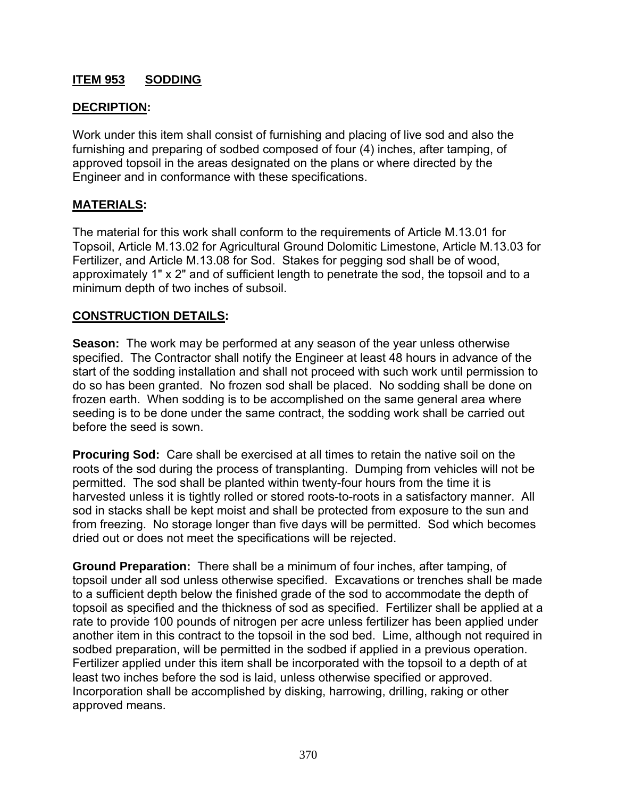# **ITEM 953 SODDING**

### **DECRIPTION:**

Work under this item shall consist of furnishing and placing of live sod and also the furnishing and preparing of sodbed composed of four (4) inches, after tamping, of approved topsoil in the areas designated on the plans or where directed by the Engineer and in conformance with these specifications.

### **MATERIALS:**

The material for this work shall conform to the requirements of Article M.13.01 for Topsoil, Article M.13.02 for Agricultural Ground Dolomitic Limestone, Article M.13.03 for Fertilizer, and Article M.13.08 for Sod. Stakes for pegging sod shall be of wood, approximately 1" x 2" and of sufficient length to penetrate the sod, the topsoil and to a minimum depth of two inches of subsoil.

#### **CONSTRUCTION DETAILS:**

**Season:** The work may be performed at any season of the year unless otherwise specified. The Contractor shall notify the Engineer at least 48 hours in advance of the start of the sodding installation and shall not proceed with such work until permission to do so has been granted. No frozen sod shall be placed. No sodding shall be done on frozen earth. When sodding is to be accomplished on the same general area where seeding is to be done under the same contract, the sodding work shall be carried out before the seed is sown.

**Procuring Sod:** Care shall be exercised at all times to retain the native soil on the roots of the sod during the process of transplanting. Dumping from vehicles will not be permitted. The sod shall be planted within twenty-four hours from the time it is harvested unless it is tightly rolled or stored roots-to-roots in a satisfactory manner. All sod in stacks shall be kept moist and shall be protected from exposure to the sun and from freezing. No storage longer than five days will be permitted. Sod which becomes dried out or does not meet the specifications will be rejected.

**Ground Preparation:** There shall be a minimum of four inches, after tamping, of topsoil under all sod unless otherwise specified. Excavations or trenches shall be made to a sufficient depth below the finished grade of the sod to accommodate the depth of topsoil as specified and the thickness of sod as specified. Fertilizer shall be applied at a rate to provide 100 pounds of nitrogen per acre unless fertilizer has been applied under another item in this contract to the topsoil in the sod bed. Lime, although not required in sodbed preparation, will be permitted in the sodbed if applied in a previous operation. Fertilizer applied under this item shall be incorporated with the topsoil to a depth of at least two inches before the sod is laid, unless otherwise specified or approved. Incorporation shall be accomplished by disking, harrowing, drilling, raking or other approved means.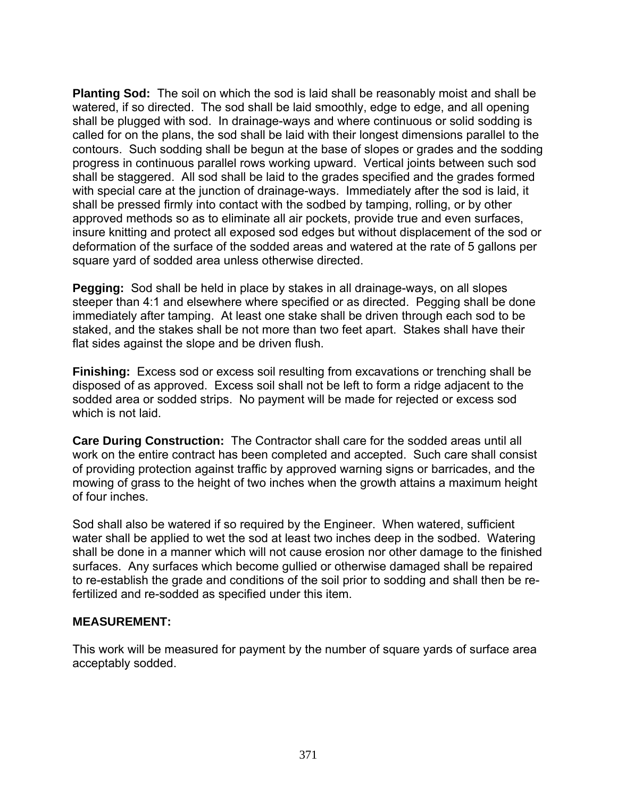**Planting Sod:** The soil on which the sod is laid shall be reasonably moist and shall be watered, if so directed. The sod shall be laid smoothly, edge to edge, and all opening shall be plugged with sod. In drainage-ways and where continuous or solid sodding is called for on the plans, the sod shall be laid with their longest dimensions parallel to the contours. Such sodding shall be begun at the base of slopes or grades and the sodding progress in continuous parallel rows working upward. Vertical joints between such sod shall be staggered. All sod shall be laid to the grades specified and the grades formed with special care at the junction of drainage-ways. Immediately after the sod is laid, it shall be pressed firmly into contact with the sodbed by tamping, rolling, or by other approved methods so as to eliminate all air pockets, provide true and even surfaces, insure knitting and protect all exposed sod edges but without displacement of the sod or deformation of the surface of the sodded areas and watered at the rate of 5 gallons per square yard of sodded area unless otherwise directed.

**Pegging:** Sod shall be held in place by stakes in all drainage-ways, on all slopes steeper than 4:1 and elsewhere where specified or as directed. Pegging shall be done immediately after tamping. At least one stake shall be driven through each sod to be staked, and the stakes shall be not more than two feet apart. Stakes shall have their flat sides against the slope and be driven flush.

**Finishing:** Excess sod or excess soil resulting from excavations or trenching shall be disposed of as approved. Excess soil shall not be left to form a ridge adjacent to the sodded area or sodded strips. No payment will be made for rejected or excess sod which is not laid.

**Care During Construction:** The Contractor shall care for the sodded areas until all work on the entire contract has been completed and accepted. Such care shall consist of providing protection against traffic by approved warning signs or barricades, and the mowing of grass to the height of two inches when the growth attains a maximum height of four inches.

Sod shall also be watered if so required by the Engineer. When watered, sufficient water shall be applied to wet the sod at least two inches deep in the sodbed. Watering shall be done in a manner which will not cause erosion nor other damage to the finished surfaces. Any surfaces which become gullied or otherwise damaged shall be repaired to re-establish the grade and conditions of the soil prior to sodding and shall then be refertilized and re-sodded as specified under this item.

#### **MEASUREMENT:**

This work will be measured for payment by the number of square yards of surface area acceptably sodded.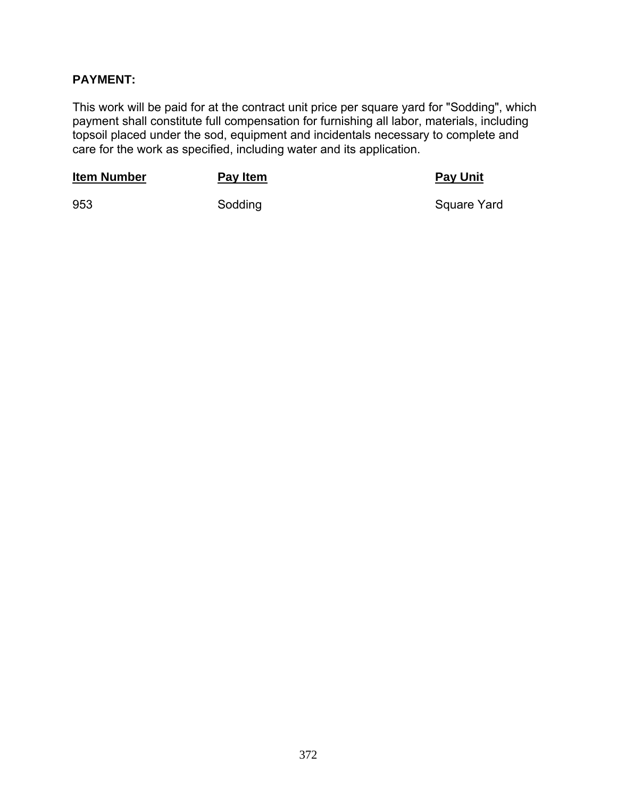## **PAYMENT:**

This work will be paid for at the contract unit price per square yard for "Sodding", which payment shall constitute full compensation for furnishing all labor, materials, including topsoil placed under the sod, equipment and incidentals necessary to complete and care for the work as specified, including water and its application.

| <b>Item Number</b> | Pay Item | <b>Pay Unit</b> |
|--------------------|----------|-----------------|
| 953                | Sodding  | Square Yard     |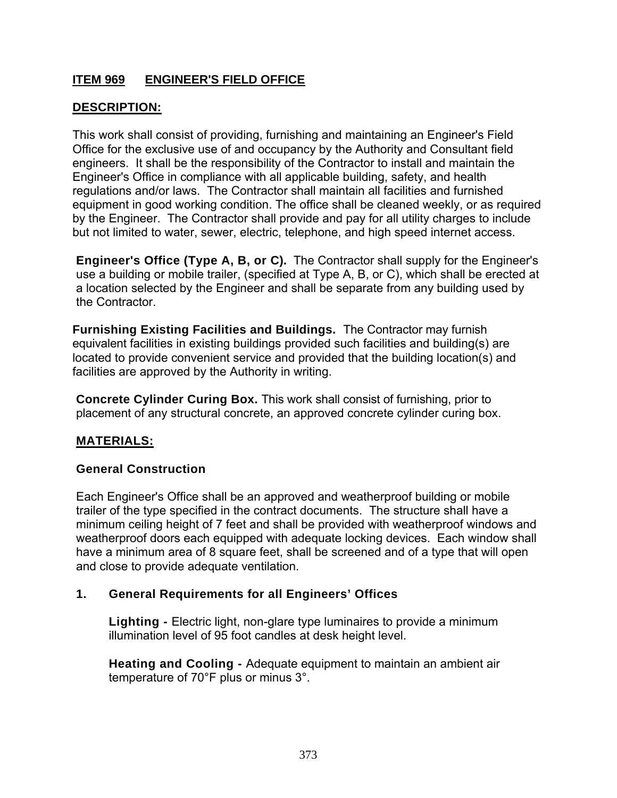# **ITEM 969 ENGINEER'S FIELD OFFICE**

## **DESCRIPTION:**

This work shall consist of providing, furnishing and maintaining an Engineer's Field Office for the exclusive use of and occupancy by the Authority and Consultant field engineers. It shall be the responsibility of the Contractor to install and maintain the Engineer's Office in compliance with all applicable building, safety, and health regulations and/or laws. The Contractor shall maintain all facilities and furnished equipment in good working condition. The office shall be cleaned weekly, or as required by the Engineer. The Contractor shall provide and pay for all utility charges to include but not limited to water, sewer, electric, telephone, and high speed internet access.

**Engineer's Office (Type A, B, or C).** The Contractor shall supply for the Engineer's use a building or mobile trailer, (specified at Type A, B, or C), which shall be erected at a location selected by the Engineer and shall be separate from any building used by the Contractor.

**Furnishing Existing Facilities and Buildings.** The Contractor may furnish equivalent facilities in existing buildings provided such facilities and building(s) are located to provide convenient service and provided that the building location(s) and facilities are approved by the Authority in writing.

**Concrete Cylinder Curing Box.** This work shall consist of furnishing, prior to placement of any structural concrete, an approved concrete cylinder curing box.

## **MATERIALS:**

#### **General Construction**

Each Engineer's Office shall be an approved and weatherproof building or mobile trailer of the type specified in the contract documents. The structure shall have a minimum ceiling height of 7 feet and shall be provided with weatherproof windows and weatherproof doors each equipped with adequate locking devices. Each window shall have a minimum area of 8 square feet, shall be screened and of a type that will open and close to provide adequate ventilation.

#### **1. General Requirements for all Engineers' Offices**

**Lighting -** Electric light, non-glare type luminaires to provide a minimum illumination level of 95 foot candles at desk height level.

**Heating and Cooling -** Adequate equipment to maintain an ambient air temperature of 70°F plus or minus 3°.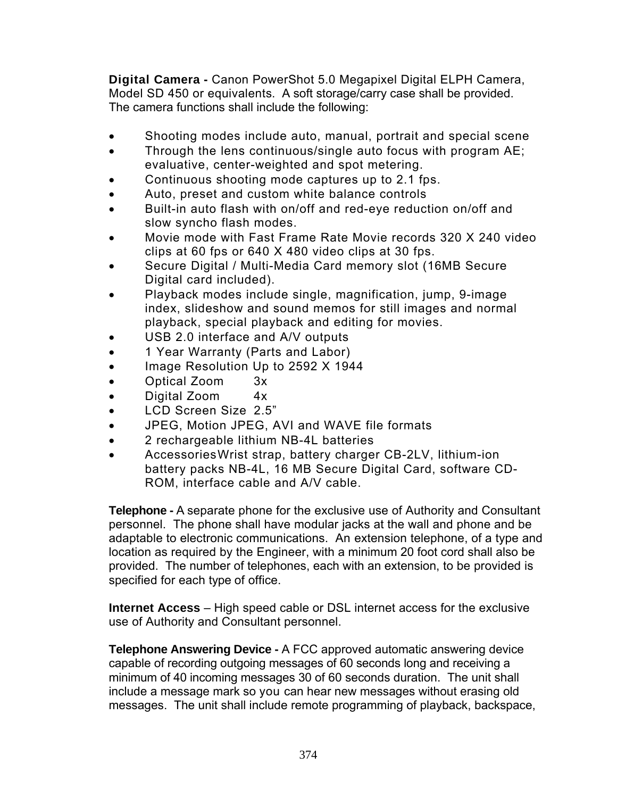**Digital Camera -** Canon PowerShot 5.0 Megapixel Digital ELPH Camera, Model SD 450 or equivalents. A soft storage/carry case shall be provided. The camera functions shall include the following:

- Shooting modes include auto, manual, portrait and special scene
- Through the lens continuous/single auto focus with program AE; evaluative, center-weighted and spot metering.
- Continuous shooting mode captures up to 2.1 fps.
- Auto, preset and custom white balance controls
- Built-in auto flash with on/off and red-eye reduction on/off and slow syncho flash modes.
- Movie mode with Fast Frame Rate Movie records 320 X 240 video clips at 60 fps or 640 X 480 video clips at 30 fps.
- Secure Digital / Multi-Media Card memory slot (16MB Secure Digital card included).
- Playback modes include single, magnification, jump, 9-image index, slideshow and sound memos for still images and normal playback, special playback and editing for movies.
- USB 2.0 interface and A/V outputs
- 1 Year Warranty (Parts and Labor)
- Image Resolution Up to 2592 X 1944
- Optical Zoom 3x
- Digital Zoom 4x
- LCD Screen Size 2.5"
- JPEG, Motion JPEG, AVI and WAVE file formats
- 2 rechargeable lithium NB-4L batteries
- Accessories Wrist strap, battery charger CB-2LV, lithium-ion battery packs NB-4L, 16 MB Secure Digital Card, software CD-ROM, interface cable and A/V cable.

**Telephone -** A separate phone for the exclusive use of Authority and Consultant personnel. The phone shall have modular jacks at the wall and phone and be adaptable to electronic communications. An extension telephone, of a type and location as required by the Engineer, with a minimum 20 foot cord shall also be provided. The number of telephones, each with an extension, to be provided is specified for each type of office.

**Internet Access** – High speed cable or DSL internet access for the exclusive use of Authority and Consultant personnel.

**Telephone Answering Device -** A FCC approved automatic answering device capable of recording outgoing messages of 60 seconds long and receiving a minimum of 40 incoming messages 30 of 60 seconds duration. The unit shall include a message mark so you can hear new messages without erasing old messages. The unit shall include remote programming of playback, backspace,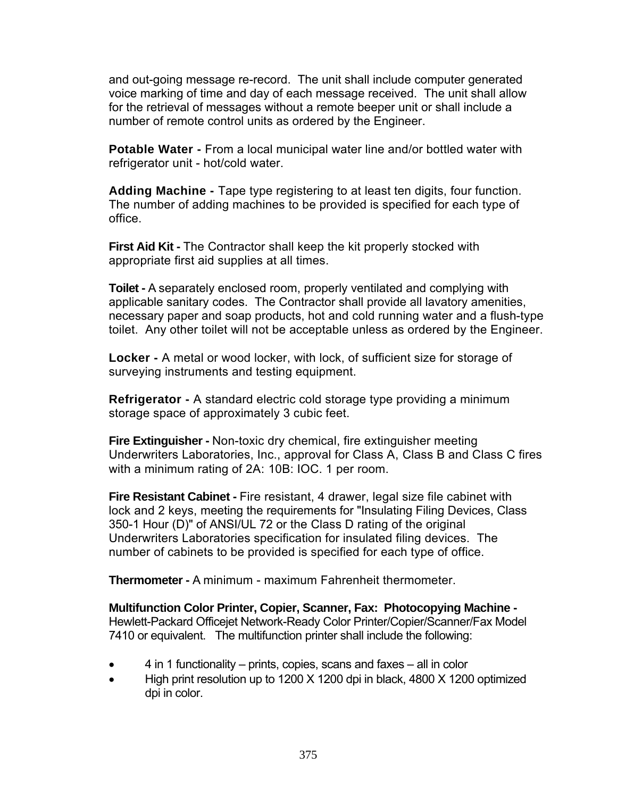and out-going message re-record. The unit shall include computer generated voice marking of time and day of each message received. The unit shall allow for the retrieval of messages without a remote beeper unit or shall include a number of remote control units as ordered by the Engineer.

**Potable Water -** From a local municipal water line and/or bottled water with refrigerator unit - hot/cold water.

**Adding Machine -** Tape type registering to at least ten digits, four function. The number of adding machines to be provided is specified for each type of office.

**First Aid Kit -** The Contractor shall keep the kit properly stocked with appropriate first aid supplies at all times.

**Toilet -** A separately enclosed room, properly ventilated and complying with applicable sanitary codes. The Contractor shall provide all lavatory amenities, necessary paper and soap products, hot and cold running water and a flush-type toilet. Any other toilet will not be acceptable unless as ordered by the Engineer.

**Locker -** A metal or wood locker, with lock, of sufficient size for storage of surveying instruments and testing equipment.

**Refrigerator -** A standard electric cold storage type providing a minimum storage space of approximately 3 cubic feet.

**Fire Extinguisher -** Non-toxic dry chemical, fire extinguisher meeting Underwriters Laboratories, Inc., approval for Class A, Class B and Class C fires with a minimum rating of 2A: 10B: IOC. 1 per room.

**Fire Resistant Cabinet -** Fire resistant, 4 drawer, legal size file cabinet with lock and 2 keys, meeting the requirements for "Insulating Filing Devices, Class 350-1 Hour (D)" of ANSI/UL 72 or the Class D rating of the original Underwriters Laboratories specification for insulated filing devices. The number of cabinets to be provided is specified for each type of office.

**Thermometer -** A minimum - maximum Fahrenheit thermometer.

**Multifunction Color Printer, Copier, Scanner, Fax: Photocopying Machine -**  Hewlett-Packard Officejet Network-Ready Color Printer/Copier/Scanner/Fax Model 7410 or equivalent. The multifunction printer shall include the following:

- 4 in 1 functionality prints, copies, scans and faxes all in color
- High print resolution up to 1200 X 1200 dpi in black, 4800 X 1200 optimized dpi in color.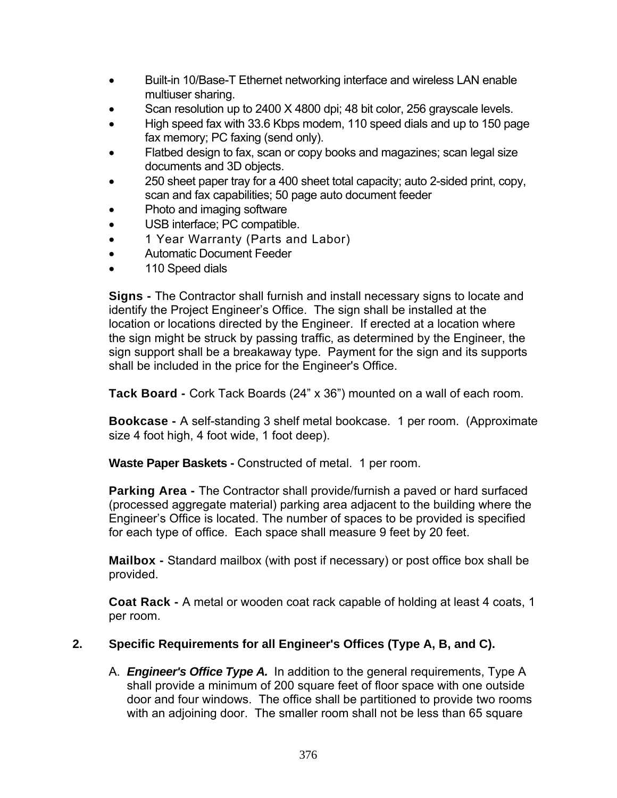- Built-in 10/Base-T Ethernet networking interface and wireless LAN enable multiuser sharing.
- Scan resolution up to 2400 X 4800 dpi; 48 bit color, 256 grayscale levels.
- High speed fax with 33.6 Kbps modem, 110 speed dials and up to 150 page fax memory; PC faxing (send only).
- Flatbed design to fax, scan or copy books and magazines; scan legal size documents and 3D objects.
- 250 sheet paper tray for a 400 sheet total capacity; auto 2-sided print, copy, scan and fax capabilities; 50 page auto document feeder
- Photo and imaging software
- USB interface; PC compatible.
- 1 Year Warranty (Parts and Labor)
- Automatic Document Feeder
- 110 Speed dials

**Signs -** The Contractor shall furnish and install necessary signs to locate and identify the Project Engineer's Office. The sign shall be installed at the location or locations directed by the Engineer. If erected at a location where the sign might be struck by passing traffic, as determined by the Engineer, the sign support shall be a breakaway type. Payment for the sign and its supports shall be included in the price for the Engineer's Office.

**Tack Board -** Cork Tack Boards (24" x 36") mounted on a wall of each room.

**Bookcase -** A self-standing 3 shelf metal bookcase. 1 per room. (Approximate size 4 foot high, 4 foot wide, 1 foot deep).

**Waste Paper Baskets -** Constructed of metal. 1 per room.

**Parking Area -** The Contractor shall provide/furnish a paved or hard surfaced (processed aggregate material) parking area adjacent to the building where the Engineer's Office is located. The number of spaces to be provided is specified for each type of office. Each space shall measure 9 feet by 20 feet.

**Mailbox -** Standard mailbox (with post if necessary) or post office box shall be provided.

**Coat Rack -** A metal or wooden coat rack capable of holding at least 4 coats, 1 per room.

# **2. Specific Requirements for all Engineer's Offices (Type A, B, and C).**

A. *Engineer's Office Type A.* In addition to the general requirements, Type A shall provide a minimum of 200 square feet of floor space with one outside door and four windows. The office shall be partitioned to provide two rooms with an adjoining door. The smaller room shall not be less than 65 square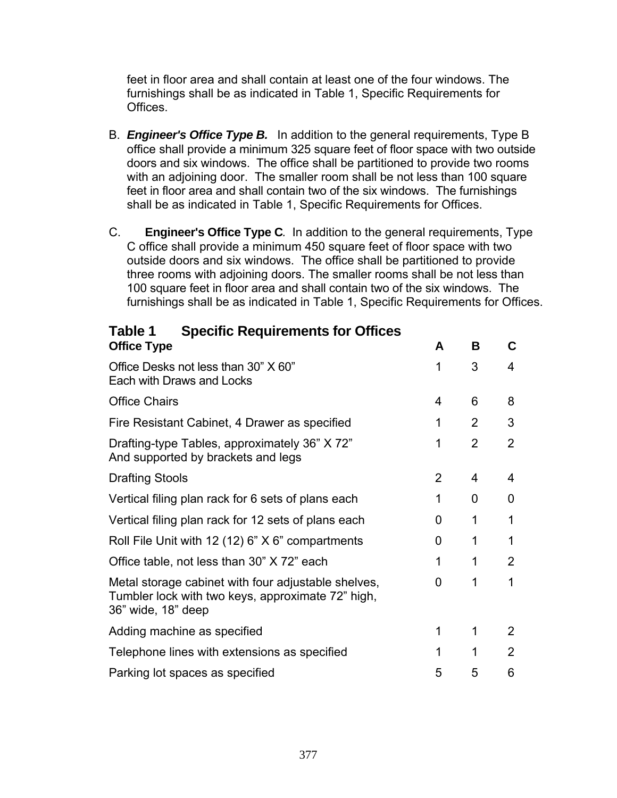feet in floor area and shall contain at least one of the four windows. The furnishings shall be as indicated in Table 1, Specific Requirements for Offices.

- B. *Engineer's Office Type B.* In addition to the general requirements, Type B office shall provide a minimum 325 square feet of floor space with two outside doors and six windows. The office shall be partitioned to provide two rooms with an adjoining door. The smaller room shall be not less than 100 square feet in floor area and shall contain two of the six windows. The furnishings shall be as indicated in Table 1, Specific Requirements for Offices.
- C. **Engineer's Office Type C***.* In addition to the general requirements, Type C office shall provide a minimum 450 square feet of floor space with two outside doors and six windows. The office shall be partitioned to provide three rooms with adjoining doors. The smaller rooms shall be not less than 100 square feet in floor area and shall contain two of the six windows. The furnishings shall be as indicated in Table 1, Specific Requirements for Offices.

| <b>Office Type</b>                                                                                                             | A | B              | С              |
|--------------------------------------------------------------------------------------------------------------------------------|---|----------------|----------------|
| Office Desks not less than 30" X 60"<br>Each with Draws and Locks                                                              | 1 | 3              | 4              |
| <b>Office Chairs</b>                                                                                                           | 4 | 6              | 8              |
| Fire Resistant Cabinet, 4 Drawer as specified                                                                                  | 1 | 2              | 3              |
| Drafting-type Tables, approximately 36" X 72"<br>And supported by brackets and legs                                            | 1 | $\overline{2}$ | $\overline{2}$ |
| <b>Drafting Stools</b>                                                                                                         | 2 | 4              | 4              |
| Vertical filing plan rack for 6 sets of plans each                                                                             | 1 | 0              | 0              |
| Vertical filing plan rack for 12 sets of plans each                                                                            | 0 | 1              | 1              |
| Roll File Unit with 12 (12) $6$ " $X$ $6$ " compartments                                                                       | O | 1              | 1              |
| Office table, not less than 30" X 72" each                                                                                     | 1 | 1              | 2              |
| Metal storage cabinet with four adjustable shelves,<br>Tumbler lock with two keys, approximate 72" high,<br>36" wide, 18" deep | 0 | 1              | 1              |
| Adding machine as specified                                                                                                    | 1 | 1              | 2              |
| Telephone lines with extensions as specified                                                                                   | 1 | 1              | 2              |
| Parking lot spaces as specified                                                                                                | 5 | 5              | 6              |
|                                                                                                                                |   |                |                |

**Table 1 Specific Requirements for Offices**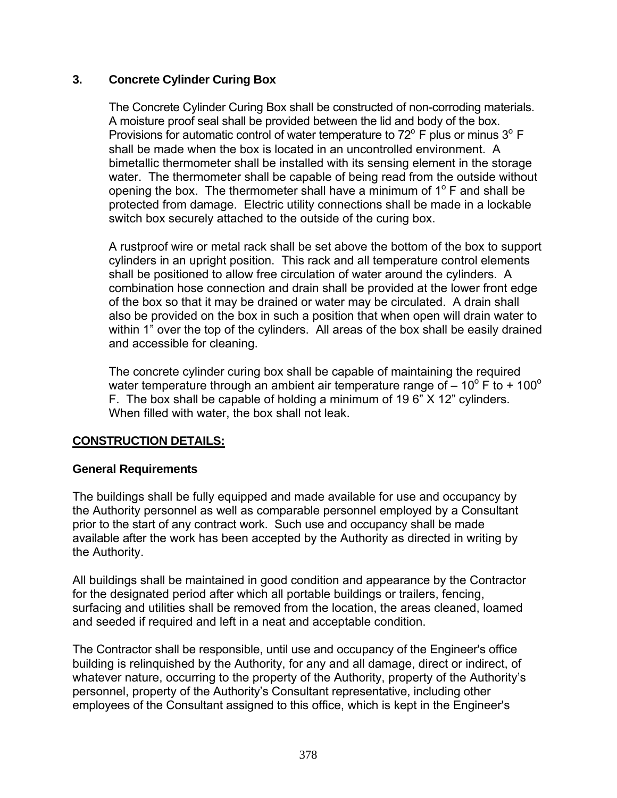### **3. Concrete Cylinder Curing Box**

The Concrete Cylinder Curing Box shall be constructed of non-corroding materials. A moisture proof seal shall be provided between the lid and body of the box. Provisions for automatic control of water temperature to  $72^{\circ}$  F plus or minus  $3^{\circ}$  F shall be made when the box is located in an uncontrolled environment. A bimetallic thermometer shall be installed with its sensing element in the storage water. The thermometer shall be capable of being read from the outside without opening the box. The thermometer shall have a minimum of  $1^\circ$  F and shall be protected from damage. Electric utility connections shall be made in a lockable switch box securely attached to the outside of the curing box.

A rustproof wire or metal rack shall be set above the bottom of the box to support cylinders in an upright position. This rack and all temperature control elements shall be positioned to allow free circulation of water around the cylinders. A combination hose connection and drain shall be provided at the lower front edge of the box so that it may be drained or water may be circulated. A drain shall also be provided on the box in such a position that when open will drain water to within 1" over the top of the cylinders. All areas of the box shall be easily drained and accessible for cleaning.

The concrete cylinder curing box shall be capable of maintaining the required water temperature through an ambient air temperature range of  $-10^{\circ}$  F to + 100 $^{\circ}$ F. The box shall be capable of holding a minimum of 19 6" X 12" cylinders. When filled with water, the box shall not leak.

## **CONSTRUCTION DETAILS:**

#### **General Requirements**

The buildings shall be fully equipped and made available for use and occupancy by the Authority personnel as well as comparable personnel employed by a Consultant prior to the start of any contract work. Such use and occupancy shall be made available after the work has been accepted by the Authority as directed in writing by the Authority.

All buildings shall be maintained in good condition and appearance by the Contractor for the designated period after which all portable buildings or trailers, fencing, surfacing and utilities shall be removed from the location, the areas cleaned, loamed and seeded if required and left in a neat and acceptable condition.

The Contractor shall be responsible, until use and occupancy of the Engineer's office building is relinquished by the Authority, for any and all damage, direct or indirect, of whatever nature, occurring to the property of the Authority, property of the Authority's personnel, property of the Authority's Consultant representative, including other employees of the Consultant assigned to this office, which is kept in the Engineer's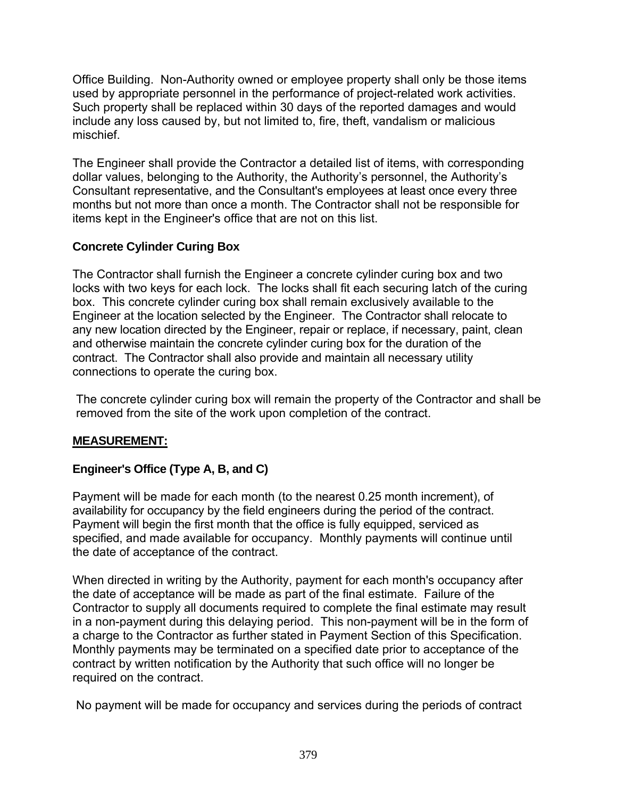Office Building. Non-Authority owned or employee property shall only be those items used by appropriate personnel in the performance of project-related work activities. Such property shall be replaced within 30 days of the reported damages and would include any loss caused by, but not limited to, fire, theft, vandalism or malicious mischief.

The Engineer shall provide the Contractor a detailed list of items, with corresponding dollar values, belonging to the Authority, the Authority's personnel, the Authority's Consultant representative, and the Consultant's employees at least once every three months but not more than once a month. The Contractor shall not be responsible for items kept in the Engineer's office that are not on this list.

# **Concrete Cylinder Curing Box**

The Contractor shall furnish the Engineer a concrete cylinder curing box and two locks with two keys for each lock. The locks shall fit each securing latch of the curing box. This concrete cylinder curing box shall remain exclusively available to the Engineer at the location selected by the Engineer. The Contractor shall relocate to any new location directed by the Engineer, repair or replace, if necessary, paint, clean and otherwise maintain the concrete cylinder curing box for the duration of the contract. The Contractor shall also provide and maintain all necessary utility connections to operate the curing box.

The concrete cylinder curing box will remain the property of the Contractor and shall be removed from the site of the work upon completion of the contract.

## **MEASUREMENT:**

# **Engineer's Office (Type A, B, and C)**

Payment will be made for each month (to the nearest 0.25 month increment), of availability for occupancy by the field engineers during the period of the contract. Payment will begin the first month that the office is fully equipped, serviced as specified, and made available for occupancy. Monthly payments will continue until the date of acceptance of the contract.

When directed in writing by the Authority, payment for each month's occupancy after the date of acceptance will be made as part of the final estimate. Failure of the Contractor to supply all documents required to complete the final estimate may result in a non-payment during this delaying period. This non-payment will be in the form of a charge to the Contractor as further stated in Payment Section of this Specification. Monthly payments may be terminated on a specified date prior to acceptance of the contract by written notification by the Authority that such office will no longer be required on the contract.

No payment will be made for occupancy and services during the periods of contract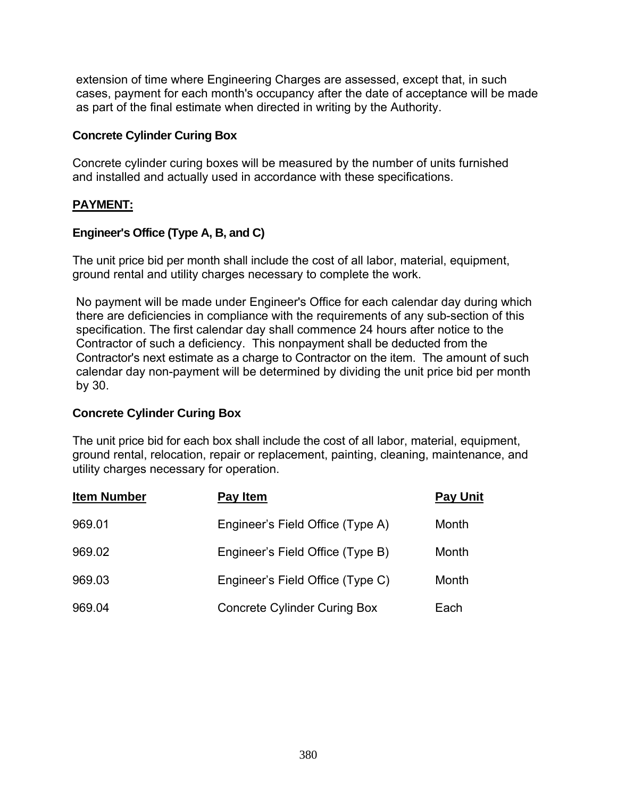extension of time where Engineering Charges are assessed, except that, in such cases, payment for each month's occupancy after the date of acceptance will be made as part of the final estimate when directed in writing by the Authority.

### **Concrete Cylinder Curing Box**

Concrete cylinder curing boxes will be measured by the number of units furnished and installed and actually used in accordance with these specifications.

# **PAYMENT:**

# **Engineer's Office (Type A, B, and C)**

The unit price bid per month shall include the cost of all labor, material, equipment, ground rental and utility charges necessary to complete the work.

No payment will be made under Engineer's Office for each calendar day during which there are deficiencies in compliance with the requirements of any sub-section of this specification. The first calendar day shall commence 24 hours after notice to the Contractor of such a deficiency. This nonpayment shall be deducted from the Contractor's next estimate as a charge to Contractor on the item. The amount of such calendar day non-payment will be determined by dividing the unit price bid per month by 30.

## **Concrete Cylinder Curing Box**

The unit price bid for each box shall include the cost of all labor, material, equipment, ground rental, relocation, repair or replacement, painting, cleaning, maintenance, and utility charges necessary for operation.

| <b>Item Number</b> | Pay Item                            | <b>Pay Unit</b> |
|--------------------|-------------------------------------|-----------------|
| 969.01             | Engineer's Field Office (Type A)    | Month           |
| 969.02             | Engineer's Field Office (Type B)    | Month           |
| 969.03             | Engineer's Field Office (Type C)    | Month           |
| 969.04             | <b>Concrete Cylinder Curing Box</b> | Each            |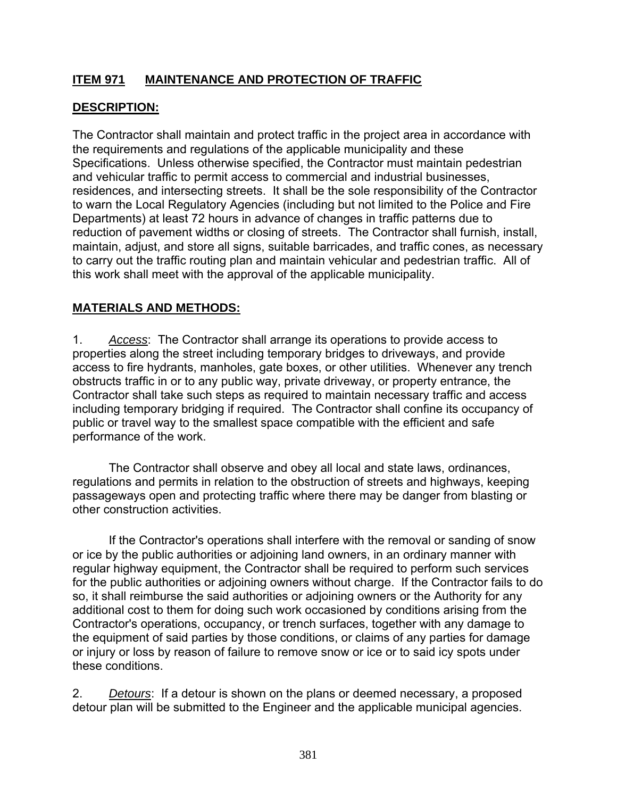# **ITEM 971 MAINTENANCE AND PROTECTION OF TRAFFIC**

# **DESCRIPTION:**

The Contractor shall maintain and protect traffic in the project area in accordance with the requirements and regulations of the applicable municipality and these Specifications. Unless otherwise specified, the Contractor must maintain pedestrian and vehicular traffic to permit access to commercial and industrial businesses, residences, and intersecting streets. It shall be the sole responsibility of the Contractor to warn the Local Regulatory Agencies (including but not limited to the Police and Fire Departments) at least 72 hours in advance of changes in traffic patterns due to reduction of pavement widths or closing of streets. The Contractor shall furnish, install, maintain, adjust, and store all signs, suitable barricades, and traffic cones, as necessary to carry out the traffic routing plan and maintain vehicular and pedestrian traffic. All of this work shall meet with the approval of the applicable municipality.

# **MATERIALS AND METHODS:**

1. *Access*: The Contractor shall arrange its operations to provide access to properties along the street including temporary bridges to driveways, and provide access to fire hydrants, manholes, gate boxes, or other utilities. Whenever any trench obstructs traffic in or to any public way, private driveway, or property entrance, the Contractor shall take such steps as required to maintain necessary traffic and access including temporary bridging if required. The Contractor shall confine its occupancy of public or travel way to the smallest space compatible with the efficient and safe performance of the work.

 The Contractor shall observe and obey all local and state laws, ordinances, regulations and permits in relation to the obstruction of streets and highways, keeping passageways open and protecting traffic where there may be danger from blasting or other construction activities.

 If the Contractor's operations shall interfere with the removal or sanding of snow or ice by the public authorities or adjoining land owners, in an ordinary manner with regular highway equipment, the Contractor shall be required to perform such services for the public authorities or adjoining owners without charge. If the Contractor fails to do so, it shall reimburse the said authorities or adjoining owners or the Authority for any additional cost to them for doing such work occasioned by conditions arising from the Contractor's operations, occupancy, or trench surfaces, together with any damage to the equipment of said parties by those conditions, or claims of any parties for damage or injury or loss by reason of failure to remove snow or ice or to said icy spots under these conditions.

2. *Detours*: If a detour is shown on the plans or deemed necessary, a proposed detour plan will be submitted to the Engineer and the applicable municipal agencies.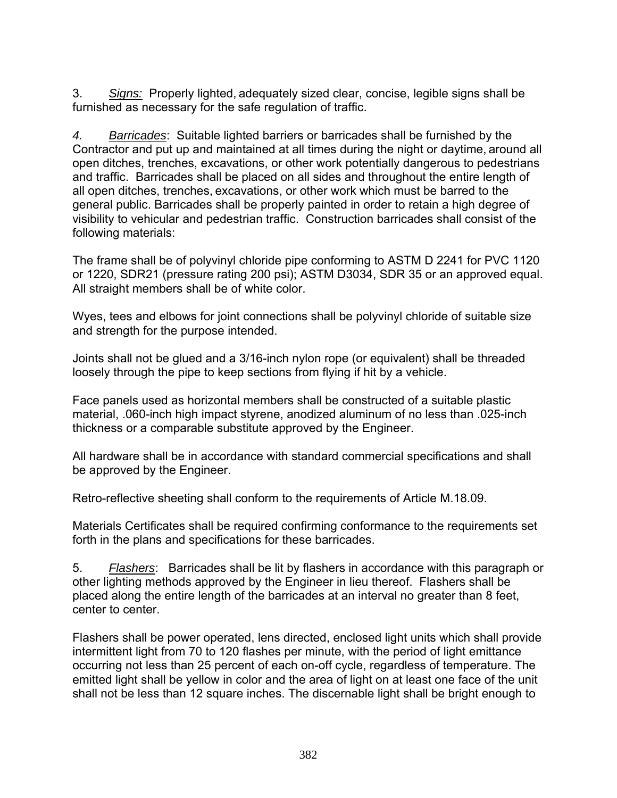3. *Signs:* Properly lighted, adequately sized clear, concise, legible signs shall be furnished as necessary for the safe regulation of traffic.

*4. Barricades*: Suitable lighted barriers or barricades shall be furnished by the Contractor and put up and maintained at all times during the night or daytime, around all open ditches, trenches, excavations, or other work potentially dangerous to pedestrians and traffic. Barricades shall be placed on all sides and throughout the entire length of all open ditches, trenches, excavations, or other work which must be barred to the general public. Barricades shall be properly painted in order to retain a high degree of visibility to vehicular and pedestrian traffic. Construction barricades shall consist of the following materials:

The frame shall be of polyvinyl chloride pipe conforming to ASTM D 2241 for PVC 1120 or 1220, SDR21 (pressure rating 200 psi); ASTM D3034, SDR 35 or an approved equal. All straight members shall be of white color.

Wyes, tees and elbows for joint connections shall be polyvinyl chloride of suitable size and strength for the purpose intended.

Joints shall not be glued and a 3/16-inch nylon rope (or equivalent) shall be threaded loosely through the pipe to keep sections from flying if hit by a vehicle.

Face panels used as horizontal members shall be constructed of a suitable plastic material, .060-inch high impact styrene, anodized aluminum of no less than .025-inch thickness or a comparable substitute approved by the Engineer.

All hardware shall be in accordance with standard commercial specifications and shall be approved by the Engineer.

Retro-reflective sheeting shall conform to the requirements of Article M.18.09.

Materials Certificates shall be required confirming conformance to the requirements set forth in the plans and specifications for these barricades.

5. *Flashers*: Barricades shall be lit by flashers in accordance with this paragraph or other lighting methods approved by the Engineer in lieu thereof. Flashers shall be placed along the entire length of the barricades at an interval no greater than 8 feet, center to center.

Flashers shall be power operated, lens directed, enclosed light units which shall provide intermittent light from 70 to 120 flashes per minute, with the period of light emittance occurring not less than 25 percent of each on-off cycle, regardless of temperature. The emitted light shall be yellow in color and the area of light on at least one face of the unit shall not be less than 12 square inches. The discernable light shall be bright enough to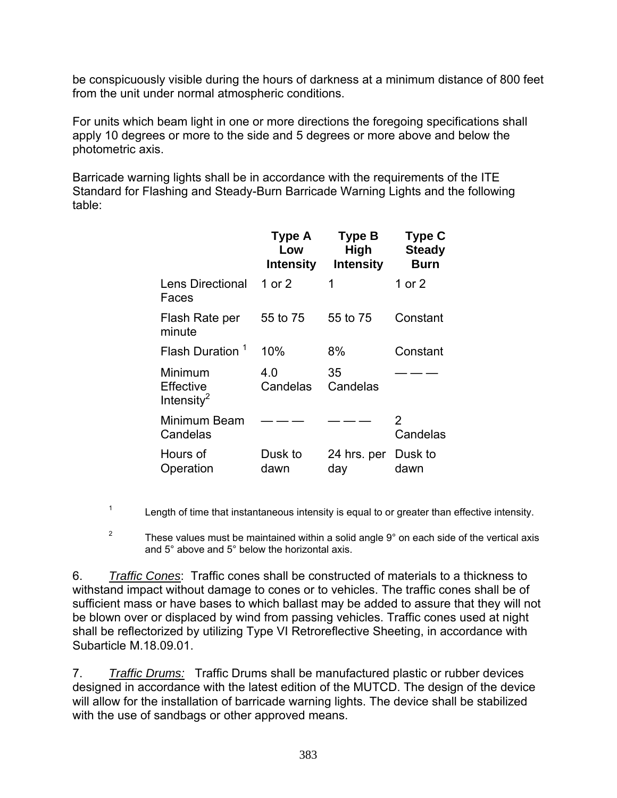be conspicuously visible during the hours of darkness at a minimum distance of 800 feet from the unit under normal atmospheric conditions.

For units which beam light in one or more directions the foregoing specifications shall apply 10 degrees or more to the side and 5 degrees or more above and below the photometric axis.

Barricade warning lights shall be in accordance with the requirements of the ITE Standard for Flashing and Steady-Burn Barricade Warning Lights and the following table:

|                                        | Type A<br>Low<br><b>Intensity</b> | <b>Type B</b><br><b>High</b><br><b>Intensity</b> | <b>Type C</b><br><b>Steady</b><br><b>Burn</b> |
|----------------------------------------|-----------------------------------|--------------------------------------------------|-----------------------------------------------|
| <b>Lens Directional</b><br>Faces       | 1 or 2                            | 1                                                | 1 or 2                                        |
| Flash Rate per<br>minute               | 55 to 75                          | 55 to 75                                         | Constant                                      |
| Flash Duration <sup>1</sup>            | 10%                               | 8%                                               | Constant                                      |
| Minimum<br>Effective<br>Intensity $^2$ | 4.0<br>Candelas                   | 35<br>Candelas                                   |                                               |
| Minimum Beam<br>Candelas               |                                   |                                                  | 2<br>Candelas                                 |
| Hours of<br>Operation                  | Dusk to<br>dawn                   | 24 hrs. per<br>day                               | Dusk to<br>dawn                               |

<sup>1</sup> Length of time that instantaneous intensity is equal to or greater than effective intensity.

<sup>2</sup> These values must be maintained within a solid angle  $9^{\circ}$  on each side of the vertical axis and 5° above and 5° below the horizontal axis.

6. *Traffic Cones*: Traffic cones shall be constructed of materials to a thickness to withstand impact without damage to cones or to vehicles. The traffic cones shall be of sufficient mass or have bases to which ballast may be added to assure that they will not be blown over or displaced by wind from passing vehicles. Traffic cones used at night shall be reflectorized by utilizing Type VI Retroreflective Sheeting, in accordance with Subarticle M.18.09.01.

7. *Traffic Drums:* Traffic Drums shall be manufactured plastic or rubber devices designed in accordance with the latest edition of the MUTCD. The design of the device will allow for the installation of barricade warning lights. The device shall be stabilized with the use of sandbags or other approved means.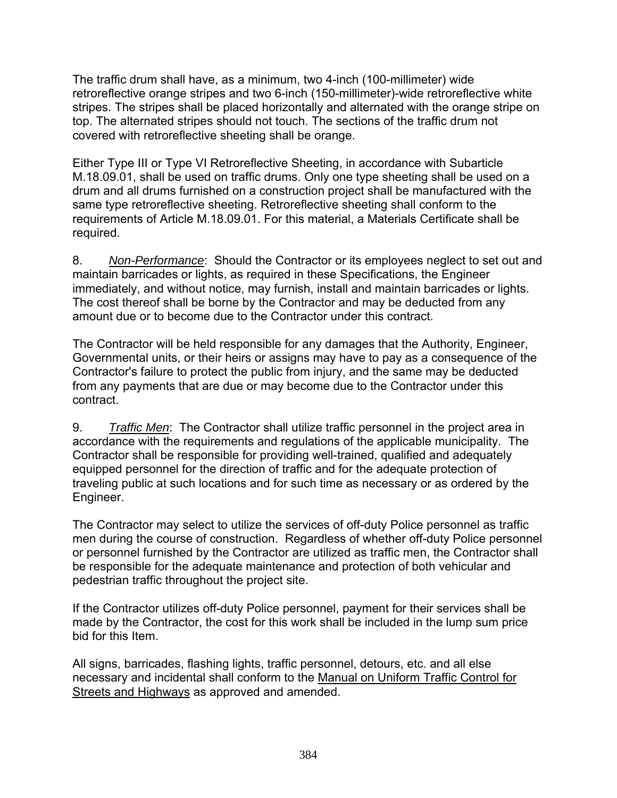The traffic drum shall have, as a minimum, two 4-inch (100-millimeter) wide retroreflective orange stripes and two 6-inch (150-millimeter)-wide retroreflective white stripes. The stripes shall be placed horizontally and alternated with the orange stripe on top. The alternated stripes should not touch. The sections of the traffic drum not covered with retroreflective sheeting shall be orange.

Either Type III or Type VI Retroreflective Sheeting, in accordance with Subarticle M.18.09.01, shall be used on traffic drums. Only one type sheeting shall be used on a drum and all drums furnished on a construction project shall be manufactured with the same type retroreflective sheeting. Retroreflective sheeting shall conform to the requirements of Article M.18.09.01. For this material, a Materials Certificate shall be required.

8. *Non-Performance*: Should the Contractor or its employees neglect to set out and maintain barricades or lights, as required in these Specifications, the Engineer immediately, and without notice, may furnish, install and maintain barricades or lights. The cost thereof shall be borne by the Contractor and may be deducted from any amount due or to become due to the Contractor under this contract.

The Contractor will be held responsible for any damages that the Authority, Engineer, Governmental units, or their heirs or assigns may have to pay as a consequence of the Contractor's failure to protect the public from injury, and the same may be deducted from any payments that are due or may become due to the Contractor under this contract.

9. *Traffic Men*: The Contractor shall utilize traffic personnel in the project area in accordance with the requirements and regulations of the applicable municipality. The Contractor shall be responsible for providing well-trained, qualified and adequately equipped personnel for the direction of traffic and for the adequate protection of traveling public at such locations and for such time as necessary or as ordered by the Engineer.

The Contractor may select to utilize the services of off-duty Police personnel as traffic men during the course of construction. Regardless of whether off-duty Police personnel or personnel furnished by the Contractor are utilized as traffic men, the Contractor shall be responsible for the adequate maintenance and protection of both vehicular and pedestrian traffic throughout the project site.

If the Contractor utilizes off-duty Police personnel, payment for their services shall be made by the Contractor, the cost for this work shall be included in the lump sum price bid for this Item.

All signs, barricades, flashing lights, traffic personnel, detours, etc. and all else necessary and incidental shall conform to the Manual on Uniform Traffic Control for Streets and Highways as approved and amended.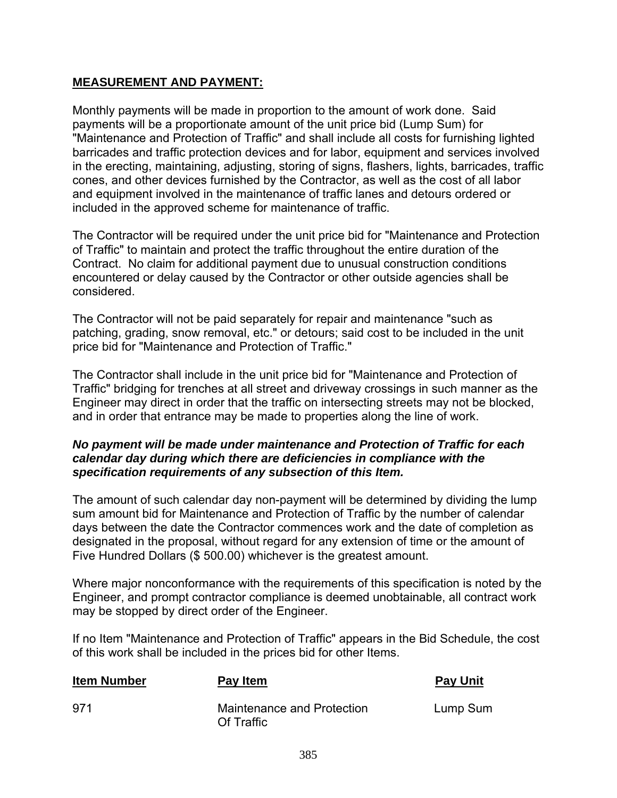# **MEASUREMENT AND PAYMENT:**

Monthly payments will be made in proportion to the amount of work done. Said payments will be a proportionate amount of the unit price bid (Lump Sum) for "Maintenance and Protection of Traffic" and shall include all costs for furnishing lighted barricades and traffic protection devices and for labor, equipment and services involved in the erecting, maintaining, adjusting, storing of signs, flashers, lights, barricades, traffic cones, and other devices furnished by the Contractor, as well as the cost of all labor and equipment involved in the maintenance of traffic lanes and detours ordered or included in the approved scheme for maintenance of traffic.

The Contractor will be required under the unit price bid for "Maintenance and Protection of Traffic" to maintain and protect the traffic throughout the entire duration of the Contract. No claim for additional payment due to unusual construction conditions encountered or delay caused by the Contractor or other outside agencies shall be considered.

The Contractor will not be paid separately for repair and maintenance "such as patching, grading, snow removal, etc." or detours; said cost to be included in the unit price bid for "Maintenance and Protection of Traffic."

The Contractor shall include in the unit price bid for "Maintenance and Protection of Traffic" bridging for trenches at all street and driveway crossings in such manner as the Engineer may direct in order that the traffic on intersecting streets may not be blocked, and in order that entrance may be made to properties along the line of work.

#### *No payment will be made under maintenance and Protection of Traffic for each calendar day during which there are deficiencies in compliance with the specification requirements of any subsection of this Item.*

The amount of such calendar day non-payment will be determined by dividing the lump sum amount bid for Maintenance and Protection of Traffic by the number of calendar days between the date the Contractor commences work and the date of completion as designated in the proposal, without regard for any extension of time or the amount of Five Hundred Dollars (\$ 500.00) whichever is the greatest amount.

Where major nonconformance with the requirements of this specification is noted by the Engineer, and prompt contractor compliance is deemed unobtainable, all contract work may be stopped by direct order of the Engineer.

If no Item "Maintenance and Protection of Traffic" appears in the Bid Schedule, the cost of this work shall be included in the prices bid for other Items.

| <b>Item Number</b> | Pay Item                                 | <b>Pay Unit</b> |
|--------------------|------------------------------------------|-----------------|
| 971                | Maintenance and Protection<br>Of Traffic | Lump Sum        |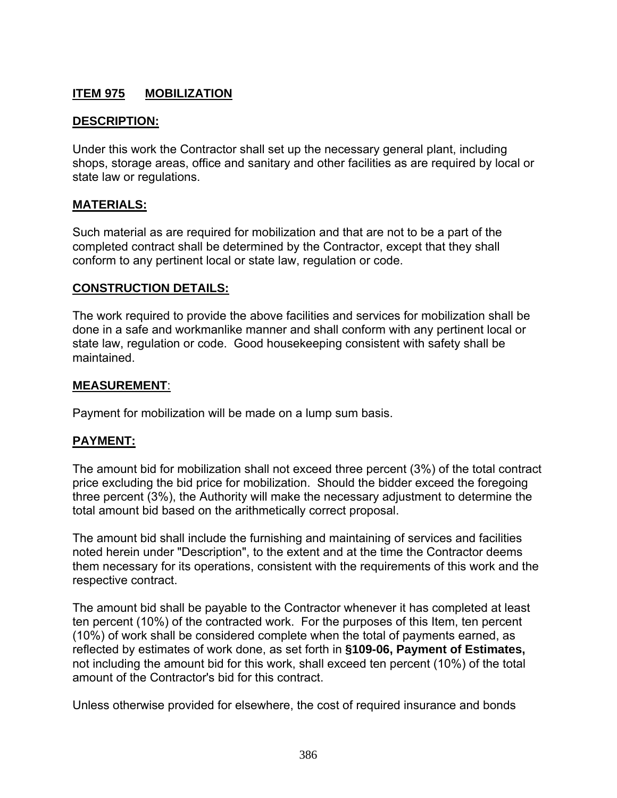# **ITEM 975 MOBILIZATION**

#### **DESCRIPTION:**

Under this work the Contractor shall set up the necessary general plant, including shops, storage areas, office and sanitary and other facilities as are required by local or state law or regulations.

#### **MATERIALS:**

Such material as are required for mobilization and that are not to be a part of the completed contract shall be determined by the Contractor, except that they shall conform to any pertinent local or state law, regulation or code.

#### **CONSTRUCTION DETAILS:**

The work required to provide the above facilities and services for mobilization shall be done in a safe and workmanlike manner and shall conform with any pertinent local or state law, regulation or code. Good housekeeping consistent with safety shall be maintained.

#### **MEASUREMENT**:

Payment for mobilization will be made on a lump sum basis.

#### **PAYMENT:**

The amount bid for mobilization shall not exceed three percent (3%) of the total contract price excluding the bid price for mobilization. Should the bidder exceed the foregoing three percent (3%), the Authority will make the necessary adjustment to determine the total amount bid based on the arithmetically correct proposal.

The amount bid shall include the furnishing and maintaining of services and facilities noted herein under "Description", to the extent and at the time the Contractor deems them necessary for its operations, consistent with the requirements of this work and the respective contract.

The amount bid shall be payable to the Contractor whenever it has completed at least ten percent (10%) of the contracted work. For the purposes of this Item, ten percent (10%) of work shall be considered complete when the total of payments earned, as reflected by estimates of work done, as set forth in **§109-06, Payment of Estimates,** not including the amount bid for this work, shall exceed ten percent (10%) of the total amount of the Contractor's bid for this contract.

Unless otherwise provided for elsewhere, the cost of required insurance and bonds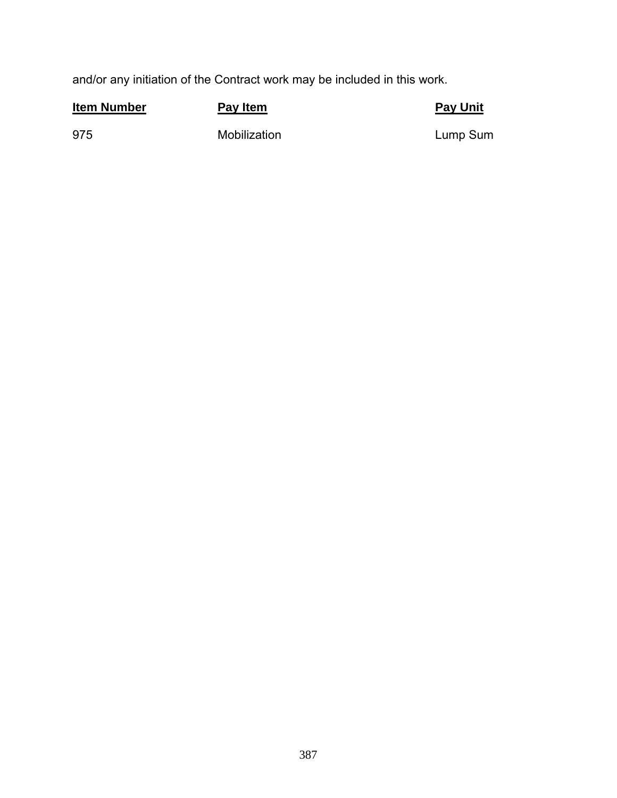and/or any initiation of the Contract work may be included in this work.

| <b>Item Number</b> | Pay Item     | <b>Pay Unit</b> |
|--------------------|--------------|-----------------|
| 975                | Mobilization | Lump Sum        |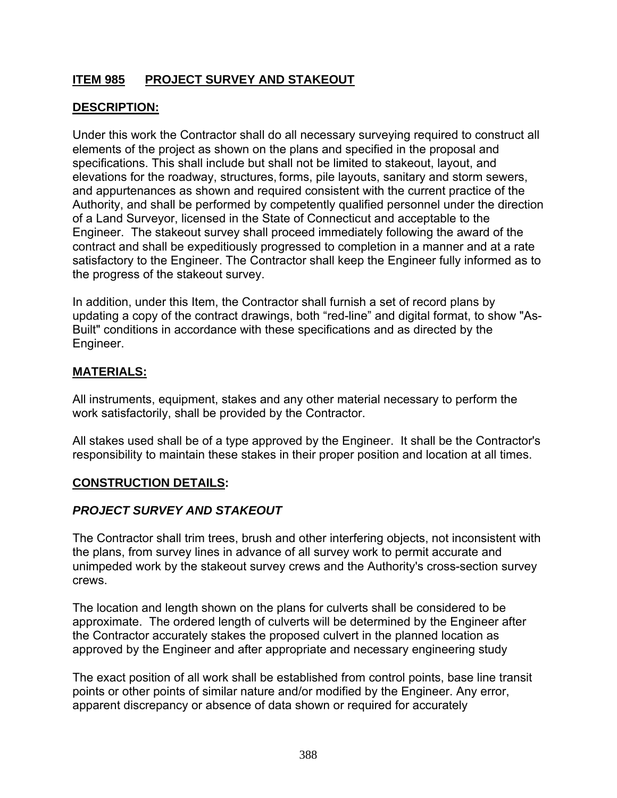# **ITEM 985 PROJECT SURVEY AND STAKEOUT**

# **DESCRIPTION:**

Under this work the Contractor shall do all necessary surveying required to construct all elements of the project as shown on the plans and specified in the proposal and specifications. This shall include but shall not be limited to stakeout, layout, and elevations for the roadway, structures, forms, pile layouts, sanitary and storm sewers, and appurtenances as shown and required consistent with the current practice of the Authority, and shall be performed by competently qualified personnel under the direction of a Land Surveyor, licensed in the State of Connecticut and acceptable to the Engineer. The stakeout survey shall proceed immediately following the award of the contract and shall be expeditiously progressed to completion in a manner and at a rate satisfactory to the Engineer. The Contractor shall keep the Engineer fully informed as to the progress of the stakeout survey.

In addition, under this Item, the Contractor shall furnish a set of record plans by updating a copy of the contract drawings, both "red-line" and digital format, to show "As-Built" conditions in accordance with these specifications and as directed by the Engineer.

# **MATERIALS:**

All instruments, equipment, stakes and any other material necessary to perform the work satisfactorily, shall be provided by the Contractor.

All stakes used shall be of a type approved by the Engineer. It shall be the Contractor's responsibility to maintain these stakes in their proper position and location at all times.

## **CONSTRUCTION DETAILS:**

# *PROJECT SURVEY AND STAKEOUT*

The Contractor shall trim trees, brush and other interfering objects, not inconsistent with the plans, from survey lines in advance of all survey work to permit accurate and unimpeded work by the stakeout survey crews and the Authority's cross-section survey crews.

The location and length shown on the plans for culverts shall be considered to be approximate. The ordered length of culverts will be determined by the Engineer after the Contractor accurately stakes the proposed culvert in the planned location as approved by the Engineer and after appropriate and necessary engineering study

The exact position of all work shall be established from control points, base line transit points or other points of similar nature and/or modified by the Engineer. Any error, apparent discrepancy or absence of data shown or required for accurately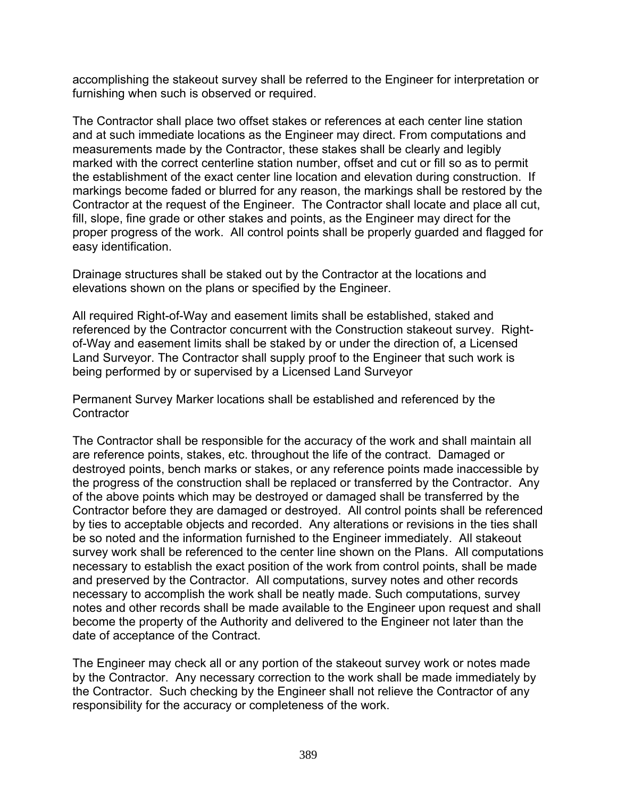accomplishing the stakeout survey shall be referred to the Engineer for interpretation or furnishing when such is observed or required.

The Contractor shall place two offset stakes or references at each center line station and at such immediate locations as the Engineer may direct. From computations and measurements made by the Contractor, these stakes shall be clearly and legibly marked with the correct centerline station number, offset and cut or fill so as to permit the establishment of the exact center line location and elevation during construction. If markings become faded or blurred for any reason, the markings shall be restored by the Contractor at the request of the Engineer. The Contractor shall locate and place all cut, fill, slope, fine grade or other stakes and points, as the Engineer may direct for the proper progress of the work. All control points shall be properly guarded and flagged for easy identification.

Drainage structures shall be staked out by the Contractor at the locations and elevations shown on the plans or specified by the Engineer.

All required Right-of-Way and easement limits shall be established, staked and referenced by the Contractor concurrent with the Construction stakeout survey. Rightof-Way and easement limits shall be staked by or under the direction of, a Licensed Land Surveyor. The Contractor shall supply proof to the Engineer that such work is being performed by or supervised by a Licensed Land Surveyor

Permanent Survey Marker locations shall be established and referenced by the **Contractor** 

The Contractor shall be responsible for the accuracy of the work and shall maintain all are reference points, stakes, etc. throughout the life of the contract. Damaged or destroyed points, bench marks or stakes, or any reference points made inaccessible by the progress of the construction shall be replaced or transferred by the Contractor. Any of the above points which may be destroyed or damaged shall be transferred by the Contractor before they are damaged or destroyed. All control points shall be referenced by ties to acceptable objects and recorded. Any alterations or revisions in the ties shall be so noted and the information furnished to the Engineer immediately. All stakeout survey work shall be referenced to the center line shown on the Plans. All computations necessary to establish the exact position of the work from control points, shall be made and preserved by the Contractor. All computations, survey notes and other records necessary to accomplish the work shall be neatly made. Such computations, survey notes and other records shall be made available to the Engineer upon request and shall become the property of the Authority and delivered to the Engineer not later than the date of acceptance of the Contract.

The Engineer may check all or any portion of the stakeout survey work or notes made by the Contractor. Any necessary correction to the work shall be made immediately by the Contractor. Such checking by the Engineer shall not relieve the Contractor of any responsibility for the accuracy or completeness of the work.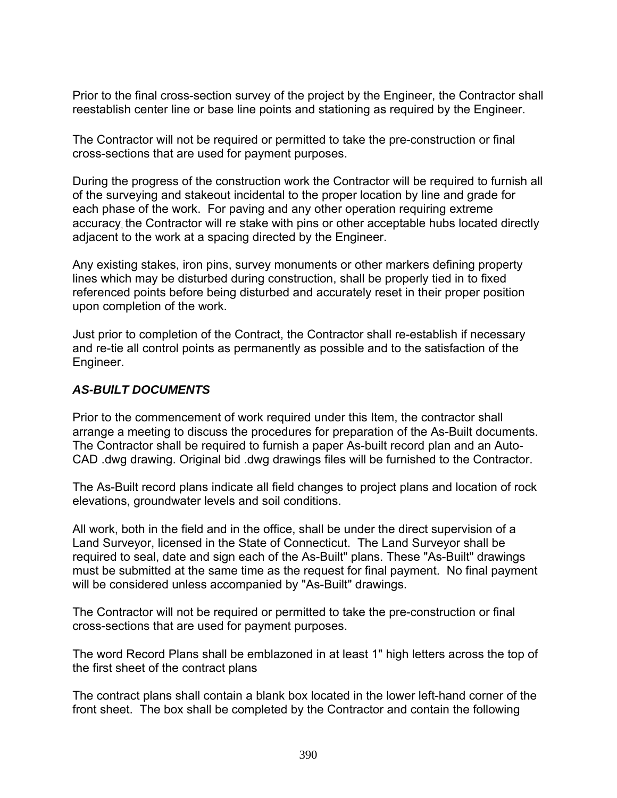Prior to the final cross-section survey of the project by the Engineer, the Contractor shall reestablish center line or base line points and stationing as required by the Engineer.

The Contractor will not be required or permitted to take the pre-construction or final cross-sections that are used for payment purposes.

During the progress of the construction work the Contractor will be required to furnish all of the surveying and stakeout incidental to the proper location by line and grade for each phase of the work. For paving and any other operation requiring extreme accuracy, the Contractor will re stake with pins or other acceptable hubs located directly adjacent to the work at a spacing directed by the Engineer.

Any existing stakes, iron pins, survey monuments or other markers defining property lines which may be disturbed during construction, shall be properly tied in to fixed referenced points before being disturbed and accurately reset in their proper position upon completion of the work.

Just prior to completion of the Contract, the Contractor shall re-establish if necessary and re-tie all control points as permanently as possible and to the satisfaction of the Engineer.

#### *AS-BUlLT DOCUMENTS*

Prior to the commencement of work required under this Item, the contractor shall arrange a meeting to discuss the procedures for preparation of the As-Built documents. The Contractor shall be required to furnish a paper As-built record plan and an Auto-CAD .dwg drawing. Original bid .dwg drawings files will be furnished to the Contractor.

The As-Built record plans indicate all field changes to project plans and location of rock elevations, groundwater levels and soil conditions.

All work, both in the field and in the office, shall be under the direct supervision of a Land Surveyor, licensed in the State of Connecticut. The Land Surveyor shall be required to seal, date and sign each of the As-Built" plans. These "As-Built" drawings must be submitted at the same time as the request for final payment. No final payment will be considered unless accompanied by "As-Built" drawings.

The Contractor will not be required or permitted to take the pre-construction or final cross-sections that are used for payment purposes.

The word Record Plans shall be emblazoned in at least 1" high letters across the top of the first sheet of the contract plans

The contract plans shall contain a blank box located in the lower left-hand corner of the front sheet. The box shall be completed by the Contractor and contain the following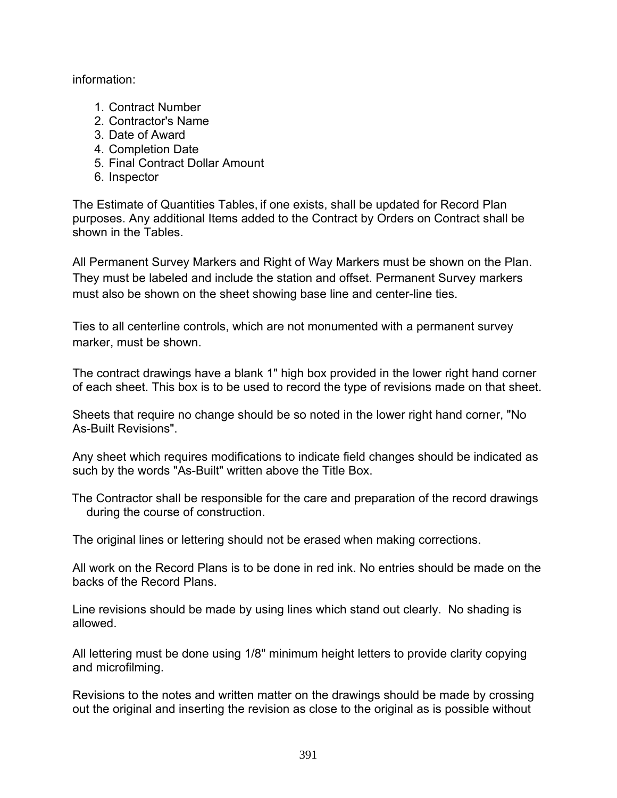information:

- 1. Contract Number
- 2. Contractor's Name
- 3. Date of Award
- 4. Completion Date
- 5. Final Contract Dollar Amount
- 6. Inspector

The Estimate of Quantities Tables, if one exists, shall be updated for Record Plan purposes. Any additional Items added to the Contract by Orders on Contract shall be shown in the Tables.

All Permanent Survey Markers and Right of Way Markers must be shown on the Plan. They must be labeled and include the station and offset. Permanent Survey markers must also be shown on the sheet showing base line and center-line ties.

Ties to all centerline controls, which are not monumented with a permanent survey marker, must be shown.

The contract drawings have a blank 1" high box provided in the lower right hand corner of each sheet. This box is to be used to record the type of revisions made on that sheet.

Sheets that require no change should be so noted in the lower right hand corner, "No As-Built Revisions".

Any sheet which requires modifications to indicate field changes should be indicated as such by the words "As-Built" written above the Title Box.

The Contractor shall be responsible for the care and preparation of the record drawings during the course of construction.

The original lines or lettering should not be erased when making corrections.

All work on the Record Plans is to be done in red ink. No entries should be made on the backs of the Record Plans.

Line revisions should be made by using lines which stand out clearly. No shading is allowed.

All lettering must be done using 1/8" minimum height letters to provide clarity copying and microfilming.

Revisions to the notes and written matter on the drawings should be made by crossing out the original and inserting the revision as close to the original as is possible without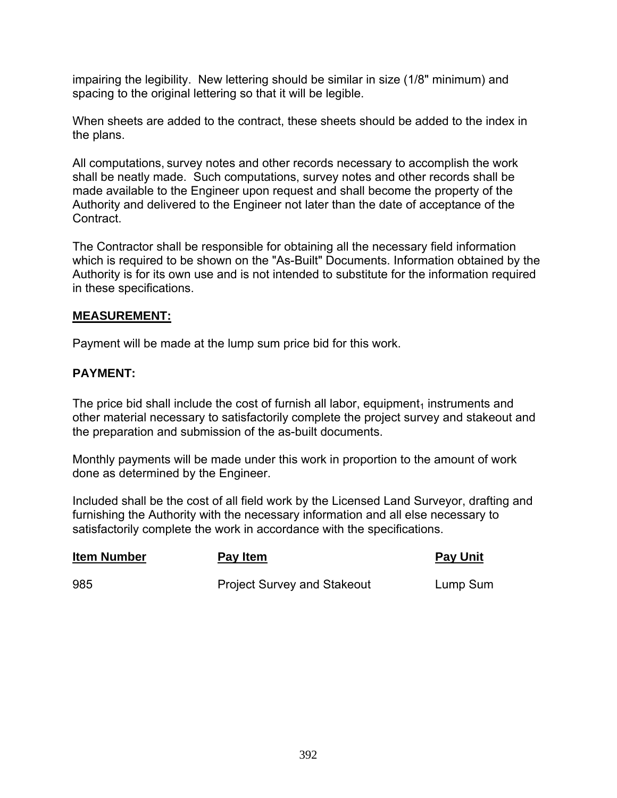impairing the legibility. New lettering should be similar in size (1/8" minimum) and spacing to the original lettering so that it will be legible.

When sheets are added to the contract, these sheets should be added to the index in the plans.

All computations, survey notes and other records necessary to accomplish the work shall be neatly made. Such computations, survey notes and other records shall be made available to the Engineer upon request and shall become the property of the Authority and delivered to the Engineer not later than the date of acceptance of the **Contract.** 

The Contractor shall be responsible for obtaining all the necessary field information which is required to be shown on the "As-Built" Documents. Information obtained by the Authority is for its own use and is not intended to substitute for the information required in these specifications.

## **MEASUREMENT:**

Payment will be made at the lump sum price bid for this work.

# **PAYMENT:**

The price bid shall include the cost of furnish all labor, equipment<sub>1</sub> instruments and other material necessary to satisfactorily complete the project survey and stakeout and the preparation and submission of the as-built documents.

Monthly payments will be made under this work in proportion to the amount of work done as determined by the Engineer.

Included shall be the cost of all field work by the Licensed Land Surveyor, drafting and furnishing the Authority with the necessary information and all else necessary to satisfactorily complete the work in accordance with the specifications.

| <b>Item Number</b> | Pay Item                           | <b>Pay Unit</b> |
|--------------------|------------------------------------|-----------------|
| 985                | <b>Project Survey and Stakeout</b> | Lump Sum        |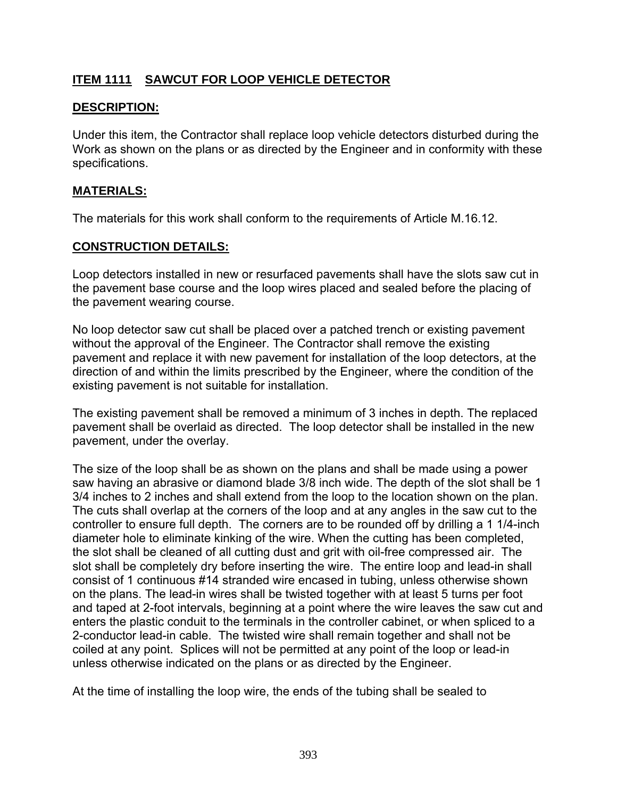# **ITEM 1111 SAWCUT FOR LOOP VEHICLE DETECTOR**

### **DESCRIPTION:**

Under this item, the Contractor shall replace loop vehicle detectors disturbed during the Work as shown on the plans or as directed by the Engineer and in conformity with these specifications.

#### **MATERIALS:**

The materials for this work shall conform to the requirements of Article M.16.12.

#### **CONSTRUCTION DETAILS:**

Loop detectors installed in new or resurfaced pavements shall have the slots saw cut in the pavement base course and the loop wires placed and sealed before the placing of the pavement wearing course.

No loop detector saw cut shall be placed over a patched trench or existing pavement without the approval of the Engineer. The Contractor shall remove the existing pavement and replace it with new pavement for installation of the loop detectors, at the direction of and within the limits prescribed by the Engineer, where the condition of the existing pavement is not suitable for installation.

The existing pavement shall be removed a minimum of 3 inches in depth. The replaced pavement shall be overlaid as directed. The loop detector shall be installed in the new pavement, under the overlay.

The size of the loop shall be as shown on the plans and shall be made using a power saw having an abrasive or diamond blade 3/8 inch wide. The depth of the slot shall be 1 3/4 inches to 2 inches and shall extend from the loop to the location shown on the plan. The cuts shall overlap at the corners of the loop and at any angles in the saw cut to the controller to ensure full depth. The corners are to be rounded off by drilling a 1 1/4-inch diameter hole to eliminate kinking of the wire. When the cutting has been completed, the slot shall be cleaned of all cutting dust and grit with oil-free compressed air. The slot shall be completely dry before inserting the wire. The entire loop and lead-in shall consist of 1 continuous #14 stranded wire encased in tubing, unless otherwise shown on the plans. The lead-in wires shall be twisted together with at least 5 turns per foot and taped at 2-foot intervals, beginning at a point where the wire leaves the saw cut and enters the plastic conduit to the terminals in the controller cabinet, or when spliced to a 2-conductor lead-in cable. The twisted wire shall remain together and shall not be coiled at any point. Splices will not be permitted at any point of the loop or lead-in unless otherwise indicated on the plans or as directed by the Engineer.

At the time of installing the loop wire, the ends of the tubing shall be sealed to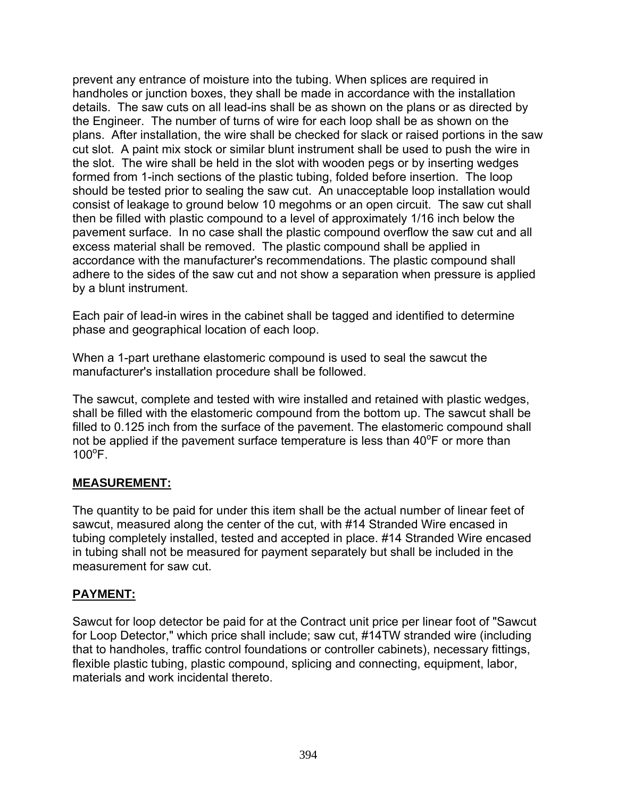prevent any entrance of moisture into the tubing. When splices are required in handholes or junction boxes, they shall be made in accordance with the installation details. The saw cuts on all lead-ins shall be as shown on the plans or as directed by the Engineer. The number of turns of wire for each loop shall be as shown on the plans. After installation, the wire shall be checked for slack or raised portions in the saw cut slot. A paint mix stock or similar blunt instrument shall be used to push the wire in the slot. The wire shall be held in the slot with wooden pegs or by inserting wedges formed from 1-inch sections of the plastic tubing, folded before insertion. The loop should be tested prior to sealing the saw cut. An unacceptable loop installation would consist of leakage to ground below 10 megohms or an open circuit. The saw cut shall then be filled with plastic compound to a level of approximately 1/16 inch below the pavement surface. In no case shall the plastic compound overflow the saw cut and all excess material shall be removed. The plastic compound shall be applied in accordance with the manufacturer's recommendations. The plastic compound shall adhere to the sides of the saw cut and not show a separation when pressure is applied by a blunt instrument.

Each pair of lead-in wires in the cabinet shall be tagged and identified to determine phase and geographical location of each loop.

When a 1-part urethane elastomeric compound is used to seal the sawcut the manufacturer's installation procedure shall be followed.

The sawcut, complete and tested with wire installed and retained with plastic wedges, shall be filled with the elastomeric compound from the bottom up. The sawcut shall be filled to 0.125 inch from the surface of the pavement. The elastomeric compound shall not be applied if the pavement surface temperature is less than  $40^{\circ}$ F or more than  $100^{\circ}$ F.

## **MEASUREMENT:**

The quantity to be paid for under this item shall be the actual number of linear feet of sawcut, measured along the center of the cut, with #14 Stranded Wire encased in tubing completely installed, tested and accepted in place. #14 Stranded Wire encased in tubing shall not be measured for payment separately but shall be included in the measurement for saw cut.

#### **PAYMENT:**

Sawcut for loop detector be paid for at the Contract unit price per linear foot of "Sawcut for Loop Detector," which price shall include; saw cut, #14TW stranded wire (including that to handholes, traffic control foundations or controller cabinets), necessary fittings, flexible plastic tubing, plastic compound, splicing and connecting, equipment, labor, materials and work incidental thereto.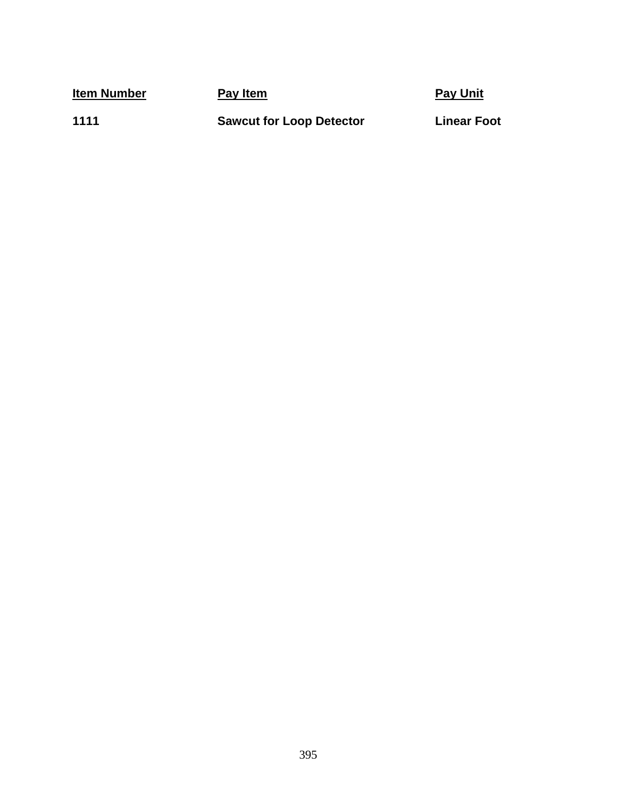**Item Number Pay Item Pay Item Pay Pay Unit** 

1111

**1111 Sawcut for Loop Detector Linear Foot**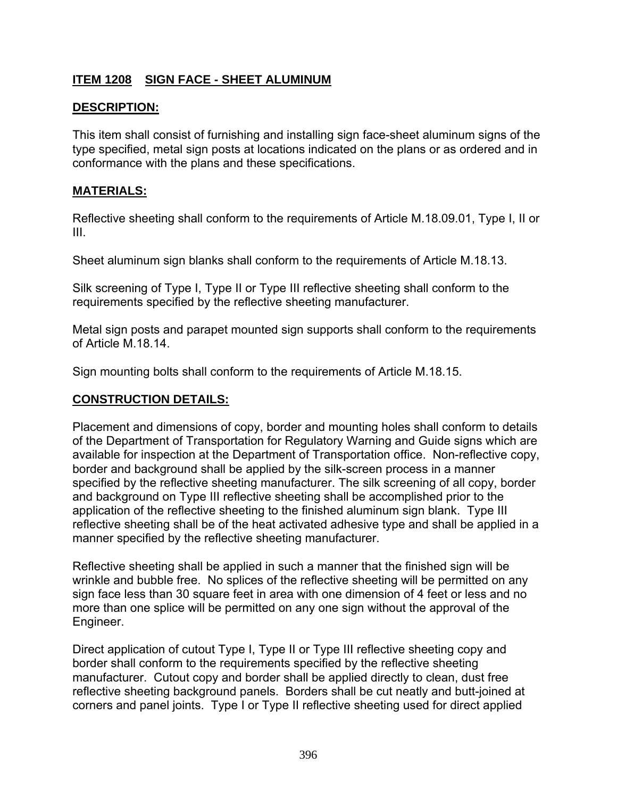# **ITEM 1208 SIGN FACE - SHEET ALUMINUM**

## **DESCRIPTION:**

This item shall consist of furnishing and installing sign face-sheet aluminum signs of the type specified, metal sign posts at locations indicated on the plans or as ordered and in conformance with the plans and these specifications.

#### **MATERIALS:**

Reflective sheeting shall conform to the requirements of Article M.18.09.01, Type I, II or III.

Sheet aluminum sign blanks shall conform to the requirements of Article M.18.13.

Silk screening of Type I, Type II or Type III reflective sheeting shall conform to the requirements specified by the reflective sheeting manufacturer.

Metal sign posts and parapet mounted sign supports shall conform to the requirements of Article M.18.14.

Sign mounting bolts shall conform to the requirements of Article M.18.15.

#### **CONSTRUCTION DETAILS:**

Placement and dimensions of copy, border and mounting holes shall conform to details of the Department of Transportation for Regulatory Warning and Guide signs which are available for inspection at the Department of Transportation office. Non-reflective copy, border and background shall be applied by the silk-screen process in a manner specified by the reflective sheeting manufacturer. The silk screening of all copy, border and background on Type III reflective sheeting shall be accomplished prior to the application of the reflective sheeting to the finished aluminum sign blank. Type III reflective sheeting shall be of the heat activated adhesive type and shall be applied in a manner specified by the reflective sheeting manufacturer.

Reflective sheeting shall be applied in such a manner that the finished sign will be wrinkle and bubble free. No splices of the reflective sheeting will be permitted on any sign face less than 30 square feet in area with one dimension of 4 feet or less and no more than one splice will be permitted on any one sign without the approval of the Engineer.

Direct application of cutout Type I, Type II or Type III reflective sheeting copy and border shall conform to the requirements specified by the reflective sheeting manufacturer. Cutout copy and border shall be applied directly to clean, dust free reflective sheeting background panels. Borders shall be cut neatly and butt-joined at corners and panel joints. Type I or Type II reflective sheeting used for direct applied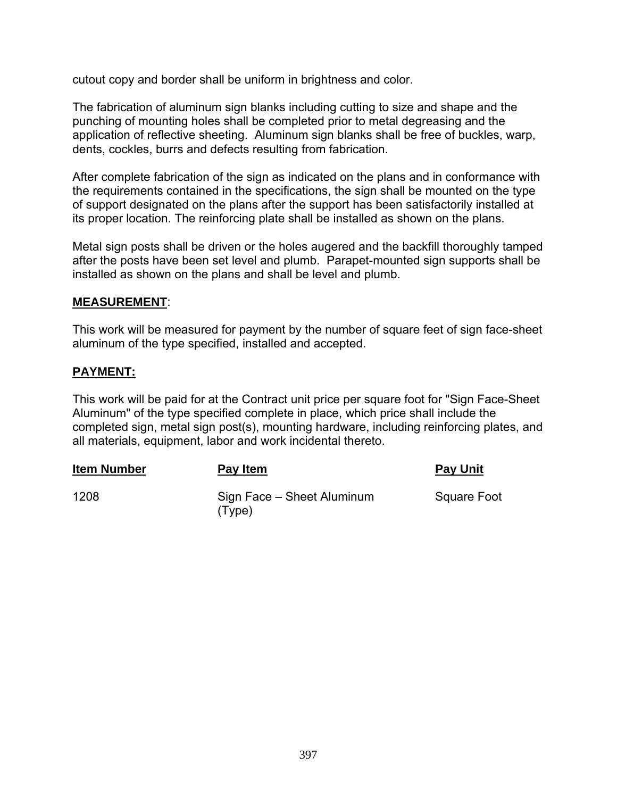cutout copy and border shall be uniform in brightness and color.

The fabrication of aluminum sign blanks including cutting to size and shape and the punching of mounting holes shall be completed prior to metal degreasing and the application of reflective sheeting. Aluminum sign blanks shall be free of buckles, warp, dents, cockles, burrs and defects resulting from fabrication.

After complete fabrication of the sign as indicated on the plans and in conformance with the requirements contained in the specifications, the sign shall be mounted on the type of support designated on the plans after the support has been satisfactorily installed at its proper location. The reinforcing plate shall be installed as shown on the plans.

Metal sign posts shall be driven or the holes augered and the backfill thoroughly tamped after the posts have been set level and plumb. Parapet-mounted sign supports shall be installed as shown on the plans and shall be level and plumb.

#### **MEASUREMENT**:

This work will be measured for payment by the number of square feet of sign face-sheet aluminum of the type specified, installed and accepted.

#### **PAYMENT:**

This work will be paid for at the Contract unit price per square foot for "Sign Face-Sheet Aluminum" of the type specified complete in place, which price shall include the completed sign, metal sign post(s), mounting hardware, including reinforcing plates, and all materials, equipment, labor and work incidental thereto.

| <b>Item Number</b> | Pay Item                             | <b>Pay Unit</b>    |
|--------------------|--------------------------------------|--------------------|
| 1208               | Sign Face - Sheet Aluminum<br>(Type) | <b>Square Foot</b> |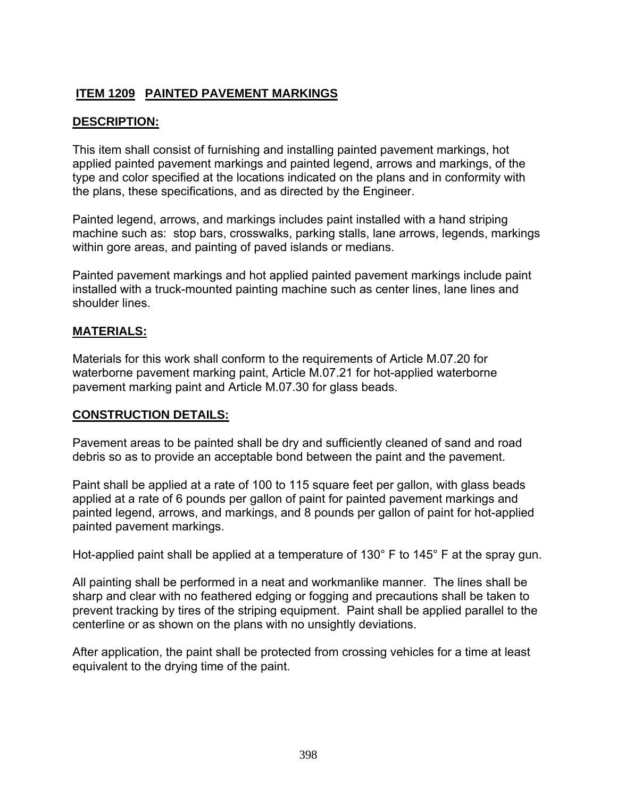# **ITEM 1209 PAINTED PAVEMENT MARKINGS**

# **DESCRIPTION:**

This item shall consist of furnishing and installing painted pavement markings, hot applied painted pavement markings and painted legend, arrows and markings, of the type and color specified at the locations indicated on the plans and in conformity with the plans, these specifications, and as directed by the Engineer.

Painted legend, arrows, and markings includes paint installed with a hand striping machine such as: stop bars, crosswalks, parking stalls, lane arrows, legends, markings within gore areas, and painting of paved islands or medians.

Painted pavement markings and hot applied painted pavement markings include paint installed with a truck-mounted painting machine such as center lines, lane lines and shoulder lines.

## **MATERIALS:**

Materials for this work shall conform to the requirements of Article M.07.20 for waterborne pavement marking paint, Article M.07.21 for hot-applied waterborne pavement marking paint and Article M.07.30 for glass beads.

## **CONSTRUCTION DETAILS:**

Pavement areas to be painted shall be dry and sufficiently cleaned of sand and road debris so as to provide an acceptable bond between the paint and the pavement.

Paint shall be applied at a rate of 100 to 115 square feet per gallon, with glass beads applied at a rate of 6 pounds per gallon of paint for painted pavement markings and painted legend, arrows, and markings, and 8 pounds per gallon of paint for hot-applied painted pavement markings.

Hot-applied paint shall be applied at a temperature of 130° F to 145° F at the spray gun.

All painting shall be performed in a neat and workmanlike manner. The lines shall be sharp and clear with no feathered edging or fogging and precautions shall be taken to prevent tracking by tires of the striping equipment. Paint shall be applied parallel to the centerline or as shown on the plans with no unsightly deviations.

After application, the paint shall be protected from crossing vehicles for a time at least equivalent to the drying time of the paint.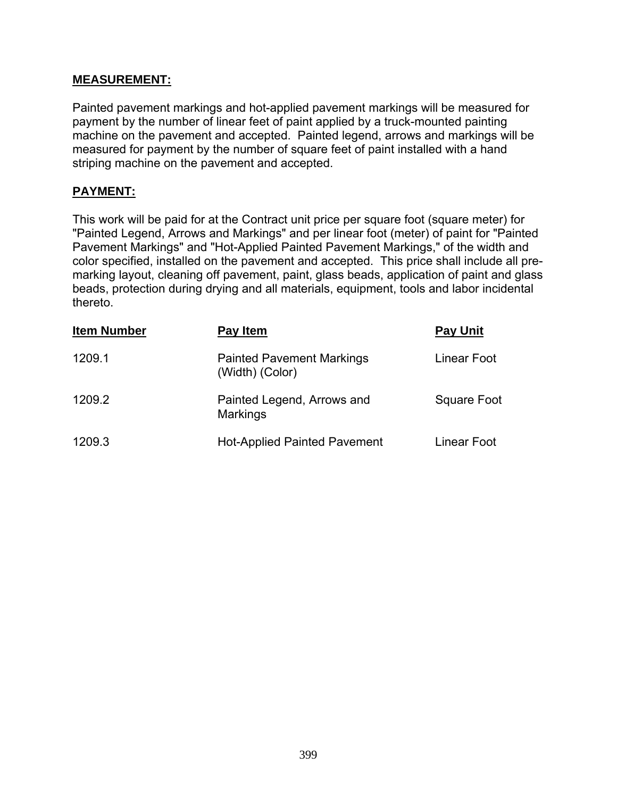#### **MEASUREMENT:**

Painted pavement markings and hot-applied pavement markings will be measured for payment by the number of linear feet of paint applied by a truck-mounted painting machine on the pavement and accepted. Painted legend, arrows and markings will be measured for payment by the number of square feet of paint installed with a hand striping machine on the pavement and accepted.

## **PAYMENT:**

This work will be paid for at the Contract unit price per square foot (square meter) for "Painted Legend, Arrows and Markings" and per linear foot (meter) of paint for "Painted Pavement Markings" and "Hot-Applied Painted Pavement Markings," of the width and color specified, installed on the pavement and accepted. This price shall include all premarking layout, cleaning off pavement, paint, glass beads, application of paint and glass beads, protection during drying and all materials, equipment, tools and labor incidental thereto.

| <b>Item Number</b> | Pay Item                                            | <b>Pay Unit</b> |
|--------------------|-----------------------------------------------------|-----------------|
| 1209.1             | <b>Painted Pavement Markings</b><br>(Width) (Color) | Linear Foot     |
| 1209.2             | Painted Legend, Arrows and<br><b>Markings</b>       | Square Foot     |
| 1209.3             | <b>Hot-Applied Painted Pavement</b>                 | Linear Foot     |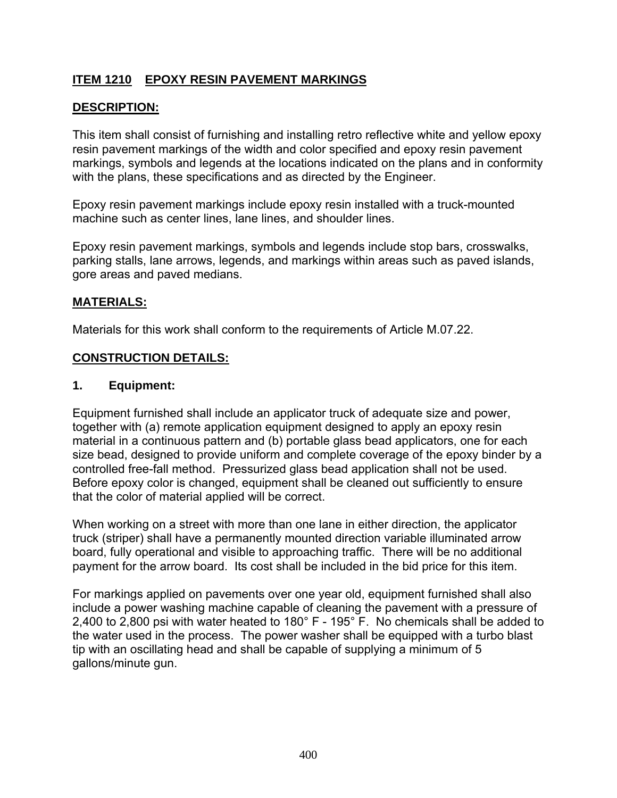# **ITEM 1210 EPOXY RESIN PAVEMENT MARKINGS**

# **DESCRIPTION:**

This item shall consist of furnishing and installing retro reflective white and yellow epoxy resin pavement markings of the width and color specified and epoxy resin pavement markings, symbols and legends at the locations indicated on the plans and in conformity with the plans, these specifications and as directed by the Engineer.

Epoxy resin pavement markings include epoxy resin installed with a truck-mounted machine such as center lines, lane lines, and shoulder lines.

Epoxy resin pavement markings, symbols and legends include stop bars, crosswalks, parking stalls, lane arrows, legends, and markings within areas such as paved islands, gore areas and paved medians.

#### **MATERIALS:**

Materials for this work shall conform to the requirements of Article M.07.22.

#### **CONSTRUCTION DETAILS:**

#### **1. Equipment:**

Equipment furnished shall include an applicator truck of adequate size and power, together with (a) remote application equipment designed to apply an epoxy resin material in a continuous pattern and (b) portable glass bead applicators, one for each size bead, designed to provide uniform and complete coverage of the epoxy binder by a controlled free-fall method. Pressurized glass bead application shall not be used. Before epoxy color is changed, equipment shall be cleaned out sufficiently to ensure that the color of material applied will be correct.

When working on a street with more than one lane in either direction, the applicator truck (striper) shall have a permanently mounted direction variable illuminated arrow board, fully operational and visible to approaching traffic. There will be no additional payment for the arrow board. Its cost shall be included in the bid price for this item.

For markings applied on pavements over one year old, equipment furnished shall also include a power washing machine capable of cleaning the pavement with a pressure of 2,400 to 2,800 psi with water heated to 180° F - 195° F. No chemicals shall be added to the water used in the process. The power washer shall be equipped with a turbo blast tip with an oscillating head and shall be capable of supplying a minimum of 5 gallons/minute gun.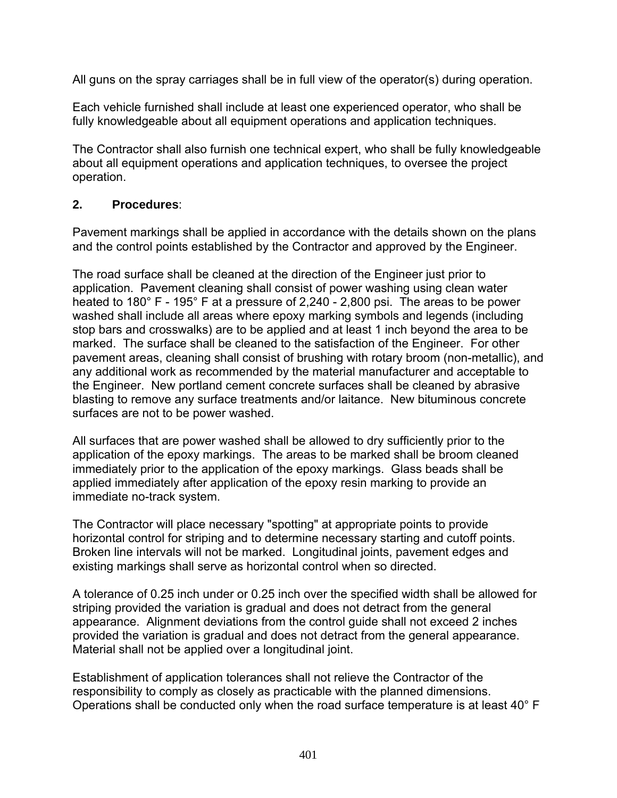All guns on the spray carriages shall be in full view of the operator(s) during operation.

Each vehicle furnished shall include at least one experienced operator, who shall be fully knowledgeable about all equipment operations and application techniques.

The Contractor shall also furnish one technical expert, who shall be fully knowledgeable about all equipment operations and application techniques, to oversee the project operation.

## **2. Procedures**:

Pavement markings shall be applied in accordance with the details shown on the plans and the control points established by the Contractor and approved by the Engineer.

The road surface shall be cleaned at the direction of the Engineer just prior to application. Pavement cleaning shall consist of power washing using clean water heated to 180° F - 195° F at a pressure of 2,240 - 2,800 psi. The areas to be power washed shall include all areas where epoxy marking symbols and legends (including stop bars and crosswalks) are to be applied and at least 1 inch beyond the area to be marked. The surface shall be cleaned to the satisfaction of the Engineer. For other pavement areas, cleaning shall consist of brushing with rotary broom (non-metallic), and any additional work as recommended by the material manufacturer and acceptable to the Engineer. New portland cement concrete surfaces shall be cleaned by abrasive blasting to remove any surface treatments and/or laitance. New bituminous concrete surfaces are not to be power washed.

All surfaces that are power washed shall be allowed to dry sufficiently prior to the application of the epoxy markings. The areas to be marked shall be broom cleaned immediately prior to the application of the epoxy markings. Glass beads shall be applied immediately after application of the epoxy resin marking to provide an immediate no-track system.

The Contractor will place necessary "spotting" at appropriate points to provide horizontal control for striping and to determine necessary starting and cutoff points. Broken line intervals will not be marked. Longitudinal joints, pavement edges and existing markings shall serve as horizontal control when so directed.

A tolerance of 0.25 inch under or 0.25 inch over the specified width shall be allowed for striping provided the variation is gradual and does not detract from the general appearance. Alignment deviations from the control guide shall not exceed 2 inches provided the variation is gradual and does not detract from the general appearance. Material shall not be applied over a longitudinal joint.

Establishment of application tolerances shall not relieve the Contractor of the responsibility to comply as closely as practicable with the planned dimensions. Operations shall be conducted only when the road surface temperature is at least 40° F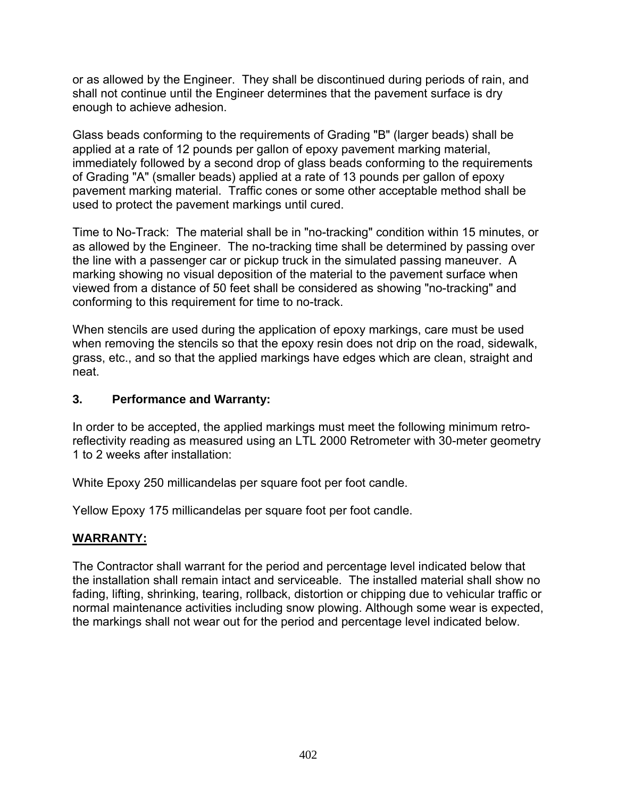or as allowed by the Engineer. They shall be discontinued during periods of rain, and shall not continue until the Engineer determines that the pavement surface is dry enough to achieve adhesion.

Glass beads conforming to the requirements of Grading "B" (larger beads) shall be applied at a rate of 12 pounds per gallon of epoxy pavement marking material, immediately followed by a second drop of glass beads conforming to the requirements of Grading "A" (smaller beads) applied at a rate of 13 pounds per gallon of epoxy pavement marking material. Traffic cones or some other acceptable method shall be used to protect the pavement markings until cured.

Time to No-Track: The material shall be in "no-tracking" condition within 15 minutes, or as allowed by the Engineer. The no-tracking time shall be determined by passing over the line with a passenger car or pickup truck in the simulated passing maneuver. A marking showing no visual deposition of the material to the pavement surface when viewed from a distance of 50 feet shall be considered as showing "no-tracking" and conforming to this requirement for time to no-track.

When stencils are used during the application of epoxy markings, care must be used when removing the stencils so that the epoxy resin does not drip on the road, sidewalk, grass, etc., and so that the applied markings have edges which are clean, straight and neat.

## **3. Performance and Warranty:**

In order to be accepted, the applied markings must meet the following minimum retroreflectivity reading as measured using an LTL 2000 Retrometer with 30-meter geometry 1 to 2 weeks after installation:

White Epoxy 250 millicandelas per square foot per foot candle.

Yellow Epoxy 175 millicandelas per square foot per foot candle.

## **WARRANTY:**

The Contractor shall warrant for the period and percentage level indicated below that the installation shall remain intact and serviceable. The installed material shall show no fading, lifting, shrinking, tearing, rollback, distortion or chipping due to vehicular traffic or normal maintenance activities including snow plowing. Although some wear is expected, the markings shall not wear out for the period and percentage level indicated below.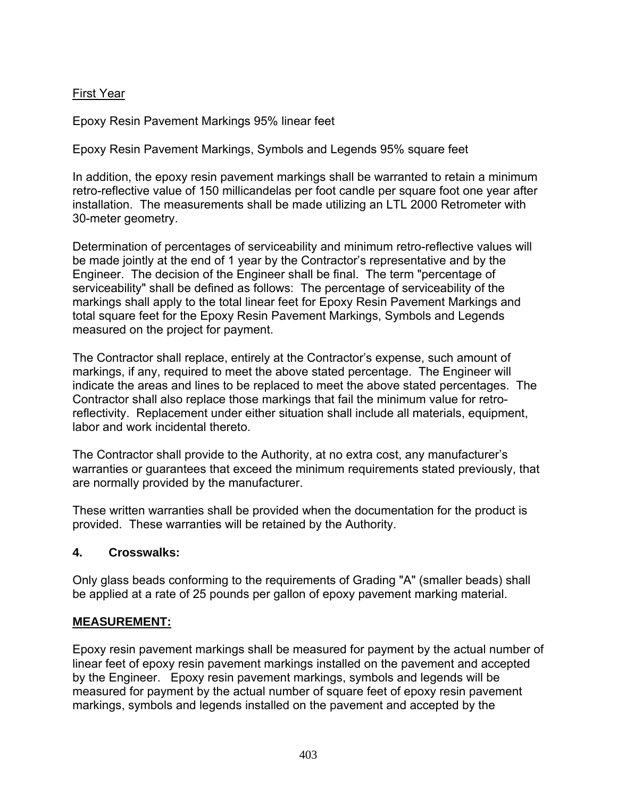# First Year

Epoxy Resin Pavement Markings 95% linear feet

Epoxy Resin Pavement Markings, Symbols and Legends 95% square feet

In addition, the epoxy resin pavement markings shall be warranted to retain a minimum retro-reflective value of 150 millicandelas per foot candle per square foot one year after installation. The measurements shall be made utilizing an LTL 2000 Retrometer with 30-meter geometry.

Determination of percentages of serviceability and minimum retro-reflective values will be made jointly at the end of 1 year by the Contractor's representative and by the Engineer. The decision of the Engineer shall be final. The term "percentage of serviceability" shall be defined as follows: The percentage of serviceability of the markings shall apply to the total linear feet for Epoxy Resin Pavement Markings and total square feet for the Epoxy Resin Pavement Markings, Symbols and Legends measured on the project for payment.

The Contractor shall replace, entirely at the Contractor's expense, such amount of markings, if any, required to meet the above stated percentage. The Engineer will indicate the areas and lines to be replaced to meet the above stated percentages. The Contractor shall also replace those markings that fail the minimum value for retroreflectivity. Replacement under either situation shall include all materials, equipment, labor and work incidental thereto.

The Contractor shall provide to the Authority, at no extra cost, any manufacturer's warranties or guarantees that exceed the minimum requirements stated previously, that are normally provided by the manufacturer.

These written warranties shall be provided when the documentation for the product is provided. These warranties will be retained by the Authority.

## **4. Crosswalks:**

Only glass beads conforming to the requirements of Grading "A" (smaller beads) shall be applied at a rate of 25 pounds per gallon of epoxy pavement marking material.

#### **MEASUREMENT:**

Epoxy resin pavement markings shall be measured for payment by the actual number of linear feet of epoxy resin pavement markings installed on the pavement and accepted by the Engineer. Epoxy resin pavement markings, symbols and legends will be measured for payment by the actual number of square feet of epoxy resin pavement markings, symbols and legends installed on the pavement and accepted by the